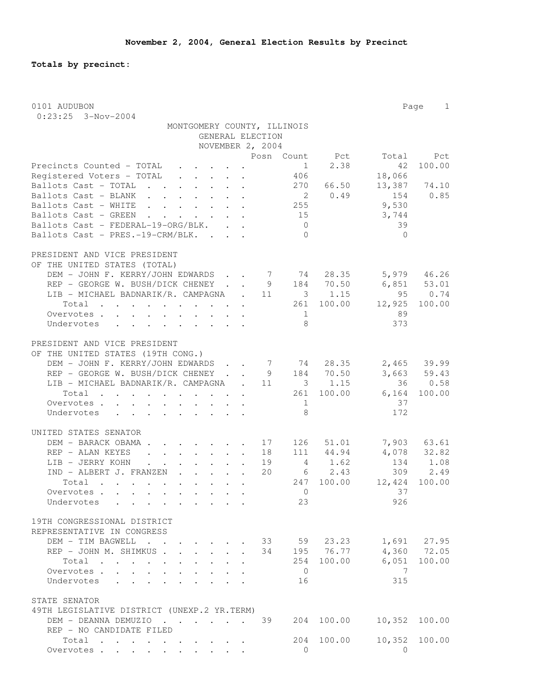**Totals by precinct:**

| 0101 AUDUBON                                                                                                                                                                                                                                                       |                  | Page 1      |
|--------------------------------------------------------------------------------------------------------------------------------------------------------------------------------------------------------------------------------------------------------------------|------------------|-------------|
| $0:23:25$ 3-Nov-2004                                                                                                                                                                                                                                               |                  |             |
| MONTGOMERY COUNTY, ILLINOIS                                                                                                                                                                                                                                        |                  |             |
| GENERAL ELECTION                                                                                                                                                                                                                                                   |                  |             |
| NOVEMBER 2, 2004                                                                                                                                                                                                                                                   |                  |             |
| Posn Count Pct<br>1                                                                                                                                                                                                                                                |                  | Total Pct   |
| 2.38<br>Precincts Counted - TOTAL<br>$\cdot$ $\cdot$ $\cdot$ $\cdot$ $\cdot$ $\cdot$ $\cdot$<br>$\mathbf{r} = \mathbf{r} + \mathbf{r} + \mathbf{r} + \mathbf{r} + \mathbf{r}$<br>406                                                                               | 42               | 100.00      |
| Registered Voters - TOTAL<br>270 66.50<br>Ballots Cast - TOTAL                                                                                                                                                                                                     | 18,066<br>13,387 | 74.10       |
| 2 0.49<br>Ballots Cast - BLANK                                                                                                                                                                                                                                     | 154              | 0.85        |
| 255<br>Ballots Cast - WHITE                                                                                                                                                                                                                                        | 9,530            |             |
| Ballots Cast - GREEN<br>15<br>$\mathbf{r}$ , $\mathbf{r}$ , $\mathbf{r}$ , $\mathbf{r}$ , $\mathbf{r}$ , $\mathbf{r}$                                                                                                                                              | 3,744            |             |
| Ballots Cast - FEDERAL-19-ORG/BLK.<br>$\overline{0}$                                                                                                                                                                                                               | 39               |             |
| Ballots Cast - PRES.-19-CRM/BLK. .<br>$\overline{0}$<br>$\mathbf{L} = \mathbf{L}$                                                                                                                                                                                  | $\bigcirc$       |             |
|                                                                                                                                                                                                                                                                    |                  |             |
| PRESIDENT AND VICE PRESIDENT                                                                                                                                                                                                                                       |                  |             |
| OF THE UNITED STATES (TOTAL)                                                                                                                                                                                                                                       |                  |             |
| DEM - JOHN F. KERRY/JOHN EDWARDS 7 74 28.35                                                                                                                                                                                                                        | $5,979$ 46.26    |             |
| 9 184 70.50<br>REP - GEORGE W. BUSH/DICK CHENEY                                                                                                                                                                                                                    | $6,851$ $53.01$  |             |
| LIB - MICHAEL BADNARIK/R. CAMPAGNA . 11 3 1.15                                                                                                                                                                                                                     | 95               | 0.74        |
| 261 100.00<br>Total                                                                                                                                                                                                                                                | 12,925           | 100.00      |
| Overvotes<br>1                                                                                                                                                                                                                                                     | 89               |             |
| 8<br>Undervotes<br>$\mathbf{r}$ , and $\mathbf{r}$ , and $\mathbf{r}$ , and $\mathbf{r}$<br>$\sim$                                                                                                                                                                 | 373              |             |
|                                                                                                                                                                                                                                                                    |                  |             |
| PRESIDENT AND VICE PRESIDENT                                                                                                                                                                                                                                       |                  |             |
| OF THE UNITED STATES (19TH CONG.)                                                                                                                                                                                                                                  |                  |             |
| DEM - JOHN F. KERRY/JOHN EDWARDS 7 74 28.35                                                                                                                                                                                                                        |                  | 2,465 39.99 |
| . 9 184 70.50<br>REP - GEORGE W. BUSH/DICK CHENEY.                                                                                                                                                                                                                 |                  | 3,663 59.43 |
| LIB - MICHAEL BADNARIK/R. CAMPAGNA . 11 3 1.15                                                                                                                                                                                                                     |                  | 36 0.58     |
| 261 100.00<br>Total                                                                                                                                                                                                                                                | 6,164            | 100.00      |
| Overvotes<br>1                                                                                                                                                                                                                                                     | 37               |             |
| 8<br>Undervotes<br>$\sim$                                                                                                                                                                                                                                          | 172              |             |
|                                                                                                                                                                                                                                                                    |                  |             |
| UNITED STATES SENATOR<br>DEM - BARACK OBAMA 17 126 51.01                                                                                                                                                                                                           |                  | 7,903 63.61 |
| REP - ALAN KEYES<br>18 111 44.94<br>$\mathbf{r}$ , $\mathbf{r}$ , $\mathbf{r}$ , $\mathbf{r}$ , $\mathbf{r}$ , $\mathbf{r}$                                                                                                                                        |                  | 4,078 32.82 |
| LIB - JERRY KOHN<br>19<br>4 1.62                                                                                                                                                                                                                                   |                  | 134 1.08    |
| 20<br>$6 \t 2.43$<br>IND - ALBERT J. FRANZEN                                                                                                                                                                                                                       | 309              | 2.49        |
| 247 100.00<br>Total                                                                                                                                                                                                                                                | 12,424 100.00    |             |
| Overvotes.<br>$\overline{0}$                                                                                                                                                                                                                                       | 37               |             |
| 23<br>Undervotes<br>$\sim$                                                                                                                                                                                                                                         | 926              |             |
|                                                                                                                                                                                                                                                                    |                  |             |
| 19TH CONGRESSIONAL DISTRICT                                                                                                                                                                                                                                        |                  |             |
| REPRESENTATIVE IN CONGRESS                                                                                                                                                                                                                                         |                  |             |
| DEM - TIM BAGWELL<br>33 59 23.23<br>$\mathbf{r}$ , $\mathbf{r}$<br>$\mathbf{r}$ , $\mathbf{r}$ , $\mathbf{r}$ , $\mathbf{r}$                                                                                                                                       |                  | 1,691 27.95 |
| 195 76.77<br>REP - JOHN M. SHIMKUS .<br>34<br>$\mathbf{r} = \mathbf{r} \cdot \mathbf{r}$                                                                                                                                                                           | 4,360            | 72.05       |
| 254 100.00<br>Total<br>$\mathbf{r}$ . The contract of the contract of the contract of the contract of the contract of the contract of the contract of the contract of the contract of the contract of the contract of the contract of the contract of th<br>$\sim$ | 6,051            | 100.00      |
| $\overline{0}$<br>Overvotes                                                                                                                                                                                                                                        | 7                |             |
| Undervotes<br>16<br>$\sim$<br>$\sim$                                                                                                                                                                                                                               | 315              |             |
|                                                                                                                                                                                                                                                                    |                  |             |
| STATE SENATOR                                                                                                                                                                                                                                                      |                  |             |
| 49TH LEGISLATIVE DISTRICT (UNEXP.2 YR.TERM)                                                                                                                                                                                                                        |                  |             |
| 100.00<br>DEM - DEANNA DEMUZIO<br>39<br>204                                                                                                                                                                                                                        | 10,352           | 100.00      |
| REP - NO CANDIDATE FILED                                                                                                                                                                                                                                           |                  |             |
| 204 100.00<br>Total<br>. The simple state is a set of the state of the state $\alpha$<br>$\Omega$                                                                                                                                                                  | 10,352           | 100.00      |
| Overvotes.                                                                                                                                                                                                                                                         | 0                |             |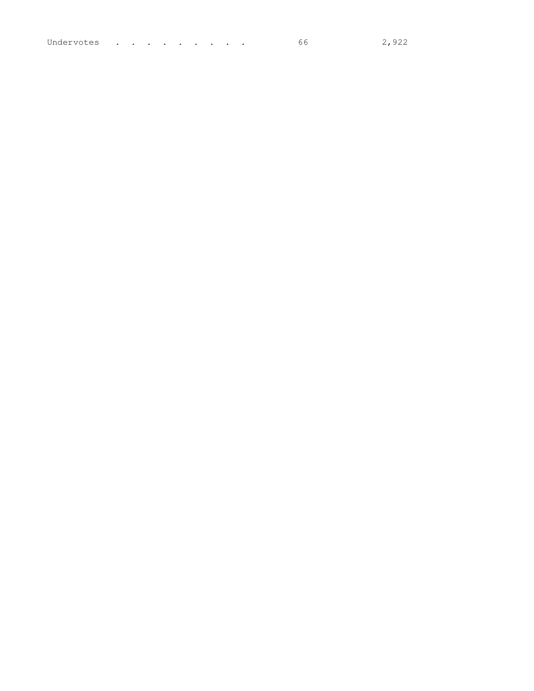| Undervotes |  |  | . The contract of the contract of the contract of the contract of the contract of the contract of the contract of the contract of the contract of the contract of the contract of the contract of the contract of the contrac |  |  |  |  |  |  |  | 2,922 |
|------------|--|--|-------------------------------------------------------------------------------------------------------------------------------------------------------------------------------------------------------------------------------|--|--|--|--|--|--|--|-------|
|------------|--|--|-------------------------------------------------------------------------------------------------------------------------------------------------------------------------------------------------------------------------------|--|--|--|--|--|--|--|-------|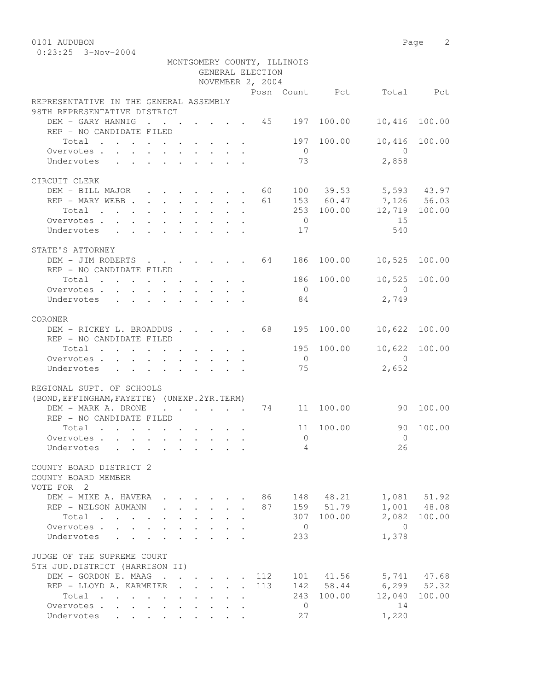0101 AUDUBON Page 2

|                                                                                                        |                                                           |              |                      |              | GENERAL ELECTION | MONTGOMERY COUNTY, ILLINOIS |                      |                          |             |
|--------------------------------------------------------------------------------------------------------|-----------------------------------------------------------|--------------|----------------------|--------------|------------------|-----------------------------|----------------------|--------------------------|-------------|
|                                                                                                        |                                                           |              |                      |              | NOVEMBER 2, 2004 |                             |                      |                          |             |
| REPRESENTATIVE IN THE GENERAL ASSEMBLY<br>98TH REPRESENTATIVE DISTRICT                                 |                                                           |              |                      |              |                  |                             |                      | Posn Count Pct Total Pct |             |
| DEM - GARY HANNIG<br>$\cdot$ 45 197<br>REP - NO CANDIDATE FILED                                        |                                                           |              |                      |              |                  |                             | 100.00               | 10,416                   | 100.00      |
| Total                                                                                                  |                                                           |              |                      |              |                  |                             | 197 100.00           | 10,416                   | 100.00      |
| Overvotes                                                                                              |                                                           |              |                      |              |                  | $\overline{0}$              |                      | $\bigcirc$               |             |
| Undervotes                                                                                             |                                                           |              |                      |              |                  | 73                          |                      | 2,858                    |             |
| CIRCUIT CLERK                                                                                          |                                                           |              |                      |              |                  |                             |                      |                          |             |
| DEM - BILL MAJOR 60                                                                                    |                                                           |              |                      |              |                  |                             |                      | 100 39.53 5,593 43.97    |             |
| REP - MARY WEBB                                                                                        |                                                           |              |                      |              | 61               |                             |                      | 153 60.47 7,126 56.03    |             |
| Total                                                                                                  |                                                           |              |                      |              |                  |                             | 253 100.00           | 12,719 100.00            |             |
| Overvotes.                                                                                             |                                                           |              |                      |              |                  | $\overline{0}$              |                      | 15                       |             |
| Undervotes                                                                                             |                                                           |              |                      |              |                  | 17                          |                      | 540                      |             |
| STATE'S ATTORNEY                                                                                       |                                                           |              |                      |              |                  |                             |                      |                          |             |
| DEM - JIM ROBERTS 64 186 100.00                                                                        |                                                           |              |                      |              |                  |                             |                      | 10,525 100.00            |             |
| REP - NO CANDIDATE FILED                                                                               |                                                           |              |                      |              |                  |                             |                      |                          |             |
| Total $\cdot$                                                                                          |                                                           |              |                      |              |                  |                             | 186 100.00           | 10,525                   | 100.00      |
| Overvotes.                                                                                             |                                                           |              |                      |              |                  | $\overline{0}$              |                      | $\overline{0}$           |             |
| Undervotes                                                                                             |                                                           |              |                      |              |                  | 84                          |                      | 2,749                    |             |
| CORONER                                                                                                |                                                           |              |                      |              |                  |                             |                      |                          |             |
| DEM - RICKEY L. BROADDUS 68                                                                            |                                                           |              |                      |              |                  | 195                         | 100.00               | 10,622                   | 100.00      |
| REP - NO CANDIDATE FILED                                                                               |                                                           |              |                      |              |                  |                             |                      |                          |             |
| Total                                                                                                  |                                                           |              |                      |              |                  |                             | 195 100.00           | 10,622 100.00            |             |
| Overvotes                                                                                              |                                                           |              |                      |              |                  | $\overline{0}$              |                      | $\bigcirc$               |             |
| Undervotes<br>$\mathbf{r}$ , and $\mathbf{r}$ , and $\mathbf{r}$ , and $\mathbf{r}$ , and $\mathbf{r}$ |                                                           |              |                      |              |                  | 75                          |                      | 2,652                    |             |
| REGIONAL SUPT. OF SCHOOLS                                                                              |                                                           |              |                      |              |                  |                             |                      |                          |             |
| (BOND, EFFINGHAM, FAYETTE) (UNEXP. 2YR. TERM)                                                          |                                                           |              |                      |              |                  |                             |                      |                          |             |
| DEM - MARK A. DRONE                                                                                    |                                                           |              |                      |              |                  |                             | $\cdot$ 74 11 100.00 | 90 100.00                |             |
| REP - NO CANDIDATE FILED                                                                               |                                                           |              |                      |              |                  |                             |                      |                          |             |
| Total                                                                                                  |                                                           |              |                      |              |                  |                             | 11 100.00            | 90                       | 100.00      |
| Overvotes.                                                                                             |                                                           |              |                      |              |                  | $\circ$                     |                      | $\bigcirc$               |             |
| Undervotes                                                                                             |                                                           |              |                      |              |                  |                             | $\overline{4}$       | 26                       |             |
| COUNTY BOARD DISTRICT 2<br>COUNTY BOARD MEMBER                                                         |                                                           |              |                      |              |                  |                             |                      |                          |             |
| VOTE FOR 2                                                                                             |                                                           |              |                      |              |                  |                             |                      |                          |             |
| DEM - MIKE A. HAVERA                                                                                   |                                                           |              |                      |              | 86               |                             | 148 48.21            |                          | 1,081 51.92 |
| REP - NELSON AUMANN                                                                                    | $\mathbf{r}$ , $\mathbf{r}$ , $\mathbf{r}$ , $\mathbf{r}$ |              |                      |              | 87               |                             | 159 51.79            |                          | 1,001 48.08 |
| Total                                                                                                  | $\cdot$ $\cdot$ $\cdot$                                   |              |                      |              |                  |                             | 307 100.00           | 2,082                    | 100.00      |
| Overvotes .<br>$\mathbf{L}$<br>$\mathcal{L}^{\text{max}}$                                              |                                                           |              |                      |              |                  | $\overline{0}$              |                      | $\overline{0}$           |             |
| Undervotes                                                                                             |                                                           |              |                      |              |                  | 233                         |                      | 1,378                    |             |
| JUDGE OF THE SUPREME COURT<br>5TH JUD.DISTRICT (HARRISON II)                                           |                                                           |              |                      |              |                  |                             |                      |                          |             |
| DEM - GORDON E. MAAG                                                                                   |                                                           |              |                      |              | 112              |                             | 101 41.56            | 5,741 47.68              |             |
| REP - LLOYD A. KARMEIER .                                                                              | $\ddot{\phantom{0}}$                                      | $\mathbf{L}$ | $\ddot{\phantom{0}}$ | $\mathbf{L}$ | 113              |                             | 142 58.44            | $6, 299$ $52.32$         |             |
| Total                                                                                                  |                                                           |              |                      |              |                  |                             | 243 100.00           | 12,040                   | 100.00      |
| Overvotes                                                                                              | $\mathbf{L}^{\text{max}}$<br>$\mathcal{L}^{\text{max}}$   |              |                      |              |                  | $\overline{0}$              |                      | 14                       |             |
| Undervotes                                                                                             |                                                           |              |                      |              |                  | 27                          |                      | 1,220                    |             |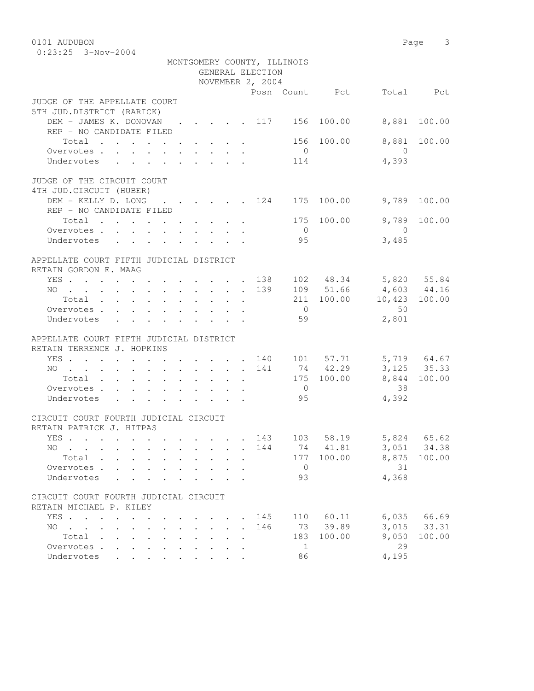0101 AUDUBON Page 3 0:23:25 3-Nov-2004

|                                                                                                                    |  |  |                                                                          | GENERAL ELECTION | MONTGOMERY COUNTY, ILLINOIS |                       |                                                   |                                |
|--------------------------------------------------------------------------------------------------------------------|--|--|--------------------------------------------------------------------------|------------------|-----------------------------|-----------------------|---------------------------------------------------|--------------------------------|
|                                                                                                                    |  |  |                                                                          | NOVEMBER 2, 2004 |                             |                       |                                                   |                                |
|                                                                                                                    |  |  |                                                                          |                  |                             | Posn Count Pct        |                                                   | Total Pct                      |
| JUDGE OF THE APPELLATE COURT                                                                                       |  |  |                                                                          |                  |                             |                       |                                                   |                                |
| 5TH JUD.DISTRICT (RARICK)                                                                                          |  |  |                                                                          |                  |                             |                       |                                                   |                                |
| DEM - JAMES K. DONOVAN 117 156 100.00                                                                              |  |  |                                                                          |                  |                             |                       | 8,881                                             | 100.00                         |
| REP - NO CANDIDATE FILED                                                                                           |  |  |                                                                          |                  |                             |                       |                                                   |                                |
| Total $\cdot$                                                                                                      |  |  |                                                                          |                  |                             | 156 100.00            |                                                   | 8,881 100.00                   |
| Overvotes                                                                                                          |  |  |                                                                          |                  | $\overline{0}$              |                       | $\bigcirc$                                        |                                |
| Undervotes                                                                                                         |  |  |                                                                          |                  | 114                         |                       | 4,393                                             |                                |
|                                                                                                                    |  |  |                                                                          |                  |                             |                       |                                                   |                                |
| JUDGE OF THE CIRCUIT COURT                                                                                         |  |  |                                                                          |                  |                             |                       |                                                   |                                |
| 4TH JUD. CIRCUIT (HUBER)                                                                                           |  |  |                                                                          |                  |                             |                       |                                                   |                                |
| DEM - KELLY D. LONG 124 175 100.00                                                                                 |  |  |                                                                          |                  |                             |                       | 9,789                                             | 100.00                         |
| REP - NO CANDIDATE FILED                                                                                           |  |  |                                                                          |                  |                             |                       |                                                   |                                |
| Total $\cdot$                                                                                                      |  |  |                                                                          |                  |                             | 175 100.00            | 9,789                                             | 100.00                         |
| Overvotes.                                                                                                         |  |  |                                                                          |                  | $\overline{0}$              |                       | $\overline{0}$                                    |                                |
| Undervotes                                                                                                         |  |  |                                                                          |                  | 95                          |                       | 3,485                                             |                                |
|                                                                                                                    |  |  |                                                                          |                  |                             |                       |                                                   |                                |
| APPELLATE COURT FIFTH JUDICIAL DISTRICT                                                                            |  |  |                                                                          |                  |                             |                       |                                                   |                                |
| RETAIN GORDON E. MAAG                                                                                              |  |  |                                                                          |                  |                             |                       |                                                   |                                |
| YES 138 102 48.34 5,820 55.84                                                                                      |  |  |                                                                          |                  |                             |                       |                                                   |                                |
| NO 139 109 51.66 4,603 44.16                                                                                       |  |  |                                                                          |                  |                             |                       |                                                   |                                |
| Total $\cdot$                                                                                                      |  |  |                                                                          |                  |                             |                       | 211 100.00 10,423 100.00                          |                                |
| Overvotes.                                                                                                         |  |  |                                                                          |                  | $\overline{0}$              |                       | 50                                                |                                |
| Undervotes                                                                                                         |  |  |                                                                          |                  | 59                          |                       | 2,801                                             |                                |
|                                                                                                                    |  |  |                                                                          |                  |                             |                       |                                                   |                                |
| APPELLATE COURT FIFTH JUDICIAL DISTRICT                                                                            |  |  |                                                                          |                  |                             |                       |                                                   |                                |
| RETAIN TERRENCE J. HOPKINS                                                                                         |  |  |                                                                          |                  |                             |                       |                                                   |                                |
| YES 140 101 57.71 5,719 64.67                                                                                      |  |  |                                                                          |                  |                             |                       |                                                   |                                |
| NO 141 74 42.29 3,125 35.33                                                                                        |  |  |                                                                          |                  |                             |                       |                                                   |                                |
| Total 175 100.00                                                                                                   |  |  |                                                                          |                  |                             |                       |                                                   | 8,844 100.00                   |
| Overvotes.                                                                                                         |  |  |                                                                          |                  | $\overline{0}$              |                       | 38                                                |                                |
| Undervotes                                                                                                         |  |  |                                                                          |                  | 95                          |                       | 4,392                                             |                                |
|                                                                                                                    |  |  |                                                                          |                  |                             |                       |                                                   |                                |
| CIRCUIT COURT FOURTH JUDICIAL CIRCUIT                                                                              |  |  |                                                                          |                  |                             |                       |                                                   |                                |
| RETAIN PATRICK J. HITPAS                                                                                           |  |  |                                                                          |                  |                             |                       |                                                   |                                |
| YES                                                                                                                |  |  |                                                                          |                  |                             |                       | $\cdot$ $\cdot$ $\cdot$ 143 103 58.19 5,824 65.62 |                                |
| NO 144 74 41.81 3,051 34.38                                                                                        |  |  |                                                                          |                  |                             |                       |                                                   |                                |
| Total                                                                                                              |  |  |                                                                          |                  |                             | 177 100.00            | 8,875                                             | 100.00                         |
| Overvotes                                                                                                          |  |  |                                                                          |                  | $\overline{0}$              |                       | 31                                                |                                |
| Undervotes                                                                                                         |  |  |                                                                          |                  | 93                          |                       | 4,368                                             |                                |
|                                                                                                                    |  |  |                                                                          |                  |                             |                       |                                                   |                                |
| CIRCUIT COURT FOURTH JUDICIAL CIRCUIT                                                                              |  |  |                                                                          |                  |                             |                       |                                                   |                                |
|                                                                                                                    |  |  |                                                                          |                  |                             |                       |                                                   |                                |
| RETAIN MICHAEL P. KILEY                                                                                            |  |  |                                                                          |                  |                             |                       |                                                   |                                |
| YES                                                                                                                |  |  | $\mathbf{r}$ , $\mathbf{r}$ , $\mathbf{r}$ , $\mathbf{r}$ , $\mathbf{r}$ | 145              |                             | 110 60.11<br>73 39.89 |                                                   | $6,035$ $66.69$<br>3,015 33.31 |
| $\mathbf{r}$ , and $\mathbf{r}$ , and $\mathbf{r}$ , and $\mathbf{r}$ , and $\mathbf{r}$ , and $\mathbf{r}$<br>NO. |  |  |                                                                          | 146              |                             |                       |                                                   |                                |
| Total                                                                                                              |  |  |                                                                          |                  | 183                         | 100.00                | 9,050                                             | 100.00                         |
| Overvotes.                                                                                                         |  |  |                                                                          |                  | $\overline{1}$              |                       | 29                                                |                                |
| Undervotes                                                                                                         |  |  |                                                                          |                  | 86                          |                       | 4,195                                             |                                |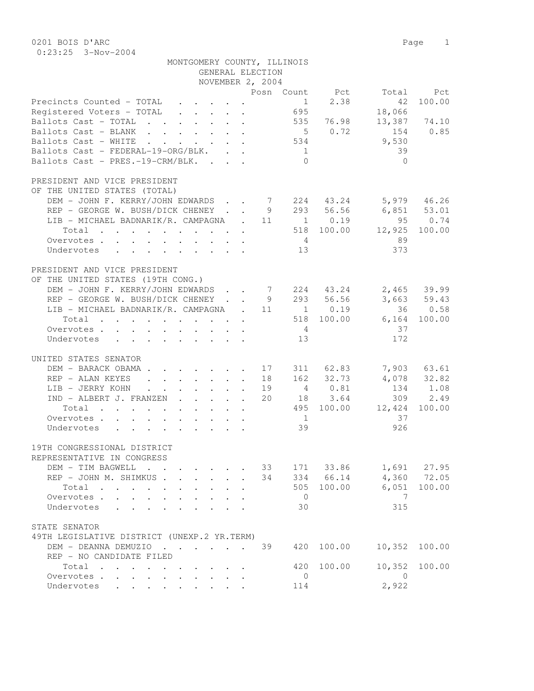| 0201 BOIS D'ARC                                                                                                                                                                                                                                                                                                                                                                                                                                           |                  |                 |                |                 | Page 1        |
|-----------------------------------------------------------------------------------------------------------------------------------------------------------------------------------------------------------------------------------------------------------------------------------------------------------------------------------------------------------------------------------------------------------------------------------------------------------|------------------|-----------------|----------------|-----------------|---------------|
| $0:23:25$ 3-Nov-2004                                                                                                                                                                                                                                                                                                                                                                                                                                      |                  |                 |                |                 |               |
| MONTGOMERY COUNTY, ILLINOIS                                                                                                                                                                                                                                                                                                                                                                                                                               |                  |                 |                |                 |               |
|                                                                                                                                                                                                                                                                                                                                                                                                                                                           | GENERAL ELECTION |                 |                |                 |               |
|                                                                                                                                                                                                                                                                                                                                                                                                                                                           | NOVEMBER 2, 2004 |                 |                |                 |               |
|                                                                                                                                                                                                                                                                                                                                                                                                                                                           |                  |                 | Posn Count Pct | Total           | Pct           |
| Precincts Counted - TOTAL<br>$\mathbf{r} = \mathbf{r} + \mathbf{r} + \mathbf{r} + \mathbf{r} + \mathbf{r} + \mathbf{r} + \mathbf{r} + \mathbf{r} + \mathbf{r} + \mathbf{r} + \mathbf{r} + \mathbf{r} + \mathbf{r} + \mathbf{r} + \mathbf{r} + \mathbf{r} + \mathbf{r} + \mathbf{r} + \mathbf{r} + \mathbf{r} + \mathbf{r} + \mathbf{r} + \mathbf{r} + \mathbf{r} + \mathbf{r} + \mathbf{r} + \mathbf{r} + \mathbf{r} + \mathbf{r} + \mathbf{r} + \mathbf$ |                  | $\mathbf{1}$    | 2.38           | 42              | 100.00        |
| Registered Voters - TOTAL                                                                                                                                                                                                                                                                                                                                                                                                                                 |                  | 695             |                | 18,066          |               |
| Ballots Cast - TOTAL 535 76.98                                                                                                                                                                                                                                                                                                                                                                                                                            |                  |                 |                | 13,387          | 74.10         |
| Ballots Cast - BLANK                                                                                                                                                                                                                                                                                                                                                                                                                                      |                  |                 | 50.72          | 154             | 0.85          |
| Ballots Cast - WHITE<br>$\mathbf{r}$ , $\mathbf{r}$ , $\mathbf{r}$ , $\mathbf{r}$ , $\mathbf{r}$ , $\mathbf{r}$                                                                                                                                                                                                                                                                                                                                           |                  | 534             |                | 9,530           |               |
| Ballots Cast - FEDERAL-19-ORG/BLK.                                                                                                                                                                                                                                                                                                                                                                                                                        |                  | 1<br>$\bigcap$  |                | 39              |               |
| Ballots Cast - PRES.-19-CRM/BLK.                                                                                                                                                                                                                                                                                                                                                                                                                          |                  |                 |                | $\Omega$        |               |
| PRESIDENT AND VICE PRESIDENT                                                                                                                                                                                                                                                                                                                                                                                                                              |                  |                 |                |                 |               |
| OF THE UNITED STATES (TOTAL)                                                                                                                                                                                                                                                                                                                                                                                                                              |                  |                 |                |                 |               |
| DEM - JOHN F. KERRY/JOHN EDWARDS                                                                                                                                                                                                                                                                                                                                                                                                                          |                  |                 | 7 224 43.24    | $5,979$ 46.26   |               |
| REP - GEORGE W. BUSH/DICK CHENEY.                                                                                                                                                                                                                                                                                                                                                                                                                         | 9                |                 | 293 56.56      | $6,851$ $53.01$ |               |
| LIB - MICHAEL BADNARIK/R. CAMPAGNA                                                                                                                                                                                                                                                                                                                                                                                                                        | $\sim$ 11        |                 | 1 0.19         | 95              | 0.74          |
| Total                                                                                                                                                                                                                                                                                                                                                                                                                                                     |                  |                 | 518 100.00     | 12,925          | 100.00        |
| Overvotes                                                                                                                                                                                                                                                                                                                                                                                                                                                 |                  | $4\overline{4}$ |                | 89              |               |
| Undervotes<br>$\begin{array}{cccccccccccccccccc} . & . & . & . & . & . & . & . & . & . & . & . & . \end{array}$                                                                                                                                                                                                                                                                                                                                           |                  | 13              |                | 373             |               |
|                                                                                                                                                                                                                                                                                                                                                                                                                                                           |                  |                 |                |                 |               |
| PRESIDENT AND VICE PRESIDENT                                                                                                                                                                                                                                                                                                                                                                                                                              |                  |                 |                |                 |               |
| OF THE UNITED STATES (19TH CONG.)                                                                                                                                                                                                                                                                                                                                                                                                                         |                  |                 |                |                 |               |
| DEM - JOHN F. KERRY/JOHN EDWARDS                                                                                                                                                                                                                                                                                                                                                                                                                          |                  |                 | 7 224 43.24    |                 | 2,465 39.99   |
| REP - GEORGE W. BUSH/DICK CHENEY.                                                                                                                                                                                                                                                                                                                                                                                                                         | 9                |                 | 293 56.56      |                 | $3,663$ 59.43 |
| LIB - MICHAEL BADNARIK/R. CAMPAGNA . 11                                                                                                                                                                                                                                                                                                                                                                                                                   |                  |                 | 1 0.19         |                 | 36 0.58       |
| Total                                                                                                                                                                                                                                                                                                                                                                                                                                                     |                  |                 | 518 100.00     | 6,164           | 100.00        |
| Overvotes                                                                                                                                                                                                                                                                                                                                                                                                                                                 |                  |                 |                | 37              |               |
| Undervotes                                                                                                                                                                                                                                                                                                                                                                                                                                                |                  | 13              |                | 172             |               |
| UNITED STATES SENATOR                                                                                                                                                                                                                                                                                                                                                                                                                                     |                  |                 |                |                 |               |
| DEM - BARACK OBAMA.<br>$\cdot$ 17                                                                                                                                                                                                                                                                                                                                                                                                                         |                  |                 | 311 62.83      |                 | 7,903 63.61   |
| REP - ALAN KEYES<br>$\ddot{\phantom{0}}$                                                                                                                                                                                                                                                                                                                                                                                                                  | 18<br>$\sim 100$ |                 | 162 32.73      |                 | 4,078 32.82   |
| LIB - JERRY KOHN<br>$\cdot$ $\cdot$ $\cdot$ $\cdot$ $\cdot$<br>$\mathbf{L}^{\text{max}}$ , and $\mathbf{L}^{\text{max}}$<br>$\bullet$                                                                                                                                                                                                                                                                                                                     | 19               |                 | 4 0.81         | 134             | 1.08          |
| IND - ALBERT J. FRANZEN                                                                                                                                                                                                                                                                                                                                                                                                                                   | 20               |                 | 18 3.64        | 309             | 2.49          |
| Total                                                                                                                                                                                                                                                                                                                                                                                                                                                     |                  | 495             | 100.00         | 12,424          | 100.00        |
| Overvotes                                                                                                                                                                                                                                                                                                                                                                                                                                                 |                  | $\mathbf{1}$    |                | 37              |               |
| Undervotes                                                                                                                                                                                                                                                                                                                                                                                                                                                |                  | 39              |                | 926             |               |
|                                                                                                                                                                                                                                                                                                                                                                                                                                                           |                  |                 |                |                 |               |
| 19TH CONGRESSIONAL DISTRICT                                                                                                                                                                                                                                                                                                                                                                                                                               |                  |                 |                |                 |               |
| REPRESENTATIVE IN CONGRESS                                                                                                                                                                                                                                                                                                                                                                                                                                |                  |                 |                |                 |               |
| DEM - TIM BAGWELL<br>$\mathbf{r}$ , $\mathbf{r}$ , $\mathbf{r}$                                                                                                                                                                                                                                                                                                                                                                                           | 33               |                 | 171 33.86      |                 | 1,691 27.95   |
| REP - JOHN M. SHIMKUS                                                                                                                                                                                                                                                                                                                                                                                                                                     | 34               |                 | 334 66.14      |                 | 4,360 72.05   |
| Total                                                                                                                                                                                                                                                                                                                                                                                                                                                     |                  |                 | 505 100.00     | 7               | 6,051 100.00  |
| Overvotes<br>Undervotes                                                                                                                                                                                                                                                                                                                                                                                                                                   |                  | $\overline{0}$  |                | 315             |               |
|                                                                                                                                                                                                                                                                                                                                                                                                                                                           |                  | 30              |                |                 |               |
| $C T \wedge T T$ $C T \wedge T \wedge T \wedge T$                                                                                                                                                                                                                                                                                                                                                                                                         |                  |                 |                |                 |               |

| STATE SENATOR<br>49TH LEGISLATIVE DISTRICT (UNEXP.2 YR.TERM) |  |  |  |  |  |     |            |               |  |
|--------------------------------------------------------------|--|--|--|--|--|-----|------------|---------------|--|
|                                                              |  |  |  |  |  |     | 420 100.00 | 10,352 100.00 |  |
| REP - NO CANDIDATE FILED                                     |  |  |  |  |  |     |            |               |  |
| Total                                                        |  |  |  |  |  |     | 420 100.00 | 10,352 100.00 |  |
| Overvotes.                                                   |  |  |  |  |  |     |            |               |  |
| Undervotes                                                   |  |  |  |  |  | 114 |            | 2,922         |  |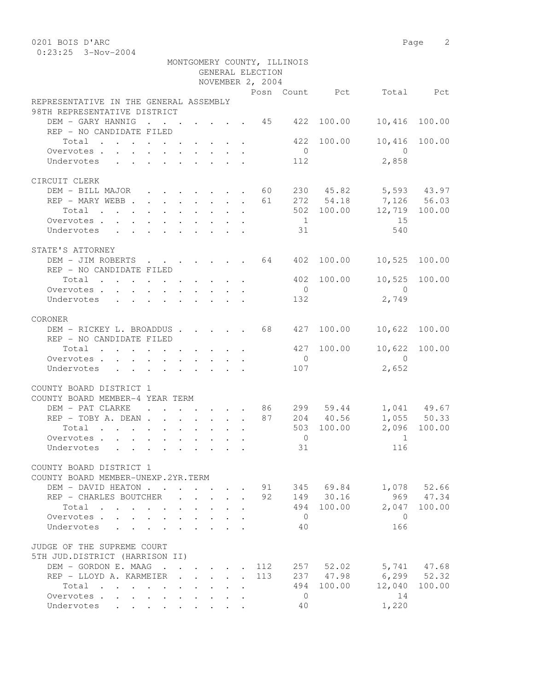0:23:25 3-Nov-2004

| NOVEMBER 2, 2004                                                                            |  |  |  |  |     |                                           |              |                                 |                  |  |
|---------------------------------------------------------------------------------------------|--|--|--|--|-----|-------------------------------------------|--------------|---------------------------------|------------------|--|
|                                                                                             |  |  |  |  |     |                                           |              | Posn Count Pct Total Pct        |                  |  |
| REPRESENTATIVE IN THE GENERAL ASSEMBLY                                                      |  |  |  |  |     |                                           |              |                                 |                  |  |
| 98TH REPRESENTATIVE DISTRICT                                                                |  |  |  |  |     |                                           |              |                                 |                  |  |
| DEM - GARY HANNIG 45 422                                                                    |  |  |  |  |     |                                           | 100.00       | 10,416                          | 100.00           |  |
| REP - NO CANDIDATE FILED                                                                    |  |  |  |  |     |                                           |              |                                 |                  |  |
| Total 422 100.00                                                                            |  |  |  |  |     | $\overline{0}$                            |              | 10,416 100.00<br>$\overline{0}$ |                  |  |
| Overvotes<br>Undervotes                                                                     |  |  |  |  |     | 112                                       |              | 2,858                           |                  |  |
|                                                                                             |  |  |  |  |     |                                           |              |                                 |                  |  |
| CIRCUIT CLERK                                                                               |  |  |  |  |     |                                           |              |                                 |                  |  |
| DEM - BILL MAJOR 60 230 45.82 5,593 43.97                                                   |  |  |  |  |     |                                           |              |                                 |                  |  |
| REP - MARY WEBB 61 272 54.18 7,126 56.03                                                    |  |  |  |  |     |                                           |              |                                 |                  |  |
| Total                                                                                       |  |  |  |  |     |                                           |              | 502 100.00 12,719 100.00        |                  |  |
| Overvotes                                                                                   |  |  |  |  |     | 1                                         |              | 15                              |                  |  |
| Undervotes 31                                                                               |  |  |  |  |     |                                           |              | 540                             |                  |  |
|                                                                                             |  |  |  |  |     |                                           |              |                                 |                  |  |
| STATE'S ATTORNEY                                                                            |  |  |  |  |     |                                           |              |                                 |                  |  |
| DEM - JIM ROBERTS 64 402 100.00 10,525 100.00                                               |  |  |  |  |     |                                           |              |                                 |                  |  |
| REP - NO CANDIDATE FILED                                                                    |  |  |  |  |     |                                           |              |                                 |                  |  |
| Total                                                                                       |  |  |  |  |     |                                           | 402 100.00   | 10,525 100.00                   |                  |  |
| Overvotes.                                                                                  |  |  |  |  |     | $\overline{0}$                            |              | $\overline{0}$                  |                  |  |
| Undervotes                                                                                  |  |  |  |  |     | 132                                       |              | 2,749                           |                  |  |
| CORONER                                                                                     |  |  |  |  |     |                                           |              |                                 |                  |  |
| DEM - RICKEY L. BROADDUS 68 427 100.00                                                      |  |  |  |  |     |                                           |              | 10,622 100.00                   |                  |  |
| REP - NO CANDIDATE FILED                                                                    |  |  |  |  |     |                                           |              |                                 |                  |  |
| Total                                                                                       |  |  |  |  |     |                                           | 427 100.00   | 10,622 100.00                   |                  |  |
| Overvotes                                                                                   |  |  |  |  |     | $\overline{0}$                            |              | $\overline{0}$                  |                  |  |
| Undervotes                                                                                  |  |  |  |  |     | 107                                       |              | 2,652                           |                  |  |
|                                                                                             |  |  |  |  |     |                                           |              |                                 |                  |  |
| COUNTY BOARD DISTRICT 1                                                                     |  |  |  |  |     |                                           |              |                                 |                  |  |
| COUNTY BOARD MEMBER-4 YEAR TERM                                                             |  |  |  |  |     |                                           |              |                                 |                  |  |
| DEM - PAT CLARKE 86 299 59.44 1,041 49.67                                                   |  |  |  |  |     |                                           |              |                                 |                  |  |
| REP - TOBY A. DEAN 87 204 40.56                                                             |  |  |  |  |     |                                           |              |                                 | $1,055$ 50.33    |  |
| Total 503 100.00 2,096 100.00                                                               |  |  |  |  |     |                                           |              |                                 |                  |  |
| Overvotes                                                                                   |  |  |  |  |     | $\begin{matrix} 0 \\ 0 \\ 0 \end{matrix}$ |              | $\overline{1}$                  |                  |  |
| Undervotes                                                                                  |  |  |  |  |     | 31                                        |              | 116                             |                  |  |
|                                                                                             |  |  |  |  |     |                                           |              |                                 |                  |  |
| COUNTY BOARD DISTRICT 1<br>COUNTY BOARD MEMBER-UNEXP.2YR.TERM                               |  |  |  |  |     |                                           |              |                                 |                  |  |
| DEM - DAVID HEATON                                                                          |  |  |  |  |     |                                           | 91 345 69.84 | 1,078                           | 52.66            |  |
| REP - CHARLES BOUTCHER                                                                      |  |  |  |  | 92  |                                           | 149 30.16    | 969                             | 47.34            |  |
| Total<br>. The contract of the contract of the contract of the contract of $\mathcal{O}(1)$ |  |  |  |  |     | 494                                       | 100.00       | 2,047                           | 100.00           |  |
| Overvotes                                                                                   |  |  |  |  |     | $\overline{0}$                            |              | $\bigcirc$                      |                  |  |
| Undervotes                                                                                  |  |  |  |  |     | 40                                        |              | 166                             |                  |  |
|                                                                                             |  |  |  |  |     |                                           |              |                                 |                  |  |
| JUDGE OF THE SUPREME COURT                                                                  |  |  |  |  |     |                                           |              |                                 |                  |  |
| 5TH JUD.DISTRICT (HARRISON II)                                                              |  |  |  |  |     |                                           |              |                                 |                  |  |
| DEM - GORDON E. MAAG                                                                        |  |  |  |  | 112 |                                           |              | 257 52.02 5,741 47.68           |                  |  |
| REP - LLOYD A. KARMEIER                                                                     |  |  |  |  | 113 |                                           | 237 47.98    |                                 | $6, 299$ $52.32$ |  |
| Total                                                                                       |  |  |  |  |     | 494                                       | 100.00       | 12,040                          | 100.00           |  |
| Overvotes                                                                                   |  |  |  |  |     | $\overline{0}$                            |              | 14                              |                  |  |
| Undervotes                                                                                  |  |  |  |  |     | 40                                        |              | 1,220                           |                  |  |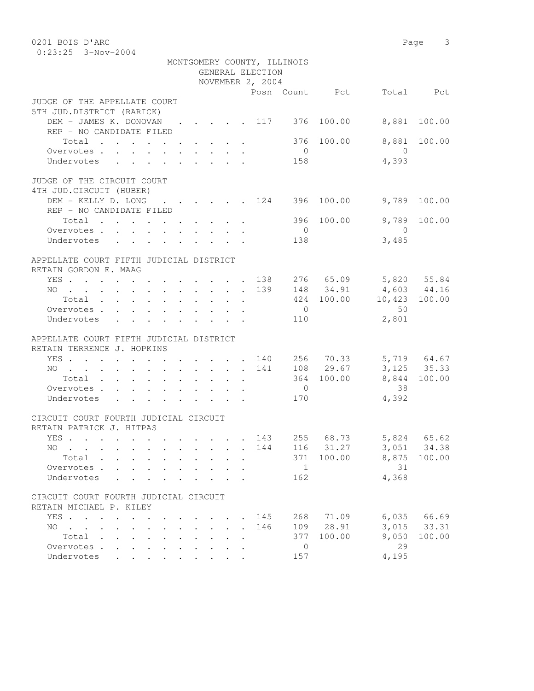| 0201 BOIS D'ARC                                                                          |  |                      |  |                  |                             |                  |                       | Page 3       |
|------------------------------------------------------------------------------------------|--|----------------------|--|------------------|-----------------------------|------------------|-----------------------|--------------|
| $0:23:25$ 3-Nov-2004                                                                     |  |                      |  |                  |                             |                  |                       |              |
|                                                                                          |  |                      |  |                  | MONTGOMERY COUNTY, ILLINOIS |                  |                       |              |
|                                                                                          |  |                      |  | GENERAL ELECTION |                             |                  |                       |              |
|                                                                                          |  |                      |  | NOVEMBER 2, 2004 |                             |                  |                       |              |
|                                                                                          |  |                      |  |                  |                             | Posn Count Pct   |                       | Total Pct    |
| JUDGE OF THE APPELLATE COURT                                                             |  |                      |  |                  |                             |                  |                       |              |
| 5TH JUD.DISTRICT (RARICK)                                                                |  |                      |  |                  |                             |                  |                       |              |
| DEM - JAMES K. DONOVAN                                                                   |  |                      |  |                  |                             | . 117 376 100.00 | 8,881                 | 100.00       |
| REP - NO CANDIDATE FILED                                                                 |  |                      |  |                  |                             |                  |                       |              |
| Total                                                                                    |  |                      |  |                  | 376                         | 100.00           | 8,881                 | 100.00       |
| Overvotes.                                                                               |  |                      |  |                  | $\overline{0}$              |                  | $\overline{0}$        |              |
| Undervotes                                                                               |  |                      |  |                  | 158                         |                  | 4,393                 |              |
| JUDGE OF THE CIRCUIT COURT                                                               |  |                      |  |                  |                             |                  |                       |              |
| 4TH JUD. CIRCUIT (HUBER)                                                                 |  |                      |  |                  |                             |                  |                       |              |
| DEM - KELLY D. LONG                                                                      |  |                      |  |                  | $\cdots$ 124 396            | 100.00           | 9,789                 | 100.00       |
| REP - NO CANDIDATE FILED                                                                 |  |                      |  |                  |                             |                  |                       |              |
| Total                                                                                    |  |                      |  |                  |                             | 396 100.00       | 9,789                 | 100.00       |
| Overvotes                                                                                |  |                      |  |                  | $\overline{0}$              |                  | $\bigcirc$            |              |
| Undervotes                                                                               |  |                      |  |                  | 138                         |                  | 3,485                 |              |
|                                                                                          |  |                      |  |                  |                             |                  |                       |              |
| APPELLATE COURT FIFTH JUDICIAL DISTRICT                                                  |  |                      |  |                  |                             |                  |                       |              |
| RETAIN GORDON E. MAAG                                                                    |  |                      |  |                  |                             |                  |                       |              |
| YES 138                                                                                  |  |                      |  |                  |                             |                  | 276 65.09 5,820 55.84 |              |
| NO 139                                                                                   |  |                      |  |                  |                             | 148 34.91        | 4,603 44.16           |              |
| Total                                                                                    |  |                      |  |                  |                             |                  | $424$ 100.00 10,423   | 100.00       |
| Overvotes.                                                                               |  |                      |  |                  | $\overline{0}$              |                  | 50                    |              |
| Undervotes                                                                               |  |                      |  |                  | 110                         |                  | 2,801                 |              |
|                                                                                          |  |                      |  |                  |                             |                  |                       |              |
| APPELLATE COURT FIFTH JUDICIAL DISTRICT                                                  |  |                      |  |                  |                             |                  |                       |              |
| RETAIN TERRENCE J. HOPKINS                                                               |  |                      |  |                  |                             |                  |                       |              |
| YES 140                                                                                  |  |                      |  |                  |                             | 256 70.33        |                       | 5,719 64.67  |
| NO                                                                                       |  |                      |  | 141              |                             | 108 29.67        |                       | 3, 125 35.33 |
| Total                                                                                    |  |                      |  |                  |                             | 364 100.00       |                       | 8,844 100.00 |
| Overvotes                                                                                |  |                      |  |                  | $\overline{0}$              |                  | 38                    |              |
| Undervotes                                                                               |  |                      |  |                  | 170                         |                  | 4,392                 |              |
| CIRCUIT COURT FOURTH JUDICIAL CIRCUIT                                                    |  |                      |  |                  |                             |                  |                       |              |
| RETAIN PATRICK J. HITPAS                                                                 |  |                      |  |                  |                             |                  |                       |              |
| YES                                                                                      |  |                      |  | 143              | 255                         | 68.73            | 5,824                 | 65.62        |
| $NO \t . \t .$                                                                           |  |                      |  | 144              | 116                         | 31.27            | 3,051                 | 34.38        |
| Total .                                                                                  |  |                      |  |                  | 371                         | 100.00           | 8,875                 | 100.00       |
| Overvotes .                                                                              |  |                      |  |                  | $\mathbf{1}$                |                  | 31                    |              |
| Undervotes                                                                               |  |                      |  |                  | 162                         |                  | 4,368                 |              |
|                                                                                          |  |                      |  |                  |                             |                  |                       |              |
| CIRCUIT COURT FOURTH JUDICIAL CIRCUIT                                                    |  |                      |  |                  |                             |                  |                       |              |
| RETAIN MICHAEL P. KILEY                                                                  |  |                      |  |                  |                             |                  |                       |              |
| YES<br>$\ddot{\phantom{a}}$                                                              |  |                      |  | 145              | 268                         | 71.09            | 6,035                 | 66.69        |
| NO.<br>$\mathbf{r}$ , $\mathbf{r}$ , $\mathbf{r}$ , $\mathbf{r}$<br>$\ddot{\phantom{0}}$ |  | $\ddot{\phantom{0}}$ |  | 146              | 109                         | 28.91            | 3,015                 | 33.31        |
| Total<br>$\sim$<br>$\ddot{\phantom{a}}$                                                  |  |                      |  |                  | 377                         | 100.00           | 9,050                 | 100.00       |
| Overvotes .                                                                              |  |                      |  |                  | $\overline{0}$              |                  | 29                    |              |
| Undervotes                                                                               |  |                      |  |                  | 157                         |                  | 4,195                 |              |
|                                                                                          |  |                      |  |                  |                             |                  |                       |              |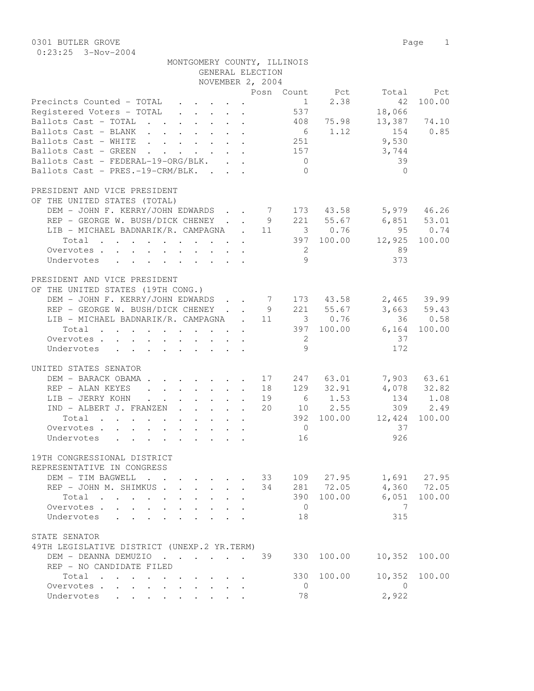| MONTGOMERY COUNTY, ILLINOIS |
|-----------------------------|
|-----------------------------|

|                                                                                                                                                                   |                                                           |                                          | GENERAL ELECTION |                 |                     |                 |                 |
|-------------------------------------------------------------------------------------------------------------------------------------------------------------------|-----------------------------------------------------------|------------------------------------------|------------------|-----------------|---------------------|-----------------|-----------------|
|                                                                                                                                                                   |                                                           |                                          | NOVEMBER 2, 2004 |                 |                     |                 |                 |
|                                                                                                                                                                   |                                                           |                                          |                  |                 | Posn Count Pct      | Total           | Pct             |
| Precincts Counted - TOTAL<br>$\cdot$ $\cdot$ $\cdot$ $\cdot$ $\cdot$ $\cdot$ $\cdot$                                                                              |                                                           |                                          |                  |                 | $1 \t 2.38$         | 42              | 100.00          |
| Registered Voters - TOTAL<br>$\mathbf{r} = \mathbf{r} \times \mathbf{r}$ , where $\mathbf{r} = \mathbf{r} \times \mathbf{r}$                                      |                                                           |                                          |                  | 537             |                     | 18,066          |                 |
| Ballots Cast - TOTAL                                                                                                                                              |                                                           |                                          |                  |                 | 408 75.98           | 13,387          | 74.10           |
| Ballots Cast - BLANK                                                                                                                                              |                                                           |                                          |                  |                 | 6 1.12              | 154             | 0.85            |
|                                                                                                                                                                   |                                                           |                                          |                  |                 |                     |                 |                 |
| Ballots Cast - WHITE<br>$\mathbf{r}$ , $\mathbf{r}$ , $\mathbf{r}$ , $\mathbf{r}$ , $\mathbf{r}$ , $\mathbf{r}$ , $\mathbf{r}$                                    |                                                           |                                          |                  | 251             |                     | 9,530           |                 |
| Ballots Cast - GREEN<br>$\mathbf{r}$ , $\mathbf{r}$ , $\mathbf{r}$                                                                                                | $\mathbf{r}$ , $\mathbf{r}$ , $\mathbf{r}$ , $\mathbf{r}$ |                                          |                  | 157             |                     | 3,744           |                 |
| Ballots Cast - FEDERAL-19-ORG/BLK.                                                                                                                                |                                                           |                                          |                  | $\overline{0}$  |                     | 39              |                 |
| Ballots Cast - PRES.-19-CRM/BLK.                                                                                                                                  |                                                           |                                          |                  | $\Omega$        |                     | $\Omega$        |                 |
| PRESIDENT AND VICE PRESIDENT                                                                                                                                      |                                                           |                                          |                  |                 |                     |                 |                 |
| OF THE UNITED STATES (TOTAL)                                                                                                                                      |                                                           |                                          |                  |                 |                     |                 |                 |
| DEM - JOHN F. KERRY/JOHN EDWARDS 7                                                                                                                                |                                                           |                                          |                  |                 | 173 43.58           |                 | 5,979 46.26     |
| REP - GEORGE W. BUSH/DICK CHENEY.                                                                                                                                 |                                                           |                                          | - 9              |                 |                     |                 | $6,851$ $53.01$ |
| LIB - MICHAEL BADNARIK/R. CAMPAGNA .                                                                                                                              |                                                           |                                          | 11               |                 | 221 55.67<br>3 0.76 | 95              | 0.74            |
| Total                                                                                                                                                             |                                                           |                                          |                  |                 | 397 100.00          | 12,925          | 100.00          |
|                                                                                                                                                                   |                                                           |                                          |                  |                 |                     |                 |                 |
| Overvotes.                                                                                                                                                        |                                                           |                                          |                  | $\overline{2}$  |                     | 89              |                 |
| Undervotes                                                                                                                                                        |                                                           |                                          |                  | 9               |                     | 373             |                 |
| PRESIDENT AND VICE PRESIDENT                                                                                                                                      |                                                           |                                          |                  |                 |                     |                 |                 |
| OF THE UNITED STATES (19TH CONG.)                                                                                                                                 |                                                           |                                          |                  |                 |                     |                 |                 |
| DEM - JOHN F. KERRY/JOHN EDWARDS                                                                                                                                  |                                                           |                                          |                  | $7\overline{ }$ | 173 43.58           |                 | $2,465$ 39.99   |
| REP - GEORGE W. BUSH/DICK CHENEY.                                                                                                                                 |                                                           |                                          | - 9              |                 | 221 55.67           |                 | $3,663$ 59.43   |
| LIB - MICHAEL BADNARIK/R. CAMPAGNA .                                                                                                                              |                                                           |                                          | 11               |                 | 3 0.76              |                 | 36 0.58         |
| Total                                                                                                                                                             |                                                           |                                          |                  |                 | 397 100.00          | 6,164           | 100.00          |
|                                                                                                                                                                   |                                                           |                                          |                  |                 |                     |                 |                 |
| Overvotes.                                                                                                                                                        |                                                           |                                          |                  | 2               |                     | 37              |                 |
| Undervotes                                                                                                                                                        |                                                           |                                          |                  | 9               |                     | 172             |                 |
| UNITED STATES SENATOR                                                                                                                                             |                                                           |                                          |                  |                 |                     |                 |                 |
| DEM - BARACK OBAMA.<br>$\cdot$ $\cdot$ $\cdot$ $\cdot$ $\cdot$ $\cdot$ 17                                                                                         |                                                           |                                          |                  |                 | 247 63.01           |                 | 7,903 63.61     |
| REP - ALAN KEYES<br>$\begin{array}{cccccccccccccc} \bullet & \bullet & \bullet & \bullet & \bullet & \bullet & \bullet & \bullet & \bullet & \bullet \end{array}$ |                                                           |                                          | 18               |                 | 129 32.91           |                 | 4,078 32.82     |
| LIB - JERRY KOHN<br>$\cdot$ $\cdot$ $\cdot$ $\cdot$ $\cdot$                                                                                                       |                                                           |                                          | 19               | $6\overline{6}$ | 1.53                | 134             | 1.08            |
| IND - ALBERT J. FRANZEN                                                                                                                                           |                                                           |                                          | 20               |                 | 10 2.55             | 309             | 2.49            |
| Total                                                                                                                                                             |                                                           |                                          |                  |                 | 392 100.00          | 12,424          | 100.00          |
|                                                                                                                                                                   |                                                           | $\mathbf{r} = \mathbf{r} + \mathbf{r}$ . |                  |                 |                     |                 |                 |
| Overvotes.                                                                                                                                                        |                                                           |                                          |                  | $\overline{0}$  |                     | 37              |                 |
| Undervotes                                                                                                                                                        |                                                           |                                          |                  | 16              |                     | 926             |                 |
| 19TH CONGRESSIONAL DISTRICT                                                                                                                                       |                                                           |                                          |                  |                 |                     |                 |                 |
| REPRESENTATIVE IN CONGRESS                                                                                                                                        |                                                           |                                          |                  |                 |                     |                 |                 |
| DEM - TIM BAGWELL<br>$\cdot$ $\cdot$                                                                                                                              |                                                           |                                          | 33               |                 | 109 27.95           |                 | 1,691 27.95     |
| REP - JOHN M. SHIMKUS.                                                                                                                                            | $\mathbf{L}$                                              | $\mathbf{r}$                             | 34               |                 | 281 72.05           | 4,360           | 72.05           |
| Total                                                                                                                                                             |                                                           |                                          |                  | 390             | 100.00              | 6,051           | 100.00          |
| Overvotes.<br>$\mathbf{L}$<br>$\mathbb{R}^{\mathbb{Z}}$                                                                                                           |                                                           |                                          |                  | $\overline{0}$  |                     | $7\phantom{.0}$ |                 |
|                                                                                                                                                                   |                                                           |                                          |                  |                 |                     | 315             |                 |
| Undervotes<br>$\mathbf{r}$                                                                                                                                        |                                                           |                                          |                  | 18              |                     |                 |                 |
| STATE SENATOR                                                                                                                                                     |                                                           |                                          |                  |                 |                     |                 |                 |
| 49TH LEGISLATIVE DISTRICT (UNEXP.2 YR.TERM)                                                                                                                       |                                                           |                                          |                  |                 |                     |                 |                 |
| DEM - DEANNA DEMUZIO<br>$\cdots$                                                                                                                                  |                                                           |                                          | 39               | 330             | 100.00              | 10,352          | 100.00          |
| REP - NO CANDIDATE FILED                                                                                                                                          |                                                           |                                          |                  |                 |                     |                 |                 |
| Total                                                                                                                                                             |                                                           |                                          |                  | 330             | 100.00              | 10,352          | 100.00          |
| Overvotes<br>$\mathbf{L}$<br>$\mathbf{L}$<br>$\ddot{\phantom{a}}$                                                                                                 |                                                           |                                          |                  | $\overline{0}$  |                     | $\overline{0}$  |                 |
| Undervotes                                                                                                                                                        |                                                           |                                          |                  | 78              |                     | 2,922           |                 |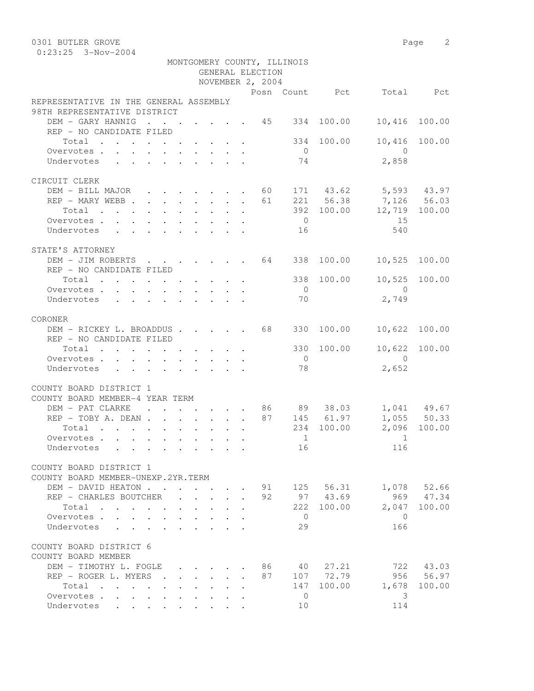0301 BUTLER GROVE 2 0:23:25 3-Nov-2004

|                                                                                                                |                                                         |              |              |                                                         |  | GENERAL ELECTION | MONTGOMERY COUNTY, ILLINOIS                                                                                                                                                                                                                                                                                                                                                                                                                                                                                                                                                                                                                                |              |                          |               |
|----------------------------------------------------------------------------------------------------------------|---------------------------------------------------------|--------------|--------------|---------------------------------------------------------|--|------------------|------------------------------------------------------------------------------------------------------------------------------------------------------------------------------------------------------------------------------------------------------------------------------------------------------------------------------------------------------------------------------------------------------------------------------------------------------------------------------------------------------------------------------------------------------------------------------------------------------------------------------------------------------------|--------------|--------------------------|---------------|
|                                                                                                                |                                                         |              |              |                                                         |  | NOVEMBER 2, 2004 |                                                                                                                                                                                                                                                                                                                                                                                                                                                                                                                                                                                                                                                            |              |                          |               |
|                                                                                                                |                                                         |              |              |                                                         |  |                  |                                                                                                                                                                                                                                                                                                                                                                                                                                                                                                                                                                                                                                                            |              | Posn Count Pct Total Pct |               |
| REPRESENTATIVE IN THE GENERAL ASSEMBLY<br>98TH REPRESENTATIVE DISTRICT                                         |                                                         |              |              |                                                         |  |                  |                                                                                                                                                                                                                                                                                                                                                                                                                                                                                                                                                                                                                                                            |              |                          |               |
| DEM - GARY HANNIG 45 334 100.00                                                                                |                                                         |              |              |                                                         |  |                  |                                                                                                                                                                                                                                                                                                                                                                                                                                                                                                                                                                                                                                                            |              | 10,416                   | 100.00        |
| REP - NO CANDIDATE FILED                                                                                       |                                                         |              |              |                                                         |  |                  |                                                                                                                                                                                                                                                                                                                                                                                                                                                                                                                                                                                                                                                            |              |                          |               |
| Total $\cdot$                                                                                                  |                                                         |              |              |                                                         |  |                  |                                                                                                                                                                                                                                                                                                                                                                                                                                                                                                                                                                                                                                                            | 334 100.00   |                          | 10,416 100.00 |
| Overvotes                                                                                                      |                                                         |              |              |                                                         |  |                  | $\overline{0}$                                                                                                                                                                                                                                                                                                                                                                                                                                                                                                                                                                                                                                             |              | $\overline{0}$           |               |
| Undervotes                                                                                                     |                                                         |              |              |                                                         |  |                  | 74                                                                                                                                                                                                                                                                                                                                                                                                                                                                                                                                                                                                                                                         |              | 2,858                    |               |
|                                                                                                                |                                                         |              |              |                                                         |  |                  |                                                                                                                                                                                                                                                                                                                                                                                                                                                                                                                                                                                                                                                            |              |                          |               |
| CIRCUIT CLERK                                                                                                  |                                                         |              |              |                                                         |  |                  |                                                                                                                                                                                                                                                                                                                                                                                                                                                                                                                                                                                                                                                            |              |                          |               |
| DEM - BILL MAJOR 60 171 43.62 5,593 43.97                                                                      |                                                         |              |              |                                                         |  |                  |                                                                                                                                                                                                                                                                                                                                                                                                                                                                                                                                                                                                                                                            |              |                          |               |
| REP - MARY WEBB 61 221 56.38 7,126 56.03                                                                       |                                                         |              |              |                                                         |  |                  |                                                                                                                                                                                                                                                                                                                                                                                                                                                                                                                                                                                                                                                            |              |                          |               |
| Total 392 100.00 12,719 100.00                                                                                 |                                                         |              |              |                                                         |  |                  |                                                                                                                                                                                                                                                                                                                                                                                                                                                                                                                                                                                                                                                            |              |                          |               |
| Overvotes                                                                                                      |                                                         |              |              |                                                         |  |                  | $\overline{0}$                                                                                                                                                                                                                                                                                                                                                                                                                                                                                                                                                                                                                                             |              | 15                       |               |
| Undervotes                                                                                                     |                                                         |              |              |                                                         |  |                  | 16                                                                                                                                                                                                                                                                                                                                                                                                                                                                                                                                                                                                                                                         |              | 540                      |               |
|                                                                                                                |                                                         |              |              |                                                         |  |                  |                                                                                                                                                                                                                                                                                                                                                                                                                                                                                                                                                                                                                                                            |              |                          |               |
| STATE'S ATTORNEY                                                                                               |                                                         |              |              |                                                         |  |                  |                                                                                                                                                                                                                                                                                                                                                                                                                                                                                                                                                                                                                                                            |              |                          |               |
| DEM - JIM ROBERTS 64 338 100.00                                                                                |                                                         |              |              |                                                         |  |                  |                                                                                                                                                                                                                                                                                                                                                                                                                                                                                                                                                                                                                                                            |              | 10,525 100.00            |               |
| REP - NO CANDIDATE FILED                                                                                       |                                                         |              |              |                                                         |  |                  |                                                                                                                                                                                                                                                                                                                                                                                                                                                                                                                                                                                                                                                            |              |                          |               |
| Total 338 100.00                                                                                               |                                                         |              |              |                                                         |  |                  |                                                                                                                                                                                                                                                                                                                                                                                                                                                                                                                                                                                                                                                            |              | 10,525 100.00            |               |
| Overvotes.                                                                                                     |                                                         |              |              |                                                         |  |                  | $\overline{0}$                                                                                                                                                                                                                                                                                                                                                                                                                                                                                                                                                                                                                                             |              | $\overline{0}$           |               |
| Undervotes                                                                                                     |                                                         |              |              |                                                         |  |                  | 70                                                                                                                                                                                                                                                                                                                                                                                                                                                                                                                                                                                                                                                         |              | 2,749                    |               |
|                                                                                                                |                                                         |              |              |                                                         |  |                  |                                                                                                                                                                                                                                                                                                                                                                                                                                                                                                                                                                                                                                                            |              |                          |               |
| CORONER                                                                                                        |                                                         |              |              |                                                         |  |                  |                                                                                                                                                                                                                                                                                                                                                                                                                                                                                                                                                                                                                                                            |              |                          |               |
| DEM - RICKEY L. BROADDUS 68                                                                                    |                                                         |              |              |                                                         |  |                  |                                                                                                                                                                                                                                                                                                                                                                                                                                                                                                                                                                                                                                                            | 330 100.00   | 10,622 100.00            |               |
| REP - NO CANDIDATE FILED                                                                                       |                                                         |              |              |                                                         |  |                  |                                                                                                                                                                                                                                                                                                                                                                                                                                                                                                                                                                                                                                                            |              |                          |               |
|                                                                                                                |                                                         |              |              |                                                         |  |                  |                                                                                                                                                                                                                                                                                                                                                                                                                                                                                                                                                                                                                                                            |              | 10,622 100.00            |               |
| Total $\cdot$                                                                                                  |                                                         |              |              |                                                         |  |                  |                                                                                                                                                                                                                                                                                                                                                                                                                                                                                                                                                                                                                                                            | 330 100.00   | $\overline{0}$           |               |
| Overvotes                                                                                                      |                                                         |              |              |                                                         |  |                  | $\overline{0}$                                                                                                                                                                                                                                                                                                                                                                                                                                                                                                                                                                                                                                             |              |                          |               |
| Undervotes                                                                                                     |                                                         |              |              |                                                         |  |                  | 78                                                                                                                                                                                                                                                                                                                                                                                                                                                                                                                                                                                                                                                         |              | 2,652                    |               |
|                                                                                                                |                                                         |              |              |                                                         |  |                  |                                                                                                                                                                                                                                                                                                                                                                                                                                                                                                                                                                                                                                                            |              |                          |               |
| COUNTY BOARD DISTRICT 1                                                                                        |                                                         |              |              |                                                         |  |                  |                                                                                                                                                                                                                                                                                                                                                                                                                                                                                                                                                                                                                                                            |              |                          |               |
| COUNTY BOARD MEMBER-4 YEAR TERM                                                                                |                                                         |              |              |                                                         |  |                  |                                                                                                                                                                                                                                                                                                                                                                                                                                                                                                                                                                                                                                                            |              |                          |               |
|                                                                                                                |                                                         |              |              |                                                         |  |                  |                                                                                                                                                                                                                                                                                                                                                                                                                                                                                                                                                                                                                                                            |              |                          |               |
|                                                                                                                |                                                         |              |              |                                                         |  |                  |                                                                                                                                                                                                                                                                                                                                                                                                                                                                                                                                                                                                                                                            |              |                          |               |
| Total                                                                                                          |                                                         |              |              |                                                         |  |                  |                                                                                                                                                                                                                                                                                                                                                                                                                                                                                                                                                                                                                                                            | 234 100.00   |                          | 2,096 100.00  |
| Overvotes.                                                                                                     |                                                         |              |              |                                                         |  |                  | $\begin{array}{\begin{array}{\small \begin{array}{\small \begin{array}{\small \end{array}}}}\\{\small \end{array}}\\{\small \end{array}}\\{\small \end{array}}{\small \end{array}}{\small \begin{array}{\small \end{array}}{\small \begin{array}{\small \end{array}}}{\small \begin{array}{\small \end{array}}{\small \begin{array}{\small \end{array}}}{\small \begin{array}{\small \end{array}}{\small \begin{array}{\small \end{array}}}{\small \end{array}}{\small \begin{array}{\small \end{array}}{\small \begin{array}{\small \end{array}}{\small \begin{array}{\small \end{array}}}}{\small \begin{array}{\small \end{array}}{\small \begin{array$ |              | $\sim$ 1                 |               |
| Undervotes de la contrata de la contrata de la contrata de la contrata de la contrata de la contrata de la con |                                                         |              |              |                                                         |  |                  | 16                                                                                                                                                                                                                                                                                                                                                                                                                                                                                                                                                                                                                                                         |              | 116                      |               |
|                                                                                                                |                                                         |              |              |                                                         |  |                  |                                                                                                                                                                                                                                                                                                                                                                                                                                                                                                                                                                                                                                                            |              |                          |               |
| COUNTY BOARD DISTRICT 1                                                                                        |                                                         |              |              |                                                         |  |                  |                                                                                                                                                                                                                                                                                                                                                                                                                                                                                                                                                                                                                                                            |              |                          |               |
| COUNTY BOARD MEMBER-UNEXP.2YR.TERM                                                                             |                                                         |              |              |                                                         |  |                  |                                                                                                                                                                                                                                                                                                                                                                                                                                                                                                                                                                                                                                                            |              |                          |               |
| DEM - DAVID HEATON                                                                                             |                                                         |              |              |                                                         |  |                  |                                                                                                                                                                                                                                                                                                                                                                                                                                                                                                                                                                                                                                                            | 91 125 56.31 |                          | 1,078 52.66   |
| REP - CHARLES BOUTCHER                                                                                         |                                                         |              |              | $\mathbf{L}^{\text{max}}$ and $\mathbf{L}^{\text{max}}$ |  | 92               |                                                                                                                                                                                                                                                                                                                                                                                                                                                                                                                                                                                                                                                            | 97 43.69     | 969                      | 47.34         |
| Total                                                                                                          |                                                         |              | $\mathbf{L}$ |                                                         |  |                  |                                                                                                                                                                                                                                                                                                                                                                                                                                                                                                                                                                                                                                                            | 222 100.00   | 2,047                    | 100.00        |
| Overvotes                                                                                                      | $\mathbf{L}$                                            |              |              |                                                         |  |                  | $\overline{0}$                                                                                                                                                                                                                                                                                                                                                                                                                                                                                                                                                                                                                                             |              | $\bigcirc$               |               |
| Undervotes<br>$\mathbf{r} = \mathbf{r} + \mathbf{r}$                                                           |                                                         |              |              |                                                         |  |                  | 29                                                                                                                                                                                                                                                                                                                                                                                                                                                                                                                                                                                                                                                         |              | 166                      |               |
|                                                                                                                |                                                         |              |              |                                                         |  |                  |                                                                                                                                                                                                                                                                                                                                                                                                                                                                                                                                                                                                                                                            |              |                          |               |
| COUNTY BOARD DISTRICT 6                                                                                        |                                                         |              |              |                                                         |  |                  |                                                                                                                                                                                                                                                                                                                                                                                                                                                                                                                                                                                                                                                            |              |                          |               |
| COUNTY BOARD MEMBER                                                                                            |                                                         |              |              |                                                         |  |                  |                                                                                                                                                                                                                                                                                                                                                                                                                                                                                                                                                                                                                                                            |              |                          |               |
| DEM - TIMOTHY L. FOGLE                                                                                         |                                                         |              |              |                                                         |  | 86               |                                                                                                                                                                                                                                                                                                                                                                                                                                                                                                                                                                                                                                                            | 40 27.21     |                          | 722 43.03     |
| REP - ROGER L. MYERS .                                                                                         |                                                         |              | $\sim$       |                                                         |  | 87               |                                                                                                                                                                                                                                                                                                                                                                                                                                                                                                                                                                                                                                                            | 107 72.79    |                          | 956 56.97     |
| Total                                                                                                          |                                                         |              |              |                                                         |  |                  |                                                                                                                                                                                                                                                                                                                                                                                                                                                                                                                                                                                                                                                            | 147 100.00   | 1,678                    | 100.00        |
| Overvotes<br>$\mathbf{L}$                                                                                      | $\mathbf{L}^{\text{max}}$                               | $\mathbf{L}$ |              |                                                         |  |                  | $\overline{0}$                                                                                                                                                                                                                                                                                                                                                                                                                                                                                                                                                                                                                                             |              | 3                        |               |
| Undervotes                                                                                                     | $\mathbf{L}^{\text{max}}$<br>$\mathcal{L}^{\text{max}}$ |              |              |                                                         |  |                  | 10                                                                                                                                                                                                                                                                                                                                                                                                                                                                                                                                                                                                                                                         |              | 114                      |               |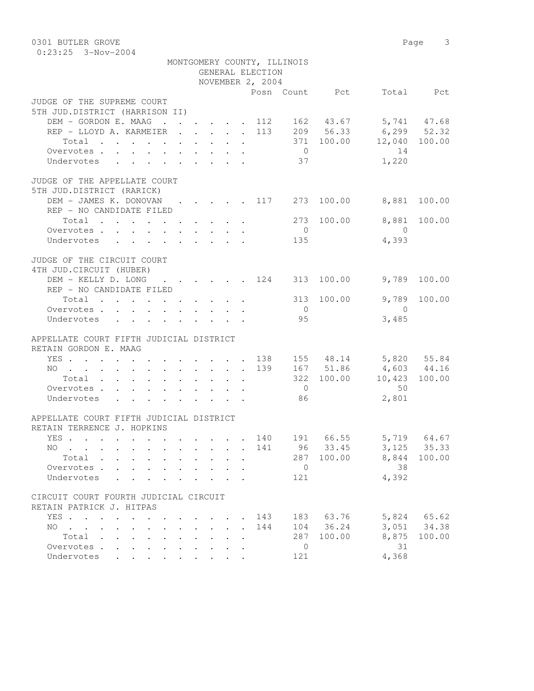| 0301 BUTLER GROVE                                 |        |                                             |                                                           |                                                         |                            |                  |                             |                | Page                   | 3            |
|---------------------------------------------------|--------|---------------------------------------------|-----------------------------------------------------------|---------------------------------------------------------|----------------------------|------------------|-----------------------------|----------------|------------------------|--------------|
| $0:23:25$ 3-Nov-2004                              |        |                                             |                                                           |                                                         |                            |                  |                             |                |                        |              |
|                                                   |        |                                             |                                                           |                                                         |                            | GENERAL ELECTION | MONTGOMERY COUNTY, ILLINOIS |                |                        |              |
|                                                   |        |                                             |                                                           |                                                         |                            | NOVEMBER 2, 2004 |                             |                |                        |              |
|                                                   |        |                                             |                                                           |                                                         |                            |                  |                             | Posn Count Pct |                        | Total Pct    |
| JUDGE OF THE SUPREME COURT                        |        |                                             |                                                           |                                                         |                            |                  |                             |                |                        |              |
| 5TH JUD.DISTRICT (HARRISON II)                    |        |                                             |                                                           |                                                         |                            |                  |                             |                |                        |              |
| DEM - GORDON E. MAAG                              | . 112  |                                             |                                                           |                                                         |                            |                  |                             |                | 162 43.67 5,741 47.68  |              |
| REP - LLOYD A. KARMEIER 113 209 56.33 6,299 52.32 |        |                                             |                                                           |                                                         |                            |                  |                             |                |                        |              |
| Total $\cdot$                                     |        |                                             |                                                           |                                                         |                            |                  | 371                         |                | 100.00 12,040 100.00   |              |
| Overvotes $\cdots$ $\cdots$ $\cdots$ $\cdots$     |        |                                             |                                                           |                                                         |                            |                  | $\overline{0}$              |                | 14                     |              |
| Undervotes                                        |        |                                             |                                                           |                                                         |                            |                  | 37                          |                | 1,220                  |              |
| JUDGE OF THE APPELLATE COURT                      |        |                                             |                                                           |                                                         |                            |                  |                             |                |                        |              |
| 5TH JUD.DISTRICT (RARICK)                         |        |                                             |                                                           |                                                         |                            |                  |                             |                |                        |              |
| DEM - JAMES K. DONOVAN                            |        |                                             |                                                           |                                                         |                            |                  | . 117 273                   |                | 100.00 8,881           | 100.00       |
| REP - NO CANDIDATE FILED                          |        |                                             |                                                           |                                                         |                            |                  |                             |                |                        |              |
| Total                                             |        |                                             |                                                           |                                                         |                            |                  | 273                         |                | 100.00 8,881           | 100.00       |
| Overvotes                                         |        |                                             |                                                           |                                                         |                            |                  | $\overline{0}$              |                | $\bigcirc$             |              |
| Undervotes                                        |        |                                             |                                                           |                                                         |                            |                  | 135                         |                | 4,393                  |              |
|                                                   |        |                                             |                                                           |                                                         |                            |                  |                             |                |                        |              |
| JUDGE OF THE CIRCUIT COURT                        |        |                                             |                                                           |                                                         |                            |                  |                             |                |                        |              |
| 4TH JUD. CIRCUIT (HUBER)                          |        |                                             |                                                           |                                                         |                            |                  |                             |                |                        |              |
| DEM - KELLY D. LONG                               | . 124  |                                             |                                                           |                                                         |                            |                  | 313                         | 100.00         |                        | 9,789 100.00 |
| REP - NO CANDIDATE FILED                          |        |                                             |                                                           |                                                         |                            |                  |                             |                |                        |              |
| Total                                             |        |                                             |                                                           |                                                         |                            |                  | 313                         | 100.00         | 9,789                  | 100.00       |
| Overvotes                                         |        |                                             |                                                           |                                                         |                            |                  | $\overline{0}$              |                | $\Omega$               |              |
| Undervotes                                        |        |                                             |                                                           |                                                         |                            |                  | 95                          |                | 3,485                  |              |
|                                                   |        |                                             |                                                           |                                                         |                            |                  |                             |                |                        |              |
| APPELLATE COURT FIFTH JUDICIAL DISTRICT           |        |                                             |                                                           |                                                         |                            |                  |                             |                |                        |              |
| RETAIN GORDON E. MAAG                             |        |                                             |                                                           |                                                         |                            |                  |                             |                |                        |              |
| YES 138                                           |        |                                             |                                                           |                                                         |                            |                  |                             |                | 155 48.14 5,820 55.84  |              |
| NO 139                                            |        |                                             |                                                           |                                                         |                            |                  |                             | 167 51.86      | 4,603 44.16            |              |
| Total                                             |        |                                             |                                                           |                                                         |                            |                  | 322                         |                | 100.00  10,423  100.00 |              |
| Overvotes                                         |        |                                             |                                                           |                                                         |                            |                  | $\overline{0}$              |                | 50                     |              |
| Undervotes                                        |        |                                             |                                                           |                                                         |                            |                  | 86                          |                | 2,801                  |              |
|                                                   |        |                                             |                                                           |                                                         |                            |                  |                             |                |                        |              |
| APPELLATE COURT FIFTH JUDICIAL DISTRICT           |        |                                             |                                                           |                                                         |                            |                  |                             |                |                        |              |
| RETAIN TERRENCE J. HOPKINS                        |        |                                             |                                                           |                                                         |                            |                  |                             |                |                        |              |
| YES                                               |        |                                             |                                                           |                                                         |                            | . 140            |                             | 191 66.55      |                        | 5,719 64.67  |
| $NO$                                              |        | $\mathbf{r}$ , $\mathbf{r}$ , $\mathbf{r}$  |                                                           |                                                         | $\mathcal{L}^{\text{max}}$ | 141              | 96                          | 33.45          |                        | 3, 125 35.33 |
| Total                                             |        | $\mathbf{L} = \mathbf{L} \times \mathbf{L}$ |                                                           | $\mathbf{L}$                                            | $\ddot{\phantom{a}}$       |                  | 287                         | 100.00         |                        | 8,844 100.00 |
| Overvotes.                                        |        |                                             |                                                           |                                                         |                            |                  | $\overline{0}$              |                | 38                     |              |
| Undervotes                                        |        |                                             |                                                           |                                                         |                            |                  | 121                         |                | 4,392                  |              |
|                                                   |        |                                             |                                                           |                                                         |                            |                  |                             |                |                        |              |
| CIRCUIT COURT FOURTH JUDICIAL CIRCUIT             |        |                                             |                                                           |                                                         |                            |                  |                             |                |                        |              |
| RETAIN PATRICK J. HITPAS                          |        |                                             |                                                           |                                                         |                            |                  |                             |                |                        |              |
| YES.                                              |        |                                             | $\mathbf{r}$ , $\mathbf{r}$ , $\mathbf{r}$ , $\mathbf{r}$ |                                                         |                            | . 143            | 183                         | 63.76          | 5,824                  | 65.62        |
| NO.<br>$\sim$ $\sim$<br>$\mathbf{L}$              | $\sim$ |                                             |                                                           | $\mathbf{r}$ , $\mathbf{r}$ , $\mathbf{r}$              | $\mathbf{L}^{\text{max}}$  | 144              | 104                         | 36.24          |                        | 3,051 34.38  |
| Total                                             |        | $\mathcal{L}^{\text{max}}$                  | $\mathcal{L}^{\text{max}}$                                |                                                         | $\mathbf{r}$               |                  | 287                         | 100.00         | 8,875                  | 100.00       |
| Overvotes.                                        |        |                                             |                                                           | $\mathbf{L}^{\text{max}}$ and $\mathbf{L}^{\text{max}}$ | $\mathbf{r}$               |                  | $\overline{0}$              |                | 31                     |              |
| Undervotes                                        |        |                                             |                                                           |                                                         |                            |                  | 121                         |                | 4,368                  |              |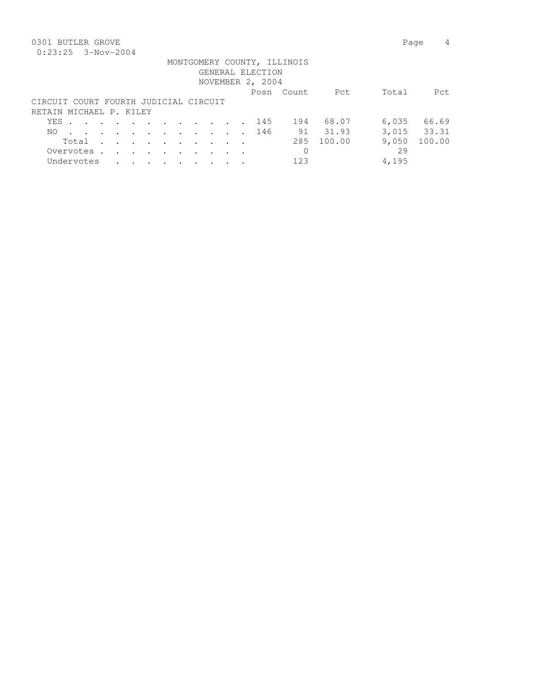## 0301 BUTLER GROVE 2008 Page 4

## MONTGOMERY COUNTY, ILLINOIS

|  | GENERAL ELECTION |  |
|--|------------------|--|
|  | - - - - -        |  |

|                                       |  |  |  |  |       |  | NOVEMBER 2, 2004 |        |        |       |             |
|---------------------------------------|--|--|--|--|-------|--|------------------|--------|--------|-------|-------------|
|                                       |  |  |  |  |       |  | Posn             | Count. | Pct    | Total | Pct.        |
| CIRCUIT COURT FOURTH JUDICIAL CIRCUIT |  |  |  |  |       |  |                  |        |        |       |             |
| RETAIN MICHAEL P. KILEY               |  |  |  |  |       |  |                  |        |        |       |             |
|                                       |  |  |  |  |       |  | YES. 145         | 194    | 68.07  | 6,035 | 66.69       |
|                                       |  |  |  |  |       |  | NO 146           | 91     | 31.93  |       | 3,015 33.31 |
|                                       |  |  |  |  | Total |  |                  | 285    | 100.00 | 9,050 | 100.00      |
| Overvotes.                            |  |  |  |  |       |  |                  |        |        | 29    |             |
| Undervotes                            |  |  |  |  |       |  |                  | 123    |        | 4,195 |             |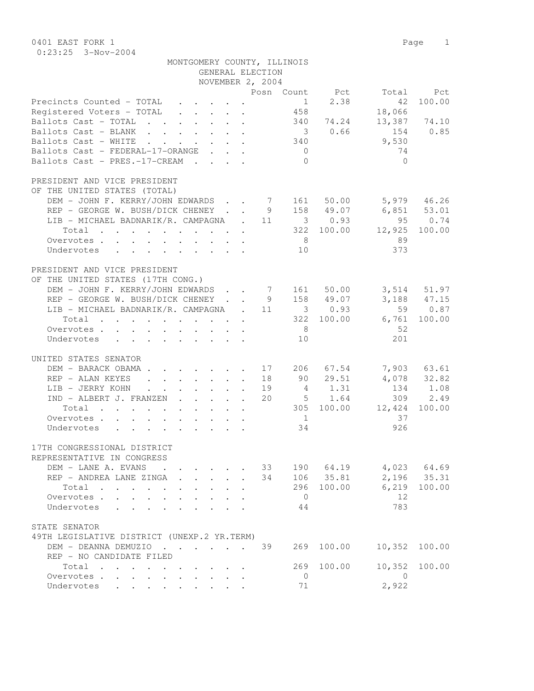0401 EAST FORK 1 Page 1 0:23:25 3-Nov-2004

|                                                                                                    | MONTGOMERY COUNTY, ILLINOIS                                |                                                           |    |                |                |                   |               |
|----------------------------------------------------------------------------------------------------|------------------------------------------------------------|-----------------------------------------------------------|----|----------------|----------------|-------------------|---------------|
|                                                                                                    |                                                            | GENERAL ELECTION                                          |    |                |                |                   |               |
|                                                                                                    |                                                            | NOVEMBER 2, 2004                                          |    |                |                |                   |               |
|                                                                                                    |                                                            |                                                           |    |                | Posn Count Pct |                   | Total Pct     |
| Precincts Counted - TOTAL                                                                          | $\mathbf{r}$ , $\mathbf{r}$ , $\mathbf{r}$                 |                                                           |    | $\frac{1}{1}$  | 2.38           | 42                | 100.00        |
| Registered Voters - TOTAL                                                                          |                                                            |                                                           |    | 458            |                | 18,066            |               |
| Ballots Cast - TOTAL                                                                               |                                                            |                                                           |    |                | 340 74.24      | 13,387 74.10      |               |
| Ballots Cast - BLANK                                                                               |                                                            |                                                           |    |                | 3 0.66         | 154 0.85          |               |
| Ballots Cast - WHITE                                                                               |                                                            |                                                           |    | 340            |                | 9,530             |               |
| Ballots Cast - FEDERAL-17-ORANGE                                                                   |                                                            |                                                           |    | $\overline{0}$ |                | 74                |               |
| Ballots Cast - PRES.-17-CREAM                                                                      |                                                            |                                                           |    | $\Omega$       |                | $\bigcirc$        |               |
| PRESIDENT AND VICE PRESIDENT                                                                       |                                                            |                                                           |    |                |                |                   |               |
| OF THE UNITED STATES (TOTAL)                                                                       |                                                            |                                                           |    |                |                |                   |               |
| DEM - JOHN F. KERRY/JOHN EDWARDS 7 161 50.00                                                       |                                                            |                                                           |    |                |                | $5,979$ 46.26     |               |
| REP - GEORGE W. BUSH/DICK CHENEY 9 158 49.07                                                       |                                                            |                                                           |    |                |                | 6,851 53.01       |               |
| LIB - MICHAEL BADNARIK/R. CAMPAGNA . 11 3 0.93                                                     |                                                            |                                                           |    |                |                |                   | 95 0.74       |
| $\cdot$ 322 100.00<br>Total                                                                        |                                                            |                                                           |    |                |                | 12,925            | 100.00        |
| Overvotes                                                                                          |                                                            |                                                           |    | 8 <sup>8</sup> |                | 89                |               |
| Undervotes                                                                                         |                                                            |                                                           |    | 10             |                | 373               |               |
| PRESIDENT AND VICE PRESIDENT                                                                       |                                                            |                                                           |    |                |                |                   |               |
| OF THE UNITED STATES (17TH CONG.)                                                                  |                                                            |                                                           |    |                |                |                   |               |
| DEM - JOHN F. KERRY/JOHN EDWARDS 7 161 50.00                                                       |                                                            |                                                           |    |                |                |                   | 3,514 51.97   |
| REP - GEORGE W. BUSH/DICK CHENEY 9 158 49.07                                                       |                                                            |                                                           |    |                |                |                   | 3,188 47.15   |
|                                                                                                    |                                                            |                                                           |    |                |                |                   |               |
| LIB - MICHAEL BADNARIK/R. CAMPAGNA . 11 3 0.93                                                     |                                                            |                                                           |    |                |                |                   | 59 0.87       |
| $\cdot$ 322 100.00<br>Total                                                                        |                                                            |                                                           |    |                |                | 6,761             | 100.00        |
| Overvotes                                                                                          |                                                            |                                                           |    | 8 <sup>1</sup> |                | -52               |               |
| Undervotes                                                                                         |                                                            |                                                           |    | 10             |                | 201               |               |
| UNITED STATES SENATOR                                                                              |                                                            |                                                           |    |                |                |                   |               |
| DEM - BARACK OBAMA                                                                                 |                                                            |                                                           |    |                | 17 206 67.54   |                   | 7,903 63.61   |
| REP - ALAN KEYES                                                                                   |                                                            |                                                           |    |                | 18 90 29.51    |                   | 4,078 32.82   |
| LIB - JERRY KOHN                                                                                   |                                                            |                                                           | 19 |                | 4 1.31         |                   | 134 1.08      |
| IND - ALBERT J. FRANZEN                                                                            |                                                            |                                                           | 20 |                | 5 1.64         |                   | 309 2.49      |
| Total<br>$\mathcal{A}$ . The contribution of the contribution of the contribution of $\mathcal{A}$ |                                                            |                                                           |    |                |                | 305 100.00 12,424 | 100.00        |
| Overvotes                                                                                          |                                                            |                                                           |    | $\sim$ 1       |                | 37                |               |
| Undervotes                                                                                         |                                                            |                                                           |    | 34             |                | 926               |               |
|                                                                                                    |                                                            |                                                           |    |                |                |                   |               |
| 17TH CONGRESSIONAL DISTRICT                                                                        |                                                            |                                                           |    |                |                |                   |               |
| REPRESENTATIVE IN CONGRESS                                                                         |                                                            |                                                           |    |                |                |                   |               |
| DEM - LANE A. EVANS                                                                                | $\cdot$                                                    |                                                           | 33 |                | 190 64.19      |                   | $4,023$ 64.69 |
| REP - ANDREA LANE ZINGA                                                                            | $\mathbf{r} = \mathbf{r} \cdot \mathbf{r}$<br>$\mathbf{r}$ |                                                           | 34 |                | 106 35.81      |                   | 2,196 35.31   |
| Total<br>$\mathbf{r}$ , $\mathbf{r}$ , $\mathbf{r}$ , $\mathbf{r}$ , $\mathbf{r}$                  | $\ddotsc$<br>$\sim$ 100 $\pm$                              | $\ddot{\phantom{0}}$                                      |    |                | 296 100.00     | 6,219             | 100.00        |
| Overvotes                                                                                          |                                                            |                                                           |    | $\overline{0}$ |                | 12                |               |
| Undervotes                                                                                         |                                                            |                                                           |    | 44             |                | 783               |               |
| STATE SENATOR                                                                                      |                                                            |                                                           |    |                |                |                   |               |
| 49TH LEGISLATIVE DISTRICT (UNEXP.2 YR.TERM)                                                        |                                                            |                                                           |    |                |                |                   |               |
| DEM - DEANNA DEMUZIO                                                                               |                                                            |                                                           | 39 | 269            | 100.00         | 10,352            | 100.00        |
| REP - NO CANDIDATE FILED                                                                           |                                                            |                                                           |    |                |                |                   |               |
| Total                                                                                              |                                                            | $\mathbf{r}$ , $\mathbf{r}$ , $\mathbf{r}$ , $\mathbf{r}$ |    | 269            | 100.00         | 10,352            | 100.00        |
| Overvotes                                                                                          | $\cdot$ $\cdot$ $\cdot$ $\cdot$<br>$\bullet$ .             |                                                           |    | $\overline{0}$ |                | $\overline{0}$    |               |
| Undervotes                                                                                         |                                                            |                                                           |    | 71             |                | 2,922             |               |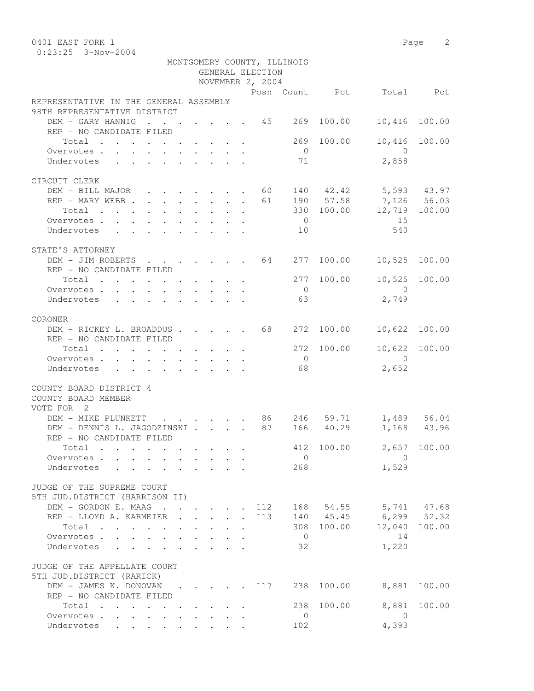0:23:25 3-Nov-2004

| GENERAL ELECTION                                                                    |               |                |            |                                                                                                                                                                                                                                                                                                                                  |                              |
|-------------------------------------------------------------------------------------|---------------|----------------|------------|----------------------------------------------------------------------------------------------------------------------------------------------------------------------------------------------------------------------------------------------------------------------------------------------------------------------------------|------------------------------|
| NOVEMBER 2, 2004                                                                    |               |                |            |                                                                                                                                                                                                                                                                                                                                  |                              |
|                                                                                     |               |                |            | Posn Count Pct Total Pct                                                                                                                                                                                                                                                                                                         |                              |
| REPRESENTATIVE IN THE GENERAL ASSEMBLY<br>98TH REPRESENTATIVE DISTRICT              |               |                |            |                                                                                                                                                                                                                                                                                                                                  |                              |
| DEM - GARY HANNIG<br>$\cdot$ 45 269<br>REP - NO CANDIDATE FILED                     |               |                | 100.00     | 10,416                                                                                                                                                                                                                                                                                                                           | 100.00                       |
| Total                                                                               |               |                | 269 100.00 |                                                                                                                                                                                                                                                                                                                                  | 10,416 100.00                |
| Overvotes                                                                           |               | $\overline{0}$ |            | $\bigcirc$                                                                                                                                                                                                                                                                                                                       |                              |
| Undervotes<br>$\mathbf{r}$ , and $\mathbf{r}$ , and $\mathbf{r}$ , and $\mathbf{r}$ |               | 71             |            | 2,858                                                                                                                                                                                                                                                                                                                            |                              |
| CIRCUIT CLERK                                                                       |               |                |            |                                                                                                                                                                                                                                                                                                                                  |                              |
| DEM - BILL MAJOR 60 140 42.42 5,593 43.97                                           |               |                |            |                                                                                                                                                                                                                                                                                                                                  |                              |
| REP - MARY WEBB 61                                                                  |               |                |            | 190 57.58 7,126 56.03                                                                                                                                                                                                                                                                                                            |                              |
| Total 330 100.00                                                                    |               |                |            | 12,719 100.00                                                                                                                                                                                                                                                                                                                    |                              |
| Overvotes                                                                           |               | $\overline{0}$ |            | 15                                                                                                                                                                                                                                                                                                                               |                              |
| Undervotes                                                                          |               | 10             |            | 540                                                                                                                                                                                                                                                                                                                              |                              |
|                                                                                     |               |                |            |                                                                                                                                                                                                                                                                                                                                  |                              |
| STATE'S ATTORNEY                                                                    |               |                |            |                                                                                                                                                                                                                                                                                                                                  |                              |
| DEM - JIM ROBERTS 64 277<br>REP - NO CANDIDATE FILED                                |               |                | 100.00     | 10,525                                                                                                                                                                                                                                                                                                                           | 100.00                       |
| Total 277 100.00                                                                    |               |                |            | 10,525 100.00                                                                                                                                                                                                                                                                                                                    |                              |
| Overvotes                                                                           |               | $\overline{0}$ |            | $\bigcap$                                                                                                                                                                                                                                                                                                                        |                              |
| Undervotes                                                                          |               | 63             |            | 2,749                                                                                                                                                                                                                                                                                                                            |                              |
|                                                                                     |               |                |            |                                                                                                                                                                                                                                                                                                                                  |                              |
| CORONER<br>DEM - RICKEY L. BROADDUS 68 272                                          |               |                | 100.00     | 10,622 100.00                                                                                                                                                                                                                                                                                                                    |                              |
| REP - NO CANDIDATE FILED                                                            |               |                |            |                                                                                                                                                                                                                                                                                                                                  |                              |
| Total $\cdot$                                                                       |               |                | 272 100.00 |                                                                                                                                                                                                                                                                                                                                  | 10,622 100.00                |
| Overvotes                                                                           |               | $\overline{0}$ |            | $\overline{0}$                                                                                                                                                                                                                                                                                                                   |                              |
| Undervotes                                                                          |               | 68             |            | 2,652                                                                                                                                                                                                                                                                                                                            |                              |
| COUNTY BOARD DISTRICT 4                                                             |               |                |            |                                                                                                                                                                                                                                                                                                                                  |                              |
| COUNTY BOARD MEMBER                                                                 |               |                |            |                                                                                                                                                                                                                                                                                                                                  |                              |
| VOTE FOR 2                                                                          |               |                |            |                                                                                                                                                                                                                                                                                                                                  |                              |
| DEM - MIKE PLUNKETT<br>$\cdots$ 86 246 59.71                                        |               |                |            |                                                                                                                                                                                                                                                                                                                                  | 1,489 56.04<br>$1,168$ 43.96 |
| DEM - DENNIS L. JAGODZINSKI<br>REP - NO CANDIDATE FILED                             | 87            |                | 166 40.29  |                                                                                                                                                                                                                                                                                                                                  |                              |
| Total                                                                               |               | 412            | 100.00     |                                                                                                                                                                                                                                                                                                                                  | 2,657 100.00                 |
|                                                                                     |               |                |            | $\Omega$ and $\Omega$ and $\Omega$ and $\Omega$ and $\Omega$ and $\Omega$ and $\Omega$ and $\Omega$ and $\Omega$ and $\Omega$ and $\Omega$ and $\Omega$ and $\Omega$ and $\Omega$ and $\Omega$ and $\Omega$ and $\Omega$ and $\Omega$ and $\Omega$ and $\Omega$ and $\Omega$ and $\Omega$ and $\Omega$ and $\Omega$ and $\Omega$ |                              |
| Undervotes                                                                          |               | 268            |            | 1,529                                                                                                                                                                                                                                                                                                                            |                              |
|                                                                                     |               |                |            |                                                                                                                                                                                                                                                                                                                                  |                              |
| JUDGE OF THE SUPREME COURT                                                          |               |                |            |                                                                                                                                                                                                                                                                                                                                  |                              |
| 5TH JUD.DISTRICT (HARRISON II)                                                      |               |                |            |                                                                                                                                                                                                                                                                                                                                  |                              |
| DEM - GORDON E. MAAG 112                                                            |               |                |            | 168 54.55 5,741 47.68                                                                                                                                                                                                                                                                                                            |                              |
| REP - LLOYD A. KARMEIER<br>$\mathbf{r} = \mathbf{r} \cdot \mathbf{r}$<br>$\sim$     | 113<br>$\sim$ |                | 140 45.45  | $6, 299$ $52.32$                                                                                                                                                                                                                                                                                                                 |                              |
| Total                                                                               |               |                | 308 100.00 |                                                                                                                                                                                                                                                                                                                                  | 12,040 100.00                |
| Overvotes                                                                           |               | $\overline{0}$ |            | 14                                                                                                                                                                                                                                                                                                                               |                              |
| Undervotes                                                                          |               | 32             |            | 1,220                                                                                                                                                                                                                                                                                                                            |                              |
| JUDGE OF THE APPELLATE COURT                                                        |               |                |            |                                                                                                                                                                                                                                                                                                                                  |                              |
| 5TH JUD.DISTRICT (RARICK)                                                           |               |                |            |                                                                                                                                                                                                                                                                                                                                  |                              |
| DEM - JAMES K. DONOVAN                                                              | 117           |                | 238 100.00 | 8,881                                                                                                                                                                                                                                                                                                                            | 100.00                       |
| REP - NO CANDIDATE FILED<br>Total                                                   |               | 238            | 100.00     | 8,881                                                                                                                                                                                                                                                                                                                            | 100.00                       |
| Overvotes                                                                           |               | $\overline{0}$ |            | $\bigcirc$                                                                                                                                                                                                                                                                                                                       |                              |
| Undervotes                                                                          |               | 102            |            | 4,393                                                                                                                                                                                                                                                                                                                            |                              |
|                                                                                     |               |                |            |                                                                                                                                                                                                                                                                                                                                  |                              |

MONTGOMERY COUNTY, ILLINOIS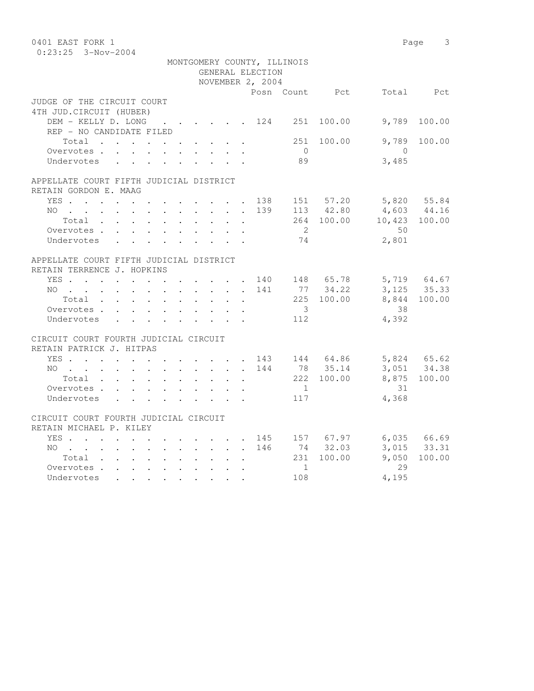| 0401 EAST FORK 1<br>$0:23:25$ 3-Nov-2004               |                          |  |  |  |                                                              |                           |                      |                  |                             |                                    |                               | Page 3                     |
|--------------------------------------------------------|--------------------------|--|--|--|--------------------------------------------------------------|---------------------------|----------------------|------------------|-----------------------------|------------------------------------|-------------------------------|----------------------------|
|                                                        |                          |  |  |  |                                                              |                           |                      | GENERAL ELECTION | MONTGOMERY COUNTY, ILLINOIS |                                    |                               |                            |
|                                                        |                          |  |  |  |                                                              |                           |                      | NOVEMBER 2, 2004 |                             |                                    |                               |                            |
|                                                        |                          |  |  |  |                                                              |                           |                      |                  |                             | Posn Count Pct                     |                               | Total Pct                  |
| JUDGE OF THE CIRCUIT COURT<br>4TH JUD. CIRCUIT (HUBER) |                          |  |  |  |                                                              |                           |                      |                  |                             |                                    |                               |                            |
|                                                        |                          |  |  |  |                                                              |                           |                      |                  |                             | DEM - KELLY D. LONG 124 251 100.00 | 9,789                         | 100.00                     |
|                                                        | REP - NO CANDIDATE FILED |  |  |  |                                                              |                           |                      |                  |                             |                                    |                               |                            |
|                                                        | Total                    |  |  |  |                                                              |                           |                      |                  | 251                         | 100.00                             | 9,789                         | 100.00                     |
|                                                        | Overvotes                |  |  |  |                                                              |                           |                      |                  | $\overline{0}$              |                                    | $\overline{0}$                |                            |
|                                                        | Undervotes               |  |  |  |                                                              |                           |                      |                  | 89                          |                                    | 3,485                         |                            |
| APPELLATE COURT FIFTH JUDICIAL DISTRICT                |                          |  |  |  |                                                              |                           |                      |                  |                             |                                    |                               |                            |
| RETAIN GORDON E. MAAG                                  |                          |  |  |  |                                                              |                           |                      |                  |                             |                                    |                               |                            |
|                                                        |                          |  |  |  |                                                              |                           |                      |                  |                             | YES 138 151 57.20                  |                               | 5,820 55.84                |
|                                                        | $NO$                     |  |  |  |                                                              |                           |                      | 139              |                             | 113 42.80                          |                               | $4,603$ $44.16$            |
|                                                        | Total                    |  |  |  |                                                              |                           |                      |                  |                             |                                    | 264 100.00 10,423 100.00      |                            |
|                                                        | Overvotes.               |  |  |  |                                                              |                           |                      |                  | $\overline{2}$              |                                    | 50                            |                            |
|                                                        | Undervotes               |  |  |  |                                                              |                           |                      |                  | 74                          |                                    | 2,801                         |                            |
| APPELLATE COURT FIFTH JUDICIAL DISTRICT                |                          |  |  |  |                                                              |                           |                      |                  |                             |                                    |                               |                            |
| RETAIN TERRENCE J. HOPKINS                             |                          |  |  |  |                                                              |                           |                      |                  |                             |                                    |                               |                            |
|                                                        |                          |  |  |  |                                                              |                           |                      |                  |                             | YES 140 148 65.78                  |                               | 5,719 64.67<br>3,125 35.33 |
|                                                        | NO 141                   |  |  |  |                                                              |                           |                      |                  |                             | 77 34.22                           |                               |                            |
|                                                        | Total                    |  |  |  |                                                              |                           |                      |                  |                             | 225 100.00                         |                               | 8,844 100.00               |
|                                                        | Overvotes                |  |  |  |                                                              |                           |                      |                  | $\overline{\mathbf{3}}$     |                                    | 38                            |                            |
|                                                        | Undervotes               |  |  |  | $\mathbf{L} = \mathbf{L} \mathbf{L} = \mathbf{L} \mathbf{L}$ |                           |                      |                  | 112                         |                                    | 4,392                         |                            |
| CIRCUIT COURT FOURTH JUDICIAL CIRCUIT                  |                          |  |  |  |                                                              |                           |                      |                  |                             |                                    |                               |                            |
| RETAIN PATRICK J. HITPAS                               |                          |  |  |  |                                                              |                           |                      |                  |                             |                                    |                               |                            |
|                                                        |                          |  |  |  |                                                              |                           |                      |                  |                             |                                    | YES 143 144 64.86 5,824 65.62 |                            |
|                                                        | NO                       |  |  |  |                                                              |                           |                      | 144              |                             | 78 35.14                           |                               | 3,051 34.38                |
|                                                        | Total                    |  |  |  |                                                              |                           | $\ddot{\phantom{0}}$ |                  |                             | 222 100.00                         |                               | 8,875 100.00               |
|                                                        | Overvotes                |  |  |  |                                                              |                           |                      |                  | $\overline{1}$              |                                    | 31                            |                            |
|                                                        | Undervotes               |  |  |  |                                                              | $\mathbf{L} = \mathbf{L}$ |                      |                  | 117                         |                                    | 4,368                         |                            |
| CIRCUIT COURT FOURTH JUDICIAL CIRCUIT                  |                          |  |  |  |                                                              |                           |                      |                  |                             |                                    |                               |                            |
| RETAIN MICHAEL P. KILEY                                |                          |  |  |  |                                                              |                           |                      |                  |                             |                                    |                               |                            |
|                                                        | YES                      |  |  |  |                                                              |                           |                      |                  |                             | 145 157 67.97                      |                               | 6,035 66.69                |
|                                                        | NO                       |  |  |  |                                                              |                           |                      | 146              |                             | 74 32.03                           |                               | 3,015 33.31                |
|                                                        | Total                    |  |  |  |                                                              | $\sim$ 100 $\pm$          | $\mathbf{r}$         |                  |                             | 231 100.00                         | 9,050                         | 100.00                     |
|                                                        | Overvotes.               |  |  |  |                                                              |                           |                      |                  | $\mathbf{1}$                |                                    | 29                            |                            |
|                                                        | Undervotes               |  |  |  |                                                              |                           |                      |                  | 108                         |                                    | 4,195                         |                            |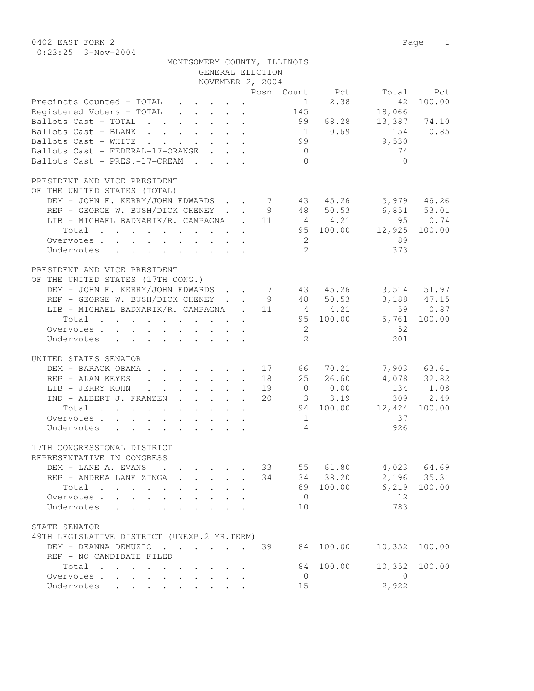0402 EAST FORK 2 Page 1 0:23:25 3-Nov-2004

|                                                         |                                                           |              | GENERAL ELECTION<br>NOVEMBER 2, 2004 | MONTGOMERY COUNTY, ILLINOIS |             |                                          |               |
|---------------------------------------------------------|-----------------------------------------------------------|--------------|--------------------------------------|-----------------------------|-------------|------------------------------------------|---------------|
|                                                         |                                                           |              |                                      |                             |             |                                          |               |
| Precincts Counted - TOTAL                               |                                                           |              |                                      | 1<br>145                    | 2.38        | Posn Count Pct Total Pct<br>42<br>18,066 | 100.00        |
| Ballots Cast - TOTAL 99 68.28 13,387 74.10              |                                                           |              |                                      |                             |             |                                          |               |
| Ballots Cast - BLANK                                    |                                                           |              |                                      |                             | $1 \t 0.69$ | 154 0.85                                 |               |
| Ballots Cast - WHITE 99                                 |                                                           |              |                                      |                             |             | 9,530                                    |               |
| Ballots Cast - FEDERAL-17-ORANGE                        |                                                           |              |                                      | $\overline{0}$              |             | 74                                       |               |
| Ballots Cast - PRES.-17-CREAM                           |                                                           |              |                                      | $\bigcirc$                  |             | $\bigcap$                                |               |
| PRESIDENT AND VICE PRESIDENT                            |                                                           |              |                                      |                             |             |                                          |               |
| OF THE UNITED STATES (TOTAL)                            |                                                           |              |                                      |                             |             |                                          |               |
| DEM - JOHN F. KERRY/JOHN EDWARDS 7 43 45.26 5,979 46.26 |                                                           |              |                                      |                             |             |                                          |               |
| REP - GEORGE W. BUSH/DICK CHENEY 9 48 50.53 6,851 53.01 |                                                           |              |                                      |                             |             |                                          |               |
| LIB - MICHAEL BADNARIK/R. CAMPAGNA . 11 4 4.21          |                                                           |              |                                      |                             |             |                                          | 95 0.74       |
| Total                                                   |                                                           |              |                                      |                             |             | 95 100.00 12,925 100.00                  |               |
| Overvotes.                                              |                                                           |              |                                      | $\overline{\phantom{a}}$    |             | 89                                       |               |
| Undervotes                                              |                                                           |              |                                      | 2                           |             | 373                                      |               |
| PRESIDENT AND VICE PRESIDENT                            |                                                           |              |                                      |                             |             |                                          |               |
| OF THE UNITED STATES (17TH CONG.)                       |                                                           |              |                                      |                             |             |                                          |               |
| DEM - JOHN F. KERRY/JOHN EDWARDS 7 43 45.26 3,514 51.97 |                                                           |              |                                      |                             |             |                                          |               |
| REP - GEORGE W. BUSH/DICK CHENEY 9 48 50.53 3,188 47.15 |                                                           |              |                                      |                             |             |                                          |               |
| LIB - MICHAEL BADNARIK/R. CAMPAGNA . 11 4 4.21 59 0.87  |                                                           |              |                                      |                             |             |                                          |               |
| Total                                                   |                                                           |              |                                      |                             |             | 95 100.00 6,761 100.00                   |               |
| Overvotes                                               |                                                           |              |                                      | $\overline{2}$              |             | -52                                      |               |
| Undervotes                                              |                                                           |              |                                      | 2                           |             | 201                                      |               |
| UNITED STATES SENATOR                                   |                                                           |              |                                      |                             |             |                                          |               |
| DEM - BARACK OBAMA 17 66 70.21 7,903 63.61              |                                                           |              |                                      |                             |             |                                          |               |
| REP - ALAN KEYES                                        |                                                           |              | 18                                   |                             |             | $25 \quad 26.60 \quad 4,078 \quad 32.82$ |               |
| LIB - JERRY KOHN. 19                                    |                                                           |              |                                      |                             |             | $0 \t 0.00 \t 134 \t 1.08$               |               |
| IND - ALBERT J. FRANZEN 20 3 3.19 309 2.49              |                                                           |              |                                      |                             |             |                                          |               |
| Total                                                   |                                                           |              |                                      |                             |             | 94 100.00 12,424                         | 100.00        |
| Overvotes.                                              |                                                           |              |                                      | $\sim$ 1                    |             | 37                                       |               |
| Undervotes                                              |                                                           |              |                                      | $\overline{4}$              |             | 926                                      |               |
| 17TH CONGRESSIONAL DISTRICT                             |                                                           |              |                                      |                             |             |                                          |               |
| REPRESENTATIVE IN CONGRESS                              |                                                           |              |                                      |                             |             |                                          |               |
| DEM - LANE A. EVANS .                                   | $\mathbf{r}$ , $\mathbf{r}$ , $\mathbf{r}$ , $\mathbf{r}$ |              |                                      |                             |             | 33 55 61.80 4,023 64.69                  |               |
| REP - ANDREA LANE ZINGA                                 |                                                           |              | 34                                   |                             |             | 34 38.20 2,196 35.31                     |               |
| Total                                                   | $\cdot$ $\cdot$                                           | $\mathbf{L}$ |                                      |                             | 89 100.00   |                                          | 6,219 100.00  |
| Overvotes.                                              |                                                           |              |                                      | $\overline{0}$              |             | 12                                       |               |
| Undervotes                                              |                                                           |              |                                      | 10                          |             | 783                                      |               |
| STATE SENATOR                                           |                                                           |              |                                      |                             |             |                                          |               |
| 49TH LEGISLATIVE DISTRICT (UNEXP.2 YR.TERM)             |                                                           |              |                                      |                             |             |                                          |               |
| DEM - DEANNA DEMUZIO 39                                 |                                                           |              |                                      |                             | 84 100.00   |                                          | 10,352 100.00 |
| REP - NO CANDIDATE FILED                                |                                                           |              |                                      |                             |             |                                          |               |
| Total                                                   |                                                           |              |                                      |                             | 84 100.00   |                                          | 10,352 100.00 |

 Overvotes . . . . . . . . . . 0 0 Undervotes . . . . . . . . . 15 2,922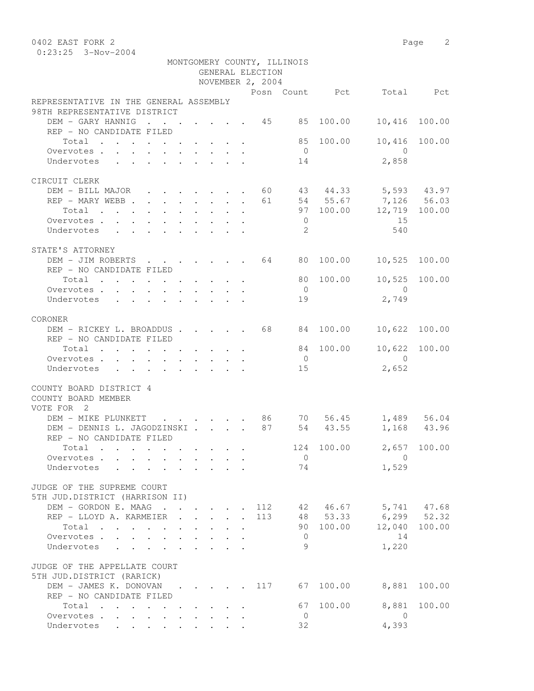0402 EAST FORK 2 Page 2 0:23:25 3-Nov-2004

| NOVEMBER 2, 2004<br>Posn Count Pct Total Pct<br>REPRESENTATIVE IN THE GENERAL ASSEMBLY<br>98TH REPRESENTATIVE DISTRICT<br>DEM - GARY HANNIG 45 85<br>100.00<br>10,416<br>100.00<br>REP - NO CANDIDATE FILED<br>85 100.00<br>10,416<br>100.00<br>Total<br>$\overline{0}$<br>$\overline{0}$<br>Overvotes.<br>2,858<br>Undervotes<br>14<br>CIRCUIT CLERK<br>DEM - BILL MAJOR 60 43 44.33 5,593 43.97<br>REP - MARY WEBB 61 54 55.67 7,126 56.03<br>97 100.00 12,719 100.00<br>Total<br>15<br>Overvotes.<br>$\overline{0}$<br>- 2.<br>540<br>Undervotes<br>STATE'S ATTORNEY<br>DEM - JIM ROBERTS 64 80 100.00 10,525 100.00<br>REP - NO CANDIDATE FILED<br>10,525 100.00<br>Total $\cdot$<br>80 100.00<br>$\overline{0}$<br>Overvotes.<br>$\overline{0}$<br>2,749<br>Undervotes<br>19<br>CORONER<br>DEM - RICKEY L. BROADDUS 68 84<br>100.00<br>10,622<br>100.00<br>REP - NO CANDIDATE FILED<br>10,622 100.00<br>84 100.00<br>Total<br>$\overline{0}$<br>$\overline{0}$<br>Overvotes<br>2,652<br>Undervotes<br>15<br>COUNTY BOARD DISTRICT 4<br>COUNTY BOARD MEMBER<br>VOTE FOR 2<br>$\cdot$ 86 70 56.45 1,489 56.04<br>DEM - MIKE PLUNKETT<br><b>Contract Contract</b><br>DEM - DENNIS L. JAGODZINSKI<br>87 54 43.55<br>1,168 43.96<br>REP - NO CANDIDATE FILED<br>Total<br>$\overline{0}$<br>$\Omega$<br>Overvotes.<br>1,529<br>74<br>Undervotes<br>and the state of the state of<br>JUDGE OF THE SUPREME COURT<br>5TH JUD.DISTRICT (HARRISON II)<br>. 112 42 46.67 5,741 47.68<br>DEM - GORDON E. MAAG<br>$6, 299$ $52.32$<br>48 53.33<br>REP - LLOYD A. KARMEIER<br>113<br>$\mathbf{r}$ , $\mathbf{r}$ , $\mathbf{r}$ , $\mathbf{r}$<br>90 100.00<br>12,040 100.00<br>Total<br>14<br>Overvotes<br>$\overline{0}$<br>$\mathbf{L} = \mathbf{L} \mathbf{L}$<br>1,220<br>9<br>Undervotes<br>$\mathbf{L} = \mathbf{L} \mathbf{L}$<br>JUDGE OF THE APPELLATE COURT<br>5TH JUD.DISTRICT (RARICK)<br>DEM - JAMES K. DONOVAN 117<br>67<br>100.00<br>8,881<br>100.00<br>REP - NO CANDIDATE FILED<br>100.00<br>8,881<br>100.00<br>Total<br>67<br>Overvotes<br>$\overline{0}$<br>$\overline{0}$ |  |  |  | GENERAL ELECTION | MONTGOMERY COUNTY, ILLINOIS |  |  |
|-------------------------------------------------------------------------------------------------------------------------------------------------------------------------------------------------------------------------------------------------------------------------------------------------------------------------------------------------------------------------------------------------------------------------------------------------------------------------------------------------------------------------------------------------------------------------------------------------------------------------------------------------------------------------------------------------------------------------------------------------------------------------------------------------------------------------------------------------------------------------------------------------------------------------------------------------------------------------------------------------------------------------------------------------------------------------------------------------------------------------------------------------------------------------------------------------------------------------------------------------------------------------------------------------------------------------------------------------------------------------------------------------------------------------------------------------------------------------------------------------------------------------------------------------------------------------------------------------------------------------------------------------------------------------------------------------------------------------------------------------------------------------------------------------------------------------------------------------------------------------------------------------------------------------------------------------------------------------------------------------------------------------------------------------------------------------------------|--|--|--|------------------|-----------------------------|--|--|
|                                                                                                                                                                                                                                                                                                                                                                                                                                                                                                                                                                                                                                                                                                                                                                                                                                                                                                                                                                                                                                                                                                                                                                                                                                                                                                                                                                                                                                                                                                                                                                                                                                                                                                                                                                                                                                                                                                                                                                                                                                                                                     |  |  |  |                  |                             |  |  |
|                                                                                                                                                                                                                                                                                                                                                                                                                                                                                                                                                                                                                                                                                                                                                                                                                                                                                                                                                                                                                                                                                                                                                                                                                                                                                                                                                                                                                                                                                                                                                                                                                                                                                                                                                                                                                                                                                                                                                                                                                                                                                     |  |  |  |                  |                             |  |  |
|                                                                                                                                                                                                                                                                                                                                                                                                                                                                                                                                                                                                                                                                                                                                                                                                                                                                                                                                                                                                                                                                                                                                                                                                                                                                                                                                                                                                                                                                                                                                                                                                                                                                                                                                                                                                                                                                                                                                                                                                                                                                                     |  |  |  |                  |                             |  |  |
|                                                                                                                                                                                                                                                                                                                                                                                                                                                                                                                                                                                                                                                                                                                                                                                                                                                                                                                                                                                                                                                                                                                                                                                                                                                                                                                                                                                                                                                                                                                                                                                                                                                                                                                                                                                                                                                                                                                                                                                                                                                                                     |  |  |  |                  |                             |  |  |
|                                                                                                                                                                                                                                                                                                                                                                                                                                                                                                                                                                                                                                                                                                                                                                                                                                                                                                                                                                                                                                                                                                                                                                                                                                                                                                                                                                                                                                                                                                                                                                                                                                                                                                                                                                                                                                                                                                                                                                                                                                                                                     |  |  |  |                  |                             |  |  |
|                                                                                                                                                                                                                                                                                                                                                                                                                                                                                                                                                                                                                                                                                                                                                                                                                                                                                                                                                                                                                                                                                                                                                                                                                                                                                                                                                                                                                                                                                                                                                                                                                                                                                                                                                                                                                                                                                                                                                                                                                                                                                     |  |  |  |                  |                             |  |  |
|                                                                                                                                                                                                                                                                                                                                                                                                                                                                                                                                                                                                                                                                                                                                                                                                                                                                                                                                                                                                                                                                                                                                                                                                                                                                                                                                                                                                                                                                                                                                                                                                                                                                                                                                                                                                                                                                                                                                                                                                                                                                                     |  |  |  |                  |                             |  |  |
|                                                                                                                                                                                                                                                                                                                                                                                                                                                                                                                                                                                                                                                                                                                                                                                                                                                                                                                                                                                                                                                                                                                                                                                                                                                                                                                                                                                                                                                                                                                                                                                                                                                                                                                                                                                                                                                                                                                                                                                                                                                                                     |  |  |  |                  |                             |  |  |
|                                                                                                                                                                                                                                                                                                                                                                                                                                                                                                                                                                                                                                                                                                                                                                                                                                                                                                                                                                                                                                                                                                                                                                                                                                                                                                                                                                                                                                                                                                                                                                                                                                                                                                                                                                                                                                                                                                                                                                                                                                                                                     |  |  |  |                  |                             |  |  |
|                                                                                                                                                                                                                                                                                                                                                                                                                                                                                                                                                                                                                                                                                                                                                                                                                                                                                                                                                                                                                                                                                                                                                                                                                                                                                                                                                                                                                                                                                                                                                                                                                                                                                                                                                                                                                                                                                                                                                                                                                                                                                     |  |  |  |                  |                             |  |  |
|                                                                                                                                                                                                                                                                                                                                                                                                                                                                                                                                                                                                                                                                                                                                                                                                                                                                                                                                                                                                                                                                                                                                                                                                                                                                                                                                                                                                                                                                                                                                                                                                                                                                                                                                                                                                                                                                                                                                                                                                                                                                                     |  |  |  |                  |                             |  |  |
|                                                                                                                                                                                                                                                                                                                                                                                                                                                                                                                                                                                                                                                                                                                                                                                                                                                                                                                                                                                                                                                                                                                                                                                                                                                                                                                                                                                                                                                                                                                                                                                                                                                                                                                                                                                                                                                                                                                                                                                                                                                                                     |  |  |  |                  |                             |  |  |
|                                                                                                                                                                                                                                                                                                                                                                                                                                                                                                                                                                                                                                                                                                                                                                                                                                                                                                                                                                                                                                                                                                                                                                                                                                                                                                                                                                                                                                                                                                                                                                                                                                                                                                                                                                                                                                                                                                                                                                                                                                                                                     |  |  |  |                  |                             |  |  |
|                                                                                                                                                                                                                                                                                                                                                                                                                                                                                                                                                                                                                                                                                                                                                                                                                                                                                                                                                                                                                                                                                                                                                                                                                                                                                                                                                                                                                                                                                                                                                                                                                                                                                                                                                                                                                                                                                                                                                                                                                                                                                     |  |  |  |                  |                             |  |  |
|                                                                                                                                                                                                                                                                                                                                                                                                                                                                                                                                                                                                                                                                                                                                                                                                                                                                                                                                                                                                                                                                                                                                                                                                                                                                                                                                                                                                                                                                                                                                                                                                                                                                                                                                                                                                                                                                                                                                                                                                                                                                                     |  |  |  |                  |                             |  |  |
|                                                                                                                                                                                                                                                                                                                                                                                                                                                                                                                                                                                                                                                                                                                                                                                                                                                                                                                                                                                                                                                                                                                                                                                                                                                                                                                                                                                                                                                                                                                                                                                                                                                                                                                                                                                                                                                                                                                                                                                                                                                                                     |  |  |  |                  |                             |  |  |
|                                                                                                                                                                                                                                                                                                                                                                                                                                                                                                                                                                                                                                                                                                                                                                                                                                                                                                                                                                                                                                                                                                                                                                                                                                                                                                                                                                                                                                                                                                                                                                                                                                                                                                                                                                                                                                                                                                                                                                                                                                                                                     |  |  |  |                  |                             |  |  |
|                                                                                                                                                                                                                                                                                                                                                                                                                                                                                                                                                                                                                                                                                                                                                                                                                                                                                                                                                                                                                                                                                                                                                                                                                                                                                                                                                                                                                                                                                                                                                                                                                                                                                                                                                                                                                                                                                                                                                                                                                                                                                     |  |  |  |                  |                             |  |  |
|                                                                                                                                                                                                                                                                                                                                                                                                                                                                                                                                                                                                                                                                                                                                                                                                                                                                                                                                                                                                                                                                                                                                                                                                                                                                                                                                                                                                                                                                                                                                                                                                                                                                                                                                                                                                                                                                                                                                                                                                                                                                                     |  |  |  |                  |                             |  |  |
|                                                                                                                                                                                                                                                                                                                                                                                                                                                                                                                                                                                                                                                                                                                                                                                                                                                                                                                                                                                                                                                                                                                                                                                                                                                                                                                                                                                                                                                                                                                                                                                                                                                                                                                                                                                                                                                                                                                                                                                                                                                                                     |  |  |  |                  |                             |  |  |
|                                                                                                                                                                                                                                                                                                                                                                                                                                                                                                                                                                                                                                                                                                                                                                                                                                                                                                                                                                                                                                                                                                                                                                                                                                                                                                                                                                                                                                                                                                                                                                                                                                                                                                                                                                                                                                                                                                                                                                                                                                                                                     |  |  |  |                  |                             |  |  |
|                                                                                                                                                                                                                                                                                                                                                                                                                                                                                                                                                                                                                                                                                                                                                                                                                                                                                                                                                                                                                                                                                                                                                                                                                                                                                                                                                                                                                                                                                                                                                                                                                                                                                                                                                                                                                                                                                                                                                                                                                                                                                     |  |  |  |                  |                             |  |  |
|                                                                                                                                                                                                                                                                                                                                                                                                                                                                                                                                                                                                                                                                                                                                                                                                                                                                                                                                                                                                                                                                                                                                                                                                                                                                                                                                                                                                                                                                                                                                                                                                                                                                                                                                                                                                                                                                                                                                                                                                                                                                                     |  |  |  |                  |                             |  |  |
|                                                                                                                                                                                                                                                                                                                                                                                                                                                                                                                                                                                                                                                                                                                                                                                                                                                                                                                                                                                                                                                                                                                                                                                                                                                                                                                                                                                                                                                                                                                                                                                                                                                                                                                                                                                                                                                                                                                                                                                                                                                                                     |  |  |  |                  |                             |  |  |
|                                                                                                                                                                                                                                                                                                                                                                                                                                                                                                                                                                                                                                                                                                                                                                                                                                                                                                                                                                                                                                                                                                                                                                                                                                                                                                                                                                                                                                                                                                                                                                                                                                                                                                                                                                                                                                                                                                                                                                                                                                                                                     |  |  |  |                  |                             |  |  |
|                                                                                                                                                                                                                                                                                                                                                                                                                                                                                                                                                                                                                                                                                                                                                                                                                                                                                                                                                                                                                                                                                                                                                                                                                                                                                                                                                                                                                                                                                                                                                                                                                                                                                                                                                                                                                                                                                                                                                                                                                                                                                     |  |  |  |                  |                             |  |  |
|                                                                                                                                                                                                                                                                                                                                                                                                                                                                                                                                                                                                                                                                                                                                                                                                                                                                                                                                                                                                                                                                                                                                                                                                                                                                                                                                                                                                                                                                                                                                                                                                                                                                                                                                                                                                                                                                                                                                                                                                                                                                                     |  |  |  |                  |                             |  |  |
|                                                                                                                                                                                                                                                                                                                                                                                                                                                                                                                                                                                                                                                                                                                                                                                                                                                                                                                                                                                                                                                                                                                                                                                                                                                                                                                                                                                                                                                                                                                                                                                                                                                                                                                                                                                                                                                                                                                                                                                                                                                                                     |  |  |  |                  |                             |  |  |
|                                                                                                                                                                                                                                                                                                                                                                                                                                                                                                                                                                                                                                                                                                                                                                                                                                                                                                                                                                                                                                                                                                                                                                                                                                                                                                                                                                                                                                                                                                                                                                                                                                                                                                                                                                                                                                                                                                                                                                                                                                                                                     |  |  |  |                  |                             |  |  |
|                                                                                                                                                                                                                                                                                                                                                                                                                                                                                                                                                                                                                                                                                                                                                                                                                                                                                                                                                                                                                                                                                                                                                                                                                                                                                                                                                                                                                                                                                                                                                                                                                                                                                                                                                                                                                                                                                                                                                                                                                                                                                     |  |  |  |                  |                             |  |  |
|                                                                                                                                                                                                                                                                                                                                                                                                                                                                                                                                                                                                                                                                                                                                                                                                                                                                                                                                                                                                                                                                                                                                                                                                                                                                                                                                                                                                                                                                                                                                                                                                                                                                                                                                                                                                                                                                                                                                                                                                                                                                                     |  |  |  |                  |                             |  |  |
|                                                                                                                                                                                                                                                                                                                                                                                                                                                                                                                                                                                                                                                                                                                                                                                                                                                                                                                                                                                                                                                                                                                                                                                                                                                                                                                                                                                                                                                                                                                                                                                                                                                                                                                                                                                                                                                                                                                                                                                                                                                                                     |  |  |  |                  |                             |  |  |
|                                                                                                                                                                                                                                                                                                                                                                                                                                                                                                                                                                                                                                                                                                                                                                                                                                                                                                                                                                                                                                                                                                                                                                                                                                                                                                                                                                                                                                                                                                                                                                                                                                                                                                                                                                                                                                                                                                                                                                                                                                                                                     |  |  |  |                  |                             |  |  |
|                                                                                                                                                                                                                                                                                                                                                                                                                                                                                                                                                                                                                                                                                                                                                                                                                                                                                                                                                                                                                                                                                                                                                                                                                                                                                                                                                                                                                                                                                                                                                                                                                                                                                                                                                                                                                                                                                                                                                                                                                                                                                     |  |  |  |                  |                             |  |  |
|                                                                                                                                                                                                                                                                                                                                                                                                                                                                                                                                                                                                                                                                                                                                                                                                                                                                                                                                                                                                                                                                                                                                                                                                                                                                                                                                                                                                                                                                                                                                                                                                                                                                                                                                                                                                                                                                                                                                                                                                                                                                                     |  |  |  |                  |                             |  |  |
|                                                                                                                                                                                                                                                                                                                                                                                                                                                                                                                                                                                                                                                                                                                                                                                                                                                                                                                                                                                                                                                                                                                                                                                                                                                                                                                                                                                                                                                                                                                                                                                                                                                                                                                                                                                                                                                                                                                                                                                                                                                                                     |  |  |  |                  |                             |  |  |
|                                                                                                                                                                                                                                                                                                                                                                                                                                                                                                                                                                                                                                                                                                                                                                                                                                                                                                                                                                                                                                                                                                                                                                                                                                                                                                                                                                                                                                                                                                                                                                                                                                                                                                                                                                                                                                                                                                                                                                                                                                                                                     |  |  |  |                  |                             |  |  |
|                                                                                                                                                                                                                                                                                                                                                                                                                                                                                                                                                                                                                                                                                                                                                                                                                                                                                                                                                                                                                                                                                                                                                                                                                                                                                                                                                                                                                                                                                                                                                                                                                                                                                                                                                                                                                                                                                                                                                                                                                                                                                     |  |  |  |                  |                             |  |  |
|                                                                                                                                                                                                                                                                                                                                                                                                                                                                                                                                                                                                                                                                                                                                                                                                                                                                                                                                                                                                                                                                                                                                                                                                                                                                                                                                                                                                                                                                                                                                                                                                                                                                                                                                                                                                                                                                                                                                                                                                                                                                                     |  |  |  |                  |                             |  |  |
|                                                                                                                                                                                                                                                                                                                                                                                                                                                                                                                                                                                                                                                                                                                                                                                                                                                                                                                                                                                                                                                                                                                                                                                                                                                                                                                                                                                                                                                                                                                                                                                                                                                                                                                                                                                                                                                                                                                                                                                                                                                                                     |  |  |  |                  |                             |  |  |
|                                                                                                                                                                                                                                                                                                                                                                                                                                                                                                                                                                                                                                                                                                                                                                                                                                                                                                                                                                                                                                                                                                                                                                                                                                                                                                                                                                                                                                                                                                                                                                                                                                                                                                                                                                                                                                                                                                                                                                                                                                                                                     |  |  |  |                  |                             |  |  |
|                                                                                                                                                                                                                                                                                                                                                                                                                                                                                                                                                                                                                                                                                                                                                                                                                                                                                                                                                                                                                                                                                                                                                                                                                                                                                                                                                                                                                                                                                                                                                                                                                                                                                                                                                                                                                                                                                                                                                                                                                                                                                     |  |  |  |                  |                             |  |  |
|                                                                                                                                                                                                                                                                                                                                                                                                                                                                                                                                                                                                                                                                                                                                                                                                                                                                                                                                                                                                                                                                                                                                                                                                                                                                                                                                                                                                                                                                                                                                                                                                                                                                                                                                                                                                                                                                                                                                                                                                                                                                                     |  |  |  |                  |                             |  |  |
|                                                                                                                                                                                                                                                                                                                                                                                                                                                                                                                                                                                                                                                                                                                                                                                                                                                                                                                                                                                                                                                                                                                                                                                                                                                                                                                                                                                                                                                                                                                                                                                                                                                                                                                                                                                                                                                                                                                                                                                                                                                                                     |  |  |  |                  |                             |  |  |
|                                                                                                                                                                                                                                                                                                                                                                                                                                                                                                                                                                                                                                                                                                                                                                                                                                                                                                                                                                                                                                                                                                                                                                                                                                                                                                                                                                                                                                                                                                                                                                                                                                                                                                                                                                                                                                                                                                                                                                                                                                                                                     |  |  |  |                  |                             |  |  |
|                                                                                                                                                                                                                                                                                                                                                                                                                                                                                                                                                                                                                                                                                                                                                                                                                                                                                                                                                                                                                                                                                                                                                                                                                                                                                                                                                                                                                                                                                                                                                                                                                                                                                                                                                                                                                                                                                                                                                                                                                                                                                     |  |  |  |                  |                             |  |  |
|                                                                                                                                                                                                                                                                                                                                                                                                                                                                                                                                                                                                                                                                                                                                                                                                                                                                                                                                                                                                                                                                                                                                                                                                                                                                                                                                                                                                                                                                                                                                                                                                                                                                                                                                                                                                                                                                                                                                                                                                                                                                                     |  |  |  |                  |                             |  |  |
| 4,393<br>32<br>Undervotes                                                                                                                                                                                                                                                                                                                                                                                                                                                                                                                                                                                                                                                                                                                                                                                                                                                                                                                                                                                                                                                                                                                                                                                                                                                                                                                                                                                                                                                                                                                                                                                                                                                                                                                                                                                                                                                                                                                                                                                                                                                           |  |  |  |                  |                             |  |  |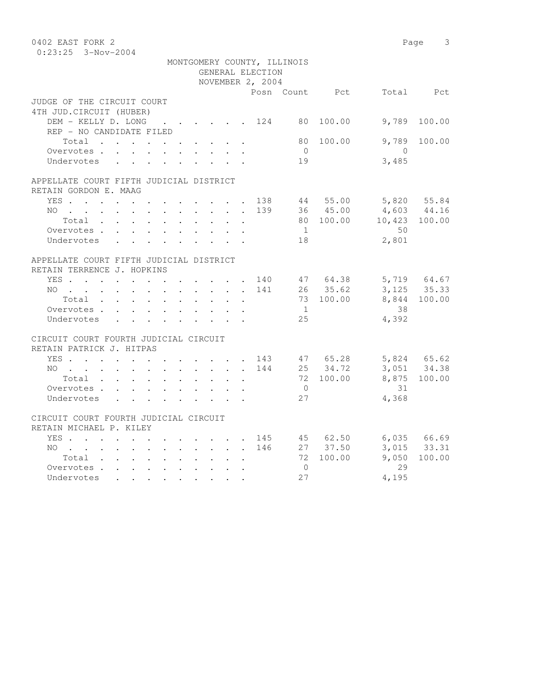| 0402 EAST FORK 2                        |  |                  |                             |           |                                                     | Page 3       |
|-----------------------------------------|--|------------------|-----------------------------|-----------|-----------------------------------------------------|--------------|
| $0:23:25$ 3-Nov-2004                    |  |                  |                             |           |                                                     |              |
|                                         |  |                  | MONTGOMERY COUNTY, ILLINOIS |           |                                                     |              |
|                                         |  | GENERAL ELECTION |                             |           |                                                     |              |
|                                         |  | NOVEMBER 2, 2004 |                             |           |                                                     |              |
|                                         |  |                  |                             |           | Posn Count Pct Total Pct                            |              |
| JUDGE OF THE CIRCUIT COURT              |  |                  |                             |           |                                                     |              |
| 4TH JUD. CIRCUIT (HUBER)                |  |                  |                             |           |                                                     |              |
| DEM - KELLY D. LONG 124 80              |  |                  |                             | 100.00    | 9,789                                               | 100.00       |
| REP - NO CANDIDATE FILED                |  |                  |                             |           |                                                     |              |
| Total                                   |  |                  | 80                          | 100.00    | 9,789                                               | 100.00       |
| Overvotes                               |  |                  | $\overline{0}$              |           | $\overline{0}$                                      |              |
| Undervotes                              |  |                  | 19                          |           | 3,485                                               |              |
| APPELLATE COURT FIFTH JUDICIAL DISTRICT |  |                  |                             |           |                                                     |              |
| RETAIN GORDON E. MAAG                   |  |                  |                             |           |                                                     |              |
| YES 138 44 55.00 5,820 55.84            |  |                  |                             |           |                                                     |              |
| NO                                      |  |                  |                             |           |                                                     |              |
| Total                                   |  | $\sim$           |                             |           | 139 36 45.00 4,603 44.16<br>80 100.00 10,423 100.00 |              |
| Overvotes.                              |  |                  | $\sim$ 1                    |           | 50                                                  |              |
| Undervotes                              |  |                  | 18                          |           | 2,801                                               |              |
|                                         |  |                  |                             |           |                                                     |              |
| APPELLATE COURT FIFTH JUDICIAL DISTRICT |  |                  |                             |           |                                                     |              |
| RETAIN TERRENCE J. HOPKINS              |  |                  |                             |           |                                                     |              |
| YES 140 47 64.38 5,719 64.67            |  |                  |                             |           |                                                     |              |
| $NO$                                    |  | 141              |                             | 26 35.62  |                                                     | 3, 125 35.33 |
| Total                                   |  |                  |                             | 73 100.00 |                                                     | 8,844 100.00 |
| Overvotes                               |  |                  | 1                           |           | 38                                                  |              |
| Undervotes                              |  |                  | 25                          |           | 4,392                                               |              |
| CIRCUIT COURT FOURTH JUDICIAL CIRCUIT   |  |                  |                             |           |                                                     |              |
| RETAIN PATRICK J. HITPAS                |  |                  |                             |           |                                                     |              |
| YES 143 47 65.28                        |  |                  |                             |           |                                                     |              |
| NO                                      |  |                  | 144                         | 25 34.72  | 5,824 65.62<br>3,051 34.38                          |              |
| Total                                   |  |                  |                             | 72 100.00 |                                                     | 8,875 100.00 |
| Overvotes                               |  |                  | $\overline{0}$              |           | 31                                                  |              |
| Undervotes                              |  |                  | 27                          |           | 4,368                                               |              |
|                                         |  |                  |                             |           |                                                     |              |
| CIRCUIT COURT FOURTH JUDICIAL CIRCUIT   |  |                  |                             |           |                                                     |              |
| RETAIN MICHAEL P. KILEY                 |  |                  |                             |           |                                                     |              |
| YES 145 45 62.50 6,035 66.69            |  |                  |                             |           |                                                     |              |
| NO 146                                  |  |                  |                             | 27 37.50  |                                                     | 3,015 33.31  |
| Total                                   |  |                  |                             | 72 100.00 | 9,050                                               | 100.00       |
| Overvotes                               |  |                  | $\bigcirc$                  |           | 29                                                  |              |
| Undervotes                              |  |                  | 2.7                         |           | 4,195                                               |              |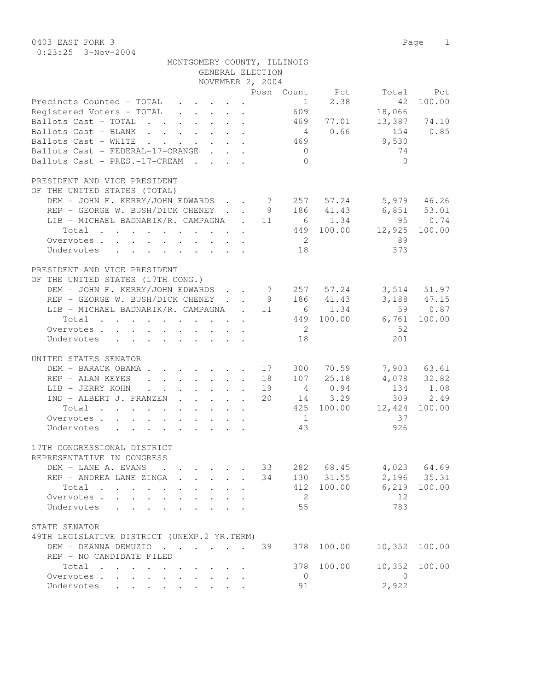0403 EAST FORK 3 Page 1 0:23:25 3-Nov-2004

| MONTGOMERY COUNTY, ILLINOIS                                                                                         |                 |                |                               |
|---------------------------------------------------------------------------------------------------------------------|-----------------|----------------|-------------------------------|
| GENERAL ELECTION                                                                                                    |                 |                |                               |
| NOVEMBER 2, 2004                                                                                                    |                 |                |                               |
|                                                                                                                     |                 | Posn Count Pct | Total<br>Pct                  |
| Precincts Counted - TOTAL                                                                                           |                 | 2.38<br>1      | 100.00<br>42                  |
| Registered Voters - TOTAL                                                                                           | 609             |                | 18,066                        |
| Ballots Cast - TOTAL                                                                                                |                 | 469 77.01      | 13,387 74.10                  |
| Ballots Cast - BLANK                                                                                                | $4\overline{4}$ | 0.66           | 154<br>0.85                   |
| Ballots Cast - WHITE<br>$\mathbf{r}$ , $\mathbf{r}$ , $\mathbf{r}$ , $\mathbf{r}$ , $\mathbf{r}$ , $\mathbf{r}$     | 469             |                | 9,530                         |
| Ballots Cast - FEDERAL-17-ORANGE                                                                                    | $\overline{0}$  |                | 74                            |
| Ballots Cast - PRES.-17-CREAM                                                                                       | $\bigcap$       |                | $\bigcap$                     |
| PRESIDENT AND VICE PRESIDENT                                                                                        |                 |                |                               |
| OF THE UNITED STATES (TOTAL)                                                                                        |                 |                |                               |
|                                                                                                                     |                 |                | 5,979 46.26                   |
| DEM - JOHN F. KERRY/JOHN EDWARDS 7 257 57.24<br>REP - GEORGE W. BUSH/DICK CHENEY                                    | 9               | 186 41.43      |                               |
| LIB - MICHAEL BADNARIK/R. CAMPAGNA . 11                                                                             |                 | 6 1.34         | $6,851$ $53.01$<br>95<br>0.74 |
| Total                                                                                                               |                 | 449 100.00     | 12,925<br>100.00              |
| Overvotes.                                                                                                          | $\overline{2}$  |                | 89                            |
| Undervotes                                                                                                          | 18              |                | 373                           |
|                                                                                                                     |                 |                |                               |
| PRESIDENT AND VICE PRESIDENT                                                                                        |                 |                |                               |
| OF THE UNITED STATES (17TH CONG.)                                                                                   |                 |                |                               |
| DEM - JOHN F. KERRY/JOHN EDWARDS                                                                                    | 7 257 57.24     |                | $3,514$ $51.97$               |
| REP - GEORGE W. BUSH/DICK CHENEY.                                                                                   | 9               | 186 41.43      |                               |
| LIB - MICHAEL BADNARIK/R. CAMPAGNA . 11                                                                             |                 | 6 1.34         | $3,188$ $47.15$<br>59 0.87    |
| Total                                                                                                               |                 | 449 100.00     | 6,761<br>100.00               |
| Overvotes.                                                                                                          | $\overline{2}$  |                | 52                            |
| Undervotes                                                                                                          | 18              |                | 201                           |
|                                                                                                                     |                 |                |                               |
| UNITED STATES SENATOR                                                                                               |                 |                |                               |
| DEM - BARACK OBAMA.<br>. 17                                                                                         |                 | 300 70.59      | 7,903 63.61                   |
| REP - ALAN KEYES<br>$\cdot$ $\cdot$ $\cdot$ $\cdot$ $\cdot$ $\cdot$ 18<br>$\ddot{\phantom{a}}$                      |                 | 107 25.18      | 4,078 32.82                   |
| LIB - JERRY KOHN<br>$\cdot$ $\cdot$ $\cdot$ $\cdot$ $\cdot$ $\cdot$<br>$\sim$ $\sim$ $\sim$<br>$\ddot{\phantom{0}}$ | 19              | 4 0.94         | 134<br>1.08                   |
| IND - ALBERT J. FRANZEN                                                                                             | 20              | 14 3.29        | 2.49<br>309                   |
| Total                                                                                                               |                 | 425 100.00     | 12,424<br>100.00              |
| Overvotes                                                                                                           | $\overline{1}$  |                | 37                            |
| Undervotes                                                                                                          | 43              |                | 926                           |
| 17TH CONGRESSIONAL DISTRICT                                                                                         |                 |                |                               |
| REPRESENTATIVE IN CONGRESS                                                                                          |                 |                |                               |
| DEM - LANE A. EVANS                                                                                                 | 33              | 282 68.45      | 4,023<br>64.69                |
| REP - ANDREA LANE ZINGA<br>$\ddot{\phantom{a}}$                                                                     | 34              | 130 31.55      | 2,196<br>35.31                |
| Total<br>$\cdot$                                                                                                    | 412             | 100.00         | 6,219<br>100.00               |
| Overvotes .<br>$\mathbf{L}$<br>$\mathbf{r}$<br>$\ddot{\phantom{a}}$                                                 | 2               |                | 12                            |
| Undervotes<br>$\mathbf{L}$<br>$\mathbf{r}$                                                                          | 55              |                | 783                           |
|                                                                                                                     |                 |                |                               |
| STATE SENATOR                                                                                                       |                 |                |                               |
| 49TH LEGISLATIVE DISTRICT (UNEXP.2 YR.TERM)                                                                         |                 |                |                               |
| DEM - DEANNA DEMUZIO                                                                                                | 39<br>378       | 100.00         | 10,352<br>100.00              |
| REP - NO CANDIDATE FILED                                                                                            |                 |                |                               |
| Total                                                                                                               | 378             | 100.00         | 10,352<br>100.00              |
| Overvotes<br>$\mathbf{L}$<br>$\sim$                                                                                 | $\mathbf{0}$    |                | $\mathbf{0}$                  |
| Undervotes                                                                                                          | 91              |                | 2,922                         |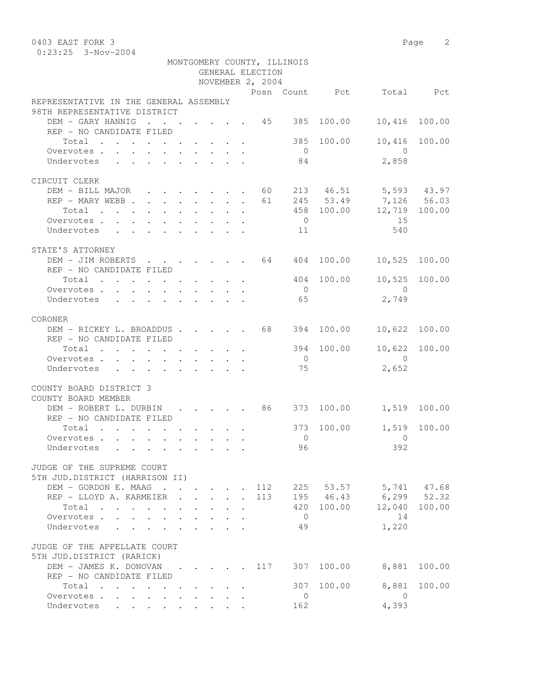0403 EAST FORK 3 Page 2 0:23:25 3-Nov-2004

|                                                                  |  |        | GENERAL ELECTION<br>NOVEMBER 2, 2004 | MONTGOMERY COUNTY, ILLINOIS |            |                           |               |
|------------------------------------------------------------------|--|--------|--------------------------------------|-----------------------------|------------|---------------------------|---------------|
|                                                                  |  |        |                                      |                             |            | Posn Count Pct Total Pct  |               |
| REPRESENTATIVE IN THE GENERAL ASSEMBLY                           |  |        |                                      |                             |            |                           |               |
| 98TH REPRESENTATIVE DISTRICT                                     |  |        |                                      |                             |            |                           |               |
| $\cdot$ 45 385<br>DEM - GARY HANNIG                              |  |        |                                      |                             | 100.00     | 10,416                    | 100.00        |
| REP - NO CANDIDATE FILED                                         |  |        |                                      |                             |            |                           |               |
| Total $\cdot$                                                    |  |        |                                      |                             | 385 100.00 | 10,416                    | 100.00        |
| Overvotes.                                                       |  |        |                                      | $\overline{0}$              |            | $\bigcirc$                |               |
| Undervotes                                                       |  |        |                                      | 84                          |            | 2,858                     |               |
|                                                                  |  |        |                                      |                             |            |                           |               |
| CIRCUIT CLERK<br>DEM - BILL MAJOR 60 213 46.51 5,593 43.97       |  |        |                                      |                             |            |                           |               |
| REP - MARY WEBB 61                                               |  |        |                                      |                             |            | 245 53.49 7,126 56.03     |               |
| Total                                                            |  |        |                                      |                             |            | 458 100.00 12,719 100.00  |               |
| Overvotes.                                                       |  |        |                                      | $\overline{0}$              |            | 15                        |               |
| Undervotes 11                                                    |  |        |                                      |                             |            | 540                       |               |
|                                                                  |  |        |                                      |                             |            |                           |               |
| STATE'S ATTORNEY                                                 |  |        |                                      |                             |            |                           |               |
| DEM - JIM ROBERTS 64 404 100.00                                  |  |        |                                      |                             |            | 10,525 100.00             |               |
| REP - NO CANDIDATE FILED                                         |  |        |                                      |                             |            |                           |               |
| Total                                                            |  |        |                                      |                             | 404 100.00 | 10,525 100.00             |               |
| Overvotes.                                                       |  |        |                                      | $\overline{0}$              |            | $\overline{0}$            |               |
| Undervotes                                                       |  |        |                                      | 65                          |            | 2,749                     |               |
|                                                                  |  |        |                                      |                             |            |                           |               |
| CORONER                                                          |  |        |                                      |                             |            |                           |               |
| DEM - RICKEY L. BROADDUS 68                                      |  |        |                                      |                             | 394 100.00 | 10,622                    | 100.00        |
| REP - NO CANDIDATE FILED                                         |  |        |                                      |                             |            |                           |               |
| Total                                                            |  |        |                                      |                             | 394 100.00 |                           | 10,622 100.00 |
| Overvotes.                                                       |  |        |                                      | $\overline{0}$              |            | $\bigcirc$                |               |
| Undervotes                                                       |  |        |                                      | 75                          |            | 2,652                     |               |
|                                                                  |  |        |                                      |                             |            |                           |               |
| COUNTY BOARD DISTRICT 3<br>COUNTY BOARD MEMBER                   |  |        |                                      |                             |            |                           |               |
| DEM - ROBERT L. DURBIN 86 373 100.00<br>REP - NO CANDIDATE FILED |  |        |                                      |                             |            | 1,519 100.00              |               |
| Total                                                            |  |        |                                      | 373                         | 100.00     |                           | 1,519 100.00  |
| Overvotes.                                                       |  |        |                                      | $\overline{0}$              |            | $\overline{0}$            |               |
| Undervotes                                                       |  |        |                                      | 96                          |            | 392                       |               |
|                                                                  |  |        |                                      |                             |            |                           |               |
| JUDGE OF THE SUPREME COURT                                       |  |        |                                      |                             |            |                           |               |
| 5TH JUD.DISTRICT (HARRISON II)                                   |  |        |                                      |                             |            |                           |               |
| DEM - GORDON E. MAAG                                             |  |        |                                      |                             |            | 112 225 53.57 5,741 47.68 |               |
| REP - LLOYD A. KARMEIER                                          |  | $\sim$ | 113                                  |                             |            | 195 46.43 6,299 52.32     |               |
| Total                                                            |  |        |                                      |                             | 420 100.00 |                           | 12,040 100.00 |
| Overvotes                                                        |  |        |                                      | $\overline{0}$              |            | 14                        |               |
| Undervotes<br>$\sim$                                             |  |        |                                      | 49                          |            | 1,220                     |               |
|                                                                  |  |        |                                      |                             |            |                           |               |
| JUDGE OF THE APPELLATE COURT                                     |  |        |                                      |                             |            |                           |               |
| 5TH JUD.DISTRICT (RARICK)                                        |  |        |                                      |                             |            |                           |               |
| DEM - JAMES K. DONOVAN 117                                       |  |        |                                      |                             | 307 100.00 | 8,881                     | 100.00        |
| REP - NO CANDIDATE FILED                                         |  |        |                                      |                             |            |                           |               |
| Total                                                            |  |        |                                      | 307                         | 100.00     | 8,881                     | 100.00        |
| Overvotes                                                        |  |        |                                      | $\overline{0}$              |            | $\overline{0}$            |               |
| Undervotes                                                       |  |        |                                      | 162                         |            | 4,393                     |               |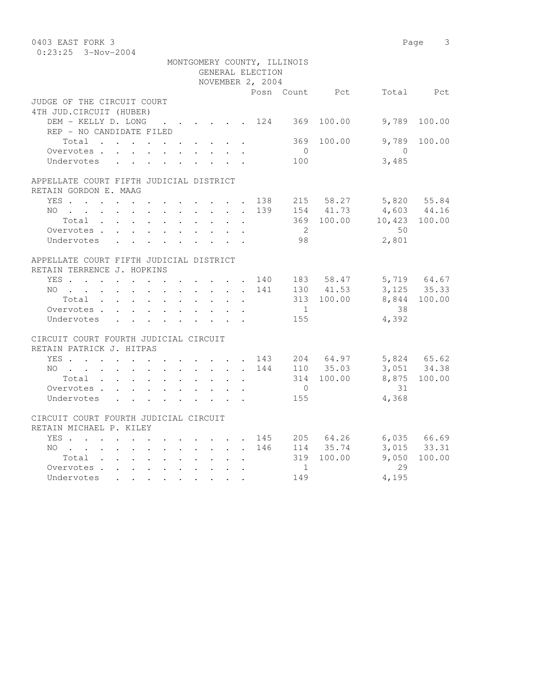| 0403 EAST FORK 3                                        |  |  |  |                         |                      |                                      |                             |                |                            | Page 3       |
|---------------------------------------------------------|--|--|--|-------------------------|----------------------|--------------------------------------|-----------------------------|----------------|----------------------------|--------------|
| $0:23:25$ 3-Nov-2004                                    |  |  |  |                         |                      |                                      |                             |                |                            |              |
|                                                         |  |  |  |                         |                      |                                      | MONTGOMERY COUNTY, ILLINOIS |                |                            |              |
|                                                         |  |  |  |                         |                      | GENERAL ELECTION<br>NOVEMBER 2, 2004 |                             |                |                            |              |
|                                                         |  |  |  |                         |                      |                                      |                             | Posn Count Pct |                            | Total Pct    |
| JUDGE OF THE CIRCUIT COURT                              |  |  |  |                         |                      |                                      |                             |                |                            |              |
| 4TH JUD. CIRCUIT (HUBER)                                |  |  |  |                         |                      |                                      |                             |                |                            |              |
| DEM - KELLY D. LONG                                     |  |  |  |                         |                      | . 124                                |                             | 369 100.00     | 9,789                      | 100.00       |
| REP - NO CANDIDATE FILED                                |  |  |  |                         |                      |                                      |                             |                |                            |              |
| Total                                                   |  |  |  |                         |                      |                                      | 369                         | 100.00         | 9,789                      | 100.00       |
| Overvotes                                               |  |  |  |                         |                      |                                      | $\bigcirc$                  |                | $\bigcirc$                 |              |
| Undervotes                                              |  |  |  |                         |                      |                                      | 100                         |                | 3,485                      |              |
| APPELLATE COURT FIFTH JUDICIAL DISTRICT                 |  |  |  |                         |                      |                                      |                             |                |                            |              |
| RETAIN GORDON E. MAAG                                   |  |  |  |                         |                      |                                      |                             |                |                            |              |
| YES 138 215 58.27                                       |  |  |  |                         |                      |                                      |                             |                |                            |              |
| $NO$                                                    |  |  |  |                         |                      | 139                                  |                             | 154 41.73      | 5,820 55.84<br>4,603 44.16 |              |
| Total                                                   |  |  |  |                         |                      |                                      |                             |                | 369 100.00 10,423 100.00   |              |
| Overvotes.                                              |  |  |  |                         |                      |                                      | $\overline{2}$              |                | 50                         |              |
| Undervotes                                              |  |  |  |                         |                      |                                      | 98                          |                | 2,801                      |              |
| APPELLATE COURT FIFTH JUDICIAL DISTRICT                 |  |  |  |                         |                      |                                      |                             |                |                            |              |
| RETAIN TERRENCE J. HOPKINS                              |  |  |  |                         |                      |                                      |                             |                |                            |              |
| YES 140                                                 |  |  |  |                         |                      |                                      |                             | 183 58.47      |                            |              |
| NO                                                      |  |  |  |                         |                      | 141                                  |                             | 130 41.53      | 5,719 64.67<br>3,125 35.33 |              |
| Total                                                   |  |  |  |                         |                      |                                      |                             | 313 100.00     |                            | 8,844 100.00 |
| Overvotes                                               |  |  |  |                         |                      |                                      | $\sim$ 1                    |                | 38                         |              |
| Undervotes                                              |  |  |  |                         |                      |                                      | 155                         |                | 4,392                      |              |
| CIRCUIT COURT FOURTH JUDICIAL CIRCUIT                   |  |  |  |                         |                      |                                      |                             |                |                            |              |
| RETAIN PATRICK J. HITPAS                                |  |  |  |                         |                      |                                      |                             |                |                            |              |
| YES 143                                                 |  |  |  |                         |                      |                                      |                             |                | 204 64.97 5,824 65.62      |              |
| NO                                                      |  |  |  |                         |                      | 144                                  |                             | 110 35.03      |                            | 3,051 34.38  |
| $Total \cdot \cdot \cdot \cdot \cdot \cdot \cdot \cdot$ |  |  |  |                         | $\ddot{\phantom{0}}$ |                                      |                             | 314 100.00     |                            | 8,875 100.00 |
| Overvotes                                               |  |  |  |                         |                      |                                      | $\overline{0}$              |                | 31                         |              |
| Undervotes                                              |  |  |  | $\mathbf{r}$            |                      |                                      | 155                         |                | 4,368                      |              |
| CIRCUIT COURT FOURTH JUDICIAL CIRCUIT                   |  |  |  |                         |                      |                                      |                             |                |                            |              |
| RETAIN MICHAEL P. KILEY                                 |  |  |  |                         |                      |                                      |                             |                |                            |              |
| YES.                                                    |  |  |  |                         |                      | 145                                  |                             | 205 64.26      |                            | 6,035 66.69  |
| NO                                                      |  |  |  |                         |                      | 146                                  |                             | 114 35.74      |                            | 3,015 33.31  |
| Total                                                   |  |  |  | $\sim$                  | $\ddot{\phantom{a}}$ |                                      |                             | 319 100.00     | 9,050                      | 100.00       |
| Overvotes.                                              |  |  |  |                         |                      |                                      | 1                           |                | 29                         |              |
| Undervotes                                              |  |  |  | $\cdot$ $\cdot$ $\cdot$ |                      |                                      | 149                         |                | 4,195                      |              |
|                                                         |  |  |  |                         |                      |                                      |                             |                |                            |              |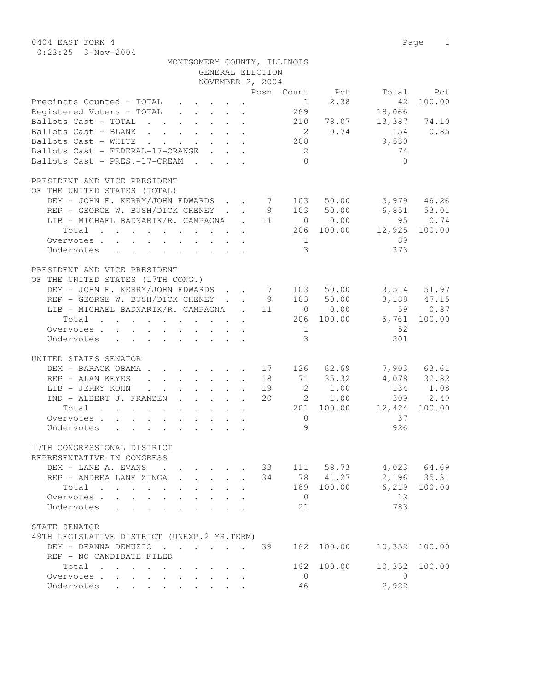0404 EAST FORK 4 Page 1 0:23:25 3-Nov-2004

|                                                                                                                          | MONTGOMERY COUNTY, ILLINOIS                                                                      |                                                              |                  |                |                |                 |              |
|--------------------------------------------------------------------------------------------------------------------------|--------------------------------------------------------------------------------------------------|--------------------------------------------------------------|------------------|----------------|----------------|-----------------|--------------|
|                                                                                                                          |                                                                                                  |                                                              | GENERAL ELECTION |                |                |                 |              |
|                                                                                                                          |                                                                                                  |                                                              | NOVEMBER 2, 2004 |                | Posn Count Pct |                 | Total Pct    |
| Precincts Counted - TOTAL                                                                                                |                                                                                                  |                                                              |                  | 1              | 2.38           | 42              | 100.00       |
| Registered Voters - TOTAL                                                                                                | $\mathbf{r}$ , $\mathbf{r}$ , $\mathbf{r}$ , $\mathbf{r}$                                        |                                                              |                  | 269            |                | 18,066          |              |
| Ballots Cast - TOTAL                                                                                                     |                                                                                                  |                                                              |                  |                | 210 78.07      |                 | 13,387 74.10 |
| Ballots Cast - BLANK                                                                                                     |                                                                                                  |                                                              |                  |                | 2 0.74         | 154             | 0.85         |
| Ballots Cast - WHITE                                                                                                     |                                                                                                  |                                                              |                  | 208            |                | 9,530           |              |
| Ballots Cast - FEDERAL-17-ORANGE                                                                                         |                                                                                                  |                                                              |                  | $\overline{2}$ |                | 74              |              |
| Ballots Cast - PRES.-17-CREAM                                                                                            |                                                                                                  |                                                              |                  | $\Omega$       |                | $\bigcirc$      |              |
| PRESIDENT AND VICE PRESIDENT                                                                                             |                                                                                                  |                                                              |                  |                |                |                 |              |
| OF THE UNITED STATES (TOTAL)                                                                                             |                                                                                                  |                                                              |                  |                |                |                 |              |
| DEM - JOHN F. KERRY/JOHN EDWARDS 7 103 50.00                                                                             |                                                                                                  |                                                              |                  |                |                | 5,979 46.26     |              |
| REP - GEORGE W. BUSH/DICK CHENEY 9 103 50.00                                                                             |                                                                                                  |                                                              |                  |                |                | $6,851$ $53.01$ |              |
| LIB - MICHAEL BADNARIK/R. CAMPAGNA . 11 0 0.00                                                                           |                                                                                                  |                                                              |                  |                |                |                 | 95 0.74      |
| Total<br>. The contract of the contract of the contract of the contract of the contract of the $\mathcal{O}(1)$          |                                                                                                  |                                                              |                  |                | 206 100.00     | 12,925          | 100.00       |
| Overvotes                                                                                                                |                                                                                                  |                                                              |                  | 1              |                | 89              |              |
| Undervotes                                                                                                               |                                                                                                  |                                                              |                  | $\mathcal{E}$  |                | 373             |              |
|                                                                                                                          |                                                                                                  |                                                              |                  |                |                |                 |              |
| PRESIDENT AND VICE PRESIDENT                                                                                             |                                                                                                  |                                                              |                  |                |                |                 |              |
| OF THE UNITED STATES (17TH CONG.)                                                                                        |                                                                                                  |                                                              |                  |                |                |                 |              |
| DEM - JOHN F. KERRY/JOHN EDWARDS 7 103                                                                                   |                                                                                                  |                                                              |                  |                | 50.00          |                 | 3,514 51.97  |
| REP - GEORGE W. BUSH/DICK CHENEY 9 103 50.00                                                                             |                                                                                                  |                                                              |                  |                |                |                 | 3,188 47.15  |
| LIB - MICHAEL BADNARIK/R. CAMPAGNA . 11 0 0.00                                                                           |                                                                                                  |                                                              |                  |                |                |                 | 59 0.87      |
| Total 206 100.00                                                                                                         |                                                                                                  |                                                              |                  |                |                | 6,761           | 100.00       |
| Overvotes.                                                                                                               |                                                                                                  |                                                              |                  | 1              |                | 52              |              |
| Undervotes                                                                                                               |                                                                                                  |                                                              |                  | $\mathcal{S}$  |                | 201             |              |
| UNITED STATES SENATOR                                                                                                    |                                                                                                  |                                                              |                  |                |                |                 |              |
| DEM - BARACK OBAMA 17 126 62.69                                                                                          |                                                                                                  |                                                              |                  |                |                |                 | 7,903 63.61  |
| REP - ALAN KEYES                                                                                                         |                                                                                                  |                                                              | 18               |                | 71 35.32       |                 | 4,078 32.82  |
| LIB - JERRY KOHN                                                                                                         | $\cdot$ $\cdot$ $\cdot$ $\cdot$ $\cdot$ $\cdot$                                                  |                                                              | 19               |                | 2 1.00         |                 | 134 1.08     |
| IND - ALBERT J. FRANZEN                                                                                                  |                                                                                                  |                                                              | 20               |                | 2 1.00         |                 | 309 2.49     |
| Total<br>the contract of the contract of the contract of the contract of the contract of the contract of the contract of |                                                                                                  |                                                              |                  |                | 201 100.00     | 12,424          | 100.00       |
| Overvotes                                                                                                                |                                                                                                  |                                                              |                  | $\circ$        |                | 37              |              |
| Undervotes                                                                                                               |                                                                                                  |                                                              |                  | 9              |                | 926             |              |
|                                                                                                                          |                                                                                                  |                                                              |                  |                |                |                 |              |
| 17TH CONGRESSIONAL DISTRICT                                                                                              |                                                                                                  |                                                              |                  |                |                |                 |              |
| REPRESENTATIVE IN CONGRESS                                                                                               |                                                                                                  |                                                              |                  |                |                |                 |              |
| DEM - LANE A. EVANS                                                                                                      | $\cdot$                                                                                          |                                                              | 33               |                | 111 58.73      |                 | 4,023 64.69  |
| REP - ANDREA LANE ZINGA .                                                                                                | $\mathbf{r} = \mathbf{r} \cdot \mathbf{r}$                                                       | $\mathbf{r}$                                                 | 34               |                | 78 41.27       |                 | 2,196 35.31  |
| Total<br>$\mathbf{r}$ , $\mathbf{r}$ , $\mathbf{r}$ , $\mathbf{r}$ , $\mathbf{r}$                                        | $\ddotsc$<br>$\ddot{\phantom{0}}$<br>$\bullet$ .<br><br><br><br><br><br><br><br><br><br><br><br> | $\ddot{\phantom{0}}$                                         |                  | 189            | 100.00         | 6,219<br>12     | 100.00       |
| Overvotes                                                                                                                |                                                                                                  |                                                              |                  | $\overline{0}$ |                |                 |              |
| Undervotes                                                                                                               | $\ddot{\phantom{a}}$                                                                             |                                                              |                  | 21             |                | 783             |              |
| STATE SENATOR                                                                                                            |                                                                                                  |                                                              |                  |                |                |                 |              |
| 49TH LEGISLATIVE DISTRICT (UNEXP.2 YR.TERM)                                                                              |                                                                                                  |                                                              |                  |                |                |                 |              |
| DEM - DEANNA DEMUZIO                                                                                                     |                                                                                                  |                                                              | 39               | 162            | 100.00         | 10,352          | 100.00       |
| REP - NO CANDIDATE FILED                                                                                                 |                                                                                                  |                                                              |                  |                |                |                 |              |
| Total                                                                                                                    |                                                                                                  | $\cdot$ $\cdot$ $\cdot$ $\cdot$                              |                  | 162            | 100.00         | 10,352          | 100.00       |
| Overvotes                                                                                                                | $\mathbf{L}^{\text{max}}$<br>$\mathbf{L}^{\text{max}}$                                           | $\mathbf{L} = \mathbf{L} \mathbf{L} + \mathbf{L} \mathbf{L}$ |                  | $\mathbf{0}$   |                | $\overline{0}$  |              |
| Undervotes                                                                                                               | $\bullet$ $\bullet$ $\bullet$ $\bullet$ $\bullet$ $\bullet$                                      |                                                              |                  | 46             |                | 2,922           |              |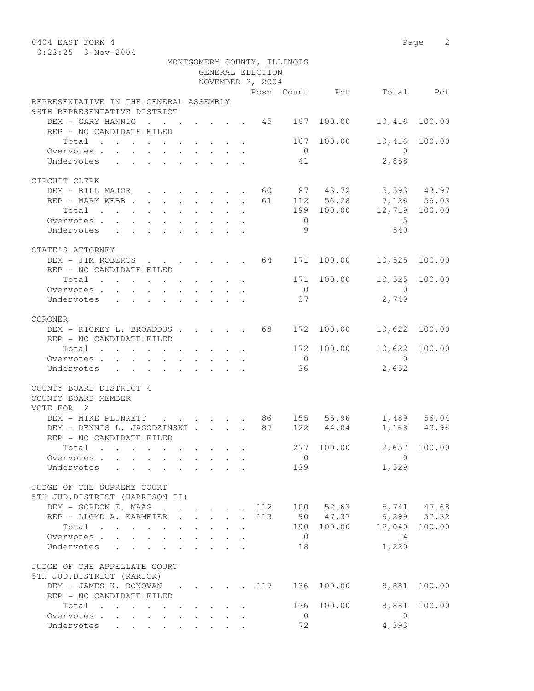0404 EAST FORK 4 Page 2 0:23:25 3-Nov-2004

|                                                                                      |                                                           |                         |             |                | GENERAL ELECTION | MONTGOMERY COUNTY, ILLINOIS |              |                                  |             |
|--------------------------------------------------------------------------------------|-----------------------------------------------------------|-------------------------|-------------|----------------|------------------|-----------------------------|--------------|----------------------------------|-------------|
|                                                                                      |                                                           |                         |             |                | NOVEMBER 2, 2004 |                             |              |                                  |             |
|                                                                                      |                                                           |                         |             |                |                  |                             |              | Posn Count Pct Total Pct         |             |
| REPRESENTATIVE IN THE GENERAL ASSEMBLY                                               |                                                           |                         |             |                |                  |                             |              |                                  |             |
| 98TH REPRESENTATIVE DISTRICT                                                         |                                                           |                         |             |                |                  |                             |              |                                  |             |
| DEM - GARY HANNIG 45 167 100.00                                                      |                                                           |                         |             |                |                  |                             |              | 10,416                           | 100.00      |
| REP - NO CANDIDATE FILED                                                             |                                                           |                         |             |                |                  |                             |              |                                  |             |
| Total 167 100.00                                                                     |                                                           |                         |             |                |                  |                             |              | 10,416 100.00                    |             |
| Overvotes                                                                            |                                                           |                         |             |                |                  | $\overline{0}$              |              | $\overline{0}$                   |             |
| Undervotes                                                                           |                                                           |                         |             |                |                  | 41                          |              | 2,858                            |             |
|                                                                                      |                                                           |                         |             |                |                  |                             |              |                                  |             |
| CIRCUIT CLERK                                                                        |                                                           |                         |             |                |                  |                             |              |                                  |             |
| DEM - BILL MAJOR 60 87 43.72 5,593 43.97<br>REP - MARY WEBB 61 112 56.28 7,126 56.03 |                                                           |                         |             |                |                  |                             |              |                                  |             |
|                                                                                      |                                                           |                         |             |                |                  |                             |              | 199 100.00 12,719 100.00         |             |
| Total                                                                                |                                                           |                         |             |                |                  |                             |              |                                  |             |
| Overvotes.                                                                           |                                                           |                         |             |                |                  | $\overline{0}$              |              | 15                               |             |
| Undervotes                                                                           |                                                           |                         |             |                |                  | $\overline{9}$              |              | 540                              |             |
| STATE'S ATTORNEY                                                                     |                                                           |                         |             |                |                  |                             |              |                                  |             |
|                                                                                      |                                                           |                         |             |                |                  |                             |              |                                  |             |
| DEM - JIM ROBERTS 64 171 100.00<br>REP - NO CANDIDATE FILED                          |                                                           |                         |             |                |                  |                             |              | 10,525 100.00                    |             |
| Total                                                                                |                                                           |                         |             |                |                  |                             | 171 100.00   | 10,525 100.00                    |             |
| Overvotes                                                                            |                                                           |                         |             |                |                  | $\overline{0}$              |              | $\overline{0}$                   |             |
|                                                                                      |                                                           |                         |             |                |                  | 37                          |              | 2,749                            |             |
| Undervotes                                                                           |                                                           |                         |             |                |                  |                             |              |                                  |             |
| CORONER                                                                              |                                                           |                         |             |                |                  |                             |              |                                  |             |
| DEM - RICKEY L. BROADDUS 68                                                          |                                                           |                         |             |                |                  |                             | 172 100.00   | 10,622 100.00                    |             |
| REP - NO CANDIDATE FILED                                                             |                                                           |                         |             |                |                  |                             |              |                                  |             |
| Total $\cdot$                                                                        |                                                           |                         |             |                |                  |                             | 172 100.00   | 10,622 100.00                    |             |
|                                                                                      |                                                           |                         |             |                |                  | $\overline{0}$              |              | $\overline{0}$                   |             |
| Overvotes.<br>Undervotes                                                             |                                                           |                         |             |                |                  | 36                          |              | 2,652                            |             |
|                                                                                      |                                                           |                         |             |                |                  |                             |              |                                  |             |
| COUNTY BOARD DISTRICT 4                                                              |                                                           |                         |             |                |                  |                             |              |                                  |             |
| COUNTY BOARD MEMBER                                                                  |                                                           |                         |             |                |                  |                             |              |                                  |             |
| VOTE FOR 2                                                                           |                                                           |                         |             |                |                  |                             |              |                                  |             |
| DEM - MIKE PLUNKETT<br><b>Contract Contract</b>                                      |                                                           |                         |             |                |                  |                             |              | $\cdot$ 86 155 55.96 1,489 56.04 |             |
| DEM - DENNIS L. JAGODZINSKI                                                          |                                                           |                         |             |                |                  |                             | 87 122 44.04 |                                  | 1,168 43.96 |
| REP - NO CANDIDATE FILED                                                             |                                                           |                         |             |                |                  |                             |              |                                  |             |
| Total                                                                                |                                                           |                         |             |                |                  |                             |              | 277 100.00 2,657 100.00          |             |
| Overvotes.                                                                           |                                                           |                         |             |                |                  | $\overline{0}$              |              | $\Omega$                         |             |
| Undervotes                                                                           |                                                           |                         |             |                |                  | 139                         |              | 1,529                            |             |
|                                                                                      |                                                           |                         |             |                |                  |                             |              |                                  |             |
| JUDGE OF THE SUPREME COURT                                                           |                                                           |                         |             |                |                  |                             |              |                                  |             |
| 5TH JUD.DISTRICT (HARRISON II)                                                       |                                                           |                         |             |                |                  |                             |              |                                  |             |
| DEM - GORDON E. MAAG                                                                 |                                                           |                         |             |                | 112              |                             | 100 52.63    | 5,741 47.68                      |             |
| REP - LLOYD A. KARMEIER                                                              | $\mathbf{r}$ , $\mathbf{r}$ , $\mathbf{r}$ , $\mathbf{r}$ |                         |             |                | 113              |                             | 90 47.37     | $6, 299$ $52.32$                 |             |
| Total                                                                                |                                                           | $\cdot$ $\cdot$ $\cdot$ |             |                |                  |                             | 190 100.00   | 12,040 100.00                    |             |
| Overvotes.                                                                           |                                                           |                         |             |                |                  | $\overline{0}$              |              | 14                               |             |
| Undervotes                                                                           |                                                           |                         | and a state | $\mathbb{Z}^2$ |                  | 18                          |              | 1,220                            |             |
|                                                                                      |                                                           |                         |             |                |                  |                             |              |                                  |             |
| JUDGE OF THE APPELLATE COURT                                                         |                                                           |                         |             |                |                  |                             |              |                                  |             |
| 5TH JUD.DISTRICT (RARICK)                                                            |                                                           |                         |             |                |                  |                             |              |                                  |             |
| DEM - JAMES K. DONOVAN 117                                                           |                                                           |                         |             |                |                  | 136                         | 100.00       | 8,881                            | 100.00      |
| REP - NO CANDIDATE FILED                                                             |                                                           |                         |             |                |                  |                             |              |                                  |             |
| Total                                                                                |                                                           |                         |             |                |                  | 136                         | 100.00       | 8,881                            | 100.00      |
| Overvotes                                                                            |                                                           |                         |             |                |                  | $\overline{0}$              |              | $\overline{0}$                   |             |
| Undervotes                                                                           |                                                           |                         |             |                |                  | 72                          |              | 4,393                            |             |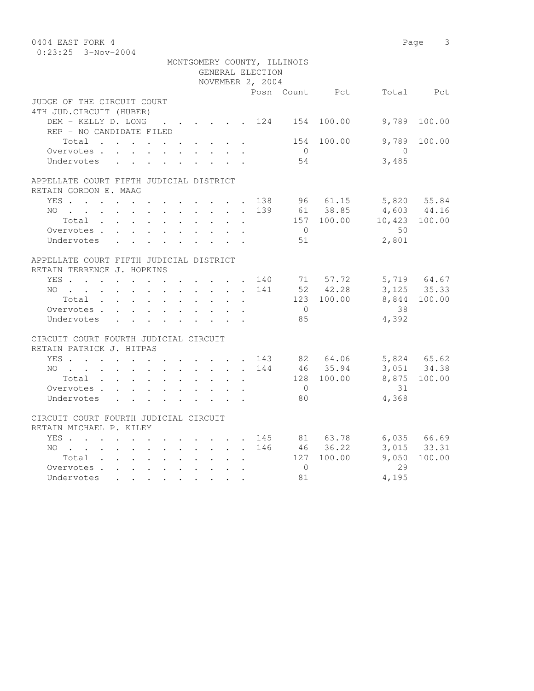| 0404 EAST FORK 4<br>$0:23:25$ 3-Nov-2004 |                                                                                                                                      |              |                           |                      |                               |                                 |                      |                  |                             |                |                          | Page 3          |
|------------------------------------------|--------------------------------------------------------------------------------------------------------------------------------------|--------------|---------------------------|----------------------|-------------------------------|---------------------------------|----------------------|------------------|-----------------------------|----------------|--------------------------|-----------------|
|                                          |                                                                                                                                      |              |                           |                      |                               |                                 |                      |                  | MONTGOMERY COUNTY, ILLINOIS |                |                          |                 |
|                                          |                                                                                                                                      |              |                           |                      |                               |                                 |                      | GENERAL ELECTION |                             |                |                          |                 |
|                                          |                                                                                                                                      |              |                           |                      |                               |                                 |                      | NOVEMBER 2, 2004 |                             |                |                          |                 |
| JUDGE OF THE CIRCUIT COURT               |                                                                                                                                      |              |                           |                      |                               |                                 |                      |                  |                             | Posn Count Pct |                          | Total Pct       |
| 4TH JUD. CIRCUIT (HUBER)                 |                                                                                                                                      |              |                           |                      |                               |                                 |                      |                  |                             |                |                          |                 |
| DEM - KELLY D. LONG 124 154 100.00       |                                                                                                                                      |              |                           |                      |                               |                                 |                      |                  |                             |                | 9,789                    | 100.00          |
| REP - NO CANDIDATE FILED                 |                                                                                                                                      |              |                           |                      |                               |                                 |                      |                  |                             |                |                          |                 |
| Total                                    |                                                                                                                                      |              |                           |                      |                               |                                 |                      |                  |                             | 154 100.00     | 9,789                    | 100.00          |
| Overvotes.                               |                                                                                                                                      |              |                           |                      |                               | $\cdot$ $\cdot$ $\cdot$ $\cdot$ |                      |                  | $\overline{0}$              |                | $\bigcirc$               |                 |
| Undervotes                               |                                                                                                                                      |              |                           |                      |                               |                                 |                      |                  | 54                          |                | 3,485                    |                 |
| APPELLATE COURT FIFTH JUDICIAL DISTRICT  |                                                                                                                                      |              |                           |                      |                               |                                 |                      |                  |                             |                |                          |                 |
| RETAIN GORDON E. MAAG                    |                                                                                                                                      |              |                           |                      |                               |                                 |                      |                  |                             |                |                          |                 |
| YES 138 96 61.15                         |                                                                                                                                      |              |                           |                      |                               |                                 |                      |                  |                             |                |                          | 5,820 55.84     |
| $NO$                                     |                                                                                                                                      |              |                           |                      |                               |                                 |                      |                  |                             | 139 61 38.85   | 4,603 44.16              |                 |
| Total                                    |                                                                                                                                      |              |                           |                      |                               |                                 |                      |                  |                             |                | 157 100.00 10,423 100.00 |                 |
| Overvotes.                               |                                                                                                                                      |              |                           |                      |                               |                                 |                      |                  | $\bigcirc$                  |                | 50                       |                 |
| Undervotes                               |                                                                                                                                      |              |                           |                      |                               |                                 |                      |                  | 51                          |                | 2,801                    |                 |
| APPELLATE COURT FIFTH JUDICIAL DISTRICT  |                                                                                                                                      |              |                           |                      |                               |                                 |                      |                  |                             |                |                          |                 |
| RETAIN TERRENCE J. HOPKINS               |                                                                                                                                      |              |                           |                      |                               |                                 |                      |                  |                             |                |                          |                 |
| YES 140 71 57.72<br>NO 141 52 42.28      |                                                                                                                                      |              |                           |                      |                               |                                 |                      |                  |                             |                |                          | 5,719 64.67     |
|                                          |                                                                                                                                      |              |                           |                      |                               |                                 |                      |                  |                             |                |                          | $3,125$ $35.33$ |
| Total                                    |                                                                                                                                      |              |                           |                      |                               |                                 |                      |                  |                             | 123 100.00     |                          | 8,844 100.00    |
| Overvotes                                |                                                                                                                                      |              |                           |                      |                               |                                 |                      |                  | $\overline{0}$              |                | 38                       |                 |
| Undervotes                               |                                                                                                                                      |              | $\mathbf{r} = \mathbf{r}$ |                      | $\mathbf{r}$ and $\mathbf{r}$ | $\mathcal{L}^{\text{max}}$      | $\mathbf{r}$         |                  | 85                          |                | 4,392                    |                 |
| CIRCUIT COURT FOURTH JUDICIAL CIRCUIT    |                                                                                                                                      |              |                           |                      |                               |                                 |                      |                  |                             |                |                          |                 |
| RETAIN PATRICK J. HITPAS                 |                                                                                                                                      |              |                           |                      |                               |                                 |                      |                  |                             |                |                          |                 |
| YES                                      |                                                                                                                                      |              |                           |                      |                               |                                 |                      | 143              |                             | 82 64.06       | 5,824 65.62              |                 |
| NO                                       | $\mathbf{r} = \mathbf{r} + \mathbf{r}$ , where $\mathbf{r} = \mathbf{r} + \mathbf{r}$ , where $\mathbf{r} = \mathbf{r} + \mathbf{r}$ |              |                           |                      |                               |                                 |                      | 144              |                             | 46 35.94       |                          | 3,051 34.38     |
| Total                                    |                                                                                                                                      |              |                           |                      |                               |                                 | $\mathbf{L}$         |                  |                             | 128 100.00     |                          | 8,875 100.00    |
| Overvotes                                |                                                                                                                                      |              |                           |                      |                               |                                 |                      |                  | $\overline{0}$              |                | 31                       |                 |
| Undervotes                               |                                                                                                                                      | $\mathbf{r}$ | $\ddot{\phantom{0}}$      | $\mathbf{L}$         |                               |                                 |                      |                  | 80                          |                | 4,368                    |                 |
| CIRCUIT COURT FOURTH JUDICIAL CIRCUIT    |                                                                                                                                      |              |                           |                      |                               |                                 |                      |                  |                             |                |                          |                 |
| RETAIN MICHAEL P. KILEY                  |                                                                                                                                      |              |                           |                      |                               |                                 |                      |                  |                             |                |                          |                 |
| YES                                      |                                                                                                                                      |              |                           |                      |                               |                                 |                      | 145              |                             | 81 63.78       |                          | 6,035 66.69     |
| NO                                       |                                                                                                                                      |              |                           |                      |                               |                                 |                      | 146              |                             | 46 36.22       |                          | 3,015 33.31     |
| Total , , , , , , , ,                    |                                                                                                                                      |              |                           |                      |                               | $\ddot{\phantom{0}}$            | $\ddot{\phantom{a}}$ |                  |                             | 127 100.00     | 9,050<br>29              | 100.00          |
| Overvotes.<br>Undervotes                 |                                                                                                                                      |              |                           |                      |                               | $\ddot{\phantom{0}}$            |                      |                  | $\overline{0}$<br>81        |                | 4,195                    |                 |
|                                          |                                                                                                                                      |              |                           | $\ddot{\phantom{0}}$ |                               |                                 |                      |                  |                             |                |                          |                 |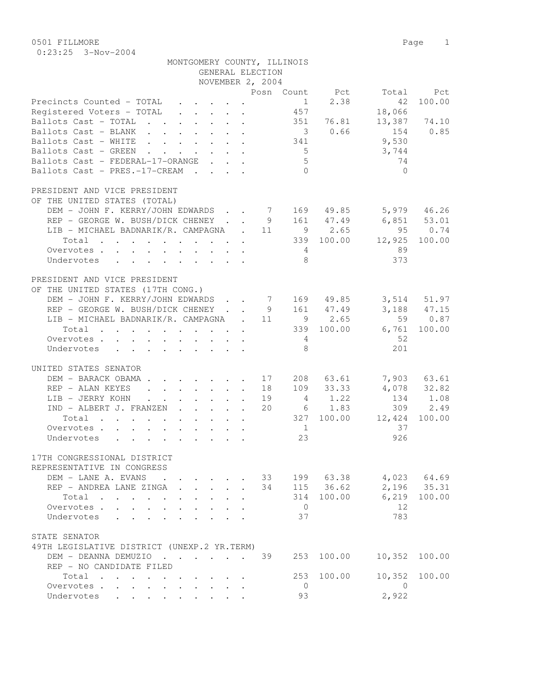0501 FILLMORE 2012 Page 2013 0:23:25 3-Nov-2004

| MONTGOMERY COUNTY, ILLINOIS |  |  |
|-----------------------------|--|--|
| GENERAL ELECTION            |  |  |

|                                                                                              |  | NOVEMBER 2, 2004 |                 |                |                         |               |
|----------------------------------------------------------------------------------------------|--|------------------|-----------------|----------------|-------------------------|---------------|
|                                                                                              |  |                  |                 | Posn Count Pct |                         | Total Pct     |
| Precincts Counted - TOTAL                                                                    |  |                  | $\frac{1}{2}$   | 2.38           | 42                      | 100.00        |
| Registered Voters - TOTAL                                                                    |  |                  | 457             |                | 18,066                  |               |
| Ballots Cast - TOTAL                                                                         |  |                  |                 | 351 76.81      | 13,387 74.10            |               |
| Ballots Cast - BLANK                                                                         |  |                  |                 | 30.66          | 154                     | 0.85          |
| Ballots Cast - WHITE 341                                                                     |  |                  |                 |                | 9,530                   |               |
| Ballots Cast - GREEN                                                                         |  |                  | $5\overline{)}$ |                |                         |               |
|                                                                                              |  |                  | 5 <sup>5</sup>  |                | 3,744<br>74             |               |
| Ballots Cast - FEDERAL-17-ORANGE                                                             |  |                  |                 |                |                         |               |
| Ballots Cast - PRES.-17-CREAM                                                                |  |                  | $\bigcap$       |                | $\bigcap$               |               |
| PRESIDENT AND VICE PRESIDENT                                                                 |  |                  |                 |                |                         |               |
| OF THE UNITED STATES (TOTAL)                                                                 |  |                  |                 |                |                         |               |
| DEM - JOHN F. KERRY/JOHN EDWARDS 7 169 49.85 5,979 46.26                                     |  |                  |                 |                |                         |               |
| REP - GEORGE W. BUSH/DICK CHENEY                                                             |  |                  |                 |                | 9 161 47.49 6,851 53.01 |               |
| LIB - MICHAEL BADNARIK/R. CAMPAGNA . 11                                                      |  |                  |                 | 9 2.65         | 95 0.74                 |               |
| Total 339 100.00 12,925 100.00                                                               |  |                  |                 |                |                         |               |
| Overvotes.                                                                                   |  |                  | 4               |                | 89                      |               |
| Undervotes                                                                                   |  |                  | - 8             |                | 373                     |               |
|                                                                                              |  |                  |                 |                |                         |               |
| PRESIDENT AND VICE PRESIDENT                                                                 |  |                  |                 |                |                         |               |
| OF THE UNITED STATES (17TH CONG.)                                                            |  |                  |                 |                |                         |               |
| DEM - JOHN F. KERRY/JOHN EDWARDS 7 169 49.85                                                 |  |                  |                 |                |                         | 3,514 51.97   |
| REP - GEORGE W. BUSH/DICK CHENEY                                                             |  |                  |                 | 9 161 47.49    |                         | $3,188$ 47.15 |
| LIB - MICHAEL BADNARIK/R. CAMPAGNA . 11                                                      |  |                  |                 | $9 \t 2.65$    |                         | 59 0.87       |
| Total 339 100.00 6,761 100.00                                                                |  |                  |                 |                |                         |               |
| Overvotes.                                                                                   |  |                  | $4\overline{4}$ |                | 52                      |               |
| Undervotes                                                                                   |  |                  | 8               |                | 201                     |               |
|                                                                                              |  |                  |                 |                |                         |               |
| UNITED STATES SENATOR                                                                        |  |                  |                 |                |                         |               |
| DEM - BARACK OBAMA 17                                                                        |  |                  |                 | 208 63.61      |                         | 7,903 63.61   |
| REP - ALAN KEYES                                                                             |  | 18               |                 | 109 33.33      |                         | 4,078 32.82   |
| LIB - JERRY KOHN                                                                             |  | 19               |                 | 4 1.22         | 134 1.08                |               |
| IND - ALBERT J. FRANZEN                                                                      |  | 20               |                 | $6 \t 1.83$    |                         | 309 2.49      |
| Total                                                                                        |  |                  |                 |                | 327 100.00 12,424       | 100.00        |
| Overvotes.                                                                                   |  |                  | 1               |                | 37                      |               |
| Undervotes                                                                                   |  |                  | 23              |                | 926                     |               |
|                                                                                              |  |                  |                 |                |                         |               |
| 17TH CONGRESSIONAL DISTRICT                                                                  |  |                  |                 |                |                         |               |
| REPRESENTATIVE IN CONGRESS                                                                   |  |                  |                 |                |                         |               |
| DEM - LANE A. EVANS<br>$\mathbf{r}$ , and $\mathbf{r}$ , and $\mathbf{r}$ , and $\mathbf{r}$ |  | 33               |                 | 199 63.38      |                         | $4,023$ 64.69 |
| REP - ANDREA LANE ZINGA                                                                      |  | 34               |                 | 115 36.62      |                         | 2,196 35.31   |
| Total                                                                                        |  |                  | 314             | 100.00         |                         | 6,219 100.00  |
| Overvotes.                                                                                   |  |                  | $\overline{0}$  |                | 12                      |               |
| Undervotes                                                                                   |  |                  | 37              |                | 783                     |               |
|                                                                                              |  |                  |                 |                |                         |               |
| STATE SENATOR                                                                                |  |                  |                 |                |                         |               |
| 49TH LEGISLATIVE DISTRICT (UNEXP.2 YR.TERM)                                                  |  |                  |                 |                |                         |               |
| DEM - DEANNA DEMUZIO 39                                                                      |  |                  | 253             | 100.00         |                         | 10,352 100.00 |
| REP - NO CANDIDATE FILED                                                                     |  |                  |                 |                |                         |               |
| Total                                                                                        |  |                  | 253             | 100.00         | 10,352                  | 100.00        |
| Overvotes.                                                                                   |  |                  | $\overline{0}$  |                | $\overline{0}$          |               |
| Undervotes                                                                                   |  |                  | 93              |                | 2,922                   |               |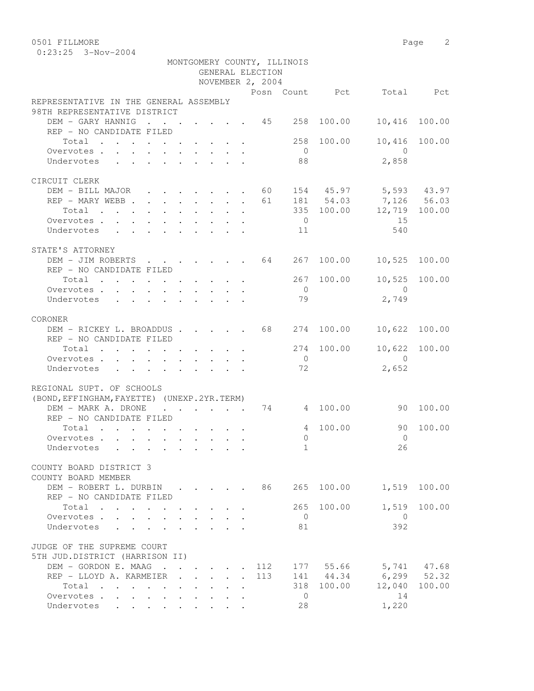| 0501 FILLMORE                                          |                                                                 |                                                                                               |  |                  |                             |                |                       | 2<br>Page |
|--------------------------------------------------------|-----------------------------------------------------------------|-----------------------------------------------------------------------------------------------|--|------------------|-----------------------------|----------------|-----------------------|-----------|
| $0:23:25$ 3-Nov-2004                                   |                                                                 |                                                                                               |  |                  |                             |                |                       |           |
|                                                        |                                                                 |                                                                                               |  |                  | MONTGOMERY COUNTY, ILLINOIS |                |                       |           |
|                                                        |                                                                 |                                                                                               |  | GENERAL ELECTION |                             |                |                       |           |
|                                                        |                                                                 |                                                                                               |  | NOVEMBER 2, 2004 |                             |                |                       |           |
|                                                        |                                                                 |                                                                                               |  |                  |                             | Posn Count Pct |                       | Total Pct |
| REPRESENTATIVE IN THE GENERAL ASSEMBLY                 |                                                                 |                                                                                               |  |                  |                             |                |                       |           |
| 98TH REPRESENTATIVE DISTRICT                           |                                                                 |                                                                                               |  |                  |                             |                |                       |           |
| DEM - GARY HANNIG                                      | <b>Contract Contract</b>                                        | $\cdot$ $\cdot$ $\cdot$                                                                       |  | 45               |                             | 258 100.00     | 10,416                | 100.00    |
| REP - NO CANDIDATE FILED                               |                                                                 |                                                                                               |  |                  |                             |                |                       |           |
| Total                                                  |                                                                 |                                                                                               |  |                  | 258                         | 100.00         | 10,416                | 100.00    |
| Overvotes.                                             |                                                                 |                                                                                               |  |                  | $\bigcirc$                  |                | - 0                   |           |
| Undervotes                                             |                                                                 |                                                                                               |  |                  | 88                          |                | 2,858                 |           |
|                                                        |                                                                 |                                                                                               |  |                  |                             |                |                       |           |
| CIRCUIT CLERK                                          |                                                                 |                                                                                               |  |                  |                             |                |                       |           |
| DEM - BILL MAJOR                                       |                                                                 |                                                                                               |  | 60               |                             |                |                       |           |
|                                                        | $\cdot$ $\cdot$ $\cdot$ $\cdot$ $\cdot$ $\cdot$ $\cdot$ $\cdot$ |                                                                                               |  |                  |                             |                | 154 45.97 5,593 43.97 |           |
| REP - MARY WEBB                                        |                                                                 |                                                                                               |  | 61               |                             |                | 181 54.03 7,126 56.03 |           |
| Total                                                  |                                                                 |                                                                                               |  |                  |                             | 335 100.00     | 12,719 100.00         |           |
| Overvotes.<br>$\mathbf{L} = \mathbf{L} \mathbf{L}$     |                                                                 |                                                                                               |  |                  | $\overline{0}$              |                | 15                    |           |
| Undervotes                                             |                                                                 |                                                                                               |  |                  | 11                          |                | 540                   |           |
| STATE'S ATTORNEY                                       |                                                                 |                                                                                               |  |                  |                             |                |                       |           |
| DEM - JIM ROBERTS                                      |                                                                 |                                                                                               |  | 64               |                             | 267 100.00     | 10,525                | 100.00    |
|                                                        |                                                                 | $\mathbf{r} = \mathbf{r} \cdot \mathbf{r}$ , where $\mathbf{r} = \mathbf{r} \cdot \mathbf{r}$ |  |                  |                             |                |                       |           |
| REP - NO CANDIDATE FILED                               |                                                                 |                                                                                               |  |                  |                             |                |                       |           |
| Total                                                  |                                                                 |                                                                                               |  |                  |                             | 267 100.00     | 10,525                | 100.00    |
| Overvotes                                              |                                                                 |                                                                                               |  |                  | $\bigcirc$                  |                | $\Omega$              |           |
| Undervotes                                             |                                                                 |                                                                                               |  |                  | 79                          |                | 2,749                 |           |
| CORONER                                                |                                                                 |                                                                                               |  |                  |                             |                |                       |           |
| DEM - RICKEY L. BROADDUS 68                            |                                                                 |                                                                                               |  |                  |                             | 274 100.00     | 10,622 100.00         |           |
| REP - NO CANDIDATE FILED                               |                                                                 |                                                                                               |  |                  |                             |                |                       |           |
|                                                        |                                                                 |                                                                                               |  |                  | 274                         | 100.00         |                       | 100.00    |
| Total<br>and a series of the contract of the series of |                                                                 |                                                                                               |  |                  |                             |                | 10,622                |           |
| Overvotes                                              |                                                                 |                                                                                               |  |                  | $\circ$                     |                | $\Omega$              |           |
| Undervotes                                             |                                                                 |                                                                                               |  |                  | 72                          |                | 2,652                 |           |

| REGIONAL SUPT. OF SCHOOLS                                                                                                                                                                              |                                                                          |                                                                                     |  |     |          |                 |                       |             |
|--------------------------------------------------------------------------------------------------------------------------------------------------------------------------------------------------------|--------------------------------------------------------------------------|-------------------------------------------------------------------------------------|--|-----|----------|-----------------|-----------------------|-------------|
| (BOND, EFFINGHAM, FAYETTE) (UNEXP. 2YR. TERM)<br>DEM - MARK A, DRONE<br>$\mathbf{r} = \mathbf{r} \cdot \mathbf{r}$ . The set of $\mathbf{r} = \mathbf{r} \cdot \mathbf{r}$<br>REP - NO CANDIDATE FILED |                                                                          |                                                                                     |  | 74  |          | 4 100.00        | 90                    | 100.00      |
| Total<br>the contract of the contract of the contract of                                                                                                                                               |                                                                          |                                                                                     |  |     | 4        | 100.00          | 90                    | 100.00      |
| Overvotes.                                                                                                                                                                                             |                                                                          |                                                                                     |  |     | $\Omega$ |                 | $\Omega$              |             |
| Undervotes                                                                                                                                                                                             |                                                                          |                                                                                     |  |     | 1        |                 | 26                    |             |
| COUNTY BOARD DISTRICT 3<br>COUNTY BOARD MEMBER                                                                                                                                                         |                                                                          |                                                                                     |  |     |          |                 |                       |             |
| DEM - ROBERT L. DURBIN<br>REP - NO CANDIDATE FILED                                                                                                                                                     | $\mathbf{r}$ , $\mathbf{r}$ , $\mathbf{r}$ , $\mathbf{r}$ , $\mathbf{r}$ |                                                                                     |  | 86  | 265      | 100.00          | 1,519                 | 100.00      |
| Total<br>the contract of the contract of the contract of                                                                                                                                               |                                                                          |                                                                                     |  |     | 265      | 100.00          | 1,519                 | 100.00      |
| Overvotes.                                                                                                                                                                                             |                                                                          |                                                                                     |  |     | $\Omega$ |                 | $\Omega$              |             |
| Undervotes                                                                                                                                                                                             |                                                                          |                                                                                     |  |     | 81       |                 | 392                   |             |
| JUDGE OF THE SUPREME COURT                                                                                                                                                                             |                                                                          |                                                                                     |  |     |          |                 |                       |             |
| 5TH JUD.DISTRICT (HARRISON II)                                                                                                                                                                         |                                                                          |                                                                                     |  |     |          |                 |                       |             |
| DEM - GORDON E. MAAG                                                                                                                                                                                   |                                                                          |                                                                                     |  |     |          | . 112 177 55.66 |                       | 5,741 47.68 |
| REP - LLOYD A. KARMEIER                                                                                                                                                                                |                                                                          |                                                                                     |  | 113 |          |                 | 141 44.34 6,299 52.32 |             |
| Total<br>$\cdots$                                                                                                                                                                                      |                                                                          |                                                                                     |  |     | 318      | 100.00          | 12,040                | 100.00      |
| Overvotes                                                                                                                                                                                              |                                                                          |                                                                                     |  |     | $\Omega$ |                 | 14                    |             |
| Undervotes<br>and a strain and a strain and                                                                                                                                                            |                                                                          | $\bullet$ .<br><br><br><br><br><br><br><br><br><br><br><br><br><br><br><br><br><br> |  |     | 28       |                 | 1,220                 |             |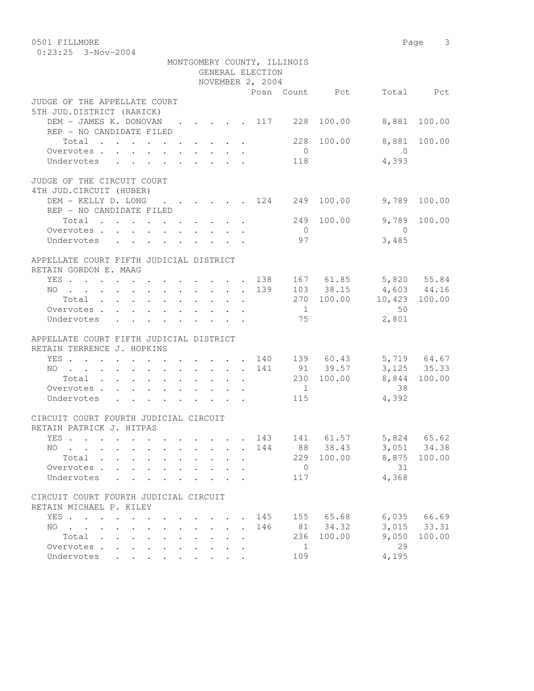| 0501 FILLMORE<br>$0:23:25$ 3-Nov-2004 |                                                                          |                      |  |  |                  |                             |        |          | 3<br>Page |
|---------------------------------------|--------------------------------------------------------------------------|----------------------|--|--|------------------|-----------------------------|--------|----------|-----------|
|                                       |                                                                          |                      |  |  | GENERAL ELECTION | MONTGOMERY COUNTY, ILLINOIS |        |          |           |
|                                       |                                                                          |                      |  |  | NOVEMBER 2, 2004 | Posn Count                  | Pct    | Total    | Pct.      |
| JUDGE OF THE APPELLATE COURT          |                                                                          |                      |  |  |                  |                             |        |          |           |
| 5TH JUD.DISTRICT (RARICK)             |                                                                          |                      |  |  |                  |                             |        |          |           |
| DEM - JAMES K. DONOVAN                |                                                                          |                      |  |  | . 117            | 228                         | 100.00 | 8,881    | 100.00    |
| REP - NO CANDIDATE FILED              |                                                                          |                      |  |  |                  |                             |        |          |           |
| Total                                 | $\mathbf{r}$ , $\mathbf{r}$ , $\mathbf{r}$ , $\mathbf{r}$ , $\mathbf{r}$ |                      |  |  |                  | 228                         | 100.00 | 8,881    | 100.00    |
| Overvotes.<br>$\sim$ $\sim$           |                                                                          | $\ddot{\phantom{a}}$ |  |  |                  | $\Omega$                    |        | $\Omega$ |           |
| Undervotes                            |                                                                          |                      |  |  |                  | 118                         |        | 4,393    |           |
|                                       |                                                                          |                      |  |  |                  |                             |        |          |           |

| Undervotes                                                                                                             |              | $\mathbf{r}$ , and $\mathbf{r}$ , and $\mathbf{r}$ , and $\mathbf{r}$ , and $\mathbf{r}$ |  |                                                                  |  |     | 118               |               | 4,393       |                 |
|------------------------------------------------------------------------------------------------------------------------|--------------|------------------------------------------------------------------------------------------|--|------------------------------------------------------------------|--|-----|-------------------|---------------|-------------|-----------------|
| JUDGE OF THE CIRCUIT COURT<br>4TH JUD. CIRCUIT (HUBER)                                                                 |              |                                                                                          |  |                                                                  |  |     |                   |               |             |                 |
| DEM - KELLY D. LONG 124                                                                                                |              |                                                                                          |  |                                                                  |  |     | 249               | 100.00        | 9,789       | 100.00          |
| REP - NO CANDIDATE FILED                                                                                               |              |                                                                                          |  |                                                                  |  |     |                   | 100.00        | 9,789       | 100.00          |
| Total<br>Overvotes.                                                                                                    |              |                                                                                          |  |                                                                  |  |     | 249<br>$\bigcirc$ |               | $\bigcap$   |                 |
| Undervotes                                                                                                             |              | $\mathbf{r}$ , $\mathbf{r}$ , $\mathbf{r}$ , $\mathbf{r}$ , $\mathbf{r}$ , $\mathbf{r}$  |  |                                                                  |  |     | 97                |               | 3,485       |                 |
|                                                                                                                        |              |                                                                                          |  |                                                                  |  |     |                   |               |             |                 |
| APPELLATE COURT FIFTH JUDICIAL DISTRICT<br>RETAIN GORDON E. MAAG                                                       |              |                                                                                          |  |                                                                  |  |     |                   |               |             |                 |
| YES 138                                                                                                                |              |                                                                                          |  |                                                                  |  |     |                   | 167 61.85     | 5,820 55.84 |                 |
| NO.<br>. 139                                                                                                           |              |                                                                                          |  |                                                                  |  |     |                   | 103 38.15     | 4,603 44.16 |                 |
| Total                                                                                                                  |              |                                                                                          |  |                                                                  |  |     |                   | 270 100.00    | 10,423      | 100.00          |
| Overvotes                                                                                                              |              |                                                                                          |  |                                                                  |  |     | $\overline{1}$    |               | 50          |                 |
| Undervotes                                                                                                             |              | $\mathbf{r}$ , $\mathbf{r}$ , $\mathbf{r}$ , $\mathbf{r}$ , $\mathbf{r}$ , $\mathbf{r}$  |  |                                                                  |  |     | 75                |               | 2,801       |                 |
| APPELLATE COURT FIFTH JUDICIAL DISTRICT<br>RETAIN TERRENCE J. HOPKINS                                                  |              |                                                                                          |  |                                                                  |  |     |                   |               |             |                 |
| YES                                                                                                                    |              |                                                                                          |  |                                                                  |  | 140 |                   | 139 60.43     |             | 5,719 64.67     |
| NO                                                                                                                     |              |                                                                                          |  |                                                                  |  | 141 |                   | 91 39.57      |             | $3,125$ $35.33$ |
| Total                                                                                                                  |              |                                                                                          |  |                                                                  |  |     |                   | 230 100.00    | 8,844       | 100.00          |
| Overvotes                                                                                                              |              |                                                                                          |  |                                                                  |  |     | $\overline{1}$    |               | 38          |                 |
| Undervotes                                                                                                             |              | $\mathbf{r}$ and $\mathbf{r}$ and $\mathbf{r}$ and $\mathbf{r}$ and $\mathbf{r}$         |  |                                                                  |  |     | 115               |               | 4,392       |                 |
| CIRCUIT COURT FOURTH JUDICIAL CIRCUIT                                                                                  |              |                                                                                          |  |                                                                  |  |     |                   |               |             |                 |
| RETAIN PATRICK J. HITPAS                                                                                               |              |                                                                                          |  |                                                                  |  |     |                   |               |             |                 |
| YES 143 141 61.57                                                                                                      |              |                                                                                          |  |                                                                  |  |     |                   |               |             | 5,824 65.62     |
| NO.<br>the contract of the contract of the contract of the contract of the contract of the contract of the contract of |              |                                                                                          |  |                                                                  |  |     |                   | 144 88 38.43  |             | 3,051 34.38     |
| Total                                                                                                                  |              |                                                                                          |  |                                                                  |  |     | 229               | 100.00        | 8,875       | 100.00          |
| Overvotes                                                                                                              |              |                                                                                          |  |                                                                  |  |     | $\overline{0}$    |               | 31          |                 |
| Undervotes                                                                                                             | $\mathbf{L}$ | $\cdot$ $\cdot$ $\cdot$ $\cdot$ $\cdot$ $\cdot$                                          |  | $\mathbf{r} = \mathbf{r} + \mathbf{r} + \mathbf{r} + \mathbf{r}$ |  |     | 117               |               | 4,368       |                 |
|                                                                                                                        |              |                                                                                          |  |                                                                  |  |     |                   |               |             |                 |
| CIRCUIT COURT FOURTH JUDICIAL CIRCUIT                                                                                  |              |                                                                                          |  |                                                                  |  |     |                   |               |             |                 |
| RETAIN MICHAEL P. KILEY                                                                                                |              |                                                                                          |  |                                                                  |  |     |                   |               |             |                 |
| YES                                                                                                                    |              |                                                                                          |  |                                                                  |  |     |                   | 145 155 65.68 |             | 6,035 66.69     |
| NO<br>the contract of the contract of the contract of the contract of the contract of the contract of the contract of  |              |                                                                                          |  |                                                                  |  | 146 |                   | 81 34.32      |             | 3,015 33.31     |
| Total                                                                                                                  |              |                                                                                          |  |                                                                  |  |     | 236               | 100.00        | 9,050       | 100.00          |
| Overvotes                                                                                                              |              |                                                                                          |  |                                                                  |  |     | $\mathbf{1}$      |               | 29          |                 |

Undervotes . . . . . . . . . 109 4,195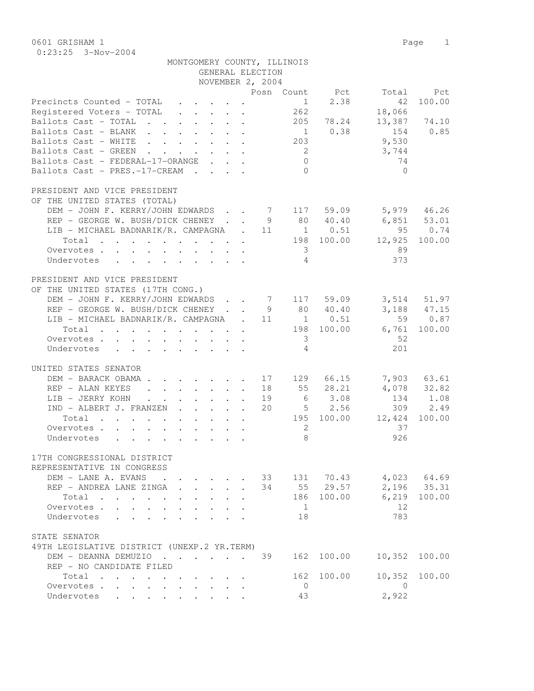0601 GRISHAM 1 Page 1 0:23:25 3-Nov-2004

| GENERAL ELECTION<br>NOVEMBER 2, 2004<br>Posn Count Pct<br>Pct<br>Total<br>2.38<br>100.00<br>Precincts Counted - TOTAL<br>42<br>$\mathbf{r}$ , $\mathbf{r}$ , $\mathbf{r}$ , $\mathbf{r}$ , $\mathbf{r}$<br>$\sim$ 1<br>Registered Voters - TOTAL<br>262<br>18,066<br>$\mathbf{r}$ , $\mathbf{r}$ , $\mathbf{r}$ , $\mathbf{r}$ , $\mathbf{r}$<br>Ballots Cast - TOTAL 205 78.24<br>13,387 74.10<br>$1 \t 0.38$<br>0.85<br>Ballots Cast - BLANK<br>154<br>9,530<br>203<br>Ballots Cast - WHITE<br>3,744<br>Ballots Cast - GREEN<br>$\overline{2}$<br>$\mathbf{r}$ , $\mathbf{r}$ , $\mathbf{r}$<br>74<br>Ballots Cast - FEDERAL-17-ORANGE<br>$\overline{0}$<br>$\mathbf{r} = \mathbf{r} + \mathbf{r}$<br>Ballots Cast - PRES.-17-CREAM<br>$\Omega$<br>$\Omega$<br>PRESIDENT AND VICE PRESIDENT<br>OF THE UNITED STATES (TOTAL)<br>DEM - JOHN F. KERRY/JOHN EDWARDS 7 117 59.09<br>5,979 46.26<br>REP - GEORGE W. BUSH/DICK CHENEY.<br>9 80 40.40<br>6,851 53.01<br>. $11 \t 1 \t 0.51$<br>95<br>0.74<br>LIB - MICHAEL BADNARIK/R. CAMPAGNA<br>198 100.00<br>12,925<br>Total<br>100.00<br>89<br>Overvotes.<br>$\overline{3}$<br>$\overline{4}$<br>373<br>Undervotes<br>$\mathbf{r}$ , and $\mathbf{r}$ , and $\mathbf{r}$ , and $\mathbf{r}$ , and $\mathbf{r}$<br>PRESIDENT AND VICE PRESIDENT<br>OF THE UNITED STATES (17TH CONG.)<br>DEM - JOHN F. KERRY/JOHN EDWARDS<br>7 117 59.09<br>3,514 51.97<br>REP - GEORGE W. BUSH/DICK CHENEY<br>80 40.40<br>3, 188 47. 15<br>9<br>LIB - MICHAEL BADNARIK/R. CAMPAGNA<br>$\cdot$ 11<br>$1 \qquad 0.51$<br>59 0.87<br>198 100.00<br>6,761<br>100.00<br>Total<br>52<br>$\overline{3}$<br>Overvotes.<br>201<br>4<br>Undervotes<br>UNITED STATES SENATOR<br>$\cdot$ 17 129 66.15<br>7,903 63.61<br>DEM - BARACK OBAMA.<br>55 28.21<br>4,078 32.82<br>REP - ALAN KEYES<br>. 18<br>6 3.08<br>134<br>1.08<br>LIB - JERRY KOHN<br>. 19<br>$\mathbf{r}$ , $\mathbf{r}$ , $\mathbf{r}$ , $\mathbf{r}$<br>$\sim$ $\sim$ $\sim$<br>$\ddot{\phantom{0}}$<br>20<br>$5 \t 2.56$<br>309<br>2.49<br>IND - ALBERT J. FRANZEN<br>195 100.00<br>12,424<br>Total<br>100.00<br>37<br>Overvotes<br>2<br>8<br>926<br>Undervotes<br>17TH CONGRESSIONAL DISTRICT<br>REPRESENTATIVE IN CONGRESS<br>131 70.43<br>4,023 64.69<br>DEM - LANE A. EVANS<br>33<br>$\sim$ $\sim$<br>2,196 35.31<br>34<br>55 29.57<br>REP - ANDREA LANE ZINGA<br>186 100.00<br>6,219<br>Total<br>100.00<br>12<br>$\mathbf{1}$<br>Overvotes .<br>783<br>Undervotes<br>18<br>STATE SENATOR<br>49TH LEGISLATIVE DISTRICT (UNEXP.2 YR.TERM)<br>DEM - DEANNA DEMUZIO<br>39<br>162<br>100.00<br>10,352<br>100.00<br>REP - NO CANDIDATE FILED<br>10,352<br>162<br>100.00<br>100.00<br>Total .<br>$\ddot{\phantom{a}}$<br>Overvotes<br>$\overline{0}$<br>$\overline{0}$<br>$\ddot{\phantom{0}}$<br>$\mathbf{L}$ | MONTGOMERY COUNTY, ILLINOIS |    |       |  |
|-------------------------------------------------------------------------------------------------------------------------------------------------------------------------------------------------------------------------------------------------------------------------------------------------------------------------------------------------------------------------------------------------------------------------------------------------------------------------------------------------------------------------------------------------------------------------------------------------------------------------------------------------------------------------------------------------------------------------------------------------------------------------------------------------------------------------------------------------------------------------------------------------------------------------------------------------------------------------------------------------------------------------------------------------------------------------------------------------------------------------------------------------------------------------------------------------------------------------------------------------------------------------------------------------------------------------------------------------------------------------------------------------------------------------------------------------------------------------------------------------------------------------------------------------------------------------------------------------------------------------------------------------------------------------------------------------------------------------------------------------------------------------------------------------------------------------------------------------------------------------------------------------------------------------------------------------------------------------------------------------------------------------------------------------------------------------------------------------------------------------------------------------------------------------------------------------------------------------------------------------------------------------------------------------------------------------------------------------------------------------------------------------------------------------------------------------------------------------------------------------------------------------------------------------------------------------------------------------------------------------------------------------------------------------------------------------------------------------------------------------------------------------------------------------|-----------------------------|----|-------|--|
|                                                                                                                                                                                                                                                                                                                                                                                                                                                                                                                                                                                                                                                                                                                                                                                                                                                                                                                                                                                                                                                                                                                                                                                                                                                                                                                                                                                                                                                                                                                                                                                                                                                                                                                                                                                                                                                                                                                                                                                                                                                                                                                                                                                                                                                                                                                                                                                                                                                                                                                                                                                                                                                                                                                                                                                                 |                             |    |       |  |
|                                                                                                                                                                                                                                                                                                                                                                                                                                                                                                                                                                                                                                                                                                                                                                                                                                                                                                                                                                                                                                                                                                                                                                                                                                                                                                                                                                                                                                                                                                                                                                                                                                                                                                                                                                                                                                                                                                                                                                                                                                                                                                                                                                                                                                                                                                                                                                                                                                                                                                                                                                                                                                                                                                                                                                                                 |                             |    |       |  |
|                                                                                                                                                                                                                                                                                                                                                                                                                                                                                                                                                                                                                                                                                                                                                                                                                                                                                                                                                                                                                                                                                                                                                                                                                                                                                                                                                                                                                                                                                                                                                                                                                                                                                                                                                                                                                                                                                                                                                                                                                                                                                                                                                                                                                                                                                                                                                                                                                                                                                                                                                                                                                                                                                                                                                                                                 |                             |    |       |  |
|                                                                                                                                                                                                                                                                                                                                                                                                                                                                                                                                                                                                                                                                                                                                                                                                                                                                                                                                                                                                                                                                                                                                                                                                                                                                                                                                                                                                                                                                                                                                                                                                                                                                                                                                                                                                                                                                                                                                                                                                                                                                                                                                                                                                                                                                                                                                                                                                                                                                                                                                                                                                                                                                                                                                                                                                 |                             |    |       |  |
|                                                                                                                                                                                                                                                                                                                                                                                                                                                                                                                                                                                                                                                                                                                                                                                                                                                                                                                                                                                                                                                                                                                                                                                                                                                                                                                                                                                                                                                                                                                                                                                                                                                                                                                                                                                                                                                                                                                                                                                                                                                                                                                                                                                                                                                                                                                                                                                                                                                                                                                                                                                                                                                                                                                                                                                                 |                             |    |       |  |
|                                                                                                                                                                                                                                                                                                                                                                                                                                                                                                                                                                                                                                                                                                                                                                                                                                                                                                                                                                                                                                                                                                                                                                                                                                                                                                                                                                                                                                                                                                                                                                                                                                                                                                                                                                                                                                                                                                                                                                                                                                                                                                                                                                                                                                                                                                                                                                                                                                                                                                                                                                                                                                                                                                                                                                                                 |                             |    |       |  |
|                                                                                                                                                                                                                                                                                                                                                                                                                                                                                                                                                                                                                                                                                                                                                                                                                                                                                                                                                                                                                                                                                                                                                                                                                                                                                                                                                                                                                                                                                                                                                                                                                                                                                                                                                                                                                                                                                                                                                                                                                                                                                                                                                                                                                                                                                                                                                                                                                                                                                                                                                                                                                                                                                                                                                                                                 |                             |    |       |  |
|                                                                                                                                                                                                                                                                                                                                                                                                                                                                                                                                                                                                                                                                                                                                                                                                                                                                                                                                                                                                                                                                                                                                                                                                                                                                                                                                                                                                                                                                                                                                                                                                                                                                                                                                                                                                                                                                                                                                                                                                                                                                                                                                                                                                                                                                                                                                                                                                                                                                                                                                                                                                                                                                                                                                                                                                 |                             |    |       |  |
|                                                                                                                                                                                                                                                                                                                                                                                                                                                                                                                                                                                                                                                                                                                                                                                                                                                                                                                                                                                                                                                                                                                                                                                                                                                                                                                                                                                                                                                                                                                                                                                                                                                                                                                                                                                                                                                                                                                                                                                                                                                                                                                                                                                                                                                                                                                                                                                                                                                                                                                                                                                                                                                                                                                                                                                                 |                             |    |       |  |
|                                                                                                                                                                                                                                                                                                                                                                                                                                                                                                                                                                                                                                                                                                                                                                                                                                                                                                                                                                                                                                                                                                                                                                                                                                                                                                                                                                                                                                                                                                                                                                                                                                                                                                                                                                                                                                                                                                                                                                                                                                                                                                                                                                                                                                                                                                                                                                                                                                                                                                                                                                                                                                                                                                                                                                                                 |                             |    |       |  |
|                                                                                                                                                                                                                                                                                                                                                                                                                                                                                                                                                                                                                                                                                                                                                                                                                                                                                                                                                                                                                                                                                                                                                                                                                                                                                                                                                                                                                                                                                                                                                                                                                                                                                                                                                                                                                                                                                                                                                                                                                                                                                                                                                                                                                                                                                                                                                                                                                                                                                                                                                                                                                                                                                                                                                                                                 |                             |    |       |  |
|                                                                                                                                                                                                                                                                                                                                                                                                                                                                                                                                                                                                                                                                                                                                                                                                                                                                                                                                                                                                                                                                                                                                                                                                                                                                                                                                                                                                                                                                                                                                                                                                                                                                                                                                                                                                                                                                                                                                                                                                                                                                                                                                                                                                                                                                                                                                                                                                                                                                                                                                                                                                                                                                                                                                                                                                 |                             |    |       |  |
|                                                                                                                                                                                                                                                                                                                                                                                                                                                                                                                                                                                                                                                                                                                                                                                                                                                                                                                                                                                                                                                                                                                                                                                                                                                                                                                                                                                                                                                                                                                                                                                                                                                                                                                                                                                                                                                                                                                                                                                                                                                                                                                                                                                                                                                                                                                                                                                                                                                                                                                                                                                                                                                                                                                                                                                                 |                             |    |       |  |
|                                                                                                                                                                                                                                                                                                                                                                                                                                                                                                                                                                                                                                                                                                                                                                                                                                                                                                                                                                                                                                                                                                                                                                                                                                                                                                                                                                                                                                                                                                                                                                                                                                                                                                                                                                                                                                                                                                                                                                                                                                                                                                                                                                                                                                                                                                                                                                                                                                                                                                                                                                                                                                                                                                                                                                                                 |                             |    |       |  |
|                                                                                                                                                                                                                                                                                                                                                                                                                                                                                                                                                                                                                                                                                                                                                                                                                                                                                                                                                                                                                                                                                                                                                                                                                                                                                                                                                                                                                                                                                                                                                                                                                                                                                                                                                                                                                                                                                                                                                                                                                                                                                                                                                                                                                                                                                                                                                                                                                                                                                                                                                                                                                                                                                                                                                                                                 |                             |    |       |  |
|                                                                                                                                                                                                                                                                                                                                                                                                                                                                                                                                                                                                                                                                                                                                                                                                                                                                                                                                                                                                                                                                                                                                                                                                                                                                                                                                                                                                                                                                                                                                                                                                                                                                                                                                                                                                                                                                                                                                                                                                                                                                                                                                                                                                                                                                                                                                                                                                                                                                                                                                                                                                                                                                                                                                                                                                 |                             |    |       |  |
|                                                                                                                                                                                                                                                                                                                                                                                                                                                                                                                                                                                                                                                                                                                                                                                                                                                                                                                                                                                                                                                                                                                                                                                                                                                                                                                                                                                                                                                                                                                                                                                                                                                                                                                                                                                                                                                                                                                                                                                                                                                                                                                                                                                                                                                                                                                                                                                                                                                                                                                                                                                                                                                                                                                                                                                                 |                             |    |       |  |
|                                                                                                                                                                                                                                                                                                                                                                                                                                                                                                                                                                                                                                                                                                                                                                                                                                                                                                                                                                                                                                                                                                                                                                                                                                                                                                                                                                                                                                                                                                                                                                                                                                                                                                                                                                                                                                                                                                                                                                                                                                                                                                                                                                                                                                                                                                                                                                                                                                                                                                                                                                                                                                                                                                                                                                                                 |                             |    |       |  |
|                                                                                                                                                                                                                                                                                                                                                                                                                                                                                                                                                                                                                                                                                                                                                                                                                                                                                                                                                                                                                                                                                                                                                                                                                                                                                                                                                                                                                                                                                                                                                                                                                                                                                                                                                                                                                                                                                                                                                                                                                                                                                                                                                                                                                                                                                                                                                                                                                                                                                                                                                                                                                                                                                                                                                                                                 |                             |    |       |  |
|                                                                                                                                                                                                                                                                                                                                                                                                                                                                                                                                                                                                                                                                                                                                                                                                                                                                                                                                                                                                                                                                                                                                                                                                                                                                                                                                                                                                                                                                                                                                                                                                                                                                                                                                                                                                                                                                                                                                                                                                                                                                                                                                                                                                                                                                                                                                                                                                                                                                                                                                                                                                                                                                                                                                                                                                 |                             |    |       |  |
|                                                                                                                                                                                                                                                                                                                                                                                                                                                                                                                                                                                                                                                                                                                                                                                                                                                                                                                                                                                                                                                                                                                                                                                                                                                                                                                                                                                                                                                                                                                                                                                                                                                                                                                                                                                                                                                                                                                                                                                                                                                                                                                                                                                                                                                                                                                                                                                                                                                                                                                                                                                                                                                                                                                                                                                                 |                             |    |       |  |
|                                                                                                                                                                                                                                                                                                                                                                                                                                                                                                                                                                                                                                                                                                                                                                                                                                                                                                                                                                                                                                                                                                                                                                                                                                                                                                                                                                                                                                                                                                                                                                                                                                                                                                                                                                                                                                                                                                                                                                                                                                                                                                                                                                                                                                                                                                                                                                                                                                                                                                                                                                                                                                                                                                                                                                                                 |                             |    |       |  |
|                                                                                                                                                                                                                                                                                                                                                                                                                                                                                                                                                                                                                                                                                                                                                                                                                                                                                                                                                                                                                                                                                                                                                                                                                                                                                                                                                                                                                                                                                                                                                                                                                                                                                                                                                                                                                                                                                                                                                                                                                                                                                                                                                                                                                                                                                                                                                                                                                                                                                                                                                                                                                                                                                                                                                                                                 |                             |    |       |  |
|                                                                                                                                                                                                                                                                                                                                                                                                                                                                                                                                                                                                                                                                                                                                                                                                                                                                                                                                                                                                                                                                                                                                                                                                                                                                                                                                                                                                                                                                                                                                                                                                                                                                                                                                                                                                                                                                                                                                                                                                                                                                                                                                                                                                                                                                                                                                                                                                                                                                                                                                                                                                                                                                                                                                                                                                 |                             |    |       |  |
|                                                                                                                                                                                                                                                                                                                                                                                                                                                                                                                                                                                                                                                                                                                                                                                                                                                                                                                                                                                                                                                                                                                                                                                                                                                                                                                                                                                                                                                                                                                                                                                                                                                                                                                                                                                                                                                                                                                                                                                                                                                                                                                                                                                                                                                                                                                                                                                                                                                                                                                                                                                                                                                                                                                                                                                                 |                             |    |       |  |
|                                                                                                                                                                                                                                                                                                                                                                                                                                                                                                                                                                                                                                                                                                                                                                                                                                                                                                                                                                                                                                                                                                                                                                                                                                                                                                                                                                                                                                                                                                                                                                                                                                                                                                                                                                                                                                                                                                                                                                                                                                                                                                                                                                                                                                                                                                                                                                                                                                                                                                                                                                                                                                                                                                                                                                                                 |                             |    |       |  |
|                                                                                                                                                                                                                                                                                                                                                                                                                                                                                                                                                                                                                                                                                                                                                                                                                                                                                                                                                                                                                                                                                                                                                                                                                                                                                                                                                                                                                                                                                                                                                                                                                                                                                                                                                                                                                                                                                                                                                                                                                                                                                                                                                                                                                                                                                                                                                                                                                                                                                                                                                                                                                                                                                                                                                                                                 |                             |    |       |  |
|                                                                                                                                                                                                                                                                                                                                                                                                                                                                                                                                                                                                                                                                                                                                                                                                                                                                                                                                                                                                                                                                                                                                                                                                                                                                                                                                                                                                                                                                                                                                                                                                                                                                                                                                                                                                                                                                                                                                                                                                                                                                                                                                                                                                                                                                                                                                                                                                                                                                                                                                                                                                                                                                                                                                                                                                 |                             |    |       |  |
|                                                                                                                                                                                                                                                                                                                                                                                                                                                                                                                                                                                                                                                                                                                                                                                                                                                                                                                                                                                                                                                                                                                                                                                                                                                                                                                                                                                                                                                                                                                                                                                                                                                                                                                                                                                                                                                                                                                                                                                                                                                                                                                                                                                                                                                                                                                                                                                                                                                                                                                                                                                                                                                                                                                                                                                                 |                             |    |       |  |
|                                                                                                                                                                                                                                                                                                                                                                                                                                                                                                                                                                                                                                                                                                                                                                                                                                                                                                                                                                                                                                                                                                                                                                                                                                                                                                                                                                                                                                                                                                                                                                                                                                                                                                                                                                                                                                                                                                                                                                                                                                                                                                                                                                                                                                                                                                                                                                                                                                                                                                                                                                                                                                                                                                                                                                                                 |                             |    |       |  |
|                                                                                                                                                                                                                                                                                                                                                                                                                                                                                                                                                                                                                                                                                                                                                                                                                                                                                                                                                                                                                                                                                                                                                                                                                                                                                                                                                                                                                                                                                                                                                                                                                                                                                                                                                                                                                                                                                                                                                                                                                                                                                                                                                                                                                                                                                                                                                                                                                                                                                                                                                                                                                                                                                                                                                                                                 |                             |    |       |  |
|                                                                                                                                                                                                                                                                                                                                                                                                                                                                                                                                                                                                                                                                                                                                                                                                                                                                                                                                                                                                                                                                                                                                                                                                                                                                                                                                                                                                                                                                                                                                                                                                                                                                                                                                                                                                                                                                                                                                                                                                                                                                                                                                                                                                                                                                                                                                                                                                                                                                                                                                                                                                                                                                                                                                                                                                 |                             |    |       |  |
|                                                                                                                                                                                                                                                                                                                                                                                                                                                                                                                                                                                                                                                                                                                                                                                                                                                                                                                                                                                                                                                                                                                                                                                                                                                                                                                                                                                                                                                                                                                                                                                                                                                                                                                                                                                                                                                                                                                                                                                                                                                                                                                                                                                                                                                                                                                                                                                                                                                                                                                                                                                                                                                                                                                                                                                                 |                             |    |       |  |
|                                                                                                                                                                                                                                                                                                                                                                                                                                                                                                                                                                                                                                                                                                                                                                                                                                                                                                                                                                                                                                                                                                                                                                                                                                                                                                                                                                                                                                                                                                                                                                                                                                                                                                                                                                                                                                                                                                                                                                                                                                                                                                                                                                                                                                                                                                                                                                                                                                                                                                                                                                                                                                                                                                                                                                                                 |                             |    |       |  |
|                                                                                                                                                                                                                                                                                                                                                                                                                                                                                                                                                                                                                                                                                                                                                                                                                                                                                                                                                                                                                                                                                                                                                                                                                                                                                                                                                                                                                                                                                                                                                                                                                                                                                                                                                                                                                                                                                                                                                                                                                                                                                                                                                                                                                                                                                                                                                                                                                                                                                                                                                                                                                                                                                                                                                                                                 |                             |    |       |  |
|                                                                                                                                                                                                                                                                                                                                                                                                                                                                                                                                                                                                                                                                                                                                                                                                                                                                                                                                                                                                                                                                                                                                                                                                                                                                                                                                                                                                                                                                                                                                                                                                                                                                                                                                                                                                                                                                                                                                                                                                                                                                                                                                                                                                                                                                                                                                                                                                                                                                                                                                                                                                                                                                                                                                                                                                 |                             |    |       |  |
|                                                                                                                                                                                                                                                                                                                                                                                                                                                                                                                                                                                                                                                                                                                                                                                                                                                                                                                                                                                                                                                                                                                                                                                                                                                                                                                                                                                                                                                                                                                                                                                                                                                                                                                                                                                                                                                                                                                                                                                                                                                                                                                                                                                                                                                                                                                                                                                                                                                                                                                                                                                                                                                                                                                                                                                                 |                             |    |       |  |
|                                                                                                                                                                                                                                                                                                                                                                                                                                                                                                                                                                                                                                                                                                                                                                                                                                                                                                                                                                                                                                                                                                                                                                                                                                                                                                                                                                                                                                                                                                                                                                                                                                                                                                                                                                                                                                                                                                                                                                                                                                                                                                                                                                                                                                                                                                                                                                                                                                                                                                                                                                                                                                                                                                                                                                                                 |                             |    |       |  |
|                                                                                                                                                                                                                                                                                                                                                                                                                                                                                                                                                                                                                                                                                                                                                                                                                                                                                                                                                                                                                                                                                                                                                                                                                                                                                                                                                                                                                                                                                                                                                                                                                                                                                                                                                                                                                                                                                                                                                                                                                                                                                                                                                                                                                                                                                                                                                                                                                                                                                                                                                                                                                                                                                                                                                                                                 |                             |    |       |  |
|                                                                                                                                                                                                                                                                                                                                                                                                                                                                                                                                                                                                                                                                                                                                                                                                                                                                                                                                                                                                                                                                                                                                                                                                                                                                                                                                                                                                                                                                                                                                                                                                                                                                                                                                                                                                                                                                                                                                                                                                                                                                                                                                                                                                                                                                                                                                                                                                                                                                                                                                                                                                                                                                                                                                                                                                 |                             |    |       |  |
|                                                                                                                                                                                                                                                                                                                                                                                                                                                                                                                                                                                                                                                                                                                                                                                                                                                                                                                                                                                                                                                                                                                                                                                                                                                                                                                                                                                                                                                                                                                                                                                                                                                                                                                                                                                                                                                                                                                                                                                                                                                                                                                                                                                                                                                                                                                                                                                                                                                                                                                                                                                                                                                                                                                                                                                                 |                             |    |       |  |
|                                                                                                                                                                                                                                                                                                                                                                                                                                                                                                                                                                                                                                                                                                                                                                                                                                                                                                                                                                                                                                                                                                                                                                                                                                                                                                                                                                                                                                                                                                                                                                                                                                                                                                                                                                                                                                                                                                                                                                                                                                                                                                                                                                                                                                                                                                                                                                                                                                                                                                                                                                                                                                                                                                                                                                                                 |                             |    |       |  |
|                                                                                                                                                                                                                                                                                                                                                                                                                                                                                                                                                                                                                                                                                                                                                                                                                                                                                                                                                                                                                                                                                                                                                                                                                                                                                                                                                                                                                                                                                                                                                                                                                                                                                                                                                                                                                                                                                                                                                                                                                                                                                                                                                                                                                                                                                                                                                                                                                                                                                                                                                                                                                                                                                                                                                                                                 |                             |    |       |  |
|                                                                                                                                                                                                                                                                                                                                                                                                                                                                                                                                                                                                                                                                                                                                                                                                                                                                                                                                                                                                                                                                                                                                                                                                                                                                                                                                                                                                                                                                                                                                                                                                                                                                                                                                                                                                                                                                                                                                                                                                                                                                                                                                                                                                                                                                                                                                                                                                                                                                                                                                                                                                                                                                                                                                                                                                 |                             |    |       |  |
|                                                                                                                                                                                                                                                                                                                                                                                                                                                                                                                                                                                                                                                                                                                                                                                                                                                                                                                                                                                                                                                                                                                                                                                                                                                                                                                                                                                                                                                                                                                                                                                                                                                                                                                                                                                                                                                                                                                                                                                                                                                                                                                                                                                                                                                                                                                                                                                                                                                                                                                                                                                                                                                                                                                                                                                                 |                             |    |       |  |
|                                                                                                                                                                                                                                                                                                                                                                                                                                                                                                                                                                                                                                                                                                                                                                                                                                                                                                                                                                                                                                                                                                                                                                                                                                                                                                                                                                                                                                                                                                                                                                                                                                                                                                                                                                                                                                                                                                                                                                                                                                                                                                                                                                                                                                                                                                                                                                                                                                                                                                                                                                                                                                                                                                                                                                                                 | Undervotes                  | 43 | 2,922 |  |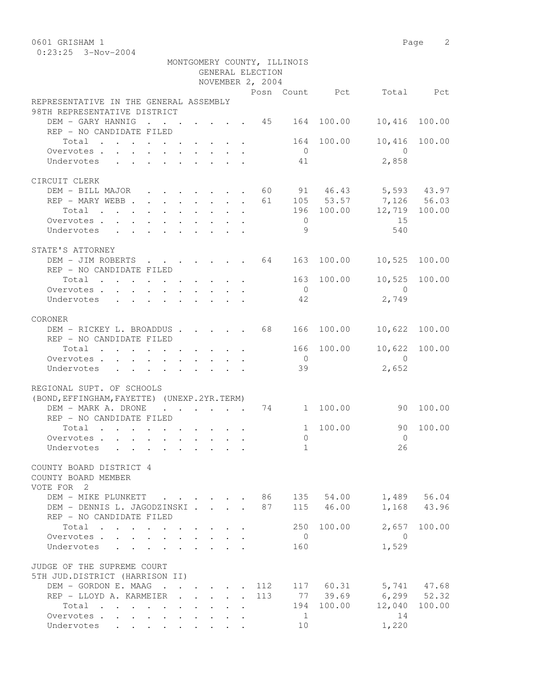0601 GRISHAM 1 Page 2 0:23:25 3-Nov-2004

|                                                                                                                                                    |                                                                       |  | GENERAL ELECTION<br>NOVEMBER 2, 2004 | MONTGOMERY COUNTY, ILLINOIS |                     |                                                                                                      |               |
|----------------------------------------------------------------------------------------------------------------------------------------------------|-----------------------------------------------------------------------|--|--------------------------------------|-----------------------------|---------------------|------------------------------------------------------------------------------------------------------|---------------|
|                                                                                                                                                    |                                                                       |  |                                      |                             |                     | Posn Count Pct Total Pct                                                                             |               |
| REPRESENTATIVE IN THE GENERAL ASSEMBLY<br>98TH REPRESENTATIVE DISTRICT                                                                             |                                                                       |  |                                      |                             |                     |                                                                                                      |               |
| DEM - GARY HANNIG 45 164 100.00<br>REP - NO CANDIDATE FILED                                                                                        |                                                                       |  |                                      |                             |                     | 10,416 100.00                                                                                        |               |
| Total                                                                                                                                              |                                                                       |  |                                      |                             | 164 100.00          |                                                                                                      | 10,416 100.00 |
| Overvotes                                                                                                                                          |                                                                       |  |                                      | $\bigcirc$                  |                     | $\bigcirc$                                                                                           |               |
| Undervotes                                                                                                                                         |                                                                       |  |                                      | 41                          |                     | 2,858                                                                                                |               |
| CIRCUIT CLERK                                                                                                                                      |                                                                       |  |                                      |                             |                     |                                                                                                      |               |
| DEM - BILL MAJOR                                                                                                                                   | $\mathbf{r}$ , and $\mathbf{r}$ , and $\mathbf{r}$ , and $\mathbf{r}$ |  |                                      |                             |                     | 60 91 46.43 5,593 43.97                                                                              |               |
| REP - MARY WEBB                                                                                                                                    |                                                                       |  |                                      |                             |                     |                                                                                                      |               |
| Total                                                                                                                                              |                                                                       |  |                                      |                             |                     | $\begin{array}{cccc} 61 & 105 & 53.57 & 7,126 & 56.03 \\ 196 & 100.00 & 12,719 & 100.00 \end{array}$ |               |
| Overvotes                                                                                                                                          |                                                                       |  |                                      | $\overline{0}$              |                     | 15                                                                                                   |               |
| Undervotes                                                                                                                                         |                                                                       |  |                                      | 9                           |                     | 540                                                                                                  |               |
| STATE'S ATTORNEY                                                                                                                                   |                                                                       |  |                                      |                             |                     |                                                                                                      |               |
| DEM - JIM ROBERTS 64 163                                                                                                                           |                                                                       |  |                                      |                             |                     | 100.00 10,525 100.00                                                                                 |               |
| REP - NO CANDIDATE FILED                                                                                                                           |                                                                       |  |                                      |                             |                     |                                                                                                      |               |
| Total                                                                                                                                              |                                                                       |  |                                      |                             | 163 100.00          | 10,525 100.00                                                                                        |               |
| Overvotes                                                                                                                                          |                                                                       |  |                                      | $\overline{0}$              |                     | $\overline{0}$                                                                                       |               |
| $\mathbf{r} = \mathbf{r} - \mathbf{r}$ , where $\mathbf{r} = \mathbf{r} - \mathbf{r}$ , where $\mathbf{r} = \mathbf{r} - \mathbf{r}$<br>Undervotes |                                                                       |  |                                      | 42                          |                     | 2,749                                                                                                |               |
| CORONER                                                                                                                                            |                                                                       |  |                                      |                             |                     |                                                                                                      |               |
| DEM - RICKEY L. BROADDUS 68                                                                                                                        |                                                                       |  |                                      | 166                         | 100.00              | 10,622                                                                                               | 100.00        |
| REP - NO CANDIDATE FILED                                                                                                                           |                                                                       |  |                                      |                             |                     |                                                                                                      |               |
| Total                                                                                                                                              |                                                                       |  |                                      | 166                         | 100.00              | 10,622 100.00                                                                                        |               |
| Overvotes                                                                                                                                          |                                                                       |  |                                      | $\overline{0}$              |                     | $\Omega$                                                                                             |               |
| Undervotes                                                                                                                                         |                                                                       |  |                                      | 39                          |                     | 2,652                                                                                                |               |
| REGIONAL SUPT. OF SCHOOLS                                                                                                                          |                                                                       |  |                                      |                             |                     |                                                                                                      |               |
| (BOND, EFFINGHAM, FAYETTE) (UNEXP. 2YR. TERM)                                                                                                      |                                                                       |  |                                      |                             |                     |                                                                                                      |               |
| DEM - MARK A. DRONE                                                                                                                                |                                                                       |  |                                      |                             | $\cdot$ 74 1 100.00 | 90 100.00                                                                                            |               |
| REP - NO CANDIDATE FILED                                                                                                                           |                                                                       |  |                                      |                             |                     |                                                                                                      |               |
| Total                                                                                                                                              |                                                                       |  |                                      | 1                           | 100.00              | 90                                                                                                   | 100.00        |
| Overvotes.                                                                                                                                         |                                                                       |  |                                      | $\bigcap$                   |                     | $\Omega$                                                                                             |               |
| Undervotes<br>$\mathcal{L}^{\mathcal{A}}$ , and $\mathcal{L}^{\mathcal{A}}$ , and $\mathcal{L}^{\mathcal{A}}$                                      | <b>Contract Contract Contract</b>                                     |  |                                      | 1                           |                     | 26                                                                                                   |               |
| COUNTY BOARD DISTRICT 4<br>COUNTY BOARD MEMBER                                                                                                     |                                                                       |  |                                      |                             |                     |                                                                                                      |               |
| VOTE FOR 2                                                                                                                                         |                                                                       |  |                                      |                             |                     |                                                                                                      |               |
| DEM - MIKE PLUNKETT 86 135 54.00                                                                                                                   |                                                                       |  |                                      |                             |                     |                                                                                                      | 1,489 56.04   |
| DEM - DENNIS L. JAGODZINSKI                                                                                                                        |                                                                       |  |                                      |                             | 87 115 46.00        |                                                                                                      | 1,168 43.96   |
| REP - NO CANDIDATE FILED                                                                                                                           |                                                                       |  |                                      | 250                         | 100.00              |                                                                                                      | 2,657 100.00  |
| Total<br>Overvotes                                                                                                                                 |                                                                       |  |                                      | $\overline{0}$              |                     | $\overline{0}$                                                                                       |               |
| Undervotes                                                                                                                                         |                                                                       |  |                                      | 160                         |                     | 1,529                                                                                                |               |
| JUDGE OF THE SUPREME COURT                                                                                                                         |                                                                       |  |                                      |                             |                     |                                                                                                      |               |
| 5TH JUD.DISTRICT (HARRISON II)<br>DEM - GORDON E. MAAG 112 117 60.31 5,741 47.68                                                                   |                                                                       |  |                                      |                             |                     |                                                                                                      |               |
| REP - LLOYD A. KARMEIER 113 77 39.69 6,299 52.32                                                                                                   |                                                                       |  |                                      |                             |                     |                                                                                                      |               |
| Total                                                                                                                                              |                                                                       |  |                                      |                             | 194 100.00          | 12,040 100.00                                                                                        |               |
| Overvotes.                                                                                                                                         |                                                                       |  |                                      | $\overline{1}$              |                     | 14                                                                                                   |               |
| Undervotes                                                                                                                                         |                                                                       |  |                                      | 10 <sup>°</sup>             |                     | 1,220                                                                                                |               |
|                                                                                                                                                    |                                                                       |  |                                      |                             |                     |                                                                                                      |               |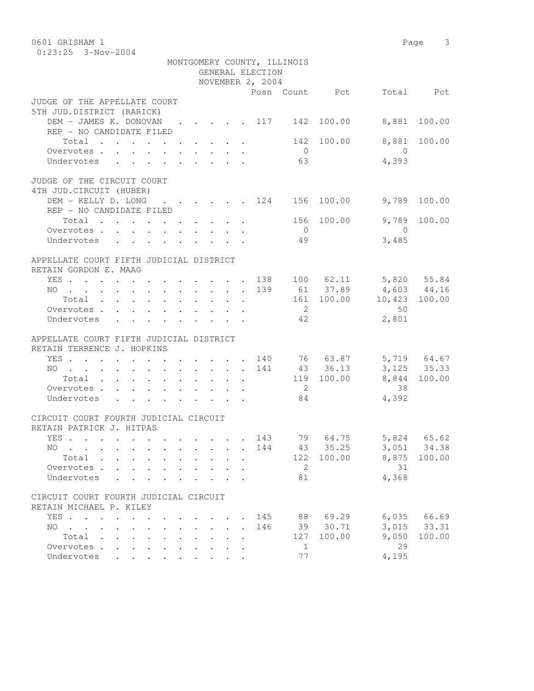| 0601 GRISHAM 1                                                                                                                               |             |                             |                            |                         |                      | Page 3       |
|----------------------------------------------------------------------------------------------------------------------------------------------|-------------|-----------------------------|----------------------------|-------------------------|----------------------|--------------|
| $0:23:25$ 3-Nov-2004                                                                                                                         |             |                             |                            |                         |                      |              |
|                                                                                                                                              |             | MONTGOMERY COUNTY, ILLINOIS |                            |                         |                      |              |
|                                                                                                                                              |             | GENERAL ELECTION            |                            |                         |                      |              |
|                                                                                                                                              |             | NOVEMBER 2, 2004            |                            |                         |                      |              |
|                                                                                                                                              |             |                             |                            | Posn Count Pct          |                      | Total Pct    |
| JUDGE OF THE APPELLATE COURT                                                                                                                 |             |                             |                            |                         |                      |              |
| 5TH JUD.DISTRICT (RARICK)                                                                                                                    |             |                             |                            |                         |                      |              |
| DEM - JAMES K. DONOVAN                                                                                                                       |             |                             |                            | 142 100.00              | 8,881                | 100.00       |
| REP - NO CANDIDATE FILED                                                                                                                     |             |                             |                            |                         |                      |              |
| Total                                                                                                                                        |             |                             | 142                        | 100.00                  | 8,881                | 100.00       |
| Overvotes.                                                                                                                                   |             |                             | $\overline{0}$             |                         | $\overline{0}$       |              |
| Undervotes                                                                                                                                   |             |                             | 63                         |                         | 4,393                |              |
| JUDGE OF THE CIRCUIT COURT                                                                                                                   |             |                             |                            |                         |                      |              |
| 4TH JUD. CIRCUIT (HUBER)                                                                                                                     |             |                             |                            |                         |                      |              |
| DEM - KELLY D. LONG                                                                                                                          |             |                             |                            | . 124 156 100.00        | 9,789                | 100.00       |
| REP - NO CANDIDATE FILED                                                                                                                     |             |                             |                            |                         |                      |              |
| Total                                                                                                                                        |             |                             |                            | 156 100.00              | 9,789                | 100.00       |
| Overvotes                                                                                                                                    |             |                             | $\overline{0}$             |                         | $\bigcirc$           |              |
| Undervotes                                                                                                                                   |             |                             | 49                         |                         | 3,485                |              |
|                                                                                                                                              |             |                             |                            |                         |                      |              |
| APPELLATE COURT FIFTH JUDICIAL DISTRICT                                                                                                      |             |                             |                            |                         |                      |              |
| RETAIN GORDON E. MAAG                                                                                                                        |             |                             |                            |                         |                      |              |
| YES 138 100 62.11 5,820 55.84                                                                                                                |             |                             |                            |                         |                      |              |
| NO                                                                                                                                           |             | 139                         |                            | 61 37.89                | 4,603 44.16          |              |
| Total                                                                                                                                        |             |                             |                            | $161 \t100.00 \t10.423$ |                      | 100.00       |
| Overvotes.                                                                                                                                   |             |                             | $\overline{2}$             |                         | 50                   |              |
| Undervotes                                                                                                                                   |             |                             | 42                         |                         | 2,801                |              |
| APPELLATE COURT FIFTH JUDICIAL DISTRICT                                                                                                      |             |                             |                            |                         |                      |              |
| RETAIN TERRENCE J. HOPKINS                                                                                                                   |             |                             |                            |                         |                      |              |
| YES 140                                                                                                                                      |             |                             |                            |                         | 76 63.87 5,719 64.67 |              |
| NO 141                                                                                                                                       |             |                             |                            | 43 36.13                |                      | 3, 125 35.33 |
| Total                                                                                                                                        |             |                             |                            | 119 100.00              |                      | 8,844 100.00 |
| Overvotes.                                                                                                                                   |             |                             | $\overline{\phantom{0}}^2$ |                         | 38                   |              |
| Undervotes                                                                                                                                   |             |                             | 84                         |                         | 4,392                |              |
|                                                                                                                                              |             |                             |                            |                         |                      |              |
| CIRCUIT COURT FOURTH JUDICIAL CIRCUIT                                                                                                        |             |                             |                            |                         |                      |              |
| RETAIN PATRICK J. HITPAS                                                                                                                     |             |                             |                            |                         |                      |              |
| YES                                                                                                                                          |             | 143                         | 79                         | 64.75                   | 5,824                | 65.62        |
| NO .<br>$\overline{a}$                                                                                                                       |             | 144<br>$\ddot{\phantom{a}}$ | 43                         | 35.25                   | 3,051                | 34.38        |
| Total .                                                                                                                                      |             |                             | 122                        | 100.00                  | 8,875                | 100.00       |
| Overvotes .                                                                                                                                  |             |                             | 2                          |                         | 31                   |              |
| Undervotes                                                                                                                                   |             |                             | 81                         |                         | 4,368                |              |
|                                                                                                                                              |             |                             |                            |                         |                      |              |
| CIRCUIT COURT FOURTH JUDICIAL CIRCUIT                                                                                                        |             |                             |                            |                         |                      |              |
| RETAIN MICHAEL P. KILEY                                                                                                                      |             |                             |                            |                         |                      |              |
| YES                                                                                                                                          |             | 145                         | 88                         | 69.29                   | 6,035                | 66.69        |
| NO.<br>$\mathbf{r}$ , $\mathbf{r}$ , $\mathbf{r}$ , $\mathbf{r}$<br>$\sim$<br>$\ddot{\phantom{a}}$                                           | $\bullet$ . | 146<br>$\ddot{\phantom{a}}$ | 39                         | 30.71                   | 3,015                | 33.31        |
| Total<br>$\bullet$ .<br><br><br><br><br><br><br><br><br><br><br><br><br>$\ddot{\phantom{a}}$<br>$\ddot{\phantom{a}}$<br>$\ddot{\phantom{a}}$ |             |                             | 127                        | 100.00                  | 9,050                | 100.00       |
| Overvotes<br>$\sim$<br>$\ddot{\phantom{a}}$                                                                                                  |             |                             | $\mathbf{1}$               |                         | 29                   |              |
| Undervotes<br><b>College</b>                                                                                                                 |             |                             | 77                         |                         | 4,195                |              |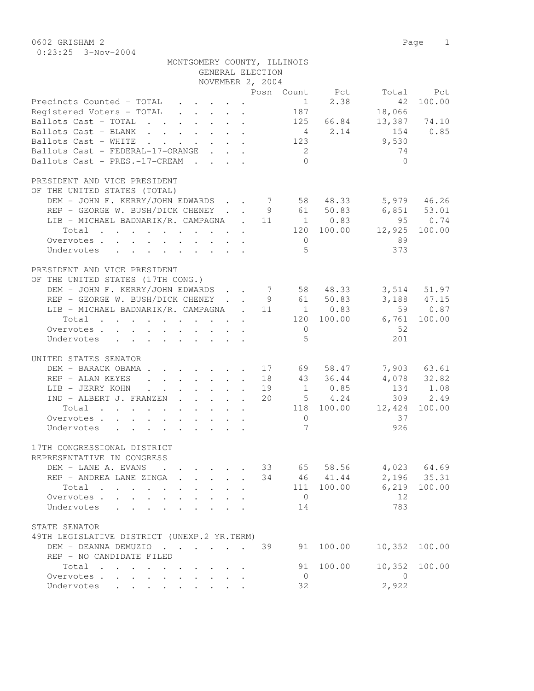| 0602 GRISHAM 2<br>$0:23:25$ 3-Nov-2004                                                                                                     |                            |                 |             |             | Page<br>1   |
|--------------------------------------------------------------------------------------------------------------------------------------------|----------------------------|-----------------|-------------|-------------|-------------|
| MONTGOMERY COUNTY, ILLINOIS                                                                                                                |                            |                 |             |             |             |
|                                                                                                                                            | GENERAL ELECTION           |                 |             |             |             |
| NOVEMBER 2, 2004                                                                                                                           |                            |                 |             |             |             |
|                                                                                                                                            | Posn Count                 |                 | Pct         | Total       | Pct         |
| Precincts Counted - TOTAL<br>$\cdot$ $\cdot$ $\cdot$ $\cdot$                                                                               |                            | $\mathbf{1}$    | 2.38        | 42          | 100.00      |
| Registered Voters - TOTAL<br>$\cdot$ $\cdot$ $\cdot$                                                                                       |                            | 187             |             | 18,066      |             |
| Ballots Cast - TOTAL<br>$\mathbf{r}$ , $\mathbf{r}$<br>$\cdot$ $\cdot$ $\cdot$<br>$\ddot{\phantom{0}}$                                     |                            | 125             | 66.84       | 13,387      | 74.10       |
| Ballots Cast - BLANK                                                                                                                       |                            | $4\overline{4}$ | 2.14        | 154         | 0.85        |
| Ballots Cast - WHITE                                                                                                                       |                            | 123             |             | 9,530       |             |
| Ballots Cast - FEDERAL-17-ORANGE                                                                                                           |                            | -2              |             | 74          |             |
| Ballots Cast - PRES.-17-CREAM<br>$\mathbf{L}$<br><b>Contract Contract</b><br>$\mathbf{L}$                                                  | $\ddot{\phantom{a}}$       | $\bigcap$       |             | $\Omega$    |             |
| PRESIDENT AND VICE PRESIDENT                                                                                                               |                            |                 |             |             |             |
| OF THE UNITED STATES (TOTAL)                                                                                                               |                            |                 |             |             |             |
| DEM - JOHN F. KERRY/JOHN EDWARDS.                                                                                                          | $\overline{7}$             |                 | 58 48.33    |             | 5,979 46.26 |
| REP - GEORGE W. BUSH/DICK CHENEY .                                                                                                         | 9                          | 61              | 50.83       | 6,851       | 53.01       |
| LIB - MICHAEL BADNARIK/R. CAMPAGNA                                                                                                         | 11<br>$\overline{a}$       |                 | $1 \t 0.83$ | 95          | 0.74        |
| Total .<br>$\mathbf{r}$ , $\mathbf{r}$ , $\mathbf{r}$                                                                                      |                            | 120             | 100.00      | 12,925      | 100.00      |
| Overvotes .<br>$\mathbf{L}$<br>$\mathbf{L}$<br>$\mathbf{L}$<br>$\sim$<br>$\ddot{\phantom{0}}$<br>$\sim$                                    |                            | $\overline{0}$  |             | 89          |             |
| Undervotes<br>$\mathbf{r} = \mathbf{r}$<br>$\mathbf{r} = \mathbf{r} + \mathbf{r} + \mathbf{r}$<br>$\mathbf{r}$<br>$\sim$                   |                            | $\overline{5}$  |             | 373         |             |
|                                                                                                                                            |                            |                 |             |             |             |
| PRESIDENT AND VICE PRESIDENT                                                                                                               |                            |                 |             |             |             |
| OF THE UNITED STATES (17TH CONG.)                                                                                                          |                            |                 |             |             |             |
| DEM - JOHN F. KERRY/JOHN EDWARDS                                                                                                           | $\overline{7}$             |                 | 58 48.33    | 3,514       | 51.97       |
| REP - GEORGE W. BUSH/DICK CHENEY                                                                                                           | - 9                        |                 | 61 50.83    | 3,188       | 47.15       |
| LIB - MICHAEL BADNARIK/R. CAMPAGNA                                                                                                         | 11                         |                 | $1 \t 0.83$ | 59          | 0.87        |
| Total                                                                                                                                      |                            | 120             | 100.00      | 6,761       | 100.00      |
| Overvotes.<br>$\mathbf{L}$<br>$\sim$                                                                                                       |                            | $\mathbf 0$     |             | 52          |             |
| Undervotes<br>$\mathbf{L} = \mathbf{L}$<br>$\mathbf{L}$<br>$\mathbf{r} = \mathbf{r}$ , $\mathbf{r} = \mathbf{r}$<br>$\mathbf{L}$<br>$\sim$ | $\mathbf{r}$               | 5               |             | 201         |             |
| UNITED STATES SENATOR                                                                                                                      |                            |                 |             |             |             |
| DEM - BARACK OBAMA .<br>$\sim$<br>$\mathbf{L} = \mathbf{L}$                                                                                | $\cdot$ 17                 | 69              | 58.47       |             | 7,903 63.61 |
| REP - ALAN KEYES<br>$\mathbf{L}^{\text{max}}$<br>$\ddot{\phantom{0}}$                                                                      | $\cdot$ $\cdot$ $\cdot$ 18 |                 | 43 36.44    | 4,078       | 32.82       |
| LIB - JERRY KOHN<br>$\ddot{\phantom{0}}$<br>$\ddot{\phantom{0}}$<br>$\ddot{\phantom{0}}$<br>$\ddot{\phantom{0}}$<br>$\ddot{\phantom{0}}$   | 19                         |                 | 1 0.85      | 134         | 1.08        |
| IND - ALBERT J. FRANZEN                                                                                                                    | 20                         |                 | $5 \t 4.24$ | 309         | 2.49        |
| Total<br>$\sim$<br>$\mathbf{L}$                                                                                                            |                            | 118             | 100.00      | 12,424      | 100.00      |
| Overvotes .<br>$\cdot$                                                                                                                     |                            | $\Omega$        |             | 37          |             |
| Undervotes                                                                                                                                 |                            | 7               |             | 926         |             |
|                                                                                                                                            |                            |                 |             |             |             |
| 17TH CONGRESSIONAL DISTRICT                                                                                                                |                            |                 |             |             |             |
| REPRESENTATIVE IN CONGRESS                                                                                                                 |                            |                 |             |             |             |
| DEM - LANE A. EVANS                                                                                                                        | 33                         | 65              | 58.56       | 4,023       | 64.69       |
| REP - ANDREA LANE ZINGA                                                                                                                    | 34                         | 46              | 41.44       | 2,196       | 35.31       |
| Total<br>Overvotes                                                                                                                         |                            | 111<br>$\Omega$ | 100.00      | 6,219<br>12 | 100.00      |
|                                                                                                                                            |                            |                 |             |             |             |

STATE SENATOR

| STATE SENATOR                               |  |  |  |  |  |    |           |               |  |
|---------------------------------------------|--|--|--|--|--|----|-----------|---------------|--|
| 49TH LEGISLATIVE DISTRICT (UNEXP.2 YR.TERM) |  |  |  |  |  |    |           |               |  |
|                                             |  |  |  |  |  |    |           | 10,352 100.00 |  |
| REP - NO CANDIDATE FILED                    |  |  |  |  |  |    |           |               |  |
| Total                                       |  |  |  |  |  |    | 91 100.00 | 10,352 100.00 |  |
| Overvotes.                                  |  |  |  |  |  | () |           |               |  |
| Undervotes                                  |  |  |  |  |  | 32 |           | 2,922         |  |

Overvotes . . . . . . . . . . 0 12<br>
Undervotes . . . . . . . . . 14 783 Undervotes . . . . . . . . 14 783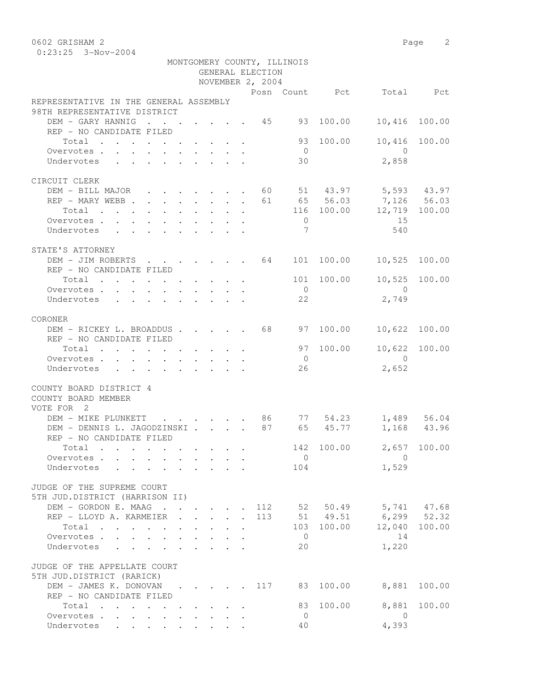0602 GRISHAM 2 Page 2 0:23:25 3-Nov-2004

|                                                                                                                                                                                                                                            |  |  |                  | MONTGOMERY COUNTY, ILLINOIS |            |                          |               |
|--------------------------------------------------------------------------------------------------------------------------------------------------------------------------------------------------------------------------------------------|--|--|------------------|-----------------------------|------------|--------------------------|---------------|
|                                                                                                                                                                                                                                            |  |  | GENERAL ELECTION |                             |            |                          |               |
|                                                                                                                                                                                                                                            |  |  | NOVEMBER 2, 2004 |                             |            |                          |               |
|                                                                                                                                                                                                                                            |  |  |                  |                             |            | Posn Count Pct Total Pct |               |
| REPRESENTATIVE IN THE GENERAL ASSEMBLY                                                                                                                                                                                                     |  |  |                  |                             |            |                          |               |
| 98TH REPRESENTATIVE DISTRICT                                                                                                                                                                                                               |  |  |                  |                             |            |                          |               |
| DEM - GARY HANNIG 45                                                                                                                                                                                                                       |  |  |                  | 93                          | 100.00     |                          | 10,416 100.00 |
| REP - NO CANDIDATE FILED                                                                                                                                                                                                                   |  |  |                  |                             |            |                          |               |
| Total                                                                                                                                                                                                                                      |  |  |                  | 93                          | 100.00     |                          | 10,416 100.00 |
| Overvotes.                                                                                                                                                                                                                                 |  |  |                  | $\overline{0}$              |            | $\overline{0}$           |               |
| Undervotes                                                                                                                                                                                                                                 |  |  |                  | 30                          |            | 2,858                    |               |
| CIRCUIT CLERK                                                                                                                                                                                                                              |  |  |                  |                             |            |                          |               |
| DEM - BILL MAJOR 60 51 43.97 5,593 43.97                                                                                                                                                                                                   |  |  |                  |                             |            |                          |               |
| REP - MARY WEBB                                                                                                                                                                                                                            |  |  |                  |                             |            | 61 65 56.03 7,126 56.03  |               |
| Total $\cdot$                                                                                                                                                                                                                              |  |  |                  |                             |            | 116 100.00 12,719 100.00 |               |
| Overvotes                                                                                                                                                                                                                                  |  |  |                  | $\overline{0}$              |            | 15                       |               |
| Undervotes                                                                                                                                                                                                                                 |  |  |                  | $7\phantom{.0}$             |            | 540                      |               |
| STATE'S ATTORNEY                                                                                                                                                                                                                           |  |  |                  |                             |            |                          |               |
| DEM - JIM ROBERTS 64                                                                                                                                                                                                                       |  |  |                  | 101                         | 100.00     |                          | 10,525 100.00 |
| REP - NO CANDIDATE FILED                                                                                                                                                                                                                   |  |  |                  |                             |            |                          |               |
| Total                                                                                                                                                                                                                                      |  |  |                  | 101                         | 100.00     |                          | 10,525 100.00 |
| Overvotes.                                                                                                                                                                                                                                 |  |  |                  | $\overline{0}$              |            | $\overline{0}$           |               |
| Undervotes                                                                                                                                                                                                                                 |  |  |                  | 22                          |            | 2,749                    |               |
|                                                                                                                                                                                                                                            |  |  |                  |                             |            |                          |               |
| CORONER                                                                                                                                                                                                                                    |  |  |                  |                             |            |                          |               |
| DEM - RICKEY L. BROADDUS                                                                                                                                                                                                                   |  |  | 68               | 97                          | 100.00     |                          | 10,622 100.00 |
| REP - NO CANDIDATE FILED                                                                                                                                                                                                                   |  |  |                  |                             |            |                          |               |
| Total                                                                                                                                                                                                                                      |  |  |                  | 97                          | 100.00     |                          | 10,622 100.00 |
| Overvotes                                                                                                                                                                                                                                  |  |  |                  | $\overline{0}$              |            | $\Omega$                 |               |
| Undervotes                                                                                                                                                                                                                                 |  |  |                  | 26                          |            | 2,652                    |               |
| COUNTY BOARD DISTRICT 4<br>COUNTY BOARD MEMBER<br>VOTE FOR 2                                                                                                                                                                               |  |  |                  |                             |            |                          |               |
| DEM - MIKE PLUNKETT<br>$\cdot$ $\cdot$ $\cdot$ $\cdot$ $\cdot$ $\cdot$ 86                                                                                                                                                                  |  |  |                  |                             | 77 54.23   | 1,489                    | 56.04         |
| DEM - DENNIS L. JAGODZINSKI<br>REP - NO CANDIDATE FILED                                                                                                                                                                                    |  |  | 87               |                             | 65 45.77   |                          | 1,168 43.96   |
| Total<br>$\mathbf{r}$ , and the contribution of the contribution of the contribution of the contribution of the contribution of the contribution of the contribution of the contribution of the contribution of the contribution of the co |  |  |                  | 142                         | 100.00     |                          | 2,657 100.00  |
| Overvotes                                                                                                                                                                                                                                  |  |  |                  | $\overline{0}$              |            | $\mathbf{0}$             |               |
| Undervotes                                                                                                                                                                                                                                 |  |  |                  | 104                         |            | 1,529                    |               |
| JUDGE OF THE SUPREME COURT<br>5TH JUD.DISTRICT (HARRISON II)                                                                                                                                                                               |  |  |                  |                             |            |                          |               |
| DEM - GORDON E. MAAG 112                                                                                                                                                                                                                   |  |  |                  |                             |            | 52 50.49 5,741 47.68     |               |
| REP - LLOYD A. KARMEIER                                                                                                                                                                                                                    |  |  | 113              |                             |            | 51 49.51 6,299 52.32     |               |
| $Total \cdot \cdot \cdot \cdot \cdot \cdot \cdot \cdot \cdot \cdot$                                                                                                                                                                        |  |  |                  |                             | 103 100.00 |                          | 12,040 100.00 |
| Overvotes.                                                                                                                                                                                                                                 |  |  |                  | $\overline{0}$              |            | 14                       |               |
| Undervotes                                                                                                                                                                                                                                 |  |  |                  | 20                          |            | 1,220                    |               |
| JUDGE OF THE APPELLATE COURT<br>5TH JUD.DISTRICT (RARICK)                                                                                                                                                                                  |  |  |                  |                             |            |                          |               |
| DEM - JAMES K. DONOVAN                                                                                                                                                                                                                     |  |  | 117              | 83                          |            | 100.00 8,881 100.00      |               |
| REP - NO CANDIDATE FILED                                                                                                                                                                                                                   |  |  |                  |                             |            |                          |               |
| Total                                                                                                                                                                                                                                      |  |  |                  | 83                          | 100.00     | 8,881                    | 100.00        |
| Overvotes                                                                                                                                                                                                                                  |  |  |                  | $\Omega$                    |            | $\mathbf{0}$             |               |

Undervotes . . . . . . . . . 40 4,393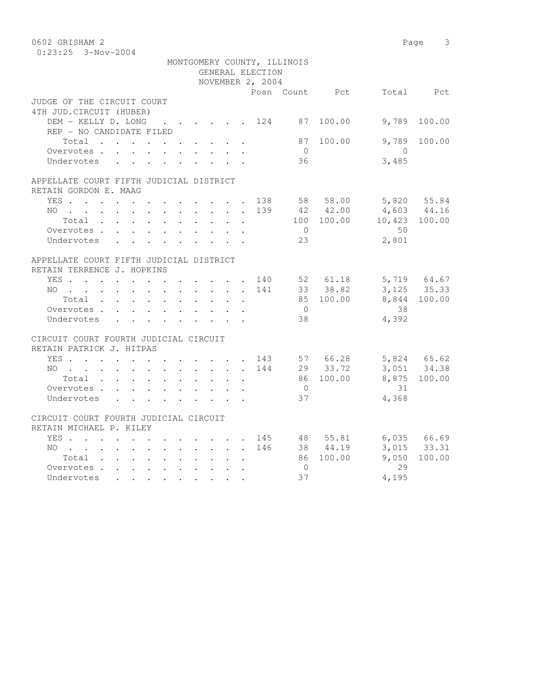| 0602 GRISHAM 2                                                                                  |            |                         |                  |                             |                 |                 | 3<br>Page                  |
|-------------------------------------------------------------------------------------------------|------------|-------------------------|------------------|-----------------------------|-----------------|-----------------|----------------------------|
| $0:23:25$ 3-Nov-2004                                                                            |            |                         |                  |                             |                 |                 |                            |
|                                                                                                 |            |                         |                  | MONTGOMERY COUNTY, ILLINOIS |                 |                 |                            |
|                                                                                                 |            |                         | GENERAL ELECTION |                             |                 |                 |                            |
|                                                                                                 |            |                         | NOVEMBER 2, 2004 |                             |                 |                 |                            |
|                                                                                                 |            |                         |                  |                             | Posn Count Pct  |                 | Total Pct                  |
| JUDGE OF THE CIRCUIT COURT                                                                      |            |                         |                  |                             |                 |                 |                            |
| 4TH JUD. CIRCUIT (HUBER)                                                                        |            |                         |                  |                             |                 |                 |                            |
| DEM - KELLY D. LONG                                                                             |            |                         |                  |                             | . 124 87 100.00 | 9,789           | 100.00                     |
| REP - NO CANDIDATE FILED                                                                        |            |                         |                  |                             |                 |                 |                            |
| Total                                                                                           |            |                         |                  |                             | 87 100.00       | 9,789           | 100.00                     |
| Overvotes.                                                                                      |            |                         |                  | $\bigcirc$                  |                 | $\bigcirc$      |                            |
| Undervotes                                                                                      |            |                         |                  | 36                          |                 | 3,485           |                            |
|                                                                                                 |            |                         |                  |                             |                 |                 |                            |
| APPELLATE COURT FIFTH JUDICIAL DISTRICT                                                         |            |                         |                  |                             |                 |                 |                            |
| RETAIN GORDON E. MAAG                                                                           |            |                         |                  |                             |                 |                 |                            |
| YES                                                                                             |            |                         |                  |                             | 138 58 58.00    | $4,603$ $44.16$ | 5,820 55.84                |
| NO.<br>$\mathbf{r}$ , and $\mathbf{r}$ , and $\mathbf{r}$ , and $\mathbf{r}$ , and $\mathbf{r}$ |            |                         | 139              |                             | 42 42.00        | 10,423 100.00   |                            |
| Total                                                                                           |            |                         |                  |                             | 100 100.00      |                 |                            |
| Overvotes.                                                                                      |            |                         |                  | $\overline{0}$              |                 | 50              |                            |
| Undervotes                                                                                      |            |                         |                  | 23                          |                 | 2,801           |                            |
| APPELLATE COURT FIFTH JUDICIAL DISTRICT                                                         |            |                         |                  |                             |                 |                 |                            |
| RETAIN TERRENCE J. HOPKINS                                                                      |            |                         |                  |                             |                 |                 |                            |
| YES. 140                                                                                        |            |                         |                  |                             | 52 61.18        |                 | 5,719 64.67                |
| $NO$                                                                                            |            |                         | 141              |                             | 33 38.82        |                 | $3,125$ 35.33              |
| Total                                                                                           |            |                         |                  |                             | 85 100.00       | 8,844           | 100.00                     |
| Overvotes.                                                                                      |            |                         |                  | $\overline{0}$              |                 | 38              |                            |
| Undervotes                                                                                      |            |                         |                  | 38                          |                 | 4,392           |                            |
|                                                                                                 |            |                         |                  |                             |                 |                 |                            |
| CIRCUIT COURT FOURTH JUDICIAL CIRCUIT                                                           |            |                         |                  |                             |                 |                 |                            |
| RETAIN PATRICK J. HITPAS                                                                        |            |                         |                  |                             |                 |                 |                            |
| YES                                                                                             |            |                         | 143              |                             | 57 66.28        |                 | 5,824 65.62                |
| NO<br>$\mathbf{r}$ , and $\mathbf{r}$ , and $\mathbf{r}$ , and $\mathbf{r}$ , and $\mathbf{r}$  |            |                         | 144              |                             | 29 33.72        |                 | 3,051 34.38                |
| Total                                                                                           |            |                         |                  |                             | 86 100.00       |                 | 8,875 100.00               |
| Overvotes                                                                                       |            |                         |                  | $\bigcirc$                  |                 | 31              |                            |
| Undervotes                                                                                      |            |                         |                  | 37                          |                 | 4,368           |                            |
| CIRCUIT COURT FOURTH JUDICIAL CIRCUIT                                                           |            |                         |                  |                             |                 |                 |                            |
| RETAIN MICHAEL P. KILEY                                                                         |            |                         |                  |                             |                 |                 |                            |
|                                                                                                 |            |                         | 145              |                             | 48 55.81        |                 |                            |
| YES                                                                                             |            |                         | 146              |                             | 38 44.19        |                 | 6,035 66.69<br>3,015 33.31 |
| NO                                                                                              |            |                         |                  |                             | 86 100.00       | 9,050           |                            |
| Total                                                                                           |            | $\mathbf{L}$<br>$\cdot$ |                  |                             |                 | 29              | 100.00                     |
| Overvotes<br>Undervotes                                                                         |            | $\cdot$ $\cdot$         |                  | $\overline{0}$<br>37        |                 | 4,195           |                            |
| $\mathbf{r} = \mathbf{r} + \mathbf{r} + \mathbf{r} + \mathbf{r} + \mathbf{r}$                   | $\sim$ $-$ |                         |                  |                             |                 |                 |                            |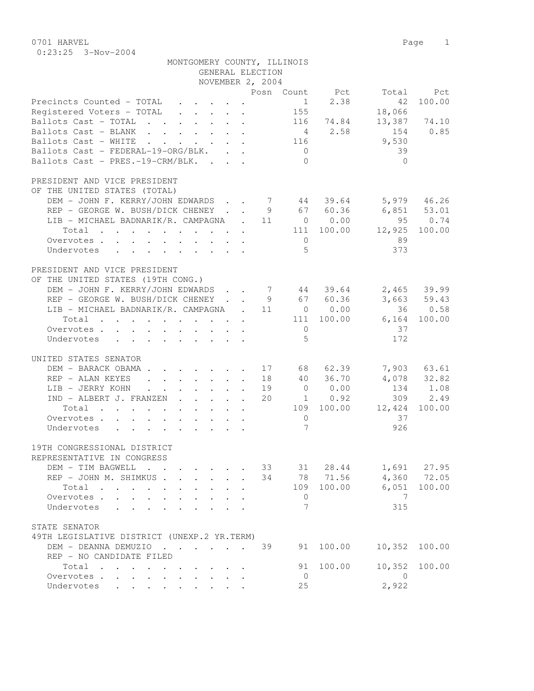0701 HARVEL 2008 Page 2012 0:23:25 3-Nov-2004

|                                                                                                                                                                                                                    | MONTGOMERY COUNTY, ILLINOIS                                                                                                                                                         | GENERAL ELECTION |                      |                                                |                                                             |                                                          |                                                            |
|--------------------------------------------------------------------------------------------------------------------------------------------------------------------------------------------------------------------|-------------------------------------------------------------------------------------------------------------------------------------------------------------------------------------|------------------|----------------------|------------------------------------------------|-------------------------------------------------------------|----------------------------------------------------------|------------------------------------------------------------|
|                                                                                                                                                                                                                    |                                                                                                                                                                                     | NOVEMBER 2, 2004 |                      |                                                |                                                             |                                                          |                                                            |
|                                                                                                                                                                                                                    |                                                                                                                                                                                     |                  |                      |                                                |                                                             | Posn Count Pct Total Pct                                 |                                                            |
| Precincts Counted - TOTAL<br>Registered Voters - TOTAL<br>Ballots Cast - TOTAL<br>Ballots Cast - BLANK<br>Ballots Cast - WHITE<br>Ballots Cast - FEDERAL-19-ORG/BLK.<br>Ballots Cast - PRES.-19-CRM/BLK.           |                                                                                                                                                                                     |                  |                      | 1<br>155<br>116<br>$\overline{0}$<br>$\bigcap$ | 2.38<br>116 74.84<br>$4 \t 2.58$                            | 42<br>18,066<br>154<br>9,530<br>39<br>$\bigcap$          | 100.00<br>$13,387$ 74.10<br>0.85                           |
| PRESIDENT AND VICE PRESIDENT                                                                                                                                                                                       |                                                                                                                                                                                     |                  |                      |                                                |                                                             |                                                          |                                                            |
| OF THE UNITED STATES (TOTAL)<br>DEM - JOHN F. KERRY/JOHN EDWARDS 7 44 39.64 5,979 46.26<br>REP - GEORGE W. BUSH/DICK CHENEY<br>LIB - MICHAEL BADNARIK/R. CAMPAGNA . 11 0 0.00<br>Total<br>Overvotes.<br>Undervotes |                                                                                                                                                                                     |                  |                      | $\overline{0}$<br>$5^{\circ}$                  | 9 67 60.36                                                  | $6,851$ $53.01$<br>111 100.00 12,925 100.00<br>89<br>373 | $-95$ 0.74                                                 |
| PRESIDENT AND VICE PRESIDENT                                                                                                                                                                                       |                                                                                                                                                                                     |                  |                      |                                                |                                                             |                                                          |                                                            |
| OF THE UNITED STATES (19TH CONG.)<br>DEM – JOHN F. KERRY/JOHN EDWARDS 7 44 39.64<br>REP – GEORGE W. BUSH/DICK CHENEY 9 67 60.36<br>LIB - MICHAEL BADNARIK/R. CAMPAGNA . 11 0 0.00<br>Total<br>Overvotes.           |                                                                                                                                                                                     |                  |                      | $\overline{0}$                                 | 111 100.00                                                  | $6,164$ 100.00<br>37                                     | 2,465 39.99<br>3,663 59.43<br>36 0.58                      |
| Undervotes                                                                                                                                                                                                         |                                                                                                                                                                                     |                  |                      | $5^{\circ}$                                    |                                                             | 172                                                      |                                                            |
| UNITED STATES SENATOR                                                                                                                                                                                              |                                                                                                                                                                                     |                  |                      |                                                |                                                             |                                                          |                                                            |
| DEM - BARACK OBAMA.<br>REP - ALAN KEYES<br>LIB - JERRY KOHN<br>IND - ALBERT J. FRANZEN<br>Total<br>Overvotes.                                                                                                      | $\mathbf{r}$ , $\mathbf{r}$ , $\mathbf{r}$ , $\mathbf{r}$ , $\mathbf{r}$<br>$\mathbf{r} = \mathbf{r} \times \mathbf{r}$ , where $\mathbf{r} = \mathbf{r} \times \mathbf{r}$ , where |                  | 17<br>18<br>19<br>20 | $\Omega$                                       | 68 62.39<br>40 36.70<br>0 0.00<br>$1 \t 0.92$<br>109 100.00 | 12,424 100.00<br>37                                      | 7,903 63.61<br>$4,078$ $32.82$<br>$134$ $1.08$<br>309 2.49 |
| Undervotes                                                                                                                                                                                                         |                                                                                                                                                                                     |                  |                      | $7\overline{ }$                                |                                                             | 926                                                      |                                                            |
|                                                                                                                                                                                                                    |                                                                                                                                                                                     |                  |                      |                                                |                                                             |                                                          |                                                            |
| 19TH CONGRESSIONAL DISTRICT                                                                                                                                                                                        |                                                                                                                                                                                     |                  |                      |                                                |                                                             |                                                          |                                                            |
| REPRESENTATIVE IN CONGRESS                                                                                                                                                                                         |                                                                                                                                                                                     |                  | 33                   |                                                |                                                             |                                                          | 1,691 27.95                                                |
| DEM - TIM BAGWELL<br>REP - JOHN M. SHIMKUS.                                                                                                                                                                        | $\mathbf{L} = \mathbf{L}$<br>$\mathcal{L}^{\text{max}}$                                                                                                                             | $\mathbf{L}$     | 34                   |                                                | 31 28.44<br>78 71.56                                        |                                                          | $4,360$ 72.05                                              |
| Total                                                                                                                                                                                                              | $\ddot{\phantom{0}}$                                                                                                                                                                |                  |                      | 109                                            | 100.00                                                      | 6,051                                                    | 100.00                                                     |
| Overvotes                                                                                                                                                                                                          | $\mathbf{r}$                                                                                                                                                                        |                  |                      | $\overline{0}$                                 |                                                             | 7                                                        |                                                            |
| Undervotes<br>and the contract of the contract of the                                                                                                                                                              | $\ddot{\phantom{a}}$                                                                                                                                                                |                  |                      | 7                                              |                                                             | 315                                                      |                                                            |
| STATE SENATOR                                                                                                                                                                                                      |                                                                                                                                                                                     |                  |                      |                                                |                                                             |                                                          |                                                            |
| 49TH LEGISLATIVE DISTRICT (UNEXP.2 YR.TERM)                                                                                                                                                                        |                                                                                                                                                                                     |                  |                      |                                                |                                                             |                                                          |                                                            |
| DEM - DEANNA DEMUZIO                                                                                                                                                                                               |                                                                                                                                                                                     |                  | 39                   |                                                | 91 100.00                                                   | 10,352                                                   | 100.00                                                     |
| REP - NO CANDIDATE FILED                                                                                                                                                                                           |                                                                                                                                                                                     |                  |                      |                                                |                                                             |                                                          |                                                            |
| Total                                                                                                                                                                                                              |                                                                                                                                                                                     |                  |                      | 91                                             | 100.00                                                      | 10,352                                                   | 100.00                                                     |
| Overvotes<br>$\mathbf{L}$<br>$\sim$<br>Undervotes                                                                                                                                                                  |                                                                                                                                                                                     |                  |                      | $\overline{0}$<br>25                           |                                                             | $\bigcirc$<br>2,922                                      |                                                            |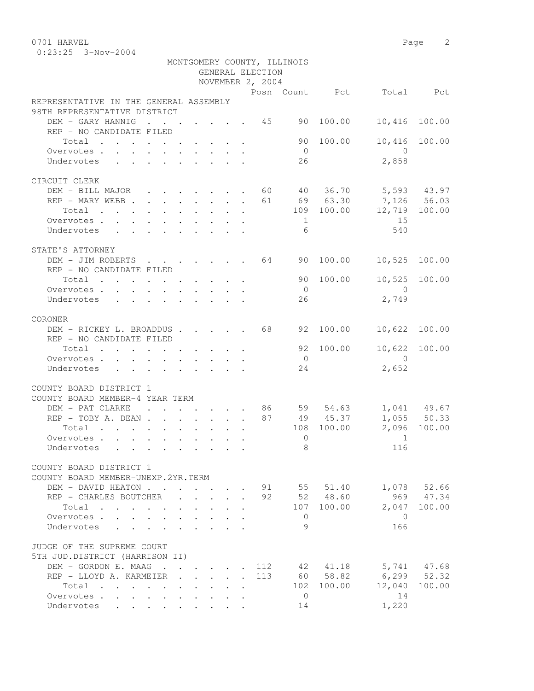| 0701 HARVEL<br>$0:23:25$ 3-Nov-2004      |  |  |  |                  |                             |           |                                  | Page 2        |
|------------------------------------------|--|--|--|------------------|-----------------------------|-----------|----------------------------------|---------------|
|                                          |  |  |  |                  | MONTGOMERY COUNTY, ILLINOIS |           |                                  |               |
|                                          |  |  |  | GENERAL ELECTION |                             |           |                                  |               |
|                                          |  |  |  | NOVEMBER 2, 2004 |                             |           |                                  |               |
|                                          |  |  |  |                  |                             |           | Posn Count - Pct - Total - Tomor | Pct           |
| REPRESENTATIVE IN THE GENERAL ASSEMBLY   |  |  |  |                  |                             |           |                                  |               |
| 98TH REPRESENTATIVE DISTRICT             |  |  |  |                  |                             |           |                                  |               |
| DEM - GARY HANNIG                        |  |  |  | . 45             | 90                          | 100.00    |                                  | 10,416 100.00 |
| REP - NO CANDIDATE FILED                 |  |  |  |                  |                             |           |                                  |               |
| Total                                    |  |  |  |                  | 90                          | 100.00    |                                  | 10,416 100.00 |
| Overvotes.                               |  |  |  |                  | $\bigcirc$                  |           | $\Omega$                         |               |
| Undervotes                               |  |  |  |                  | 26                          |           | 2,858                            |               |
|                                          |  |  |  |                  |                             |           |                                  |               |
| CIRCUIT CLERK                            |  |  |  |                  |                             |           |                                  |               |
| DEM - BILL MAJOR 60 40 36.70 5,593 43.97 |  |  |  |                  |                             |           |                                  |               |
| REP - MARY WEBB 61 69 63.30 7,126 56.03  |  |  |  |                  |                             |           |                                  |               |
| $\cdot$ 109 100.00<br>Total              |  |  |  |                  |                             |           |                                  | 12,719 100.00 |
| Overvotes                                |  |  |  |                  | $\sim$ 1                    |           | 15                               |               |
| Undervotes                               |  |  |  |                  | 6                           |           | 540                              |               |
|                                          |  |  |  |                  |                             |           |                                  |               |
| STATE'S ATTORNEY                         |  |  |  |                  |                             |           |                                  |               |
| DEM - JIM ROBERTS 64                     |  |  |  |                  | 90                          | 100.00    | 10,525                           | 100.00        |
| REP - NO CANDIDATE FILED                 |  |  |  |                  |                             |           |                                  |               |
| Total                                    |  |  |  |                  |                             | 90 100.00 |                                  | 10,525 100.00 |
| Overvotes                                |  |  |  |                  | $\bigcirc$                  |           | $\bigcirc$                       |               |
| Undervotes                               |  |  |  |                  | 26                          |           | 2,749                            |               |
|                                          |  |  |  |                  |                             |           |                                  |               |
| CORONER                                  |  |  |  |                  |                             |           |                                  |               |
| DEM - RICKEY L. BROADDUS 68              |  |  |  |                  |                             | 92 100.00 | 10,622                           | 100.00        |
| REP - NO CANDIDATE FILED                 |  |  |  |                  |                             |           |                                  |               |
| Total                                    |  |  |  |                  |                             | 92 100.00 |                                  | 10,622 100.00 |
| Overvotes                                |  |  |  |                  | $\bigcirc$                  |           | $\bigcap$                        |               |
| Undervotes                               |  |  |  |                  | 24                          |           | 2,652                            |               |
| COUNTY BOARD DISTRICT 1                  |  |  |  |                  |                             |           |                                  |               |
| COUNTY BOARD MEMBER-4 YEAR TERM          |  |  |  |                  |                             |           |                                  |               |
|                                          |  |  |  |                  |                             |           |                                  |               |

| COUNTY BOARD MEMBER-4 YEAR TERM                                                                                                                                                                                                        |                                                                                                                 |                             |  |                         |       |              |            |               |                 |
|----------------------------------------------------------------------------------------------------------------------------------------------------------------------------------------------------------------------------------------|-----------------------------------------------------------------------------------------------------------------|-----------------------------|--|-------------------------|-------|--------------|------------|---------------|-----------------|
| DEM - PAT CLARKE                                                                                                                                                                                                                       | $\sim$ $\sim$<br>$\mathbf{A}$                                                                                   |                             |  |                         | 86    | 59           | 54.63      |               | 1,041 49.67     |
| REP - TOBY A. DEAN                                                                                                                                                                                                                     |                                                                                                                 |                             |  |                         | 87    |              | 49 45.37   |               | 1,055 50.33     |
| Total<br>. The contract of the contract of the contract of the contract of the contract of the contract of the contract of the contract of the contract of the contract of the contract of the contract of the contract of the contrac |                                                                                                                 |                             |  |                         |       |              | 108 100.00 |               | 2,096 100.00    |
| Overvotes.                                                                                                                                                                                                                             |                                                                                                                 |                             |  |                         |       | $\Omega$     |            |               |                 |
| Undervotes                                                                                                                                                                                                                             | the contract of the contract of the contract of the contract of the contract of the contract of the contract of |                             |  |                         |       | 8            |            | 116           |                 |
| COUNTY BOARD DISTRICT 1                                                                                                                                                                                                                |                                                                                                                 |                             |  |                         |       |              |            |               |                 |
| COUNTY BOARD MEMBER-UNEXP.2YR.TERM                                                                                                                                                                                                     |                                                                                                                 |                             |  |                         |       |              |            |               |                 |
| DEM - DAVID HEATON.                                                                                                                                                                                                                    | $\sim$                                                                                                          | $\sim$ $\sim$ $\sim$ $\sim$ |  |                         | 91    | 55           | 51.40      |               | 1,078 52.66     |
| REP - CHARLES BOUTCHER                                                                                                                                                                                                                 |                                                                                                                 |                             |  |                         | 92    |              | 52 48.60   |               | 969 47.34       |
| Total                                                                                                                                                                                                                                  | $\sim$ $\sim$ $\sim$                                                                                            |                             |  |                         |       |              | 107 100.00 |               | 2,047 100.00    |
| Overvotes                                                                                                                                                                                                                              |                                                                                                                 |                             |  |                         |       | $\Omega$     |            | $\Omega$      |                 |
| Undervotes                                                                                                                                                                                                                             |                                                                                                                 |                             |  |                         |       | 9            |            | 166           |                 |
| JUDGE OF THE SUPREME COURT                                                                                                                                                                                                             |                                                                                                                 |                             |  |                         |       |              |            |               |                 |
| 5TH JUD.DISTRICT (HARRISON II)                                                                                                                                                                                                         |                                                                                                                 |                             |  |                         |       |              |            |               |                 |
| DEM - GORDON E. MAAG                                                                                                                                                                                                                   |                                                                                                                 |                             |  |                         | . 112 | 42           | 41.18      |               | 5,741 47.68     |
| REP - LLOYD A. KARMEIER                                                                                                                                                                                                                |                                                                                                                 |                             |  |                         | 113   |              | 60 58.82   |               | $6,299$ $52.32$ |
| Total                                                                                                                                                                                                                                  | the contract of the contract of the contract of the contract of the contract of the contract of the contract of |                             |  |                         |       |              | 102 100.00 | 12,040 100.00 |                 |
| Overvotes.                                                                                                                                                                                                                             |                                                                                                                 |                             |  |                         |       | $\mathbf{0}$ |            | 14            |                 |
| Undervotes                                                                                                                                                                                                                             | $\mathbf{r}$ , and $\mathbf{r}$ , and $\mathbf{r}$ , and $\mathbf{r}$                                           |                             |  | $\cdot$ $\cdot$ $\cdot$ |       | 14           |            | 1,220         |                 |
|                                                                                                                                                                                                                                        |                                                                                                                 |                             |  |                         |       |              |            |               |                 |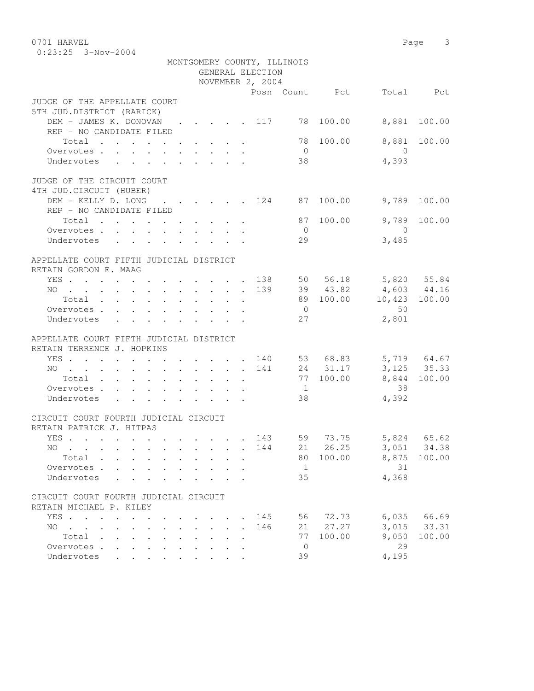0701 HARVEL 2008 Page 3 0:23:25 3-Nov-2004 MONTGOMERY COUNTY, ILLINOIS GENERAL ELECTION NOVEMBER 2, 2004 Posn Count Pct Total Pct JUDGE OF THE APPELLATE COURT 5TH JUD.DISTRICT (RARICK) DEM - JAMES K. DONOVAN . . . . 117 78 100.00 8,881 100.00 REP - NO CANDIDATE FILED Total . . . . . . . . . . 78 100.00 8,881 100.00 Overvotes . . . . . . . . . . 0 0 Undervotes . . . . . . . . . 38 4,393 JUDGE OF THE CIRCUIT COURT 4TH JUD.CIRCUIT (HUBER) DEM - KELLY D. LONG . . . . . 124 87 100.00 9,789 100.00 REP - NO CANDIDATE FILED Total . . . . . . . . . 87 100.00 9,789 100.00 Overvotes . . . . . . . . . . . 0 Undervotes . . . . . . . . . 29 3,485 APPELLATE COURT FIFTH JUDICIAL DISTRICT RETAIN GORDON E. MAAG YES . . . . . . . . . . . . 138 50 56.18 5,820 55.84 NO . . . . . . . . . . . . 139 39 43.82 4,603 44.16 Total . . . . . . . . . . 89 100.00 10,423 100.00 Overvotes . . . . . . . . . . . 0 50 Undervotes . . . . . . . . 27 2,801 APPELLATE COURT FIFTH JUDICIAL DISTRICT RETAIN TERRENCE J. HOPKINS YES . . . . . . . . . . . . 140 53 68.83 5,719 64.67 NO . . . . . . . . . . . . 141 24 31.17 3,125 35.33 Total . . . . . . . . . . 77 100.00 8,844 100.00 Overvotes . . . . . . . . . . . 1 38 Undervotes . . . . . . . . 38 4,392 CIRCUIT COURT FOURTH JUDICIAL CIRCUIT RETAIN PATRICK J. HITPAS YES . . . . . . . . . . . . 143 59 73.75 5,824 65.62 NO . . . . . . . . . . . 144 21 26.25 3,051 34.38 Total . . . . . . . . . . 80 100.00 8,875 100.00 Overvotes . . . . . . . . . . 1 31 Undervotes . . . . . . . . . 35 4,368 CIRCUIT COURT FOURTH JUDICIAL CIRCUIT RETAIN MICHAEL P. KILEY YES . . . . . . . . . . . . 145 56 72.73 6,035 66.69 NO . . . . . . . . . . . 146 21 27.27 3,015 33.31 Total . . . . . . . . . . 77 100.00 9,050 100.00 Overvotes . . . . . . . . . . . 0 29<br>Undervotes . . . . . . . . . . 39 4,195 Undervotes . . . . . . . . .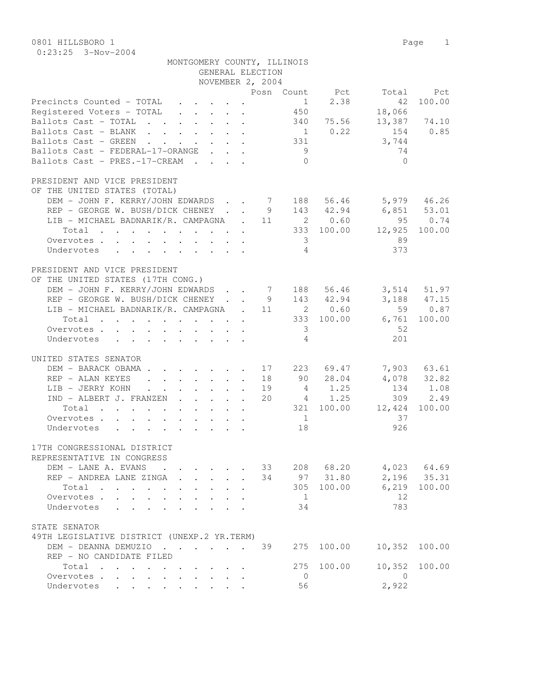0801 HILLSBORO 1 Page 1 0:23:25 3-Nov-2004

| MONTGOMERY COUNTY, ILLINOIS<br>GENERAL ELECTION                                                                                |                         |             |                |             |
|--------------------------------------------------------------------------------------------------------------------------------|-------------------------|-------------|----------------|-------------|
| NOVEMBER 2, 2004                                                                                                               |                         |             |                |             |
|                                                                                                                                | Posn Count Pct          |             |                | Total Pct   |
|                                                                                                                                | 1                       | 2.38        | 42             | 100.00      |
| Precincts Counted - TOTAL<br>Registered Voters - TOTAL                                                                         | 450                     |             | 18,066         |             |
| Ballots Cast - TOTAL 340 75.56                                                                                                 |                         |             | 13,387 74.10   |             |
| Ballots Cast - BLANK                                                                                                           |                         | $1 \t 0.22$ | 154 0.85       |             |
| Ballots Cast - GREEN 331                                                                                                       |                         |             | 3,744          |             |
| Ballots Cast - FEDERAL-17-ORANGE                                                                                               | 9                       |             | 74             |             |
| Ballots Cast - PRES.-17-CREAM                                                                                                  | $\bigcirc$              |             | $\bigcirc$     |             |
| PRESIDENT AND VICE PRESIDENT                                                                                                   |                         |             |                |             |
| OF THE UNITED STATES (TOTAL)                                                                                                   |                         |             |                |             |
| DEM - JOHN F. KERRY/JOHN EDWARDS 7 188 56.46                                                                                   |                         |             |                | 5,979 46.26 |
| REP - GEORGE W. BUSH/DICK CHENEY 9 143 42.94 6,851 53.01                                                                       |                         |             |                |             |
| LIB - MICHAEL BADNARIK/R. CAMPAGNA . 11 2 0.60                                                                                 |                         |             | 95 0.74        |             |
| $\cdot$ 333 100.00 12,925 100.00<br>Total                                                                                      |                         |             |                |             |
| Overvotes                                                                                                                      | $\overline{\mathbf{3}}$ |             | 89             |             |
| Undervotes                                                                                                                     | $\overline{4}$          |             | 373            |             |
|                                                                                                                                |                         |             |                |             |
| PRESIDENT AND VICE PRESIDENT                                                                                                   |                         |             |                |             |
| OF THE UNITED STATES (17TH CONG.)                                                                                              |                         |             |                |             |
| DEM - JOHN F. KERRY/JOHN EDWARDS 7 188 56.46 3,514 51.97                                                                       |                         |             |                |             |
| REP - GEORGE W. BUSH/DICK CHENEY 9 143 42.94                                                                                   |                         |             |                | 3,188 47.15 |
| LIB - MICHAEL BADNARIK/R. CAMPAGNA . 11 2 0.60                                                                                 |                         |             |                | 59 0.87     |
| Total 333 100.00 6,761 100.00                                                                                                  |                         |             |                |             |
| Overvotes.                                                                                                                     | $\overline{\mathbf{3}}$ |             | -52            |             |
| Undervotes                                                                                                                     | $\overline{4}$          |             | 201            |             |
| UNITED STATES SENATOR                                                                                                          |                         |             |                |             |
| DEM - BARACK OBAMA 17 223 69.47                                                                                                |                         |             |                | 7,903 63.61 |
| REP - ALAN KEYES 18                                                                                                            |                         | 90 28.04    |                | 4,078 32.82 |
| LIB - JERRY KOHN                                                                                                               | 19                      | 4 1.25      |                | 134 1.08    |
| IND - ALBERT J. FRANZEN                                                                                                        | 20                      | 4 1.25      |                | 309 2.49    |
| Total                                                                                                                          |                         | 321 100.00  | 12,424         | 100.00      |
| Overvotes                                                                                                                      | 1                       |             | 37             |             |
| Undervotes                                                                                                                     | 18                      |             | 926            |             |
|                                                                                                                                |                         |             |                |             |
| 17TH CONGRESSIONAL DISTRICT                                                                                                    |                         |             |                |             |
| REPRESENTATIVE IN CONGRESS                                                                                                     |                         |             |                |             |
| DEM - LANE A. EVANS<br>$\cdot$ $\cdot$ $\cdot$ $\cdot$ $\cdot$ $\cdot$                                                         | 33 208 68.20            |             |                | 4,023 64.69 |
| REP - ANDREA LANE ZINGA<br>$\overline{a}$                                                                                      | 34                      | 97 31.80    |                | 2,196 35.31 |
| Total<br>$\mathbf{r}$ , and $\mathbf{r}$ , and $\mathbf{r}$ , and $\mathbf{r}$<br>$\ddot{\phantom{0}}$<br>$\ddot{\phantom{0}}$ |                         | 305 100.00  | 6,219          | 100.00      |
| Overvotes                                                                                                                      | $\overline{1}$          |             | 12             |             |
| Undervotes                                                                                                                     | 34                      |             | 783            |             |
| STATE SENATOR                                                                                                                  |                         |             |                |             |
| 49TH LEGISLATIVE DISTRICT (UNEXP.2 YR.TERM)                                                                                    |                         |             |                |             |
| DEM - DEANNA DEMUZIO                                                                                                           | 39<br>275               | 100.00      | 10,352         | 100.00      |
| REP - NO CANDIDATE FILED                                                                                                       |                         |             |                |             |
| Total                                                                                                                          | 275                     | 100.00      | 10,352         | 100.00      |
| Overvotes<br>$\ddot{\phantom{0}}$<br>$\ddot{\phantom{0}}$<br>$\mathbf{r} = \mathbf{r} + \mathbf{r}$                            | $\overline{0}$          |             | $\overline{0}$ |             |
| Undervotes                                                                                                                     | 56                      |             | 2,922          |             |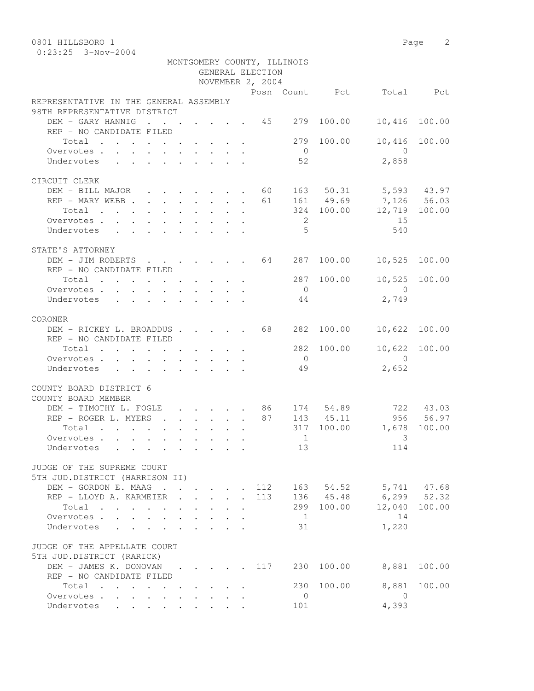0:23:25 3-Nov-2004

| NOVEMBER 2, 2004<br>Posn Count Pct<br>Total<br>Pct<br>REPRESENTATIVE IN THE GENERAL ASSEMBLY<br>98TH REPRESENTATIVE DISTRICT<br>DEM - GARY HANNIG<br>279<br>100.00<br>10,416<br>100.00<br>REP - NO CANDIDATE FILED<br>Total<br>279<br>100.00<br>10,416<br>100.00<br>Overvotes<br>$\overline{0}$<br>$\bigcirc$<br>52<br>2,858<br>Undervotes<br>CIRCUIT CLERK<br>DEM - BILL MAJOR 60<br>163 50.31<br>$5,593$ 43.97<br>161 49.69<br>7,126 56.03<br>REP - MARY WEBB 61<br>324 100.00<br>12,719<br>100.00<br>Total<br>the contract of the contract of the contract of the contract of the contract of the contract of the contract of<br>15<br>2<br>Overvotes.<br>5<br>Undervotes<br>540<br>STATE'S ATTORNEY<br>64<br>287<br>100.00<br>10,525<br>100.00<br>DEM - JIM ROBERTS<br>$\mathbf{r}$ , $\mathbf{r}$ , $\mathbf{r}$ , $\mathbf{r}$ , $\mathbf{r}$<br>REP - NO CANDIDATE FILED<br>10,525<br>287<br>100.00<br>100.00<br>Total<br>the contract of the contract of the contract of the contract of the contract of the contract of the contract of<br>$\bigcirc$<br>$\bigcirc$<br>Overvotes<br>2,749<br>Undervotes<br>44<br>CORONER<br>100.00<br>DEM - RICKEY L. BROADDUS 68<br>282<br>10,622<br>100.00<br>REP - NO CANDIDATE FILED<br>10,622<br>282<br>100.00<br>100.00<br>Total<br>$\bigcap$<br>Overvotes.<br>$\overline{0}$<br>49<br>2,652<br>Undervotes<br>COUNTY BOARD DISTRICT 6<br>COUNTY BOARD MEMBER<br>DEM - TIMOTHY L. FOGLE<br>174 54.89<br>722 43.03<br>86 —<br>$\mathbf{r}$ , $\mathbf{r}$ , $\mathbf{r}$ , $\mathbf{r}$<br>87<br>956<br>56.97<br>REP - ROGER L. MYERS<br>$\mathbf{r}$ , $\mathbf{r}$ , $\mathbf{r}$ , $\mathbf{r}$ , $\mathbf{r}$ , $\mathbf{r}$<br>143 45.11<br>317<br>100.00<br>1,678<br>100.00<br>Total<br>$\mathbf{r}$ , and $\mathbf{r}$ , and $\mathbf{r}$ , and $\mathbf{r}$ , and $\mathbf{r}$<br>3<br>Overvotes.<br>$\overline{1}$<br>Undervotes<br>13<br>114<br>JUDGE OF THE SUPREME COURT<br>5TH JUD.DISTRICT (HARRISON II)<br>5,741 47.68<br>DEM - GORDON E. MAAG<br>112<br>163 54.52<br>REP - LLOYD A. KARMEIER<br>$6, 299$ $52.32$<br><b>Contractor</b><br>113<br>136 45.48<br>$\mathbb{R}^{n \times n}$<br>$\mathbf{r}$<br>$\sim$<br>12,040 100.00<br>Total<br>299 100.00<br>Overvotes<br>$\overline{1}$<br>14<br>$\mathbf{r} = \mathbf{r}$<br>$\mathbf{r}$<br>$\mathbf{A}$<br>1,220<br>31<br>Undervotes<br>$\mathbf{r}$<br>$1 - 1 - 1 = 1$<br>JUDGE OF THE APPELLATE COURT<br>5TH JUD.DISTRICT (RARICK)<br>DEM - JAMES K. DONOVAN<br>117<br>230 100.00<br>8,881<br>100.00<br>REP - NO CANDIDATE FILED<br>8,881<br>Total<br>230<br>100.00<br>100.00<br>$\overline{0}$<br>Overvotes.<br>$\overline{0}$<br>$\ddot{\phantom{0}}$<br>Undervotes<br>101 |  |  | GENERAL ELECTION |  |       |  |
|------------------------------------------------------------------------------------------------------------------------------------------------------------------------------------------------------------------------------------------------------------------------------------------------------------------------------------------------------------------------------------------------------------------------------------------------------------------------------------------------------------------------------------------------------------------------------------------------------------------------------------------------------------------------------------------------------------------------------------------------------------------------------------------------------------------------------------------------------------------------------------------------------------------------------------------------------------------------------------------------------------------------------------------------------------------------------------------------------------------------------------------------------------------------------------------------------------------------------------------------------------------------------------------------------------------------------------------------------------------------------------------------------------------------------------------------------------------------------------------------------------------------------------------------------------------------------------------------------------------------------------------------------------------------------------------------------------------------------------------------------------------------------------------------------------------------------------------------------------------------------------------------------------------------------------------------------------------------------------------------------------------------------------------------------------------------------------------------------------------------------------------------------------------------------------------------------------------------------------------------------------------------------------------------------------------------------------------------------------------------------------------------------------------------------------------------------------------------------------------------------------------------------------------------------------------------------------------------------------------------------------------------------------------------------------------------|--|--|------------------|--|-------|--|
|                                                                                                                                                                                                                                                                                                                                                                                                                                                                                                                                                                                                                                                                                                                                                                                                                                                                                                                                                                                                                                                                                                                                                                                                                                                                                                                                                                                                                                                                                                                                                                                                                                                                                                                                                                                                                                                                                                                                                                                                                                                                                                                                                                                                                                                                                                                                                                                                                                                                                                                                                                                                                                                                                                |  |  |                  |  |       |  |
|                                                                                                                                                                                                                                                                                                                                                                                                                                                                                                                                                                                                                                                                                                                                                                                                                                                                                                                                                                                                                                                                                                                                                                                                                                                                                                                                                                                                                                                                                                                                                                                                                                                                                                                                                                                                                                                                                                                                                                                                                                                                                                                                                                                                                                                                                                                                                                                                                                                                                                                                                                                                                                                                                                |  |  |                  |  |       |  |
|                                                                                                                                                                                                                                                                                                                                                                                                                                                                                                                                                                                                                                                                                                                                                                                                                                                                                                                                                                                                                                                                                                                                                                                                                                                                                                                                                                                                                                                                                                                                                                                                                                                                                                                                                                                                                                                                                                                                                                                                                                                                                                                                                                                                                                                                                                                                                                                                                                                                                                                                                                                                                                                                                                |  |  |                  |  |       |  |
|                                                                                                                                                                                                                                                                                                                                                                                                                                                                                                                                                                                                                                                                                                                                                                                                                                                                                                                                                                                                                                                                                                                                                                                                                                                                                                                                                                                                                                                                                                                                                                                                                                                                                                                                                                                                                                                                                                                                                                                                                                                                                                                                                                                                                                                                                                                                                                                                                                                                                                                                                                                                                                                                                                |  |  |                  |  |       |  |
|                                                                                                                                                                                                                                                                                                                                                                                                                                                                                                                                                                                                                                                                                                                                                                                                                                                                                                                                                                                                                                                                                                                                                                                                                                                                                                                                                                                                                                                                                                                                                                                                                                                                                                                                                                                                                                                                                                                                                                                                                                                                                                                                                                                                                                                                                                                                                                                                                                                                                                                                                                                                                                                                                                |  |  |                  |  |       |  |
|                                                                                                                                                                                                                                                                                                                                                                                                                                                                                                                                                                                                                                                                                                                                                                                                                                                                                                                                                                                                                                                                                                                                                                                                                                                                                                                                                                                                                                                                                                                                                                                                                                                                                                                                                                                                                                                                                                                                                                                                                                                                                                                                                                                                                                                                                                                                                                                                                                                                                                                                                                                                                                                                                                |  |  |                  |  |       |  |
|                                                                                                                                                                                                                                                                                                                                                                                                                                                                                                                                                                                                                                                                                                                                                                                                                                                                                                                                                                                                                                                                                                                                                                                                                                                                                                                                                                                                                                                                                                                                                                                                                                                                                                                                                                                                                                                                                                                                                                                                                                                                                                                                                                                                                                                                                                                                                                                                                                                                                                                                                                                                                                                                                                |  |  |                  |  |       |  |
|                                                                                                                                                                                                                                                                                                                                                                                                                                                                                                                                                                                                                                                                                                                                                                                                                                                                                                                                                                                                                                                                                                                                                                                                                                                                                                                                                                                                                                                                                                                                                                                                                                                                                                                                                                                                                                                                                                                                                                                                                                                                                                                                                                                                                                                                                                                                                                                                                                                                                                                                                                                                                                                                                                |  |  |                  |  |       |  |
|                                                                                                                                                                                                                                                                                                                                                                                                                                                                                                                                                                                                                                                                                                                                                                                                                                                                                                                                                                                                                                                                                                                                                                                                                                                                                                                                                                                                                                                                                                                                                                                                                                                                                                                                                                                                                                                                                                                                                                                                                                                                                                                                                                                                                                                                                                                                                                                                                                                                                                                                                                                                                                                                                                |  |  |                  |  |       |  |
|                                                                                                                                                                                                                                                                                                                                                                                                                                                                                                                                                                                                                                                                                                                                                                                                                                                                                                                                                                                                                                                                                                                                                                                                                                                                                                                                                                                                                                                                                                                                                                                                                                                                                                                                                                                                                                                                                                                                                                                                                                                                                                                                                                                                                                                                                                                                                                                                                                                                                                                                                                                                                                                                                                |  |  |                  |  |       |  |
|                                                                                                                                                                                                                                                                                                                                                                                                                                                                                                                                                                                                                                                                                                                                                                                                                                                                                                                                                                                                                                                                                                                                                                                                                                                                                                                                                                                                                                                                                                                                                                                                                                                                                                                                                                                                                                                                                                                                                                                                                                                                                                                                                                                                                                                                                                                                                                                                                                                                                                                                                                                                                                                                                                |  |  |                  |  |       |  |
|                                                                                                                                                                                                                                                                                                                                                                                                                                                                                                                                                                                                                                                                                                                                                                                                                                                                                                                                                                                                                                                                                                                                                                                                                                                                                                                                                                                                                                                                                                                                                                                                                                                                                                                                                                                                                                                                                                                                                                                                                                                                                                                                                                                                                                                                                                                                                                                                                                                                                                                                                                                                                                                                                                |  |  |                  |  |       |  |
|                                                                                                                                                                                                                                                                                                                                                                                                                                                                                                                                                                                                                                                                                                                                                                                                                                                                                                                                                                                                                                                                                                                                                                                                                                                                                                                                                                                                                                                                                                                                                                                                                                                                                                                                                                                                                                                                                                                                                                                                                                                                                                                                                                                                                                                                                                                                                                                                                                                                                                                                                                                                                                                                                                |  |  |                  |  |       |  |
|                                                                                                                                                                                                                                                                                                                                                                                                                                                                                                                                                                                                                                                                                                                                                                                                                                                                                                                                                                                                                                                                                                                                                                                                                                                                                                                                                                                                                                                                                                                                                                                                                                                                                                                                                                                                                                                                                                                                                                                                                                                                                                                                                                                                                                                                                                                                                                                                                                                                                                                                                                                                                                                                                                |  |  |                  |  |       |  |
|                                                                                                                                                                                                                                                                                                                                                                                                                                                                                                                                                                                                                                                                                                                                                                                                                                                                                                                                                                                                                                                                                                                                                                                                                                                                                                                                                                                                                                                                                                                                                                                                                                                                                                                                                                                                                                                                                                                                                                                                                                                                                                                                                                                                                                                                                                                                                                                                                                                                                                                                                                                                                                                                                                |  |  |                  |  |       |  |
|                                                                                                                                                                                                                                                                                                                                                                                                                                                                                                                                                                                                                                                                                                                                                                                                                                                                                                                                                                                                                                                                                                                                                                                                                                                                                                                                                                                                                                                                                                                                                                                                                                                                                                                                                                                                                                                                                                                                                                                                                                                                                                                                                                                                                                                                                                                                                                                                                                                                                                                                                                                                                                                                                                |  |  |                  |  |       |  |
|                                                                                                                                                                                                                                                                                                                                                                                                                                                                                                                                                                                                                                                                                                                                                                                                                                                                                                                                                                                                                                                                                                                                                                                                                                                                                                                                                                                                                                                                                                                                                                                                                                                                                                                                                                                                                                                                                                                                                                                                                                                                                                                                                                                                                                                                                                                                                                                                                                                                                                                                                                                                                                                                                                |  |  |                  |  |       |  |
|                                                                                                                                                                                                                                                                                                                                                                                                                                                                                                                                                                                                                                                                                                                                                                                                                                                                                                                                                                                                                                                                                                                                                                                                                                                                                                                                                                                                                                                                                                                                                                                                                                                                                                                                                                                                                                                                                                                                                                                                                                                                                                                                                                                                                                                                                                                                                                                                                                                                                                                                                                                                                                                                                                |  |  |                  |  |       |  |
|                                                                                                                                                                                                                                                                                                                                                                                                                                                                                                                                                                                                                                                                                                                                                                                                                                                                                                                                                                                                                                                                                                                                                                                                                                                                                                                                                                                                                                                                                                                                                                                                                                                                                                                                                                                                                                                                                                                                                                                                                                                                                                                                                                                                                                                                                                                                                                                                                                                                                                                                                                                                                                                                                                |  |  |                  |  |       |  |
|                                                                                                                                                                                                                                                                                                                                                                                                                                                                                                                                                                                                                                                                                                                                                                                                                                                                                                                                                                                                                                                                                                                                                                                                                                                                                                                                                                                                                                                                                                                                                                                                                                                                                                                                                                                                                                                                                                                                                                                                                                                                                                                                                                                                                                                                                                                                                                                                                                                                                                                                                                                                                                                                                                |  |  |                  |  |       |  |
|                                                                                                                                                                                                                                                                                                                                                                                                                                                                                                                                                                                                                                                                                                                                                                                                                                                                                                                                                                                                                                                                                                                                                                                                                                                                                                                                                                                                                                                                                                                                                                                                                                                                                                                                                                                                                                                                                                                                                                                                                                                                                                                                                                                                                                                                                                                                                                                                                                                                                                                                                                                                                                                                                                |  |  |                  |  |       |  |
|                                                                                                                                                                                                                                                                                                                                                                                                                                                                                                                                                                                                                                                                                                                                                                                                                                                                                                                                                                                                                                                                                                                                                                                                                                                                                                                                                                                                                                                                                                                                                                                                                                                                                                                                                                                                                                                                                                                                                                                                                                                                                                                                                                                                                                                                                                                                                                                                                                                                                                                                                                                                                                                                                                |  |  |                  |  |       |  |
|                                                                                                                                                                                                                                                                                                                                                                                                                                                                                                                                                                                                                                                                                                                                                                                                                                                                                                                                                                                                                                                                                                                                                                                                                                                                                                                                                                                                                                                                                                                                                                                                                                                                                                                                                                                                                                                                                                                                                                                                                                                                                                                                                                                                                                                                                                                                                                                                                                                                                                                                                                                                                                                                                                |  |  |                  |  |       |  |
|                                                                                                                                                                                                                                                                                                                                                                                                                                                                                                                                                                                                                                                                                                                                                                                                                                                                                                                                                                                                                                                                                                                                                                                                                                                                                                                                                                                                                                                                                                                                                                                                                                                                                                                                                                                                                                                                                                                                                                                                                                                                                                                                                                                                                                                                                                                                                                                                                                                                                                                                                                                                                                                                                                |  |  |                  |  |       |  |
|                                                                                                                                                                                                                                                                                                                                                                                                                                                                                                                                                                                                                                                                                                                                                                                                                                                                                                                                                                                                                                                                                                                                                                                                                                                                                                                                                                                                                                                                                                                                                                                                                                                                                                                                                                                                                                                                                                                                                                                                                                                                                                                                                                                                                                                                                                                                                                                                                                                                                                                                                                                                                                                                                                |  |  |                  |  |       |  |
|                                                                                                                                                                                                                                                                                                                                                                                                                                                                                                                                                                                                                                                                                                                                                                                                                                                                                                                                                                                                                                                                                                                                                                                                                                                                                                                                                                                                                                                                                                                                                                                                                                                                                                                                                                                                                                                                                                                                                                                                                                                                                                                                                                                                                                                                                                                                                                                                                                                                                                                                                                                                                                                                                                |  |  |                  |  |       |  |
|                                                                                                                                                                                                                                                                                                                                                                                                                                                                                                                                                                                                                                                                                                                                                                                                                                                                                                                                                                                                                                                                                                                                                                                                                                                                                                                                                                                                                                                                                                                                                                                                                                                                                                                                                                                                                                                                                                                                                                                                                                                                                                                                                                                                                                                                                                                                                                                                                                                                                                                                                                                                                                                                                                |  |  |                  |  |       |  |
|                                                                                                                                                                                                                                                                                                                                                                                                                                                                                                                                                                                                                                                                                                                                                                                                                                                                                                                                                                                                                                                                                                                                                                                                                                                                                                                                                                                                                                                                                                                                                                                                                                                                                                                                                                                                                                                                                                                                                                                                                                                                                                                                                                                                                                                                                                                                                                                                                                                                                                                                                                                                                                                                                                |  |  |                  |  |       |  |
|                                                                                                                                                                                                                                                                                                                                                                                                                                                                                                                                                                                                                                                                                                                                                                                                                                                                                                                                                                                                                                                                                                                                                                                                                                                                                                                                                                                                                                                                                                                                                                                                                                                                                                                                                                                                                                                                                                                                                                                                                                                                                                                                                                                                                                                                                                                                                                                                                                                                                                                                                                                                                                                                                                |  |  |                  |  |       |  |
|                                                                                                                                                                                                                                                                                                                                                                                                                                                                                                                                                                                                                                                                                                                                                                                                                                                                                                                                                                                                                                                                                                                                                                                                                                                                                                                                                                                                                                                                                                                                                                                                                                                                                                                                                                                                                                                                                                                                                                                                                                                                                                                                                                                                                                                                                                                                                                                                                                                                                                                                                                                                                                                                                                |  |  |                  |  |       |  |
|                                                                                                                                                                                                                                                                                                                                                                                                                                                                                                                                                                                                                                                                                                                                                                                                                                                                                                                                                                                                                                                                                                                                                                                                                                                                                                                                                                                                                                                                                                                                                                                                                                                                                                                                                                                                                                                                                                                                                                                                                                                                                                                                                                                                                                                                                                                                                                                                                                                                                                                                                                                                                                                                                                |  |  |                  |  |       |  |
|                                                                                                                                                                                                                                                                                                                                                                                                                                                                                                                                                                                                                                                                                                                                                                                                                                                                                                                                                                                                                                                                                                                                                                                                                                                                                                                                                                                                                                                                                                                                                                                                                                                                                                                                                                                                                                                                                                                                                                                                                                                                                                                                                                                                                                                                                                                                                                                                                                                                                                                                                                                                                                                                                                |  |  |                  |  |       |  |
|                                                                                                                                                                                                                                                                                                                                                                                                                                                                                                                                                                                                                                                                                                                                                                                                                                                                                                                                                                                                                                                                                                                                                                                                                                                                                                                                                                                                                                                                                                                                                                                                                                                                                                                                                                                                                                                                                                                                                                                                                                                                                                                                                                                                                                                                                                                                                                                                                                                                                                                                                                                                                                                                                                |  |  |                  |  |       |  |
|                                                                                                                                                                                                                                                                                                                                                                                                                                                                                                                                                                                                                                                                                                                                                                                                                                                                                                                                                                                                                                                                                                                                                                                                                                                                                                                                                                                                                                                                                                                                                                                                                                                                                                                                                                                                                                                                                                                                                                                                                                                                                                                                                                                                                                                                                                                                                                                                                                                                                                                                                                                                                                                                                                |  |  |                  |  |       |  |
|                                                                                                                                                                                                                                                                                                                                                                                                                                                                                                                                                                                                                                                                                                                                                                                                                                                                                                                                                                                                                                                                                                                                                                                                                                                                                                                                                                                                                                                                                                                                                                                                                                                                                                                                                                                                                                                                                                                                                                                                                                                                                                                                                                                                                                                                                                                                                                                                                                                                                                                                                                                                                                                                                                |  |  |                  |  |       |  |
|                                                                                                                                                                                                                                                                                                                                                                                                                                                                                                                                                                                                                                                                                                                                                                                                                                                                                                                                                                                                                                                                                                                                                                                                                                                                                                                                                                                                                                                                                                                                                                                                                                                                                                                                                                                                                                                                                                                                                                                                                                                                                                                                                                                                                                                                                                                                                                                                                                                                                                                                                                                                                                                                                                |  |  |                  |  |       |  |
|                                                                                                                                                                                                                                                                                                                                                                                                                                                                                                                                                                                                                                                                                                                                                                                                                                                                                                                                                                                                                                                                                                                                                                                                                                                                                                                                                                                                                                                                                                                                                                                                                                                                                                                                                                                                                                                                                                                                                                                                                                                                                                                                                                                                                                                                                                                                                                                                                                                                                                                                                                                                                                                                                                |  |  |                  |  |       |  |
|                                                                                                                                                                                                                                                                                                                                                                                                                                                                                                                                                                                                                                                                                                                                                                                                                                                                                                                                                                                                                                                                                                                                                                                                                                                                                                                                                                                                                                                                                                                                                                                                                                                                                                                                                                                                                                                                                                                                                                                                                                                                                                                                                                                                                                                                                                                                                                                                                                                                                                                                                                                                                                                                                                |  |  |                  |  |       |  |
|                                                                                                                                                                                                                                                                                                                                                                                                                                                                                                                                                                                                                                                                                                                                                                                                                                                                                                                                                                                                                                                                                                                                                                                                                                                                                                                                                                                                                                                                                                                                                                                                                                                                                                                                                                                                                                                                                                                                                                                                                                                                                                                                                                                                                                                                                                                                                                                                                                                                                                                                                                                                                                                                                                |  |  |                  |  |       |  |
|                                                                                                                                                                                                                                                                                                                                                                                                                                                                                                                                                                                                                                                                                                                                                                                                                                                                                                                                                                                                                                                                                                                                                                                                                                                                                                                                                                                                                                                                                                                                                                                                                                                                                                                                                                                                                                                                                                                                                                                                                                                                                                                                                                                                                                                                                                                                                                                                                                                                                                                                                                                                                                                                                                |  |  |                  |  |       |  |
|                                                                                                                                                                                                                                                                                                                                                                                                                                                                                                                                                                                                                                                                                                                                                                                                                                                                                                                                                                                                                                                                                                                                                                                                                                                                                                                                                                                                                                                                                                                                                                                                                                                                                                                                                                                                                                                                                                                                                                                                                                                                                                                                                                                                                                                                                                                                                                                                                                                                                                                                                                                                                                                                                                |  |  |                  |  |       |  |
|                                                                                                                                                                                                                                                                                                                                                                                                                                                                                                                                                                                                                                                                                                                                                                                                                                                                                                                                                                                                                                                                                                                                                                                                                                                                                                                                                                                                                                                                                                                                                                                                                                                                                                                                                                                                                                                                                                                                                                                                                                                                                                                                                                                                                                                                                                                                                                                                                                                                                                                                                                                                                                                                                                |  |  |                  |  |       |  |
|                                                                                                                                                                                                                                                                                                                                                                                                                                                                                                                                                                                                                                                                                                                                                                                                                                                                                                                                                                                                                                                                                                                                                                                                                                                                                                                                                                                                                                                                                                                                                                                                                                                                                                                                                                                                                                                                                                                                                                                                                                                                                                                                                                                                                                                                                                                                                                                                                                                                                                                                                                                                                                                                                                |  |  |                  |  |       |  |
|                                                                                                                                                                                                                                                                                                                                                                                                                                                                                                                                                                                                                                                                                                                                                                                                                                                                                                                                                                                                                                                                                                                                                                                                                                                                                                                                                                                                                                                                                                                                                                                                                                                                                                                                                                                                                                                                                                                                                                                                                                                                                                                                                                                                                                                                                                                                                                                                                                                                                                                                                                                                                                                                                                |  |  |                  |  |       |  |
|                                                                                                                                                                                                                                                                                                                                                                                                                                                                                                                                                                                                                                                                                                                                                                                                                                                                                                                                                                                                                                                                                                                                                                                                                                                                                                                                                                                                                                                                                                                                                                                                                                                                                                                                                                                                                                                                                                                                                                                                                                                                                                                                                                                                                                                                                                                                                                                                                                                                                                                                                                                                                                                                                                |  |  |                  |  |       |  |
|                                                                                                                                                                                                                                                                                                                                                                                                                                                                                                                                                                                                                                                                                                                                                                                                                                                                                                                                                                                                                                                                                                                                                                                                                                                                                                                                                                                                                                                                                                                                                                                                                                                                                                                                                                                                                                                                                                                                                                                                                                                                                                                                                                                                                                                                                                                                                                                                                                                                                                                                                                                                                                                                                                |  |  |                  |  |       |  |
|                                                                                                                                                                                                                                                                                                                                                                                                                                                                                                                                                                                                                                                                                                                                                                                                                                                                                                                                                                                                                                                                                                                                                                                                                                                                                                                                                                                                                                                                                                                                                                                                                                                                                                                                                                                                                                                                                                                                                                                                                                                                                                                                                                                                                                                                                                                                                                                                                                                                                                                                                                                                                                                                                                |  |  |                  |  |       |  |
|                                                                                                                                                                                                                                                                                                                                                                                                                                                                                                                                                                                                                                                                                                                                                                                                                                                                                                                                                                                                                                                                                                                                                                                                                                                                                                                                                                                                                                                                                                                                                                                                                                                                                                                                                                                                                                                                                                                                                                                                                                                                                                                                                                                                                                                                                                                                                                                                                                                                                                                                                                                                                                                                                                |  |  |                  |  |       |  |
|                                                                                                                                                                                                                                                                                                                                                                                                                                                                                                                                                                                                                                                                                                                                                                                                                                                                                                                                                                                                                                                                                                                                                                                                                                                                                                                                                                                                                                                                                                                                                                                                                                                                                                                                                                                                                                                                                                                                                                                                                                                                                                                                                                                                                                                                                                                                                                                                                                                                                                                                                                                                                                                                                                |  |  |                  |  |       |  |
|                                                                                                                                                                                                                                                                                                                                                                                                                                                                                                                                                                                                                                                                                                                                                                                                                                                                                                                                                                                                                                                                                                                                                                                                                                                                                                                                                                                                                                                                                                                                                                                                                                                                                                                                                                                                                                                                                                                                                                                                                                                                                                                                                                                                                                                                                                                                                                                                                                                                                                                                                                                                                                                                                                |  |  |                  |  |       |  |
|                                                                                                                                                                                                                                                                                                                                                                                                                                                                                                                                                                                                                                                                                                                                                                                                                                                                                                                                                                                                                                                                                                                                                                                                                                                                                                                                                                                                                                                                                                                                                                                                                                                                                                                                                                                                                                                                                                                                                                                                                                                                                                                                                                                                                                                                                                                                                                                                                                                                                                                                                                                                                                                                                                |  |  |                  |  |       |  |
|                                                                                                                                                                                                                                                                                                                                                                                                                                                                                                                                                                                                                                                                                                                                                                                                                                                                                                                                                                                                                                                                                                                                                                                                                                                                                                                                                                                                                                                                                                                                                                                                                                                                                                                                                                                                                                                                                                                                                                                                                                                                                                                                                                                                                                                                                                                                                                                                                                                                                                                                                                                                                                                                                                |  |  |                  |  |       |  |
|                                                                                                                                                                                                                                                                                                                                                                                                                                                                                                                                                                                                                                                                                                                                                                                                                                                                                                                                                                                                                                                                                                                                                                                                                                                                                                                                                                                                                                                                                                                                                                                                                                                                                                                                                                                                                                                                                                                                                                                                                                                                                                                                                                                                                                                                                                                                                                                                                                                                                                                                                                                                                                                                                                |  |  |                  |  |       |  |
|                                                                                                                                                                                                                                                                                                                                                                                                                                                                                                                                                                                                                                                                                                                                                                                                                                                                                                                                                                                                                                                                                                                                                                                                                                                                                                                                                                                                                                                                                                                                                                                                                                                                                                                                                                                                                                                                                                                                                                                                                                                                                                                                                                                                                                                                                                                                                                                                                                                                                                                                                                                                                                                                                                |  |  |                  |  |       |  |
|                                                                                                                                                                                                                                                                                                                                                                                                                                                                                                                                                                                                                                                                                                                                                                                                                                                                                                                                                                                                                                                                                                                                                                                                                                                                                                                                                                                                                                                                                                                                                                                                                                                                                                                                                                                                                                                                                                                                                                                                                                                                                                                                                                                                                                                                                                                                                                                                                                                                                                                                                                                                                                                                                                |  |  |                  |  |       |  |
|                                                                                                                                                                                                                                                                                                                                                                                                                                                                                                                                                                                                                                                                                                                                                                                                                                                                                                                                                                                                                                                                                                                                                                                                                                                                                                                                                                                                                                                                                                                                                                                                                                                                                                                                                                                                                                                                                                                                                                                                                                                                                                                                                                                                                                                                                                                                                                                                                                                                                                                                                                                                                                                                                                |  |  |                  |  |       |  |
|                                                                                                                                                                                                                                                                                                                                                                                                                                                                                                                                                                                                                                                                                                                                                                                                                                                                                                                                                                                                                                                                                                                                                                                                                                                                                                                                                                                                                                                                                                                                                                                                                                                                                                                                                                                                                                                                                                                                                                                                                                                                                                                                                                                                                                                                                                                                                                                                                                                                                                                                                                                                                                                                                                |  |  |                  |  | 4,393 |  |

MONTGOMERY COUNTY, ILLINOIS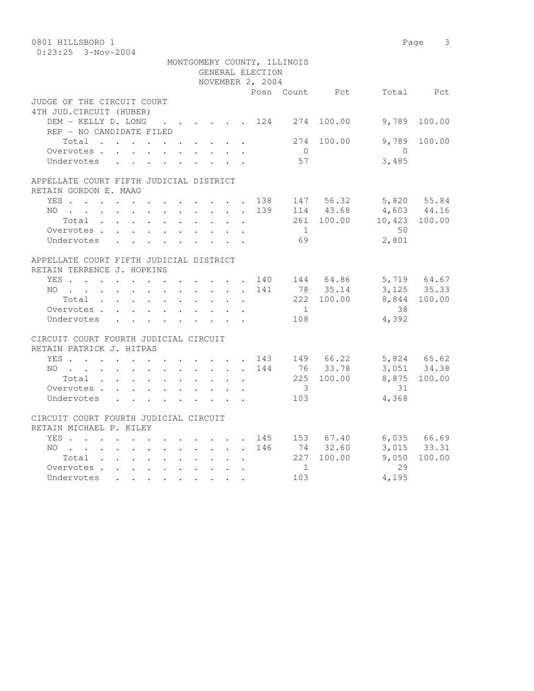| 0801 HILLSBORO 1                                                 |              |              |                      |                      |                      |              |                  |                             |                        |                            | Page 3                |
|------------------------------------------------------------------|--------------|--------------|----------------------|----------------------|----------------------|--------------|------------------|-----------------------------|------------------------|----------------------------|-----------------------|
| $0:23:25$ 3-Nov-2004                                             |              |              |                      |                      |                      |              |                  |                             |                        |                            |                       |
|                                                                  |              |              |                      |                      |                      |              |                  | MONTGOMERY COUNTY, ILLINOIS |                        |                            |                       |
|                                                                  |              |              |                      |                      |                      |              | GENERAL ELECTION |                             |                        |                            |                       |
|                                                                  |              |              |                      |                      |                      |              | NOVEMBER 2, 2004 |                             |                        |                            |                       |
|                                                                  |              |              |                      |                      |                      |              |                  |                             |                        | Posn Count Pct Total Pct   |                       |
| JUDGE OF THE CIRCUIT COURT                                       |              |              |                      |                      |                      |              |                  |                             |                        |                            |                       |
| 4TH JUD. CIRCUIT (HUBER)                                         |              |              |                      |                      |                      |              |                  |                             |                        |                            |                       |
| DEM - KELLY D. LONG 124 274 100.00                               |              |              |                      |                      |                      |              |                  |                             |                        | 9,789                      | 100.00                |
| REP - NO CANDIDATE FILED                                         |              |              |                      |                      |                      |              |                  |                             |                        |                            |                       |
| Total                                                            |              |              |                      | $\ddot{\phantom{1}}$ |                      |              |                  | 274                         | 100.00                 | 9,789                      | 100.00                |
| Overvotes.                                                       |              |              |                      |                      |                      |              |                  | $\overline{0}$              |                        | $\bigcirc$                 |                       |
| Undervotes                                                       |              |              |                      |                      |                      |              |                  | 57                          |                        | 3,485                      |                       |
|                                                                  |              |              |                      |                      |                      |              |                  |                             |                        |                            |                       |
| APPELLATE COURT FIFTH JUDICIAL DISTRICT<br>RETAIN GORDON E. MAAG |              |              |                      |                      |                      |              |                  |                             |                        |                            |                       |
| YES 138 147 56.32                                                |              |              |                      |                      |                      |              |                  |                             |                        |                            | 5,820 55.84           |
| $NO$                                                             |              |              |                      |                      |                      |              | 139              |                             | $114$ 43.68            | $4,603$ $44.16$            |                       |
| Total                                                            |              |              |                      |                      |                      |              |                  |                             |                        | 261 100.00 10,423 100.00   |                       |
| Overvotes.                                                       |              |              |                      |                      |                      |              |                  | 1                           |                        | 50                         |                       |
| Undervotes                                                       |              |              |                      |                      |                      |              |                  | 69                          |                        | 2,801                      |                       |
|                                                                  |              |              |                      |                      |                      |              |                  |                             |                        |                            |                       |
| APPELLATE COURT FIFTH JUDICIAL DISTRICT                          |              |              |                      |                      |                      |              |                  |                             |                        |                            |                       |
| RETAIN TERRENCE J. HOPKINS                                       |              |              |                      |                      |                      |              |                  |                             |                        |                            |                       |
| YES 140 144 64.86                                                |              |              |                      |                      |                      |              |                  |                             |                        |                            |                       |
| NO                                                               |              |              |                      |                      |                      |              | 141              |                             | 78 35.14               | 5,719 64.67<br>3,125 35.33 |                       |
| Total $\cdots$                                                   |              |              |                      |                      |                      |              |                  |                             | 222 100.00             |                            | 8,844 100.00          |
| Overvotes                                                        |              |              |                      |                      |                      |              |                  | 1                           |                        | 38                         |                       |
| Undervotes                                                       | $\mathbf{L}$ | $\mathbf{L}$ | $\ddot{\phantom{0}}$ |                      |                      |              |                  | 108                         |                        | 4,392                      |                       |
|                                                                  |              |              |                      |                      |                      |              |                  |                             |                        |                            |                       |
| CIRCUIT COURT FOURTH JUDICIAL CIRCUIT                            |              |              |                      |                      |                      |              |                  |                             |                        |                            |                       |
| RETAIN PATRICK J. HITPAS                                         |              |              |                      |                      |                      |              |                  |                             |                        |                            |                       |
| YES                                                              |              |              |                      |                      |                      |              |                  |                             |                        | 143 149 66.22 5,824 65.62  |                       |
| NO                                                               |              |              |                      |                      |                      |              | 144              |                             | 76 33.78               |                            | 3,051 34.38           |
| Total                                                            |              |              |                      |                      |                      |              |                  |                             | 225 100.00             |                            | 8,875 100.00          |
| Overvotes                                                        |              |              |                      |                      |                      |              |                  | $\overline{\mathbf{3}}$     |                        | 31                         |                       |
| Undervotes                                                       |              |              |                      |                      |                      |              |                  | 103                         |                        | 4,368                      |                       |
|                                                                  |              |              |                      |                      |                      |              |                  |                             |                        |                            |                       |
| CIRCUIT COURT FOURTH JUDICIAL CIRCUIT                            |              |              |                      |                      |                      |              |                  |                             |                        |                            |                       |
| RETAIN MICHAEL P. KILEY                                          |              |              |                      |                      |                      |              |                  |                             | 145 153 67.40          |                            |                       |
| YES.                                                             |              |              |                      |                      |                      |              |                  |                             |                        |                            | $6,035$ $66.69$       |
| NO                                                               |              |              |                      |                      |                      |              | 146              |                             | 74 32.60<br>227 100.00 | 9,050                      | 3,015 33.31<br>100.00 |
| Total                                                            |              |              |                      |                      | $\ddot{\phantom{0}}$ | $\mathbf{r}$ |                  | 1                           |                        | 29                         |                       |
| Overvotes<br>Undervotes                                          |              |              |                      |                      |                      |              |                  | 103                         |                        | 4,195                      |                       |
|                                                                  |              |              |                      |                      |                      |              |                  |                             |                        |                            |                       |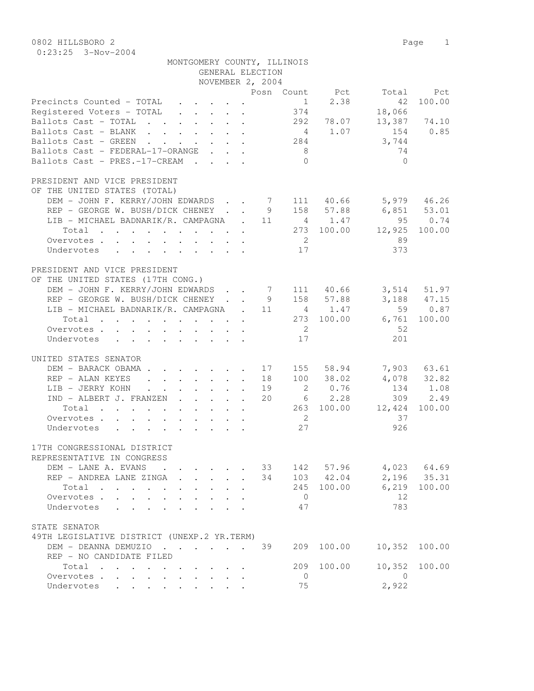| MONTGOMERY COUNTY, ILLINOIS                                                                                                             |                          |             |                            |                 |
|-----------------------------------------------------------------------------------------------------------------------------------------|--------------------------|-------------|----------------------------|-----------------|
| GENERAL ELECTION                                                                                                                        |                          |             |                            |                 |
| NOVEMBER 2, 2004                                                                                                                        |                          |             |                            |                 |
| Precincts Counted - TOTAL                                                                                                               | 1                        | 2.38        | Posn Count Pct Total<br>42 | Pct<br>100.00   |
| Registered Voters - TOTAL                                                                                                               | 374                      |             | 18,066                     |                 |
| Ballots Cast - TOTAL                                                                                                                    |                          | 292 78.07   |                            | 13,387 74.10    |
| Ballots Cast - BLANK                                                                                                                    |                          | 4 1.07      | 154                        | 0.85            |
| Ballots Cast - GREEN<br>$\mathbf{r}$ , $\mathbf{r}$ , $\mathbf{r}$ , $\mathbf{r}$ , $\mathbf{r}$ , $\mathbf{r}$                         | 284                      |             | 3,744                      |                 |
| Ballots Cast - FEDERAL-17-ORANGE                                                                                                        | 8 <sup>8</sup>           |             | 74                         |                 |
| Ballots Cast - PRES.-17-CREAM                                                                                                           | $\bigcap$                |             | $\Omega$                   |                 |
| PRESIDENT AND VICE PRESIDENT                                                                                                            |                          |             |                            |                 |
| OF THE UNITED STATES (TOTAL)                                                                                                            |                          |             |                            |                 |
| DEM - JOHN F. KERRY/JOHN EDWARDS 7 111 40.66                                                                                            |                          |             | $5,979$ 46.26              |                 |
| REP - GEORGE W. BUSH/DICK CHENEY                                                                                                        | 9                        | 158 57.88   | $6,851$ $53.01$            |                 |
| LIB - MICHAEL BADNARIK/R. CAMPAGNA . 11                                                                                                 |                          | 4 1.47      | 95                         | 0.74            |
| Total                                                                                                                                   |                          | 273 100.00  | 12,925                     | 100.00          |
| Overvotes.                                                                                                                              | $\overline{2}$           |             | 89                         |                 |
| Undervotes                                                                                                                              | 17                       |             | 373                        |                 |
| PRESIDENT AND VICE PRESIDENT                                                                                                            |                          |             |                            |                 |
| OF THE UNITED STATES (17TH CONG.)                                                                                                       |                          |             |                            |                 |
| DEM - JOHN F. KERRY/JOHN EDWARDS                                                                                                        | 7 111 40.66              |             |                            | $3,514$ $51.97$ |
| REP - GEORGE W. BUSH/DICK CHENEY.                                                                                                       | 9                        | 158 57.88   |                            | $3,188$ 47.15   |
| LIB - MICHAEL BADNARIK/R. CAMPAGNA . 11                                                                                                 |                          | 4 1.47      |                            | 59 0.87         |
| Total                                                                                                                                   |                          | 273 100.00  | 6,761                      | 100.00          |
| Overvotes.                                                                                                                              | $\overline{2}$           |             | 52                         |                 |
| Undervotes                                                                                                                              | 17                       |             | 201                        |                 |
| UNITED STATES SENATOR                                                                                                                   |                          |             |                            |                 |
| DEM - BARACK OBAMA.<br>. 17                                                                                                             |                          | 155 58.94   |                            | 7,903 63.61     |
| REP - ALAN KEYES<br>$\cdot$ $\cdot$ $\cdot$ $\cdot$ $\cdot$ $\cdot$ 18<br>$\mathbf{L}$                                                  |                          | 100 38.02   |                            | 4,078 32.82     |
| LIB - JERRY KOHN<br>$\mathbf{r}$ , $\mathbf{r}$ , $\mathbf{r}$ , $\mathbf{r}$<br>$\ddot{\phantom{a}}$ . The set of $\ddot{\phantom{a}}$ | $\overline{2}$<br>19     | 0.76        | 134                        | 1.08            |
| IND - ALBERT J. FRANZEN                                                                                                                 | 20                       | $6 \t 2.28$ | 309                        | 2.49            |
| Total                                                                                                                                   |                          | 263 100.00  | 12,424                     | 100.00          |
| Overvotes.                                                                                                                              | $\overline{\phantom{a}}$ |             | 37                         |                 |
| Undervotes                                                                                                                              | 27                       |             | 926                        |                 |
|                                                                                                                                         |                          |             |                            |                 |
| 17TH CONGRESSIONAL DISTRICT                                                                                                             |                          |             |                            |                 |
| REPRESENTATIVE IN CONGRESS                                                                                                              |                          |             |                            |                 |
| DEM - LANE A. EVANS                                                                                                                     | 33                       | 142 57.96   |                            | 4,023 64.69     |
| REP - ANDREA LANE ZINGA<br>$\mathbf{r}$                                                                                                 | 34                       | 103 42.04   | 2,196                      | 35.31           |
| Total<br>$\ddot{\phantom{0}}$                                                                                                           | 245                      | 100.00      | 6,219                      | 100.00          |
| Overvotes .<br>$\mathbf{L}$<br>$\mathcal{L}^{\text{max}}$<br>$\sim$                                                                     | $\overline{0}$           |             | 12                         |                 |
| Undervotes<br>$\mathbf{r}$<br>$\mathbf{r}$                                                                                              | 47                       |             | 783                        |                 |
| STATE SENATOR                                                                                                                           |                          |             |                            |                 |
| 49TH LEGISLATIVE DISTRICT (UNEXP.2 YR.TERM)                                                                                             |                          |             |                            |                 |
| DEM - DEANNA DEMUZIO                                                                                                                    | 39<br>209                | 100.00      | 10,352                     | 100.00          |
| REP - NO CANDIDATE FILED                                                                                                                |                          |             |                            |                 |
| Total                                                                                                                                   | 209                      | 100.00      | 10,352                     | 100.00          |
| Overvotes                                                                                                                               | $\mathbf{0}$             |             | $\mathbf{0}$               |                 |

Undervotes . . . . . . . . . 75 2,922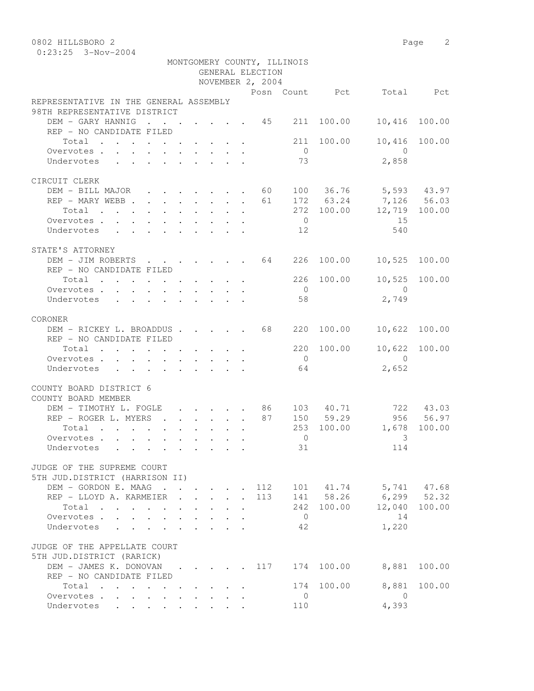0802 HILLSBORO 2 Page 2

|                                                                                                                                                                                                                                                                                                                                                                                                                                                                          |  |        | GENERAL ELECTION<br>NOVEMBER 2, 2004 | MONTGOMERY COUNTY, ILLINOIS |            |                          |               |
|--------------------------------------------------------------------------------------------------------------------------------------------------------------------------------------------------------------------------------------------------------------------------------------------------------------------------------------------------------------------------------------------------------------------------------------------------------------------------|--|--------|--------------------------------------|-----------------------------|------------|--------------------------|---------------|
|                                                                                                                                                                                                                                                                                                                                                                                                                                                                          |  |        |                                      |                             |            | Posn Count Pct Total Pct |               |
| REPRESENTATIVE IN THE GENERAL ASSEMBLY<br>98TH REPRESENTATIVE DISTRICT                                                                                                                                                                                                                                                                                                                                                                                                   |  |        |                                      |                             |            |                          |               |
| DEM - GARY HANNIG<br>$\cdots$ 45 211<br>REP - NO CANDIDATE FILED                                                                                                                                                                                                                                                                                                                                                                                                         |  |        |                                      |                             | 100.00     | 10,416                   | 100.00        |
| Total $\cdot$                                                                                                                                                                                                                                                                                                                                                                                                                                                            |  |        |                                      | 211                         | 100.00     | 10,416                   | 100.00        |
| Overvotes                                                                                                                                                                                                                                                                                                                                                                                                                                                                |  |        |                                      | $\overline{0}$              |            | $\overline{0}$           |               |
| Undervotes                                                                                                                                                                                                                                                                                                                                                                                                                                                               |  |        |                                      | 73                          |            | 2,858                    |               |
| CIRCUIT CLERK                                                                                                                                                                                                                                                                                                                                                                                                                                                            |  |        |                                      |                             |            |                          |               |
| DEM - BILL MAJOR 60 100 36.76 5,593 43.97                                                                                                                                                                                                                                                                                                                                                                                                                                |  |        |                                      |                             |            |                          |               |
| REP - MARY WEBB 61                                                                                                                                                                                                                                                                                                                                                                                                                                                       |  |        |                                      |                             |            | 172 63.24 7,126 56.03    |               |
| Total                                                                                                                                                                                                                                                                                                                                                                                                                                                                    |  |        |                                      |                             |            | 272 100.00 12,719 100.00 |               |
| Overvotes.                                                                                                                                                                                                                                                                                                                                                                                                                                                               |  |        |                                      | $\overline{0}$              |            | 15                       |               |
| Undervotes 12                                                                                                                                                                                                                                                                                                                                                                                                                                                            |  |        |                                      |                             |            | 540                      |               |
| STATE'S ATTORNEY                                                                                                                                                                                                                                                                                                                                                                                                                                                         |  |        |                                      |                             |            |                          |               |
| DEM - JIM ROBERTS 64 226 100.00<br>REP - NO CANDIDATE FILED                                                                                                                                                                                                                                                                                                                                                                                                              |  |        |                                      |                             |            | 10,525 100.00            |               |
| Total $\cdot$                                                                                                                                                                                                                                                                                                                                                                                                                                                            |  |        |                                      |                             | 226 100.00 |                          | 10,525 100.00 |
| Overvotes.                                                                                                                                                                                                                                                                                                                                                                                                                                                               |  |        |                                      | $\overline{0}$              |            | $\overline{0}$           |               |
| Undervotes                                                                                                                                                                                                                                                                                                                                                                                                                                                               |  |        |                                      | 58                          |            | 2,749                    |               |
| CORONER                                                                                                                                                                                                                                                                                                                                                                                                                                                                  |  |        |                                      |                             |            |                          |               |
| DEM - RICKEY L. BROADDUS 68<br>REP - NO CANDIDATE FILED                                                                                                                                                                                                                                                                                                                                                                                                                  |  |        |                                      | 220                         | 100.00     | 10,622                   | 100.00        |
| Total                                                                                                                                                                                                                                                                                                                                                                                                                                                                    |  |        |                                      |                             | 220 100.00 |                          | 10,622 100.00 |
| Overvotes                                                                                                                                                                                                                                                                                                                                                                                                                                                                |  |        |                                      | $\overline{0}$              |            | $\bigcirc$               |               |
| Undervotes<br>$\mathbf{1} \qquad \mathbf{1} \qquad \mathbf{1} \qquad \mathbf{1} \qquad \mathbf{1} \qquad \mathbf{1} \qquad \mathbf{1} \qquad \mathbf{1} \qquad \mathbf{1} \qquad \mathbf{1} \qquad \mathbf{1} \qquad \mathbf{1} \qquad \mathbf{1} \qquad \mathbf{1} \qquad \mathbf{1} \qquad \mathbf{1} \qquad \mathbf{1} \qquad \mathbf{1} \qquad \mathbf{1} \qquad \mathbf{1} \qquad \mathbf{1} \qquad \mathbf{1} \qquad \mathbf{1} \qquad \mathbf{1} \qquad \mathbf{$ |  |        |                                      | 64                          |            | 2,652                    |               |
| COUNTY BOARD DISTRICT 6<br>COUNTY BOARD MEMBER                                                                                                                                                                                                                                                                                                                                                                                                                           |  |        |                                      |                             |            |                          |               |
| DEM - TIMOTHY L. FOGLE 86 103 40.71                                                                                                                                                                                                                                                                                                                                                                                                                                      |  |        |                                      |                             |            |                          | 722 43.03     |
| REP - ROGER L. MYERS 87                                                                                                                                                                                                                                                                                                                                                                                                                                                  |  |        |                                      |                             | 150 59.29  |                          | 956 56.97     |
| Total                                                                                                                                                                                                                                                                                                                                                                                                                                                                    |  |        |                                      |                             | 253 100.00 | 1,678 100.00             |               |
| Overvotes.                                                                                                                                                                                                                                                                                                                                                                                                                                                               |  |        |                                      | $\overline{0}$              | 31         | 3<br>114                 |               |
| Undervotes                                                                                                                                                                                                                                                                                                                                                                                                                                                               |  |        |                                      |                             |            |                          |               |
| JUDGE OF THE SUPREME COURT<br>5TH JUD.DISTRICT (HARRISON II)                                                                                                                                                                                                                                                                                                                                                                                                             |  |        |                                      |                             |            |                          |               |
| DEM - GORDON E. MAAG                                                                                                                                                                                                                                                                                                                                                                                                                                                     |  |        | 112                                  |                             |            | 101 41.74 5,741 47.68    |               |
| REP - LLOYD A. KARMEIER                                                                                                                                                                                                                                                                                                                                                                                                                                                  |  | $\sim$ | 113                                  |                             |            | 141 58.26 6,299 52.32    |               |
| Total                                                                                                                                                                                                                                                                                                                                                                                                                                                                    |  |        |                                      |                             | 242 100.00 | 12,040                   | 100.00        |
| Overvotes                                                                                                                                                                                                                                                                                                                                                                                                                                                                |  |        |                                      | $\overline{0}$              |            | 14                       |               |
| Undervotes<br>$\sim$                                                                                                                                                                                                                                                                                                                                                                                                                                                     |  |        |                                      | 42                          |            | 1,220                    |               |
| JUDGE OF THE APPELLATE COURT                                                                                                                                                                                                                                                                                                                                                                                                                                             |  |        |                                      |                             |            |                          |               |
| 5TH JUD.DISTRICT (RARICK)                                                                                                                                                                                                                                                                                                                                                                                                                                                |  |        |                                      |                             | 100.00     |                          | 100.00        |
| DEM - JAMES K. DONOVAN 117<br>REP - NO CANDIDATE FILED                                                                                                                                                                                                                                                                                                                                                                                                                   |  |        |                                      | 174                         |            | 8,881                    |               |
| Total                                                                                                                                                                                                                                                                                                                                                                                                                                                                    |  |        |                                      |                             | 174 100.00 | 8,881                    | 100.00        |
| Overvotes<br>$\ddotsc$ $\ddotsc$                                                                                                                                                                                                                                                                                                                                                                                                                                         |  |        |                                      | $\overline{0}$              |            | $\overline{0}$           |               |
| Undervotes                                                                                                                                                                                                                                                                                                                                                                                                                                                               |  |        |                                      | 110                         |            | 4,393                    |               |
|                                                                                                                                                                                                                                                                                                                                                                                                                                                                          |  |        |                                      |                             |            |                          |               |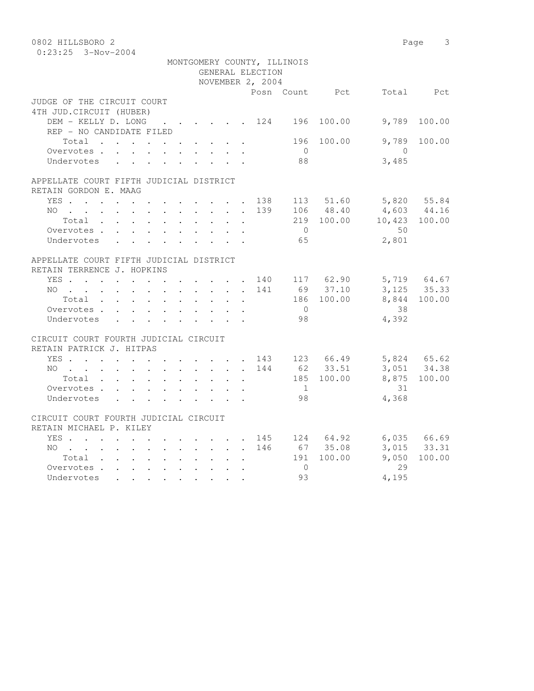| 0802 HILLSBORO 2                                                                               |                           |                      |                           |                                              |                  |                             |                |                     | Page 3                     |
|------------------------------------------------------------------------------------------------|---------------------------|----------------------|---------------------------|----------------------------------------------|------------------|-----------------------------|----------------|---------------------|----------------------------|
| $0:23:25$ 3-Nov-2004                                                                           |                           |                      |                           |                                              |                  |                             |                |                     |                            |
|                                                                                                |                           |                      |                           |                                              |                  | MONTGOMERY COUNTY, ILLINOIS |                |                     |                            |
|                                                                                                |                           |                      |                           |                                              | GENERAL ELECTION |                             |                |                     |                            |
|                                                                                                |                           |                      |                           |                                              | NOVEMBER 2, 2004 |                             |                |                     |                            |
|                                                                                                |                           |                      |                           |                                              |                  |                             | Posn Count Pct |                     | Total Pct                  |
| JUDGE OF THE CIRCUIT COURT                                                                     |                           |                      |                           |                                              |                  |                             |                |                     |                            |
| 4TH JUD. CIRCUIT (HUBER)                                                                       |                           |                      |                           |                                              |                  |                             |                |                     |                            |
| DEM - KELLY D. LONG 124 196 100.00                                                             |                           |                      |                           |                                              |                  |                             |                | 9,789               | 100.00                     |
| REP - NO CANDIDATE FILED                                                                       |                           |                      |                           |                                              |                  |                             |                |                     |                            |
| Total                                                                                          |                           |                      |                           |                                              |                  | 196                         | 100.00         | 9,789               | 100.00                     |
| Overvotes.                                                                                     |                           |                      |                           |                                              |                  | $\bigcirc$<br>88            |                | $\bigcirc$<br>3,485 |                            |
| Undervotes                                                                                     |                           |                      |                           |                                              |                  |                             |                |                     |                            |
| APPELLATE COURT FIFTH JUDICIAL DISTRICT                                                        |                           |                      |                           |                                              |                  |                             |                |                     |                            |
| RETAIN GORDON E. MAAG                                                                          |                           |                      |                           |                                              |                  |                             |                |                     |                            |
| YES 138                                                                                        |                           |                      |                           |                                              |                  |                             | 113 51.60      |                     | 5,820 55.84                |
| NO                                                                                             |                           |                      |                           |                                              | 139              |                             | 106 48.40      | 4,603 44.16         |                            |
| Total                                                                                          |                           |                      |                           |                                              |                  |                             | 219 100.00     | 10,423 100.00       |                            |
| Overvotes.                                                                                     |                           |                      |                           |                                              |                  | $\bigcirc$                  |                | 50                  |                            |
| Undervotes                                                                                     |                           |                      |                           |                                              |                  | 65                          |                | 2,801               |                            |
|                                                                                                |                           |                      |                           |                                              |                  |                             |                |                     |                            |
| APPELLATE COURT FIFTH JUDICIAL DISTRICT                                                        |                           |                      |                           |                                              |                  |                             |                |                     |                            |
| RETAIN TERRENCE J. HOPKINS                                                                     |                           |                      |                           |                                              |                  |                             |                |                     |                            |
| YES 140 117 62.90                                                                              |                           |                      |                           |                                              |                  |                             |                |                     |                            |
| $NO$                                                                                           |                           |                      |                           |                                              | 141              |                             | 69 37.10       |                     | 5,719 64.67<br>3,125 35.33 |
| Total                                                                                          |                           |                      |                           |                                              |                  |                             | 186 100.00     |                     | 8,844 100.00               |
| Overvotes.                                                                                     |                           |                      |                           |                                              |                  | $\overline{0}$              |                | 38                  |                            |
| Undervotes                                                                                     | $\mathbf{r} = \mathbf{r}$ |                      | $\mathbf{L} = \mathbf{L}$ | $\mathbf{L}$                                 |                  | 98                          |                | 4,392               |                            |
|                                                                                                |                           |                      |                           |                                              |                  |                             |                |                     |                            |
| CIRCUIT COURT FOURTH JUDICIAL CIRCUIT                                                          |                           |                      |                           |                                              |                  |                             |                |                     |                            |
| RETAIN PATRICK J. HITPAS                                                                       |                           |                      |                           |                                              |                  |                             |                |                     |                            |
| YES                                                                                            |                           |                      |                           |                                              |                  |                             | 143 123 66.49  | 5,824 65.62         |                            |
| NO<br>$\mathbf{r}$ , and $\mathbf{r}$ , and $\mathbf{r}$ , and $\mathbf{r}$ , and $\mathbf{r}$ |                           |                      |                           |                                              | 144              |                             | 62 33.51       |                     | 3,051 34.38                |
| Total                                                                                          |                           |                      |                           |                                              | $\mathbf{L}$     |                             | 185 100.00     |                     | 8,875 100.00               |
| Overvotes                                                                                      |                           |                      |                           |                                              |                  | $\mathbf{1}$                |                | 31                  |                            |
| Undervotes                                                                                     | $\mathbf{L}$              | $\ddot{\phantom{0}}$ |                           |                                              |                  | 98                          |                | 4,368               |                            |
| CIRCUIT COURT FOURTH JUDICIAL CIRCUIT                                                          |                           |                      |                           |                                              |                  |                             |                |                     |                            |
| RETAIN MICHAEL P. KILEY                                                                        |                           |                      |                           |                                              |                  |                             |                |                     |                            |
| YES                                                                                            |                           |                      |                           |                                              |                  |                             | 145 124 64.92  |                     | 6,035 66.69                |
| NO                                                                                             |                           |                      |                           |                                              | 146              |                             | 67 35.08       |                     | 3,015 33.31                |
| Total                                                                                          |                           |                      |                           | $\ddot{\phantom{0}}$<br>$\ddot{\phantom{a}}$ |                  |                             | 191 100.00     | 9,050               | 100.00                     |
| Overvotes                                                                                      |                           |                      |                           | $\ddot{\phantom{0}}$                         |                  | $\overline{0}$              |                | 29                  |                            |
| Undervotes                                                                                     |                           | $\sim$               |                           |                                              |                  | 93                          |                | 4,195               |                            |
|                                                                                                |                           |                      |                           |                                              |                  |                             |                |                     |                            |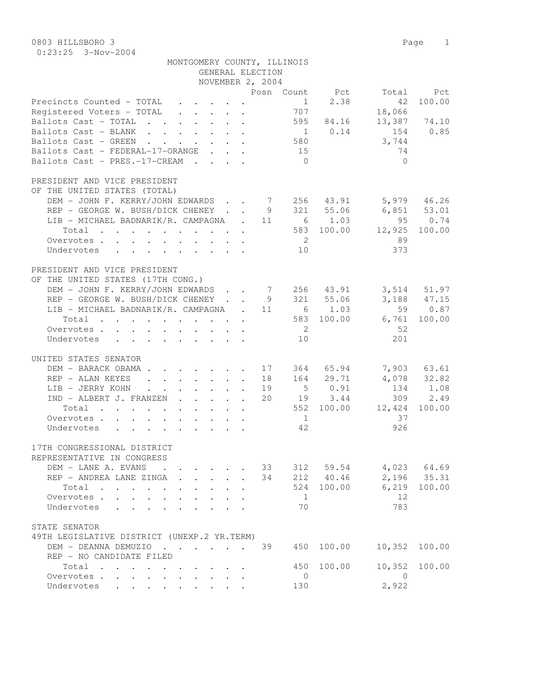| MONTGOMERY COUNTY, ILLINOIS |                  |  |
|-----------------------------|------------------|--|
|                             | GENERAL ELECTION |  |

|                                                                                                                          |  | NOVEMBER 2, 2004 |                |                |                   |                            |
|--------------------------------------------------------------------------------------------------------------------------|--|------------------|----------------|----------------|-------------------|----------------------------|
|                                                                                                                          |  |                  |                | Posn Count Pct | Total             | Pct                        |
| Precincts Counted - TOTAL                                                                                                |  |                  | 1              | 2.38           | 42                | 100.00                     |
| Registered Voters - TOTAL                                                                                                |  |                  | 707            |                | 18,066            |                            |
| Ballots Cast - TOTAL 595 84.16                                                                                           |  |                  |                |                | 13,387 74.10      |                            |
| Ballots Cast - BLANK                                                                                                     |  |                  |                | 1 0.14         | 154               | 0.85                       |
| Ballots Cast - GREEN 580                                                                                                 |  |                  |                |                | 3,744             |                            |
| Ballots Cast - FEDERAL-17-ORANGE                                                                                         |  |                  | 15             |                | 74                |                            |
| Ballots Cast - PRES.-17-CREAM                                                                                            |  |                  | $\bigcirc$     |                | $\bigcirc$        |                            |
|                                                                                                                          |  |                  |                |                |                   |                            |
| PRESIDENT AND VICE PRESIDENT                                                                                             |  |                  |                |                |                   |                            |
| OF THE UNITED STATES (TOTAL)                                                                                             |  |                  |                |                |                   |                            |
| DEM - JOHN F. KERRY/JOHN EDWARDS 7 256 43.91                                                                             |  |                  |                |                |                   | 5,979 46.26                |
| REP - GEORGE W. BUSH/DICK CHENEY 9 321 55.06                                                                             |  |                  |                |                | 6,851 53.01       |                            |
| LIB - MICHAEL BADNARIK/R. CAMPAGNA . 11                                                                                  |  |                  |                | 6 1.03         |                   | 95 0.74                    |
| the contract of the contract of the contract of the<br>Total                                                             |  |                  |                | 583 100.00     | 12,925            | 100.00                     |
| Overvotes                                                                                                                |  |                  | $\overline{2}$ |                | 89                |                            |
| Undervotes                                                                                                               |  |                  | 10             |                | 373               |                            |
|                                                                                                                          |  |                  |                |                |                   |                            |
| PRESIDENT AND VICE PRESIDENT                                                                                             |  |                  |                |                |                   |                            |
| OF THE UNITED STATES (17TH CONG.)                                                                                        |  |                  |                |                |                   |                            |
| DEM - JOHN F. KERRY/JOHN EDWARDS 7 256 43.91                                                                             |  |                  |                |                |                   | 3,514 51.97                |
| REP - GEORGE W. BUSH/DICK CHENEY 9 321 55.06                                                                             |  |                  |                |                |                   | 3,188 47.15                |
| LIB - MICHAEL BADNARIK/R. CAMPAGNA . 11                                                                                  |  |                  |                | $6 \t 1.03$    |                   | 59 0.87                    |
|                                                                                                                          |  |                  |                | 583 100.00     |                   |                            |
| Total<br>the contract of the contract of the contract of the contract of the contract of the contract of the contract of |  |                  |                |                | 6,761             | 100.00                     |
| Overvotes.                                                                                                               |  |                  | $\overline{2}$ |                | -52               |                            |
| Undervotes                                                                                                               |  |                  | 10             |                | 201               |                            |
|                                                                                                                          |  |                  |                |                |                   |                            |
| UNITED STATES SENATOR                                                                                                    |  |                  |                |                |                   |                            |
| DEM - BARACK OBAMA 17                                                                                                    |  |                  |                | 364 65.94      |                   | 7,903 63.61<br>4,078 32.82 |
| REP - ALAN KEYES                                                                                                         |  | 18               |                | 164 29.71      |                   |                            |
| LIB - JERRY KOHN                                                                                                         |  | 19               |                | 50.91          | 134               | 1.08                       |
| IND - ALBERT J. FRANZEN                                                                                                  |  | 20               |                | 19 3.44        |                   | 309 2.49                   |
| Total<br>the contract of the contract of the contract of the contract of the contract of the contract of the contract of |  |                  |                |                | 552 100.00 12,424 | 100.00                     |
| Overvotes                                                                                                                |  |                  | $\overline{1}$ |                | 37                |                            |
| Undervotes                                                                                                               |  |                  | 42             |                | 926               |                            |
|                                                                                                                          |  |                  |                |                |                   |                            |
| 17TH CONGRESSIONAL DISTRICT                                                                                              |  |                  |                |                |                   |                            |
| REPRESENTATIVE IN CONGRESS                                                                                               |  |                  |                |                |                   |                            |
| DEM - LANE A. EVANS                                                                                                      |  | 33               | 312            |                | 59.54 4,023 64.69 |                            |
| REP - ANDREA LANE ZINGA                                                                                                  |  | 34               |                | 212 40.46      |                   | 2,196 35.31                |
| Total                                                                                                                    |  |                  |                | 524 100.00     |                   | 6,219 100.00               |
| Overvotes                                                                                                                |  |                  | $\overline{1}$ |                | 12                |                            |
| Undervotes                                                                                                               |  |                  | 70             |                | 783               |                            |
|                                                                                                                          |  |                  |                |                |                   |                            |
| STATE SENATOR                                                                                                            |  |                  |                |                |                   |                            |
| 49TH LEGISLATIVE DISTRICT (UNEXP.2 YR.TERM)                                                                              |  |                  |                |                |                   |                            |
| DEM - DEANNA DEMUZIO 39                                                                                                  |  |                  | 450            | 100.00         | 10,352            | 100.00                     |
| REP - NO CANDIDATE FILED                                                                                                 |  |                  |                |                |                   |                            |
| Total                                                                                                                    |  |                  | 450            | 100.00         | 10,352            | 100.00                     |
| Overvotes.                                                                                                               |  |                  | $\overline{0}$ |                | $\overline{0}$    |                            |
| Undervotes                                                                                                               |  |                  | 130            |                | 2,922             |                            |
|                                                                                                                          |  |                  |                |                |                   |                            |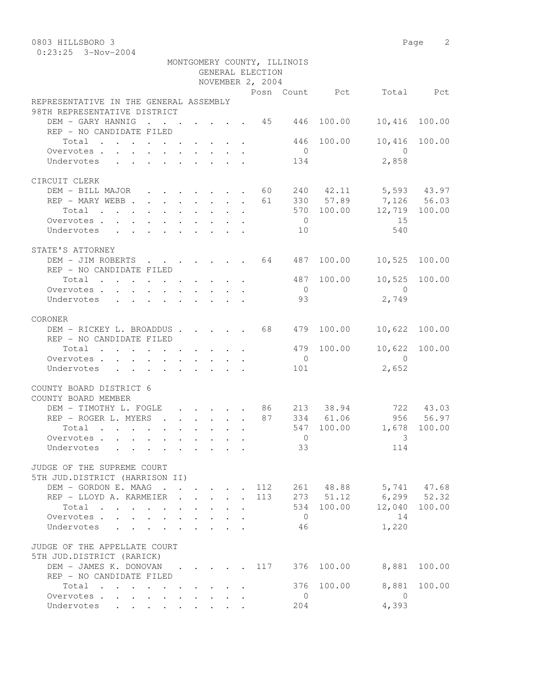0:23:25 3-Nov-2004

|                                                                      |  |                           |        | GENERAL ELECTION | MONTGOMERY COUNTY, ILLINOIS |            |                           |               |
|----------------------------------------------------------------------|--|---------------------------|--------|------------------|-----------------------------|------------|---------------------------|---------------|
|                                                                      |  |                           |        | NOVEMBER 2, 2004 |                             |            |                           |               |
| REPRESENTATIVE IN THE GENERAL ASSEMBLY                               |  |                           |        |                  |                             |            | Posn Count Pct Total Pct  |               |
| 98TH REPRESENTATIVE DISTRICT                                         |  |                           |        |                  |                             |            |                           |               |
| DEM - GARY HANNIG 45 446                                             |  |                           |        |                  |                             | 100.00     | 10,416                    | 100.00        |
| REP - NO CANDIDATE FILED                                             |  |                           |        |                  |                             |            |                           |               |
| Total                                                                |  |                           |        |                  |                             | 446 100.00 |                           | 10,416 100.00 |
| Overvotes                                                            |  |                           |        |                  | $\overline{0}$              |            | $\bigcirc$                |               |
| Undervotes                                                           |  |                           |        |                  | 134                         |            | 2,858                     |               |
| CIRCUIT CLERK                                                        |  |                           |        |                  |                             |            |                           |               |
| DEM - BILL MAJOR 60 240 42.11 5,593 43.97                            |  |                           |        |                  |                             |            |                           |               |
| REP - MARY WEBB 61 330 57.89 7,126 56.03                             |  |                           |        |                  |                             |            |                           |               |
| $\cdot$ 570 100.00 12,719 100.00<br>Total                            |  |                           |        |                  |                             |            |                           |               |
| Overvotes.                                                           |  |                           |        |                  | $\overline{0}$              |            | 15                        |               |
| Undervotes                                                           |  |                           |        |                  | 10                          |            | 540                       |               |
|                                                                      |  |                           |        |                  |                             |            |                           |               |
| STATE'S ATTORNEY                                                     |  |                           |        |                  |                             |            |                           |               |
| DEM - JIM ROBERTS 64 487 100.00                                      |  |                           |        |                  |                             |            | 10,525 100.00             |               |
| REP - NO CANDIDATE FILED                                             |  |                           |        |                  |                             |            |                           |               |
| Total                                                                |  |                           |        |                  |                             | 487 100.00 |                           | 10,525 100.00 |
| Overvotes.                                                           |  |                           |        |                  | $\overline{0}$              |            | $\overline{0}$            |               |
| Undervotes                                                           |  |                           |        |                  | 93                          |            | 2,749                     |               |
|                                                                      |  |                           |        |                  |                             |            |                           |               |
| CORONER                                                              |  |                           |        |                  |                             |            |                           |               |
| DEM - RICKEY L. BROADDUS 68 479 100.00                               |  |                           |        |                  |                             |            |                           | 10,622 100.00 |
| REP - NO CANDIDATE FILED                                             |  |                           |        |                  |                             |            |                           |               |
| Total                                                                |  |                           |        |                  |                             | 479 100.00 |                           | 10,622 100.00 |
| Overvotes                                                            |  |                           |        |                  | $\overline{0}$              |            | $\overline{0}$            |               |
| Undervotes                                                           |  |                           |        |                  | 101                         |            | 2,652                     |               |
| COUNTY BOARD DISTRICT 6                                              |  |                           |        |                  |                             |            |                           |               |
| COUNTY BOARD MEMBER                                                  |  |                           |        |                  |                             |            |                           |               |
| DEM - TIMOTHY L. FOGLE 86 213 38.94                                  |  |                           |        |                  |                             |            |                           | 722 43.03     |
| REP - ROGER L. MYERS 87 334 61.06                                    |  |                           |        |                  |                             |            |                           | 956 56.97     |
| Total                                                                |  |                           |        |                  |                             | 547 100.00 | 1,678 100.00              |               |
| Overvotes.                                                           |  |                           |        |                  | $\bigcirc$                  |            | 3                         |               |
| Undervotes                                                           |  |                           |        |                  | 33                          |            | 114                       |               |
| JUDGE OF THE SUPREME COURT                                           |  |                           |        |                  |                             |            |                           |               |
| 5TH JUD.DISTRICT (HARRISON II)                                       |  |                           |        |                  |                             |            |                           |               |
| DEM - GORDON E. MAAG 112 261 48.88 5,741 47.68                       |  |                           |        |                  |                             |            |                           |               |
| REP - LLOYD A. KARMEIER                                              |  | $\mathbf{L} = \mathbf{L}$ | $\sim$ |                  |                             |            | 113 273 51.12 6,299 52.32 |               |
| Total                                                                |  |                           |        |                  |                             | 534 100.00 | 12,040 100.00             |               |
| Overvotes<br>$\mathbf{A}$                                            |  |                           |        |                  | $\overline{0}$              |            | 14                        |               |
| Undervotes<br>$\mathbf{L}$<br>$\mathbf{L}$<br>$\mathbf{r}$<br>$\sim$ |  |                           |        |                  | 46                          |            | 1,220                     |               |
| JUDGE OF THE APPELLATE COURT                                         |  |                           |        |                  |                             |            |                           |               |
| 5TH JUD.DISTRICT (RARICK)                                            |  |                           |        |                  |                             |            |                           |               |
| DEM - JAMES K. DONOVAN 117 376 100.00                                |  |                           |        |                  |                             |            | 8,881                     | 100.00        |
| REP - NO CANDIDATE FILED                                             |  |                           |        |                  |                             |            |                           |               |
| Total                                                                |  |                           |        |                  |                             | 376 100.00 | 8,881                     | 100.00        |
| Overvotes                                                            |  |                           |        |                  | $\overline{0}$              |            | $\overline{0}$            |               |
| Undervotes<br>$\mathbf{L}$<br>$\mathbf{L}$<br>$\mathbf{L}$           |  |                           |        |                  | 204                         |            | 4,393                     |               |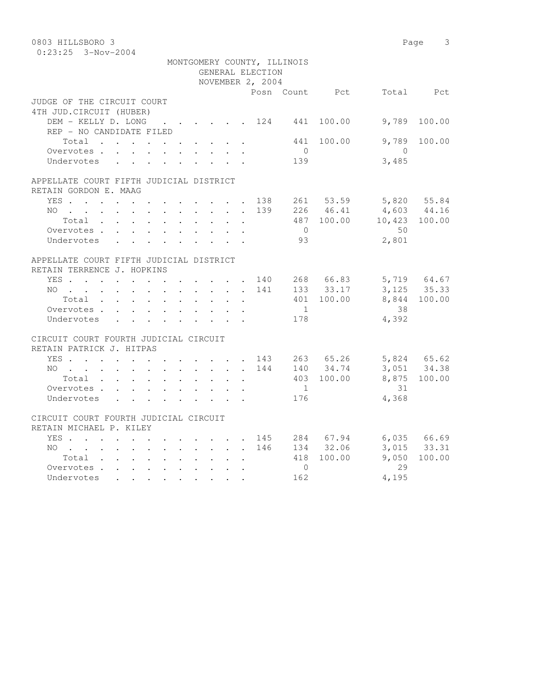| 0803 HILLSBORO 3                                                 |  |                           |                  |                             |            |                          | Page 3                     |
|------------------------------------------------------------------|--|---------------------------|------------------|-----------------------------|------------|--------------------------|----------------------------|
| $0:23:25$ 3-Nov-2004                                             |  |                           |                  |                             |            |                          |                            |
|                                                                  |  |                           |                  | MONTGOMERY COUNTY, ILLINOIS |            |                          |                            |
|                                                                  |  |                           | GENERAL ELECTION |                             |            |                          |                            |
|                                                                  |  |                           | NOVEMBER 2, 2004 |                             |            |                          |                            |
|                                                                  |  |                           |                  |                             |            | Posn Count Pct Total Pct |                            |
| JUDGE OF THE CIRCUIT COURT                                       |  |                           |                  |                             |            |                          |                            |
| 4TH JUD. CIRCUIT (HUBER)                                         |  |                           |                  |                             |            |                          |                            |
| DEM - KELLY D. LONG 124 441 100.00                               |  |                           |                  |                             |            | 9,789                    | 100.00                     |
| REP - NO CANDIDATE FILED                                         |  |                           |                  |                             |            |                          |                            |
| Total                                                            |  |                           |                  |                             | 441 100.00 | 9,789                    | 100.00                     |
| Overvotes.                                                       |  |                           |                  | $\bigcirc$                  |            | $\bigcirc$               |                            |
| Undervotes                                                       |  |                           |                  | 139                         |            | 3,485                    |                            |
| APPELLATE COURT FIFTH JUDICIAL DISTRICT                          |  |                           |                  |                             |            |                          |                            |
| RETAIN GORDON E. MAAG                                            |  |                           |                  |                             |            |                          |                            |
| YES 138                                                          |  |                           |                  |                             | 261 53.59  |                          | 5,820 55.84                |
| $NO$                                                             |  |                           | 139              |                             | 226 46.41  | $4,603$ $44.16$          |                            |
| Total                                                            |  |                           |                  |                             |            | 487 100.00 10,423 100.00 |                            |
| Overvotes.                                                       |  |                           |                  | $\overline{0}$              |            | 50                       |                            |
| Undervotes                                                       |  |                           |                  | 93                          |            | 2,801                    |                            |
|                                                                  |  |                           |                  |                             |            |                          |                            |
| APPELLATE COURT FIFTH JUDICIAL DISTRICT                          |  |                           |                  |                             |            |                          |                            |
| RETAIN TERRENCE J. HOPKINS                                       |  |                           |                  |                             |            |                          |                            |
| YES 140                                                          |  |                           |                  |                             | 268 66.83  |                          |                            |
| $NO$                                                             |  |                           | 141              |                             | 133 33.17  |                          | 5,719 64.67<br>3,125 35.33 |
| Total                                                            |  |                           |                  |                             | 401 100.00 |                          | 8,844 100.00               |
| Overvotes                                                        |  |                           |                  | 1                           |            | 38                       |                            |
| Undervotes                                                       |  |                           |                  | 178                         |            | 4,392                    |                            |
|                                                                  |  |                           |                  |                             |            |                          |                            |
| CIRCUIT COURT FOURTH JUDICIAL CIRCUIT                            |  |                           |                  |                             |            |                          |                            |
| RETAIN PATRICK J. HITPAS                                         |  |                           |                  |                             |            |                          |                            |
| YES. 143                                                         |  |                           |                  |                             | 263 65.26  | 5,824 65.62              |                            |
| NO                                                               |  |                           | 144              |                             | 140 34.74  |                          | 3,051 34.38                |
| Total                                                            |  | $\mathbf{L}$              |                  |                             | 403 100.00 |                          | 8,875 100.00               |
| Overvotes                                                        |  |                           |                  | $\frac{1}{2}$               |            | 31                       |                            |
| Undervotes                                                       |  | $\mathbf{L} = \mathbf{L}$ |                  | 176                         |            | 4,368                    |                            |
|                                                                  |  |                           |                  |                             |            |                          |                            |
| CIRCUIT COURT FOURTH JUDICIAL CIRCUIT<br>RETAIN MICHAEL P. KILEY |  |                           |                  |                             |            |                          |                            |
|                                                                  |  |                           | 145              |                             | 284 67.94  |                          | 6,035 66.69                |
| YES<br>NO                                                        |  |                           | 146              |                             | 134 32.06  |                          | 3,015 33.31                |
| Total                                                            |  | $\sim$<br>$\mathbf{r}$    |                  |                             | 418 100.00 | 9,050                    | 100.00                     |
| Overvotes.                                                       |  |                           |                  | $\mathbf{0}$                |            | 29                       |                            |
| Undervotes                                                       |  |                           |                  | 162                         |            | 4,195                    |                            |
|                                                                  |  |                           |                  |                             |            |                          |                            |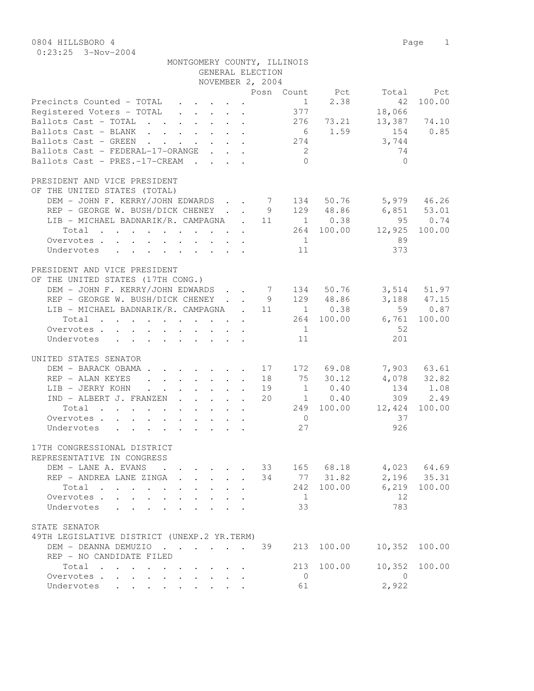| $0:23:25$ 3-Nov-2004                                                                                                           |        |                |                     |                            |                                                                                              |
|--------------------------------------------------------------------------------------------------------------------------------|--------|----------------|---------------------|----------------------------|----------------------------------------------------------------------------------------------|
| MONTGOMERY COUNTY, ILLINOIS                                                                                                    |        |                |                     |                            |                                                                                              |
| GENERAL ELECTION                                                                                                               |        |                |                     |                            |                                                                                              |
| NOVEMBER 2, 2004                                                                                                               |        |                |                     |                            |                                                                                              |
|                                                                                                                                |        |                |                     | Posn Count Pct Total       | Pct                                                                                          |
| Precincts Counted - TOTAL<br>$\mathbf{r} = \mathbf{r} + \mathbf{r} + \mathbf{r} + \mathbf{r} + \mathbf{r}$                     |        | 1              | 2.38                | 42                         | 100.00                                                                                       |
| Registered Voters - TOTAL                                                                                                      |        | 377            |                     | 18,066                     |                                                                                              |
|                                                                                                                                |        |                |                     |                            |                                                                                              |
| Ballots Cast - TOTAL $\ldots$ $\ldots$ $\ldots$ $\ldots$ $\qquad$ 276 $\qquad$ 73.21                                           |        |                | 6 1.59              | 154                        | 13,387 74.10<br>0.85                                                                         |
| Ballots Cast - BLANK   .   .   .   .   .<br>Ballots Cast - GREEN   .   .   .   .   .                                           |        | 274            |                     | 3,744                      |                                                                                              |
| Ballots Cast - FEDERAL-17-ORANGE                                                                                               |        | $\overline{2}$ |                     | 74                         |                                                                                              |
|                                                                                                                                |        | $\bigcirc$     |                     | $\bigcirc$                 |                                                                                              |
| Ballots $\text{Cast}$ - $\text{PRES}.-17-\text{CREAM}$                                                                         |        |                |                     |                            |                                                                                              |
|                                                                                                                                |        |                |                     |                            |                                                                                              |
| PRESIDENT AND VICE PRESIDENT                                                                                                   |        |                |                     |                            |                                                                                              |
| OF THE UNITED STATES (TOTAL)                                                                                                   |        |                |                     |                            |                                                                                              |
| DEM - JOHN F. KERRY/JOHN EDWARDS 7 134 50.76 5,979 46.26                                                                       |        |                |                     |                            |                                                                                              |
|                                                                                                                                |        |                |                     | 6,851 53.01<br>95 0.74     |                                                                                              |
|                                                                                                                                |        |                |                     |                            |                                                                                              |
|                                                                                                                                |        |                |                     | 264 100.00 12,925          | 100.00                                                                                       |
| Overvotes.                                                                                                                     |        | 1              |                     | 89                         |                                                                                              |
| Undervotes                                                                                                                     |        | 11             |                     | 373                        |                                                                                              |
|                                                                                                                                |        |                |                     |                            |                                                                                              |
| PRESIDENT AND VICE PRESIDENT                                                                                                   |        |                |                     |                            |                                                                                              |
| OF THE UNITED STATES (17TH CONG.)                                                                                              |        |                |                     |                            |                                                                                              |
|                                                                                                                                |        |                |                     |                            |                                                                                              |
| DEM - JOHN F. KERRY/JOHN EDWARDS 7 134 50.76<br>REP - GEORGE W. BUSH/DICK CHENEY 9 129 48.86                                   |        |                |                     |                            |                                                                                              |
| REP - GEORGE W. BUSH/DICK CHENEY 9 129 48.86<br>LIB - MICHAEL BADNARIK/R. CAMPAGNA . 11 1 0.38                                 |        |                |                     |                            | $\begin{array}{ccc} 3\text{, }514 & 51.97 \\ 3\text{, }188 & 47.15 \\ 59 & 0.87 \end{array}$ |
| Total                                                                                                                          | $\sim$ |                | 264 100.00          | 6,761                      | 100.00                                                                                       |
| Overvotes.                                                                                                                     |        | 1              |                     | 52                         |                                                                                              |
| Undervotes                                                                                                                     |        | 11             |                     | 201                        |                                                                                              |
|                                                                                                                                |        |                |                     |                            |                                                                                              |
| UNITED STATES SENATOR                                                                                                          |        |                |                     |                            |                                                                                              |
| DEM - BARACK OBAMA 17 172 69.08                                                                                                |        |                |                     |                            | 7,903 63.61                                                                                  |
| REP - ALAN KEYES                                                                                                               |        |                | 75 30.12            |                            | $4,078$ 32.82                                                                                |
| LIB - JERRY KOHN<br>$\mathbf{r}$ , $\mathbf{r}$ , $\mathbf{r}$ , $\mathbf{r}$ , $\mathbf{r}$<br>$\ddot{\phantom{0}}$<br>$\sim$ | 19     |                | $1 \t 0.40$         |                            | 134 1.08                                                                                     |
| IND - ALBERT J. FRANZEN                                                                                                        | 20     |                | $\overline{1}$ 0.40 | 309                        | 2.49                                                                                         |
| Total                                                                                                                          |        |                |                     | 249 100.00 12,424          | 100.00                                                                                       |
| Overvotes.                                                                                                                     |        | $\overline{0}$ |                     | 37                         |                                                                                              |
| Undervotes                                                                                                                     |        | 27             |                     | 926                        |                                                                                              |
|                                                                                                                                |        |                |                     |                            |                                                                                              |
| 17TH CONGRESSIONAL DISTRICT                                                                                                    |        |                |                     |                            |                                                                                              |
| REPRESENTATIVE IN CONGRESS                                                                                                     |        |                |                     |                            |                                                                                              |
| DEM - LANE A. EVANS                                                                                                            |        |                | 33 165 68.18        |                            |                                                                                              |
| REP - ANDREA LANE ZINGA                                                                                                        | 34     |                | 77 31.82            | 4,023 64.69<br>2,196 35.31 |                                                                                              |
| Total<br>$\cdot$ $\cdot$ $\cdot$                                                                                               |        |                | 242 100.00          |                            | 6,219 100.00                                                                                 |
| Overvotes.                                                                                                                     |        | $\overline{1}$ |                     | 12                         |                                                                                              |
| Undervotes                                                                                                                     |        | 33             |                     | 783                        |                                                                                              |
|                                                                                                                                |        |                |                     |                            |                                                                                              |
| STATE SENATOR                                                                                                                  |        |                |                     |                            |                                                                                              |
| 49TH LEGISLATIVE DISTRICT (UNEXP.2 YR.TERM)                                                                                    |        |                |                     |                            |                                                                                              |
|                                                                                                                                |        |                |                     |                            |                                                                                              |

49TH LEGISLATIVE DISTRICT (UNEXP.2 YR.TERM) DEM - DEANNA DEMUZIO . . . . . 39 213 100.00 10,352 100.00 REP - NO CANDIDATE FILED Total . . . . . . . . . . 213 100.00 10,352 100.00 Overvotes . . . . . . . . . . 0 0 Undervotes . . . . . . . . . 61 2,922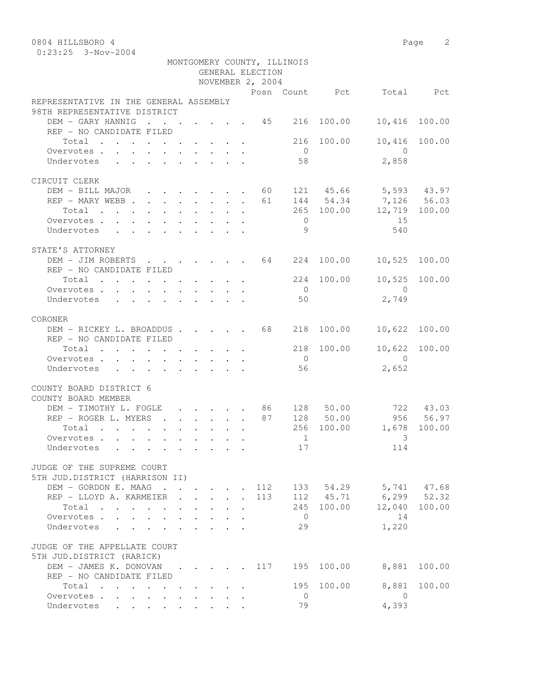| 0804 HILLSBORO 4 | Page |  |
|------------------|------|--|
| .                |      |  |

|                                                                                                        |  |        | GENERAL ELECTION<br>NOVEMBER 2, 2004 | MONTGOMERY COUNTY, ILLINOIS |            |                            |           |
|--------------------------------------------------------------------------------------------------------|--|--------|--------------------------------------|-----------------------------|------------|----------------------------|-----------|
|                                                                                                        |  |        |                                      |                             |            | Posn Count Pct Total Pct   |           |
| REPRESENTATIVE IN THE GENERAL ASSEMBLY                                                                 |  |        |                                      |                             |            |                            |           |
| 98TH REPRESENTATIVE DISTRICT                                                                           |  |        |                                      |                             |            |                            |           |
| DEM - GARY HANNIG 45 216                                                                               |  |        |                                      |                             | 100.00     | 10,416                     | 100.00    |
| REP - NO CANDIDATE FILED                                                                               |  |        |                                      |                             |            |                            |           |
| Total 216                                                                                              |  |        |                                      |                             | 100.00     | 10,416                     | 100.00    |
| Overvotes.                                                                                             |  |        |                                      | $\overline{0}$              |            | $\overline{0}$             |           |
| Undervotes                                                                                             |  |        |                                      | 58                          |            | 2,858                      |           |
|                                                                                                        |  |        |                                      |                             |            |                            |           |
| CIRCUIT CLERK                                                                                          |  |        |                                      |                             |            |                            |           |
| DEM - BILL MAJOR 60                                                                                    |  |        |                                      |                             |            | 121 45.66 5,593 43.97      |           |
| REP - MARY WEBB 61                                                                                     |  |        |                                      |                             |            | 144 54.34 7,126 56.03      |           |
| Total                                                                                                  |  |        |                                      |                             |            | 265 100.00 12,719 100.00   |           |
| Overvotes.                                                                                             |  |        |                                      | $\overline{0}$              |            | 15                         |           |
| Undervotes                                                                                             |  |        |                                      | 9 <sup>o</sup>              |            | 540                        |           |
|                                                                                                        |  |        |                                      |                             |            |                            |           |
| STATE'S ATTORNEY                                                                                       |  |        |                                      |                             |            |                            |           |
|                                                                                                        |  |        |                                      |                             |            |                            |           |
| DEM - JIM ROBERTS 64 224 100.00                                                                        |  |        |                                      |                             |            | 10,525 100.00              |           |
| REP - NO CANDIDATE FILED                                                                               |  |        |                                      |                             |            |                            |           |
| Total                                                                                                  |  |        |                                      |                             | 224 100.00 | 10,525 100.00              |           |
| Overvotes                                                                                              |  |        |                                      | $\overline{0}$              |            | $\overline{0}$             |           |
| Undervotes                                                                                             |  |        |                                      | 50                          |            | 2,749                      |           |
|                                                                                                        |  |        |                                      |                             |            |                            |           |
| CORONER                                                                                                |  |        |                                      |                             |            |                            |           |
| DEM - RICKEY L. BROADDUS 68                                                                            |  |        |                                      | 218                         | 100.00     | 10,622                     | 100.00    |
| REP - NO CANDIDATE FILED                                                                               |  |        |                                      |                             |            |                            |           |
| Total                                                                                                  |  |        |                                      |                             | 218 100.00 | 10,622 100.00              |           |
| Overvotes                                                                                              |  |        |                                      | $\overline{0}$              |            | $\bigcirc$                 |           |
| Undervotes<br>$\mathbf{r}$ , and $\mathbf{r}$ , and $\mathbf{r}$ , and $\mathbf{r}$ , and $\mathbf{r}$ |  |        |                                      | 56                          |            | 2,652                      |           |
| COUNTY BOARD DISTRICT 6<br>COUNTY BOARD MEMBER                                                         |  |        |                                      |                             |            |                            |           |
| DEM - TIMOTHY L. FOGLE 86 128 50.00 722 43.03                                                          |  |        |                                      |                             |            |                            |           |
| REP - ROGER L. MYERS 87 128 50.00                                                                      |  |        |                                      |                             |            |                            | 956 56.97 |
| Total $\cdot$                                                                                          |  |        |                                      |                             | 256 100.00 | 1,678 100.00               |           |
| Overvotes                                                                                              |  |        |                                      | $\mathbf{1}$                |            | $\overline{\phantom{a}}$ 3 |           |
| Undervotes .                                                                                           |  |        |                                      |                             | 17         | 114                        |           |
|                                                                                                        |  |        |                                      |                             |            |                            |           |
| JUDGE OF THE SUPREME COURT                                                                             |  |        |                                      |                             |            |                            |           |
| 5TH JUD.DISTRICT (HARRISON II)                                                                         |  |        |                                      |                             |            |                            |           |
| DEM - GORDON E. MAAG                                                                                   |  |        | 112                                  |                             |            | 133 54.29 5,741 47.68      |           |
|                                                                                                        |  |        | 113                                  |                             |            | 112 45.71 6,299 52.32      |           |
| REP - LLOYD A. KARMEIER                                                                                |  | $\sim$ |                                      |                             |            |                            |           |
| Total                                                                                                  |  |        |                                      |                             | 245 100.00 | 12,040                     | 100.00    |
| Overvotes                                                                                              |  |        |                                      | $\overline{0}$              |            | 14                         |           |
| Undervotes<br>$\mathbf{L} = \mathbf{L} \mathbf{L} + \mathbf{L} \mathbf{L}$                             |  |        |                                      | 29                          |            | 1,220                      |           |
| JUDGE OF THE APPELLATE COURT<br>5TH JUD.DISTRICT (RARICK)                                              |  |        |                                      |                             |            |                            |           |
| DEM - JAMES K. DONOVAN 117                                                                             |  |        |                                      | 195                         | 100.00     | 8,881                      | 100.00    |
| REP - NO CANDIDATE FILED                                                                               |  |        |                                      |                             |            |                            |           |
| Total                                                                                                  |  |        |                                      |                             | 195 100.00 | 8,881                      | 100.00    |
| Overvotes                                                                                              |  |        |                                      | $\overline{0}$              |            | $\overline{0}$             |           |
| Undervotes                                                                                             |  |        |                                      | 79                          |            | 4,393                      |           |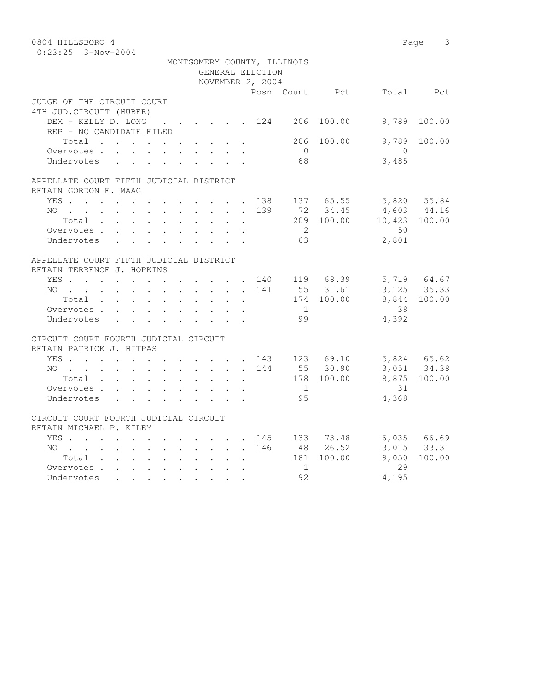| 0804 HILLSBORO 4                                                                                                   |                                                             |                      |                                                                       |                  |                             |                 |                 | 3<br>Page       |
|--------------------------------------------------------------------------------------------------------------------|-------------------------------------------------------------|----------------------|-----------------------------------------------------------------------|------------------|-----------------------------|-----------------|-----------------|-----------------|
| $0:23:25$ 3-Nov-2004                                                                                               |                                                             |                      |                                                                       |                  |                             |                 |                 |                 |
|                                                                                                                    |                                                             |                      |                                                                       |                  | MONTGOMERY COUNTY, ILLINOIS |                 |                 |                 |
|                                                                                                                    |                                                             |                      |                                                                       | GENERAL ELECTION |                             |                 |                 |                 |
|                                                                                                                    |                                                             |                      |                                                                       | NOVEMBER 2, 2004 |                             |                 |                 |                 |
|                                                                                                                    |                                                             |                      |                                                                       |                  |                             | Posn Count Pct  |                 | Total Pct       |
| JUDGE OF THE CIRCUIT COURT                                                                                         |                                                             |                      |                                                                       |                  |                             |                 |                 |                 |
| 4TH JUD. CIRCUIT (HUBER)                                                                                           |                                                             |                      |                                                                       |                  |                             |                 |                 |                 |
| DEM - KELLY D. LONG                                                                                                | $\cdot$ $\cdot$ $\cdot$ $\cdot$ $\cdot$ $\cdot$ $\cdot$ 124 |                      |                                                                       |                  | 206                         | 100.00          | 9,789           | 100.00          |
| REP - NO CANDIDATE FILED                                                                                           |                                                             |                      |                                                                       |                  |                             |                 |                 |                 |
| Total                                                                                                              |                                                             |                      |                                                                       |                  | 206                         | 100.00          | 9,789           | 100.00          |
| Overvotes                                                                                                          |                                                             |                      |                                                                       |                  | $\bigcirc$                  |                 | $\bigcirc$      |                 |
| Undervotes                                                                                                         |                                                             |                      |                                                                       |                  | 68                          |                 | 3,485           |                 |
|                                                                                                                    |                                                             |                      |                                                                       |                  |                             |                 |                 |                 |
|                                                                                                                    |                                                             |                      |                                                                       |                  |                             |                 |                 |                 |
| APPELLATE COURT FIFTH JUDICIAL DISTRICT                                                                            |                                                             |                      |                                                                       |                  |                             |                 |                 |                 |
| RETAIN GORDON E. MAAG                                                                                              |                                                             |                      |                                                                       |                  |                             |                 |                 |                 |
| YES                                                                                                                |                                                             |                      | $\mathbf{r}$ , and $\mathbf{r}$ , and $\mathbf{r}$ , and $\mathbf{r}$ | 138              |                             | 137 65.55       |                 | 5,820 55.84     |
| NO.<br>$\mathbf{r}$ , and $\mathbf{r}$ , and $\mathbf{r}$ , and $\mathbf{r}$ , and $\mathbf{r}$ , and $\mathbf{r}$ |                                                             |                      |                                                                       | 139              |                             | 72 34.45        | $4,603$ $44.16$ |                 |
| Total                                                                                                              |                                                             |                      |                                                                       |                  |                             | 209 100.00      | 10,423 100.00   |                 |
| Overvotes.                                                                                                         |                                                             |                      |                                                                       |                  | $\overline{2}$              |                 | 50              |                 |
| Undervotes                                                                                                         |                                                             |                      |                                                                       |                  | 63                          |                 | 2,801           |                 |
|                                                                                                                    |                                                             |                      |                                                                       |                  |                             |                 |                 |                 |
| APPELLATE COURT FIFTH JUDICIAL DISTRICT                                                                            |                                                             |                      |                                                                       |                  |                             |                 |                 |                 |
| RETAIN TERRENCE J. HOPKINS                                                                                         |                                                             |                      |                                                                       |                  |                             |                 |                 |                 |
| YES 140 119 68.39                                                                                                  |                                                             |                      |                                                                       |                  |                             |                 |                 | 5,719 64.67     |
| NO 141                                                                                                             |                                                             |                      |                                                                       |                  |                             | 55 31.61        |                 | 3, 125 35.33    |
| Total                                                                                                              |                                                             |                      |                                                                       |                  |                             | 174 100.00      |                 | 8,844 100.00    |
| Overvotes                                                                                                          |                                                             | $\sim$               | $\mathbf{L}$<br>$\sim$                                                |                  | 1                           |                 | 38              |                 |
| Undervotes                                                                                                         |                                                             |                      |                                                                       |                  | 99                          |                 | 4,392           |                 |
| CIRCUIT COURT FOURTH JUDICIAL CIRCUIT                                                                              |                                                             |                      |                                                                       |                  |                             |                 |                 |                 |
| RETAIN PATRICK J. HITPAS                                                                                           |                                                             |                      |                                                                       |                  |                             |                 |                 |                 |
| YES.                                                                                                               |                                                             |                      |                                                                       |                  |                             | . 143 123 69.10 |                 | 5,824 65.62     |
| $NO$                                                                                                               |                                                             |                      |                                                                       | 144              |                             | 55 30.90        |                 | $3,051$ 34.38   |
|                                                                                                                    |                                                             |                      |                                                                       |                  |                             |                 |                 |                 |
| Total                                                                                                              |                                                             |                      |                                                                       |                  |                             | 178 100.00      |                 | 8,875 100.00    |
| Overvotes                                                                                                          |                                                             |                      | $\sim$                                                                |                  | $\frac{1}{2}$               |                 | 31              |                 |
| Undervotes                                                                                                         |                                                             |                      |                                                                       |                  | 95                          |                 | 4,368           |                 |
| CIRCUIT COURT FOURTH JUDICIAL CIRCUIT                                                                              |                                                             |                      |                                                                       |                  |                             |                 |                 |                 |
| RETAIN MICHAEL P. KILEY                                                                                            |                                                             |                      |                                                                       |                  |                             |                 |                 |                 |
| YES 145 133 73.48                                                                                                  |                                                             |                      |                                                                       |                  |                             |                 |                 | $6,035$ $66.69$ |
| $NO$                                                                                                               |                                                             |                      |                                                                       | 146              |                             | 48 26.52        |                 | 3,015 33.31     |
|                                                                                                                    |                                                             |                      |                                                                       |                  |                             |                 | 9,050           |                 |
| Total                                                                                                              |                                                             |                      |                                                                       |                  |                             | 181 100.00      | 29              | 100.00          |
| Overvotes.                                                                                                         |                                                             | $\ddot{\phantom{0}}$ |                                                                       |                  | $\mathbf{1}$                |                 |                 |                 |
| Undervotes<br>$\mathbf{r}$ , $\mathbf{r}$ , $\mathbf{r}$ , $\mathbf{r}$ , $\mathbf{r}$                             |                                                             |                      |                                                                       |                  | 92                          |                 | 4,195           |                 |
|                                                                                                                    |                                                             |                      |                                                                       |                  |                             |                 |                 |                 |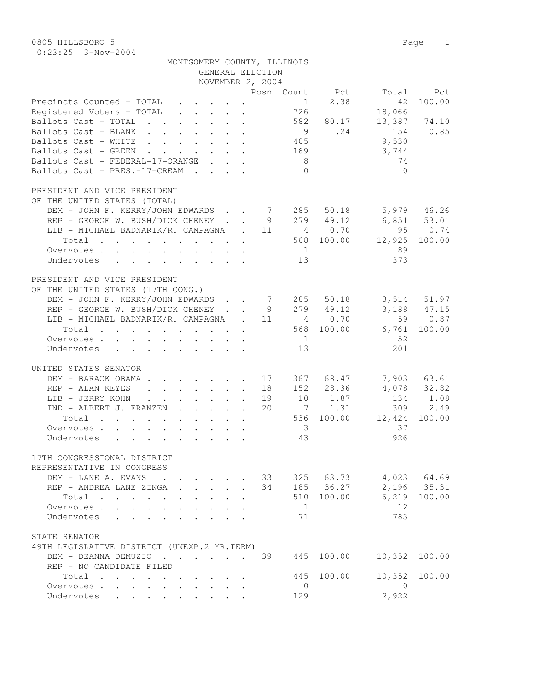## MONTGOMERY COUNTY, ILLINOIS

|                                                                                           |                                 | GENERAL ELECTION |                         |                |                 |              |
|-------------------------------------------------------------------------------------------|---------------------------------|------------------|-------------------------|----------------|-----------------|--------------|
|                                                                                           |                                 | NOVEMBER 2, 2004 |                         |                |                 |              |
|                                                                                           |                                 |                  |                         | Posn Count Pct | Total           | Pct          |
| Precincts Counted - TOTAL                                                                 |                                 |                  | 1                       | 2.38           | 42              | 100.00       |
| Registered Voters - TOTAL                                                                 |                                 |                  | 726                     |                | 18,066          |              |
| Ballots Cast - TOTAL                                                                      |                                 |                  | 582                     | 80.17          |                 | 13,387 74.10 |
| Ballots Cast - BLANK                                                                      |                                 |                  |                         | 9 1.24         | 154             | 0.85         |
| Ballots Cast - WHITE                                                                      |                                 |                  | 405                     |                | 9,530           |              |
| Ballots Cast - GREEN                                                                      |                                 |                  | 169                     |                | 3,744           |              |
| Ballots Cast - FEDERAL-17-ORANGE                                                          |                                 |                  | 8 <sup>1</sup>          |                | 74              |              |
| Ballots Cast - PRES.-17-CREAM                                                             |                                 |                  | $\Omega$                |                | $\Omega$        |              |
|                                                                                           |                                 |                  |                         |                |                 |              |
| PRESIDENT AND VICE PRESIDENT                                                              |                                 |                  |                         |                |                 |              |
| OF THE UNITED STATES (TOTAL)                                                              |                                 |                  |                         |                |                 |              |
| DEM - JOHN F. KERRY/JOHN EDWARDS 7 285                                                    |                                 |                  |                         | 50.18          |                 | 5,979 46.26  |
| REP - GEORGE W. BUSH/DICK CHENEY 9 279 49.12                                              |                                 |                  |                         |                | $6,851$ $53.01$ |              |
| LIB - MICHAEL BADNARIK/R. CAMPAGNA . 11 4 0.70                                            |                                 |                  |                         |                | 95              | 0.74         |
| Total                                                                                     |                                 |                  |                         | 568 100.00     | 12,925          | 100.00       |
| Overvotes                                                                                 |                                 |                  | 1                       |                | 89              |              |
| Undervotes                                                                                |                                 |                  | 13                      |                | 373             |              |
| PRESIDENT AND VICE PRESIDENT                                                              |                                 |                  |                         |                |                 |              |
| OF THE UNITED STATES (17TH CONG.)                                                         |                                 |                  |                         |                |                 |              |
| DEM - JOHN F. KERRY/JOHN EDWARDS 7 285                                                    |                                 |                  |                         | 50.18          |                 | 3,514 51.97  |
| REP - GEORGE W. BUSH/DICK CHENEY 9 279 49.12                                              |                                 |                  |                         |                |                 | 3,188 47.15  |
| LIB - MICHAEL BADNARIK/R. CAMPAGNA . 11 4 0.70                                            |                                 |                  |                         |                |                 | 59 0.87      |
|                                                                                           |                                 |                  |                         | 568 100.00     | 6,761           | 100.00       |
| Total                                                                                     |                                 |                  |                         |                |                 |              |
| Overvotes                                                                                 |                                 |                  | 1                       |                | -52             |              |
| Undervotes                                                                                |                                 |                  | 13                      |                | 201             |              |
| UNITED STATES SENATOR                                                                     |                                 |                  |                         |                |                 |              |
| DEM - BARACK OBAMA 17                                                                     |                                 |                  |                         | 367 68.47      |                 | 7,903 63.61  |
| REP - ALAN KEYES<br>$\mathbf{r}$ , and $\mathbf{r}$ , and $\mathbf{r}$ , and $\mathbf{r}$ |                                 | 18               |                         | 152 28.36      |                 | 4,078 32.82  |
| LIB - JERRY KOHN                                                                          |                                 | 19               |                         | 10 1.87        | 134             | 1.08         |
| IND - ALBERT J. FRANZEN                                                                   |                                 | 20               |                         | 7 1.31         | 309             | 2.49         |
| Total                                                                                     |                                 |                  | 536                     | 100.00         | 12,424          | 100.00       |
| Overvotes                                                                                 |                                 |                  | $\overline{\mathbf{3}}$ |                | 37              |              |
| Undervotes                                                                                |                                 |                  | 43                      |                | 926             |              |
|                                                                                           |                                 |                  |                         |                |                 |              |
| 17TH CONGRESSIONAL DISTRICT                                                               |                                 |                  |                         |                |                 |              |
| REPRESENTATIVE IN CONGRESS                                                                |                                 |                  |                         |                |                 |              |
| DEM - LANE A. EVANS                                                                       |                                 | 33               |                         | 325 63.73      |                 | 4,023 64.69  |
| REP - ANDREA LANE ZINGA.                                                                  | $\cdot$ $\cdot$ $\cdot$ $\cdot$ | 34               |                         | 185 36.27      |                 | 2,196 35.31  |
| Total                                                                                     |                                 |                  | 510                     | 100.00         | 6,219           | 100.00       |
| Overvotes                                                                                 |                                 |                  | $\mathbf{1}$            |                | 12              |              |
| Undervotes .                                                                              |                                 |                  | 71                      |                | 783             |              |
|                                                                                           |                                 |                  |                         |                |                 |              |
| STATE SENATOR                                                                             |                                 |                  |                         |                |                 |              |
| 49TH LEGISLATIVE DISTRICT (UNEXP.2 YR.TERM)                                               |                                 |                  |                         |                | 10,352          |              |
| DEM - DEANNA DEMUZIO                                                                      |                                 | 39               | 445                     | 100.00         |                 | 100.00       |
| REP - NO CANDIDATE FILED                                                                  |                                 |                  |                         |                |                 |              |
| Total                                                                                     |                                 |                  | 445                     | 100.00         | 10,352          | 100.00       |
| Overvotes                                                                                 |                                 |                  | $\overline{0}$          |                | 0               |              |
| Undervotes                                                                                |                                 |                  | 129                     |                | 2,922           |              |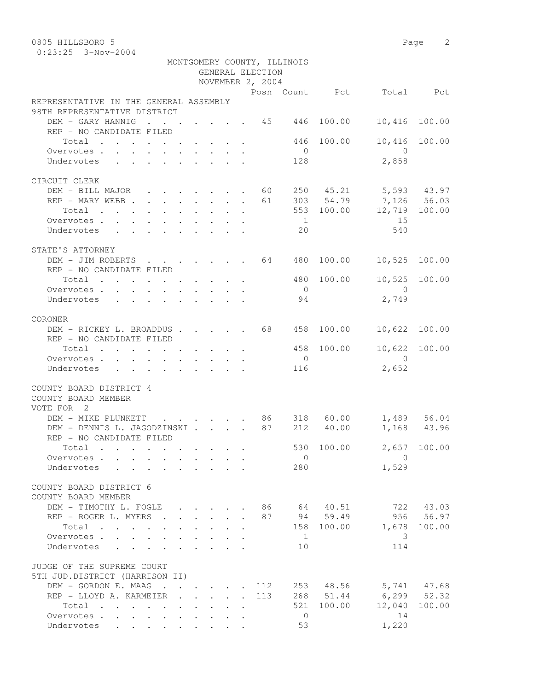0805 HILLSBORO 5 Page 2

| MONTGOMERY COUNTY, ILLINOIS<br>GENERAL ELECTION<br>NOVEMBER 2, 2004 |                                                                                          |              |  |                      |                      |     |                |              |                                                                          |           |
|---------------------------------------------------------------------|------------------------------------------------------------------------------------------|--------------|--|----------------------|----------------------|-----|----------------|--------------|--------------------------------------------------------------------------|-----------|
|                                                                     |                                                                                          |              |  |                      |                      |     |                |              | Posn Count Pct Total Pct                                                 |           |
| REPRESENTATIVE IN THE GENERAL ASSEMBLY                              |                                                                                          |              |  |                      |                      |     |                |              |                                                                          |           |
| 98TH REPRESENTATIVE DISTRICT                                        |                                                                                          |              |  |                      |                      |     |                |              |                                                                          |           |
| DEM - GARY HANNIG 45 446                                            |                                                                                          |              |  |                      |                      |     |                | 100.00       | 10,416                                                                   | 100.00    |
| REP - NO CANDIDATE FILED                                            |                                                                                          |              |  |                      |                      |     |                |              |                                                                          |           |
| Total 446 100.00                                                    |                                                                                          |              |  |                      |                      |     | $\overline{0}$ |              | 10,416<br>$\overline{0}$                                                 | 100.00    |
| Overvotes.<br>Undervotes                                            |                                                                                          |              |  |                      |                      |     | 128            |              | 2,858                                                                    |           |
|                                                                     |                                                                                          |              |  |                      |                      |     |                |              |                                                                          |           |
| CIRCUIT CLERK                                                       |                                                                                          |              |  |                      |                      |     |                |              |                                                                          |           |
| DEM - BILL MAJOR 60 250 45.21 5,593 43.97                           |                                                                                          |              |  |                      |                      |     |                |              |                                                                          |           |
| REP - MARY WEBB                                                     |                                                                                          |              |  |                      |                      | 61  |                |              | $303$ $54.79$ $7,126$ $56.03$                                            |           |
| Total                                                               |                                                                                          |              |  |                      |                      |     |                |              | 553 100.00 12,719 100.00                                                 |           |
| Overvotes                                                           |                                                                                          |              |  |                      |                      |     | $\sim$ 1       |              | 15                                                                       |           |
| Undervotes                                                          |                                                                                          |              |  |                      |                      |     | 20             |              | 540                                                                      |           |
| STATE'S ATTORNEY                                                    |                                                                                          |              |  |                      |                      |     |                |              |                                                                          |           |
| DEM - JIM ROBERTS 64 480 100.00 10,525 100.00                       |                                                                                          |              |  |                      |                      |     |                |              |                                                                          |           |
| REP - NO CANDIDATE FILED                                            |                                                                                          |              |  |                      |                      |     |                |              |                                                                          |           |
| Total                                                               |                                                                                          |              |  |                      |                      |     |                | 480 100.00   | 10,525 100.00                                                            |           |
| Overvotes                                                           |                                                                                          |              |  |                      |                      |     | $\overline{0}$ |              | $\overline{0}$                                                           |           |
| Undervotes                                                          |                                                                                          |              |  |                      |                      |     | 94             |              | 2,749                                                                    |           |
|                                                                     |                                                                                          |              |  |                      |                      |     |                |              |                                                                          |           |
| CORONER                                                             |                                                                                          |              |  |                      |                      |     |                | 100.00       |                                                                          | 100.00    |
| DEM - RICKEY L. BROADDUS 68 458<br>REP - NO CANDIDATE FILED         |                                                                                          |              |  |                      |                      |     |                |              | 10,622                                                                   |           |
| Total $\cdot$                                                       |                                                                                          |              |  |                      |                      |     |                | 458 100.00   | 10,622 100.00                                                            |           |
| Overvotes                                                           |                                                                                          |              |  |                      |                      |     | $\overline{0}$ |              | $\overline{0}$                                                           |           |
| Undervotes                                                          | $\mathbf{r}$ , and $\mathbf{r}$ , and $\mathbf{r}$ , and $\mathbf{r}$ , and $\mathbf{r}$ |              |  |                      |                      |     | 116            |              | 2,652                                                                    |           |
|                                                                     |                                                                                          |              |  |                      |                      |     |                |              |                                                                          |           |
| COUNTY BOARD DISTRICT 4<br>COUNTY BOARD MEMBER<br>VOTE FOR 2        |                                                                                          |              |  |                      |                      |     |                |              |                                                                          |           |
| DEM - MIKE PLUNKETT                                                 |                                                                                          |              |  |                      |                      |     |                |              | $\cdot$ $\cdot$ $\cdot$ $\cdot$ $\cdot$ $\cdot$ 86 318 60.00 1,489 56.04 |           |
| DEM - DENNIS L. JAGODZINSKI                                         |                                                                                          |              |  |                      |                      |     |                | 87 212 40.00 | 1,168 43.96                                                              |           |
| REP - NO CANDIDATE FILED                                            |                                                                                          |              |  |                      |                      |     |                |              | 530 100.00 2,657 100.00                                                  |           |
| Total                                                               |                                                                                          |              |  |                      |                      |     | $\overline{0}$ |              | $\bigcirc$                                                               |           |
| Overvotes<br>Undervotes                                             |                                                                                          | $\mathbf{L}$ |  |                      |                      |     | 280            |              | 1,529                                                                    |           |
|                                                                     |                                                                                          |              |  |                      |                      |     |                |              |                                                                          |           |
| COUNTY BOARD DISTRICT 6<br>COUNTY BOARD MEMBER                      |                                                                                          |              |  |                      |                      |     |                |              |                                                                          |           |
| DEM - TIMOTHY L. FOGLE                                              |                                                                                          |              |  |                      |                      |     |                | 86 64 40.51  | 722                                                                      | 43.03     |
| REP - ROGER L. MYERS                                                | $\sim$ $\sim$                                                                            |              |  |                      |                      |     |                | 87 94 59.49  |                                                                          | 956 56.97 |
| Total                                                               |                                                                                          |              |  |                      |                      |     |                | 158 100.00   | 1,678                                                                    | 100.00    |
| Overvotes                                                           |                                                                                          |              |  |                      |                      |     | $\overline{1}$ |              | 3                                                                        |           |
| Undervotes<br>$\mathbf{L}$<br>$\sim$                                | $\ddot{\phantom{0}}$                                                                     |              |  |                      |                      |     | 10             |              | 114                                                                      |           |
| JUDGE OF THE SUPREME COURT<br>5TH JUD.DISTRICT (HARRISON II)        |                                                                                          |              |  |                      |                      |     |                |              |                                                                          |           |
| DEM - GORDON E. MAAG                                                |                                                                                          |              |  |                      |                      | 112 |                |              | 253 48.56 5,741 47.68                                                    |           |
| REP - LLOYD A. KARMEIER .                                           |                                                                                          | $\mathbf{L}$ |  | $\ddot{\phantom{1}}$ | $\ddot{\phantom{0}}$ | 113 |                | 268 51.44    | $6,299$ $52.32$                                                          |           |
| Total                                                               |                                                                                          |              |  |                      |                      |     | 521            | 100.00       | 12,040                                                                   | 100.00    |
| Overvotes                                                           |                                                                                          |              |  |                      |                      |     | $\overline{0}$ |              | 14                                                                       |           |
| Undervotes                                                          |                                                                                          |              |  |                      |                      |     | 53             |              | 1,220                                                                    |           |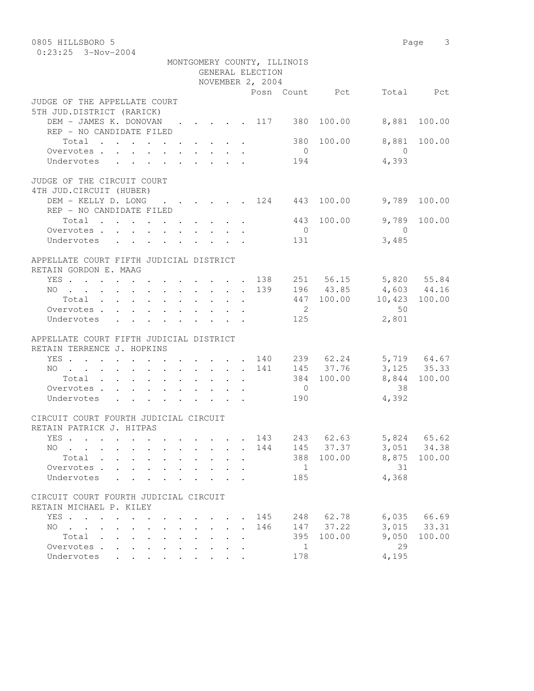| 0805 HILLSBORO 5                                                                                 |             |                      |                  |                             |                                  |                       | Page 3         |
|--------------------------------------------------------------------------------------------------|-------------|----------------------|------------------|-----------------------------|----------------------------------|-----------------------|----------------|
| $0:23:25$ 3-Nov-2004                                                                             |             |                      |                  |                             |                                  |                       |                |
|                                                                                                  |             |                      |                  | MONTGOMERY COUNTY, ILLINOIS |                                  |                       |                |
|                                                                                                  |             |                      | GENERAL ELECTION |                             |                                  |                       |                |
|                                                                                                  |             |                      | NOVEMBER 2, 2004 |                             |                                  |                       |                |
|                                                                                                  |             |                      |                  |                             | Posn Count Pct                   |                       | Total Pct      |
| JUDGE OF THE APPELLATE COURT                                                                     |             |                      |                  |                             |                                  |                       |                |
| 5TH JUD.DISTRICT (RARICK)                                                                        |             |                      |                  |                             |                                  |                       |                |
| DEM - JAMES K. DONOVAN 117 380                                                                   |             |                      |                  |                             | 100.00                           | 8,881                 | 100.00         |
| REP - NO CANDIDATE FILED                                                                         |             |                      |                  |                             |                                  |                       |                |
| Total $\cdot$                                                                                    |             |                      |                  | 380                         | 100.00                           | 8,881                 | 100.00         |
| Overvotes.                                                                                       |             |                      |                  | $\overline{0}$              |                                  | $\overline{0}$        |                |
| Undervotes                                                                                       |             |                      |                  | 194                         |                                  | 4,393                 |                |
|                                                                                                  |             |                      |                  |                             |                                  |                       |                |
| JUDGE OF THE CIRCUIT COURT                                                                       |             |                      |                  |                             |                                  |                       |                |
| 4TH JUD. CIRCUIT (HUBER)                                                                         |             |                      |                  |                             |                                  |                       |                |
| DEM - KELLY D. LONG                                                                              |             |                      |                  |                             | $\cdot$ , , , , , 124 443 100.00 | 9,789                 | 100.00         |
| REP - NO CANDIDATE FILED                                                                         |             |                      |                  |                             |                                  |                       |                |
| Total<br>Overvotes                                                                               |             |                      |                  | 443                         | 100.00                           | 9,789                 | 100.00         |
|                                                                                                  |             |                      |                  | $\overline{0}$              |                                  | $\bigcirc$            |                |
| Undervotes                                                                                       |             |                      |                  | 131                         |                                  | 3,485                 |                |
| APPELLATE COURT FIFTH JUDICIAL DISTRICT                                                          |             |                      |                  |                             |                                  |                       |                |
| RETAIN GORDON E. MAAG                                                                            |             |                      |                  |                             |                                  |                       |                |
| YES 138                                                                                          |             |                      |                  |                             |                                  | 251 56.15 5,820 55.84 |                |
| NO 139                                                                                           |             |                      |                  |                             | 196 43.85                        | 4,603 44.16           |                |
| Total                                                                                            |             |                      |                  |                             |                                  | $447$ 100.00 10,423   | 100.00         |
| Overvotes                                                                                        |             |                      |                  | $\overline{\phantom{a}}$    |                                  | 50                    |                |
| Undervotes                                                                                       |             |                      |                  | 125                         |                                  | 2,801                 |                |
|                                                                                                  |             |                      |                  |                             |                                  |                       |                |
| APPELLATE COURT FIFTH JUDICIAL DISTRICT                                                          |             |                      |                  |                             |                                  |                       |                |
| RETAIN TERRENCE J. HOPKINS                                                                       |             |                      |                  |                             |                                  |                       |                |
| YES 140                                                                                          |             |                      |                  |                             |                                  | 239 62.24 5,719 64.67 |                |
| NO 141                                                                                           |             |                      |                  |                             | 145 37.76                        |                       | 3, 125 35.33   |
| Total                                                                                            |             |                      |                  |                             | 384 100.00                       |                       | 8,844 100.00   |
| Overvotes                                                                                        |             |                      |                  | $\overline{0}$              |                                  | 38                    |                |
| Undervotes                                                                                       |             |                      |                  | 190                         |                                  | 4,392                 |                |
|                                                                                                  |             |                      |                  |                             |                                  |                       |                |
| CIRCUIT COURT FOURTH JUDICIAL CIRCUIT                                                            |             |                      |                  |                             |                                  |                       |                |
| RETAIN PATRICK J. HITPAS                                                                         |             |                      |                  |                             |                                  |                       |                |
| YES                                                                                              |             |                      | 143              | 243                         | 62.63                            | 5,824                 | 65.62          |
| NO .<br>$\sim$ $\sim$                                                                            |             | $\ddot{\phantom{a}}$ | 144              | 145                         | 37.37                            | 3,051                 | 34.38          |
| Total.                                                                                           |             |                      |                  | 388                         | 100.00                           | 8,875                 | 100.00         |
| Overvotes .<br>$\mathbf{L}$                                                                      |             |                      |                  | $\mathbf{1}$                |                                  | 31                    |                |
| Undervotes                                                                                       |             |                      |                  | 185                         |                                  | 4,368                 |                |
| CIRCUIT COURT FOURTH JUDICIAL CIRCUIT                                                            |             |                      |                  |                             |                                  |                       |                |
|                                                                                                  |             |                      |                  |                             |                                  |                       |                |
| RETAIN MICHAEL P. KILEY                                                                          |             |                      |                  |                             |                                  |                       |                |
| YES                                                                                              |             |                      | 145<br>146       | 248<br>147                  | 62.78<br>37.22                   | 6,035<br>3,015        | 66.69<br>33.31 |
| NO.<br>$\mathbf{r}$ , $\mathbf{r}$ , $\mathbf{r}$ , $\mathbf{r}$<br>$\sim$<br>Total              | $\bullet$ . | $\ddot{\phantom{a}}$ |                  | 395                         | 100.00                           | 9,050                 | 100.00         |
| $\ddot{\phantom{0}}$<br>$\bullet$<br>$\ddot{\phantom{a}}$<br>$\ddot{\phantom{0}}$<br>Overvotes . |             |                      |                  | 1                           |                                  | 29                    |                |
| $\ddot{\phantom{a}}$<br>$\ddot{\phantom{a}}$<br>Undervotes                                       |             |                      |                  | 178                         |                                  | 4,195                 |                |
|                                                                                                  |             |                      |                  |                             |                                  |                       |                |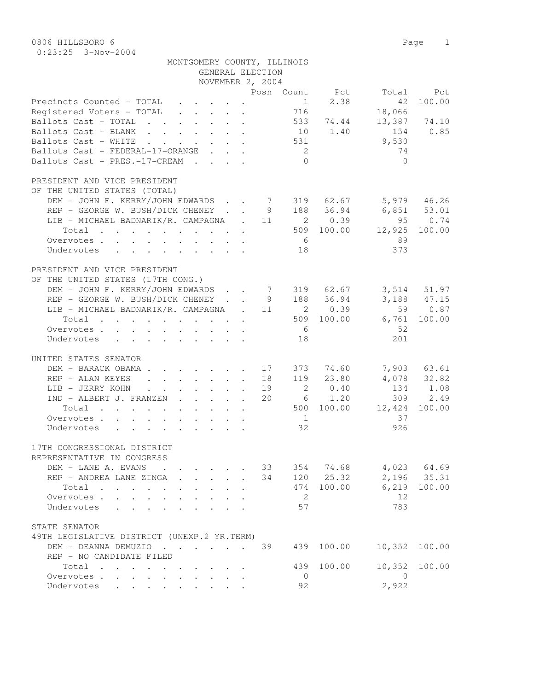|                                                          | MONTGOMERY COUNTY, ILLINOIS                                                               |                                                                                            |                                 | GENERAL ELECTION |                     |                        |                         |                           |
|----------------------------------------------------------|-------------------------------------------------------------------------------------------|--------------------------------------------------------------------------------------------|---------------------------------|------------------|---------------------|------------------------|-------------------------|---------------------------|
|                                                          |                                                                                           |                                                                                            |                                 | NOVEMBER 2, 2004 |                     |                        |                         |                           |
| Precincts Counted - TOTAL                                |                                                                                           |                                                                                            |                                 |                  | 1                   | Posn Count Pct<br>2.38 | 42                      | Total Pct<br>100.00       |
| Registered Voters - TOTAL                                |                                                                                           |                                                                                            |                                 |                  | 716                 |                        | 18,066                  |                           |
| Ballots Cast - TOTAL                                     |                                                                                           |                                                                                            |                                 |                  |                     | 533 74.44              | 13,387 74.10            |                           |
| Ballots Cast - BLANK 10 1.40                             |                                                                                           |                                                                                            |                                 |                  |                     |                        | 154 0.85                |                           |
| Ballots Cast - WHITE 531                                 |                                                                                           |                                                                                            |                                 |                  |                     |                        | 9,530                   |                           |
| Ballots Cast - FEDERAL-17-ORANGE                         |                                                                                           |                                                                                            |                                 |                  | $\overline{c}$      |                        | 74                      |                           |
| Ballots Cast - PRES.-17-CREAM                            |                                                                                           |                                                                                            |                                 |                  | $\bigcap$           |                        | $\bigcap$               |                           |
| PRESIDENT AND VICE PRESIDENT                             |                                                                                           |                                                                                            |                                 |                  |                     |                        |                         |                           |
| OF THE UNITED STATES (TOTAL)                             |                                                                                           |                                                                                            |                                 |                  |                     |                        |                         |                           |
| DEM - JOHN F. KERRY/JOHN EDWARDS 7 319 62.67 5,979 46.26 |                                                                                           |                                                                                            |                                 |                  |                     |                        |                         |                           |
| REP - GEORGE W. BUSH/DICK CHENEY                         |                                                                                           |                                                                                            |                                 |                  |                     |                        | 9 188 36.94 6,851 53.01 |                           |
| LIB - MICHAEL BADNARIK/R. CAMPAGNA . 11 2 0.39           |                                                                                           |                                                                                            |                                 |                  |                     |                        | 95 0.74                 |                           |
| Total 509 100.00 12,925 100.00                           |                                                                                           |                                                                                            |                                 |                  |                     |                        |                         |                           |
| Overvotes.                                               |                                                                                           |                                                                                            |                                 |                  | 6                   |                        | 89                      |                           |
| Undervotes                                               |                                                                                           |                                                                                            |                                 |                  | 18                  |                        | 373                     |                           |
|                                                          |                                                                                           |                                                                                            |                                 |                  |                     |                        |                         |                           |
| PRESIDENT AND VICE PRESIDENT                             |                                                                                           |                                                                                            |                                 |                  |                     |                        |                         |                           |
| OF THE UNITED STATES (17TH CONG.)                        |                                                                                           |                                                                                            |                                 |                  |                     |                        |                         |                           |
| DEM - JOHN F. KERRY/JOHN EDWARDS 7 319 62.67             |                                                                                           |                                                                                            |                                 |                  |                     |                        |                         | 3,514 51.97               |
| REP - GEORGE W. BUSH/DICK CHENEY 9 188 36.94             |                                                                                           |                                                                                            |                                 |                  |                     |                        |                         | 3,188 47.15               |
| LIB - MICHAEL BADNARIK/R. CAMPAGNA . 11 2 0.39           |                                                                                           |                                                                                            |                                 |                  |                     |                        |                         | 59 0.87                   |
| Total 509 100.00 6,761 100.00                            |                                                                                           |                                                                                            |                                 |                  |                     |                        |                         |                           |
| Overvotes                                                |                                                                                           |                                                                                            |                                 |                  | 6                   |                        | - 52                    |                           |
| Undervotes                                               |                                                                                           |                                                                                            |                                 |                  | 18                  |                        | 201                     |                           |
|                                                          |                                                                                           |                                                                                            |                                 |                  |                     |                        |                         |                           |
| UNITED STATES SENATOR                                    |                                                                                           |                                                                                            |                                 |                  |                     |                        |                         |                           |
| DEM - BARACK OBAMA 17 373 74.60                          |                                                                                           |                                                                                            |                                 |                  |                     | 18  119  23.80         |                         | 7,903 63.61               |
| REP - ALAN KEYES                                         |                                                                                           |                                                                                            |                                 |                  |                     | 2 0.40                 |                         | $4,078$ 32.82<br>134 1.08 |
| LIB - JERRY KOHN                                         |                                                                                           |                                                                                            |                                 | 19<br>20         |                     |                        |                         | 309 2.49                  |
| IND - ALBERT J. FRANZEN                                  |                                                                                           |                                                                                            |                                 |                  |                     | 6 1.20                 | 500 100.00 12,424       |                           |
| Total                                                    |                                                                                           |                                                                                            |                                 |                  |                     |                        | 37                      | 100.00                    |
| Overvotes<br>Undervotes                                  |                                                                                           |                                                                                            |                                 |                  | $\frac{1}{2}$<br>32 |                        | 926                     |                           |
|                                                          |                                                                                           |                                                                                            |                                 |                  |                     |                        |                         |                           |
| 17TH CONGRESSIONAL DISTRICT                              |                                                                                           |                                                                                            |                                 |                  |                     |                        |                         |                           |
| REPRESENTATIVE IN CONGRESS                               |                                                                                           |                                                                                            |                                 |                  |                     |                        |                         |                           |
| DEM - LANE A. EVANS                                      | $\mathbf{r}$ , $\mathbf{r}$ , $\mathbf{r}$ , $\mathbf{r}$ , $\mathbf{r}$                  |                                                                                            |                                 | 33               |                     | 354 74.68              |                         | $4,023$ $64.69$           |
| REP - ANDREA LANE ZINGA                                  | $\mathbf{r} = \mathbf{r} \cdot \mathbf{r}$ and $\mathbf{r} = \mathbf{r} \cdot \mathbf{r}$ |                                                                                            |                                 |                  |                     | 34 120 25.32           |                         | 2,196 35.31               |
| Total                                                    |                                                                                           | $\mathbf{1}$ $\mathbf{1}$ $\mathbf{1}$ $\mathbf{1}$ $\mathbf{1}$ $\mathbf{1}$ $\mathbf{1}$ |                                 |                  |                     | 474 100.00             |                         | 6,219 100.00              |
| Overvotes                                                | $\sim$<br>$\ddot{\phantom{0}}$                                                            |                                                                                            |                                 |                  | 2                   |                        | 12                      |                           |
| Undervotes                                               | $\ddot{\phantom{a}}$<br>$\ddot{\phantom{a}}$                                              |                                                                                            | $\mathbf{r}$ , $\mathbf{r}$     |                  | 57                  |                        | 783                     |                           |
|                                                          |                                                                                           |                                                                                            |                                 |                  |                     |                        |                         |                           |
| STATE SENATOR                                            |                                                                                           |                                                                                            |                                 |                  |                     |                        |                         |                           |
| 49TH LEGISLATIVE DISTRICT (UNEXP.2 YR.TERM)              |                                                                                           |                                                                                            |                                 |                  |                     |                        |                         |                           |
| DEM - DEANNA DEMUZIO                                     |                                                                                           |                                                                                            |                                 | 39               | 439                 | 100.00                 | 10,352                  | 100.00                    |
| REP - NO CANDIDATE FILED                                 |                                                                                           |                                                                                            |                                 |                  |                     |                        |                         |                           |
| Total                                                    |                                                                                           |                                                                                            |                                 |                  | 439                 | 100.00                 | 10,352                  | 100.00                    |
| Overvotes                                                |                                                                                           |                                                                                            | $\cdot$ $\cdot$ $\cdot$ $\cdot$ |                  | $\overline{0}$      |                        | $\overline{0}$          |                           |
| Undervotes                                               |                                                                                           |                                                                                            |                                 |                  | 92                  |                        | 2,922                   |                           |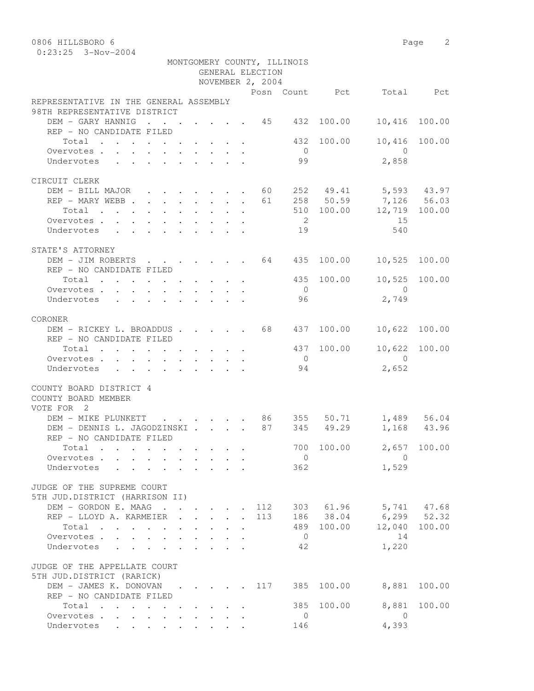0806 HILLSBORO 6 Page 2

|                                                          |                                                           |                | GENERAL ELECTION | MONTGOMERY COUNTY, ILLINOIS |                 |                                  |             |
|----------------------------------------------------------|-----------------------------------------------------------|----------------|------------------|-----------------------------|-----------------|----------------------------------|-------------|
|                                                          |                                                           |                | NOVEMBER 2, 2004 |                             |                 |                                  |             |
|                                                          |                                                           |                |                  |                             |                 | Posn Count Pct Total Pct         |             |
| REPRESENTATIVE IN THE GENERAL ASSEMBLY                   |                                                           |                |                  |                             |                 |                                  |             |
| 98TH REPRESENTATIVE DISTRICT                             |                                                           |                |                  |                             |                 |                                  |             |
| DEM - GARY HANNIG 45 432 100.00                          |                                                           |                |                  |                             |                 | 10,416                           | 100.00      |
| REP - NO CANDIDATE FILED                                 |                                                           |                |                  |                             |                 |                                  |             |
| Total $\cdot$                                            |                                                           |                |                  |                             | 432 100.00      | 10,416 100.00                    |             |
| Overvotes.                                               |                                                           |                |                  | $\overline{0}$              |                 | $\overline{0}$                   |             |
| Undervotes                                               |                                                           |                |                  | 99                          |                 | 2,858                            |             |
|                                                          |                                                           |                |                  |                             |                 |                                  |             |
| CIRCUIT CLERK                                            |                                                           |                |                  |                             |                 |                                  |             |
| DEM - BILL MAJOR 60 252 49.41 5,593 43.97                |                                                           |                |                  |                             |                 |                                  |             |
| REP - MARY WEBB 61                                       |                                                           |                |                  |                             |                 | 258 50.59 7,126 56.03            |             |
| Total                                                    |                                                           |                |                  |                             |                 | 510 100.00 12,719 100.00         |             |
| Overvotes.                                               |                                                           |                |                  | $\overline{2}$              |                 | 15                               |             |
| Undervotes 19                                            |                                                           |                |                  |                             |                 | 540                              |             |
|                                                          |                                                           |                |                  |                             |                 |                                  |             |
| STATE'S ATTORNEY                                         |                                                           |                |                  |                             |                 |                                  |             |
| DEM - JIM ROBERTS 64 435 100.00 10,525 100.00            |                                                           |                |                  |                             |                 |                                  |             |
| REP - NO CANDIDATE FILED                                 |                                                           |                |                  |                             |                 |                                  |             |
| Total                                                    |                                                           |                |                  |                             | 435 100.00      | 10,525 100.00                    |             |
| Overvotes.                                               |                                                           |                |                  | $\overline{0}$              |                 | $\overline{0}$                   |             |
| Undervotes                                               |                                                           |                |                  | 96                          |                 | 2,749                            |             |
|                                                          |                                                           |                |                  |                             |                 |                                  |             |
| CORONER                                                  |                                                           |                |                  |                             |                 |                                  |             |
| DEM - RICKEY L. BROADDUS 68 437 100.00                   |                                                           |                |                  |                             |                 | 10,622 100.00                    |             |
| REP - NO CANDIDATE FILED                                 |                                                           |                |                  |                             |                 |                                  |             |
| Total                                                    |                                                           |                |                  |                             | 437 100.00      | 10,622 100.00                    |             |
| Overvotes                                                |                                                           |                |                  | $\overline{0}$              |                 | $\overline{0}$                   |             |
| Undervotes                                               |                                                           |                |                  | 94                          |                 | 2,652                            |             |
|                                                          |                                                           |                |                  |                             |                 |                                  |             |
| COUNTY BOARD DISTRICT 4                                  |                                                           |                |                  |                             |                 |                                  |             |
| COUNTY BOARD MEMBER                                      |                                                           |                |                  |                             |                 |                                  |             |
| VOTE FOR 2                                               |                                                           |                |                  |                             |                 |                                  |             |
| DEM - MIKE PLUNKETT<br><b>Contract Contract Contract</b> |                                                           |                |                  |                             |                 | $\cdot$ 86 355 50.71 1,489 56.04 |             |
| DEM - DENNIS L. JAGODZINSKI                              |                                                           |                |                  |                             | 87 345 49.29    |                                  | 1,168 43.96 |
| REP - NO CANDIDATE FILED                                 |                                                           |                |                  |                             |                 |                                  |             |
| Total                                                    |                                                           |                |                  |                             |                 | 700 100.00 2,657 100.00          |             |
| Overvotes.                                               |                                                           |                |                  | $\overline{0}$              |                 | $\Omega$                         |             |
| Undervotes                                               |                                                           |                |                  | 362                         |                 | 1,529                            |             |
|                                                          |                                                           |                |                  |                             |                 |                                  |             |
| JUDGE OF THE SUPREME COURT                               |                                                           |                |                  |                             |                 |                                  |             |
| 5TH JUD.DISTRICT (HARRISON II)                           |                                                           |                |                  |                             |                 |                                  |             |
| DEM - GORDON E. MAAG                                     |                                                           |                |                  |                             | . 112 303 61.96 | 5,741 47.68                      |             |
| REP - LLOYD A. KARMEIER                                  | $\mathbf{r}$ , $\mathbf{r}$ , $\mathbf{r}$ , $\mathbf{r}$ |                | 113              |                             | 186 38.04       | $6, 299$ $52.32$                 |             |
| Total                                                    |                                                           |                |                  |                             | 489 100.00      | 12,040 100.00                    |             |
| Overvotes.                                               |                                                           |                |                  | $\overline{0}$              |                 | 14                               |             |
| Undervotes                                               |                                                           | $\mathbb{R}^2$ |                  | 42                          |                 | 1,220                            |             |
|                                                          |                                                           |                |                  |                             |                 |                                  |             |
| JUDGE OF THE APPELLATE COURT                             |                                                           |                |                  |                             |                 |                                  |             |
| 5TH JUD.DISTRICT (RARICK)                                |                                                           |                |                  |                             |                 |                                  |             |
| DEM - JAMES K. DONOVAN 117                               |                                                           |                |                  | 385                         | 100.00          | 8,881                            | 100.00      |
| REP - NO CANDIDATE FILED                                 |                                                           |                |                  |                             |                 |                                  |             |
| Total                                                    |                                                           |                |                  | 385                         | 100.00          | 8,881                            | 100.00      |
| Overvotes                                                |                                                           |                |                  | $\overline{0}$              |                 | $\overline{0}$                   |             |
| Undervotes                                               |                                                           |                |                  | 146                         |                 | 4,393                            |             |
|                                                          |                                                           |                |                  |                             |                 |                                  |             |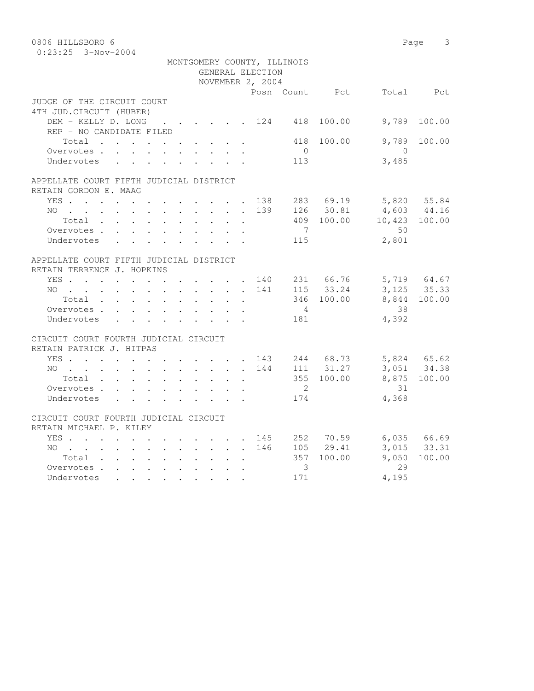| 0806 HILLSBORO 6                        |               |                                                                          |                             |               |                            | Page 3       |
|-----------------------------------------|---------------|--------------------------------------------------------------------------|-----------------------------|---------------|----------------------------|--------------|
| $0:23:25$ 3-Nov-2004                    |               |                                                                          |                             |               |                            |              |
|                                         |               |                                                                          | MONTGOMERY COUNTY, ILLINOIS |               |                            |              |
|                                         |               | GENERAL ELECTION                                                         |                             |               |                            |              |
|                                         |               | NOVEMBER 2, 2004                                                         |                             |               |                            |              |
|                                         |               |                                                                          | Posn Count Pct              |               |                            | Total Pct    |
| JUDGE OF THE CIRCUIT COURT              |               |                                                                          |                             |               |                            |              |
| 4TH JUD. CIRCUIT (HUBER)                |               |                                                                          |                             |               |                            |              |
| DEM - KELLY D. LONG 124 418 100.00      |               |                                                                          |                             |               | 9,789                      | 100.00       |
| REP - NO CANDIDATE FILED                |               |                                                                          |                             |               |                            |              |
| Total                                   |               |                                                                          | 418                         | 100.00        | 9,789                      | 100.00       |
| Overvotes.                              |               |                                                                          | $\overline{0}$              |               | $\bigcirc$                 |              |
| Undervotes                              |               |                                                                          | 113                         |               | 3,485                      |              |
| APPELLATE COURT FIFTH JUDICIAL DISTRICT |               |                                                                          |                             |               |                            |              |
| RETAIN GORDON E. MAAG                   |               |                                                                          |                             |               |                            |              |
| YES 138                                 |               |                                                                          |                             | 283 69.19     |                            |              |
| $NO$                                    |               |                                                                          | 139                         | 126 30.81     | 5,820 55.84<br>4,603 44.16 |              |
| Total                                   |               |                                                                          |                             |               | 409 100.00 10,423 100.00   |              |
| Overvotes                               |               |                                                                          | $\overline{7}$              |               | 50                         |              |
| Undervotes                              |               |                                                                          | 115                         |               | 2,801                      |              |
| APPELLATE COURT FIFTH JUDICIAL DISTRICT |               |                                                                          |                             |               |                            |              |
| RETAIN TERRENCE J. HOPKINS              |               |                                                                          |                             |               |                            |              |
| YES 140                                 |               |                                                                          |                             | 231 66.76     |                            | 5,719 64.67  |
| $NO$                                    |               |                                                                          | 141                         | 115 33.24     |                            | 3, 125 35.33 |
| Total                                   |               |                                                                          |                             | 346 100.00    |                            | 8,844 100.00 |
| Overvotes.                              |               |                                                                          | $4\phantom{.0000}\,$        |               | 38                         |              |
| Undervotes                              |               |                                                                          | 181                         |               | 4,392                      |              |
|                                         |               |                                                                          |                             |               |                            |              |
| CIRCUIT COURT FOURTH JUDICIAL CIRCUIT   |               |                                                                          |                             |               |                            |              |
| RETAIN PATRICK J. HITPAS                |               |                                                                          |                             |               |                            |              |
| YES 143 244 68.73 5,824 65.62           |               |                                                                          |                             |               |                            |              |
| NO                                      |               |                                                                          | 144                         | 111 31.27     | 3,051 34.38                |              |
| Total                                   | $\sim$ $\sim$ | $\mathbf{L}$<br>$\sim$                                                   |                             | 355 100.00    | 8,875                      | 100.00       |
| Overvotes                               |               |                                                                          | $\overline{2}$              |               | 31                         |              |
| Undervotes                              |               |                                                                          | 174                         |               | 4,368                      |              |
| CIRCUIT COURT FOURTH JUDICIAL CIRCUIT   |               |                                                                          |                             |               |                            |              |
| RETAIN MICHAEL P. KILEY                 |               |                                                                          |                             |               |                            |              |
| YES                                     |               | $\mathbf{r}$ , $\mathbf{r}$ , $\mathbf{r}$ , $\mathbf{r}$ , $\mathbf{r}$ |                             |               | 145 252 70.59 6,035 66.69  |              |
| NO                                      |               |                                                                          |                             | 146 105 29.41 |                            | 3,015 33.31  |
| Total                                   |               |                                                                          |                             | 357 100.00    | 9,050                      | 100.00       |
| Overvotes.                              |               |                                                                          | $\overline{\mathbf{3}}$     |               | 29                         |              |
| Undervotes                              |               |                                                                          | 171                         |               | 4,195                      |              |
|                                         |               |                                                                          |                             |               |                            |              |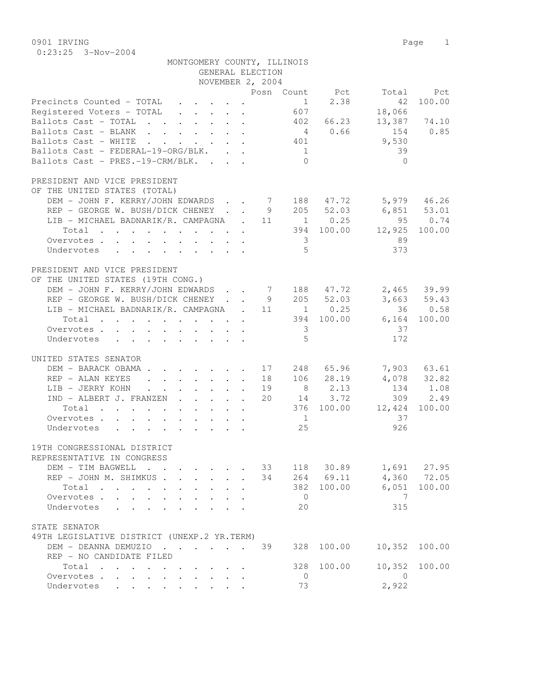0901 IRVING Page 1 0:23:25 3-Nov-2004

| MONTGOMERY COUNTY, ILLINOIS                                                                                                 |                                                         |                            |    |                         |                      |                                 |             |
|-----------------------------------------------------------------------------------------------------------------------------|---------------------------------------------------------|----------------------------|----|-------------------------|----------------------|---------------------------------|-------------|
|                                                                                                                             | GENERAL ELECTION                                        |                            |    |                         |                      |                                 |             |
|                                                                                                                             | NOVEMBER 2, 2004                                        |                            |    |                         |                      |                                 |             |
|                                                                                                                             |                                                         |                            |    |                         |                      | Posn Count Pct Total Pct        |             |
| Precincts Counted - TOTAL                                                                                                   |                                                         |                            |    | 1                       | 2.38                 | 42                              | 100.00      |
| Registered Voters - TOTAL                                                                                                   |                                                         |                            |    | 607                     |                      | 18,066                          |             |
| Ballots Cast - TOTAL                                                                                                        |                                                         |                            |    |                         | 402 66.23            | 13,387 74.10                    |             |
| Ballots Cast - BLANK                                                                                                        |                                                         |                            |    |                         | 40.66                | 154                             | 0.85        |
| Ballots Cast - WHITE                                                                                                        |                                                         |                            |    | 401                     |                      | 9,530                           |             |
| Ballots Cast - FEDERAL-19-ORG/BLK.                                                                                          |                                                         |                            |    | 1                       |                      | 39                              |             |
| Ballots Cast - PRES.-19-CRM/BLK.                                                                                            |                                                         |                            |    | $\bigcap$               |                      | $\bigcap$                       |             |
|                                                                                                                             |                                                         |                            |    |                         |                      |                                 |             |
| PRESIDENT AND VICE PRESIDENT                                                                                                |                                                         |                            |    |                         |                      |                                 |             |
| OF THE UNITED STATES (TOTAL)                                                                                                |                                                         |                            |    |                         |                      |                                 |             |
| DEM – JOHN F. KERRY/JOHN EDWARDS 7 188 47.72 5,979 46.26<br>REP – GEORGE W. BUSH/DICK CHENEY 9 205 52.03 6,851 53.01        |                                                         |                            |    |                         |                      |                                 |             |
|                                                                                                                             |                                                         |                            |    |                         |                      |                                 | 950.74      |
| REP - GEORGE W. BUSH/DICK CHENEY 95<br>LIB - MICHAEL BADNARIK/R. CAMPAGNA . 11 1 0.25 95<br>394 100.00 12,925               |                                                         |                            |    |                         |                      |                                 |             |
|                                                                                                                             |                                                         |                            |    |                         |                      |                                 | 100.00      |
| Overvotes                                                                                                                   |                                                         |                            |    | $\overline{\mathbf{3}}$ |                      | 89                              |             |
| Undervotes                                                                                                                  |                                                         |                            |    | 5 <sup>5</sup>          |                      | 373                             |             |
| PRESIDENT AND VICE PRESIDENT                                                                                                |                                                         |                            |    |                         |                      |                                 |             |
| OF THE UNITED STATES (19TH CONG.)                                                                                           |                                                         |                            |    |                         |                      |                                 |             |
|                                                                                                                             |                                                         |                            |    |                         |                      |                                 |             |
|                                                                                                                             |                                                         |                            |    |                         |                      |                                 |             |
| LIB - MICHAEL BADNARIK/R. CAMPAGNA . 11 1 0.25                                                                              |                                                         |                            |    |                         |                      |                                 | 36 0.58     |
| Total                                                                                                                       |                                                         |                            |    |                         |                      | 394 100.00 6,164                | 100.00      |
| Overvotes.                                                                                                                  |                                                         |                            |    | $\overline{\mathbf{3}}$ |                      | 37                              |             |
| Undervotes                                                                                                                  |                                                         |                            |    | - 5                     |                      | 172                             |             |
|                                                                                                                             |                                                         |                            |    |                         |                      |                                 |             |
| UNITED STATES SENATOR                                                                                                       |                                                         |                            |    |                         |                      |                                 |             |
| DEM - BARACK OBAMA.                                                                                                         |                                                         |                            |    |                         | $\cdot$ 17 248 65.96 |                                 | 7,903 63.61 |
| REP - ALAN KEYES<br>$\mathbf{r} = \mathbf{r} + \mathbf{r} + \mathbf{r} + \mathbf{r} + \mathbf{r} + \mathbf{r} + \mathbf{r}$ |                                                         |                            |    |                         | 18 106 28.19         | $4,078$ $32.82$<br>$134$ $1.08$ |             |
| LIB - JERRY KOHN                                                                                                            |                                                         |                            | 19 |                         | 8 2.13               |                                 |             |
| IND - ALBERT J. FRANZEN                                                                                                     |                                                         |                            |    |                         | 20 14 3.72           |                                 | 309 2.49    |
| Total                                                                                                                       |                                                         |                            |    |                         |                      | 376 100.00 12,424               | 100.00      |
| Overvotes.                                                                                                                  |                                                         |                            |    | $\overline{1}$          |                      | 37                              |             |
| Undervotes                                                                                                                  |                                                         |                            |    | 25                      |                      | 926                             |             |
| 19TH CONGRESSIONAL DISTRICT                                                                                                 |                                                         |                            |    |                         |                      |                                 |             |
| REPRESENTATIVE IN CONGRESS                                                                                                  |                                                         |                            |    |                         |                      |                                 |             |
| DEM - TIM BAGWELL                                                                                                           | $\mathbf{r} = \mathbf{r}$ and $\mathbf{r} = \mathbf{r}$ |                            | 33 |                         | 118 30.89            |                                 | 1,691 27.95 |
| REP - JOHN M. SHIMKUS.<br>$\mathbf{r}$ $\mathbf{r}$                                                                         | $\mathbf{A}$                                            | $\mathcal{L}^{\text{max}}$ | 34 |                         | 264 69.11            |                                 | 4,360 72.05 |
| Total                                                                                                                       | $\mathbf{r}$ , $\mathbf{r}$ , $\mathbf{r}$              | $\mathbf{L}$               |    | 382                     | 100.00               | 6,051                           | 100.00      |
| Overvotes.                                                                                                                  |                                                         |                            |    | $\overline{0}$          |                      | - 7                             |             |
| Undervotes<br>$\mathbf{r}$<br>$\ddot{\phantom{a}}$                                                                          |                                                         |                            |    | 20                      |                      | 315                             |             |
|                                                                                                                             |                                                         |                            |    |                         |                      |                                 |             |
| STATE SENATOR                                                                                                               |                                                         |                            |    |                         |                      |                                 |             |
| 49TH LEGISLATIVE DISTRICT (UNEXP.2 YR.TERM)                                                                                 |                                                         |                            |    |                         |                      |                                 |             |
| DEM - DEANNA DEMUZIO                                                                                                        |                                                         |                            | 39 |                         | 328 100.00           | 10,352 100.00                   |             |
| REP - NO CANDIDATE FILED                                                                                                    |                                                         |                            |    |                         |                      |                                 |             |
| Total                                                                                                                       |                                                         |                            |    | 328                     | 100.00               | 10,352                          | 100.00      |
| Overvotes.<br>$\sim$                                                                                                        | $\mathbf{L}$                                            | $\mathbf{L} = \mathbf{L}$  |    | $\overline{0}$          |                      | $\bigcirc$                      |             |
| Undervotes                                                                                                                  |                                                         |                            |    | 73                      |                      | 2,922                           |             |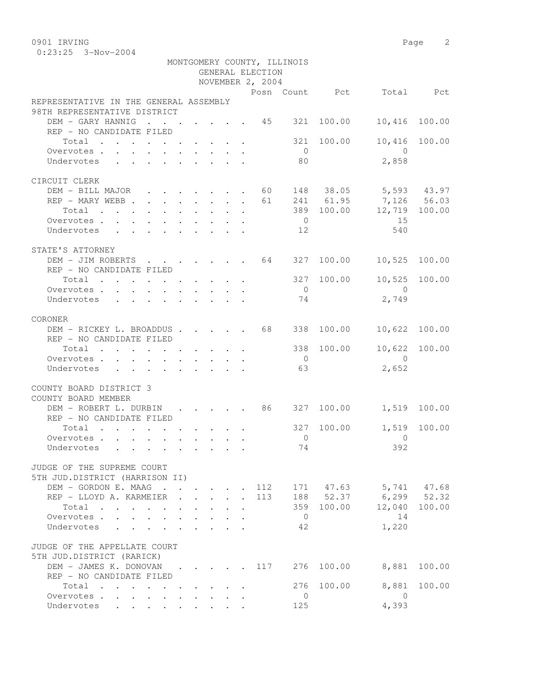| 0901 IRVING                                                         |                                                             |  |  |  |     |                |                         |                          | Page 2          |
|---------------------------------------------------------------------|-------------------------------------------------------------|--|--|--|-----|----------------|-------------------------|--------------------------|-----------------|
| $0:23:25$ 3-Nov-2004                                                |                                                             |  |  |  |     |                |                         |                          |                 |
| MONTGOMERY COUNTY, ILLINOIS<br>GENERAL ELECTION<br>NOVEMBER 2, 2004 |                                                             |  |  |  |     |                |                         |                          |                 |
|                                                                     |                                                             |  |  |  |     |                |                         |                          |                 |
| REPRESENTATIVE IN THE GENERAL ASSEMBLY                              |                                                             |  |  |  |     |                |                         | Posn Count Pct Total Pct |                 |
| 98TH REPRESENTATIVE DISTRICT                                        |                                                             |  |  |  |     |                |                         |                          |                 |
| DEM - GARY HANNIG 45 321 100.00                                     |                                                             |  |  |  |     |                |                         | 10,416                   | 100.00          |
| REP - NO CANDIDATE FILED                                            |                                                             |  |  |  |     |                |                         |                          |                 |
| Total 321 100.00                                                    |                                                             |  |  |  |     |                |                         | 10,416                   | 100.00          |
| Overvotes.                                                          |                                                             |  |  |  |     | $\overline{0}$ |                         | $\overline{0}$           |                 |
| Undervotes                                                          |                                                             |  |  |  |     | 80             |                         | 2,858                    |                 |
| CIRCUIT CLERK                                                       |                                                             |  |  |  |     |                |                         |                          |                 |
| DEM - BILL MAJOR 60 148 38.05 5,593 43.97                           |                                                             |  |  |  |     |                |                         |                          |                 |
| REP - MARY WEBB                                                     |                                                             |  |  |  |     |                |                         | 61 241 61.95 7,126 56.03 |                 |
| $Total \cdot \cdot \cdot \cdot \cdot \cdot \cdot \cdot \cdot$       |                                                             |  |  |  |     |                |                         | 389 100.00 12,719 100.00 |                 |
| Overvotes.                                                          |                                                             |  |  |  |     | $\overline{0}$ |                         | 15                       |                 |
| Undervotes 12                                                       |                                                             |  |  |  |     |                |                         | 540                      |                 |
| STATE'S ATTORNEY                                                    |                                                             |  |  |  |     |                |                         |                          |                 |
| DEM - JIM ROBERTS 64 327 100.00 10,525 100.00                       |                                                             |  |  |  |     |                |                         |                          |                 |
| REP - NO CANDIDATE FILED                                            |                                                             |  |  |  |     |                |                         |                          |                 |
| Total                                                               |                                                             |  |  |  |     |                | 327 100.00              |                          | 10,525 100.00   |
| Overvotes.                                                          |                                                             |  |  |  |     | $\overline{0}$ |                         | $\overline{0}$           |                 |
| Undervotes                                                          |                                                             |  |  |  |     | 74             |                         | 2,749                    |                 |
|                                                                     |                                                             |  |  |  |     |                |                         |                          |                 |
| CORONER                                                             |                                                             |  |  |  |     |                |                         |                          |                 |
| DEM - RICKEY L. BROADDUS 68<br>REP - NO CANDIDATE FILED             |                                                             |  |  |  |     |                | 338 100.00              | 10,622 100.00            |                 |
| Total                                                               |                                                             |  |  |  |     |                | 338 100.00              | 10,622 100.00            |                 |
| Overvotes.                                                          |                                                             |  |  |  |     | $\overline{0}$ |                         | $\overline{0}$           |                 |
| Undervotes                                                          |                                                             |  |  |  |     | 63             |                         | 2,652                    |                 |
|                                                                     |                                                             |  |  |  |     |                |                         |                          |                 |
| COUNTY BOARD DISTRICT 3                                             |                                                             |  |  |  |     |                |                         |                          |                 |
| COUNTY BOARD MEMBER                                                 |                                                             |  |  |  |     |                |                         |                          |                 |
| DEM - ROBERT L. DURBIN<br>REP - NO CANDIDATE FILED                  | $\mathbf{r}$ , $\mathbf{r}$ , $\mathbf{r}$ , $\mathbf{r}$   |  |  |  |     |                | 86 327 100.00           | 1,519 100.00             |                 |
| Total .                                                             |                                                             |  |  |  |     |                |                         | 327 100.00  1,519 100.00 |                 |
| Overvotes .                                                         |                                                             |  |  |  |     | $\overline{0}$ |                         | 0                        |                 |
| Undervotes                                                          |                                                             |  |  |  |     | 74             |                         | 392                      |                 |
|                                                                     |                                                             |  |  |  |     |                |                         |                          |                 |
| JUDGE OF THE SUPREME COURT                                          |                                                             |  |  |  |     |                |                         |                          |                 |
| 5TH JUD.DISTRICT (HARRISON II)                                      |                                                             |  |  |  |     |                |                         |                          |                 |
| DEM - GORDON E. MAAG                                                |                                                             |  |  |  | 112 |                | 171 47.63               | 5,741<br>6,299           | 47.68           |
| REP - LLOYD A. KARMEIER<br>Total                                    |                                                             |  |  |  | 113 |                | 188 52.37<br>359 100.00 | 12,040                   | 52.32<br>100.00 |
|                                                                     | $\bullet$ .<br><br><br><br><br><br><br><br><br><br><br><br> |  |  |  |     |                |                         |                          |                 |

| Overvotes.                            |  |  |    |            | 14    |              |
|---------------------------------------|--|--|----|------------|-------|--------------|
| Undervotes                            |  |  | 42 |            | 1,220 |              |
| JUDGE OF THE APPELLATE COURT          |  |  |    |            |       |              |
| 5TH JUD.DISTRICT (RARICK)             |  |  |    |            |       |              |
| DEM - JAMES K. DONOVAN 117 276 100.00 |  |  |    |            |       | 8,881 100.00 |
| REP - NO CANDIDATE FILED              |  |  |    |            |       |              |
| Total                                 |  |  |    | 276 100.00 |       | 8,881 100.00 |
| Overvotes.                            |  |  |    |            |       |              |

Undervotes . . . . . . . . . 125 4,393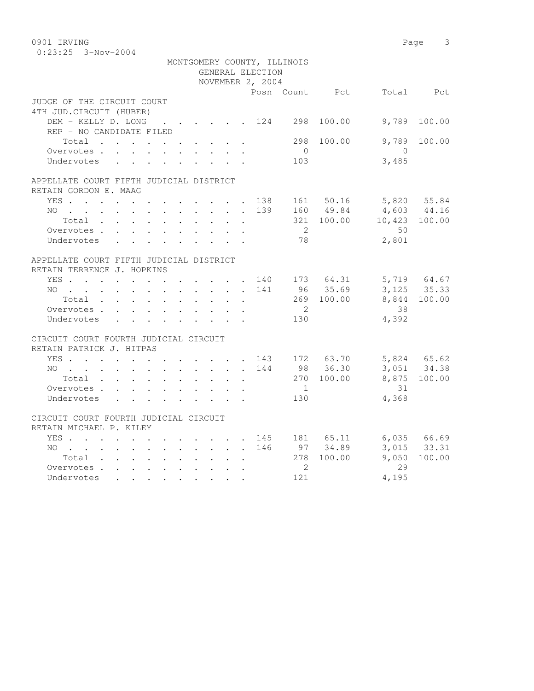0901 IRVING Page 3 0:23:25 3-Nov-2004

|                                                                                                                                    |  |               | MONTGOMERY COUNTY, ILLINOIS                                     |                |                            |                                                       |                 |
|------------------------------------------------------------------------------------------------------------------------------------|--|---------------|-----------------------------------------------------------------|----------------|----------------------------|-------------------------------------------------------|-----------------|
|                                                                                                                                    |  |               | GENERAL ELECTION                                                |                |                            |                                                       |                 |
|                                                                                                                                    |  |               | NOVEMBER 2, 2004                                                |                |                            |                                                       |                 |
|                                                                                                                                    |  |               |                                                                 |                |                            | Posn Count Pct Total Pct                              |                 |
| JUDGE OF THE CIRCUIT COURT                                                                                                         |  |               |                                                                 |                |                            |                                                       |                 |
| 4TH JUD. CIRCUIT (HUBER)                                                                                                           |  |               |                                                                 |                |                            |                                                       |                 |
| DEM - KELLY D. LONG                                                                                                                |  |               | $\cdot$ $\cdot$ $\cdot$ $\cdot$ $\cdot$ $\cdot$ $\cdot$ 124 298 |                | 100.00                     | 9,789                                                 | 100.00          |
| REP - NO CANDIDATE FILED                                                                                                           |  |               |                                                                 |                |                            |                                                       |                 |
| Total                                                                                                                              |  |               |                                                                 |                | 298 100.00                 | 9,789                                                 | 100.00          |
| Overvotes.                                                                                                                         |  |               |                                                                 | $\overline{0}$ |                            | $\bigcap$                                             |                 |
| Undervotes                                                                                                                         |  |               |                                                                 | 103            |                            | 3,485                                                 |                 |
| APPELLATE COURT FIFTH JUDICIAL DISTRICT                                                                                            |  |               |                                                                 |                |                            |                                                       |                 |
| RETAIN GORDON E. MAAG                                                                                                              |  |               |                                                                 |                |                            |                                                       |                 |
| YES 138 161 50.16 5,820 55.84                                                                                                      |  |               |                                                                 |                |                            |                                                       |                 |
| $NO$                                                                                                                               |  |               |                                                                 |                |                            |                                                       |                 |
| Total                                                                                                                              |  | $\sim$ $\sim$ | $\ddot{\phantom{a}}$                                            |                |                            | 139 160 49.84 4,603 44.16<br>321 100.00 10,423 100.00 |                 |
| Overvotes.                                                                                                                         |  |               |                                                                 | $\overline{2}$ |                            | 50                                                    |                 |
| Undervotes                                                                                                                         |  |               |                                                                 | 78             |                            | 2,801                                                 |                 |
| APPELLATE COURT FIFTH JUDICIAL DISTRICT                                                                                            |  |               |                                                                 |                |                            |                                                       |                 |
| RETAIN TERRENCE J. HOPKINS                                                                                                         |  |               |                                                                 |                |                            |                                                       |                 |
|                                                                                                                                    |  |               |                                                                 |                |                            |                                                       |                 |
| YES 140 173 64.31 5,719 64.67<br>NO                                                                                                |  |               |                                                                 |                |                            | $3,125$ $8,811$                                       |                 |
| $Total$                                                                                                                            |  |               |                                                                 |                | 141 96 35.69<br>269 100.00 |                                                       |                 |
|                                                                                                                                    |  |               |                                                                 | $\overline{2}$ |                            | 38                                                    |                 |
| Overvotes                                                                                                                          |  |               |                                                                 | 130            |                            | 4,392                                                 |                 |
| Undervotes                                                                                                                         |  |               |                                                                 |                |                            |                                                       |                 |
| CIRCUIT COURT FOURTH JUDICIAL CIRCUIT                                                                                              |  |               |                                                                 |                |                            |                                                       |                 |
| RETAIN PATRICK J. HITPAS                                                                                                           |  |               |                                                                 |                |                            |                                                       |                 |
| YES 143 172 63.70<br>NO 144 98 36.30                                                                                               |  |               |                                                                 |                |                            | 5,824 65.62<br>3,051 34.38                            |                 |
|                                                                                                                                    |  |               |                                                                 |                |                            |                                                       |                 |
|                                                                                                                                    |  |               |                                                                 |                | 270 100.00                 |                                                       | 8,875 100.00    |
| Overvotes                                                                                                                          |  |               |                                                                 | $\overline{1}$ |                            | 31                                                    |                 |
| Undervotes                                                                                                                         |  |               |                                                                 | 130            |                            | 4,368                                                 |                 |
| CIRCUIT COURT FOURTH JUDICIAL CIRCUIT                                                                                              |  |               |                                                                 |                |                            |                                                       |                 |
| RETAIN MICHAEL P. KILEY                                                                                                            |  |               |                                                                 |                |                            |                                                       |                 |
| YES 145 181 65.11 6,035 66.69                                                                                                      |  |               |                                                                 |                |                            |                                                       |                 |
| NO. 146 97 34.89                                                                                                                   |  |               |                                                                 |                |                            |                                                       | $3,015$ $33.31$ |
| Total 278 100.00                                                                                                                   |  |               |                                                                 |                |                            | 9,050                                                 | 100.00          |
| Overvotes                                                                                                                          |  |               |                                                                 | $\overline{2}$ |                            | 29                                                    |                 |
| Undervotes<br>$\mathbf{r} = \mathbf{r} + \mathbf{r} + \mathbf{r} + \mathbf{r} + \mathbf{r} + \mathbf{r} + \mathbf{r} + \mathbf{r}$ |  |               |                                                                 | 121            |                            | 4,195                                                 |                 |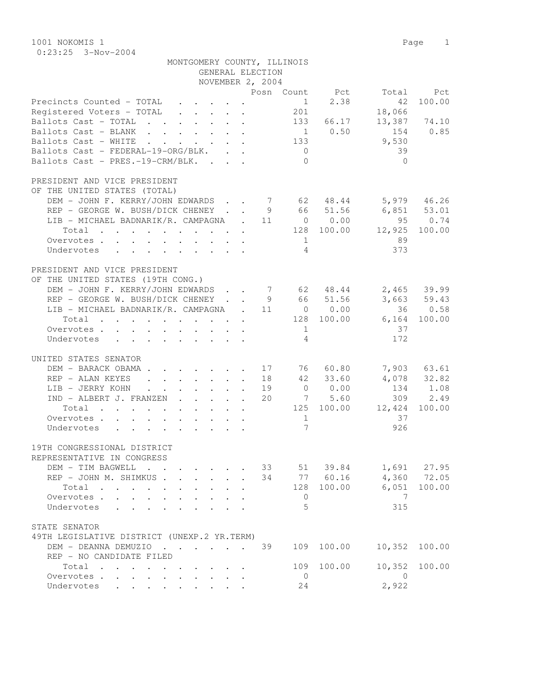1001 NOKOMIS 1 Page 1 0:23:25 3-Nov-2004

| MONTGOMERY COUNTY, ILLINOIS                                                                                                                          |                                                 |
|------------------------------------------------------------------------------------------------------------------------------------------------------|-------------------------------------------------|
| GENERAL ELECTION                                                                                                                                     |                                                 |
| NOVEMBER 2, 2004                                                                                                                                     |                                                 |
|                                                                                                                                                      | Posn Count Pct<br>Total Pct                     |
| Precincts Counted - TOTAL<br>$\cdot$ $\cdot$ $\cdot$ $\cdot$ $\cdot$                                                                                 | 2.38<br>100.00<br>$\frac{1}{1}$<br>42           |
| Registered Voters - TOTAL                                                                                                                            | 201<br>18,066<br>13,387 74.10                   |
| Ballots Cast - TOTAL                                                                                                                                 | 133<br>66.17<br>154 0.85                        |
| Ballots Cast - BLANK                                                                                                                                 | $1 \t 0.50$<br>9,530<br>133                     |
| Ballots Cast - WHITE<br>Ballots Cast - FEDERAL-19-ORG/BLK.                                                                                           | 39<br>$\sim$ 0                                  |
| Ballots Cast - PRES.-19-CRM/BLK.                                                                                                                     | $\bigcirc$<br>$\Omega$                          |
|                                                                                                                                                      |                                                 |
| PRESIDENT AND VICE PRESIDENT                                                                                                                         |                                                 |
| OF THE UNITED STATES (TOTAL)                                                                                                                         |                                                 |
| DEM - JOHN F. KERRY/JOHN EDWARDS 7 62 48.44 5,979 46.26                                                                                              |                                                 |
| REP - GEORGE W. BUSH/DICK CHENEY 9 66 51.56 6,851 53.01                                                                                              |                                                 |
| LIB - MICHAEL BADNARIK/R. CAMPAGNA . 11 0 0.00                                                                                                       | 95 0.74                                         |
| Total 128 100.00                                                                                                                                     | 12,925<br>100.00                                |
|                                                                                                                                                      | 89<br>1                                         |
| Overvotes                                                                                                                                            | $\overline{4}$<br>373                           |
| Undervotes                                                                                                                                           |                                                 |
| PRESIDENT AND VICE PRESIDENT                                                                                                                         |                                                 |
| OF THE UNITED STATES (19TH CONG.)                                                                                                                    |                                                 |
| DEM - JOHN F. KERRY/JOHN EDWARDS 7 62 48.44                                                                                                          | 2,465 39.99                                     |
| REP - GEORGE W. BUSH/DICK CHENEY 9 66 51.56                                                                                                          | 3,663 59.43                                     |
| LIB - MICHAEL BADNARIK/R. CAMPAGNA . 11 0 0.00                                                                                                       | 36 0.58                                         |
|                                                                                                                                                      | $6,164$ 100.00                                  |
| Total 128 100.00                                                                                                                                     |                                                 |
| Overvotes                                                                                                                                            | 37<br>1<br>172<br>$\overline{4}$                |
| Undervotes                                                                                                                                           |                                                 |
| UNITED STATES SENATOR                                                                                                                                |                                                 |
| DEM - BARACK OBAMA                                                                                                                                   | 17 76 60.80<br>7,903 63.61                      |
| REP - ALAN KEYES 18 42 33.60                                                                                                                         | 4,078 32.82                                     |
| LIB - JERRY KOHN                                                                                                                                     | $0 \t 0.00$<br>134 1.08<br>19                   |
| IND - ALBERT J. FRANZEN                                                                                                                              | 7 5.60<br>309 2.49<br>20                        |
|                                                                                                                                                      |                                                 |
| Total<br>the contract of the contract of the contract of the contract of the contract of the contract of the contract of                             | 125 100.00<br>12,424<br>100.00                  |
| Overvotes                                                                                                                                            | 37<br>1<br>$\overline{7}$                       |
| Undervotes                                                                                                                                           | 926                                             |
| 19TH CONGRESSIONAL DISTRICT                                                                                                                          |                                                 |
|                                                                                                                                                      |                                                 |
| REPRESENTATIVE IN CONGRESS                                                                                                                           | 1,691 27.95<br>33<br>51 39.84                   |
| DEM - TIM BAGWELL<br>$\mathbf{r}$ , $\mathbf{r}$ , $\mathbf{r}$<br>$\cdot$ $\cdot$ $\cdot$ $\cdot$ $\cdot$                                           |                                                 |
| REP - JOHN M. SHIMKUS                                                                                                                                | 34 77 60.16<br>4,360 72.05                      |
| Total<br>$\mathbf{r}$ , and $\mathbf{r}$ , and $\mathbf{r}$ , and $\mathbf{r}$<br>$\sim$<br>$\sim$ 100 $\pm$<br>$\mathbf{L}$<br>$\ddot{\phantom{0}}$ | 100.00<br>128 100.00<br>6,051                   |
| Overvotes.                                                                                                                                           | 7<br>$\circ$                                    |
| Undervotes                                                                                                                                           | 5<br>315                                        |
| STATE SENATOR                                                                                                                                        |                                                 |
|                                                                                                                                                      |                                                 |
| 49TH LEGISLATIVE DISTRICT (UNEXP.2 YR.TERM)<br>DEM - DEANNA DEMUZIO                                                                                  | 100.00<br>10,352<br>109<br>100.00               |
|                                                                                                                                                      | 39                                              |
| REP - NO CANDIDATE FILED                                                                                                                             | 100.00<br>10,352<br>109<br>100.00               |
| Total                                                                                                                                                |                                                 |
| Overvotes<br>$\sim$<br>$\cdot$ $\cdot$ $\cdot$ $\cdot$ $\cdot$                                                                                       | $\overline{0}$<br>$\overline{0}$<br>2,922<br>24 |
| Undervotes                                                                                                                                           |                                                 |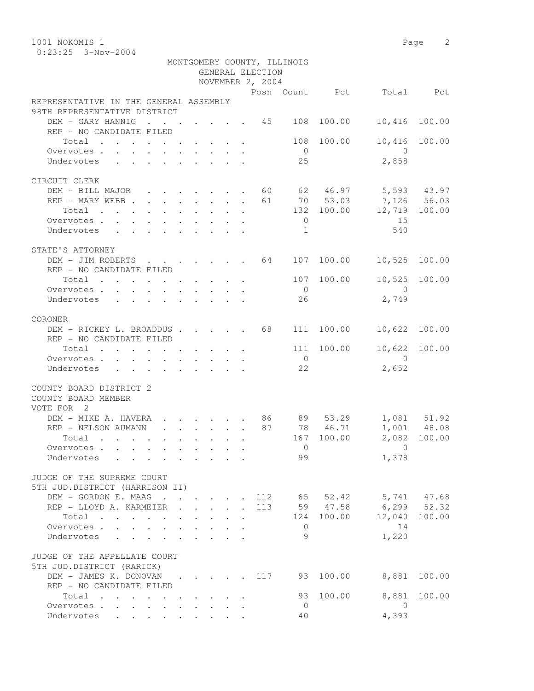1001 NOKOMIS 1 Page 2 0:23:25 3-Nov-2004

|                                                                                            |                                         |  |        | GENERAL ELECTION<br>NOVEMBER 2, 2004 | MONTGOMERY COUNTY, ILLINOIS |                                                     |                          |              |
|--------------------------------------------------------------------------------------------|-----------------------------------------|--|--------|--------------------------------------|-----------------------------|-----------------------------------------------------|--------------------------|--------------|
|                                                                                            |                                         |  |        |                                      |                             |                                                     | Posn Count Pct Total Pct |              |
| REPRESENTATIVE IN THE GENERAL ASSEMBLY<br>98TH REPRESENTATIVE DISTRICT                     |                                         |  |        |                                      |                             |                                                     |                          |              |
| . 45 108<br>DEM - GARY HANNIG<br>REP - NO CANDIDATE FILED                                  |                                         |  |        |                                      |                             | 100.00                                              | 10,416                   | 100.00       |
| Total<br>. The contribution of the contribution of the contribution of $\mathcal{O}(10^6)$ |                                         |  |        |                                      |                             | 108 100.00                                          | 10,416                   | 100.00       |
| Overvotes                                                                                  |                                         |  |        |                                      | $\overline{0}$              |                                                     | $\overline{0}$           |              |
| Undervotes                                                                                 |                                         |  |        |                                      | 25                          |                                                     | 2,858                    |              |
| CIRCUIT CLERK                                                                              |                                         |  |        |                                      |                             |                                                     |                          |              |
| DEM - BILL MAJOR 60 62 46.97 5,593 43.97                                                   |                                         |  |        |                                      |                             |                                                     |                          |              |
| REP - MARY WEBB                                                                            |                                         |  |        | 61                                   |                             |                                                     | 70 53.03 7,126 56.03     |              |
| Total                                                                                      |                                         |  |        |                                      |                             |                                                     | 132 100.00 12,719 100.00 |              |
| Overvotes.                                                                                 |                                         |  |        |                                      | $\overline{0}$              |                                                     | 15                       |              |
| Undervotes                                                                                 |                                         |  |        |                                      | $\overline{1}$              |                                                     | 540                      |              |
| STATE'S ATTORNEY                                                                           |                                         |  |        |                                      |                             |                                                     |                          |              |
| DEM - JIM ROBERTS 64 107 100.00 10,525 100.00                                              |                                         |  |        |                                      |                             |                                                     |                          |              |
| REP - NO CANDIDATE FILED                                                                   |                                         |  |        |                                      |                             |                                                     |                          |              |
| Total                                                                                      |                                         |  |        |                                      |                             | 107 100.00                                          | 10,525 100.00            |              |
| Overvotes.                                                                                 |                                         |  |        |                                      | $\overline{0}$              |                                                     | $\overline{0}$           |              |
| Undervotes                                                                                 |                                         |  |        |                                      | 26                          |                                                     | 2,749                    |              |
| CORONER                                                                                    |                                         |  |        |                                      |                             |                                                     |                          |              |
| DEM - RICKEY L. BROADDUS 68                                                                |                                         |  |        |                                      | 111                         | 100.00                                              | 10,622                   | 100.00       |
| REP - NO CANDIDATE FILED                                                                   |                                         |  |        |                                      |                             |                                                     |                          |              |
| $Total \cdot \cdot \cdot \cdot \cdot \cdot \cdot \cdot \cdot$                              |                                         |  |        |                                      |                             | 111 100.00                                          | 10,622 100.00            |              |
| Overvotes                                                                                  |                                         |  |        |                                      | $\overline{0}$              |                                                     | $\overline{0}$           |              |
| Undervotes                                                                                 |                                         |  |        |                                      | 22                          |                                                     | 2,652                    |              |
| COUNTY BOARD DISTRICT 2<br>COUNTY BOARD MEMBER<br>VOTE FOR 2                               |                                         |  |        |                                      |                             |                                                     |                          |              |
| DEM - MIKE A. HAVERA                                                                       |                                         |  |        |                                      |                             | $\cdot$ $\cdot$ $\cdot$ $\cdot$ $\cdot$ 86 89 53.29 |                          | 1,081 51.92  |
| REP - NELSON AUMANN                                                                        |                                         |  |        |                                      |                             | $\cdot$ 87 78 46.71                                 |                          | 1,001 48.08  |
| Total                                                                                      |                                         |  |        |                                      |                             | 167 100.00                                          |                          | 2,082 100.00 |
| Overvotes                                                                                  |                                         |  |        |                                      |                             | $\Omega$                                            | $\overline{a}$           |              |
| Undervotes                                                                                 |                                         |  |        |                                      | 99                          |                                                     | 1,378                    |              |
| JUDGE OF THE SUPREME COURT                                                                 |                                         |  |        |                                      |                             |                                                     |                          |              |
| 5TH JUD.DISTRICT (HARRISON II)                                                             |                                         |  |        |                                      |                             |                                                     |                          |              |
| DEM - GORDON E. MAAG                                                                       |                                         |  |        |                                      |                             |                                                     | 112 65 52.42 5,741 47.68 |              |
| REP - LLOYD A. KARMEIER                                                                    |                                         |  | $\sim$ |                                      |                             | 113 59 47.58                                        | $6, 299$ $52.32$         |              |
| Total                                                                                      | $\cdot$ $\cdot$ $\cdot$ $\cdot$ $\cdot$ |  |        |                                      |                             | 124 100.00                                          | 12,040 100.00<br>14      |              |
| Overvotes                                                                                  |                                         |  |        |                                      | $\overline{0}$<br>9         |                                                     | 1,220                    |              |
| Undervotes<br>$\sim$<br>$\ddot{\phantom{0}}$<br>$\mathbf{L}$<br>$\sim$                     |                                         |  |        |                                      |                             |                                                     |                          |              |
| JUDGE OF THE APPELLATE COURT<br>5TH JUD.DISTRICT (RARICK)                                  |                                         |  |        |                                      |                             |                                                     |                          |              |
| DEM - JAMES K. DONOVAN 117                                                                 |                                         |  |        |                                      |                             | 93 100.00                                           | 8,881                    | 100.00       |
| REP - NO CANDIDATE FILED                                                                   |                                         |  |        |                                      |                             |                                                     |                          |              |
| Total                                                                                      |                                         |  |        |                                      |                             | 93 100.00                                           | 8,881                    | 100.00       |
| Overvotes                                                                                  |                                         |  |        |                                      | $\overline{0}$              |                                                     | $\overline{0}$           |              |
| Undervotes                                                                                 |                                         |  |        |                                      | 40                          |                                                     | 4,393                    |              |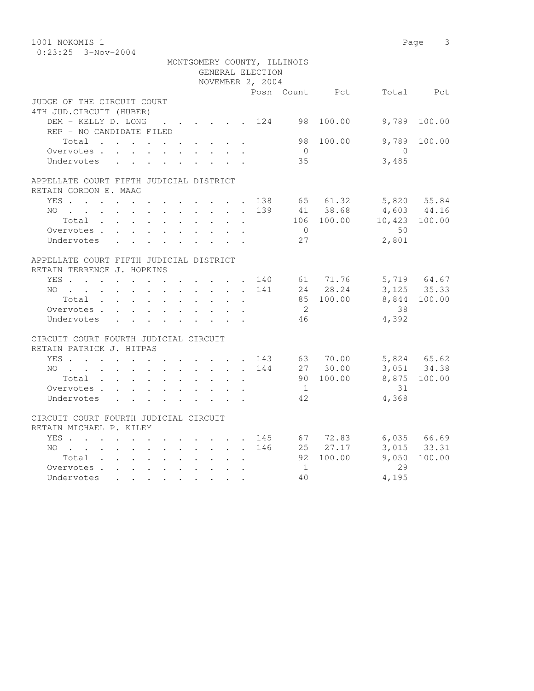| 1001 NOKOMIS 1                                                   |  |            |                           |                         |                           |                  |                             |                |                            | Page 3          |
|------------------------------------------------------------------|--|------------|---------------------------|-------------------------|---------------------------|------------------|-----------------------------|----------------|----------------------------|-----------------|
| $0:23:25$ 3-Nov-2004                                             |  |            |                           |                         |                           |                  |                             |                |                            |                 |
|                                                                  |  |            |                           |                         |                           |                  | MONTGOMERY COUNTY, ILLINOIS |                |                            |                 |
|                                                                  |  |            |                           |                         |                           | GENERAL ELECTION |                             |                |                            |                 |
|                                                                  |  |            |                           |                         |                           | NOVEMBER 2, 2004 |                             |                |                            |                 |
|                                                                  |  |            |                           |                         |                           |                  |                             | Posn Count Pct |                            | Total Pct       |
| JUDGE OF THE CIRCUIT COURT                                       |  |            |                           |                         |                           |                  |                             |                |                            |                 |
| 4TH JUD. CIRCUIT (HUBER)                                         |  |            |                           |                         |                           |                  |                             |                |                            |                 |
| DEM - KELLY D. LONG 124 98 100.00                                |  |            |                           |                         |                           |                  |                             |                | 9,789                      | 100.00          |
| REP - NO CANDIDATE FILED                                         |  |            |                           |                         |                           |                  |                             |                |                            |                 |
| Total                                                            |  |            |                           |                         |                           |                  | 98                          | 100.00         | 9,789                      | 100.00          |
| Overvotes                                                        |  |            | $\cdot$ $\cdot$ $\cdot$   |                         | $\mathbf{L} = \mathbf{L}$ |                  | $\overline{0}$              |                | $\overline{0}$             |                 |
| Undervotes                                                       |  |            |                           |                         |                           |                  | 35                          |                | 3,485                      |                 |
|                                                                  |  |            |                           |                         |                           |                  |                             |                |                            |                 |
| APPELLATE COURT FIFTH JUDICIAL DISTRICT<br>RETAIN GORDON E. MAAG |  |            |                           |                         |                           |                  |                             |                |                            |                 |
| YES 138 65 61.32                                                 |  |            |                           |                         |                           |                  |                             |                |                            | 5,820 55.84     |
| $NO$                                                             |  |            |                           |                         |                           | 139              |                             | 41 38.68       |                            | $4,603$ $44.16$ |
| Total                                                            |  |            |                           |                         |                           |                  |                             |                | 106 100.00 10,423 100.00   |                 |
| Overvotes.                                                       |  |            |                           |                         |                           |                  | $\overline{0}$              |                | 50                         |                 |
| Undervotes                                                       |  |            |                           |                         |                           |                  | 27                          |                | 2,801                      |                 |
|                                                                  |  |            |                           |                         |                           |                  |                             |                |                            |                 |
| APPELLATE COURT FIFTH JUDICIAL DISTRICT                          |  |            |                           |                         |                           |                  |                             |                |                            |                 |
| RETAIN TERRENCE J. HOPKINS                                       |  |            |                           |                         |                           |                  |                             |                |                            |                 |
|                                                                  |  |            |                           |                         |                           |                  |                             |                |                            |                 |
| YES 140 61 71.76<br>NO 141 24 28.24                              |  |            |                           |                         |                           |                  |                             |                | 5,719 64.67<br>3,125 35.33 |                 |
| Total                                                            |  |            |                           |                         |                           |                  |                             | 85 100.00      |                            | 8,844 100.00    |
| Overvotes                                                        |  |            |                           |                         |                           |                  | $\overline{2}$              |                | 38                         |                 |
| Undervotes                                                       |  |            | $\mathbf{L} = \mathbf{L}$ | $\sim$                  |                           |                  | 46                          |                | 4,392                      |                 |
|                                                                  |  |            |                           |                         |                           |                  |                             |                |                            |                 |
| CIRCUIT COURT FOURTH JUDICIAL CIRCUIT                            |  |            |                           |                         |                           |                  |                             |                |                            |                 |
| RETAIN PATRICK J. HITPAS                                         |  |            |                           |                         |                           |                  |                             |                |                            |                 |
| YES 143 63 70.00                                                 |  |            |                           |                         |                           |                  |                             |                | 5,824 65.62                |                 |
| NO                                                               |  |            |                           |                         |                           | 144              |                             | 27 30.00       |                            | 3,051 34.38     |
| Total                                                            |  |            |                           |                         | $\ddot{\phantom{0}}$      |                  |                             | 90 100.00      |                            | 8,875 100.00    |
| Overvotes                                                        |  |            |                           |                         |                           |                  | 1                           |                | 31                         |                 |
| Undervotes                                                       |  |            |                           |                         |                           |                  | 42                          |                | 4,368                      |                 |
|                                                                  |  |            |                           |                         |                           |                  |                             |                |                            |                 |
| CIRCUIT COURT FOURTH JUDICIAL CIRCUIT                            |  |            |                           |                         |                           |                  |                             |                |                            |                 |
| RETAIN MICHAEL P. KILEY                                          |  |            |                           |                         |                           |                  |                             |                |                            |                 |
| YES                                                              |  |            |                           |                         |                           | 145              |                             | 67 72.83       |                            | 6,035 66.69     |
| NO                                                               |  |            |                           |                         |                           | 146              |                             | $25 \t 27.17$  |                            | 3,015 33.31     |
| Total                                                            |  |            |                           | $\sim$                  | $\ddot{\phantom{a}}$      |                  |                             | 92 100.00      | 9,050                      | 100.00          |
| Overvotes                                                        |  |            |                           | $\ddot{\phantom{a}}$    |                           |                  | $\sim$ 1                    |                | 29                         |                 |
| Undervotes                                                       |  | $\sim$ $-$ |                           | $\cdot$ $\cdot$ $\cdot$ |                           |                  | 40                          |                | 4,195                      |                 |
|                                                                  |  |            |                           |                         |                           |                  |                             |                |                            |                 |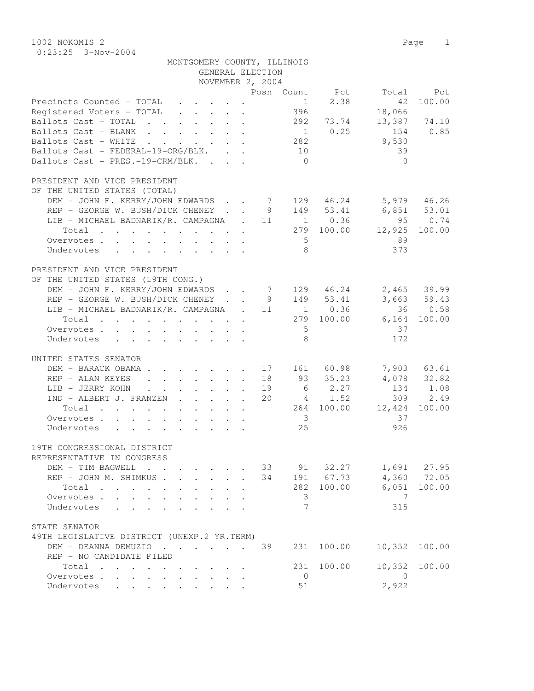1002 NOKOMIS 2 Page 1 0:23:25 3-Nov-2004

| MONTGOMERY COUNTY, ILLINOIS |                  |  |
|-----------------------------|------------------|--|
|                             | GENERAL ELECTION |  |

|                                                                                                | NOVEMBER 2, 2004 |                         |                                                                           |                            |                      |
|------------------------------------------------------------------------------------------------|------------------|-------------------------|---------------------------------------------------------------------------|----------------------------|----------------------|
|                                                                                                |                  |                         | Posn Count Pct                                                            |                            | Total Pct            |
| Precincts Counted - TOTAL                                                                      |                  | 1                       | 2.38                                                                      | 42                         | 100.00               |
| Registered Voters - TOTAL                                                                      |                  | 396                     |                                                                           | 18,066                     |                      |
| Ballots Cast - TOTAL 292 73.74                                                                 |                  |                         |                                                                           |                            | 13,387 74.10         |
| Ballots Cast - BLANK                                                                           |                  |                         | $1 \t 0.25$                                                               | 154                        | 0.85                 |
| Ballots Cast - WHITE<br>and the contract of the contract of                                    |                  | 282                     |                                                                           | 9,530                      |                      |
| Ballots Cast - FEDERAL-19-ORG/BLK.                                                             |                  | 10                      |                                                                           | 39                         |                      |
| Ballots Cast - PRES.-19-CRM/BLK.                                                               |                  | $\bigcirc$              |                                                                           | $\bigcap$                  |                      |
|                                                                                                |                  |                         |                                                                           |                            |                      |
| PRESIDENT AND VICE PRESIDENT                                                                   |                  |                         |                                                                           |                            |                      |
| OF THE UNITED STATES (TOTAL)                                                                   |                  |                         |                                                                           |                            |                      |
| DEM - JOHN F. KERRY/JOHN EDWARDS 7 129 46.24                                                   |                  |                         |                                                                           |                            | 5,979 46.26          |
| REP - GEORGE W. BUSH/DICK CHENEY                                                               | 9                |                         | 149 53.41                                                                 | $6,851$ $53.01$<br>95 0.74 |                      |
| LIB - MICHAEL BADNARIK/R. CAMPAGNA . 11                                                        |                  |                         | $\begin{array}{c}\n 1 \quad 0.36 \\  279 \quad 100 \quad 1\n \end{array}$ |                            |                      |
| Total                                                                                          |                  |                         | 279 100.00                                                                | 12,925                     | 100.00               |
| Overvotes.                                                                                     |                  | $5^{\circ}$             |                                                                           | 89                         |                      |
| Undervotes                                                                                     |                  | - 8                     |                                                                           | 373                        |                      |
|                                                                                                |                  |                         |                                                                           |                            |                      |
| PRESIDENT AND VICE PRESIDENT                                                                   |                  |                         |                                                                           |                            |                      |
| OF THE UNITED STATES (19TH CONG.)                                                              |                  |                         |                                                                           |                            |                      |
| DEM - JOHN F. KERRY/JOHN EDWARDS 7 129 46.24 2,465 39.99                                       |                  |                         |                                                                           |                            |                      |
| REP - GEORGE W. BUSH/DICK CHENEY                                                               | 9                |                         | $149$ $53.41$<br>1 0.36                                                   |                            | $3,663$ 59.43        |
| LIB - MICHAEL BADNARIK/R. CAMPAGNA . 11                                                        |                  |                         |                                                                           |                            | 36 0.58              |
| Total                                                                                          |                  |                         | 279 100.00                                                                |                            | 6,164 100.00         |
| Overvotes.                                                                                     |                  | $5^{\circ}$             |                                                                           | 37                         |                      |
| Undervotes                                                                                     |                  | - 8                     |                                                                           | 172                        |                      |
| UNITED STATES SENATOR                                                                          |                  |                         |                                                                           |                            |                      |
| DEM - BARACK OBAMA.<br>$\cdot$ 17                                                              |                  |                         | 161 60.98                                                                 |                            | 7,903 63.61          |
| REP - ALAN KEYES<br>$\cdot$ $\cdot$ $\cdot$ $\cdot$ $\cdot$ $\cdot$ 18<br>$\ddot{\phantom{0}}$ |                  |                         | 93 35.23                                                                  |                            |                      |
| LIB - JERRY KOHN<br>and the contract of the contract of the                                    | 19               |                         |                                                                           |                            | 4,078 32.82          |
| IND - ALBERT J. FRANZEN                                                                        | 20               |                         | $6$ 2.27<br>4 1.52                                                        |                            | 134 1.08<br>309 2.49 |
| Total                                                                                          |                  |                         | 264 100.00                                                                | 12,424                     | 100.00               |
| Overvotes.                                                                                     |                  | $\overline{\mathbf{3}}$ |                                                                           | 37                         |                      |
| Undervotes                                                                                     |                  | 25                      |                                                                           | 926                        |                      |
|                                                                                                |                  |                         |                                                                           |                            |                      |
| 19TH CONGRESSIONAL DISTRICT                                                                    |                  |                         |                                                                           |                            |                      |
| REPRESENTATIVE IN CONGRESS                                                                     |                  |                         |                                                                           |                            |                      |
| DEM - TIM BAGWELL                                                                              |                  |                         |                                                                           | 33 91 32.27 1,691 27.95    |                      |
| REP - JOHN M. SHIMKUS .                                                                        | 34               |                         | 191 67.73                                                                 |                            | 4,360 72.05          |
| Total<br>$\mathbf{L} = \mathbf{L}$                                                             |                  |                         | 282 100.00                                                                |                            | 6,051 100.00         |
| Overvotes                                                                                      |                  | 3                       |                                                                           | 7                          |                      |
| Undervotes<br>$\mathcal{L}^{\text{max}}$<br>L.                                                 |                  | 7                       |                                                                           | 315                        |                      |
|                                                                                                |                  |                         |                                                                           |                            |                      |
| STATE SENATOR                                                                                  |                  |                         |                                                                           |                            |                      |
| 49TH LEGISLATIVE DISTRICT (UNEXP.2 YR.TERM)                                                    |                  |                         |                                                                           |                            |                      |
| DEM - DEANNA DEMUZIO                                                                           | 39               | 231                     | 100.00                                                                    | 10,352                     | 100.00               |
| REP - NO CANDIDATE FILED                                                                       |                  |                         |                                                                           |                            |                      |
| Total                                                                                          |                  | 231                     | 100.00                                                                    | 10,352                     | 100.00               |
| Overvotes<br>$\sim$<br>$\mathbf{L}$<br>$\sim$                                                  |                  | $\overline{0}$          |                                                                           | $\overline{0}$             |                      |
| Undervotes<br>$\mathbf{L}$<br>$\mathbf{L}$                                                     |                  | 51                      |                                                                           | 2,922                      |                      |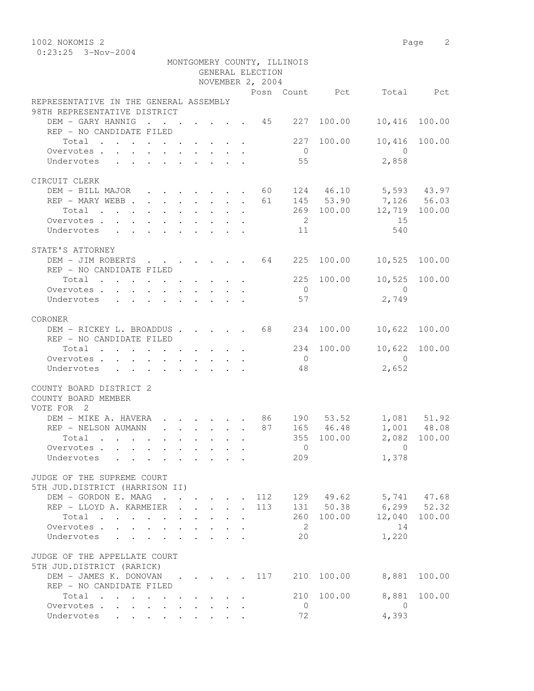1002 NOKOMIS 2 Page 2 0:23:25 3-Nov-2004

|                                                                                               |                                                                          |  | GENERAL ELECTION<br>NOVEMBER 2, 2004 | MONTGOMERY COUNTY, ILLINOIS |            |                                 |               |
|-----------------------------------------------------------------------------------------------|--------------------------------------------------------------------------|--|--------------------------------------|-----------------------------|------------|---------------------------------|---------------|
|                                                                                               |                                                                          |  |                                      |                             |            | Posn Count Pct Total Pct        |               |
| REPRESENTATIVE IN THE GENERAL ASSEMBLY                                                        |                                                                          |  |                                      |                             |            |                                 |               |
| 98TH REPRESENTATIVE DISTRICT                                                                  |                                                                          |  |                                      |                             |            |                                 |               |
| DEM - GARY HANNIG 45 227                                                                      |                                                                          |  |                                      |                             | 100.00     | 10,416                          | 100.00        |
| REP - NO CANDIDATE FILED                                                                      |                                                                          |  |                                      |                             |            |                                 |               |
| Total $\cdot$                                                                                 |                                                                          |  |                                      |                             | 227 100.00 | 10,416 100.00                   |               |
| Overvotes                                                                                     |                                                                          |  |                                      | $\overline{0}$              |            | $\bigcirc$                      |               |
| Undervotes                                                                                    |                                                                          |  |                                      | 55                          |            | 2,858                           |               |
|                                                                                               |                                                                          |  |                                      |                             |            |                                 |               |
| CIRCUIT CLERK                                                                                 |                                                                          |  |                                      |                             |            |                                 |               |
| DEM - BILL MAJOR 60 124 46.10 5,593 43.97                                                     |                                                                          |  |                                      |                             |            |                                 |               |
| REP - MARY WEBB 61 145 53.90 7,126 56.03                                                      |                                                                          |  |                                      |                             |            |                                 |               |
| $\cdot$ 269 100.00 12,719 100.00<br>Total                                                     |                                                                          |  |                                      |                             |            |                                 |               |
| Overvotes.                                                                                    |                                                                          |  |                                      | $\overline{2}$              |            | 15                              |               |
| Undervotes 11                                                                                 |                                                                          |  |                                      |                             |            | 540                             |               |
|                                                                                               |                                                                          |  |                                      |                             |            |                                 |               |
| STATE'S ATTORNEY                                                                              |                                                                          |  |                                      |                             |            |                                 |               |
| DEM - JIM ROBERTS 64 225 100.00                                                               |                                                                          |  |                                      |                             |            | 10,525 100.00                   |               |
| REP - NO CANDIDATE FILED                                                                      |                                                                          |  |                                      |                             |            |                                 |               |
| Total 225 100.00                                                                              |                                                                          |  |                                      | $\overline{0}$              |            | 10,525 100.00<br>$\overline{0}$ |               |
| Overvotes.                                                                                    |                                                                          |  |                                      | 57                          |            | 2,749                           |               |
| Undervotes                                                                                    |                                                                          |  |                                      |                             |            |                                 |               |
| CORONER                                                                                       |                                                                          |  |                                      |                             |            |                                 |               |
| DEM - RICKEY L. BROADDUS 68 234 100.00                                                        |                                                                          |  |                                      |                             |            | 10,622 100.00                   |               |
| REP - NO CANDIDATE FILED                                                                      |                                                                          |  |                                      |                             |            |                                 |               |
| Total $\cdot$                                                                                 |                                                                          |  |                                      |                             | 234 100.00 | 10,622 100.00                   |               |
| Overvotes.                                                                                    |                                                                          |  |                                      | $\overline{0}$              |            | $\overline{0}$                  |               |
| Undervotes                                                                                    |                                                                          |  |                                      | 48                          |            | 2,652                           |               |
|                                                                                               |                                                                          |  |                                      |                             |            |                                 |               |
| COUNTY BOARD DISTRICT 2<br>COUNTY BOARD MEMBER                                                |                                                                          |  |                                      |                             |            |                                 |               |
| VOTE FOR 2                                                                                    |                                                                          |  |                                      |                             |            |                                 |               |
| DEM – MIKE A. HAVERA 86 190 53.52 1,081 51.92<br>REP – NELSON AUMANN 87 165 46.48 1,001 48.08 |                                                                          |  |                                      |                             |            |                                 |               |
|                                                                                               |                                                                          |  |                                      |                             |            |                                 |               |
| Total                                                                                         |                                                                          |  |                                      |                             | 355 100.00 |                                 | 2,082 100.00  |
| Overvotes                                                                                     |                                                                          |  |                                      |                             |            | $\sim$ 0                        |               |
| Undervotes                                                                                    |                                                                          |  |                                      | 209                         |            | 1,378                           |               |
| JUDGE OF THE SUPREME COURT                                                                    |                                                                          |  |                                      |                             |            |                                 |               |
| 5TH JUD.DISTRICT (HARRISON II)                                                                |                                                                          |  |                                      |                             |            |                                 |               |
| DEM - GORDON E. MAAG 112                                                                      |                                                                          |  |                                      |                             | 129 49.62  | 5,741 47.68                     |               |
| REP - LLOYD A. KARMEIER                                                                       | $\mathbf{r}$ , $\mathbf{r}$ , $\mathbf{r}$ , $\mathbf{r}$ , $\mathbf{r}$ |  | 113                                  |                             | 131 50.38  | $6, 299$ $52.32$                |               |
| Total                                                                                         | $\cdot$ $\cdot$ $\cdot$                                                  |  |                                      |                             | 260 100.00 |                                 | 12,040 100.00 |
| Overvotes.                                                                                    |                                                                          |  |                                      | $\overline{2}$              |            | 14                              |               |
| Undervotes                                                                                    |                                                                          |  |                                      | 20                          |            | 1,220                           |               |
|                                                                                               |                                                                          |  |                                      |                             |            |                                 |               |
| JUDGE OF THE APPELLATE COURT<br>5TH JUD.DISTRICT (RARICK)                                     |                                                                          |  |                                      |                             |            |                                 |               |
| DEM - JAMES K. DONOVAN 117                                                                    |                                                                          |  |                                      |                             | 210 100.00 | 8,881                           | 100.00        |
| REP - NO CANDIDATE FILED                                                                      |                                                                          |  |                                      |                             |            |                                 |               |
| Total                                                                                         |                                                                          |  |                                      |                             | 210 100.00 | 8,881                           | 100.00        |
| Overvotes                                                                                     |                                                                          |  |                                      | $\overline{0}$              |            | $\overline{0}$                  |               |
| Undervotes                                                                                    |                                                                          |  |                                      | 72                          |            | 4,393                           |               |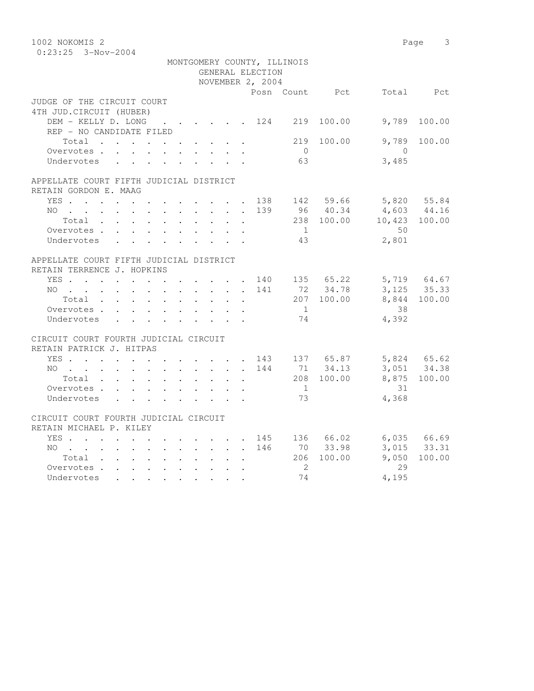| 1002 NOKOMIS 2                             |           |                                                 |                  |     |                             |                |                            | Page<br>$\overline{\mathbf{3}}$ |
|--------------------------------------------|-----------|-------------------------------------------------|------------------|-----|-----------------------------|----------------|----------------------------|---------------------------------|
| $0:23:25$ 3-Nov-2004                       |           |                                                 |                  |     |                             |                |                            |                                 |
|                                            |           |                                                 |                  |     | MONTGOMERY COUNTY, ILLINOIS |                |                            |                                 |
|                                            |           |                                                 | GENERAL ELECTION |     |                             |                |                            |                                 |
|                                            |           |                                                 | NOVEMBER 2, 2004 |     |                             |                |                            |                                 |
|                                            |           |                                                 |                  |     |                             | Posn Count Pct |                            | Total Pct                       |
| JUDGE OF THE CIRCUIT COURT                 |           |                                                 |                  |     |                             |                |                            |                                 |
| 4TH JUD. CIRCUIT (HUBER)                   |           |                                                 |                  |     |                             |                |                            |                                 |
| DEM - KELLY D. LONG                        | . 124 219 |                                                 |                  |     |                             | 100.00         | 9,789                      | 100.00                          |
| REP - NO CANDIDATE FILED                   |           |                                                 |                  |     |                             |                |                            |                                 |
| Total                                      |           |                                                 |                  |     | 219                         | 100.00         | 9,789                      | 100.00                          |
| Overvotes                                  |           |                                                 |                  |     | $\bigcirc$                  |                | $\bigcirc$                 |                                 |
| Undervotes                                 |           |                                                 |                  |     | 63                          |                | 3,485                      |                                 |
|                                            |           |                                                 |                  |     |                             |                |                            |                                 |
| APPELLATE COURT FIFTH JUDICIAL DISTRICT    |           |                                                 |                  |     |                             |                |                            |                                 |
| RETAIN GORDON E. MAAG<br>YES 138 142 59.66 |           |                                                 |                  |     |                             |                |                            |                                 |
|                                            |           |                                                 |                  | 139 |                             | 96 40.34       | 5,820 55.84<br>4,603 44.16 |                                 |
| NO                                         |           |                                                 |                  |     |                             | 238 100.00     |                            | 10,423 100.00                   |
| Overvotes                                  |           |                                                 |                  |     | $\mathbf{1}$                |                | 50                         |                                 |
| Undervotes                                 |           |                                                 |                  |     | 43                          |                | 2,801                      |                                 |
|                                            |           |                                                 |                  |     |                             |                |                            |                                 |
| APPELLATE COURT FIFTH JUDICIAL DISTRICT    |           |                                                 |                  |     |                             |                |                            |                                 |
| RETAIN TERRENCE J. HOPKINS                 |           |                                                 |                  |     |                             |                |                            |                                 |
| YES                                        |           |                                                 |                  | 140 |                             | 135 65.22      |                            | 5,719 64.67                     |
| NO                                         |           |                                                 |                  | 141 |                             | 72 34.78       |                            | 3, 125 35.33                    |
| Total                                      |           |                                                 | $\mathbf{r}$     |     |                             | 207 100.00     |                            | 8,844 100.00                    |
| Overvotes                                  |           |                                                 |                  |     | $\overline{1}$              |                | 38                         |                                 |
| Undervotes                                 |           |                                                 |                  |     | 74                          |                | 4,392                      |                                 |
|                                            |           |                                                 |                  |     |                             |                |                            |                                 |
| CIRCUIT COURT FOURTH JUDICIAL CIRCUIT      |           |                                                 |                  |     |                             |                |                            |                                 |
| RETAIN PATRICK J. HITPAS                   |           |                                                 |                  |     |                             |                |                            |                                 |
| YES 143 137 65.87                          |           |                                                 |                  |     |                             |                |                            | 5,824 65.62                     |
| NO                                         |           |                                                 |                  |     |                             | 144 71 34.13   |                            | 3,051 34.38                     |
| Total                                      |           | $\sim$ $\sim$<br>$\mathbf{L}$                   |                  |     |                             | 208 100.00     |                            | 8,875 100.00                    |
| Overvotes                                  |           |                                                 |                  |     | 1                           |                | 31                         |                                 |
| Undervotes                                 |           |                                                 |                  |     | 73                          |                | 4,368                      |                                 |
|                                            |           |                                                 |                  |     |                             |                |                            |                                 |
| CIRCUIT COURT FOURTH JUDICIAL CIRCUIT      |           |                                                 |                  |     |                             |                |                            |                                 |
| RETAIN MICHAEL P. KILEY                    |           |                                                 |                  |     |                             |                |                            |                                 |
| YES                                        |           | $\cdot$ $\cdot$ $\cdot$ $\cdot$ $\cdot$ $\cdot$ |                  |     |                             | 145 136 66.02  |                            | 6,035 66.69                     |
| NO                                         |           |                                                 |                  | 146 |                             | 70 33.98       |                            | 3,015 33.31                     |
| Total                                      |           |                                                 |                  |     |                             | 206 100.00     | 9,050                      | 100.00                          |
| Overvotes.                                 |           |                                                 |                  |     | $\overline{2}$              |                | 29                         |                                 |
| Undervotes                                 |           |                                                 |                  |     | 74                          |                | 4,195                      |                                 |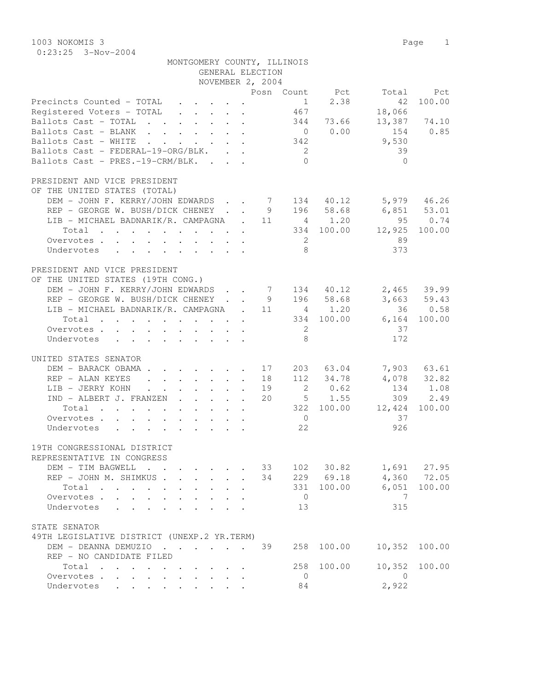1003 NOKOMIS 3 Page 1 0:23:25 3-Nov-2004

|                                                          | MONTGOMERY COUNTY, ILLINOIS                               |  | GENERAL ELECTION<br>NOVEMBER 2, 2004 |                |            |                                |               |
|----------------------------------------------------------|-----------------------------------------------------------|--|--------------------------------------|----------------|------------|--------------------------------|---------------|
|                                                          |                                                           |  |                                      |                |            |                                |               |
| Precincts Counted - TOTAL                                |                                                           |  |                                      | 1              | 2.38       | Posn Count Pct Total Pct<br>42 | 100.00        |
| Registered Voters - TOTAL                                | $\mathbf{r}$ , $\mathbf{r}$ , $\mathbf{r}$ , $\mathbf{r}$ |  |                                      | 467            |            | 18,066                         |               |
| Ballots Cast - TOTAL 344 73.66 13,387 74.10              |                                                           |  |                                      |                |            |                                |               |
| Ballots Cast - BLANK 0 0.00                              |                                                           |  |                                      |                |            | 154 0.85                       |               |
| Ballots Cast - WHITE 342                                 |                                                           |  |                                      |                |            | 9,530                          |               |
| Ballots Cast - FEDERAL-19-ORG/BLK.                       |                                                           |  |                                      | $\overline{2}$ |            | 39                             |               |
| Ballots Cast - PRES.-19-CRM/BLK.                         |                                                           |  |                                      | $\bigcap$      |            | $\bigcap$                      |               |
| PRESIDENT AND VICE PRESIDENT                             |                                                           |  |                                      |                |            |                                |               |
| OF THE UNITED STATES (TOTAL)                             |                                                           |  |                                      |                |            |                                |               |
| DEM - JOHN F. KERRY/JOHN EDWARDS 7 134 40.12 5,979 46.26 |                                                           |  |                                      |                |            |                                |               |
| REP - GEORGE W. BUSH/DICK CHENEY 9 196 58.68 6,851 53.01 |                                                           |  |                                      |                |            |                                |               |
| LIB - MICHAEL BADNARIK/R. CAMPAGNA . 11 4 1.20           |                                                           |  |                                      |                |            | 95 0.74                        |               |
| Total 334 100.00 12,925 100.00                           |                                                           |  |                                      |                |            |                                |               |
| Overvotes.                                               |                                                           |  |                                      | $\overline{2}$ |            | 89                             |               |
| Undervotes                                               |                                                           |  |                                      | 8 <sup>7</sup> |            | 373                            |               |
| PRESIDENT AND VICE PRESIDENT                             |                                                           |  |                                      |                |            |                                |               |
| OF THE UNITED STATES (19TH CONG.)                        |                                                           |  |                                      |                |            |                                |               |
| DEM - JOHN F. KERRY/JOHN EDWARDS 7 134 40.12 2,465 39.99 |                                                           |  |                                      |                |            |                                |               |
| REP - GEORGE W. BUSH/DICK CHENEY 9 196 58.68             |                                                           |  |                                      |                |            |                                | 3,663 59.43   |
| LIB - MICHAEL BADNARIK/R. CAMPAGNA . 11 4 1.20           |                                                           |  |                                      |                |            |                                | 36 0.58       |
| Total 334 100.00 6,164 100.00                            |                                                           |  |                                      |                |            |                                |               |
| Overvotes.                                               |                                                           |  |                                      | $\overline{2}$ |            | 37                             |               |
| Undervotes                                               |                                                           |  |                                      | 8 <sup>8</sup> |            | 172                            |               |
| UNITED STATES SENATOR                                    |                                                           |  |                                      |                |            |                                |               |
| DEM - BARACK OBAMA 17                                    |                                                           |  |                                      |                |            | 203 63.04 7,903 63.61          |               |
| REP - ALAN KEYES 18                                      |                                                           |  |                                      |                |            | $112$ 34.78 $4,078$ 32.82      |               |
| LIB - JERRY KOHN 19                                      |                                                           |  |                                      |                | 2 0.62     |                                | 134 1.08      |
| $IND - ALBERT J. FRANZEN$ 20 $5$ 1.55                    |                                                           |  |                                      |                |            |                                | 309 2.49      |
| Total 322 100.00 12,424 100.00                           |                                                           |  |                                      |                |            |                                |               |
| Overvotes.                                               |                                                           |  |                                      | $\overline{0}$ |            | 37                             |               |
| Undervotes                                               |                                                           |  |                                      | 22             |            | 926                            |               |
| 19TH CONGRESSIONAL DISTRICT                              |                                                           |  |                                      |                |            |                                |               |
| REPRESENTATIVE IN CONGRESS                               |                                                           |  |                                      |                |            |                                |               |
| DEM - TIM BAGWELL                                        |                                                           |  | 33                                   |                |            | 102 30.82 1,691 27.95          |               |
| REP - JOHN M. SHIMKUS                                    |                                                           |  | 34                                   |                |            | 229 69.18 4,360 72.05          |               |
| Total                                                    |                                                           |  |                                      |                |            | 331 100.00 6,051 100.00        |               |
| Overvotes.                                               |                                                           |  |                                      | $\overline{0}$ |            | $\overline{7}$                 |               |
| Undervotes                                               |                                                           |  |                                      | 13             |            | 315                            |               |
| STATE SENATOR                                            |                                                           |  |                                      |                |            |                                |               |
| 49TH LEGISLATIVE DISTRICT (UNEXP.2 YR.TERM)              |                                                           |  |                                      |                |            |                                |               |
| DEM - DEANNA DEMUZIO 39                                  |                                                           |  |                                      |                | 258 100.00 | 10,352 100.00                  |               |
| REP - NO CANDIDATE FILED                                 |                                                           |  |                                      |                |            |                                |               |
| Total                                                    |                                                           |  |                                      |                | 258 100.00 |                                | 10,352 100.00 |

 Overvotes . . . . . . . . . . 0 0 Undervotes . . . . . . . . . 84 2,922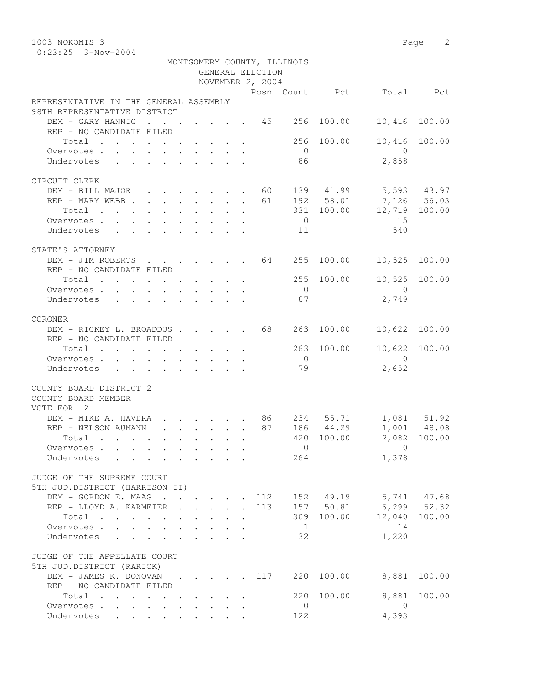0:23:25 3-Nov-2004

|                                                                                                                                                                                                                                                                                                                                      |                                                                          |                                 |             | GENERAL ELECTION | MONTGOMERY COUNTY, ILLINOIS |            |                          |               |
|--------------------------------------------------------------------------------------------------------------------------------------------------------------------------------------------------------------------------------------------------------------------------------------------------------------------------------------|--------------------------------------------------------------------------|---------------------------------|-------------|------------------|-----------------------------|------------|--------------------------|---------------|
|                                                                                                                                                                                                                                                                                                                                      |                                                                          |                                 |             | NOVEMBER 2, 2004 |                             |            |                          |               |
|                                                                                                                                                                                                                                                                                                                                      |                                                                          |                                 |             |                  |                             |            | Posn Count Pct Total Pct |               |
| REPRESENTATIVE IN THE GENERAL ASSEMBLY<br>98TH REPRESENTATIVE DISTRICT                                                                                                                                                                                                                                                               |                                                                          |                                 |             |                  |                             |            |                          |               |
| DEM - GARY HANNIG 45 256                                                                                                                                                                                                                                                                                                             |                                                                          |                                 |             |                  |                             | 100.00     | 10,416 100.00            |               |
| REP - NO CANDIDATE FILED                                                                                                                                                                                                                                                                                                             |                                                                          |                                 |             |                  |                             |            |                          |               |
| Total $\cdot$                                                                                                                                                                                                                                                                                                                        |                                                                          |                                 |             |                  |                             | 256 100.00 | 10,416 100.00            |               |
| Overvotes                                                                                                                                                                                                                                                                                                                            |                                                                          |                                 |             |                  | $\overline{0}$              |            | $\overline{0}$           |               |
| Undervotes                                                                                                                                                                                                                                                                                                                           |                                                                          |                                 |             |                  | 86                          |            | 2,858                    |               |
|                                                                                                                                                                                                                                                                                                                                      |                                                                          |                                 |             |                  |                             |            |                          |               |
| CIRCUIT CLERK                                                                                                                                                                                                                                                                                                                        |                                                                          |                                 |             |                  |                             |            |                          |               |
| DEM - BILL MAJOR 60 139 41.99 5,593 43.97                                                                                                                                                                                                                                                                                            |                                                                          |                                 |             |                  |                             |            |                          |               |
| REP - MARY WEBB 61 192 58.01 7,126 56.03                                                                                                                                                                                                                                                                                             |                                                                          |                                 |             |                  |                             |            |                          |               |
| $\cdot$ 331 100.00 12,719 100.00<br>Total                                                                                                                                                                                                                                                                                            |                                                                          |                                 |             |                  |                             |            |                          |               |
| Overvotes                                                                                                                                                                                                                                                                                                                            |                                                                          |                                 |             |                  | $\overline{0}$              |            | 15                       |               |
| Undervotes 11                                                                                                                                                                                                                                                                                                                        |                                                                          |                                 |             |                  |                             |            | 540                      |               |
|                                                                                                                                                                                                                                                                                                                                      |                                                                          |                                 |             |                  |                             |            |                          |               |
| STATE'S ATTORNEY                                                                                                                                                                                                                                                                                                                     |                                                                          |                                 |             |                  |                             |            |                          |               |
| DEM - JIM ROBERTS 64 255 100.00                                                                                                                                                                                                                                                                                                      |                                                                          |                                 |             |                  |                             |            | 10,525 100.00            |               |
| REP - NO CANDIDATE FILED<br>Total 255 100.00                                                                                                                                                                                                                                                                                         |                                                                          |                                 |             |                  |                             |            |                          | 10,525 100.00 |
| Overvotes                                                                                                                                                                                                                                                                                                                            |                                                                          |                                 |             |                  | $\overline{0}$              |            | $\overline{0}$           |               |
| Undervotes                                                                                                                                                                                                                                                                                                                           |                                                                          |                                 |             |                  | 87                          |            | 2,749                    |               |
|                                                                                                                                                                                                                                                                                                                                      |                                                                          |                                 |             |                  |                             |            |                          |               |
| CORONER                                                                                                                                                                                                                                                                                                                              |                                                                          |                                 |             |                  |                             |            |                          |               |
| DEM - RICKEY L. BROADDUS 68 263 100.00                                                                                                                                                                                                                                                                                               |                                                                          |                                 |             |                  |                             |            | 10,622 100.00            |               |
| REP - NO CANDIDATE FILED                                                                                                                                                                                                                                                                                                             |                                                                          |                                 |             |                  |                             |            |                          |               |
| Total $\cdot$                                                                                                                                                                                                                                                                                                                        |                                                                          |                                 |             |                  |                             | 263 100.00 | 10,622 100.00            |               |
| Overvotes.                                                                                                                                                                                                                                                                                                                           |                                                                          |                                 |             |                  | $\overline{O}$              |            | $\overline{0}$           |               |
| Undervotes                                                                                                                                                                                                                                                                                                                           |                                                                          |                                 |             |                  | 79                          |            | 2,652                    |               |
|                                                                                                                                                                                                                                                                                                                                      |                                                                          |                                 |             |                  |                             |            |                          |               |
| COUNTY BOARD DISTRICT 2<br>COUNTY BOARD MEMBER<br>VOTE FOR 2                                                                                                                                                                                                                                                                         |                                                                          |                                 |             |                  |                             |            |                          |               |
|                                                                                                                                                                                                                                                                                                                                      |                                                                          |                                 |             |                  |                             |            |                          |               |
| DEM – MIKE A. HAVERA 86 234 55.71 1,081 51.92<br>REP – NELSON AUMANN 87 186 44.29 1,001 48.08                                                                                                                                                                                                                                        |                                                                          |                                 |             |                  |                             |            |                          |               |
| Total                                                                                                                                                                                                                                                                                                                                |                                                                          |                                 |             |                  |                             | 420 100.00 |                          | 2,082 100.00  |
| Overvotes $\cdots$ $\cdots$ $\cdots$ $\cdots$ $\cdots$ $\cdots$ $\cdots$ $\cdots$ $\cdots$ $\cdots$ $\cdots$ $\cdots$ $\cdots$ $\cdots$ $\cdots$ $\cdots$ $\cdots$ $\cdots$ $\cdots$ $\cdots$ $\cdots$ $\cdots$ $\cdots$ $\cdots$ $\cdots$ $\cdots$ $\cdots$ $\cdots$ $\cdots$ $\cdots$ $\cdots$ $\cdots$ $\cdots$ $\cdots$ $\cdots$ |                                                                          |                                 |             |                  |                             |            |                          |               |
| Undervotes                                                                                                                                                                                                                                                                                                                           |                                                                          |                                 |             |                  | 264                         |            | 1,378                    |               |
|                                                                                                                                                                                                                                                                                                                                      |                                                                          |                                 |             |                  |                             |            |                          |               |
| JUDGE OF THE SUPREME COURT                                                                                                                                                                                                                                                                                                           |                                                                          |                                 |             |                  |                             |            |                          |               |
| 5TH JUD.DISTRICT (HARRISON II)                                                                                                                                                                                                                                                                                                       |                                                                          |                                 |             |                  |                             |            |                          |               |
| DEM - GORDON E. MAAG 112 152 49.19                                                                                                                                                                                                                                                                                                   |                                                                          |                                 |             |                  |                             |            | 5,741 47.68              |               |
| REP - LLOYD A. KARMEIER                                                                                                                                                                                                                                                                                                              | $\mathbf{r}$ , $\mathbf{r}$ , $\mathbf{r}$ , $\mathbf{r}$ , $\mathbf{r}$ |                                 |             | 113              |                             | 157 50.81  | $6, 299$ $52.32$         |               |
| Total                                                                                                                                                                                                                                                                                                                                |                                                                          | $\cdot$ $\cdot$ $\cdot$ $\cdot$ |             |                  |                             | 309 100.00 |                          | 12,040 100.00 |
| Overvotes.                                                                                                                                                                                                                                                                                                                           |                                                                          |                                 |             |                  | $\overline{1}$              |            | 14                       |               |
| Undervotes                                                                                                                                                                                                                                                                                                                           |                                                                          |                                 | $1 - 1 - 1$ |                  | 32                          |            | 1,220                    |               |
| JUDGE OF THE APPELLATE COURT<br>5TH JUD.DISTRICT (RARICK)                                                                                                                                                                                                                                                                            |                                                                          |                                 |             |                  |                             |            |                          |               |
| DEM - JAMES K. DONOVAN 117                                                                                                                                                                                                                                                                                                           |                                                                          |                                 |             |                  |                             | 220 100.00 | 8,881                    | 100.00        |
| REP - NO CANDIDATE FILED                                                                                                                                                                                                                                                                                                             |                                                                          |                                 |             |                  |                             |            |                          |               |
| Total                                                                                                                                                                                                                                                                                                                                |                                                                          |                                 |             |                  |                             | 220 100.00 | 8,881                    | 100.00        |
| Overvotes.                                                                                                                                                                                                                                                                                                                           |                                                                          |                                 |             |                  | $\overline{0}$              |            | $\overline{0}$           |               |
| Undervotes                                                                                                                                                                                                                                                                                                                           |                                                                          |                                 |             |                  | 122                         |            | 4,393                    |               |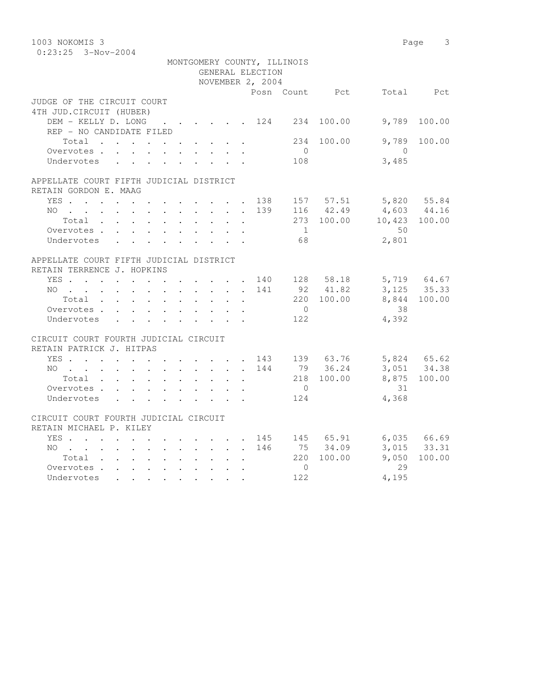| 1003 NOKOMIS 3                                                                                                              |        |                             |                |                |                          | Page 3        |
|-----------------------------------------------------------------------------------------------------------------------------|--------|-----------------------------|----------------|----------------|--------------------------|---------------|
| $0:23:25$ 3-Nov-2004                                                                                                        |        |                             |                |                |                          |               |
|                                                                                                                             |        | MONTGOMERY COUNTY, ILLINOIS |                |                |                          |               |
|                                                                                                                             |        | GENERAL ELECTION            |                |                |                          |               |
|                                                                                                                             |        | NOVEMBER 2, 2004            |                |                |                          |               |
|                                                                                                                             |        |                             |                | Posn Count Pct |                          | Total Pct     |
| JUDGE OF THE CIRCUIT COURT                                                                                                  |        |                             |                |                |                          |               |
| 4TH JUD. CIRCUIT (HUBER)                                                                                                    |        |                             |                |                |                          |               |
| DEM - KELLY D. LONG 124 234 100.00                                                                                          |        |                             |                |                | 9,789                    | 100.00        |
| REP - NO CANDIDATE FILED                                                                                                    |        |                             |                |                |                          |               |
| Total                                                                                                                       |        |                             |                | 234 100.00     | 9,789                    | 100.00        |
| Overvotes.                                                                                                                  |        |                             | $\overline{0}$ |                | $\overline{0}$           |               |
| Undervotes                                                                                                                  |        |                             | 108            |                | 3,485                    |               |
|                                                                                                                             |        |                             |                |                |                          |               |
| APPELLATE COURT FIFTH JUDICIAL DISTRICT                                                                                     |        |                             |                |                |                          |               |
| RETAIN GORDON E. MAAG                                                                                                       |        |                             |                |                |                          |               |
| YES. 138                                                                                                                    |        |                             |                | 157 57.51      | 5,820 55.84              |               |
| NO 139                                                                                                                      |        |                             |                | 116 42.49      | $4,603$ $44.16$          |               |
| Total                                                                                                                       |        |                             |                |                | 273 100.00 10,423 100.00 |               |
| Overvotes.                                                                                                                  |        |                             | $\overline{1}$ |                | 50                       |               |
| Undervotes                                                                                                                  |        |                             | 68             |                | 2,801                    |               |
|                                                                                                                             |        |                             |                |                |                          |               |
| APPELLATE COURT FIFTH JUDICIAL DISTRICT                                                                                     |        |                             |                |                |                          |               |
| RETAIN TERRENCE J. HOPKINS                                                                                                  |        |                             |                |                |                          |               |
| YES. 140                                                                                                                    |        |                             |                | 128 58.18      |                          | 5,719 64.67   |
| $NO$                                                                                                                        |        | 141                         |                | 92 41.82       |                          | $3,125$ 35.33 |
| Total                                                                                                                       |        |                             |                | 220 100.00     | 8,844                    | 100.00        |
| Overvotes                                                                                                                   |        |                             | $\overline{0}$ |                | 38                       |               |
| Undervotes                                                                                                                  |        |                             | 122            |                | 4,392                    |               |
|                                                                                                                             |        |                             |                |                |                          |               |
| CIRCUIT COURT FOURTH JUDICIAL CIRCUIT                                                                                       |        |                             |                |                |                          |               |
| RETAIN PATRICK J. HITPAS                                                                                                    |        |                             |                |                |                          |               |
| YES 143 139 63.76                                                                                                           |        |                             |                |                | 5,824 65.62              |               |
| NO<br>$\mathcal{A}^{\mathcal{A}}$ . The contribution of the contribution of the contribution of $\mathcal{A}^{\mathcal{A}}$ |        | 144                         |                | 79 36.24       |                          | 3,051 34.38   |
| Total                                                                                                                       |        |                             |                | 218 100.00     |                          | 8,875 100.00  |
| Overvotes                                                                                                                   |        |                             | $\overline{0}$ |                | 31                       |               |
| Undervotes                                                                                                                  |        | $\mathbf{L} = \mathbf{L}$   | 124            |                | 4,368                    |               |
|                                                                                                                             |        |                             |                |                |                          |               |
| CIRCUIT COURT FOURTH JUDICIAL CIRCUIT                                                                                       |        |                             |                |                |                          |               |
| RETAIN MICHAEL P. KILEY                                                                                                     |        |                             |                |                |                          |               |
| YES                                                                                                                         |        |                             |                | 145 145 65.91  |                          | 6,035 66.69   |
| NO                                                                                                                          |        | 146                         |                | 75 34.09       |                          | 3,015 33.31   |
| Total , , , , , , , ,                                                                                                       | $\sim$ | $\ddot{\phantom{a}}$        |                | 220 100.00     | 9,050                    | 100.00        |
| Overvotes.                                                                                                                  |        |                             | $\circ$        |                | 29                       |               |
| Undervotes                                                                                                                  |        |                             | 122            |                | 4,195                    |               |
|                                                                                                                             |        |                             |                |                |                          |               |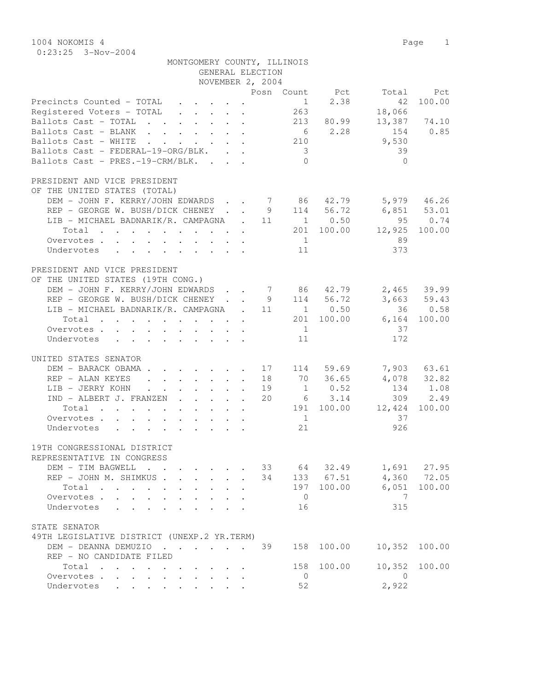1004 NOKOMIS 4 Page 1 0:23:25 3-Nov-2004

| MONTGOMERY COUNTY, ILLINOIS                                                                                             |                         |                           |                          |                            |
|-------------------------------------------------------------------------------------------------------------------------|-------------------------|---------------------------|--------------------------|----------------------------|
| GENERAL ELECTION                                                                                                        |                         |                           |                          |                            |
| NOVEMBER 2, 2004                                                                                                        |                         |                           |                          |                            |
| Precincts Counted - TOTAL<br>$\mathbf{r} = \mathbf{r} + \mathbf{r} + \mathbf{r} + \mathbf{r}$ .<br>$\ddot{\phantom{0}}$ | Posn Count Pct          | 2.38<br>1                 | Total<br>42              | Pct.<br>100.00             |
| Registered Voters - TOTAL                                                                                               | 263                     |                           | 18,066                   |                            |
| Ballots Cast - TOTAL 213 80.99                                                                                          |                         |                           |                          | 13,387 74.10               |
| Ballots Cast - BLANK                                                                                                    |                         | 6 2.28                    | 154                      | 0.85                       |
| Ballots Cast - WHITE                                                                                                    | 210                     |                           | 9,530                    |                            |
| Ballots Cast - FEDERAL-19-ORG/BLK.                                                                                      | $\overline{\mathbf{3}}$ |                           | 39                       |                            |
| Ballots Cast - PRES.-19-CRM/BLK.                                                                                        | $\bigcap$               |                           | $\Omega$                 |                            |
| PRESIDENT AND VICE PRESIDENT                                                                                            |                         |                           |                          |                            |
| OF THE UNITED STATES (TOTAL)                                                                                            |                         |                           |                          |                            |
| DEM - JOHN F. KERRY/JOHN EDWARDS 7 86 42.79                                                                             |                         |                           | $5,979$ $46.26$          |                            |
| REP - GEORGE W. BUSH/DICK CHENEY                                                                                        |                         |                           |                          |                            |
| LIB - MICHAEL BADNARIK/R. CAMPAGNA . 11                                                                                 | 9                       | $114$ $56.72$<br>1 0.50   | $6,851$ $53.01$<br>95    | 0.74                       |
| Total                                                                                                                   |                         |                           | 201 100.00 12,925        | 100.00                     |
| Overvotes.                                                                                                              | $\sim$ 1                |                           | 89                       |                            |
| Undervotes                                                                                                              | 11                      |                           | 373                      |                            |
|                                                                                                                         |                         |                           |                          |                            |
| PRESIDENT AND VICE PRESIDENT                                                                                            |                         |                           |                          |                            |
| OF THE UNITED STATES (19TH CONG.)                                                                                       |                         |                           |                          |                            |
| DEM - JOHN F. KERRY/JOHN EDWARDS                                                                                        | 7 86 42.79              |                           |                          | $2,465$ 39.99              |
| REP - GEORGE W. BUSH/DICK CHENEY                                                                                        | 9                       | 114 56.72                 |                          | $3,663$ $59.43$<br>36 0.58 |
| LIB - MICHAEL BADNARIK/R. CAMPAGNA . 11                                                                                 |                         | $1 \t 0.50$               |                          |                            |
| Total                                                                                                                   |                         | 201 100.00                |                          | 6,164 100.00               |
| Overvotes.                                                                                                              | $\overline{1}$          |                           | 37                       |                            |
| Undervotes                                                                                                              | 11                      |                           | 172                      |                            |
|                                                                                                                         |                         |                           |                          |                            |
| UNITED STATES SENATOR                                                                                                   |                         |                           |                          |                            |
| $\cdot$ 17 114 59.69<br>DEM - BARACK OBAMA.                                                                             |                         |                           |                          | 7,903 63.61                |
| REP - ALAN KEYES<br>$\cdot$ $\cdot$ $\cdot$ $\cdot$ $\cdot$ $\cdot$ 18<br>$\mathbf{L}$                                  |                         | 70 36.65                  |                          | 4,078 32.82                |
| LIB - JERRY KOHN<br>$\cdot$ $\cdot$ $\cdot$ $\cdot$ $\cdot$ $\cdot$<br>IND - ALBERT J. FRANZEN                          | 19                      | $1 \qquad 0.52$<br>6 3.14 |                          | 134 1.08<br>2.49           |
|                                                                                                                         | 20                      |                           | 309<br>191 100.00 12,424 |                            |
| Total                                                                                                                   |                         |                           |                          | 100.00                     |
| Overvotes                                                                                                               | $\overline{1}$          |                           | 37                       |                            |
| Undervotes                                                                                                              | 21                      |                           | 926                      |                            |
| 19TH CONGRESSIONAL DISTRICT                                                                                             |                         |                           |                          |                            |
| REPRESENTATIVE IN CONGRESS                                                                                              |                         |                           |                          |                            |
| DEM - TIM BAGWELL<br>$\cdot$ $\cdot$                                                                                    | 33                      | 64 32.49                  |                          | 1,691 27.95                |
| REP - JOHN M. SHIMKUS.<br>$\mathbf{L}$<br>$\mathbf{r}$                                                                  | 34                      | 133 67.51                 | 4,360                    | 72.05                      |
| Total<br>$\ddot{\phantom{0}}$<br>$\mathbf{L}$                                                                           | 197                     | 100.00                    | 6,051                    | 100.00                     |
| Overvotes                                                                                                               | $\overline{0}$          |                           | 7                        |                            |
| Undervotes<br>$\ddot{\phantom{a}}$<br>$\mathbf{L}$<br>$\overline{a}$                                                    | 16                      |                           | 315                      |                            |
|                                                                                                                         |                         |                           |                          |                            |
| STATE SENATOR                                                                                                           |                         |                           |                          |                            |
| 49TH LEGISLATIVE DISTRICT (UNEXP.2 YR.TERM)                                                                             |                         |                           |                          |                            |
| DEM - DEANNA DEMUZIO                                                                                                    | 39<br>158               | 100.00                    | 10,352                   | 100.00                     |
| REP - NO CANDIDATE FILED                                                                                                |                         |                           |                          |                            |
| Total                                                                                                                   | 158                     | 100.00                    | 10,352                   | 100.00                     |
| Overvotes.                                                                                                              | $\mathbf{0}$            |                           | 0                        |                            |

Undervotes . . . . . . . . . 52 2,922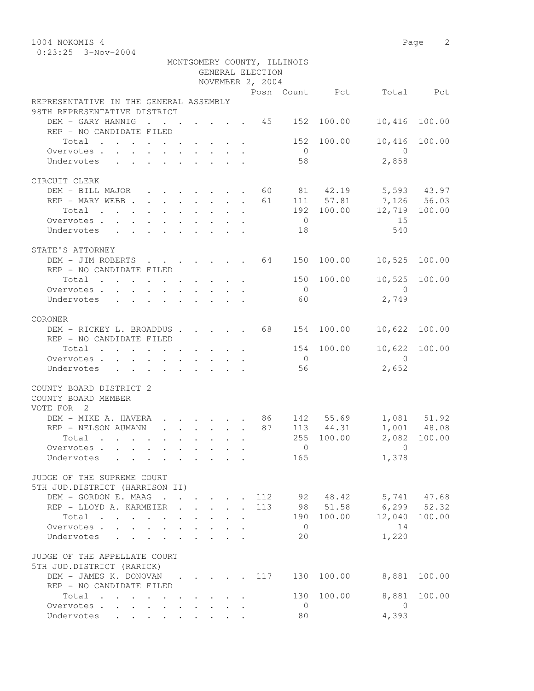1004 NOKOMIS 4 Page 2 0:23:25 3-Nov-2004

|                                                                                                                                                                                                                                                 |  |  |        | GENERAL ELECTION<br>NOVEMBER 2, 2004 | MONTGOMERY COUNTY, ILLINOIS |                                                                      |                          |               |
|-------------------------------------------------------------------------------------------------------------------------------------------------------------------------------------------------------------------------------------------------|--|--|--------|--------------------------------------|-----------------------------|----------------------------------------------------------------------|--------------------------|---------------|
|                                                                                                                                                                                                                                                 |  |  |        |                                      |                             |                                                                      | Posn Count Pct Total Pct |               |
| REPRESENTATIVE IN THE GENERAL ASSEMBLY<br>98TH REPRESENTATIVE DISTRICT                                                                                                                                                                          |  |  |        |                                      |                             |                                                                      |                          |               |
| DEM - GARY HANNIG                                                                                                                                                                                                                               |  |  |        |                                      |                             | $\cdot$ 45 152 100.00                                                | 10,416 100.00            |               |
| REP - NO CANDIDATE FILED                                                                                                                                                                                                                        |  |  |        |                                      |                             |                                                                      |                          |               |
| Total 152 100.00                                                                                                                                                                                                                                |  |  |        |                                      |                             |                                                                      | 10,416 100.00            |               |
| Overvotes.                                                                                                                                                                                                                                      |  |  |        |                                      | $\overline{0}$              |                                                                      | $\overline{0}$           |               |
| Undervotes                                                                                                                                                                                                                                      |  |  |        |                                      | 58                          |                                                                      | 2,858                    |               |
|                                                                                                                                                                                                                                                 |  |  |        |                                      |                             |                                                                      |                          |               |
| CIRCUIT CLERK                                                                                                                                                                                                                                   |  |  |        |                                      |                             |                                                                      |                          |               |
| DEM - BILL MAJOR 60 81 42.19 5,593 43.97                                                                                                                                                                                                        |  |  |        |                                      |                             |                                                                      |                          |               |
| REP – MARY WEBB 1. 61 111 57.81 7,126 56.03                                                                                                                                                                                                     |  |  |        |                                      |                             |                                                                      |                          |               |
| Total                                                                                                                                                                                                                                           |  |  |        |                                      |                             |                                                                      | 192 100.00 12,719 100.00 |               |
|                                                                                                                                                                                                                                                 |  |  |        |                                      | $\overline{0}$              |                                                                      | 15                       |               |
| Overvotes.                                                                                                                                                                                                                                      |  |  |        |                                      |                             |                                                                      |                          |               |
| Undervotes 18                                                                                                                                                                                                                                   |  |  |        |                                      |                             |                                                                      | 540                      |               |
| STATE'S ATTORNEY                                                                                                                                                                                                                                |  |  |        |                                      |                             |                                                                      |                          |               |
|                                                                                                                                                                                                                                                 |  |  |        |                                      |                             |                                                                      |                          |               |
| DEM - JIM ROBERTS 64 150 100.00 10,525 100.00                                                                                                                                                                                                   |  |  |        |                                      |                             |                                                                      |                          |               |
| REP - NO CANDIDATE FILED                                                                                                                                                                                                                        |  |  |        |                                      |                             |                                                                      |                          |               |
| Total                                                                                                                                                                                                                                           |  |  |        |                                      |                             | 150 100.00                                                           | 10,525 100.00            |               |
| Overvotes.                                                                                                                                                                                                                                      |  |  |        |                                      | $\overline{0}$              |                                                                      | $\overline{0}$           |               |
| Undervotes                                                                                                                                                                                                                                      |  |  |        |                                      | 60                          |                                                                      | 2,749                    |               |
|                                                                                                                                                                                                                                                 |  |  |        |                                      |                             |                                                                      |                          |               |
| CORONER                                                                                                                                                                                                                                         |  |  |        |                                      |                             |                                                                      |                          |               |
| DEM - RICKEY L. BROADDUS 68 154 100.00                                                                                                                                                                                                          |  |  |        |                                      |                             |                                                                      | 10,622 100.00            |               |
| REP - NO CANDIDATE FILED                                                                                                                                                                                                                        |  |  |        |                                      |                             |                                                                      |                          |               |
| Total                                                                                                                                                                                                                                           |  |  |        |                                      |                             | 154 100.00                                                           |                          | 10,622 100.00 |
| Overvotes                                                                                                                                                                                                                                       |  |  |        |                                      | $\overline{0}$              |                                                                      | $\overline{0}$           |               |
| Undervotes<br>$\mathbf{r}$ . The contract of the contract of the contract of the contract of the contract of the contract of the contract of the contract of the contract of the contract of the contract of the contract of the contract of th |  |  |        |                                      | 56                          |                                                                      | 2,652                    |               |
| COUNTY BOARD DISTRICT 2<br>COUNTY BOARD MEMBER<br>VOTE FOR 2                                                                                                                                                                                    |  |  |        |                                      |                             |                                                                      |                          |               |
| DEM - MIKE A. HAVERA 86 142 55.69 1,081 51.92                                                                                                                                                                                                   |  |  |        |                                      |                             |                                                                      |                          |               |
| REP - NELSON AUMANN                                                                                                                                                                                                                             |  |  |        |                                      |                             | $\cdot \cdot \cdot \cdot \cdot \cdot \cdot \cdot \cdot 87$ 113 44.31 |                          | 1,001 48.08   |
| Total $\cdot$                                                                                                                                                                                                                                   |  |  |        |                                      |                             | 255 100.00                                                           |                          | 2,082 100.00  |
| Overvotes                                                                                                                                                                                                                                       |  |  |        |                                      | $\overline{0}$              |                                                                      | $\overline{0}$           |               |
| Undervotes                                                                                                                                                                                                                                      |  |  |        |                                      | 165                         |                                                                      | 1,378                    |               |
|                                                                                                                                                                                                                                                 |  |  |        |                                      |                             |                                                                      |                          |               |
| JUDGE OF THE SUPREME COURT<br>5TH JUD.DISTRICT (HARRISON II)                                                                                                                                                                                    |  |  |        |                                      |                             |                                                                      |                          |               |
| DEM - GORDON E. MAAG                                                                                                                                                                                                                            |  |  |        | 112                                  |                             |                                                                      | 92 48.42 5,741 47.68     |               |
| REP - LLOYD A. KARMEIER                                                                                                                                                                                                                         |  |  | $\sim$ | 113                                  |                             | 98 51.58                                                             | $6, 299$ $52.32$         |               |
| Total                                                                                                                                                                                                                                           |  |  |        |                                      |                             | 190 100.00                                                           | 12,040                   | 100.00        |
| Overvotes.                                                                                                                                                                                                                                      |  |  |        |                                      | $\overline{0}$              |                                                                      | 14                       |               |
| Undervotes                                                                                                                                                                                                                                      |  |  |        |                                      | 20                          |                                                                      | 1,220                    |               |
|                                                                                                                                                                                                                                                 |  |  |        |                                      |                             |                                                                      |                          |               |
| JUDGE OF THE APPELLATE COURT<br>5TH JUD.DISTRICT (RARICK)                                                                                                                                                                                       |  |  |        |                                      |                             |                                                                      |                          |               |
| DEM - JAMES K. DONOVAN 117                                                                                                                                                                                                                      |  |  |        |                                      |                             | 130 100.00                                                           | 8,881                    | 100.00        |
| REP - NO CANDIDATE FILED                                                                                                                                                                                                                        |  |  |        |                                      |                             |                                                                      |                          |               |
| Total                                                                                                                                                                                                                                           |  |  |        |                                      | 130                         | 100.00                                                               | 8,881                    | 100.00        |
| Overvotes                                                                                                                                                                                                                                       |  |  |        |                                      | $\overline{0}$              |                                                                      | $\overline{0}$           |               |
| Undervotes                                                                                                                                                                                                                                      |  |  |        |                                      | 80                          |                                                                      | 4,393                    |               |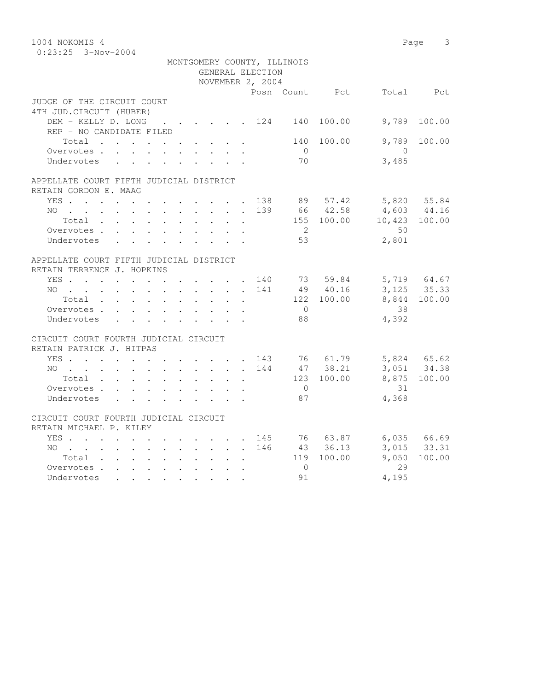| 1004 NOKOMIS 4                                                                                  |        |                                                                          |     |                             |                  |               | 3<br>Page     |
|-------------------------------------------------------------------------------------------------|--------|--------------------------------------------------------------------------|-----|-----------------------------|------------------|---------------|---------------|
| $0:23:25$ 3-Nov-2004                                                                            |        |                                                                          |     |                             |                  |               |               |
|                                                                                                 |        |                                                                          |     | MONTGOMERY COUNTY, ILLINOIS |                  |               |               |
|                                                                                                 |        | GENERAL ELECTION                                                         |     |                             |                  |               |               |
|                                                                                                 |        | NOVEMBER 2, 2004                                                         |     |                             |                  |               |               |
|                                                                                                 |        |                                                                          |     |                             | Posn Count Pct   |               | Total Pct     |
| JUDGE OF THE CIRCUIT COURT                                                                      |        |                                                                          |     |                             |                  |               |               |
| 4TH JUD. CIRCUIT (HUBER)                                                                        |        |                                                                          |     |                             |                  |               |               |
| DEM - KELLY D. LONG                                                                             |        |                                                                          |     |                             | . 124 140 100.00 | 9,789         | 100.00        |
| REP - NO CANDIDATE FILED                                                                        |        |                                                                          |     |                             |                  |               |               |
| Total                                                                                           |        |                                                                          |     |                             | 140 100.00       | 9,789         | 100.00        |
| Overvotes.                                                                                      |        |                                                                          |     | $\bigcirc$                  |                  | $\bigcirc$    |               |
| Undervotes                                                                                      |        |                                                                          |     | 70                          |                  | 3,485         |               |
|                                                                                                 |        |                                                                          |     |                             |                  |               |               |
| APPELLATE COURT FIFTH JUDICIAL DISTRICT                                                         |        |                                                                          |     |                             |                  |               |               |
| RETAIN GORDON E. MAAG                                                                           |        |                                                                          |     |                             |                  |               |               |
| YES                                                                                             |        | $\mathbf{r}$ , $\mathbf{r}$ , $\mathbf{r}$ , $\mathbf{r}$ , $\mathbf{r}$ |     |                             | 138 89 57.42     |               | 5,820 55.84   |
| NO.<br>$\mathbf{r}$ , and $\mathbf{r}$ , and $\mathbf{r}$ , and $\mathbf{r}$ , and $\mathbf{r}$ |        |                                                                          |     |                             | 139 66 42.58     | 4,603 44.16   |               |
| Total                                                                                           |        |                                                                          |     |                             | 155 100.00       | 10,423 100.00 |               |
| Overvotes.                                                                                      |        |                                                                          |     | $\overline{2}$              |                  | 50            |               |
| Undervotes                                                                                      |        |                                                                          |     | 53                          |                  | 2,801         |               |
|                                                                                                 |        |                                                                          |     |                             |                  |               |               |
| APPELLATE COURT FIFTH JUDICIAL DISTRICT                                                         |        |                                                                          |     |                             |                  |               |               |
| RETAIN TERRENCE J. HOPKINS                                                                      |        |                                                                          |     |                             |                  |               |               |
| YES. 140                                                                                        |        |                                                                          |     |                             | 73 59.84         |               | 5,719 64.67   |
| $NO$                                                                                            |        |                                                                          | 141 |                             | 49 40.16         |               | $3,125$ 35.33 |
| Total                                                                                           |        |                                                                          |     |                             | 122 100.00       | 8,844         | 100.00        |
| Overvotes.                                                                                      |        |                                                                          |     | $\overline{0}$              |                  | 38            |               |
| Undervotes                                                                                      |        |                                                                          |     | 88                          |                  | 4,392         |               |
|                                                                                                 |        |                                                                          |     |                             |                  |               |               |
| CIRCUIT COURT FOURTH JUDICIAL CIRCUIT                                                           |        |                                                                          |     |                             |                  |               |               |
| RETAIN PATRICK J. HITPAS                                                                        |        |                                                                          |     |                             |                  |               |               |
| YES                                                                                             |        |                                                                          | 143 |                             | 76 61.79         |               | 5,824 65.62   |
| NO<br>$\mathbf{r}$ , and $\mathbf{r}$ , and $\mathbf{r}$ , and $\mathbf{r}$ , and $\mathbf{r}$  |        |                                                                          | 144 |                             | 47 38.21         |               | 3,051 34.38   |
| Total                                                                                           |        |                                                                          |     |                             | 123 100.00       |               | 8,875 100.00  |
| Overvotes                                                                                       |        |                                                                          |     | $\bigcirc$                  |                  | 31            |               |
| Undervotes                                                                                      |        |                                                                          |     | 87                          |                  | 4,368         |               |
|                                                                                                 |        |                                                                          |     |                             |                  |               |               |
| CIRCUIT COURT FOURTH JUDICIAL CIRCUIT                                                           |        |                                                                          |     |                             |                  |               |               |
| RETAIN MICHAEL P. KILEY                                                                         |        |                                                                          |     |                             |                  |               |               |
| YES                                                                                             |        |                                                                          | 145 |                             | 76 63.87         |               | 6,035 66.69   |
| NO                                                                                              |        |                                                                          | 146 |                             | 43 36.13         |               | 3,015 33.31   |
| Total                                                                                           |        | $\ddot{\phantom{0}}$<br>$\cdot$                                          |     |                             | 119 100.00       | 9,050         | 100.00        |
| Overvotes                                                                                       |        | $\cdot$ $\cdot$                                                          |     | $\overline{0}$              |                  | 29            |               |
| Undervotes<br>$\mathbf{r}$ , $\mathbf{r}$ , $\mathbf{r}$ , $\mathbf{r}$ , $\mathbf{r}$          | $\sim$ |                                                                          |     | 91                          |                  | 4,195         |               |
|                                                                                                 |        |                                                                          |     |                             |                  |               |               |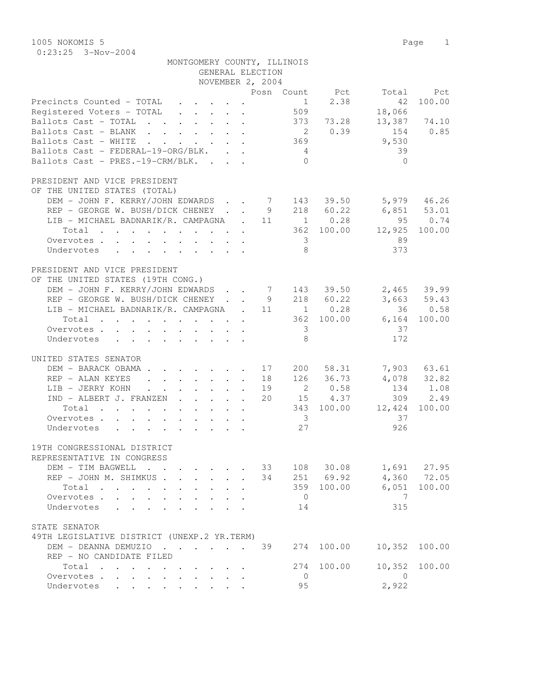1005 NOKOMIS 5 Page 1 0:23:25 3-Nov-2004

| MONTGOMERY COUNTY, ILLINOIS                                                                                              |                  |                         |                  |
|--------------------------------------------------------------------------------------------------------------------------|------------------|-------------------------|------------------|
|                                                                                                                          | GENERAL ELECTION |                         |                  |
|                                                                                                                          | NOVEMBER 2, 2004 |                         |                  |
|                                                                                                                          |                  | Posn Count Pct          | Total Pct        |
| Precincts Counted - TOTAL                                                                                                |                  | 2.38<br>1               | 100.00<br>42     |
| Registered Voters - TOTAL                                                                                                |                  | 509                     | 18,066           |
| Ballots Cast - TOTAL 373 73.28                                                                                           |                  |                         | 13,387 74.10     |
| Ballots Cast - BLANK                                                                                                     |                  | 2 0.39                  | 154 0.85         |
| Ballots Cast - WHITE                                                                                                     |                  | 369                     | 9,530            |
| Ballots Cast - FEDERAL-19-ORG/BLK.                                                                                       |                  | $4\overline{4}$         | 39               |
| Ballots Cast - PRES.-19-CRM/BLK.                                                                                         |                  | $\bigcirc$              | $\bigcirc$       |
| PRESIDENT AND VICE PRESIDENT                                                                                             |                  |                         |                  |
| OF THE UNITED STATES (TOTAL)                                                                                             |                  |                         |                  |
| DEM - JOHN F. KERRY/JOHN EDWARDS 7 143 39.50 5,979 46.26                                                                 |                  |                         |                  |
| REP - GEORGE W. BUSH/DICK CHENEY 9 218 60.22                                                                             |                  |                         | $6,851$ $53.01$  |
| LIB - MICHAEL BADNARIK/R. CAMPAGNA   .   11       1      0.28                                                            |                  |                         | 95 0.74          |
| Total 362 100.00                                                                                                         |                  |                         | 12,925<br>100.00 |
| Overvotes                                                                                                                |                  | $\overline{\mathbf{3}}$ | 89               |
| Undervotes                                                                                                               |                  | 8                       | 373              |
| PRESIDENT AND VICE PRESIDENT                                                                                             |                  |                         |                  |
| OF THE UNITED STATES (19TH CONG.)                                                                                        |                  |                         |                  |
| DEM - JOHN F. KERRY/JOHN EDWARDS 7 143 39.50                                                                             |                  |                         | 2,465 39.99      |
| REP - GEORGE W. BUSH/DICK CHENEY                                                                                         |                  | 9 218 60.22             | 3,663 59.43      |
| LIB - MICHAEL BADNARIK/R. CAMPAGNA . 11 1 0.28                                                                           |                  |                         | 36 0.58          |
| Total 362 100.00                                                                                                         |                  |                         | 6,164 100.00     |
| Overvotes                                                                                                                |                  | $\overline{\mathbf{3}}$ | 37               |
| Undervotes                                                                                                               |                  | 8                       | 172              |
| UNITED STATES SENATOR                                                                                                    |                  |                         |                  |
| DEM - BARACK OBAMA                                                                                                       | 17 200           | 58.31                   | 7,903 63.61      |
| REP - ALAN KEYES                                                                                                         |                  | 18 126 36.73            | 4,078 32.82      |
| LIB - JERRY KOHN                                                                                                         | 19               | 2 0.58                  | 134 1.08         |
| IND - ALBERT J. FRANZEN                                                                                                  | 20               | 15 4.37                 | 309 2.49         |
| Total<br>$\mathcal{L}(\mathcal{A})$ . The contribution of the contribution of the contribution of $\mathcal{A}$          |                  | 343 100.00              | 12,424<br>100.00 |
| Overvotes                                                                                                                |                  | $\overline{\mathbf{3}}$ | 37               |
| Undervotes                                                                                                               |                  | 27                      | 926              |
| 19TH CONGRESSIONAL DISTRICT                                                                                              |                  |                         |                  |
| REPRESENTATIVE IN CONGRESS                                                                                               |                  |                         |                  |
| DEM - TIM BAGWELL                                                                                                        | 33               | 108 30.08               | 1,691 27.95      |
| REP - JOHN M. SHIMKUS                                                                                                    | $\mathbf{r}$     | 34 251 69.92            | 4,360 72.05      |
| Total<br>the contract of the contract of the contract of the contract of the contract of the contract of the contract of |                  | 359 100.00              | 100.00<br>6,051  |
| Overvotes                                                                                                                |                  | $\overline{0}$          | $\overline{7}$   |
| Undervotes                                                                                                               |                  | 14                      | 315              |
|                                                                                                                          |                  |                         |                  |
| STATE SENATOR                                                                                                            |                  |                         |                  |
| 49TH LEGISLATIVE DISTRICT (UNEXP.2 YR.TERM)                                                                              |                  |                         |                  |
| DEM - DEANNA DEMUZIO                                                                                                     | 39               | 100.00<br>274           | 10,352<br>100.00 |
| REP - NO CANDIDATE FILED                                                                                                 |                  |                         |                  |
| Total                                                                                                                    |                  | 100.00<br>274           | 10,352<br>100.00 |
| Overvotes.                                                                                                               |                  | $\overline{0}$          | $\overline{0}$   |
| Undervotes                                                                                                               |                  | 95                      | 2,922            |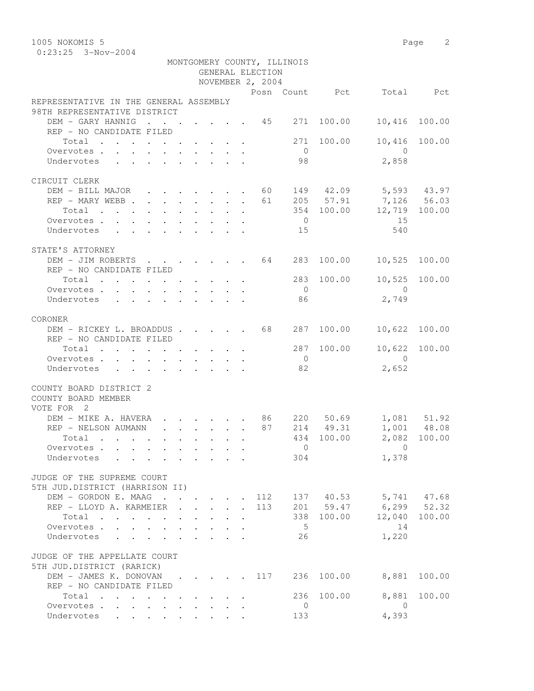0:23:25 3-Nov-2004

|                                                                        |                                                                          |                         |                                                     | GENERAL ELECTION | MONTGOMERY COUNTY, ILLINOIS |            |                                                                                                                                                                                                                                                                                                                                    |                            |
|------------------------------------------------------------------------|--------------------------------------------------------------------------|-------------------------|-----------------------------------------------------|------------------|-----------------------------|------------|------------------------------------------------------------------------------------------------------------------------------------------------------------------------------------------------------------------------------------------------------------------------------------------------------------------------------------|----------------------------|
|                                                                        |                                                                          |                         |                                                     | NOVEMBER 2, 2004 |                             |            |                                                                                                                                                                                                                                                                                                                                    |                            |
|                                                                        |                                                                          |                         |                                                     |                  |                             |            | Posn Count Pct Total Pct                                                                                                                                                                                                                                                                                                           |                            |
| REPRESENTATIVE IN THE GENERAL ASSEMBLY<br>98TH REPRESENTATIVE DISTRICT |                                                                          |                         |                                                     |                  |                             |            |                                                                                                                                                                                                                                                                                                                                    |                            |
| DEM - GARY HANNIG 45 271 100.00                                        |                                                                          |                         |                                                     |                  |                             |            | 10,416 100.00                                                                                                                                                                                                                                                                                                                      |                            |
| REP - NO CANDIDATE FILED                                               |                                                                          |                         |                                                     |                  |                             |            |                                                                                                                                                                                                                                                                                                                                    |                            |
| Total                                                                  |                                                                          |                         |                                                     |                  |                             | 271 100.00 |                                                                                                                                                                                                                                                                                                                                    | 10,416 100.00              |
| Overvotes                                                              |                                                                          |                         |                                                     |                  | $\overline{0}$              |            | $\overline{0}$                                                                                                                                                                                                                                                                                                                     |                            |
| Undervotes                                                             |                                                                          |                         |                                                     |                  | 98                          |            | 2,858                                                                                                                                                                                                                                                                                                                              |                            |
|                                                                        |                                                                          |                         |                                                     |                  |                             |            |                                                                                                                                                                                                                                                                                                                                    |                            |
| CIRCUIT CLERK                                                          |                                                                          |                         |                                                     |                  |                             |            |                                                                                                                                                                                                                                                                                                                                    |                            |
| DEM - BILL MAJOR 60 149 42.09 5,593 43.97                              |                                                                          |                         |                                                     |                  |                             |            |                                                                                                                                                                                                                                                                                                                                    |                            |
| REP - MARY WEBB 61 205 57.91 7,126 56.03                               |                                                                          |                         |                                                     |                  |                             |            |                                                                                                                                                                                                                                                                                                                                    |                            |
| $\cdot$ 354 100.00 12,719 100.00<br>Total                              |                                                                          |                         |                                                     |                  |                             |            |                                                                                                                                                                                                                                                                                                                                    |                            |
| Overvotes.                                                             |                                                                          |                         |                                                     |                  | $\overline{0}$              |            | 15                                                                                                                                                                                                                                                                                                                                 |                            |
| Undervotes 15                                                          |                                                                          |                         |                                                     |                  |                             |            | 540                                                                                                                                                                                                                                                                                                                                |                            |
|                                                                        |                                                                          |                         |                                                     |                  |                             |            |                                                                                                                                                                                                                                                                                                                                    |                            |
| STATE'S ATTORNEY                                                       |                                                                          |                         |                                                     |                  |                             |            |                                                                                                                                                                                                                                                                                                                                    |                            |
| DEM - JIM ROBERTS 64 283 100.00                                        |                                                                          |                         |                                                     |                  |                             |            | 10,525 100.00                                                                                                                                                                                                                                                                                                                      |                            |
| REP - NO CANDIDATE FILED                                               |                                                                          |                         |                                                     |                  |                             |            |                                                                                                                                                                                                                                                                                                                                    |                            |
| Total 283 100.00                                                       |                                                                          |                         |                                                     |                  |                             |            |                                                                                                                                                                                                                                                                                                                                    | 10,525 100.00              |
| Overvotes                                                              |                                                                          |                         |                                                     |                  | $\overline{0}$              |            | $\overline{0}$                                                                                                                                                                                                                                                                                                                     |                            |
| Undervotes                                                             |                                                                          |                         |                                                     |                  | 86                          |            | 2,749                                                                                                                                                                                                                                                                                                                              |                            |
|                                                                        |                                                                          |                         |                                                     |                  |                             |            |                                                                                                                                                                                                                                                                                                                                    |                            |
| CORONER                                                                |                                                                          |                         |                                                     |                  |                             |            |                                                                                                                                                                                                                                                                                                                                    |                            |
| DEM - RICKEY L. BROADDUS 68 287 100.00                                 |                                                                          |                         |                                                     |                  |                             |            | 10,622 100.00                                                                                                                                                                                                                                                                                                                      |                            |
| REP - NO CANDIDATE FILED                                               |                                                                          |                         |                                                     |                  |                             |            |                                                                                                                                                                                                                                                                                                                                    | 10,622 100.00              |
| Total                                                                  |                                                                          |                         |                                                     |                  | $\overline{O}$              | 287 100.00 | $\overline{0}$                                                                                                                                                                                                                                                                                                                     |                            |
| Overvotes.<br>Undervotes                                               |                                                                          |                         |                                                     |                  | 82                          |            | 2,652                                                                                                                                                                                                                                                                                                                              |                            |
|                                                                        |                                                                          |                         |                                                     |                  |                             |            |                                                                                                                                                                                                                                                                                                                                    |                            |
| COUNTY BOARD DISTRICT 2<br>COUNTY BOARD MEMBER<br>VOTE FOR 2           |                                                                          |                         |                                                     |                  |                             |            |                                                                                                                                                                                                                                                                                                                                    |                            |
|                                                                        |                                                                          |                         |                                                     |                  |                             |            |                                                                                                                                                                                                                                                                                                                                    |                            |
| DEM – MIKE A. HAVERA 86 220 50.69<br>REP – NELSON AUMANN 87 214 49.31  |                                                                          |                         |                                                     |                  |                             |            |                                                                                                                                                                                                                                                                                                                                    | 1,081 51.92<br>1,001 48.08 |
| Total                                                                  |                                                                          |                         |                                                     |                  |                             | 434 100.00 |                                                                                                                                                                                                                                                                                                                                    | 2,082 100.00               |
| Overvotes                                                              |                                                                          |                         |                                                     |                  |                             |            | $\overline{0}$ and $\overline{0}$ and $\overline{0}$ and $\overline{0}$ and $\overline{0}$ and $\overline{0}$ and $\overline{0}$ and $\overline{0}$ and $\overline{0}$ and $\overline{0}$ and $\overline{0}$ and $\overline{0}$ and $\overline{0}$ and $\overline{0}$ and $\overline{0}$ and $\overline{0}$ and $\overline{0}$ and |                            |
| Undervotes                                                             |                                                                          |                         |                                                     |                  | 304                         |            | 1,378                                                                                                                                                                                                                                                                                                                              |                            |
|                                                                        |                                                                          |                         |                                                     |                  |                             |            |                                                                                                                                                                                                                                                                                                                                    |                            |
| JUDGE OF THE SUPREME COURT                                             |                                                                          |                         |                                                     |                  |                             |            |                                                                                                                                                                                                                                                                                                                                    |                            |
| 5TH JUD.DISTRICT (HARRISON II)                                         |                                                                          |                         |                                                     |                  |                             |            |                                                                                                                                                                                                                                                                                                                                    |                            |
| DEM - GORDON E. MAAG 112 137 40.53 5,741 47.68                         |                                                                          |                         |                                                     |                  |                             |            |                                                                                                                                                                                                                                                                                                                                    |                            |
| REP - LLOYD A. KARMEIER                                                | $\mathbf{r}$ , $\mathbf{r}$ , $\mathbf{r}$ , $\mathbf{r}$ , $\mathbf{r}$ |                         |                                                     | 113              |                             | 201 59.47  | $6, 299$ $52.32$                                                                                                                                                                                                                                                                                                                   |                            |
| Total                                                                  |                                                                          | $\cdot$ $\cdot$ $\cdot$ |                                                     |                  |                             | 338 100.00 |                                                                                                                                                                                                                                                                                                                                    | 12,040 100.00              |
| Overvotes.                                                             |                                                                          |                         |                                                     |                  | $5\overline{)}$             |            | 14                                                                                                                                                                                                                                                                                                                                 |                            |
| Undervotes                                                             |                                                                          |                         | $\mathbf{1}$ $\mathbf{1}$ $\mathbf{1}$ $\mathbf{1}$ |                  | 26                          |            | 1,220                                                                                                                                                                                                                                                                                                                              |                            |
| JUDGE OF THE APPELLATE COURT<br>5TH JUD.DISTRICT (RARICK)              |                                                                          |                         |                                                     |                  |                             |            |                                                                                                                                                                                                                                                                                                                                    |                            |
| DEM - JAMES K. DONOVAN 117                                             |                                                                          |                         |                                                     |                  |                             | 236 100.00 | 8,881                                                                                                                                                                                                                                                                                                                              | 100.00                     |
| REP - NO CANDIDATE FILED                                               |                                                                          |                         |                                                     |                  |                             |            |                                                                                                                                                                                                                                                                                                                                    |                            |
| Total                                                                  |                                                                          |                         |                                                     |                  | 236                         | 100.00     | 8,881                                                                                                                                                                                                                                                                                                                              | 100.00                     |
| Overvotes.                                                             |                                                                          |                         |                                                     |                  | $\overline{0}$              |            | $\overline{0}$                                                                                                                                                                                                                                                                                                                     |                            |
| Undervotes                                                             |                                                                          |                         |                                                     |                  | 133                         |            | 4,393                                                                                                                                                                                                                                                                                                                              |                            |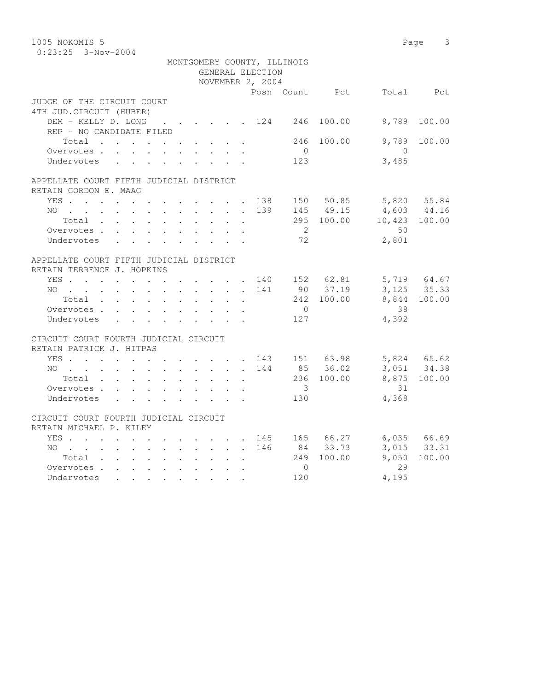| 1005 NOKOMIS 5                                          |  |  |  |            |                           |              |                  |                             |                |                          | Page 3                     |
|---------------------------------------------------------|--|--|--|------------|---------------------------|--------------|------------------|-----------------------------|----------------|--------------------------|----------------------------|
| $0:23:25$ 3-Nov-2004                                    |  |  |  |            |                           |              |                  |                             |                |                          |                            |
|                                                         |  |  |  |            |                           |              |                  | MONTGOMERY COUNTY, ILLINOIS |                |                          |                            |
|                                                         |  |  |  |            |                           |              | GENERAL ELECTION |                             |                |                          |                            |
|                                                         |  |  |  |            |                           |              | NOVEMBER 2, 2004 |                             |                |                          |                            |
|                                                         |  |  |  |            |                           |              |                  |                             | Posn Count Pct |                          | Total Pct                  |
| JUDGE OF THE CIRCUIT COURT                              |  |  |  |            |                           |              |                  |                             |                |                          |                            |
| 4TH JUD. CIRCUIT (HUBER)<br>DEM - KELLY D. LONG 124 246 |  |  |  |            |                           |              |                  |                             | 100.00         | 9,789                    | 100.00                     |
| REP - NO CANDIDATE FILED                                |  |  |  |            |                           |              |                  |                             |                |                          |                            |
| Total                                                   |  |  |  |            |                           |              |                  | 246                         | 100.00         | 9,789                    | 100.00                     |
| Overvotes.                                              |  |  |  |            |                           |              |                  | $\overline{0}$              |                | $\bigcirc$               |                            |
| Undervotes                                              |  |  |  |            |                           |              |                  | 123                         |                | 3,485                    |                            |
|                                                         |  |  |  |            |                           |              |                  |                             |                |                          |                            |
| APPELLATE COURT FIFTH JUDICIAL DISTRICT                 |  |  |  |            |                           |              |                  |                             |                |                          |                            |
| RETAIN GORDON E. MAAG                                   |  |  |  |            |                           |              |                  |                             |                |                          |                            |
| YES 138                                                 |  |  |  |            |                           |              |                  |                             | 150 50.85      |                          | 5,820 55.84                |
| NO 139                                                  |  |  |  |            |                           |              |                  |                             | 145 49.15      |                          | 4,603 44.16                |
| Total                                                   |  |  |  |            |                           |              |                  |                             |                | 295 100.00 10,423 100.00 |                            |
| Overvotes.                                              |  |  |  |            |                           |              |                  | $\overline{2}$              |                | 50                       |                            |
| Undervotes                                              |  |  |  |            |                           |              |                  | 72                          |                | 2,801                    |                            |
| APPELLATE COURT FIFTH JUDICIAL DISTRICT                 |  |  |  |            |                           |              |                  |                             |                |                          |                            |
| RETAIN TERRENCE J. HOPKINS                              |  |  |  |            |                           |              |                  |                             |                |                          |                            |
| YES 140 152 62.81                                       |  |  |  |            |                           |              |                  |                             |                |                          | 5,719 64.67<br>3,125 35.33 |
| $NO$                                                    |  |  |  |            |                           |              | 141              |                             | 90 37.19       |                          |                            |
| Total                                                   |  |  |  |            |                           |              |                  |                             | 242 100.00     |                          | 8,844 100.00               |
| Overvotes                                               |  |  |  |            |                           |              |                  | $\bigcirc$                  |                | 38                       |                            |
| Undervotes                                              |  |  |  |            | <b>Service</b>            |              |                  | 127                         |                | 4,392                    |                            |
| CIRCUIT COURT FOURTH JUDICIAL CIRCUIT                   |  |  |  |            |                           |              |                  |                             |                |                          |                            |
| RETAIN PATRICK J. HITPAS                                |  |  |  |            |                           |              |                  |                             |                |                          |                            |
| YES 143 151 63.98                                       |  |  |  |            |                           |              |                  |                             |                | 5,824 65.62              |                            |
| NO                                                      |  |  |  |            |                           |              | 144              |                             | 85 36.02       |                          | 3,051 34.38                |
| Total                                                   |  |  |  |            |                           | $\mathbf{L}$ |                  |                             | 236 100.00     |                          | 8,875 100.00               |
| Overvotes                                               |  |  |  |            |                           |              |                  | $\overline{\mathbf{3}}$     |                | 31                       |                            |
| Undervotes                                              |  |  |  |            | $\mathbf{r}$              |              |                  | 130                         |                | 4,368                    |                            |
| CIRCUIT COURT FOURTH JUDICIAL CIRCUIT                   |  |  |  |            |                           |              |                  |                             |                |                          |                            |
| RETAIN MICHAEL P. KILEY                                 |  |  |  |            |                           |              |                  |                             |                |                          |                            |
| YES                                                     |  |  |  |            |                           |              |                  |                             | 145 165 66.27  |                          | 6,035 66.69                |
| NO                                                      |  |  |  |            |                           |              | 146              |                             | 84 33.73       |                          | 3,015 33.31                |
| Total                                                   |  |  |  |            | $\sim$ $\sim$             | $\cdot$      |                  |                             | 249 100.00     | 9,050                    | 100.00                     |
| Overvotes                                               |  |  |  |            | $\mathbf{L} = \mathbf{L}$ |              |                  | $\overline{0}$              |                | 29                       |                            |
| Undervotes                                              |  |  |  | $\sim$ $-$ |                           |              |                  | 120                         |                | 4,195                    |                            |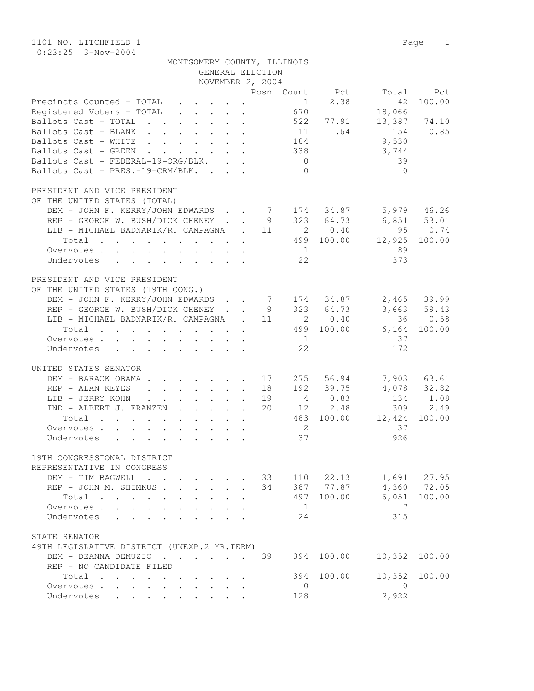1101 NO. LITCHFIELD 1 Page 1 0:23:25 3-Nov-2004

| MONTGOMERY COUNTY, ILLINOIS |                  |  |
|-----------------------------|------------------|--|
|                             | GENERAL ELECTION |  |

|                                                                                                                          |  |                      | NOVEMBER 2, 2004 |                          |                                                                |                       |               |
|--------------------------------------------------------------------------------------------------------------------------|--|----------------------|------------------|--------------------------|----------------------------------------------------------------|-----------------------|---------------|
|                                                                                                                          |  |                      |                  |                          | Posn Count Pct                                                 |                       | Total Pct     |
| Precincts Counted - TOTAL                                                                                                |  |                      |                  |                          | $\begin{array}{cccc}\n & 1 & 2.38 \\  & 670 & & \n\end{array}$ | 42                    | 100.00        |
| Registered Voters - TOTAL                                                                                                |  |                      |                  |                          |                                                                | 18,066                |               |
| Ballots Cast - TOTAL 522 77.91                                                                                           |  |                      |                  |                          |                                                                | 13,387 74.10          |               |
| Ballots Cast - BLANK 11 1.64                                                                                             |  |                      |                  |                          |                                                                | 154                   | 0.85          |
| Ballots Cast - WHITE 184                                                                                                 |  |                      |                  |                          |                                                                | 9,530                 |               |
| Ballots Cast - GREEN 338                                                                                                 |  |                      |                  |                          |                                                                | 3,744                 |               |
| Ballots Cast - FEDERAL-19-ORG/BLK.                                                                                       |  |                      |                  | $\overline{0}$           |                                                                | 39                    |               |
| Ballots Cast - PRES.-19-CRM/BLK.                                                                                         |  |                      |                  | $\bigcirc$               |                                                                | $\bigcirc$            |               |
|                                                                                                                          |  |                      |                  |                          |                                                                |                       |               |
| PRESIDENT AND VICE PRESIDENT                                                                                             |  |                      |                  |                          |                                                                |                       |               |
| OF THE UNITED STATES (TOTAL)                                                                                             |  |                      |                  |                          |                                                                |                       |               |
| DEM - JOHN F. KERRY/JOHN EDWARDS 7 174 34.87 5,979 46.26                                                                 |  |                      |                  |                          |                                                                |                       |               |
| REP - GEORGE W. BUSH/DICK CHENEY 9 323 64.73 6,851 53.01                                                                 |  |                      |                  |                          |                                                                |                       |               |
| LIB - MICHAEL BADNARIK/R. CAMPAGNA . 11 2 0.40 95 0.74                                                                   |  |                      |                  |                          |                                                                |                       |               |
| Total 499 100.00 12,925 100.00                                                                                           |  |                      |                  |                          |                                                                |                       |               |
| Overvotes                                                                                                                |  |                      |                  | $\sim$ 1                 |                                                                | 89                    |               |
| Undervotes                                                                                                               |  |                      |                  | 22                       |                                                                | 373                   |               |
|                                                                                                                          |  |                      |                  |                          |                                                                |                       |               |
| PRESIDENT AND VICE PRESIDENT                                                                                             |  |                      |                  |                          |                                                                |                       |               |
| OF THE UNITED STATES (19TH CONG.)                                                                                        |  |                      |                  |                          |                                                                |                       |               |
| DEM - JOHN F. KERRY/JOHN EDWARDS 7 174 34.87 2,465 39.99                                                                 |  |                      |                  |                          |                                                                |                       |               |
| REP - GEORGE W. BUSH/DICK CHENEY 9 323 64.73                                                                             |  |                      |                  |                          |                                                                |                       | $3,663$ 59.43 |
| LIB - MICHAEL BADNARIK/R. CAMPAGNA . 11 2 0.40                                                                           |  |                      |                  |                          |                                                                |                       | 36 0.58       |
| Total 499 100.00 6,164 100.00                                                                                            |  |                      |                  |                          |                                                                |                       |               |
| Overvotes                                                                                                                |  |                      |                  | $\overline{1}$           |                                                                | 37                    |               |
| Undervotes                                                                                                               |  |                      |                  | 22                       |                                                                | 172                   |               |
|                                                                                                                          |  |                      |                  |                          |                                                                |                       |               |
| UNITED STATES SENATOR                                                                                                    |  |                      |                  |                          |                                                                |                       |               |
| DEM - BARACK OBAMA 17 275 56.94                                                                                          |  |                      |                  |                          |                                                                |                       | 7,903 63.61   |
| REP - ALAN KEYES 18                                                                                                      |  |                      |                  |                          |                                                                | 192 39.75 4,078 32.82 |               |
| LIB - JERRY KOHN. 19                                                                                                     |  |                      |                  |                          |                                                                | 4 0.83 134 1.08       |               |
| $IND - ALBERT J. FRANZEN 20 12 2.48$                                                                                     |  |                      |                  |                          |                                                                |                       | 309 2.49      |
| Total 483 100.00 12,424                                                                                                  |  |                      |                  |                          |                                                                |                       | 100.00        |
| Overvotes.                                                                                                               |  |                      |                  | $\overline{\phantom{a}}$ |                                                                | 37                    |               |
| Undervotes                                                                                                               |  |                      |                  | 37                       |                                                                | 926                   |               |
|                                                                                                                          |  |                      |                  |                          |                                                                |                       |               |
| 19TH CONGRESSIONAL DISTRICT                                                                                              |  |                      |                  |                          |                                                                |                       |               |
| REPRESENTATIVE IN CONGRESS                                                                                               |  |                      |                  |                          |                                                                |                       |               |
| DEM - TIM BAGWELL                                                                                                        |  |                      | 33               |                          | 110 22.13                                                      |                       | 1,691 27.95   |
| REP - JOHN M. SHIMKUS                                                                                                    |  |                      | 34               |                          | 387 77.87                                                      |                       | 4,360 72.05   |
| Total<br>the contract of the contract of the contract of the contract of the contract of the contract of the contract of |  | $\ddot{\phantom{a}}$ |                  | 497                      | 100.00                                                         | 6,051                 | 100.00        |
| Overvotes                                                                                                                |  |                      |                  | 1                        |                                                                | 7                     |               |
| Undervotes                                                                                                               |  |                      |                  | 24                       |                                                                | 315                   |               |
|                                                                                                                          |  |                      |                  |                          |                                                                |                       |               |
| STATE SENATOR                                                                                                            |  |                      |                  |                          |                                                                |                       |               |
| 49TH LEGISLATIVE DISTRICT (UNEXP.2 YR.TERM)                                                                              |  |                      |                  |                          |                                                                |                       |               |
| DEM - DEANNA DEMUZIO                                                                                                     |  |                      | 39               | 394                      | 100.00                                                         | 10,352                | 100.00        |
| REP - NO CANDIDATE FILED                                                                                                 |  |                      |                  |                          |                                                                |                       |               |
| Total                                                                                                                    |  |                      |                  | 394                      | 100.00                                                         | 10,352                | 100.00        |
| Overvotes.                                                                                                               |  |                      |                  | 0                        |                                                                | $\overline{0}$        |               |
| Undervotes                                                                                                               |  |                      |                  | 128                      |                                                                | 2,922                 |               |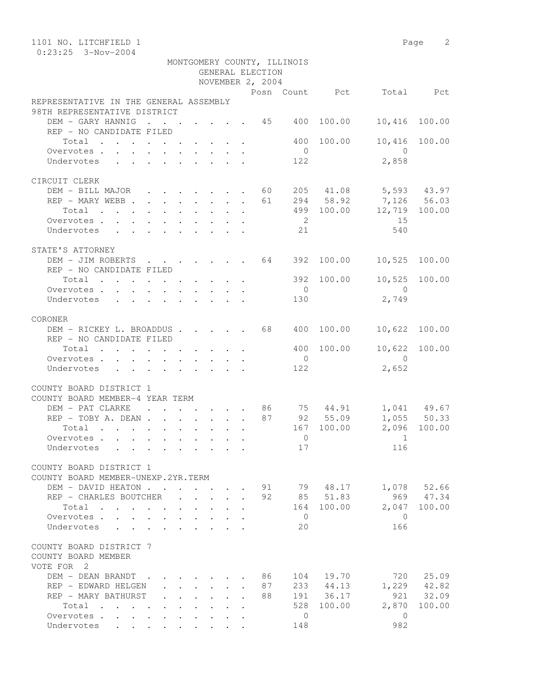| 1101 NO. LITCHFIELD 1                                                                          |                                                                                          |                                            |  |                  |    |                             |                        |                                                   | Page 2        |
|------------------------------------------------------------------------------------------------|------------------------------------------------------------------------------------------|--------------------------------------------|--|------------------|----|-----------------------------|------------------------|---------------------------------------------------|---------------|
| $0:23:25$ 3-Nov-2004                                                                           |                                                                                          |                                            |  |                  |    |                             |                        |                                                   |               |
|                                                                                                |                                                                                          |                                            |  | GENERAL ELECTION |    | MONTGOMERY COUNTY, ILLINOIS |                        |                                                   |               |
|                                                                                                |                                                                                          |                                            |  |                  |    |                             |                        |                                                   |               |
|                                                                                                |                                                                                          |                                            |  | NOVEMBER 2, 2004 |    |                             |                        |                                                   |               |
| REPRESENTATIVE IN THE GENERAL ASSEMBLY                                                         |                                                                                          |                                            |  |                  |    |                             |                        | Posn Count Pct Total Pct                          |               |
| 98TH REPRESENTATIVE DISTRICT                                                                   |                                                                                          |                                            |  |                  |    |                             |                        |                                                   |               |
| DEM - GARY HANNIG 45 400                                                                       |                                                                                          |                                            |  |                  |    |                             | 100.00                 | 10,416 100.00                                     |               |
| REP - NO CANDIDATE FILED                                                                       |                                                                                          |                                            |  |                  |    |                             |                        |                                                   |               |
| Total                                                                                          |                                                                                          |                                            |  |                  |    | 400                         | 100.00                 | 10,416                                            | 100.00        |
| Overvotes.                                                                                     |                                                                                          |                                            |  |                  |    | $\overline{0}$              |                        | $\overline{0}$                                    |               |
| Undervotes                                                                                     |                                                                                          |                                            |  |                  |    | 122                         |                        | 2,858                                             |               |
|                                                                                                |                                                                                          |                                            |  |                  |    |                             |                        |                                                   |               |
| CIRCUIT CLERK                                                                                  |                                                                                          |                                            |  |                  |    |                             |                        |                                                   |               |
| DEM - BILL MAJOR 60                                                                            |                                                                                          |                                            |  |                  |    |                             |                        | 205 41.08 5,593 43.97                             |               |
| REP - MARY WEBB                                                                                |                                                                                          |                                            |  |                  | 61 |                             | 294 58.92              |                                                   |               |
| $\begin{tabular}{ccccccccccc} Total & . & . & . & . & . & . & . & . & . & . & . \end{tabular}$ |                                                                                          |                                            |  |                  |    |                             |                        | 294 58.92 7,126 56.03<br>499 100.00 12,719 100.00 |               |
| Overvotes.                                                                                     |                                                                                          |                                            |  |                  |    | $\overline{\phantom{a}}$    |                        | 15                                                |               |
| Undervotes                                                                                     |                                                                                          |                                            |  |                  |    | 2.1                         |                        | 540                                               |               |
|                                                                                                |                                                                                          |                                            |  |                  |    |                             |                        |                                                   |               |
| STATE'S ATTORNEY                                                                               |                                                                                          |                                            |  |                  |    |                             |                        |                                                   |               |
| DEM - JIM ROBERTS 64                                                                           |                                                                                          |                                            |  |                  |    | 392                         | 100.00                 | 10,525                                            | 100.00        |
| REP - NO CANDIDATE FILED                                                                       |                                                                                          |                                            |  |                  |    |                             |                        |                                                   |               |
| Total                                                                                          |                                                                                          |                                            |  |                  |    |                             | 392 100.00             |                                                   | 10,525 100.00 |
| Overvotes.                                                                                     |                                                                                          |                                            |  |                  |    | $\overline{0}$              |                        | $\bigcirc$                                        |               |
| Undervotes                                                                                     | $\mathbf{r}$ , and $\mathbf{r}$ , and $\mathbf{r}$ , and $\mathbf{r}$ , and $\mathbf{r}$ |                                            |  |                  |    | 130                         |                        | 2,749                                             |               |
|                                                                                                |                                                                                          |                                            |  |                  |    |                             |                        |                                                   |               |
| CORONER                                                                                        |                                                                                          |                                            |  |                  |    |                             |                        |                                                   |               |
| DEM - RICKEY L. BROADDUS 68                                                                    |                                                                                          |                                            |  |                  |    | 400                         | 100.00                 | 10,622 100.00                                     |               |
| REP - NO CANDIDATE FILED                                                                       |                                                                                          |                                            |  |                  |    |                             |                        |                                                   |               |
| Total $\cdot$                                                                                  |                                                                                          |                                            |  |                  |    | 400                         | 100.00                 | 10,622                                            | 100.00        |
| Overvotes.                                                                                     |                                                                                          |                                            |  |                  |    | $\overline{0}$              |                        | $\overline{0}$                                    |               |
| Undervotes                                                                                     |                                                                                          |                                            |  |                  |    | 122                         |                        | 2,652                                             |               |
|                                                                                                |                                                                                          |                                            |  |                  |    |                             |                        |                                                   |               |
| COUNTY BOARD DISTRICT 1                                                                        |                                                                                          |                                            |  |                  |    |                             |                        |                                                   |               |
| COUNTY BOARD MEMBER-4 YEAR TERM                                                                |                                                                                          |                                            |  |                  |    |                             |                        |                                                   |               |
| DEM - PAT CLARKE                                                                               |                                                                                          |                                            |  |                  |    |                             |                        | $\cdots$ 86 75 44.91 1,041 49.67                  |               |
| REP - TOBY A. DEAN 87                                                                          |                                                                                          |                                            |  |                  |    |                             |                        | 92 55.09 1,055 50.33                              |               |
| Total                                                                                          |                                                                                          |                                            |  |                  |    |                             |                        | $\cdot$ 167 100.00 2,096 100.00                   |               |
| Overvotes                                                                                      |                                                                                          |                                            |  |                  |    | $\overline{0}$              |                        | 1                                                 |               |
| Undervotes                                                                                     |                                                                                          |                                            |  |                  |    | 17                          |                        | 116                                               |               |
|                                                                                                |                                                                                          |                                            |  |                  |    |                             |                        |                                                   |               |
| COUNTY BOARD DISTRICT 1                                                                        |                                                                                          |                                            |  |                  |    |                             |                        |                                                   |               |
| COUNTY BOARD MEMBER-UNEXP.2YR.TERM                                                             |                                                                                          |                                            |  |                  |    |                             |                        |                                                   |               |
| DEM - DAVID HEATON 91 79 48.17                                                                 |                                                                                          |                                            |  |                  |    |                             |                        |                                                   | 1,078 52.66   |
| REP - CHARLES BOUTCHER                                                                         |                                                                                          | $\mathbf{r}$ , $\mathbf{r}$ , $\mathbf{r}$ |  | $\mathbf{r}$     | 92 |                             | 85 51.83               | 969                                               | 47.34         |
| Total                                                                                          |                                                                                          |                                            |  |                  |    | 164                         | 100.00                 | 2,047                                             | 100.00        |
| Overvotes                                                                                      |                                                                                          |                                            |  |                  |    | $\bigcirc$                  |                        | $\overline{0}$                                    |               |
| Undervotes                                                                                     |                                                                                          |                                            |  |                  |    | 20                          |                        | 166                                               |               |
|                                                                                                |                                                                                          |                                            |  |                  |    |                             |                        |                                                   |               |
| COUNTY BOARD DISTRICT 7                                                                        |                                                                                          |                                            |  |                  |    |                             |                        |                                                   |               |
| COUNTY BOARD MEMBER                                                                            |                                                                                          |                                            |  |                  |    |                             |                        |                                                   |               |
| VOTE FOR 2                                                                                     |                                                                                          |                                            |  |                  |    |                             |                        |                                                   |               |
| DEM - DEAN BRANDT                                                                              |                                                                                          |                                            |  |                  | 86 | 104                         | 19.70                  | 720                                               | 25.09         |
| REP - EDWARD HELGEN<br>REP - MARY BATHURST                                                     | $\mathbf{r}$ , $\mathbf{r}$ , $\mathbf{r}$ , $\mathbf{r}$                                |                                            |  |                  | 87 |                             | 233 44.13<br>191 36.17 | 921                                               | $1,229$ 42.82 |
| Total                                                                                          | $\cdot$ $\cdot$ $\cdot$ $\cdot$ $\cdot$ $\cdot$ $\cdot$                                  |                                            |  |                  | 88 | 528                         | 100.00                 | 2,870                                             | 32.09         |
| $\mathbf{r}$ , and $\mathbf{r}$ , and $\mathbf{r}$ , and $\mathbf{r}$ , and $\mathbf{r}$       |                                                                                          |                                            |  |                  |    | $\mathbf{0}$                |                        | $\overline{0}$                                    | 100.00        |
| Overvotes<br>Undervotes                                                                        |                                                                                          |                                            |  |                  |    | 148                         |                        | 982                                               |               |
|                                                                                                |                                                                                          |                                            |  |                  |    |                             |                        |                                                   |               |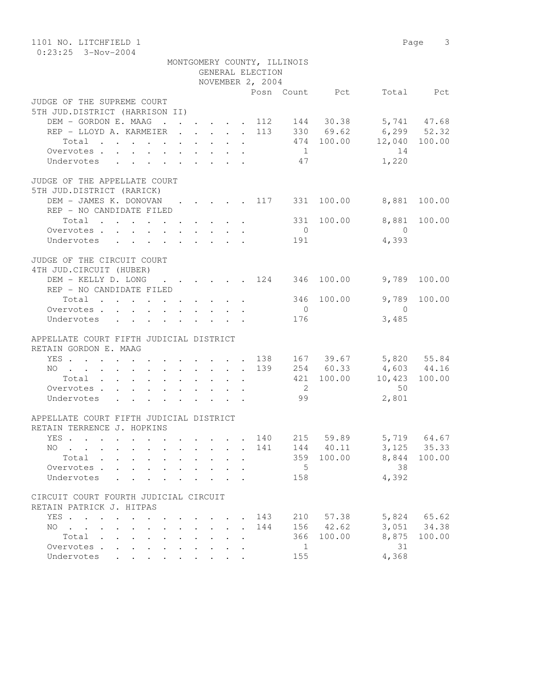| 1101 NO. LITCHFIELD 1<br>$0:23:25$ 3-Nov-2004                                                  |           |                      |        |                      |                      |                             |                |                |                                                   | Page 3    |
|------------------------------------------------------------------------------------------------|-----------|----------------------|--------|----------------------|----------------------|-----------------------------|----------------|----------------|---------------------------------------------------|-----------|
|                                                                                                |           |                      |        |                      |                      | MONTGOMERY COUNTY, ILLINOIS |                |                |                                                   |           |
|                                                                                                |           |                      |        |                      |                      | GENERAL ELECTION            |                |                |                                                   |           |
|                                                                                                |           |                      |        |                      |                      | NOVEMBER 2, 2004            |                |                |                                                   |           |
|                                                                                                |           |                      |        |                      |                      |                             |                | Posn Count Pct |                                                   | Total Pct |
| JUDGE OF THE SUPREME COURT                                                                     |           |                      |        |                      |                      |                             |                |                |                                                   |           |
| 5TH JUD.DISTRICT (HARRISON II)                                                                 |           |                      |        |                      |                      |                             |                |                |                                                   |           |
| DEM - GORDON E. MAAG 112 144 30.38 5,741 47.68                                                 |           |                      |        |                      |                      |                             |                |                |                                                   |           |
| REP - LLOYD A. KARMEIER 113 330 69.62 6,299 52.32                                              |           |                      |        |                      |                      |                             |                |                |                                                   |           |
| Total                                                                                          |           |                      |        |                      |                      |                             |                |                | 474 100.00 12,040 100.00                          |           |
| Overvotes.                                                                                     |           |                      |        |                      |                      |                             | $\sim$ 1       |                | 14                                                |           |
| Undervotes 47                                                                                  |           |                      |        |                      |                      |                             |                |                | 1,220                                             |           |
| JUDGE OF THE APPELLATE COURT                                                                   |           |                      |        |                      |                      |                             |                |                |                                                   |           |
| 5TH JUD.DISTRICT (RARICK)                                                                      |           |                      |        |                      |                      |                             |                |                |                                                   |           |
| DEM - JAMES K. DONOVAN                                                                         |           |                      |        |                      |                      |                             |                |                | $\cdot$ 117 331 100.00 8,881 100.00               |           |
| REP - NO CANDIDATE FILED                                                                       |           |                      |        |                      |                      |                             |                |                |                                                   |           |
| Total $\cdot$                                                                                  |           |                      |        |                      |                      |                             |                | 331 100.00     | 8,881                                             | 100.00    |
| Overvotes.                                                                                     |           |                      |        |                      |                      |                             | $\overline{0}$ |                | $\overline{0}$                                    |           |
| Undervotes                                                                                     |           |                      |        |                      |                      |                             | 191            |                | 4,393                                             |           |
| JUDGE OF THE CIRCUIT COURT                                                                     |           |                      |        |                      |                      |                             |                |                |                                                   |           |
| 4TH JUD. CIRCUIT (HUBER)                                                                       |           |                      |        |                      |                      |                             |                |                |                                                   |           |
| DEM - KELLY D. LONG 124                                                                        |           |                      |        |                      |                      |                             |                | 346 100.00     | 9,789                                             | 100.00    |
| REP - NO CANDIDATE FILED                                                                       |           |                      |        |                      |                      |                             |                |                |                                                   |           |
| Total                                                                                          |           |                      |        |                      |                      |                             |                | 346 100.00     | 9,789                                             | 100.00    |
| Overvotes.                                                                                     |           |                      |        |                      |                      |                             | $\overline{0}$ |                | $\overline{0}$                                    |           |
| Undervotes                                                                                     |           |                      |        |                      |                      |                             | 176            |                | 3,485                                             |           |
| APPELLATE COURT FIFTH JUDICIAL DISTRICT                                                        |           |                      |        |                      |                      |                             |                |                |                                                   |           |
| RETAIN GORDON E. MAAG                                                                          |           |                      |        |                      |                      |                             |                |                |                                                   |           |
|                                                                                                |           |                      |        |                      |                      |                             |                |                |                                                   |           |
| YES 138<br>NO 139                                                                              |           |                      |        |                      |                      |                             |                |                | 167 39.67 5,820 55.84                             |           |
| Total                                                                                          |           |                      |        |                      |                      |                             |                |                | 254 60.33 4,603 44.16<br>421 100.00 10,423 100.00 |           |
| Overvotes.                                                                                     |           |                      |        |                      |                      |                             | $\overline{2}$ |                | 50                                                |           |
| Undervotes                                                                                     |           |                      |        |                      |                      |                             | 99             |                | 2,801                                             |           |
|                                                                                                |           |                      |        |                      |                      |                             |                |                |                                                   |           |
| APPELLATE COURT FIFTH JUDICIAL DISTRICT                                                        |           |                      |        |                      |                      |                             |                |                |                                                   |           |
| RETAIN TERRENCE J. HOPKINS                                                                     |           |                      |        |                      |                      |                             |                | 59.89          | 5,719                                             | 64.67     |
| YES<br>NO                                                                                      |           |                      |        |                      |                      | 140<br>141                  | 215<br>144     | 40.11          | 3,125                                             | 35.33     |
| Total .                                                                                        |           |                      |        |                      | $\ddot{\phantom{a}}$ |                             | 359            | 100.00         | 8,844                                             | 100.00    |
| Overvotes .<br>$\mathbf{L}$                                                                    |           |                      |        |                      |                      |                             | 5              |                | 38                                                |           |
| Undervotes                                                                                     |           |                      |        |                      |                      |                             | 158            |                | 4,392                                             |           |
|                                                                                                |           |                      |        |                      |                      |                             |                |                |                                                   |           |
| CIRCUIT COURT FOURTH JUDICIAL CIRCUIT                                                          |           |                      |        |                      |                      |                             |                |                |                                                   |           |
| RETAIN PATRICK J. HITPAS                                                                       |           |                      |        |                      |                      |                             |                |                |                                                   |           |
| YES<br>$\ddot{\phantom{a}}$                                                                    |           |                      |        |                      | $\ddot{\phantom{a}}$ | 143                         | 210            | 57.38          | 5,824                                             | 65.62     |
| NO.<br>$\mathbf{r}$ , $\mathbf{r}$ , $\mathbf{r}$ , $\mathbf{r}$ , $\mathbf{r}$<br>$\bullet$ . |           | $\ddot{\phantom{0}}$ | $\sim$ | $\ddot{\phantom{a}}$ | $\ddot{\phantom{a}}$ | 144                         | 156            | 42.62          | 3,051                                             | 34.38     |
| Total<br>$\ddot{\phantom{0}}$<br>$\ddot{\phantom{a}}$                                          | $\bullet$ |                      |        |                      |                      |                             | 366            | 100.00         | 8,875                                             | 100.00    |
| Overvotes .<br>$\ddot{\phantom{a}}$<br>$\ddot{\phantom{a}}$                                    |           |                      |        |                      |                      |                             | $\mathbf{1}$   |                | 31                                                |           |
| Undervotes                                                                                     |           |                      |        |                      |                      |                             | 155            |                | 4,368                                             |           |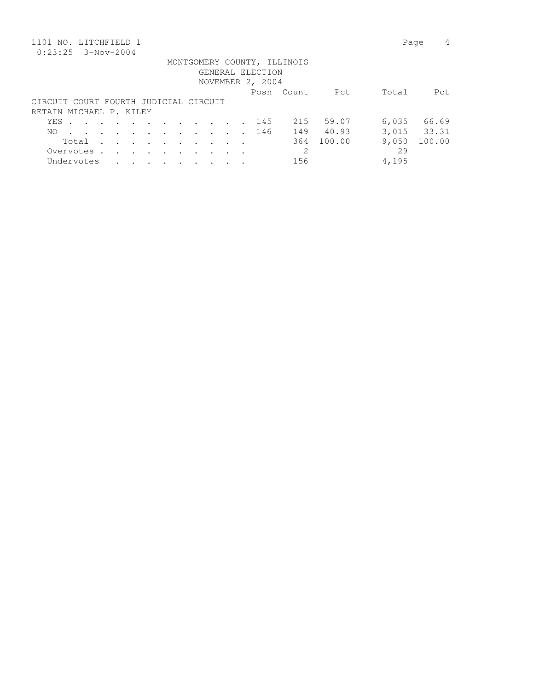| 1101 NO. LITCHFIELD 1                 |       |             |                      |                         |        |               |                      |        |  |                  |                             |        |       | 4<br>Page   |
|---------------------------------------|-------|-------------|----------------------|-------------------------|--------|---------------|----------------------|--------|--|------------------|-----------------------------|--------|-------|-------------|
| $0:23:25$ 3-Nov-2004                  |       |             |                      |                         |        |               |                      |        |  |                  |                             |        |       |             |
|                                       |       |             |                      |                         |        |               |                      |        |  |                  | MONTGOMERY COUNTY, ILLINOIS |        |       |             |
|                                       |       |             |                      |                         |        |               |                      |        |  | GENERAL ELECTION |                             |        |       |             |
|                                       |       |             |                      |                         |        |               |                      |        |  | NOVEMBER 2, 2004 |                             |        |       |             |
|                                       |       |             |                      |                         |        |               |                      |        |  |                  | Posn Count                  | Pct    | Total | Pct         |
| CIRCUIT COURT FOURTH JUDICIAL CIRCUIT |       |             |                      |                         |        |               |                      |        |  |                  |                             |        |       |             |
| RETAIN MICHAEL P. KILEY               |       |             |                      |                         |        |               |                      |        |  |                  |                             |        |       |             |
|                                       | YES . |             |                      | $\cdots$                |        |               |                      |        |  | 145              | 215                         | 59.07  | 6,035 | 66.69       |
| NO.                                   |       |             |                      |                         |        |               |                      |        |  | 146              | 149                         | 40.93  |       | 3,015 33.31 |
|                                       |       | Total       | $\ddot{\phantom{a}}$ | $\cdot$ $\cdot$ $\cdot$ |        | $\sim$ $\sim$ | $\bullet$            | $\sim$ |  |                  | 364                         | 100.00 | 9,050 | 100.00      |
|                                       |       | Overvotes . | $\ddot{\phantom{a}}$ | $\ddot{\phantom{a}}$    | $\sim$ | $\cdot$       | $\ddot{\phantom{a}}$ |        |  |                  | 2                           |        | 29    |             |
|                                       |       | Undervotes  |                      |                         | $\sim$ | $\sim$        | $\bullet$            |        |  |                  | 156                         |        | 4,195 |             |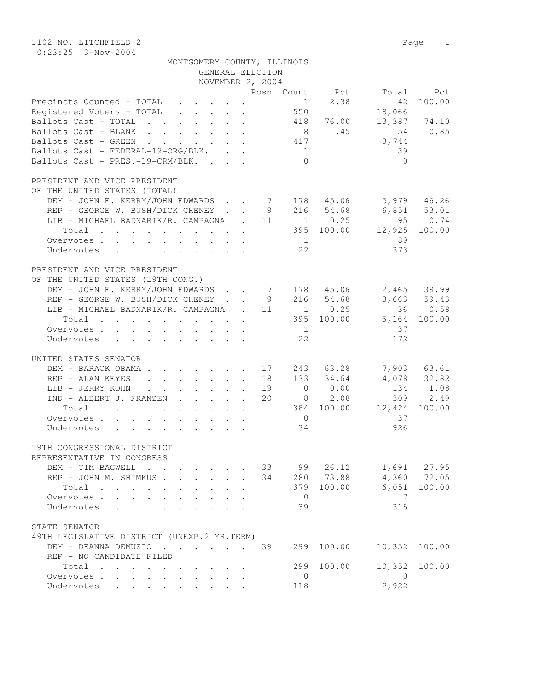1102 NO. LITCHFIELD 2 Page 1 0:23:25 3-Nov-2004

| MONTGOMERY COUNTY, ILLINOIS |                  |  |
|-----------------------------|------------------|--|
|                             | GENERAL ELECTION |  |

|                                                                                                                          |  | NOVEMBER 2, 2004 |                |                |                 |                |
|--------------------------------------------------------------------------------------------------------------------------|--|------------------|----------------|----------------|-----------------|----------------|
|                                                                                                                          |  |                  |                | Posn Count Pct | Total           | Pct            |
| Precincts Counted - TOTAL                                                                                                |  |                  | $\mathbf{1}$   | 2.38           | 42              | 100.00         |
| Registered Voters - TOTAL                                                                                                |  |                  | 550            |                | 18,066          |                |
| Ballots Cast - TOTAL 418 76.00                                                                                           |  |                  |                |                | 13,387 74.10    |                |
| Ballots Cast - BLANK                                                                                                     |  |                  |                | 8 1.45         | 154             | 0.85           |
| Ballots Cast - GREEN                                                                                                     |  |                  |                |                | 3,744           |                |
| Ballots Cast - FEDERAL-19-ORG/BLK.                                                                                       |  |                  | 1              |                | 39              |                |
| Ballots Cast - PRES.-19-CRM/BLK.                                                                                         |  |                  | $\bigcirc$     |                | $\bigcirc$      |                |
|                                                                                                                          |  |                  |                |                |                 |                |
| PRESIDENT AND VICE PRESIDENT                                                                                             |  |                  |                |                |                 |                |
| OF THE UNITED STATES (TOTAL)                                                                                             |  |                  |                |                |                 |                |
| DEM - JOHN F. KERRY/JOHN EDWARDS 7 178 45.06                                                                             |  |                  |                |                |                 | 5,979 46.26    |
| REP - GEORGE W. BUSH/DICK CHENEY 9 216 54.68                                                                             |  |                  |                |                | $6,851$ $53.01$ |                |
| LIB - MICHAEL BADNARIK/R. CAMPAGNA . 11 1 0.25                                                                           |  |                  |                |                |                 | 95 0.74        |
| $\cdot$ 395 100.00<br>Total                                                                                              |  |                  |                |                | 12,925          | 100.00         |
| Overvotes                                                                                                                |  |                  | $\frac{1}{2}$  |                | 89              |                |
| Undervotes                                                                                                               |  |                  | 22             |                | 373             |                |
|                                                                                                                          |  |                  |                |                |                 |                |
| PRESIDENT AND VICE PRESIDENT                                                                                             |  |                  |                |                |                 |                |
| OF THE UNITED STATES (19TH CONG.)                                                                                        |  |                  |                |                |                 |                |
| DEM - JOHN F. KERRY/JOHN EDWARDS 7 178 45.06                                                                             |  |                  |                |                |                 | 2,465 39.99    |
| REP - GEORGE W. BUSH/DICK CHENEY 9 216 54.68                                                                             |  |                  |                |                |                 | 3,663 59.43    |
| LIB - MICHAEL BADNARIK/R. CAMPAGNA . 11                                                                                  |  |                  |                | $1 \t 0.25$    |                 | 36 0.58        |
| $\cdot$ 395 100.00<br>Total                                                                                              |  |                  |                |                | 6,164           | 100.00         |
|                                                                                                                          |  |                  |                |                | 37              |                |
| Overvotes.                                                                                                               |  |                  | $\frac{1}{2}$  |                |                 |                |
| Undervotes                                                                                                               |  |                  | 22             |                | 172             |                |
| UNITED STATES SENATOR                                                                                                    |  |                  |                |                |                 |                |
| DEM - BARACK OBAMA 17                                                                                                    |  |                  |                | 243 63.28      |                 | 7,903 63.61    |
|                                                                                                                          |  |                  |                | 133 34.64      |                 | 4,078 32.82    |
| REP - ALAN KEYES                                                                                                         |  | 18               |                |                | 134             | 1.08           |
| LIB - JERRY KOHN                                                                                                         |  | 19               |                | $0 \t 0.00$    |                 |                |
| IND - ALBERT J. FRANZEN                                                                                                  |  | 20               |                | 8 2.08         |                 | 309 2.49       |
| Total<br>the contract of the contract of the contract of the contract of the contract of the contract of the contract of |  |                  |                | 384 100.00     | 12,424          | 100.00         |
| Overvotes                                                                                                                |  |                  | $\overline{0}$ |                | 37              |                |
| Undervotes                                                                                                               |  |                  | 34             |                | 926             |                |
|                                                                                                                          |  |                  |                |                |                 |                |
| 19TH CONGRESSIONAL DISTRICT                                                                                              |  |                  |                |                |                 |                |
| REPRESENTATIVE IN CONGRESS                                                                                               |  |                  |                |                |                 |                |
| DEM - TIM BAGWELL                                                                                                        |  | 33               | 99             |                | 26.12 1,691     | 27.95          |
| REP - JOHN M. SHIMKUS 34                                                                                                 |  |                  |                | 280 73.88      |                 | 4,360 72.05    |
| Total                                                                                                                    |  |                  |                | 379 100.00     |                 | $6,051$ 100.00 |
| Overvotes                                                                                                                |  |                  | $\overline{0}$ |                | $\overline{7}$  |                |
| Undervotes                                                                                                               |  |                  | 39             |                | 315             |                |
|                                                                                                                          |  |                  |                |                |                 |                |
| STATE SENATOR                                                                                                            |  |                  |                |                |                 |                |
| 49TH LEGISLATIVE DISTRICT (UNEXP.2 YR.TERM)                                                                              |  |                  |                |                |                 |                |
| DEM - DEANNA DEMUZIO 39                                                                                                  |  |                  | 299            | 100.00         | 10,352          | 100.00         |
| REP - NO CANDIDATE FILED                                                                                                 |  |                  |                |                |                 |                |
| Total                                                                                                                    |  |                  | 299            | 100.00         | 10,352          | 100.00         |
| Overvotes.                                                                                                               |  |                  | $\overline{0}$ |                | $\overline{0}$  |                |
| Undervotes                                                                                                               |  |                  | 118            |                | 2,922           |                |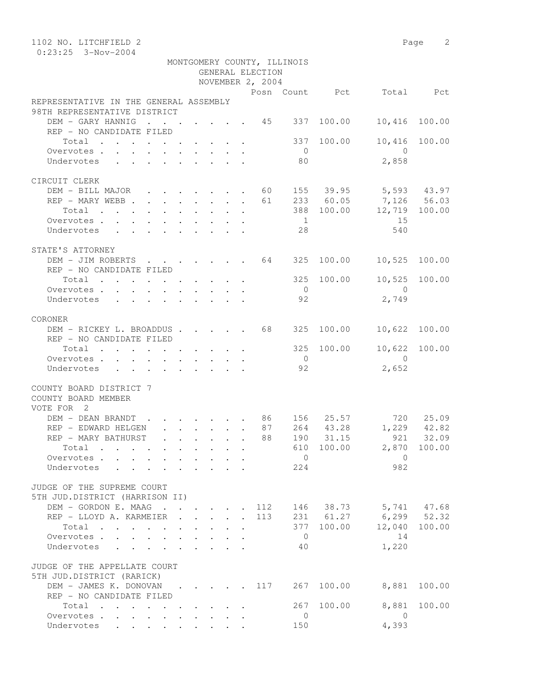| 1102 NO. LITCHFIELD 2                                                                          |                                                                                         |                                          |                                                                               |              |                  |                                        |                |                           | Page 2 |
|------------------------------------------------------------------------------------------------|-----------------------------------------------------------------------------------------|------------------------------------------|-------------------------------------------------------------------------------|--------------|------------------|----------------------------------------|----------------|---------------------------|--------|
| $0:23:25$ 3-Nov-2004                                                                           |                                                                                         |                                          |                                                                               |              |                  |                                        |                |                           |        |
|                                                                                                |                                                                                         |                                          |                                                                               |              |                  | MONTGOMERY COUNTY, ILLINOIS            |                |                           |        |
|                                                                                                |                                                                                         |                                          |                                                                               |              | GENERAL ELECTION |                                        |                |                           |        |
|                                                                                                |                                                                                         |                                          |                                                                               |              | NOVEMBER 2, 2004 |                                        | Posn Count Pct | Total                     |        |
| REPRESENTATIVE IN THE GENERAL ASSEMBLY                                                         |                                                                                         |                                          |                                                                               |              |                  |                                        |                |                           | Pct    |
| 98TH REPRESENTATIVE DISTRICT                                                                   |                                                                                         |                                          |                                                                               |              |                  |                                        |                |                           |        |
| DEM - GARY HANNIG                                                                              | <b>Contract Contract</b>                                                                | $\mathbf{r} = \mathbf{r} + \mathbf{r}$ . |                                                                               |              |                  | $\cdot$ $\cdot$ $\cdot$ $\cdot$ 45 337 | 100.00         | 10,416                    | 100.00 |
| REP - NO CANDIDATE FILED                                                                       |                                                                                         |                                          |                                                                               |              |                  |                                        |                |                           |        |
| Total                                                                                          |                                                                                         |                                          |                                                                               |              |                  | 337                                    | 100.00         | 10,416                    | 100.00 |
| Overvotes.                                                                                     |                                                                                         |                                          |                                                                               |              |                  | $\overline{0}$                         |                | $\overline{0}$            |        |
| Undervotes                                                                                     |                                                                                         |                                          |                                                                               |              |                  | 80                                     |                | 2,858                     |        |
|                                                                                                |                                                                                         |                                          |                                                                               |              |                  |                                        |                |                           |        |
| CIRCUIT CLERK                                                                                  |                                                                                         |                                          |                                                                               |              |                  |                                        |                |                           |        |
| DEM - BILL MAJOR 60                                                                            |                                                                                         |                                          |                                                                               |              |                  |                                        |                | 155 39.95 5,593 43.97     |        |
| REP - MARY WEBB                                                                                |                                                                                         |                                          |                                                                               |              | 61               |                                        | 233 60.05      | $7,126$ $56.03$<br>12.719 |        |
| $\begin{tabular}{ccccccccccc} Total & . & . & . & . & . & . & . & . & . & . & . \end{tabular}$ |                                                                                         |                                          |                                                                               |              |                  |                                        | 388 100.00     |                           |        |
| Overvotes                                                                                      |                                                                                         |                                          |                                                                               |              |                  | $\overline{1}$                         |                | 15                        |        |
| Undervotes                                                                                     |                                                                                         |                                          |                                                                               |              |                  | 28                                     |                | 540                       |        |
| STATE'S ATTORNEY                                                                               |                                                                                         |                                          |                                                                               |              |                  |                                        |                |                           |        |
| DEM - JIM ROBERTS 64                                                                           |                                                                                         |                                          |                                                                               |              |                  | 325                                    | 100.00         | 10,525                    | 100.00 |
| REP - NO CANDIDATE FILED                                                                       |                                                                                         |                                          |                                                                               |              |                  |                                        |                |                           |        |
| Total                                                                                          |                                                                                         |                                          |                                                                               |              |                  |                                        | 325 100.00     | 10,525                    | 100.00 |
| Overvotes.                                                                                     |                                                                                         |                                          |                                                                               |              |                  | $\overline{0}$                         |                | $\bigcirc$                |        |
| Undervotes                                                                                     | $\mathbf{r}$ , $\mathbf{r}$ , $\mathbf{r}$ , $\mathbf{r}$ , $\mathbf{r}$ , $\mathbf{r}$ |                                          |                                                                               |              |                  | 92                                     |                | 2,749                     |        |
|                                                                                                |                                                                                         |                                          |                                                                               |              |                  |                                        |                |                           |        |
| CORONER                                                                                        |                                                                                         |                                          |                                                                               |              |                  |                                        |                |                           |        |
| DEM - RICKEY L. BROADDUS 68 325                                                                |                                                                                         |                                          |                                                                               |              |                  |                                        | 100.00         | 10,622                    | 100.00 |
| REP - NO CANDIDATE FILED                                                                       |                                                                                         |                                          |                                                                               |              |                  |                                        |                |                           |        |
| Total                                                                                          |                                                                                         |                                          |                                                                               |              |                  | 325                                    | 100.00         | 10,622                    | 100.00 |
| Overvotes                                                                                      |                                                                                         |                                          |                                                                               |              |                  | $\overline{0}$                         |                | $\bigcirc$                |        |
| Undervotes                                                                                     |                                                                                         |                                          |                                                                               |              |                  | 92                                     |                | 2,652                     |        |
| COUNTY BOARD DISTRICT 7                                                                        |                                                                                         |                                          |                                                                               |              |                  |                                        |                |                           |        |
| COUNTY BOARD MEMBER                                                                            |                                                                                         |                                          |                                                                               |              |                  |                                        |                |                           |        |
| VOTE FOR 2                                                                                     |                                                                                         |                                          |                                                                               |              |                  |                                        |                |                           |        |
| DEM - DEAN BRANDT                                                                              | $\cdot$ $\cdot$ $\cdot$ $\cdot$ $\cdot$ $\cdot$ $\cdot$ 86                              |                                          |                                                                               |              |                  |                                        | 156 25.57      | 720                       | 25.09  |
| REP - EDWARD HELGEN                                                                            |                                                                                         |                                          |                                                                               |              | 87               |                                        |                | 264 43.28 1,229           | 42.82  |
| REP – MARY BATHURST                                                                            |                                                                                         | $\cdot$ $\cdot$                          |                                                                               |              | 88               |                                        | 190 31.15      | 921                       | 32.09  |
| Total                                                                                          |                                                                                         | $\ddot{\phantom{0}}$                     |                                                                               |              |                  |                                        |                | 610 100.00 2,870 100.00   |        |
| Overvotes                                                                                      |                                                                                         |                                          | $\mathbf{r}$ , $\mathbf{r}$ , $\mathbf{r}$                                    |              |                  | $\overline{0}$                         |                | $\overline{0}$            |        |
| Undervotes<br>$\sim$ $\sim$                                                                    |                                                                                         |                                          |                                                                               |              |                  | 224                                    |                | 982                       |        |
|                                                                                                |                                                                                         |                                          |                                                                               |              |                  |                                        |                |                           |        |
| JUDGE OF THE SUPREME COURT                                                                     |                                                                                         |                                          |                                                                               |              |                  |                                        |                |                           |        |
| 5TH JUD.DISTRICT (HARRISON II)                                                                 |                                                                                         |                                          |                                                                               |              |                  |                                        |                |                           |        |
| DEM - GORDON E. MAAG                                                                           |                                                                                         |                                          |                                                                               |              | 112              |                                        |                | 146 38.73 5,741 47.68     |        |
| REP - LLOYD A. KARMEIER .                                                                      |                                                                                         |                                          | $\mathbf{1}$ $\mathbf{1}$ $\mathbf{1}$ $\mathbf{1}$ $\mathbf{1}$              | $\mathbf{L}$ | 113              |                                        | 231 61.27      | $6, 299$ $52.32$          |        |
| Total                                                                                          |                                                                                         |                                          | $\mathbf{r} = \mathbf{r} + \mathbf{r} + \mathbf{r} + \mathbf{r} + \mathbf{r}$ |              |                  | $\overline{0}$                         | 377 100.00     | 12,040<br>14              | 100.00 |
| Overvotes<br>Undervotes                                                                        |                                                                                         | $\sim$                                   |                                                                               |              |                  | 40                                     |                | 1,220                     |        |
|                                                                                                |                                                                                         |                                          |                                                                               |              |                  |                                        |                |                           |        |
| JUDGE OF THE APPELLATE COURT                                                                   |                                                                                         |                                          |                                                                               |              |                  |                                        |                |                           |        |
| 5TH JUD.DISTRICT (RARICK)                                                                      |                                                                                         |                                          |                                                                               |              |                  |                                        |                |                           |        |
| DEM - JAMES K. DONOVAN 117                                                                     |                                                                                         |                                          |                                                                               |              |                  | 267                                    | 100.00         | 8,881                     | 100.00 |
| REP - NO CANDIDATE FILED                                                                       |                                                                                         |                                          |                                                                               |              |                  |                                        |                |                           |        |
| Total                                                                                          |                                                                                         |                                          |                                                                               |              |                  | 267                                    | 100.00         | 8,881                     | 100.00 |
| Overvotes.                                                                                     |                                                                                         |                                          |                                                                               |              |                  | $\mathbf{0}$                           |                | $\overline{0}$            |        |
| Undervotes                                                                                     |                                                                                         |                                          |                                                                               |              |                  | 150                                    |                | 4,393                     |        |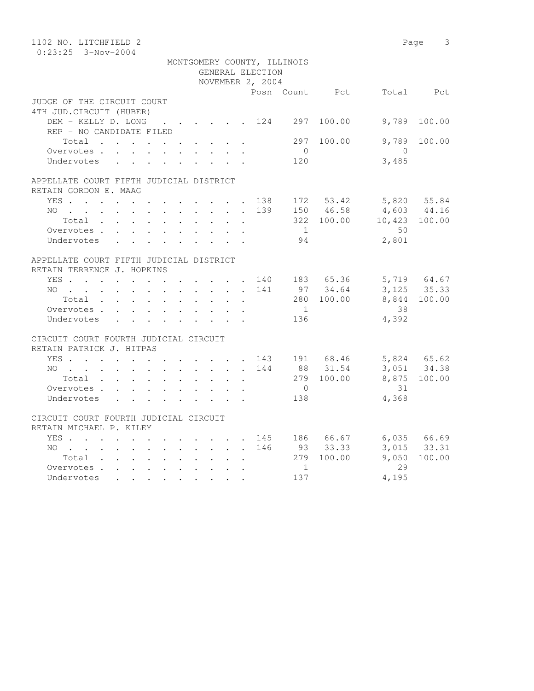| 1102 NO. LITCHFIELD 2                          |  |  |  |                  |                             |            |                                                       | Page 3       |
|------------------------------------------------|--|--|--|------------------|-----------------------------|------------|-------------------------------------------------------|--------------|
| $0:23:25$ 3-Nov-2004                           |  |  |  |                  |                             |            |                                                       |              |
|                                                |  |  |  |                  | MONTGOMERY COUNTY, ILLINOIS |            |                                                       |              |
|                                                |  |  |  | GENERAL ELECTION |                             |            |                                                       |              |
|                                                |  |  |  | NOVEMBER 2, 2004 |                             |            |                                                       |              |
|                                                |  |  |  |                  |                             |            | Posn Count Pct Total Pct                              |              |
| JUDGE OF THE CIRCUIT COURT                     |  |  |  |                  |                             |            |                                                       |              |
| 4TH JUD. CIRCUIT (HUBER)                       |  |  |  |                  |                             |            |                                                       |              |
| DEM - KELLY D. LONG 124 297                    |  |  |  |                  |                             | 100.00     | 9,789                                                 | 100.00       |
| REP - NO CANDIDATE FILED                       |  |  |  |                  |                             |            |                                                       |              |
| Total $\cdot$                                  |  |  |  |                  | 297                         | 100.00     | 9,789                                                 | 100.00       |
| Overvotes                                      |  |  |  |                  | $\overline{0}$              |            | $\overline{0}$                                        |              |
| Undervotes                                     |  |  |  |                  | 120                         |            | 3,485                                                 |              |
| APPELLATE COURT FIFTH JUDICIAL DISTRICT        |  |  |  |                  |                             |            |                                                       |              |
| RETAIN GORDON E. MAAG                          |  |  |  |                  |                             |            |                                                       |              |
| YES 138 172 53.42 5,820 55.84                  |  |  |  |                  |                             |            |                                                       |              |
| NO                                             |  |  |  |                  |                             |            |                                                       |              |
| Total                                          |  |  |  |                  |                             |            | 139 150 46.58 4,603 44.16<br>322 100.00 10,423 100.00 |              |
| Overvotes.                                     |  |  |  |                  | $\sim$ 1                    |            | 50                                                    |              |
| Undervotes                                     |  |  |  |                  | 94                          |            | 2,801                                                 |              |
|                                                |  |  |  |                  |                             |            |                                                       |              |
| APPELLATE COURT FIFTH JUDICIAL DISTRICT        |  |  |  |                  |                             |            |                                                       |              |
| RETAIN TERRENCE J. HOPKINS                     |  |  |  |                  |                             |            |                                                       |              |
| YES 140 183 65.36 5,719 64.67                  |  |  |  |                  |                             |            |                                                       |              |
| NO 141                                         |  |  |  |                  |                             |            | 97 34.64 3,125 35.33                                  |              |
| Total                                          |  |  |  |                  |                             | 280 100.00 | 8,844 100.00                                          |              |
| Overvotes                                      |  |  |  |                  | 1                           |            | 38                                                    |              |
| Undervotes                                     |  |  |  |                  | 136                         |            | 4,392                                                 |              |
|                                                |  |  |  |                  |                             |            |                                                       |              |
| CIRCUIT COURT FOURTH JUDICIAL CIRCUIT          |  |  |  |                  |                             |            |                                                       |              |
| RETAIN PATRICK J. HITPAS                       |  |  |  |                  |                             |            |                                                       |              |
|                                                |  |  |  |                  |                             |            |                                                       |              |
| YES 143 191 68.46<br>NO 144 88 31.54<br>NO 144 |  |  |  |                  |                             |            | 5,824 65.62<br>3,051 34.38                            |              |
| Total                                          |  |  |  |                  |                             | 279 100.00 |                                                       | 8,875 100.00 |
| Overvotes                                      |  |  |  |                  | $\overline{0}$              |            | 31                                                    |              |
| Undervotes                                     |  |  |  |                  | 138                         |            | 4,368                                                 |              |
|                                                |  |  |  |                  |                             |            |                                                       |              |
| CIRCUIT COURT FOURTH JUDICIAL CIRCUIT          |  |  |  |                  |                             |            |                                                       |              |
| RETAIN MICHAEL P. KILEY                        |  |  |  |                  |                             |            |                                                       |              |
| YES 145 186 66.67 6,035 66.69                  |  |  |  |                  |                             |            |                                                       |              |
| NO 146 93 33.33                                |  |  |  |                  |                             |            |                                                       | 3,015 33.31  |
| Total                                          |  |  |  |                  |                             | 279 100.00 | 9,050                                                 | 100.00       |
| Overvotes.                                     |  |  |  |                  | 1                           |            | 29                                                    |              |
| Undervotes                                     |  |  |  |                  | 137                         |            | 4,195                                                 |              |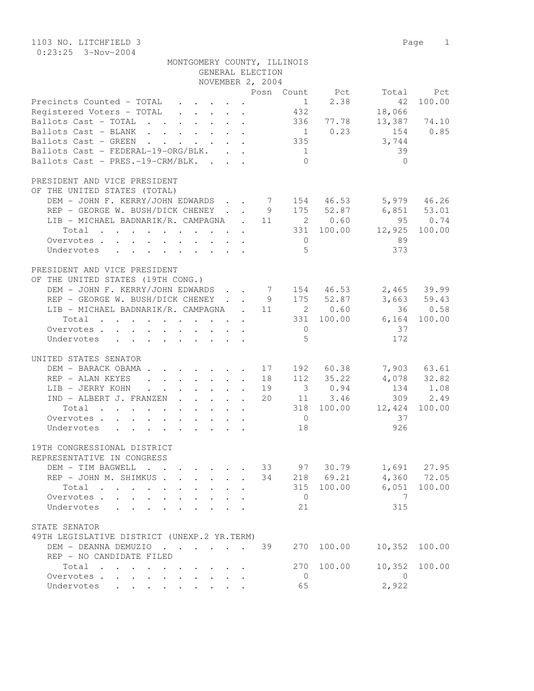1103 NO. LITCHFIELD 3 Page 1 0:23:25 3-Nov-2004

| MONTGOMERY COUNTY, ILLINOIS |                  |  |
|-----------------------------|------------------|--|
|                             | GENERAL ELECTION |  |

|                                                                                                                          |  | NOVEMBER 2, 2004 |                |             |                         |                |
|--------------------------------------------------------------------------------------------------------------------------|--|------------------|----------------|-------------|-------------------------|----------------|
|                                                                                                                          |  |                  | Posn Count     | Pct         | Total                   | Pct            |
| Precincts Counted - TOTAL                                                                                                |  |                  | 1              | 2.38        | 42                      | 100.00         |
| Registered Voters - TOTAL                                                                                                |  |                  | 432            |             | 18,066                  |                |
| Ballots Cast - TOTAL 336 77.78                                                                                           |  |                  |                |             | 13,387 74.10            |                |
| Ballots Cast - BLANK                                                                                                     |  |                  |                | $1 \t 0.23$ | 154                     | 0.85           |
| Ballots Cast - GREEN                                                                                                     |  |                  |                |             | 3,744                   |                |
| Ballots Cast - FEDERAL-19-ORG/BLK.                                                                                       |  |                  | 1              |             | 39                      |                |
| Ballots Cast - PRES.-19-CRM/BLK.                                                                                         |  |                  | $\bigcirc$     |             | $\bigcirc$              |                |
|                                                                                                                          |  |                  |                |             |                         |                |
| PRESIDENT AND VICE PRESIDENT                                                                                             |  |                  |                |             |                         |                |
| OF THE UNITED STATES (TOTAL)                                                                                             |  |                  |                |             |                         |                |
| DEM - JOHN F. KERRY/JOHN EDWARDS 7 154 46.53                                                                             |  |                  |                |             |                         | 5,979 46.26    |
| REP - GEORGE W. BUSH/DICK CHENEY 9 175 52.87                                                                             |  |                  |                |             | $6,851$ $53.01$         |                |
| LIB - MICHAEL BADNARIK/R. CAMPAGNA . 11                                                                                  |  |                  |                | 2 0.60      |                         | 95 0.74        |
| $\cdot$ 331 100.00<br>Total                                                                                              |  |                  |                |             | 12,925                  | 100.00         |
| Overvotes                                                                                                                |  |                  | $\overline{0}$ |             | 89                      |                |
| Undervotes                                                                                                               |  |                  | - 5            |             | 373                     |                |
|                                                                                                                          |  |                  |                |             |                         |                |
| PRESIDENT AND VICE PRESIDENT                                                                                             |  |                  |                |             |                         |                |
| OF THE UNITED STATES (19TH CONG.)                                                                                        |  |                  |                |             |                         |                |
| DEM - JOHN F. KERRY/JOHN EDWARDS 7 154 46.53                                                                             |  |                  |                |             |                         | 2,465 39.99    |
| REP - GEORGE W. BUSH/DICK CHENEY 9 175 52.87                                                                             |  |                  |                |             |                         | 3,663 59.43    |
| LIB - MICHAEL BADNARIK/R. CAMPAGNA . 11                                                                                  |  |                  |                | 2 0.60      |                         | 36 0.58        |
| $\cdot$ 331 100.00<br>Total                                                                                              |  |                  |                |             | 6,164                   | 100.00         |
| Overvotes.                                                                                                               |  |                  | $\overline{0}$ |             | 37                      |                |
| Undervotes                                                                                                               |  |                  | $5^{\circ}$    |             | 172                     |                |
|                                                                                                                          |  |                  |                |             |                         |                |
| UNITED STATES SENATOR                                                                                                    |  |                  |                |             |                         |                |
| DEM - BARACK OBAMA 17                                                                                                    |  |                  |                | 192 60.38   |                         | 7,903 63.61    |
| REP - ALAN KEYES                                                                                                         |  | 18               |                | 112 35.22   |                         | $4,078$ 32.82  |
| LIB - JERRY KOHN                                                                                                         |  | 19               |                | 3 0.94      | 134                     | 1.08           |
|                                                                                                                          |  | 20               |                | 11 3.46     |                         | 309 2.49       |
| IND - ALBERT J. FRANZEN                                                                                                  |  |                  |                |             |                         |                |
| Total<br>the contract of the contract of the contract of the contract of the contract of the contract of the contract of |  |                  |                |             | 318 100.00 12,424<br>37 | 100.00         |
| Overvotes                                                                                                                |  |                  | $\overline{0}$ |             |                         |                |
| Undervotes                                                                                                               |  |                  | 18             |             | 926                     |                |
|                                                                                                                          |  |                  |                |             |                         |                |
| 19TH CONGRESSIONAL DISTRICT<br>REPRESENTATIVE IN CONGRESS                                                                |  |                  |                |             |                         |                |
|                                                                                                                          |  |                  |                |             |                         |                |
| DEM - TIM BAGWELL .                                                                                                      |  | 33               | 97             |             | 30.79 1,691             | 27.95          |
| REP - JOHN M. SHIMKUS                                                                                                    |  | 34               |                | 218 69.21   |                         | 4,360 72.05    |
| Total                                                                                                                    |  |                  |                | 315 100.00  |                         | $6,051$ 100.00 |
| Overvotes                                                                                                                |  |                  | $\overline{0}$ |             | 7                       |                |
| Undervotes                                                                                                               |  |                  | 21             |             | 315                     |                |
|                                                                                                                          |  |                  |                |             |                         |                |
| STATE SENATOR                                                                                                            |  |                  |                |             |                         |                |
| 49TH LEGISLATIVE DISTRICT (UNEXP.2 YR.TERM)                                                                              |  |                  |                |             |                         |                |
| DEM - DEANNA DEMUZIO 39                                                                                                  |  |                  |                | 270 100.00  | 10,352                  | 100.00         |
| REP - NO CANDIDATE FILED                                                                                                 |  |                  |                |             |                         |                |
| Total                                                                                                                    |  |                  | 270            | 100.00      | 10,352                  | 100.00         |
| Overvotes                                                                                                                |  |                  | $\overline{0}$ |             | $\overline{0}$          |                |
| Undervotes                                                                                                               |  |                  | 65             |             | 2,922                   |                |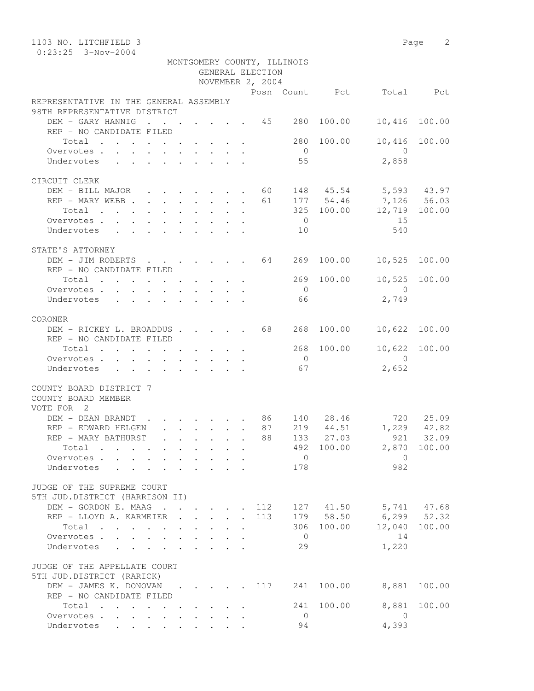| 1103 NO. LITCHFIELD 3                                                                    |                                                                       |                                                 |                                 |              |                  |                             |            |                       | Page 2 |
|------------------------------------------------------------------------------------------|-----------------------------------------------------------------------|-------------------------------------------------|---------------------------------|--------------|------------------|-----------------------------|------------|-----------------------|--------|
| $0:23:25$ 3-Nov-2004                                                                     |                                                                       |                                                 |                                 |              |                  |                             |            |                       |        |
|                                                                                          |                                                                       |                                                 |                                 |              | GENERAL ELECTION | MONTGOMERY COUNTY, ILLINOIS |            |                       |        |
|                                                                                          |                                                                       |                                                 |                                 |              | NOVEMBER 2, 2004 |                             |            |                       |        |
|                                                                                          |                                                                       |                                                 |                                 |              |                  |                             |            | Posn Count Pct Total  | Pct    |
| REPRESENTATIVE IN THE GENERAL ASSEMBLY                                                   |                                                                       |                                                 |                                 |              |                  |                             |            |                       |        |
| 98TH REPRESENTATIVE DISTRICT                                                             |                                                                       |                                                 |                                 |              |                  |                             |            |                       |        |
| DEM - GARY HANNIG<br>REP - NO CANDIDATE FILED                                            | $\sim$ $\sim$                                                         |                                                 |                                 |              |                  | . 45 280                    | 100.00     | 10,416                | 100.00 |
| Total                                                                                    |                                                                       |                                                 |                                 |              |                  | 280                         | 100.00     | 10,416                | 100.00 |
| Overvotes.                                                                               |                                                                       |                                                 |                                 |              |                  | $\overline{0}$              |            | $\overline{0}$        |        |
| Undervotes                                                                               |                                                                       |                                                 |                                 |              |                  | 55                          |            | 2,858                 |        |
|                                                                                          |                                                                       |                                                 |                                 |              |                  |                             |            |                       |        |
| CIRCUIT CLERK                                                                            |                                                                       |                                                 |                                 |              |                  |                             |            |                       |        |
| DEM - BILL MAJOR 60                                                                      |                                                                       |                                                 |                                 |              |                  |                             |            | 148 45.54 5,593 43.97 |        |
| REP - MARY WEBB                                                                          |                                                                       |                                                 |                                 |              | 61               |                             | 177 54.46  | 7,126 56.03           |        |
| Total                                                                                    |                                                                       |                                                 |                                 |              |                  |                             | 325 100.00 | 12,719 100.00         |        |
| Overvotes.                                                                               |                                                                       |                                                 |                                 |              |                  | $\overline{0}$              |            | 15                    |        |
| Undervotes                                                                               |                                                                       |                                                 |                                 |              |                  | 10                          |            | 540                   |        |
|                                                                                          |                                                                       |                                                 |                                 |              |                  |                             |            |                       |        |
| STATE'S ATTORNEY                                                                         |                                                                       |                                                 |                                 |              |                  |                             |            |                       |        |
| DEM - JIM ROBERTS 64                                                                     |                                                                       |                                                 |                                 |              |                  | 269                         | 100.00     | 10,525                | 100.00 |
| REP - NO CANDIDATE FILED                                                                 |                                                                       |                                                 |                                 |              |                  | 269                         | 100.00     | 10,525                | 100.00 |
| Total<br>Overvotes.                                                                      |                                                                       |                                                 |                                 |              |                  | $\overline{0}$              |            | $\bigcirc$            |        |
| Undervotes                                                                               | $\mathbf{r}$ , and $\mathbf{r}$ , and $\mathbf{r}$ , and $\mathbf{r}$ |                                                 |                                 |              |                  | 66                          |            | 2,749                 |        |
|                                                                                          |                                                                       |                                                 |                                 |              |                  |                             |            |                       |        |
| CORONER                                                                                  |                                                                       |                                                 |                                 |              |                  |                             |            |                       |        |
| DEM - RICKEY L. BROADDUS 68                                                              |                                                                       |                                                 |                                 |              |                  | 268                         | 100.00     | 10,622                | 100.00 |
| REP - NO CANDIDATE FILED                                                                 |                                                                       |                                                 |                                 |              |                  |                             |            |                       |        |
| Total<br>. The contract of the contract of the contract of the contract of $\mathcal{A}$ |                                                                       |                                                 |                                 |              |                  | 268                         | 100.00     | 10,622                | 100.00 |
| Overvotes                                                                                |                                                                       |                                                 |                                 |              |                  | $\overline{0}$              |            | $\bigcap$             |        |
| Undervotes                                                                               |                                                                       |                                                 |                                 |              |                  | 67                          |            | 2,652                 |        |
|                                                                                          |                                                                       |                                                 |                                 |              |                  |                             |            |                       |        |
| COUNTY BOARD DISTRICT 7                                                                  |                                                                       |                                                 |                                 |              |                  |                             |            |                       |        |
| COUNTY BOARD MEMBER                                                                      |                                                                       |                                                 |                                 |              |                  |                             |            |                       |        |
| VOTE FOR 2<br>DEM - DEAN BRANDT                                                          | . 86                                                                  |                                                 |                                 |              |                  |                             | 140 28.46  | 720                   | 25.09  |
| REP - EDWARD HELGEN                                                                      |                                                                       |                                                 |                                 |              | 87               | 219                         |            | 44.51 1,229           | 42.82  |
| REP - MARY BATHURST                                                                      |                                                                       |                                                 |                                 |              | 88               |                             | 133 27.03  | 921                   | 32.09  |
| Total                                                                                    |                                                                       | $\mathbf{L}^{\text{max}}$                       | $\cdot$ $\cdot$ $\cdot$ $\cdot$ |              |                  |                             | 492 100.00 | 2,870 100.00          |        |
| Overvotes                                                                                |                                                                       | $\cdot$ $\cdot$ $\cdot$ $\cdot$ $\cdot$ $\cdot$ |                                 |              |                  | $\overline{0}$              |            | $\overline{0}$        |        |
| Undervotes<br>$\ddot{\phantom{a}}$                                                       |                                                                       |                                                 |                                 |              |                  | 178                         |            | 982                   |        |
|                                                                                          |                                                                       |                                                 |                                 |              |                  |                             |            |                       |        |
| JUDGE OF THE SUPREME COURT                                                               |                                                                       |                                                 |                                 |              |                  |                             |            |                       |        |
| 5TH JUD.DISTRICT (HARRISON II)                                                           |                                                                       |                                                 |                                 |              |                  |                             |            |                       |        |
| DEM - GORDON E. MAAG                                                                     |                                                                       |                                                 |                                 |              | 112              |                             |            | 127 41.50 5,741 47.68 |        |
| REP - LLOYD A. KARMEIER .                                                                |                                                                       |                                                 | $\cdot$ $\cdot$ $\cdot$ $\cdot$ | $\mathbf{r}$ | 113              |                             | 179 58.50  | $6, 299$ $52.32$      |        |
| Total                                                                                    |                                                                       |                                                 |                                 |              |                  |                             | 306 100.00 | 12,040                | 100.00 |
| Overvotes<br>Undervotes .                                                                |                                                                       | $\sim$<br>$\sim$                                |                                 |              |                  | $\overline{0}$<br>29        |            | 14<br>1,220           |        |
|                                                                                          | $\ddot{\phantom{a}}$                                                  |                                                 |                                 |              |                  |                             |            |                       |        |
| JUDGE OF THE APPELLATE COURT                                                             |                                                                       |                                                 |                                 |              |                  |                             |            |                       |        |
| 5TH JUD.DISTRICT (RARICK)                                                                |                                                                       |                                                 |                                 |              |                  |                             |            |                       |        |
| DEM - JAMES K. DONOVAN 117 241                                                           |                                                                       |                                                 |                                 |              |                  |                             | 100.00     | 8,881                 | 100.00 |
| REP - NO CANDIDATE FILED                                                                 |                                                                       |                                                 |                                 |              |                  |                             |            |                       |        |
| Total                                                                                    |                                                                       |                                                 |                                 |              |                  | 241                         | 100.00     | 8,881                 | 100.00 |
| Overvotes                                                                                |                                                                       |                                                 |                                 |              |                  | $\overline{0}$              |            | $\overline{0}$        |        |
| Undervotes                                                                               |                                                                       |                                                 |                                 |              |                  | 94                          |            | 4,393                 |        |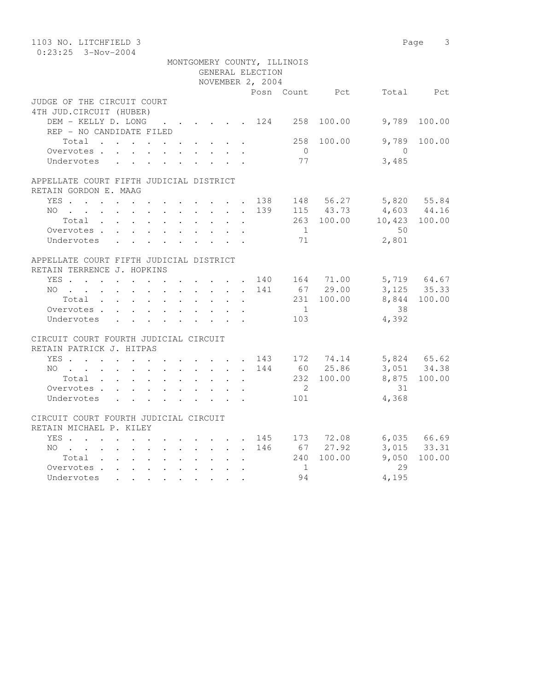| 1103 NO. LITCHFIELD 3                                                                                           | Page 3                                            |
|-----------------------------------------------------------------------------------------------------------------|---------------------------------------------------|
| $0:23:25$ 3-Nov-2004                                                                                            |                                                   |
| MONTGOMERY COUNTY, ILLINOIS                                                                                     |                                                   |
| GENERAL ELECTION                                                                                                |                                                   |
| NOVEMBER 2, 2004                                                                                                |                                                   |
|                                                                                                                 | Posn Count Pct Total Pct                          |
| JUDGE OF THE CIRCUIT COURT                                                                                      |                                                   |
| 4TH JUD. CIRCUIT (HUBER)                                                                                        |                                                   |
| DEM - KELLY D. LONG 124 258                                                                                     | 9,789<br>100.00<br>100.00                         |
| REP - NO CANDIDATE FILED                                                                                        | 9,789<br>258<br>100.00<br>100.00                  |
| Total $\cdot$<br>Overvotes                                                                                      | $\overline{0}$<br>$\overline{0}$                  |
| Undervotes                                                                                                      | 77<br>3,485                                       |
|                                                                                                                 |                                                   |
| APPELLATE COURT FIFTH JUDICIAL DISTRICT                                                                         |                                                   |
| RETAIN GORDON E. MAAG                                                                                           |                                                   |
| YES 138 148 56.27 5,820 55.84                                                                                   |                                                   |
| NO                                                                                                              | 139                                               |
| Total                                                                                                           | 115 43.73 4,603 44.16<br>263 100.00 10,423 100.00 |
| Overvotes.                                                                                                      | $\overline{1}$<br>50                              |
| Undervotes                                                                                                      | 71<br>2,801                                       |
|                                                                                                                 |                                                   |
| APPELLATE COURT FIFTH JUDICIAL DISTRICT                                                                         |                                                   |
| RETAIN TERRENCE J. HOPKINS                                                                                      |                                                   |
| YES 140 164 71.00                                                                                               | 5,719 64.67                                       |
| $NO$                                                                                                            | 67 29.00<br>3, 125 35.33<br>141                   |
| Total                                                                                                           | 231 100.00<br>8,844 100.00                        |
| Overvotes                                                                                                       | $\overline{1}$<br>38                              |
| Undervotes                                                                                                      | 4,392<br>103                                      |
|                                                                                                                 |                                                   |
| CIRCUIT COURT FOURTH JUDICIAL CIRCUIT                                                                           |                                                   |
| RETAIN PATRICK J. HITPAS                                                                                        |                                                   |
| YES 143 172 74.14<br>NO 144 60 25.86                                                                            | 5,824 65.62<br>3,051 34.38                        |
| NO 144                                                                                                          |                                                   |
| Total                                                                                                           | 232 100.00<br>8,875 100.00                        |
| Overvotes                                                                                                       | $\overline{2}$<br>31                              |
| Undervotes                                                                                                      | 4,368<br>101                                      |
|                                                                                                                 |                                                   |
| CIRCUIT COURT FOURTH JUDICIAL CIRCUIT                                                                           |                                                   |
| RETAIN MICHAEL P. KILEY                                                                                         |                                                   |
| YES 145 173 72.08 6,035 66.69                                                                                   | 146 67 27.92<br>3,015 33.31                       |
| NO                                                                                                              | 9,050<br>240 100.00<br>100.00                     |
| Total<br>Overvotes.                                                                                             | 29<br>$\overline{1}$                              |
| Undervotes                                                                                                      | 94<br>4,195                                       |
| the contract of the contract of the contract of the contract of the contract of the contract of the contract of |                                                   |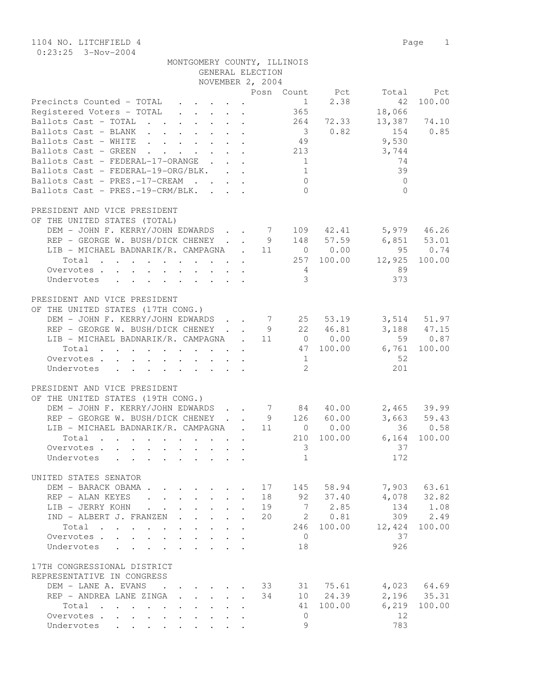| MONTGOMERY COUNTY, ILLINOIS |
|-----------------------------|
|-----------------------------|

| GENERAL ELECTION                                                                                                                              |                           |    |                               |                                                                     |              |                 |
|-----------------------------------------------------------------------------------------------------------------------------------------------|---------------------------|----|-------------------------------|---------------------------------------------------------------------|--------------|-----------------|
| NOVEMBER 2, 2004                                                                                                                              |                           |    |                               |                                                                     |              |                 |
| Precincts Counted - TOTAL<br>$\mathbf{r}$ , $\mathbf{r}$ , $\mathbf{r}$ , $\mathbf{r}$                                                        |                           |    |                               | Posn Count Pct<br>2.38<br>$1 \quad \blacksquare$                    | Total<br>42  | Pct<br>100.00   |
| Registered Voters - TOTAL                                                                                                                     |                           |    | 365                           |                                                                     | 18,066       |                 |
| Ballots Cast - TOTAL                                                                                                                          |                           |    | 264                           | 72.33                                                               |              | 13,387 74.10    |
| Ballots Cast - BLANK<br>Ballots Cast - WHITE                                                                                                  |                           |    | $\overline{\mathbf{3}}$<br>49 | 0.82                                                                | 154<br>9,530 | 0.85            |
| Ballots Cast - GREEN<br>$\mathbf{r}$ , and $\mathbf{r}$ , and $\mathbf{r}$ , and $\mathbf{r}$                                                 |                           |    | 213                           |                                                                     | 3,744        |                 |
| Ballots Cast - FEDERAL-17-ORANGE                                                                                                              |                           |    | $\mathbf{1}$                  |                                                                     | 74           |                 |
| Ballots Cast - FEDERAL-19-ORG/BLK.                                                                                                            |                           |    | 1                             |                                                                     | 39           |                 |
| Ballots Cast - PRES.-17-CREAM                                                                                                                 |                           |    | $\circ$                       |                                                                     | $\Omega$     |                 |
| Ballots Cast - PRES.-19-CRM/BLK.                                                                                                              |                           |    | $\Omega$                      |                                                                     | $\bigcap$    |                 |
| PRESIDENT AND VICE PRESIDENT<br>OF THE UNITED STATES (TOTAL)                                                                                  |                           |    |                               |                                                                     |              |                 |
| DEM - JOHN F. KERRY/JOHN EDWARDS                                                                                                              |                           |    |                               | 7 109 42.41                                                         |              | 5,979 46.26     |
| REP - GEORGE W. BUSH/DICK CHENEY                                                                                                              |                           |    |                               | 9 148 57.59                                                         |              | $6,851$ 53.01   |
| LIB - MICHAEL BADNARIK/R. CAMPAGNA . 11                                                                                                       |                           |    |                               | 0 0.00                                                              | 95           | 0.74            |
| Total                                                                                                                                         |                           |    |                               | 257 100.00                                                          | 12,925       | 100.00          |
| Overvotes.                                                                                                                                    |                           |    | $4\overline{4}$               |                                                                     | 89           |                 |
| Undervotes                                                                                                                                    |                           |    | $\mathcal{E}$                 |                                                                     | 373          |                 |
| PRESIDENT AND VICE PRESIDENT                                                                                                                  |                           |    |                               |                                                                     |              |                 |
| OF THE UNITED STATES (17TH CONG.)<br>DEM - JOHN F. KERRY/JOHN EDWARDS                                                                         |                           |    | 7                             |                                                                     |              | $3,514$ $51.97$ |
| REP - GEORGE W. BUSH/DICK CHENEY                                                                                                              |                           |    |                               | 25 53.19<br>9 22 46.81                                              |              | $3,188$ $47.15$ |
| LIB - MICHAEL BADNARIK/R. CAMPAGNA . 11                                                                                                       |                           |    |                               | 0 0.00                                                              |              | 59 0.87         |
| Total                                                                                                                                         |                           |    |                               | 47 100.00                                                           | 6,761        | 100.00          |
| Overvotes.                                                                                                                                    |                           |    | 1                             |                                                                     | 52           |                 |
| Undervotes                                                                                                                                    |                           |    | 2                             |                                                                     | 201          |                 |
| PRESIDENT AND VICE PRESIDENT                                                                                                                  |                           |    |                               |                                                                     |              |                 |
| OF THE UNITED STATES (19TH CONG.)                                                                                                             |                           |    |                               |                                                                     |              |                 |
| DEM - JOHN F. KERRY/JOHN EDWARDS                                                                                                              |                           |    |                               | $\begin{array}{cccc} 7 & 84 & 40.00 \\ 9 & 126 & 60.00 \end{array}$ |              | 2,465 39.99     |
| REP - GEORGE W. BUSH/DICK CHENEY<br>LIB - MICHAEL BADNARIK/R. CAMPAGNA . 11                                                                   |                           |    |                               | 0 0.00                                                              | 36           | $3,663$ 59.43   |
| Total<br>$\mathbf{r}$ , and $\mathbf{r}$ , and $\mathbf{r}$ , and $\mathbf{r}$ , and $\mathbf{r}$                                             |                           |    | 210                           | 100.00                                                              | 6,164        | 0.58<br>100.00  |
| Overvotes.                                                                                                                                    |                           |    | 3                             |                                                                     | 37           |                 |
| Undervotes                                                                                                                                    |                           |    | $\mathbf{1}$                  |                                                                     | 172          |                 |
| UNITED STATES SENATOR                                                                                                                         |                           |    |                               |                                                                     |              |                 |
| DEM - BARACK OBAMA.                                                                                                                           |                           |    |                               | 17 145 58.94                                                        |              | 7,903 63.61     |
| REP - ALAN KEYES<br>$\mathbf{r} = \mathbf{r} \cdot \mathbf{r}$ and $\mathbf{r} = \mathbf{r} \cdot \mathbf{r}$<br>$\mathbf{r}$                 | $\mathbf{A}$              | 18 | 92                            | 37.40                                                               | 4,078        | 32.82           |
| LIB - JERRY KOHN<br>$\mathcal{L}^{\text{max}}$<br>$\mathbf{L}$<br>$\mathbf{L}$<br>$\mathbf{r}$<br>$\mathbf{L}$                                | $\mathbb{R}^{\mathbb{Z}}$ | 19 |                               | 7 2.85                                                              | 134          | 1.08            |
| IND - ALBERT J. FRANZEN<br>$\mathbb{R}^{n \times n}$<br>$\mathbf{r}$ and $\mathbf{r}$<br>$\mathbb{R}^{\mathbb{Z}}$                            |                           | 20 | 2                             | 0.81                                                                | 309          | 2.49            |
| Total<br>$\cdots$<br>$\ddot{\phantom{a}}$<br>$\mathbf{L}$<br>$\mathbf{L}$                                                                     | $\mathbf{L} = \mathbf{L}$ |    | 246                           | 100.00                                                              | 12,424       | 100.00          |
| Overvotes<br>$\ddot{\phantom{0}}$<br>$\ddot{\phantom{a}}$<br>$\ddot{\phantom{a}}$                                                             | $\cdot$                   |    | $\circ$                       |                                                                     | 37           |                 |
| Undervotes<br>$\mathbf{r}$ , and $\mathbf{r}$ , and $\mathbf{r}$<br>$\mathbf{L}$<br>$\cdot$ $\cdot$ $\cdot$                                   |                           |    | 18                            |                                                                     | 926          |                 |
| 17TH CONGRESSIONAL DISTRICT                                                                                                                   |                           |    |                               |                                                                     |              |                 |
| REPRESENTATIVE IN CONGRESS<br>DEM - LANE A. EVANS                                                                                             |                           | 33 |                               |                                                                     |              | 4,023 64.69     |
| $\cdot$ $\cdot$ $\cdot$<br>$\sim$ $\sim$<br>REP - ANDREA LANE ZINGA<br>$\mathbf{r}$ and $\mathbf{r}$ and $\mathbf{r}$<br>$\ddot{\phantom{0}}$ | $\mathbf{r}$              | 34 |                               | 31 75.61<br>10 24.39                                                | 2,196        | 35.31           |
| $\mathbf{r}$ , $\mathbf{r}$ , $\mathbf{r}$ , $\mathbf{r}$ , $\mathbf{r}$ , $\mathbf{r}$ , $\mathbf{r}$<br>Total                               |                           |    | 41                            | 100.00                                                              | 6,219        | 100.00          |
| Overvotes.                                                                                                                                    |                           |    | $\circ$                       |                                                                     | 12           |                 |
| Undervotes                                                                                                                                    |                           |    | 9                             |                                                                     | 783          |                 |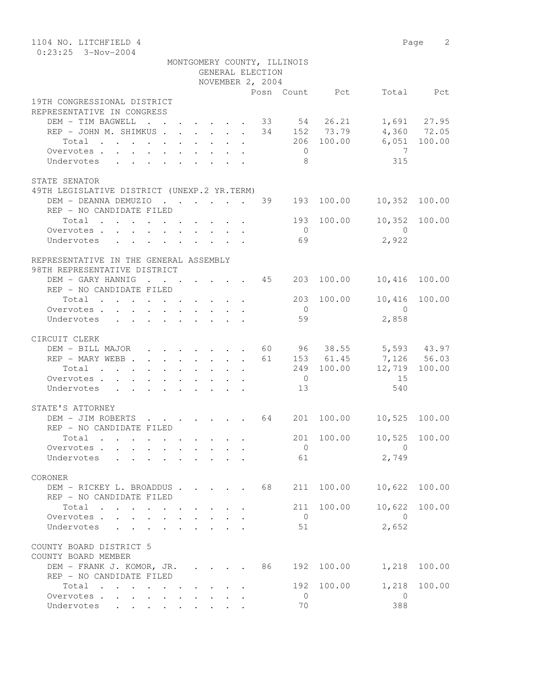| 1104 NO. LITCHFIELD 4                                                                             |                                                            |                                         |        |                  |    |                                  |                                     |                      | Page 2                       |  |  |  |
|---------------------------------------------------------------------------------------------------|------------------------------------------------------------|-----------------------------------------|--------|------------------|----|----------------------------------|-------------------------------------|----------------------|------------------------------|--|--|--|
| $0:23:25$ 3-Nov-2004<br>MONTGOMERY COUNTY, ILLINOIS                                               |                                                            |                                         |        |                  |    |                                  |                                     |                      |                              |  |  |  |
|                                                                                                   |                                                            |                                         |        |                  |    |                                  |                                     |                      |                              |  |  |  |
|                                                                                                   |                                                            |                                         |        | GENERAL ELECTION |    |                                  |                                     |                      |                              |  |  |  |
|                                                                                                   |                                                            |                                         |        | NOVEMBER 2, 2004 |    |                                  |                                     |                      |                              |  |  |  |
|                                                                                                   |                                                            |                                         |        |                  |    |                                  | Posn Count Pct                      |                      | Total Pct                    |  |  |  |
| 19TH CONGRESSIONAL DISTRICT                                                                       |                                                            |                                         |        |                  |    |                                  |                                     |                      |                              |  |  |  |
| REPRESENTATIVE IN CONGRESS                                                                        |                                                            |                                         |        |                  |    |                                  |                                     |                      |                              |  |  |  |
| DEM - TIM BAGWELL                                                                                 |                                                            |                                         |        |                  |    |                                  | $\cdot$ 33 54 26.21<br>34 152 73.79 |                      | 1,691 27.95<br>$4,360$ 72.05 |  |  |  |
| REP - JOHN M. SHIMKUS                                                                             |                                                            |                                         |        |                  |    |                                  | 206 100.00                          |                      | 6,051 100.00                 |  |  |  |
| Total                                                                                             |                                                            |                                         |        |                  |    |                                  |                                     | $\overline{7}$       |                              |  |  |  |
| Overvotes.                                                                                        |                                                            |                                         |        |                  |    | $\overline{0}$<br>8 <sup>8</sup> |                                     |                      |                              |  |  |  |
| Undervotes                                                                                        |                                                            |                                         |        |                  |    |                                  |                                     | 315                  |                              |  |  |  |
|                                                                                                   |                                                            |                                         |        |                  |    |                                  |                                     |                      |                              |  |  |  |
| STATE SENATOR                                                                                     |                                                            |                                         |        |                  |    |                                  |                                     |                      |                              |  |  |  |
| 49TH LEGISLATIVE DISTRICT (UNEXP.2 YR.TERM)                                                       |                                                            |                                         |        |                  |    |                                  | 193 100.00                          |                      |                              |  |  |  |
| DEM - DEANNA DEMUZIO 39                                                                           |                                                            |                                         |        |                  |    |                                  |                                     |                      | 10,352 100.00                |  |  |  |
| REP - NO CANDIDATE FILED                                                                          |                                                            |                                         |        |                  |    |                                  |                                     |                      |                              |  |  |  |
| Total                                                                                             |                                                            |                                         |        |                  |    |                                  | 193 100.00                          | $\bigcap$            | 10,352 100.00                |  |  |  |
| Overvotes.                                                                                        |                                                            |                                         |        |                  |    | $\overline{0}$                   |                                     |                      |                              |  |  |  |
| Undervotes                                                                                        |                                                            |                                         |        |                  |    | 69                               |                                     | 2,922                |                              |  |  |  |
|                                                                                                   |                                                            |                                         |        |                  |    |                                  |                                     |                      |                              |  |  |  |
| REPRESENTATIVE IN THE GENERAL ASSEMBLY                                                            |                                                            |                                         |        |                  |    |                                  |                                     |                      |                              |  |  |  |
| 98TH REPRESENTATIVE DISTRICT                                                                      |                                                            |                                         |        |                  |    |                                  |                                     |                      |                              |  |  |  |
| DEM - GARY HANNIG 45<br>REP - NO CANDIDATE FILED                                                  |                                                            |                                         |        |                  |    | 203                              | 100.00                              | 10,416               | 100.00                       |  |  |  |
|                                                                                                   |                                                            |                                         |        |                  |    |                                  |                                     |                      |                              |  |  |  |
| Total                                                                                             |                                                            |                                         |        |                  |    |                                  | 203 100.00                          | 10,416 100.00        |                              |  |  |  |
| Overvotes.                                                                                        |                                                            |                                         |        |                  |    | $\overline{0}$                   |                                     | $\bigcirc$           |                              |  |  |  |
| Undervotes                                                                                        |                                                            |                                         |        |                  |    | 59                               |                                     | 2,858                |                              |  |  |  |
|                                                                                                   |                                                            |                                         |        |                  |    |                                  |                                     |                      |                              |  |  |  |
| CIRCUIT CLERK<br>DEM - BILL MAJOR                                                                 |                                                            |                                         |        |                  |    |                                  |                                     |                      |                              |  |  |  |
|                                                                                                   | $\cdot$ $\cdot$ $\cdot$ $\cdot$ $\cdot$ $\cdot$ $\cdot$ 60 |                                         |        |                  |    |                                  |                                     | 96 38.55 5,593 43.97 |                              |  |  |  |
| REP - MARY WEBB 61                                                                                |                                                            |                                         |        |                  |    |                                  | 153 61.45                           | 7,126 56.03          | 100.00                       |  |  |  |
| Total<br>Overvotes.                                                                               |                                                            |                                         |        |                  |    | $\overline{0}$                   | 249 100.00                          | 12,719<br>15         |                              |  |  |  |
|                                                                                                   |                                                            |                                         |        |                  |    | 13                               |                                     | 540                  |                              |  |  |  |
| Undervotes                                                                                        |                                                            |                                         |        |                  |    |                                  |                                     |                      |                              |  |  |  |
| STATE'S ATTORNEY                                                                                  |                                                            |                                         |        |                  |    |                                  |                                     |                      |                              |  |  |  |
| DEM - JIM ROBERTS 64                                                                              |                                                            |                                         |        |                  |    | 201                              | 100.00                              | 10,525 100.00        |                              |  |  |  |
| REP - NO CANDIDATE FILED                                                                          |                                                            |                                         |        |                  |    |                                  |                                     |                      |                              |  |  |  |
| Total                                                                                             |                                                            |                                         |        |                  |    | 201                              | 100.00                              | 10,525               | 100.00                       |  |  |  |
| $\mathbf{r}$ , $\mathbf{r}$ , $\mathbf{r}$ , $\mathbf{r}$ , $\mathbf{r}$<br>Overvotes             |                                                            |                                         |        |                  |    | $\overline{0}$                   |                                     | $\Omega$             |                              |  |  |  |
| $\sim$<br>Undervotes                                                                              |                                                            |                                         |        |                  |    | 61                               |                                     | 2,749                |                              |  |  |  |
|                                                                                                   | $\ddot{\phantom{a}}$<br>$\ddot{\phantom{a}}$               |                                         |        |                  |    |                                  |                                     |                      |                              |  |  |  |
| CORONER                                                                                           |                                                            |                                         |        |                  |    |                                  |                                     |                      |                              |  |  |  |
| DEM - RICKEY L. BROADDUS                                                                          |                                                            |                                         |        |                  | 68 | 211                              | 100.00                              | 10,622               | 100.00                       |  |  |  |
| REP - NO CANDIDATE FILED                                                                          |                                                            |                                         |        |                  |    |                                  |                                     |                      |                              |  |  |  |
| Total                                                                                             |                                                            |                                         |        |                  |    | 211                              | 100.00                              | 10,622               | 100.00                       |  |  |  |
| Overvotes.                                                                                        |                                                            | $\cdot$ $\cdot$ $\cdot$ $\cdot$ $\cdot$ |        |                  |    | $\mathbf{0}$                     |                                     | $\Omega$             |                              |  |  |  |
| Undervotes                                                                                        |                                                            |                                         |        |                  |    | 51                               |                                     | 2,652                |                              |  |  |  |
|                                                                                                   |                                                            |                                         |        |                  |    |                                  |                                     |                      |                              |  |  |  |
| COUNTY BOARD DISTRICT 5                                                                           |                                                            |                                         |        |                  |    |                                  |                                     |                      |                              |  |  |  |
| COUNTY BOARD MEMBER                                                                               |                                                            |                                         |        |                  |    |                                  |                                     |                      |                              |  |  |  |
| DEM - FRANK J. KOMOR, JR.                                                                         |                                                            |                                         | $\sim$ |                  | 86 | 192                              | 100.00                              | 1,218                | 100.00                       |  |  |  |
| REP - NO CANDIDATE FILED                                                                          |                                                            | $\mathbf{r} = \mathbf{r}$               |        |                  |    |                                  |                                     |                      |                              |  |  |  |
| Total<br>$\mathbf{r}$ , and $\mathbf{r}$ , and $\mathbf{r}$ , and $\mathbf{r}$ , and $\mathbf{r}$ |                                                            |                                         |        |                  |    | 192                              | 100.00                              | 1,218                | 100.00                       |  |  |  |
| Overvotes.                                                                                        |                                                            |                                         |        |                  |    | 0                                |                                     | 0                    |                              |  |  |  |
| Undervotes                                                                                        |                                                            |                                         |        |                  |    | 70                               |                                     | 388                  |                              |  |  |  |
|                                                                                                   |                                                            |                                         |        |                  |    |                                  |                                     |                      |                              |  |  |  |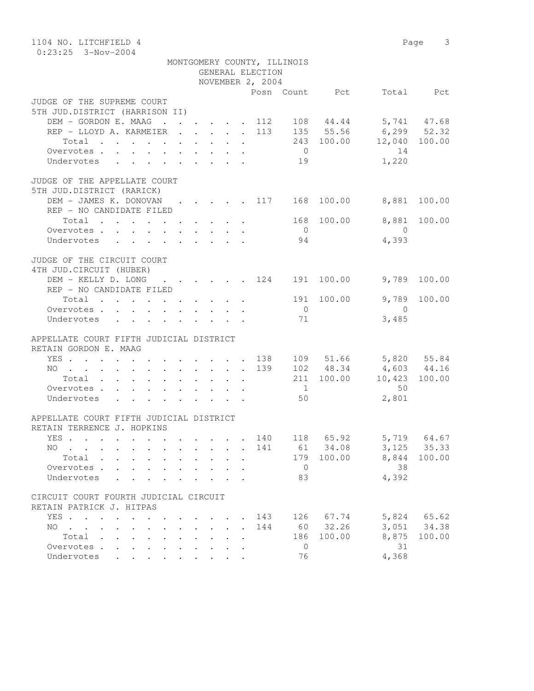| 1104 NO. LITCHFIELD 4<br>$0:23:25$ 3-Nov-2004                              |                                              |  |                      |  |                      |                  |                |                |                                                   | Page 3    |  |  |  |
|----------------------------------------------------------------------------|----------------------------------------------|--|----------------------|--|----------------------|------------------|----------------|----------------|---------------------------------------------------|-----------|--|--|--|
| MONTGOMERY COUNTY, ILLINOIS                                                |                                              |  |                      |  |                      |                  |                |                |                                                   |           |  |  |  |
| GENERAL ELECTION                                                           |                                              |  |                      |  |                      |                  |                |                |                                                   |           |  |  |  |
|                                                                            |                                              |  |                      |  |                      | NOVEMBER 2, 2004 |                |                |                                                   |           |  |  |  |
|                                                                            |                                              |  |                      |  |                      |                  |                | Posn Count Pct |                                                   | Total Pct |  |  |  |
| JUDGE OF THE SUPREME COURT                                                 |                                              |  |                      |  |                      |                  |                |                |                                                   |           |  |  |  |
| 5TH JUD.DISTRICT (HARRISON II)                                             |                                              |  |                      |  |                      |                  |                |                |                                                   |           |  |  |  |
| DEM - GORDON E. MAAG 112 108 44.44 5,741 47.68                             |                                              |  |                      |  |                      |                  |                |                |                                                   |           |  |  |  |
| REP - LLOYD A. KARMEIER 113 135 55.56 6,299 52.32                          |                                              |  |                      |  |                      |                  |                |                |                                                   |           |  |  |  |
| Total $\cdot$                                                              |                                              |  |                      |  |                      |                  |                |                | 243 100.00 12,040 100.00                          |           |  |  |  |
| Overvotes                                                                  |                                              |  |                      |  |                      |                  | $\overline{0}$ |                | 14                                                |           |  |  |  |
| Undervotes 19                                                              |                                              |  |                      |  |                      |                  |                |                | 1,220                                             |           |  |  |  |
| JUDGE OF THE APPELLATE COURT                                               |                                              |  |                      |  |                      |                  |                |                |                                                   |           |  |  |  |
| 5TH JUD.DISTRICT (RARICK)                                                  |                                              |  |                      |  |                      |                  |                |                |                                                   |           |  |  |  |
| DEM - JAMES K. DONOVAN                                                     |                                              |  |                      |  |                      |                  |                |                | $\cdot$ 117 168 100.00 8,881 100.00               |           |  |  |  |
| REP - NO CANDIDATE FILED                                                   |                                              |  |                      |  |                      |                  |                |                |                                                   |           |  |  |  |
| Total                                                                      |                                              |  |                      |  |                      |                  |                | 168 100.00     | 8,881                                             | 100.00    |  |  |  |
| Overvotes.                                                                 |                                              |  |                      |  |                      |                  | $\overline{0}$ |                | $\overline{0}$                                    |           |  |  |  |
| Undervotes                                                                 |                                              |  |                      |  |                      |                  | 94             |                | 4,393                                             |           |  |  |  |
| JUDGE OF THE CIRCUIT COURT                                                 |                                              |  |                      |  |                      |                  |                |                |                                                   |           |  |  |  |
| 4TH JUD. CIRCUIT (HUBER)                                                   |                                              |  |                      |  |                      |                  |                |                |                                                   |           |  |  |  |
| DEM - KELLY D. LONG 124 191 100.00                                         |                                              |  |                      |  |                      |                  |                |                | 9,789                                             | 100.00    |  |  |  |
| REP - NO CANDIDATE FILED                                                   |                                              |  |                      |  |                      |                  |                |                |                                                   |           |  |  |  |
| Total                                                                      |                                              |  |                      |  |                      |                  |                | 191 100.00     | 9,789                                             | 100.00    |  |  |  |
| Overvotes.                                                                 |                                              |  |                      |  |                      |                  | $\overline{0}$ |                | $\bigcirc$                                        |           |  |  |  |
| Undervotes                                                                 |                                              |  |                      |  |                      |                  | 71             |                | 3,485                                             |           |  |  |  |
| APPELLATE COURT FIFTH JUDICIAL DISTRICT                                    |                                              |  |                      |  |                      |                  |                |                |                                                   |           |  |  |  |
| RETAIN GORDON E. MAAG                                                      |                                              |  |                      |  |                      |                  |                |                |                                                   |           |  |  |  |
| YES 138                                                                    |                                              |  |                      |  |                      |                  |                |                | 109 51.66 5,820 55.84                             |           |  |  |  |
| NO 139                                                                     |                                              |  |                      |  |                      |                  |                |                |                                                   |           |  |  |  |
| Total                                                                      |                                              |  |                      |  |                      |                  |                |                | 102 48.34 4,603 44.16<br>211 100.00 10,423 100.00 |           |  |  |  |
| Overvotes                                                                  |                                              |  |                      |  |                      |                  | $\overline{1}$ |                | 50                                                |           |  |  |  |
| Undervotes                                                                 |                                              |  |                      |  |                      |                  | 50             |                | 2,801                                             |           |  |  |  |
|                                                                            |                                              |  |                      |  |                      |                  |                |                |                                                   |           |  |  |  |
| APPELLATE COURT FIFTH JUDICIAL DISTRICT<br>RETAIN TERRENCE J. HOPKINS      |                                              |  |                      |  |                      |                  |                |                |                                                   |           |  |  |  |
| YES                                                                        |                                              |  |                      |  |                      | 140              | 118            | 65.92          | 5,719                                             | 64.67     |  |  |  |
| NO.<br><b>Contract</b>                                                     |                                              |  |                      |  | $\ddot{\phantom{a}}$ | 141              | 61             | 34.08          | 3,125                                             | 35.33     |  |  |  |
| Total .                                                                    |                                              |  |                      |  |                      |                  | 179            | 100.00         | 8,844                                             | 100.00    |  |  |  |
| Overvotes .<br>$\mathbf{L}$                                                |                                              |  |                      |  |                      |                  | $\overline{0}$ |                | 38                                                |           |  |  |  |
| Undervotes                                                                 |                                              |  |                      |  |                      |                  | 83             |                | 4,392                                             |           |  |  |  |
|                                                                            |                                              |  |                      |  |                      |                  |                |                |                                                   |           |  |  |  |
| CIRCUIT COURT FOURTH JUDICIAL CIRCUIT                                      |                                              |  |                      |  |                      |                  |                |                |                                                   |           |  |  |  |
| RETAIN PATRICK J. HITPAS                                                   |                                              |  |                      |  |                      |                  |                |                |                                                   |           |  |  |  |
| YES<br>$\mathbf{r}$ , $\mathbf{r}$ , $\mathbf{r}$<br>$\ddot{\phantom{0}}$  |                                              |  |                      |  | $\ddot{\phantom{a}}$ | 143              | 126            | 67.74          | 5,824                                             | 65.62     |  |  |  |
| NO.<br>$\mathbf{r}$ , $\mathbf{r}$ , $\mathbf{r}$ , $\mathbf{r}$<br>$\sim$ |                                              |  | $\ddot{\phantom{0}}$ |  | $\ddot{\phantom{a}}$ | 144              | 60             | 32.26          | 3,051                                             | 34.38     |  |  |  |
| Total<br>$\sim$<br>$\ddot{\phantom{a}}$                                    | $\ddot{\phantom{a}}$<br>$\ddot{\phantom{0}}$ |  |                      |  |                      |                  | 186            | 100.00         | 8,875                                             | 100.00    |  |  |  |
| Overvotes .<br>$\ddot{\phantom{a}}$<br>$\ddot{\phantom{a}}$                |                                              |  |                      |  |                      |                  | $\overline{0}$ |                | 31                                                |           |  |  |  |
| Undervotes                                                                 |                                              |  |                      |  |                      |                  | 76             |                | 4,368                                             |           |  |  |  |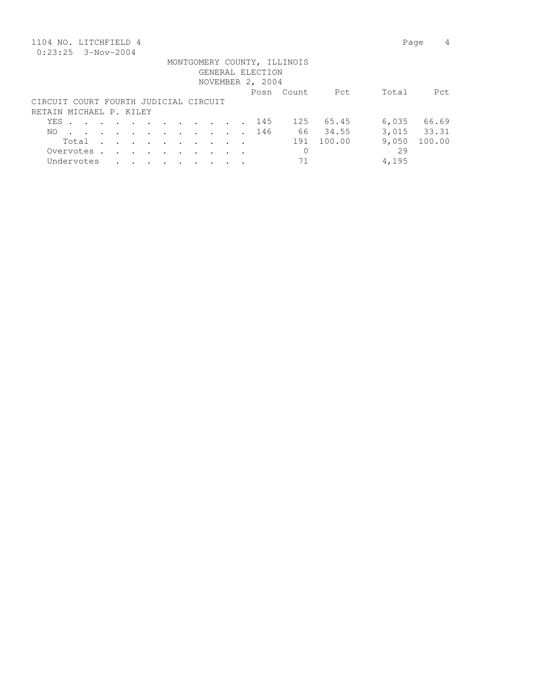| 1104 NO. LITCHFIELD 4                 |       |                                                                       |                      |                         |        |         |                      |        |  |                  |                             |        |       | 4<br>Page   |
|---------------------------------------|-------|-----------------------------------------------------------------------|----------------------|-------------------------|--------|---------|----------------------|--------|--|------------------|-----------------------------|--------|-------|-------------|
| $0:23:25$ 3-Nov-2004                  |       |                                                                       |                      |                         |        |         |                      |        |  |                  |                             |        |       |             |
|                                       |       |                                                                       |                      |                         |        |         |                      |        |  |                  | MONTGOMERY COUNTY, ILLINOIS |        |       |             |
|                                       |       |                                                                       |                      |                         |        |         |                      |        |  | GENERAL ELECTION |                             |        |       |             |
|                                       |       |                                                                       |                      |                         |        |         |                      |        |  | NOVEMBER 2, 2004 |                             |        |       |             |
|                                       |       |                                                                       |                      |                         |        |         |                      |        |  |                  | Posn Count                  | Pct    | Total | Pct         |
| CIRCUIT COURT FOURTH JUDICIAL CIRCUIT |       |                                                                       |                      |                         |        |         |                      |        |  |                  |                             |        |       |             |
| RETAIN MICHAEL P. KILEY               |       |                                                                       |                      |                         |        |         |                      |        |  |                  |                             |        |       |             |
|                                       | YES . | $\mathbf{r}$ , and $\mathbf{r}$ , and $\mathbf{r}$ , and $\mathbf{r}$ |                      |                         |        |         |                      |        |  | 145              | 125                         | 65.45  | 6,035 | 66.69       |
| NO.                                   |       |                                                                       |                      |                         |        |         |                      |        |  | 146              | 66 —                        | 34.55  |       | 3,015 33.31 |
|                                       |       | Total                                                                 | $\ddot{\phantom{a}}$ | $\cdot$ $\cdot$ $\cdot$ |        | $\sim$  | $\bullet$            | $\sim$ |  |                  | 191                         | 100.00 | 9,050 | 100.00      |
|                                       |       | Overvotes .                                                           | $\ddot{\phantom{a}}$ | $\cdot$                 | $\sim$ | $\cdot$ | $\ddot{\phantom{a}}$ |        |  |                  | $\mathbf 0$                 |        | 29    |             |
|                                       |       | Undervotes                                                            |                      |                         | $\sim$ | $\sim$  |                      |        |  |                  | 71                          |        | 4,195 |             |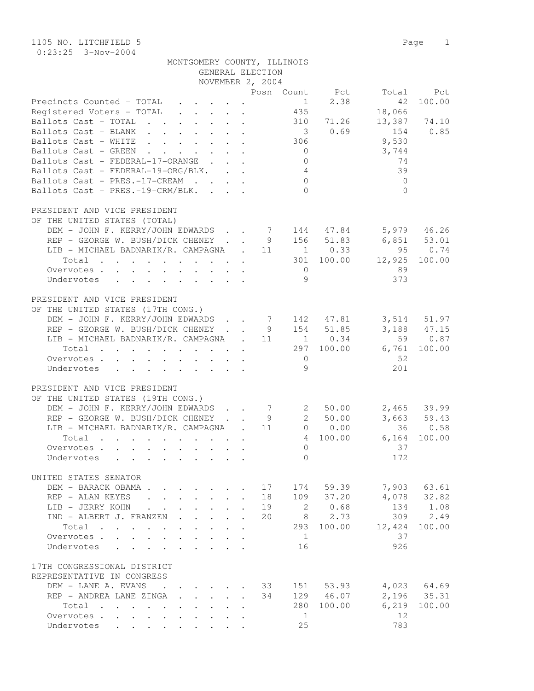1105 NO. LITCHFIELD 5 Page 1 0:23:25 3-Nov-2004

| MONTGOMERY COUNTY, ILLINOIS |                  |  |
|-----------------------------|------------------|--|
|                             | GENERAL ELECTION |  |

|                                                                                              |                                                 |                           |                           |                      | ADMERAT DARAITAM<br>NOVEMBER 2, 2004 |                                  |                                                                                       |                 |                 |
|----------------------------------------------------------------------------------------------|-------------------------------------------------|---------------------------|---------------------------|----------------------|--------------------------------------|----------------------------------|---------------------------------------------------------------------------------------|-----------------|-----------------|
|                                                                                              |                                                 |                           |                           |                      |                                      |                                  | Posn Count Pct                                                                        |                 | Pct             |
| Precincts Counted - TOTAL                                                                    |                                                 |                           |                           |                      |                                      | 1                                | 2.38                                                                                  | Total<br>42     | 100.00          |
|                                                                                              |                                                 |                           |                           |                      |                                      | 435                              |                                                                                       |                 |                 |
| Registered Voters - TOTAL                                                                    |                                                 |                           |                           |                      |                                      |                                  | 310 71.26                                                                             | 18,066          | 13,387 74.10    |
| Ballots Cast - TOTAL                                                                         |                                                 |                           |                           |                      |                                      |                                  | 30.69                                                                                 |                 | 154 0.85        |
| Ballots Cast - BLANK                                                                         |                                                 |                           |                           |                      |                                      |                                  |                                                                                       |                 |                 |
| Ballots Cast - WHITE                                                                         |                                                 |                           |                           |                      |                                      | 306<br>$\overline{0}$            |                                                                                       | 9,530           |                 |
| Ballots Cast - GREEN<br>Ballots Cast - FEDERAL-17-ORANGE .                                   | $\cdot$ $\cdot$ $\cdot$ $\cdot$ $\cdot$ $\cdot$ |                           |                           |                      |                                      |                                  |                                                                                       | 3,744<br>74     |                 |
|                                                                                              |                                                 |                           |                           |                      |                                      | $\circ$                          |                                                                                       |                 |                 |
| Ballots Cast - FEDERAL-19-ORG/BLK.<br>Ballots Cast - PRES.-17-CREAM                          |                                                 |                           |                           |                      |                                      | $\overline{4}$<br>$\overline{0}$ |                                                                                       | 39              |                 |
| Ballots Cast - PRES.-19-CRM/BLK.                                                             |                                                 |                           |                           |                      |                                      | $\bigcap$                        |                                                                                       | $\mathbf{0}$    |                 |
|                                                                                              |                                                 |                           |                           |                      |                                      |                                  |                                                                                       | $\Omega$        |                 |
|                                                                                              |                                                 |                           |                           |                      |                                      |                                  |                                                                                       |                 |                 |
| PRESIDENT AND VICE PRESIDENT                                                                 |                                                 |                           |                           |                      |                                      |                                  |                                                                                       |                 |                 |
| OF THE UNITED STATES (TOTAL)                                                                 |                                                 |                           |                           |                      |                                      |                                  |                                                                                       |                 |                 |
| DEM - JOHN F. KERRY/JOHN EDWARDS 7 144 47.84                                                 |                                                 |                           |                           |                      |                                      |                                  |                                                                                       |                 | 5,979 46.26     |
| REP - GEORGE W. BUSH/DICK CHENEY                                                             |                                                 |                           |                           |                      | 9                                    |                                  | 156 51.83                                                                             | $6,851$ $53.01$ |                 |
| LIB - MICHAEL BADNARIK/R. CAMPAGNA $\cdot$ 11 1 0.33                                         |                                                 |                           |                           |                      |                                      |                                  |                                                                                       |                 | 95 0.74         |
| Total                                                                                        |                                                 |                           |                           |                      |                                      |                                  | 301 100.00                                                                            | 12,925          | 100.00          |
| Overvotes.                                                                                   |                                                 |                           |                           |                      |                                      | $\overline{0}$                   |                                                                                       | 89              |                 |
| Undervotes                                                                                   |                                                 |                           |                           |                      |                                      | 9                                |                                                                                       | 373             |                 |
|                                                                                              |                                                 |                           |                           |                      |                                      |                                  |                                                                                       |                 |                 |
| PRESIDENT AND VICE PRESIDENT                                                                 |                                                 |                           |                           |                      |                                      |                                  |                                                                                       |                 |                 |
| OF THE UNITED STATES (17TH CONG.)                                                            |                                                 |                           |                           |                      |                                      |                                  |                                                                                       |                 |                 |
| DEM - JOHN F. KERRY/JOHN EDWARDS                                                             |                                                 |                           |                           |                      |                                      |                                  | $\begin{array}{cccc} 7 & 142 & 47.81 \\ 9 & 154 & 51.85 \\ 11 & 1 & 0.34 \end{array}$ |                 | $3,514$ $51.97$ |
| REP - GEORGE W. BUSH/DICK CHENEY                                                             |                                                 |                           |                           |                      |                                      |                                  |                                                                                       |                 | $3,188$ 47.15   |
| LIB - MICHAEL BADNARIK/R. CAMPAGNA . 11 1 0.34                                               |                                                 |                           |                           |                      |                                      |                                  |                                                                                       | 59              | 0.87            |
| $Total$ , , , , , , , , ,                                                                    |                                                 |                           |                           | $\sim$               |                                      |                                  | 297 100.00                                                                            | 6,761           | 100.00          |
| Overvotes.                                                                                   |                                                 |                           |                           |                      |                                      | $\overline{0}$                   |                                                                                       | 52              |                 |
| Undervotes                                                                                   |                                                 |                           |                           |                      |                                      | 9                                |                                                                                       | 201             |                 |
|                                                                                              |                                                 |                           |                           |                      |                                      |                                  |                                                                                       |                 |                 |
| PRESIDENT AND VICE PRESIDENT                                                                 |                                                 |                           |                           |                      |                                      |                                  |                                                                                       |                 |                 |
| OF THE UNITED STATES (19TH CONG.)                                                            |                                                 |                           |                           |                      |                                      |                                  |                                                                                       |                 |                 |
| DEM - JOHN F. KERRY/JOHN EDWARDS                                                             |                                                 |                           |                           |                      | $\begin{array}{c}\n7\n\end{array}$   | $\mathbf{2}$                     | 50.00                                                                                 |                 | $2,465$ 39.99   |
| REP - GEORGE W. BUSH/DICK CHENEY                                                             |                                                 |                           |                           |                      | 9                                    |                                  | 2 50.00                                                                               |                 | $3,663$ $59.43$ |
| LIB - MICHAEL BADNARIK/R. CAMPAGNA .                                                         |                                                 |                           |                           |                      | 11                                   |                                  | $0 \t 0.00$                                                                           |                 | 36 0.58         |
| Total                                                                                        |                                                 |                           |                           |                      |                                      | $4\phantom{0}$                   | 100.00                                                                                | 6,164           | 100.00          |
| Overvotes.                                                                                   |                                                 |                           |                           |                      |                                      | $\Omega$                         |                                                                                       | 37              |                 |
| Undervotes                                                                                   |                                                 |                           |                           |                      |                                      | $\Omega$                         |                                                                                       | 172             |                 |
|                                                                                              |                                                 |                           |                           |                      |                                      |                                  |                                                                                       |                 |                 |
| UNITED STATES SENATOR                                                                        |                                                 |                           |                           |                      |                                      |                                  |                                                                                       |                 |                 |
| DEM - BARACK OBAMA.                                                                          |                                                 |                           |                           |                      | 17                                   |                                  | 174 59.39                                                                             | 7,903           | 63.61           |
| REP - ALAN KEYES<br>$\mathbf{r}$ , $\mathbf{r}$ , $\mathbf{r}$ , $\mathbf{r}$ , $\mathbf{r}$ |                                                 |                           | $\sim$                    | $\ddot{\phantom{a}}$ | 18                                   | 109                              | 37.20                                                                                 | 4,078           | 32.82           |
| LIB - JERRY KOHN<br>$\ddot{\phantom{a}}$                                                     | $\mathbf{L}$                                    |                           | $\ddot{\phantom{0}}$      |                      | 19                                   | 2                                | 0.68                                                                                  | 134             | 1.08            |
| IND - ALBERT J. FRANZEN                                                                      | $\mathbf{L}^{\text{max}}$                       |                           | $\mathbf{L}$              |                      | 20                                   | 8                                | 2.73                                                                                  | 309             | 2.49            |
| Total                                                                                        | $\ddot{\phantom{0}}$                            |                           |                           |                      |                                      |                                  | 293 100.00                                                                            | 12,424          | 100.00          |
| Overvotes<br>$\mathbf{L}$                                                                    | $\mathbf{L}$                                    | $\ddot{\phantom{0}}$      | $\ddot{\phantom{0}}$      |                      |                                      | $\mathbf{1}$                     |                                                                                       | 37              |                 |
| Undervotes<br>$\mathbf{r}$ , $\mathbf{r}$ , $\mathbf{r}$ , $\mathbf{r}$                      | $\mathbf{r}$                                    | $\mathbf{L} = \mathbf{L}$ |                           |                      |                                      | 16                               |                                                                                       | 926             |                 |
|                                                                                              |                                                 |                           |                           |                      |                                      |                                  |                                                                                       |                 |                 |
| 17TH CONGRESSIONAL DISTRICT                                                                  |                                                 |                           |                           |                      |                                      |                                  |                                                                                       |                 |                 |
| REPRESENTATIVE IN CONGRESS                                                                   |                                                 |                           |                           |                      |                                      |                                  |                                                                                       |                 |                 |
| DEM - LANE A. EVANS<br>$\ddot{\phantom{0}}$                                                  |                                                 |                           |                           |                      | 33                                   |                                  | 151 53.93                                                                             | 4,023           | 64.69           |
| REP - ANDREA LANE ZINGA                                                                      | $\mathbf{L}^{\text{max}}$                       |                           | $\mathbf{L} = \mathbf{L}$ |                      | 34                                   |                                  | 129 46.07                                                                             | 2,196           | 35.31           |
| Total<br>$\mathbf{r}$ , $\mathbf{r}$ , $\mathbf{r}$ , $\mathbf{r}$ , $\mathbf{r}$            | $\ddot{\phantom{0}}$                            |                           |                           |                      |                                      |                                  | 280 100.00                                                                            | 6,219           | 100.00          |
| Overvotes<br>$\mathbf{L}$                                                                    | $\mathbf{L}$                                    |                           |                           |                      |                                      | $\mathbf{1}$                     |                                                                                       | 12              |                 |
| Undervotes                                                                                   |                                                 |                           |                           |                      |                                      | 25                               |                                                                                       | 783             |                 |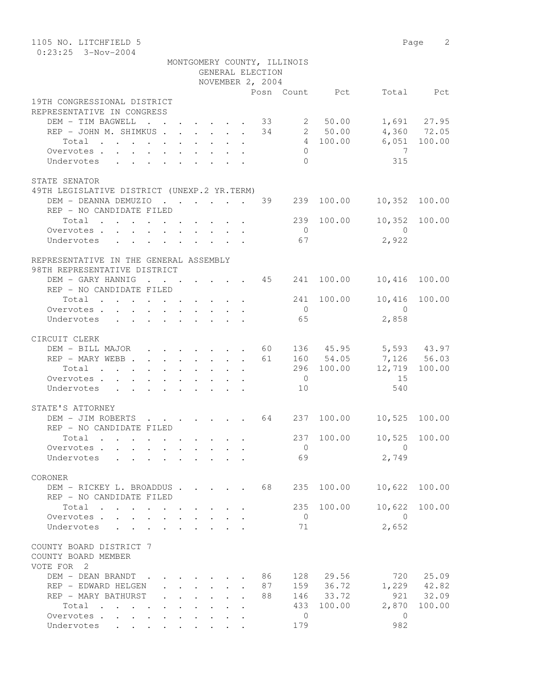| 1105 NO. LITCHFIELD 5                                                                |                      |                                        |                                         |                  |    |                             |                    |                         | Page 2                       |
|--------------------------------------------------------------------------------------|----------------------|----------------------------------------|-----------------------------------------|------------------|----|-----------------------------|--------------------|-------------------------|------------------------------|
| $0:23:25$ 3-Nov-2004                                                                 |                      |                                        |                                         |                  |    |                             |                    |                         |                              |
|                                                                                      |                      |                                        |                                         |                  |    | MONTGOMERY COUNTY, ILLINOIS |                    |                         |                              |
|                                                                                      |                      |                                        |                                         | GENERAL ELECTION |    |                             |                    |                         |                              |
|                                                                                      |                      |                                        |                                         | NOVEMBER 2, 2004 |    |                             |                    |                         |                              |
|                                                                                      |                      |                                        |                                         |                  |    |                             | Posn Count Pct     |                         | Total Pct                    |
| 19TH CONGRESSIONAL DISTRICT                                                          |                      |                                        |                                         |                  |    |                             |                    |                         |                              |
| REPRESENTATIVE IN CONGRESS                                                           |                      |                                        |                                         |                  |    |                             |                    |                         |                              |
| DEM - TIM BAGWELL                                                                    |                      |                                        |                                         |                  |    |                             | $\cdot$ 33 2 50.00 |                         | 1,691 27.95<br>$4,360$ 72.05 |
| REP - JOHN M. SHIMKUS                                                                |                      |                                        |                                         |                  |    |                             | 34 2 50.00         |                         | $6,051$ 100.00               |
| Total                                                                                |                      |                                        |                                         |                  |    | $\Omega$                    | 4 100.00           |                         |                              |
| Overvotes.                                                                           |                      |                                        |                                         |                  |    | $\Omega$                    |                    | 7<br>315                |                              |
| Undervotes                                                                           |                      |                                        |                                         |                  |    |                             |                    |                         |                              |
| STATE SENATOR                                                                        |                      |                                        |                                         |                  |    |                             |                    |                         |                              |
| 49TH LEGISLATIVE DISTRICT (UNEXP.2 YR.TERM)                                          |                      |                                        |                                         |                  |    |                             |                    |                         |                              |
| DEM - DEANNA DEMUZIO 39                                                              |                      |                                        |                                         |                  |    | 239                         | 100.00             | 10,352 100.00           |                              |
| REP - NO CANDIDATE FILED                                                             |                      |                                        |                                         |                  |    |                             |                    |                         |                              |
| Total                                                                                |                      |                                        |                                         |                  |    |                             | 239 100.00         | 10,352 100.00           |                              |
| Overvotes.                                                                           |                      |                                        |                                         |                  |    | $\overline{0}$              |                    | $\overline{0}$          |                              |
| Undervotes                                                                           |                      |                                        |                                         |                  |    | 67                          |                    | 2,922                   |                              |
|                                                                                      |                      |                                        |                                         |                  |    |                             |                    |                         |                              |
| REPRESENTATIVE IN THE GENERAL ASSEMBLY                                               |                      |                                        |                                         |                  |    |                             |                    |                         |                              |
| 98TH REPRESENTATIVE DISTRICT                                                         |                      |                                        |                                         |                  |    |                             |                    |                         |                              |
| DEM - GARY HANNIG                                                                    |                      |                                        |                                         |                  | 45 | 241                         | 100.00             | 10,416                  | 100.00                       |
| REP - NO CANDIDATE FILED                                                             |                      |                                        |                                         |                  |    |                             |                    |                         |                              |
| Total                                                                                |                      |                                        |                                         |                  |    |                             | 241 100.00         | 10,416                  | 100.00                       |
| Overvotes.                                                                           |                      |                                        |                                         |                  |    | $\overline{0}$              |                    | $\overline{0}$          |                              |
| Undervotes                                                                           |                      |                                        |                                         |                  |    | 65                          |                    | 2,858                   |                              |
|                                                                                      |                      |                                        |                                         |                  |    |                             |                    |                         |                              |
| CIRCUIT CLERK                                                                        |                      |                                        |                                         |                  |    |                             |                    |                         |                              |
| DEM - BILL MAJOR                                                                     |                      |                                        |                                         | $\cdot$ 60       |    |                             |                    | 136 45.95 5,593 43.97   |                              |
| REP - MARY WEBB 61                                                                   |                      |                                        |                                         |                  |    |                             | 160 54.05          | 7,126 56.03             |                              |
| Total                                                                                |                      |                                        |                                         |                  |    |                             | 296 100.00         | 12,719                  | 100.00                       |
| Overvotes                                                                            |                      |                                        |                                         |                  |    | $\overline{0}$              |                    | 15                      |                              |
| Undervotes                                                                           |                      |                                        |                                         |                  |    | 10                          |                    | 540                     |                              |
|                                                                                      |                      |                                        |                                         |                  |    |                             |                    |                         |                              |
| STATE'S ATTORNEY                                                                     |                      |                                        |                                         |                  |    |                             |                    |                         |                              |
| DEM - JIM ROBERTS 64 237                                                             |                      |                                        |                                         |                  |    |                             |                    | 100.00 10,525 100.00    |                              |
| REP - NO CANDIDATE FILED                                                             |                      |                                        |                                         |                  |    |                             |                    |                         |                              |
| Total                                                                                |                      |                                        |                                         |                  |    | 237                         | 100.00             | 10,525                  | 100.00                       |
| Overvotes                                                                            |                      |                                        |                                         |                  |    | $\overline{0}$              |                    | $\bigcirc$              |                              |
| Undervotes .                                                                         |                      |                                        |                                         |                  |    | 69                          |                    | 2,749                   |                              |
|                                                                                      |                      |                                        |                                         |                  |    |                             |                    |                         |                              |
| CORONER                                                                              |                      |                                        |                                         |                  |    |                             |                    |                         |                              |
| DEM - RICKEY L. BROADDUS<br>REP - NO CANDIDATE FILED                                 |                      |                                        |                                         |                  | 68 | 235                         | 100.00             | 10,622                  | 100.00                       |
|                                                                                      |                      |                                        |                                         |                  |    |                             |                    |                         |                              |
| Total $\cdots$                                                                       |                      |                                        |                                         |                  |    | 235                         | 100.00             | 10,622                  | 100.00                       |
| Overvotes<br>Undervotes                                                              | $\ddot{\phantom{0}}$ |                                        | $\cdot$ $\cdot$ $\cdot$ $\cdot$ $\cdot$ |                  |    | $\overline{0}$<br>71        |                    | $\overline{0}$<br>2,652 |                              |
|                                                                                      | $\sim$               |                                        | $\cdot$ $\cdot$ $\cdot$ $\cdot$         |                  |    |                             |                    |                         |                              |
| COUNTY BOARD DISTRICT 7                                                              |                      |                                        |                                         |                  |    |                             |                    |                         |                              |
| COUNTY BOARD MEMBER                                                                  |                      |                                        |                                         |                  |    |                             |                    |                         |                              |
| VOTE FOR 2                                                                           |                      |                                        |                                         |                  |    |                             |                    |                         |                              |
| DEM - DEAN BRANDT                                                                    |                      |                                        |                                         |                  | 86 | 128                         | 29.56              | 720                     | 25.09                        |
| REP - EDWARD HELGEN                                                                  |                      | $\mathbf{r} = \mathbf{r} + \mathbf{r}$ |                                         |                  | 87 |                             | 159 36.72          |                         | 1,229 42.82                  |
| REP - MARY BATHURST                                                                  |                      | $\mathbf{L} = \mathbf{L} \mathbf{L}$   | $\mathbf{L}$                            |                  | 88 | 146                         | 33.72              | 921                     | 32.09                        |
| Total<br>$\mathcal{A}=\mathcal{A}=\mathcal{A}=\mathcal{A}=\mathcal{A}=\mathcal{A}$ . |                      | $\mathbf{r}$ , and $\mathbf{r}$        | $\ddot{\phantom{0}}$                    |                  |    | 433                         | 100.00             | 2,870                   | 100.00                       |
| Overvotes                                                                            |                      |                                        |                                         |                  |    | 0                           |                    | 0                       |                              |
| Undervotes                                                                           |                      |                                        |                                         |                  |    | 179                         |                    | 982                     |                              |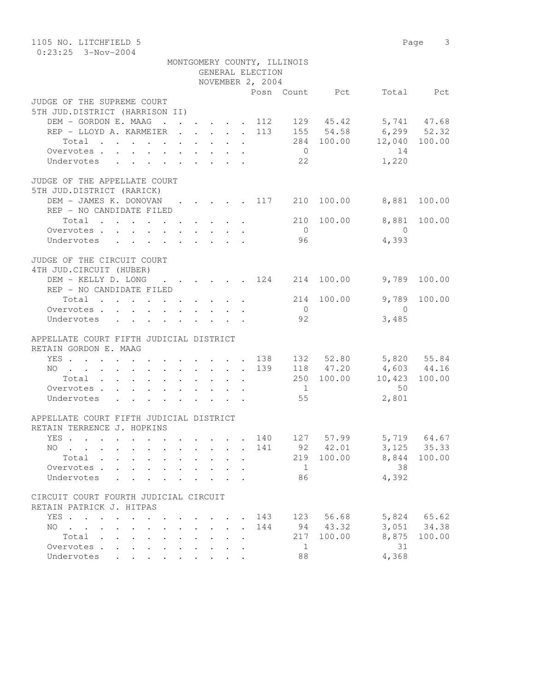| 1105 NO. LITCHFIELD 5<br>$0:23:25$ 3-Nov-2004                                                     |                      |  |                      |  |                      |                  |                |                |                                     | Page 3    |  |  |  |
|---------------------------------------------------------------------------------------------------|----------------------|--|----------------------|--|----------------------|------------------|----------------|----------------|-------------------------------------|-----------|--|--|--|
| MONTGOMERY COUNTY, ILLINOIS                                                                       |                      |  |                      |  |                      |                  |                |                |                                     |           |  |  |  |
| GENERAL ELECTION                                                                                  |                      |  |                      |  |                      |                  |                |                |                                     |           |  |  |  |
|                                                                                                   |                      |  |                      |  |                      | NOVEMBER 2, 2004 |                |                |                                     |           |  |  |  |
|                                                                                                   |                      |  |                      |  |                      |                  |                | Posn Count Pct |                                     | Total Pct |  |  |  |
| JUDGE OF THE SUPREME COURT                                                                        |                      |  |                      |  |                      |                  |                |                |                                     |           |  |  |  |
| 5TH JUD.DISTRICT (HARRISON II)                                                                    |                      |  |                      |  |                      |                  |                |                |                                     |           |  |  |  |
| DEM - GORDON E. MAAG 112 129 45.42 5,741 47.68                                                    |                      |  |                      |  |                      |                  |                |                |                                     |           |  |  |  |
| REP - LLOYD A. KARMEIER 113                                                                       |                      |  |                      |  |                      |                  |                |                | 155 54.58 6,299 52.32               |           |  |  |  |
| Total $\cdot$                                                                                     |                      |  |                      |  |                      |                  |                |                | 284 100.00 12,040 100.00            |           |  |  |  |
| Overvotes                                                                                         |                      |  |                      |  |                      |                  | $\overline{0}$ |                | 14                                  |           |  |  |  |
| Undervotes                                                                                        |                      |  |                      |  |                      |                  | 22             |                | 1,220                               |           |  |  |  |
| JUDGE OF THE APPELLATE COURT                                                                      |                      |  |                      |  |                      |                  |                |                |                                     |           |  |  |  |
| 5TH JUD.DISTRICT (RARICK)                                                                         |                      |  |                      |  |                      |                  |                |                |                                     |           |  |  |  |
| DEM - JAMES K. DONOVAN                                                                            |                      |  |                      |  |                      |                  |                |                | $\cdot$ 117 210 100.00 8,881 100.00 |           |  |  |  |
| REP - NO CANDIDATE FILED                                                                          |                      |  |                      |  |                      |                  |                |                |                                     |           |  |  |  |
| Total                                                                                             |                      |  |                      |  |                      |                  |                | 210 100.00     | 8,881                               | 100.00    |  |  |  |
| Overvotes.                                                                                        |                      |  |                      |  |                      |                  | $\overline{0}$ |                | $\overline{0}$                      |           |  |  |  |
| Undervotes                                                                                        |                      |  |                      |  |                      |                  | 96             |                | 4,393                               |           |  |  |  |
|                                                                                                   |                      |  |                      |  |                      |                  |                |                |                                     |           |  |  |  |
| JUDGE OF THE CIRCUIT COURT                                                                        |                      |  |                      |  |                      |                  |                |                |                                     |           |  |  |  |
| 4TH JUD. CIRCUIT (HUBER)                                                                          |                      |  |                      |  |                      |                  |                |                |                                     |           |  |  |  |
| DEM - KELLY D. LONG 124 214 100.00                                                                |                      |  |                      |  |                      |                  |                |                | 9,789                               | 100.00    |  |  |  |
| REP - NO CANDIDATE FILED                                                                          |                      |  |                      |  |                      |                  |                |                |                                     |           |  |  |  |
| $Total \cdot \cdot \cdot \cdot \cdot \cdot \cdot \cdot \cdot$                                     |                      |  |                      |  |                      |                  |                | 214 100.00     | 9,789                               | 100.00    |  |  |  |
| Overvotes.                                                                                        |                      |  |                      |  |                      |                  | $\overline{0}$ |                | $\bigcirc$                          |           |  |  |  |
| Undervotes                                                                                        |                      |  |                      |  |                      |                  | 92             |                | 3,485                               |           |  |  |  |
| APPELLATE COURT FIFTH JUDICIAL DISTRICT                                                           |                      |  |                      |  |                      |                  |                |                |                                     |           |  |  |  |
| RETAIN GORDON E. MAAG                                                                             |                      |  |                      |  |                      |                  |                |                |                                     |           |  |  |  |
| YES 138                                                                                           |                      |  |                      |  |                      |                  |                |                | 132 52.80 5,820 55.84               |           |  |  |  |
| NO 139                                                                                            |                      |  |                      |  |                      |                  |                |                | 118 47.20 4,603 44.16               |           |  |  |  |
| Total                                                                                             |                      |  |                      |  |                      |                  |                |                | 250 100.00 10,423                   | 100.00    |  |  |  |
| Overvotes.                                                                                        |                      |  |                      |  |                      |                  | $\overline{1}$ |                | 50                                  |           |  |  |  |
| Undervotes                                                                                        |                      |  |                      |  |                      |                  | 55             |                | 2,801                               |           |  |  |  |
|                                                                                                   |                      |  |                      |  |                      |                  |                |                |                                     |           |  |  |  |
| APPELLATE COURT FIFTH JUDICIAL DISTRICT<br>RETAIN TERRENCE J. HOPKINS                             |                      |  |                      |  |                      |                  |                |                |                                     |           |  |  |  |
|                                                                                                   |                      |  |                      |  |                      |                  |                | 57.99          | 5,719                               | 64.67     |  |  |  |
| YES<br>NO.                                                                                        |                      |  |                      |  |                      | 140<br>141       | 127<br>92      | 42.01          | 3,125                               | 35.33     |  |  |  |
| $\sim$ $\sim$<br>Total .                                                                          |                      |  |                      |  | $\ddot{\phantom{a}}$ |                  | 219            | 100.00         | 8,844                               | 100.00    |  |  |  |
| Overvotes .<br>$\mathbf{L}$                                                                       |                      |  |                      |  |                      |                  | 1              |                | 38                                  |           |  |  |  |
| Undervotes                                                                                        |                      |  |                      |  |                      |                  | 86             |                | 4,392                               |           |  |  |  |
|                                                                                                   |                      |  |                      |  |                      |                  |                |                |                                     |           |  |  |  |
| CIRCUIT COURT FOURTH JUDICIAL CIRCUIT                                                             |                      |  |                      |  |                      |                  |                |                |                                     |           |  |  |  |
| RETAIN PATRICK J. HITPAS                                                                          |                      |  |                      |  |                      |                  |                |                |                                     |           |  |  |  |
| YES<br>$\mathbf{r}$ , $\mathbf{r}$ , $\mathbf{r}$<br>$\ddot{\phantom{0}}$<br>$\ddot{\phantom{0}}$ |                      |  |                      |  | $\ddot{\phantom{a}}$ | 143              | 123            | 56.68          | 5,824                               | 65.62     |  |  |  |
| NO.<br>$\mathbf{r}$ , $\mathbf{r}$ , $\mathbf{r}$ , $\mathbf{r}$<br>$\ddot{\phantom{0}}$          |                      |  | $\ddot{\phantom{0}}$ |  | $\ddot{\phantom{a}}$ | 144              | 94             | 43.32          | 3,051                               | 34.38     |  |  |  |
| Total<br>$\ddot{\phantom{0}}$<br>$\ddot{\phantom{a}}$<br>$\ddot{\phantom{a}}$                     | $\ddot{\phantom{0}}$ |  |                      |  |                      |                  | 217            | 100.00         | 8,875                               | 100.00    |  |  |  |
| Overvotes .<br>$\ddot{\phantom{a}}$<br>$\ddot{\phantom{a}}$                                       |                      |  |                      |  |                      |                  | 1              |                | 31                                  |           |  |  |  |
| Undervotes                                                                                        |                      |  |                      |  |                      |                  | 88             |                | 4,368                               |           |  |  |  |
|                                                                                                   |                      |  |                      |  |                      |                  |                |                |                                     |           |  |  |  |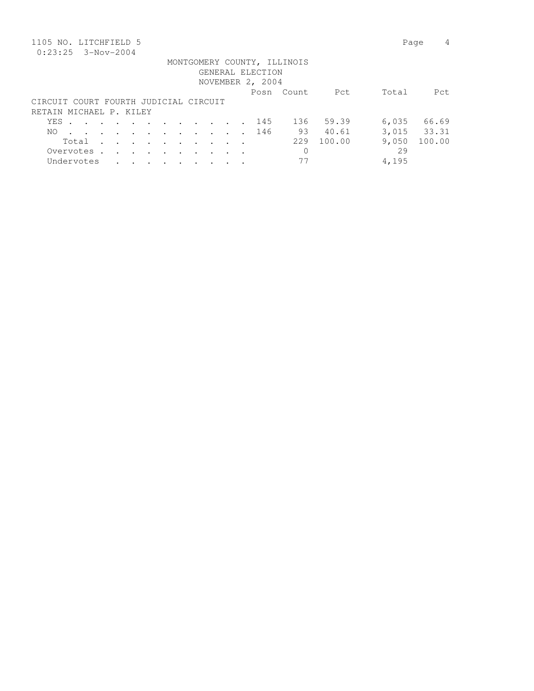| 1105 NO. LITCHFIELD 5                 |       |             |                      |                                                                       |                 |               |                      |  |  |                  |                             |        | Page  | 4           |
|---------------------------------------|-------|-------------|----------------------|-----------------------------------------------------------------------|-----------------|---------------|----------------------|--|--|------------------|-----------------------------|--------|-------|-------------|
| $0:23:25$ 3-Nov-2004                  |       |             |                      |                                                                       |                 |               |                      |  |  |                  |                             |        |       |             |
|                                       |       |             |                      |                                                                       |                 |               |                      |  |  |                  | MONTGOMERY COUNTY, ILLINOIS |        |       |             |
|                                       |       |             |                      |                                                                       |                 |               |                      |  |  | GENERAL ELECTION |                             |        |       |             |
|                                       |       |             |                      |                                                                       |                 |               |                      |  |  | NOVEMBER 2, 2004 |                             |        |       |             |
|                                       |       |             |                      |                                                                       |                 |               |                      |  |  |                  | Posn Count                  | Pct    | Total | Pct         |
| CIRCUIT COURT FOURTH JUDICIAL CIRCUIT |       |             |                      |                                                                       |                 |               |                      |  |  |                  |                             |        |       |             |
| RETAIN MICHAEL P. KILEY               |       |             |                      |                                                                       |                 |               |                      |  |  |                  |                             |        |       |             |
|                                       | YES . |             |                      | $\mathbf{r}$ , and $\mathbf{r}$ , and $\mathbf{r}$ , and $\mathbf{r}$ |                 |               |                      |  |  | 145              | 136                         | 59.39  | 6,035 | 66.69       |
| NO.                                   |       |             |                      |                                                                       |                 |               |                      |  |  | 146              | 93                          | 40.61  |       | 3,015 33.31 |
|                                       |       | Total       | $\ddot{\phantom{a}}$ | $\cdots$                                                              |                 | $\cdot$       | $\bullet$            |  |  |                  | 229                         | 100.00 | 9,050 | 100.00      |
|                                       |       | Overvotes . | $\ddot{\phantom{a}}$ | $\ddot{\phantom{a}}$                                                  | $\sim$          | $\cdot$       | $\ddot{\phantom{a}}$ |  |  |                  | $\mathbf 0$                 |        | 29    |             |
|                                       |       | Undervotes  |                      |                                                                       | $\cdot$ $\cdot$ | $\sim$ $\sim$ |                      |  |  |                  | 77                          |        | 4,195 |             |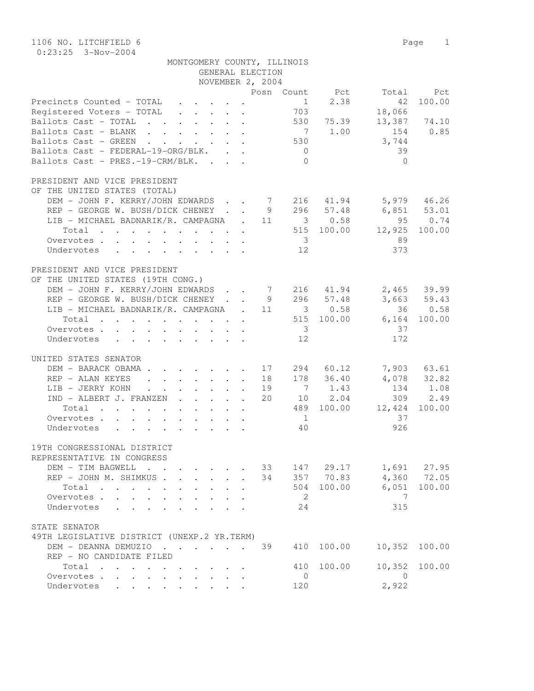1106 NO. LITCHFIELD 6 Page 1 0:23:25 3-Nov-2004

| $0:23:25$ $3-NOV-ZUU4$                                                                                                        |                                     |                         |  |                  |                         |             |                          |               |
|-------------------------------------------------------------------------------------------------------------------------------|-------------------------------------|-------------------------|--|------------------|-------------------------|-------------|--------------------------|---------------|
|                                                                                                                               | MONTGOMERY COUNTY, ILLINOIS         |                         |  |                  |                         |             |                          |               |
|                                                                                                                               |                                     |                         |  | GENERAL ELECTION |                         |             |                          |               |
|                                                                                                                               |                                     |                         |  | NOVEMBER 2, 2004 |                         |             |                          |               |
|                                                                                                                               |                                     |                         |  |                  |                         |             | Posn Count Pct Total Pct |               |
| Precincts Counted - TOTAL                                                                                                     |                                     |                         |  |                  |                         | $1 \t 2.38$ | 42                       | 100.00        |
| Registered Voters - TOTAL                                                                                                     |                                     |                         |  |                  | 703                     |             | 18,066                   |               |
| Ballots Cast - TOTAL 530 75.39                                                                                                |                                     |                         |  |                  |                         |             |                          | 13,387 74.10  |
| Ballots Cast - BLANK                                                                                                          |                                     |                         |  |                  |                         | 7 1.00      | 154 0.85                 |               |
| Ballots Cast - GREEN                                                                                                          |                                     |                         |  |                  | 530                     |             | 3,744                    |               |
| Ballots Cast - FEDERAL-19-ORG/BLK.                                                                                            |                                     |                         |  |                  | $\overline{0}$          |             | 39                       |               |
| Ballots Cast - PRES.-19-CRM/BLK.                                                                                              |                                     |                         |  |                  | $\Omega$                |             | $\Omega$                 |               |
|                                                                                                                               |                                     |                         |  |                  |                         |             |                          |               |
| PRESIDENT AND VICE PRESIDENT                                                                                                  |                                     |                         |  |                  |                         |             |                          |               |
| OF THE UNITED STATES (TOTAL)                                                                                                  |                                     |                         |  |                  |                         |             |                          |               |
| DEM - JOHN F. KERRY/JOHN EDWARDS 7 216 41.94 5,979 46.26                                                                      |                                     |                         |  |                  |                         |             |                          |               |
| REP - GEORGE W. BUSH/DICK CHENEY 9 296 57.48 6,851 53.01                                                                      |                                     |                         |  |                  |                         |             |                          |               |
| LIB - MICHAEL BADNARIK/R. CAMPAGNA . 11 3 0.58                                                                                |                                     |                         |  |                  |                         |             |                          | 95 0.74       |
| Total                                                                                                                         |                                     |                         |  |                  |                         |             | 515 100.00 12,925 100.00 |               |
| Overvotes                                                                                                                     |                                     |                         |  |                  | $\overline{3}$          |             | 89                       |               |
| Undervotes                                                                                                                    |                                     |                         |  |                  | 12                      |             | 373                      |               |
|                                                                                                                               |                                     |                         |  |                  |                         |             |                          |               |
| PRESIDENT AND VICE PRESIDENT<br>OF THE UNITED STATES (19TH CONG.)<br>DEM - JOHN F. KERRY/JOHN EDWARDS 7 216 41.94 2,465 39.99 |                                     |                         |  |                  |                         |             |                          |               |
| REP - GEORGE W. BUSH/DICK CHENEY 9 296 57.48 3,663 59.43                                                                      |                                     |                         |  |                  |                         |             |                          |               |
| LIB - MICHAEL BADNARIK/R. CAMPAGNA . 11 3 0.58                                                                                |                                     |                         |  |                  |                         |             |                          | 36 0.58       |
| Total                                                                                                                         |                                     |                         |  |                  |                         |             | 515 100.00 6,164         | 100.00        |
| Overvotes                                                                                                                     |                                     |                         |  |                  | $\overline{\mathbf{3}}$ |             | 37                       |               |
| Undervotes                                                                                                                    |                                     |                         |  |                  | $12 \overline{ }$       |             | 172                      |               |
| UNITED STATES SENATOR<br>DEM - BARACK OBAMA 17                                                                                |                                     |                         |  |                  |                         | 294 60.12   |                          | 7,903 63.61   |
| REP - ALAN KEYES                                                                                                              | . 18                                |                         |  |                  |                         | 178 36.40   |                          | 4,078 32.82   |
| LIB - JERRY KOHN 19                                                                                                           |                                     |                         |  |                  |                         | 7 1.43      |                          | 134 1.08      |
| IND - ALBERT J. FRANZEN 20                                                                                                    |                                     |                         |  |                  |                         | 10 2.04     |                          | 309 2.49      |
| Total                                                                                                                         |                                     |                         |  |                  |                         |             | 489 100.00 12,424        | 100.00        |
| Overvotes                                                                                                                     |                                     |                         |  |                  | 1                       |             | 37                       |               |
| Undervotes<br>$\mathbf{r}$ , $\mathbf{r}$ , $\mathbf{r}$ , $\mathbf{r}$ , $\mathbf{r}$                                        |                                     |                         |  |                  | 40                      |             | 926                      |               |
|                                                                                                                               |                                     |                         |  |                  |                         |             |                          |               |
| 19TH CONGRESSIONAL DISTRICT<br>REPRESENTATIVE IN CONGRESS                                                                     |                                     |                         |  |                  |                         |             |                          |               |
| DEM - TIM BAGWELL                                                                                                             |                                     |                         |  | 33               |                         | 147 29.17   |                          | 1,691 27.95   |
| REP - JOHN M. SHIMKUS.                                                                                                        |                                     | $\cdot$ $\cdot$ $\cdot$ |  | 34               |                         | 357 70.83   |                          | 4,360 72.05   |
|                                                                                                                               |                                     |                         |  |                  | 504                     | 100.00      | 6,051                    | 100.00        |
| Total                                                                                                                         |                                     |                         |  |                  | 2                       |             | 7                        |               |
| Overvotes<br>$\sim$                                                                                                           |                                     |                         |  |                  |                         |             |                          |               |
| Undervotes                                                                                                                    |                                     |                         |  |                  | 24                      |             | 315                      |               |
| STATE SENATOR<br>49TH LEGISLATIVE DISTRICT (UNEXP.2 YR.TERM)                                                                  |                                     |                         |  |                  |                         |             |                          |               |
| DEM - DEANNA DEMUZIO<br>REP - NO CANDIDATE FILED                                                                              | and the contract of the contract of |                         |  | 39               | 410                     | 100.00      |                          | 10,352 100.00 |

Total . . . . . . . . . . 410 100.00 10,352 100.00

 Overvotes . . . . . . . . . . 0 0 Undervotes . . . . . . . . . 120 2,922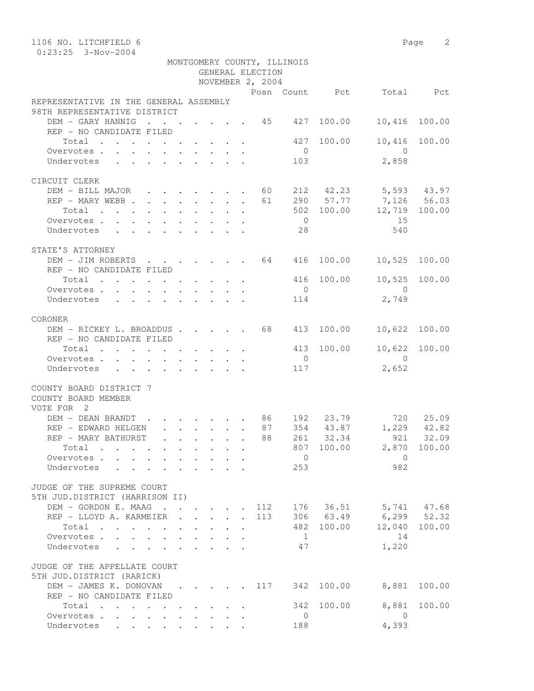| 1106 NO. LITCHFIELD 6                                                                                                            |                                                                                                        |                                         |  |                                                                               |              |                  |                                                |                        |                            | Page 2 |  |  |
|----------------------------------------------------------------------------------------------------------------------------------|--------------------------------------------------------------------------------------------------------|-----------------------------------------|--|-------------------------------------------------------------------------------|--------------|------------------|------------------------------------------------|------------------------|----------------------------|--------|--|--|
| $0:23:25$ 3-Nov-2004                                                                                                             |                                                                                                        |                                         |  |                                                                               |              |                  |                                                |                        |                            |        |  |  |
| MONTGOMERY COUNTY, ILLINOIS<br>GENERAL ELECTION                                                                                  |                                                                                                        |                                         |  |                                                                               |              |                  |                                                |                        |                            |        |  |  |
|                                                                                                                                  |                                                                                                        |                                         |  |                                                                               |              |                  |                                                |                        |                            |        |  |  |
|                                                                                                                                  |                                                                                                        |                                         |  |                                                                               |              | NOVEMBER 2, 2004 |                                                |                        | Posn Count Pct Total       | Pct    |  |  |
| REPRESENTATIVE IN THE GENERAL ASSEMBLY                                                                                           |                                                                                                        |                                         |  |                                                                               |              |                  |                                                |                        |                            |        |  |  |
| 98TH REPRESENTATIVE DISTRICT                                                                                                     |                                                                                                        |                                         |  |                                                                               |              |                  |                                                |                        |                            |        |  |  |
| DEM - GARY HANNIG                                                                                                                | $\cdots$ $\cdots$                                                                                      |                                         |  |                                                                               |              |                  | $\cdot$ $\cdot$ $\cdot$ $\cdot$ $\cdot$ 45 427 | 100.00                 | 10,416                     | 100.00 |  |  |
| REP - NO CANDIDATE FILED                                                                                                         |                                                                                                        |                                         |  |                                                                               |              |                  |                                                |                        |                            |        |  |  |
| Total                                                                                                                            |                                                                                                        |                                         |  |                                                                               |              |                  | 427                                            | 100.00                 | 10,416                     | 100.00 |  |  |
| Overvotes.                                                                                                                       |                                                                                                        |                                         |  |                                                                               |              |                  | $\overline{0}$                                 |                        | $\overline{0}$             |        |  |  |
| Undervotes                                                                                                                       |                                                                                                        |                                         |  |                                                                               |              |                  | 103                                            |                        | 2,858                      |        |  |  |
|                                                                                                                                  |                                                                                                        |                                         |  |                                                                               |              |                  |                                                |                        |                            |        |  |  |
| CIRCUIT CLERK<br>DEM - BILL MAJOR 60                                                                                             |                                                                                                        |                                         |  |                                                                               |              |                  |                                                |                        |                            |        |  |  |
| REP - MARY WEBB                                                                                                                  |                                                                                                        |                                         |  |                                                                               |              | 61               |                                                | 212 42.23<br>290 57.77 | 5,593 43.97<br>7,126 56.03 |        |  |  |
| Total                                                                                                                            |                                                                                                        |                                         |  |                                                                               |              |                  |                                                | 502 100.00             | 12,719 100.00              |        |  |  |
| Overvotes                                                                                                                        |                                                                                                        |                                         |  |                                                                               |              |                  | $\overline{0}$                                 |                        | 15                         |        |  |  |
| Undervotes                                                                                                                       |                                                                                                        |                                         |  |                                                                               |              |                  | 28                                             |                        | 540                        |        |  |  |
|                                                                                                                                  |                                                                                                        |                                         |  |                                                                               |              |                  |                                                |                        |                            |        |  |  |
| STATE'S ATTORNEY                                                                                                                 |                                                                                                        |                                         |  |                                                                               |              |                  |                                                |                        |                            |        |  |  |
| DEM - JIM ROBERTS 64                                                                                                             |                                                                                                        |                                         |  |                                                                               |              |                  | 416                                            | 100.00                 | 10,525                     | 100.00 |  |  |
| REP - NO CANDIDATE FILED                                                                                                         |                                                                                                        |                                         |  |                                                                               |              |                  |                                                |                        |                            |        |  |  |
| Total                                                                                                                            |                                                                                                        |                                         |  |                                                                               |              |                  |                                                | 416 100.00             | 10,525                     | 100.00 |  |  |
| Overvotes.                                                                                                                       |                                                                                                        |                                         |  |                                                                               |              |                  | $\overline{0}$                                 |                        | $\bigcirc$                 |        |  |  |
| Undervotes                                                                                                                       | $\mathbf{r}$ , $\mathbf{r}$ , $\mathbf{r}$ , $\mathbf{r}$ , $\mathbf{r}$ , $\mathbf{r}$ , $\mathbf{r}$ |                                         |  |                                                                               |              |                  | 114                                            |                        | 2,749                      |        |  |  |
| CORONER                                                                                                                          |                                                                                                        |                                         |  |                                                                               |              |                  |                                                |                        |                            |        |  |  |
| DEM - RICKEY L. BROADDUS. 68                                                                                                     |                                                                                                        |                                         |  |                                                                               |              |                  | 413                                            | 100.00                 | 10,622                     | 100.00 |  |  |
| REP - NO CANDIDATE FILED                                                                                                         |                                                                                                        |                                         |  |                                                                               |              |                  |                                                |                        |                            |        |  |  |
| Total                                                                                                                            |                                                                                                        |                                         |  |                                                                               |              |                  | 413                                            | 100.00                 | 10,622                     | 100.00 |  |  |
| Overvotes                                                                                                                        |                                                                                                        |                                         |  |                                                                               |              |                  | $\overline{0}$                                 |                        | $\bigcirc$                 |        |  |  |
| Undervotes                                                                                                                       |                                                                                                        |                                         |  |                                                                               |              |                  | 117                                            |                        | 2,652                      |        |  |  |
|                                                                                                                                  |                                                                                                        |                                         |  |                                                                               |              |                  |                                                |                        |                            |        |  |  |
| COUNTY BOARD DISTRICT 7<br>COUNTY BOARD MEMBER                                                                                   |                                                                                                        |                                         |  |                                                                               |              |                  |                                                |                        |                            |        |  |  |
| VOTE FOR 2                                                                                                                       |                                                                                                        |                                         |  |                                                                               |              |                  |                                                |                        |                            |        |  |  |
| DEM - DEAN BRANDT                                                                                                                | $\cdot$ $\cdot$ $\cdot$ $\cdot$ $\cdot$ $\cdot$ $\cdot$ 86                                             |                                         |  |                                                                               |              |                  |                                                | 192 23.79              | 720                        | 25.09  |  |  |
| REP - EDWARD HELGEN                                                                                                              |                                                                                                        |                                         |  |                                                                               |              | 87               |                                                |                        | 354 43.87 1,229            | 42.82  |  |  |
| REP - MARY BATHURST                                                                                                              |                                                                                                        |                                         |  |                                                                               |              | 88               |                                                | 261 32.34              | 921                        | 32.09  |  |  |
| Total                                                                                                                            |                                                                                                        | $\mathbf{L}^{\text{max}}$               |  | $\cdot$ $\cdot$ $\cdot$ $\cdot$                                               |              |                  |                                                |                        | 807 100.00 2,870 100.00    |        |  |  |
| Overvotes                                                                                                                        |                                                                                                        | $\cdot$ $\cdot$ $\cdot$ $\cdot$ $\cdot$ |  |                                                                               |              |                  | $\overline{0}$                                 |                        | $\overline{0}$             |        |  |  |
| Undervotes .                                                                                                                     |                                                                                                        |                                         |  |                                                                               |              |                  | 253                                            |                        | 982                        |        |  |  |
|                                                                                                                                  |                                                                                                        |                                         |  |                                                                               |              |                  |                                                |                        |                            |        |  |  |
| JUDGE OF THE SUPREME COURT<br>5TH JUD.DISTRICT (HARRISON II)                                                                     |                                                                                                        |                                         |  |                                                                               |              |                  |                                                |                        |                            |        |  |  |
| DEM - GORDON E. MAAG                                                                                                             |                                                                                                        |                                         |  |                                                                               |              | 112              |                                                |                        | 176 36.51 5,741 47.68      |        |  |  |
| REP - LLOYD A. KARMEIER .                                                                                                        |                                                                                                        |                                         |  | $\mathbf{1}$ $\mathbf{1}$ $\mathbf{1}$ $\mathbf{1}$ $\mathbf{1}$ $\mathbf{1}$ | $\mathbf{L}$ | 113              |                                                |                        | 306 63.49 6,299 52.32      |        |  |  |
| Total                                                                                                                            |                                                                                                        |                                         |  |                                                                               |              |                  |                                                | 482 100.00             | 12,040                     | 100.00 |  |  |
| Overvotes                                                                                                                        |                                                                                                        | $\sim$                                  |  |                                                                               |              |                  | $\overline{1}$                                 |                        | 14                         |        |  |  |
| Undervotes                                                                                                                       |                                                                                                        | $\ddot{\phantom{a}}$                    |  |                                                                               |              |                  | 47                                             |                        | 1,220                      |        |  |  |
|                                                                                                                                  |                                                                                                        |                                         |  |                                                                               |              |                  |                                                |                        |                            |        |  |  |
| JUDGE OF THE APPELLATE COURT                                                                                                     |                                                                                                        |                                         |  |                                                                               |              |                  |                                                |                        |                            |        |  |  |
| 5TH JUD.DISTRICT (RARICK)                                                                                                        |                                                                                                        |                                         |  |                                                                               |              |                  |                                                |                        |                            |        |  |  |
| DEM - JAMES K. DONOVAN 117 342                                                                                                   |                                                                                                        |                                         |  |                                                                               |              |                  |                                                | 100.00                 | 8,881                      | 100.00 |  |  |
| REP - NO CANDIDATE FILED<br>$\begin{tabular}{ccccccccccccccccc} Total & . & . & . & . & . & . & . & . & . & . & . \end{tabular}$ |                                                                                                        |                                         |  |                                                                               |              |                  | 342                                            | 100.00                 | 8,881                      | 100.00 |  |  |
| Overvotes                                                                                                                        |                                                                                                        |                                         |  |                                                                               |              |                  | $\mathbf{0}$                                   |                        | $\overline{0}$             |        |  |  |
| Undervotes                                                                                                                       |                                                                                                        |                                         |  |                                                                               |              |                  | 188                                            |                        | 4,393                      |        |  |  |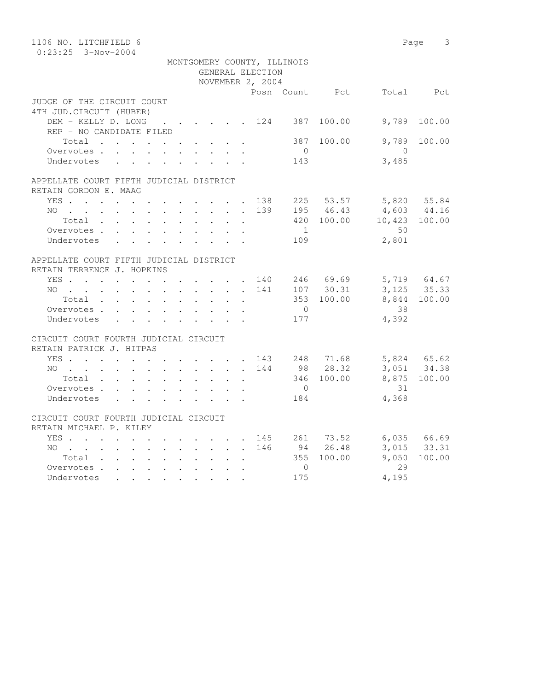| 1106 NO. LITCHFIELD 6                   |                               |                | Page 3                                                |
|-----------------------------------------|-------------------------------|----------------|-------------------------------------------------------|
| $0:23:25$ 3-Nov-2004                    |                               |                |                                                       |
|                                         | MONTGOMERY COUNTY, ILLINOIS   |                |                                                       |
|                                         | GENERAL ELECTION              |                |                                                       |
|                                         | NOVEMBER 2, 2004              |                |                                                       |
|                                         |                               |                | Posn Count Pct Total Pct                              |
| JUDGE OF THE CIRCUIT COURT              |                               |                |                                                       |
| 4TH JUD. CIRCUIT (HUBER)                |                               |                |                                                       |
| DEM - KELLY D. LONG 124 387 100.00      |                               |                | 9,789<br>100.00                                       |
| REP - NO CANDIDATE FILED                |                               |                |                                                       |
| Total                                   |                               | 387<br>100.00  | 9,789<br>100.00                                       |
| Overvotes                               |                               | $\overline{0}$ | $\overline{0}$                                        |
| Undervotes                              |                               | 143            | 3,485                                                 |
| APPELLATE COURT FIFTH JUDICIAL DISTRICT |                               |                |                                                       |
| RETAIN GORDON E. MAAG                   |                               |                |                                                       |
| YES 138 225 53.57 5,820 55.84           |                               |                |                                                       |
|                                         |                               |                |                                                       |
| NO<br>Total                             | $\sim 10^{-11}$<br>$\sim$ $-$ |                | 139 195 46.43 4,603 44.16<br>420 100.00 10,423 100.00 |
| Overvotes                               |                               | 1              | 50                                                    |
| Undervotes                              |                               | 109            | 2,801                                                 |
|                                         |                               |                |                                                       |
| APPELLATE COURT FIFTH JUDICIAL DISTRICT |                               |                |                                                       |
| RETAIN TERRENCE J. HOPKINS              |                               |                |                                                       |
| YES 140 246 69.69 5,719 64.67           |                               |                |                                                       |
| NO 141                                  |                               |                | 107 30.31 3,125 35.33                                 |
| Total                                   |                               | 353 100.00     | 8,844 100.00                                          |
| Overvotes                               |                               | $\overline{0}$ | 38                                                    |
| Undervotes                              |                               | 177            | 4,392                                                 |
|                                         |                               |                |                                                       |
| CIRCUIT COURT FOURTH JUDICIAL CIRCUIT   |                               |                |                                                       |
| RETAIN PATRICK J. HITPAS                |                               |                |                                                       |
| YES 143 248 71.68                       |                               |                | 5,824 65.62<br>3,051 34.38                            |
| NO 144                                  |                               | 98 28.32       |                                                       |
| Total                                   |                               | 346 100.00     | 8,875 100.00                                          |
| Overvotes                               |                               | $\overline{0}$ | 31                                                    |
| Undervotes                              |                               | 184            | 4,368                                                 |
|                                         |                               |                |                                                       |
| CIRCUIT COURT FOURTH JUDICIAL CIRCUIT   |                               |                |                                                       |
| RETAIN MICHAEL P. KILEY                 |                               |                |                                                       |
| YES 145 261 73.52 6,035 66.69           |                               |                |                                                       |
| NO 146                                  |                               | 94 26.48       | 3,015 33.31                                           |
| Total                                   |                               | 355 100.00     | 9,050<br>100.00                                       |
| Overvotes.                              |                               | $\Omega$       | 29                                                    |
| Undervotes                              |                               | 175            | 4,195                                                 |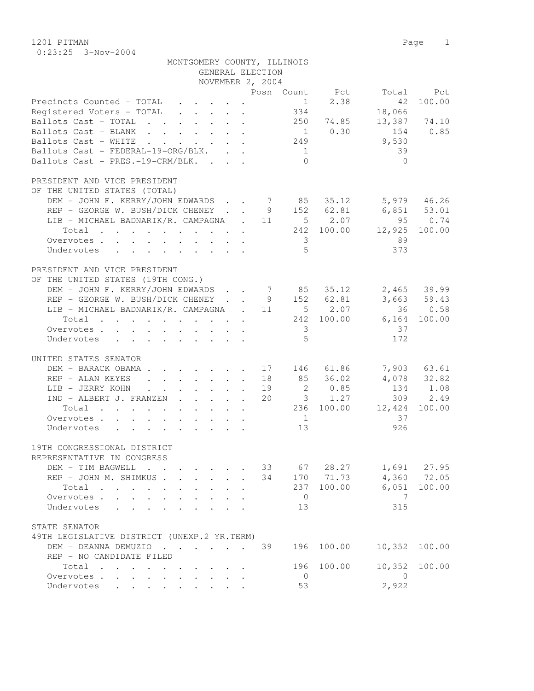1201 PITMAN Page 1 0:23:25 3-Nov-2004

|                                                                                                                                                                                                          | MONTGOMERY COUNTY, ILLINOIS<br>GENERAL ELECTION<br>NOVEMBER 2, 2004                                                                                                                                               |                                                                                                              |                                                                             |
|----------------------------------------------------------------------------------------------------------------------------------------------------------------------------------------------------------|-------------------------------------------------------------------------------------------------------------------------------------------------------------------------------------------------------------------|--------------------------------------------------------------------------------------------------------------|-----------------------------------------------------------------------------|
|                                                                                                                                                                                                          |                                                                                                                                                                                                                   | Posn Count Pct Total Pct                                                                                     |                                                                             |
| Precincts Counted - TOTAL<br>Registered Voters - TOTAL<br>Ballots Cast - TOTAL<br>Ballots Cast - BLANK<br>Ballots Cast - WHITE<br>Ballots Cast - FEDERAL-19-ORG/BLK.<br>Ballots Cast - PRES.-19-CRM/BLK. | 249<br>$\overline{1}$                                                                                                                                                                                             | 42<br>1<br>2.38<br>18,066<br>334<br>250 74.85<br>$1 \t 0.30$<br>154<br>9,530<br>39<br>$\bigcap$<br>$\bigcap$ | 100.00<br>13,387 74.10<br>0.85                                              |
| PRESIDENT AND VICE PRESIDENT                                                                                                                                                                             |                                                                                                                                                                                                                   |                                                                                                              |                                                                             |
| OF THE UNITED STATES (TOTAL)<br>Overvotes.<br>Undervotes                                                                                                                                                 | DEM – JOHN F. KERRY/JOHN EDWARDS 7 85 35.12<br>PEP – GEORGE W. BUSH/DICK CHENEY 9 152 62.81<br>REP - GEORGE W. BUSH/DICK CHENEY<br>LIB - MICHAEL BADNARIK/R. CAMPAGNA . 11 5 2.07 95<br>242 100.00 12,925         | $6,851$ $53.01$<br>89<br>$\overline{\mathbf{3}}$<br>5 <sup>5</sup><br>373                                    | 5,979 46.26<br>$-95$ 0.74<br>100.00                                         |
| PRESIDENT AND VICE PRESIDENT                                                                                                                                                                             |                                                                                                                                                                                                                   |                                                                                                              |                                                                             |
| OF THE UNITED STATES (19TH CONG.)<br>Total<br>Overvotes.<br>Undervotes                                                                                                                                   | LIB - MICHAEL BADNARIK/R. CAMPAGNA . 11 5 2.07                                                                                                                                                                    | 36<br>242 100.00<br>$6,164$ 100.00<br>$\overline{\phantom{a}}$ 3<br>37<br>5<br>172                           | 0.58                                                                        |
| UNITED STATES SENATOR                                                                                                                                                                                    |                                                                                                                                                                                                                   |                                                                                                              |                                                                             |
| DEM - BARACK OBAMA.<br>REP - ALAN KEYES<br>LIB - JERRY KOHN<br>IND - ALBERT J. FRANZEN<br>Total<br>Overvotes.<br>Undervotes                                                                              | $\cdot$ $\cdot$ $\cdot$ $\cdot$ $\cdot$ $\cdot$ $\cdot$ 17<br>$\mathbf{r} = \mathbf{r} \times \mathbf{r}$ , where $\mathbf{r} = \mathbf{r} \times \mathbf{r}$ , $\mathbf{r} = \mathbf{r} \times \mathbf{r}$<br>19 | 146 61.86<br>18 85 36.02<br>2 0.85<br>20 3 1.27<br>236 100.00<br>37<br>$\frac{1}{2}$<br>13<br>926            | 7,903 63.61<br>$4,078$ $32.82$<br>$134$ $1.08$<br>309 2.49<br>12,424 100.00 |
| 19TH CONGRESSIONAL DISTRICT                                                                                                                                                                              |                                                                                                                                                                                                                   |                                                                                                              |                                                                             |
| REPRESENTATIVE IN CONGRESS<br>DEM - TIM BAGWELL<br>REP - JOHN M. SHIMKUS<br>Total<br>Overvotes.<br>Undervotes<br>$\sim$ $\sim$ $\sim$ $\sim$ $\sim$ $\sim$                                               | 34<br>$\mathcal{L}^{\text{max}}$<br>$\mathbf{L} = \mathbf{L}$<br>$\ddot{\phantom{a}}$                                                                                                                             | 33 67 28.27<br>170 71.73<br>100.00<br>6,051<br>237<br>$\overline{0}$<br>7<br>315<br>13                       | 1,691 27.95<br>4,360 72.05<br>100.00                                        |
| STATE SENATOR                                                                                                                                                                                            |                                                                                                                                                                                                                   |                                                                                                              |                                                                             |
| 49TH LEGISLATIVE DISTRICT (UNEXP.2 YR.TERM)                                                                                                                                                              |                                                                                                                                                                                                                   |                                                                                                              |                                                                             |
| DEM - DEANNA DEMUZIO                                                                                                                                                                                     | 39                                                                                                                                                                                                                | 196<br>100.00<br>10,352                                                                                      | 100.00                                                                      |
| REP - NO CANDIDATE FILED<br>Total                                                                                                                                                                        |                                                                                                                                                                                                                   | 100.00<br>10,352<br>196                                                                                      | 100.00                                                                      |
| Overvotes<br>$\mathbf{r} = \mathbf{r}$<br>Undervotes                                                                                                                                                     |                                                                                                                                                                                                                   | $\overline{0}$<br>$\Omega$<br>2,922<br>53                                                                    |                                                                             |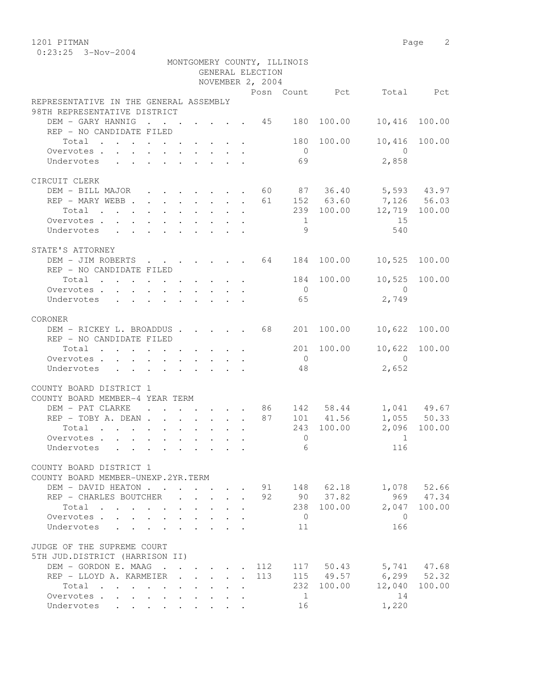1201 PITMAN Page 2 0:23:25 3-Nov-2004

|                                                                            |  |  |                                                           | GENERAL ELECTION<br>NOVEMBER 2, 2004 | MONTGOMERY COUNTY, ILLINOIS |                 |                                     |               |
|----------------------------------------------------------------------------|--|--|-----------------------------------------------------------|--------------------------------------|-----------------------------|-----------------|-------------------------------------|---------------|
|                                                                            |  |  |                                                           |                                      |                             |                 | Posn Count Pct Total Pct            |               |
| REPRESENTATIVE IN THE GENERAL ASSEMBLY<br>98TH REPRESENTATIVE DISTRICT     |  |  |                                                           |                                      |                             |                 |                                     |               |
| DEM - GARY HANNIG                                                          |  |  |                                                           |                                      |                             |                 | $\cdot$ 45 180 100.00 10,416 100.00 |               |
| REP - NO CANDIDATE FILED                                                   |  |  |                                                           |                                      |                             |                 |                                     |               |
| Total 180 100.00                                                           |  |  |                                                           |                                      |                             |                 |                                     | 10,416 100.00 |
|                                                                            |  |  |                                                           |                                      | $\overline{0}$              |                 | $\overline{0}$                      |               |
| Undervotes                                                                 |  |  |                                                           |                                      | 69                          |                 | 2,858                               |               |
|                                                                            |  |  |                                                           |                                      |                             |                 |                                     |               |
| CIRCUIT CLERK                                                              |  |  |                                                           |                                      |                             |                 |                                     |               |
| DEM - BILL MAJOR 60 87 36.40 5,593 43.97                                   |  |  |                                                           |                                      |                             |                 |                                     |               |
|                                                                            |  |  |                                                           |                                      |                             |                 |                                     |               |
| REP - MARY WEBB 61 152 63.60 7,126 56.03<br>Total 239 100.00 12,719 100.00 |  |  |                                                           |                                      |                             |                 |                                     |               |
| Overvotes                                                                  |  |  |                                                           |                                      |                             |                 | 15                                  |               |
| Undervotes                                                                 |  |  |                                                           |                                      | $\frac{1}{9}$               |                 | 540                                 |               |
|                                                                            |  |  |                                                           |                                      |                             |                 |                                     |               |
| STATE'S ATTORNEY                                                           |  |  |                                                           |                                      |                             |                 |                                     |               |
| DEM - JIM ROBERTS 64 184 100.00 10,525 100.00                              |  |  |                                                           |                                      |                             |                 |                                     |               |
| REP - NO CANDIDATE FILED                                                   |  |  |                                                           |                                      |                             |                 |                                     |               |
| Total $\cdot$                                                              |  |  |                                                           |                                      |                             |                 | 184 100.00 10,525 100.00            |               |
| Overvotes                                                                  |  |  |                                                           |                                      | $\overline{0}$              |                 | $\overline{0}$                      |               |
| Undervotes                                                                 |  |  |                                                           |                                      | 65                          |                 | 2,749                               |               |
| CORONER                                                                    |  |  |                                                           |                                      |                             |                 |                                     |               |
| DEM - RICKEY L. BROADDUS 68                                                |  |  |                                                           |                                      |                             | 201 100.00      | 10,622                              | 100.00        |
| REP - NO CANDIDATE FILED                                                   |  |  |                                                           |                                      |                             |                 |                                     |               |
| Total                                                                      |  |  |                                                           |                                      |                             | 201 100.00      | 10,622 100.00                       |               |
| Overvotes                                                                  |  |  |                                                           |                                      | $\overline{0}$              |                 | $\bigcirc$                          |               |
| Undervotes                                                                 |  |  |                                                           |                                      | 48                          |                 | 2,652                               |               |
|                                                                            |  |  |                                                           |                                      |                             |                 |                                     |               |
| COUNTY BOARD DISTRICT 1                                                    |  |  |                                                           |                                      |                             |                 |                                     |               |
| COUNTY BOARD MEMBER-4 YEAR TERM                                            |  |  |                                                           |                                      |                             |                 |                                     |               |
| DEM - PAT CLARKE 86 142 58.44                                              |  |  |                                                           |                                      |                             |                 |                                     | 1,041 49.67   |
| $REP - TOBY A. DEAN$                                                       |  |  |                                                           |                                      |                             | 87 101 41.56    |                                     | 1,055 50.33   |
| $\cdot$ 243 100.00<br>Total                                                |  |  |                                                           |                                      |                             |                 |                                     | 2,096 100.00  |
| Overvotes                                                                  |  |  |                                                           |                                      | $\Omega$                    |                 | $\sim$ 1                            |               |
| Undervotes                                                                 |  |  |                                                           |                                      |                             | $6\overline{6}$ | 116                                 |               |
|                                                                            |  |  |                                                           |                                      |                             |                 |                                     |               |
| COUNTY BOARD DISTRICT 1                                                    |  |  |                                                           |                                      |                             |                 |                                     |               |
| COUNTY BOARD MEMBER-UNEXP.2YR.TERM                                         |  |  |                                                           |                                      |                             |                 |                                     |               |
| DEM - DAVID HEATON                                                         |  |  | $\mathbf{r}$ , $\mathbf{r}$ , $\mathbf{r}$                |                                      |                             | 91 148 62.18    |                                     | 1,078 52.66   |
| REP - CHARLES BOUTCHER                                                     |  |  | $\mathbf{r}$ , $\mathbf{r}$ , $\mathbf{r}$ , $\mathbf{r}$ |                                      |                             | 92 90 37.82     |                                     | 969 47.34     |
| Total                                                                      |  |  |                                                           |                                      |                             | 238 100.00      | 2,047                               | 100.00        |
| Overvotes.                                                                 |  |  |                                                           |                                      | $\overline{0}$              |                 | $\overline{0}$                      |               |
| Undervotes                                                                 |  |  |                                                           |                                      | 11                          |                 | 166                                 |               |
| JUDGE OF THE SUPREME COURT                                                 |  |  |                                                           |                                      |                             |                 |                                     |               |
| 5TH JUD.DISTRICT (HARRISON II)                                             |  |  |                                                           |                                      |                             |                 |                                     |               |
| DEM - GORDON E. MAAG 112 117 50.43 5,741 47.68                             |  |  |                                                           |                                      |                             |                 |                                     |               |
| REP - LLOYD A. KARMEIER                                                    |  |  |                                                           |                                      |                             |                 | 113 115 49.57 6,299 52.32           |               |
| Total                                                                      |  |  |                                                           |                                      |                             | 232 100.00      |                                     | 12,040 100.00 |
| Overvotes.                                                                 |  |  |                                                           |                                      | $\sim$ 1                    |                 | 14                                  |               |
| Undervotes                                                                 |  |  |                                                           |                                      | 16                          |                 | 1,220                               |               |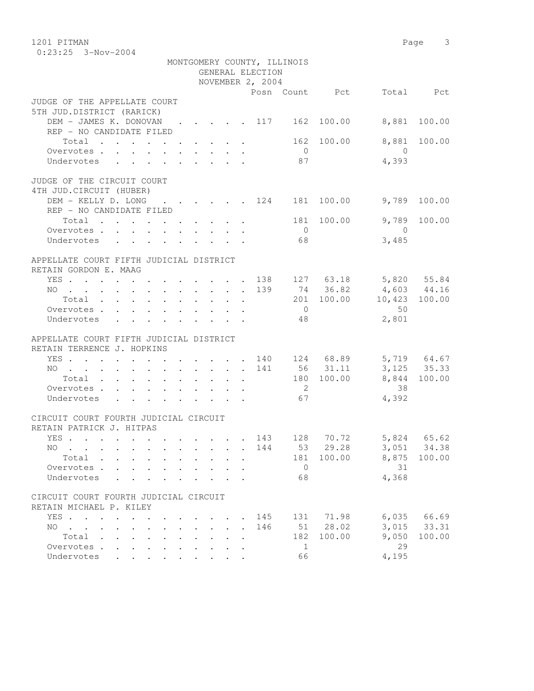1201 PITMAN Page 3 0:23:25 3-Nov-2004

|                                                                                                                      |                                              |                           |                      |                      | GENERAL ELECTION | MONTGOMERY COUNTY, ILLINOIS |                |                      |              |
|----------------------------------------------------------------------------------------------------------------------|----------------------------------------------|---------------------------|----------------------|----------------------|------------------|-----------------------------|----------------|----------------------|--------------|
|                                                                                                                      |                                              |                           |                      |                      | NOVEMBER 2, 2004 |                             |                |                      |              |
|                                                                                                                      |                                              |                           |                      |                      |                  |                             | Posn Count Pct |                      | Total Pct    |
| JUDGE OF THE APPELLATE COURT                                                                                         |                                              |                           |                      |                      |                  |                             |                |                      |              |
| 5TH JUD.DISTRICT (RARICK)                                                                                            |                                              |                           |                      |                      |                  |                             |                |                      |              |
| DEM - JAMES K. DONOVAN 117 162 100.00                                                                                |                                              |                           |                      |                      |                  |                             |                | 8,881                | 100.00       |
| REP - NO CANDIDATE FILED                                                                                             |                                              |                           |                      |                      |                  |                             |                |                      |              |
| Total $\cdot$                                                                                                        |                                              |                           |                      |                      |                  |                             | 162 100.00     |                      | 8,881 100.00 |
| Overvotes                                                                                                            |                                              |                           |                      |                      |                  | $\overline{0}$              |                | $\overline{0}$       |              |
| Undervotes                                                                                                           |                                              |                           |                      |                      |                  | 87                          |                | 4,393                |              |
| JUDGE OF THE CIRCUIT COURT                                                                                           |                                              |                           |                      |                      |                  |                             |                |                      |              |
| 4TH JUD. CIRCUIT (HUBER)                                                                                             |                                              |                           |                      |                      |                  |                             |                |                      |              |
| DEM - KELLY D. LONG 124 181 100.00                                                                                   |                                              |                           |                      |                      |                  |                             |                |                      | 9,789 100.00 |
| REP - NO CANDIDATE FILED                                                                                             |                                              |                           |                      |                      |                  |                             |                |                      |              |
| Total                                                                                                                |                                              |                           |                      |                      |                  |                             | 181 100.00     | 9,789                | 100.00       |
| Overvotes.                                                                                                           |                                              |                           |                      |                      |                  | $\overline{0}$              |                | $\overline{0}$       |              |
| Undervotes                                                                                                           |                                              |                           |                      |                      |                  | 68                          |                | 3,485                |              |
|                                                                                                                      |                                              |                           |                      |                      |                  |                             |                |                      |              |
| APPELLATE COURT FIFTH JUDICIAL DISTRICT                                                                              |                                              |                           |                      |                      |                  |                             |                |                      |              |
| RETAIN GORDON E. MAAG                                                                                                |                                              |                           |                      |                      |                  |                             |                |                      |              |
| YES 138 127 63.18 5,820 55.84                                                                                        |                                              |                           |                      |                      |                  |                             |                |                      |              |
| NO 139 74 36.82                                                                                                      |                                              |                           |                      |                      |                  |                             |                | 4,603 44.16          |              |
| Total                                                                                                                |                                              |                           |                      |                      |                  |                             | 201 100.00     | 10,423 100.00        |              |
| Overvotes                                                                                                            |                                              |                           |                      |                      |                  | $\overline{0}$              |                | 50                   |              |
| Undervotes<br>$\mathbf{r}$ , $\mathbf{r}$ , $\mathbf{r}$ , $\mathbf{r}$ , $\mathbf{r}$ , $\mathbf{r}$ , $\mathbf{r}$ |                                              |                           |                      |                      |                  | 48                          |                | 2,801                |              |
| APPELLATE COURT FIFTH JUDICIAL DISTRICT                                                                              |                                              |                           |                      |                      |                  |                             |                |                      |              |
| RETAIN TERRENCE J. HOPKINS                                                                                           |                                              |                           |                      |                      |                  |                             |                |                      |              |
| YES 140 124 68.89 5,719 64.67                                                                                        |                                              |                           |                      |                      |                  |                             |                |                      |              |
| NO 141 56 31.11                                                                                                      |                                              |                           |                      |                      |                  |                             |                | $3,125$ $35.33$      |              |
| Total 180 100.00                                                                                                     |                                              |                           |                      |                      |                  |                             |                |                      | 8,844 100.00 |
| Overvotes.                                                                                                           |                                              |                           |                      |                      |                  | $\overline{2}$              |                | 38                   |              |
| Undervotes                                                                                                           |                                              |                           |                      |                      |                  | 67                          |                | 4,392                |              |
|                                                                                                                      |                                              |                           |                      |                      |                  |                             |                |                      |              |
| CIRCUIT COURT FOURTH JUDICIAL CIRCUIT                                                                                |                                              |                           |                      |                      |                  |                             |                |                      |              |
| RETAIN PATRICK J. HITPAS                                                                                             |                                              |                           |                      |                      |                  |                             |                |                      |              |
| YES 143 128 70.72 5,824 65.62                                                                                        |                                              |                           |                      |                      |                  |                             |                |                      |              |
| NO 144                                                                                                               |                                              |                           |                      |                      |                  |                             |                | 53 29.28 3,051 34.38 |              |
| Total                                                                                                                |                                              |                           |                      |                      |                  | 181                         | 100.00         | 8,875                | 100.00       |
| Overvotes<br>$\sim$                                                                                                  |                                              |                           |                      |                      |                  | $\overline{0}$              |                | 31                   |              |
| Undervotes                                                                                                           |                                              |                           |                      |                      |                  | 68                          |                | 4,368                |              |
| CIRCUIT COURT FOURTH JUDICIAL CIRCUIT                                                                                |                                              |                           |                      |                      |                  |                             |                |                      |              |
| RETAIN MICHAEL P. KILEY                                                                                              |                                              |                           |                      |                      |                  |                             |                |                      |              |
| YES                                                                                                                  |                                              |                           |                      |                      | 145              | 131                         | 71.98          | 6,035                | 66.69        |
| $\mathbf{L}$<br>NO.<br>$\mathbf{r}$ . The set of $\mathbf{r}$<br>$\mathbf{L}$                                        |                                              | $\mathbf{r} = \mathbf{r}$ | $\ddot{\phantom{a}}$ | $\sim$               | 146              | 51                          | 28.02          | 3,015                | 33.31        |
| $\sim$<br>Total .                                                                                                    |                                              |                           |                      |                      |                  | 182                         | 100.00         | 9,050                | 100.00       |
| $\cdot$ $\cdot$ $\cdot$ $\cdot$                                                                                      | $\ddot{\phantom{a}}$<br>$\ddot{\phantom{a}}$ |                           |                      | $\ddot{\phantom{a}}$ |                  |                             |                | 29                   |              |
| Overvotes<br>$\ddot{\phantom{0}}$                                                                                    |                                              |                           |                      |                      |                  | 1                           |                |                      |              |
| Undervotes                                                                                                           |                                              |                           |                      |                      |                  | 66                          |                | 4,195                |              |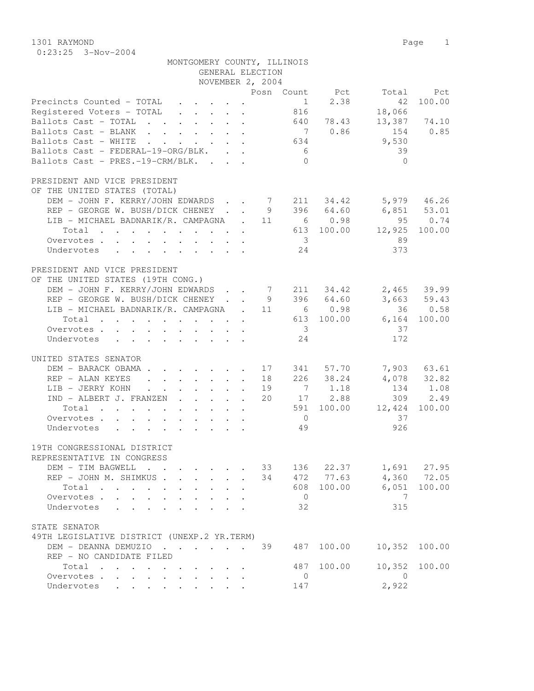1301 RAYMOND Page 1 0:23:25 3-Nov-2004

| MONTGOMERY COUNTY, ILLINOIS                                                                                                  |                                   |
|------------------------------------------------------------------------------------------------------------------------------|-----------------------------------|
| GENERAL ELECTION                                                                                                             |                                   |
| NOVEMBER 2, 2004                                                                                                             |                                   |
|                                                                                                                              | Posn Count Pct<br>Total Pct       |
| Precincts Counted - TOTAL<br>$\mathbf{r} = \mathbf{r} \times \mathbf{r}$ , where $\mathbf{r} = \mathbf{r} \times \mathbf{r}$ | 2.38<br>100.00<br>$\sim$ 1<br>42  |
| Registered Voters - TOTAL                                                                                                    | 816<br>18,066                     |
| Ballots Cast - TOTAL                                                                                                         | 640 78.43<br>13,387 74.10         |
| Ballots Cast - BLANK                                                                                                         | 7 0.86<br>154 0.85                |
| Ballots Cast - WHITE                                                                                                         | 9,530<br>634                      |
| Ballots Cast - FEDERAL-19-ORG/BLK.                                                                                           | 39<br>6 <sup>6</sup>              |
| Ballots Cast - PRES.-19-CRM/BLK.                                                                                             | $\bigcirc$<br>$\bigcirc$          |
| PRESIDENT AND VICE PRESIDENT                                                                                                 |                                   |
| OF THE UNITED STATES (TOTAL)                                                                                                 |                                   |
| DEM - JOHN F. KERRY/JOHN EDWARDS 7 211 34.42 5,979 46.26                                                                     |                                   |
| REP - GEORGE W. BUSH/DICK CHENEY 9 396 64.60                                                                                 | 6,851 53.01                       |
| LIB - MICHAEL BADNARIK/R. CAMPAGNA . 11 6 0.98                                                                               | 95 0.74                           |
| Total 613 100.00                                                                                                             | 100.00                            |
|                                                                                                                              | 12,925                            |
| Overvotes                                                                                                                    | 89<br>$\overline{\mathbf{3}}$     |
| Undervotes                                                                                                                   | 373<br>24                         |
| PRESIDENT AND VICE PRESIDENT                                                                                                 |                                   |
| OF THE UNITED STATES (19TH CONG.)                                                                                            |                                   |
| DEM - JOHN F. KERRY/JOHN EDWARDS 7 211 34.42                                                                                 | 2,465 39.99                       |
| REP - GEORGE W. BUSH/DICK CHENEY 9 396 64.60                                                                                 | 3,663 59.43                       |
| LIB - MICHAEL BADNARIK/R. CAMPAGNA . 11 6 0.98                                                                               | 36 0.58                           |
| Total 613 100.00                                                                                                             | $6,164$ 100.00                    |
|                                                                                                                              | $\overline{\mathbf{3}}$<br>37     |
| Overvotes<br>Undervotes                                                                                                      | 172<br>24                         |
|                                                                                                                              |                                   |
| UNITED STATES SENATOR                                                                                                        |                                   |
| DEM - BARACK OBAMA 17 341 57.70                                                                                              | 7,903 63.61                       |
| REP - ALAN KEYES 18                                                                                                          | 226 38.24<br>4,078 32.82          |
| LIB - JERRY KOHN<br>19                                                                                                       | 7 1.18<br>134 1.08                |
| IND - ALBERT J. FRANZEN<br>20                                                                                                | 17 2.88<br>309 2.49               |
| Total<br>$\mathbf{r}$ , and $\mathbf{r}$ , and $\mathbf{r}$ , and $\mathbf{r}$ , and $\mathbf{r}$                            | 591 100.00<br>12,424<br>100.00    |
| Overvotes                                                                                                                    | 37<br>$\overline{0}$              |
| Undervotes                                                                                                                   | 926<br>49                         |
|                                                                                                                              |                                   |
| 19TH CONGRESSIONAL DISTRICT                                                                                                  |                                   |
| REPRESENTATIVE IN CONGRESS                                                                                                   |                                   |
| DEM - TIM BAGWELL<br>$\mathbf{r}$ , $\mathbf{r}$ , $\mathbf{r}$<br>$\cdot$ $\cdot$ $\cdot$ $\cdot$                           | 1,691 27.95<br>33<br>136 22.37    |
| REP - JOHN M. SHIMKUS<br>34                                                                                                  | 472 77.63<br>4,360 72.05          |
| Total<br>$\mathbf{r}$ , and $\mathbf{r}$ , and $\mathbf{r}$ , and $\mathbf{r}$<br>$\cdot$ $\cdot$ $\cdot$<br>$\cdot$ $\cdot$ | 100.00<br>100.00<br>608<br>6,051  |
| Overvotes.                                                                                                                   | 7<br>$\overline{0}$               |
| Undervotes                                                                                                                   | 32<br>315                         |
|                                                                                                                              |                                   |
| STATE SENATOR                                                                                                                |                                   |
| 49TH LEGISLATIVE DISTRICT (UNEXP.2 YR.TERM)                                                                                  |                                   |
| DEM - DEANNA DEMUZIO<br>39                                                                                                   | 100.00<br>10,352<br>487<br>100.00 |
| REP - NO CANDIDATE FILED                                                                                                     |                                   |
| Total                                                                                                                        | 100.00<br>10,352<br>487<br>100.00 |
| Overvotes<br>$\sim$<br>$\cdot$ $\cdot$ $\cdot$ $\cdot$ $\cdot$                                                               | $\overline{0}$<br>$\overline{0}$  |
| Undervotes<br>$\cdot$ $\cdot$ $\cdot$ $\cdot$ $\cdot$                                                                        | 2,922<br>147                      |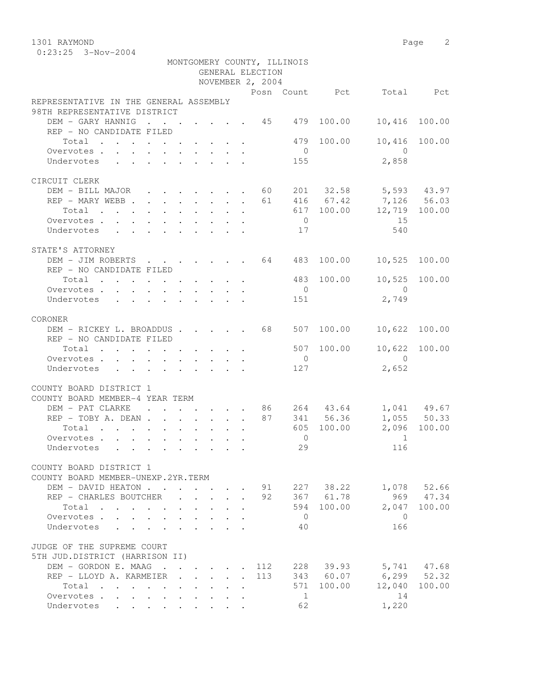1301 RAYMOND Page 2

|                                                                                     |                                      |                           |                                                                                      |                             |                  | MONTGOMERY COUNTY, ILLINOIS |                                                      |                  |               |
|-------------------------------------------------------------------------------------|--------------------------------------|---------------------------|--------------------------------------------------------------------------------------|-----------------------------|------------------|-----------------------------|------------------------------------------------------|------------------|---------------|
|                                                                                     |                                      |                           |                                                                                      |                             | GENERAL ELECTION |                             |                                                      |                  |               |
|                                                                                     |                                      |                           |                                                                                      |                             | NOVEMBER 2, 2004 |                             |                                                      |                  |               |
|                                                                                     |                                      |                           |                                                                                      |                             |                  |                             | Posn Count Pct                                       | Total            | Pct           |
| REPRESENTATIVE IN THE GENERAL ASSEMBLY                                              |                                      |                           |                                                                                      |                             |                  |                             |                                                      |                  |               |
| 98TH REPRESENTATIVE DISTRICT                                                        |                                      |                           |                                                                                      |                             |                  |                             |                                                      |                  |               |
| DEM - GARY HANNIG                                                                   |                                      |                           |                                                                                      |                             |                  |                             | 479 100.00                                           | 10,416           | 100.00        |
| REP - NO CANDIDATE FILED                                                            |                                      |                           |                                                                                      |                             |                  |                             |                                                      |                  |               |
| Total                                                                               |                                      |                           |                                                                                      |                             |                  | 479                         | 100.00                                               | 10,416           | 100.00        |
| Overvotes.                                                                          |                                      |                           |                                                                                      |                             |                  | $\overline{0}$              |                                                      | $\bigcap$        |               |
| Undervotes                                                                          |                                      |                           |                                                                                      |                             |                  | 155                         |                                                      | 2,858            |               |
|                                                                                     |                                      |                           |                                                                                      |                             |                  |                             |                                                      |                  |               |
| CIRCUIT CLERK                                                                       |                                      |                           |                                                                                      |                             |                  |                             |                                                      | $5,593$ 43.97    |               |
| DEM - BILL MAJOR 60                                                                 |                                      |                           |                                                                                      |                             |                  |                             | 201 32.58                                            | 7,126 56.03      |               |
| REP - MARY WEBB 61                                                                  |                                      |                           |                                                                                      |                             |                  |                             | 416 67.42                                            |                  |               |
| Total                                                                               |                                      |                           |                                                                                      |                             |                  |                             | 617 100.00                                           | 12,719 100.00    |               |
| Overvotes                                                                           |                                      |                           |                                                                                      |                             |                  | $\overline{0}$              |                                                      | 15               |               |
| Undervotes<br>$\mathbf{r}$ , and $\mathbf{r}$ , and $\mathbf{r}$ , and $\mathbf{r}$ |                                      |                           |                                                                                      |                             |                  | 17                          |                                                      | 540              |               |
| STATE'S ATTORNEY                                                                    |                                      |                           |                                                                                      |                             |                  |                             |                                                      |                  |               |
| DEM - JIM ROBERTS 64                                                                |                                      |                           |                                                                                      |                             |                  | 483                         | 100.00                                               | 10,525           | 100.00        |
| REP - NO CANDIDATE FILED                                                            |                                      |                           |                                                                                      |                             |                  |                             |                                                      |                  |               |
| Total                                                                               |                                      |                           |                                                                                      |                             |                  |                             | 483 100.00                                           | 10,525           | 100.00        |
|                                                                                     |                                      |                           |                                                                                      |                             |                  | $\overline{0}$              |                                                      | $\bigcirc$       |               |
| Overvotes<br>Undervotes                                                             |                                      |                           |                                                                                      |                             |                  | 151                         |                                                      | 2,749            |               |
|                                                                                     |                                      |                           |                                                                                      |                             |                  |                             |                                                      |                  |               |
| CORONER                                                                             |                                      |                           |                                                                                      |                             |                  |                             |                                                      |                  |               |
| DEM - RICKEY L. BROADDUS 68                                                         |                                      |                           |                                                                                      |                             |                  | 507                         | 100.00                                               | 10,622           | 100.00        |
| REP - NO CANDIDATE FILED                                                            |                                      |                           |                                                                                      |                             |                  |                             |                                                      |                  |               |
| Total                                                                               |                                      |                           |                                                                                      |                             |                  | 507                         | 100.00                                               | 10,622           | 100.00        |
| Overvotes.                                                                          |                                      |                           |                                                                                      |                             |                  | $\overline{0}$              |                                                      | $\bigcirc$       |               |
| Undervotes                                                                          |                                      |                           |                                                                                      |                             |                  | 127                         |                                                      | 2,652            |               |
|                                                                                     |                                      |                           |                                                                                      |                             |                  |                             |                                                      |                  |               |
| COUNTY BOARD DISTRICT 1                                                             |                                      |                           |                                                                                      |                             |                  |                             |                                                      |                  |               |
| COUNTY BOARD MEMBER-4 YEAR TERM                                                     |                                      |                           |                                                                                      |                             |                  |                             |                                                      |                  |               |
| DEM - PAT CLARKE<br>$\sim$ $\sim$                                                   | $\ddot{\phantom{0}}$                 |                           |                                                                                      |                             |                  |                             | $\cdot$ $\cdot$ $\cdot$ $\cdot$ $\cdot$ 86 264 43.64 |                  | 1,041 49.67   |
| $REP - TOBY A. DEAN$                                                                |                                      |                           |                                                                                      |                             | 87               |                             | 341 56.36                                            |                  | $1,055$ 50.33 |
| Total                                                                               |                                      |                           |                                                                                      |                             |                  | 605                         | 100.00                                               |                  | 2,096 100.00  |
| Overvotes.                                                                          |                                      |                           |                                                                                      |                             |                  | $\overline{0}$              |                                                      | 1                |               |
| Undervotes                                                                          |                                      |                           |                                                                                      |                             |                  | 29                          |                                                      | 116              |               |
|                                                                                     |                                      |                           |                                                                                      |                             |                  |                             |                                                      |                  |               |
| COUNTY BOARD DISTRICT 1                                                             |                                      |                           |                                                                                      |                             |                  |                             |                                                      |                  |               |
| COUNTY BOARD MEMBER-UNEXP. 2YR. TERM                                                |                                      |                           |                                                                                      |                             |                  |                             |                                                      |                  |               |
| DEM - DAVID HEATON                                                                  |                                      |                           | $\sim$                                                                               | $\cdot$ $\cdot$             |                  |                             | 91 227 38.22                                         |                  | 1,078 52.66   |
| REP - CHARLES BOUTCHER                                                              |                                      |                           | $\mathbf{r}$ $\mathbf{r}$                                                            | $\mathcal{L}^{\mathcal{A}}$ | 92               |                             | 367 61.78                                            |                  | 969 47.34     |
| Total                                                                               | $\mathbf{L}$<br>$\ddot{\phantom{a}}$ |                           | $\mathbf{L} = \mathbf{L} \mathbf{L} + \mathbf{L} \mathbf{L} + \mathbf{L} \mathbf{L}$ |                             |                  | 594                         | 100.00                                               |                  | 2,047 100.00  |
| Overvotes                                                                           |                                      |                           | $\mathbf{r} = \mathbf{r} + \mathbf{r}$                                               |                             |                  | $\overline{0}$              |                                                      | $\mathbf{0}$     |               |
| Undervotes                                                                          |                                      |                           | $\cdot$ $\cdot$ $\cdot$ $\cdot$                                                      |                             |                  | 40                          |                                                      | 166              |               |
|                                                                                     |                                      |                           |                                                                                      |                             |                  |                             |                                                      |                  |               |
| JUDGE OF THE SUPREME COURT                                                          |                                      |                           |                                                                                      |                             |                  |                             |                                                      |                  |               |
| 5TH JUD.DISTRICT (HARRISON II)                                                      |                                      |                           |                                                                                      |                             |                  |                             |                                                      |                  |               |
| DEM - GORDON E. MAAG.                                                               | $\sim$                               |                           | $\mathbf{r} = \mathbf{r}$ , $\mathbf{r} = \mathbf{r}$                                |                             | 112              |                             | 228 39.93                                            |                  | 5,741 47.68   |
| REP - LLOYD A. KARMEIER                                                             | $\sim$                               | $\mathbf{L}$              | $\mathbf{r}$ $\mathbf{r}$                                                            | $\mathbf{L}$                | 113              |                             | 343 60.07                                            | $6, 299$ $52.32$ |               |
| Total                                                                               | $\mathbf{L}$                         | $\mathbf{L} = \mathbf{L}$ |                                                                                      |                             |                  |                             | 571 100.00                                           | 12,040           | 100.00        |
| Overvotes.                                                                          |                                      |                           |                                                                                      | $\ddot{\phantom{a}}$        |                  | $\overline{1}$              |                                                      | 14               |               |
| Undervotes                                                                          |                                      |                           |                                                                                      |                             |                  | 62                          |                                                      | 1,220            |               |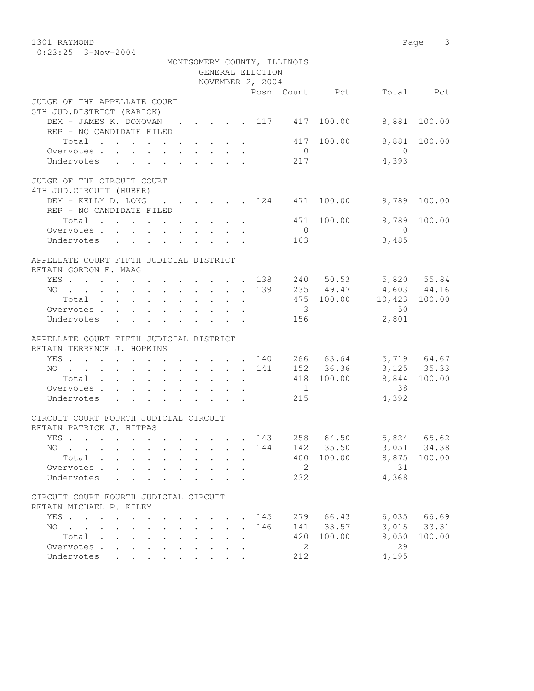1301 RAYMOND Page 3 0:23:25 3-Nov-2004 MONTGOMERY COUNTY, ILLINOIS

|                                                                              |                      |                                            |        |              | GENERAL ELECTION<br>NOVEMBER 2, 2004 | MONIGOMENI COONII, IBBINOIS |           |                          |        |
|------------------------------------------------------------------------------|----------------------|--------------------------------------------|--------|--------------|--------------------------------------|-----------------------------|-----------|--------------------------|--------|
|                                                                              |                      |                                            |        |              |                                      |                             |           | Posn Count Pct Total Pct |        |
| JUDGE OF THE APPELLATE COURT                                                 |                      |                                            |        |              |                                      |                             |           |                          |        |
| 5TH JUD.DISTRICT (RARICK)                                                    |                      |                                            |        |              |                                      |                             |           |                          |        |
| DEM - JAMES K. DONOVAN 117 417 100.00 8,881 100.00                           |                      |                                            |        |              |                                      |                             |           |                          |        |
| REP - NO CANDIDATE FILED                                                     |                      |                                            |        |              |                                      |                             |           |                          |        |
| Total $\cdot$                                                                |                      |                                            |        |              |                                      |                             |           | 417 100.00 8,881 100.00  |        |
|                                                                              |                      |                                            |        |              |                                      | $\overline{0}$              |           | $\overline{0}$           |        |
| Overvotes<br>Undervotes                                                      |                      |                                            |        |              |                                      | 217                         |           | 4,393                    |        |
| JUDGE OF THE CIRCUIT COURT                                                   |                      |                                            |        |              |                                      |                             |           |                          |        |
| 4TH JUD. CIRCUIT (HUBER)                                                     |                      |                                            |        |              |                                      |                             |           |                          |        |
| DEM - KELLY D. LONG 124 471 100.00 9,789                                     |                      |                                            |        |              |                                      |                             |           |                          | 100.00 |
| REP - NO CANDIDATE FILED                                                     |                      |                                            |        |              |                                      |                             |           |                          |        |
| Total $\cdot$                                                                |                      |                                            |        |              |                                      |                             |           | 471 100.00 9,789 100.00  |        |
|                                                                              |                      |                                            |        |              |                                      | $\overline{0}$              |           | $\overline{0}$           |        |
| Overvotes<br>Undervotes                                                      |                      |                                            |        |              |                                      | 163                         |           | 3,485                    |        |
|                                                                              |                      |                                            |        |              |                                      |                             |           |                          |        |
| APPELLATE COURT FIFTH JUDICIAL DISTRICT                                      |                      |                                            |        |              |                                      |                             |           |                          |        |
| RETAIN GORDON E. MAAG                                                        |                      |                                            |        |              |                                      |                             |           |                          |        |
| YES 138 240 50.53 5,820 55.84                                                |                      |                                            |        |              |                                      |                             |           |                          |        |
| NO 139 235 49.47 4,603 44.16                                                 |                      |                                            |        |              |                                      |                             |           |                          |        |
| Total 475 100.00 10,423 100.00                                               |                      |                                            |        |              |                                      |                             |           |                          |        |
| Overvotes.                                                                   |                      |                                            |        |              |                                      | $\overline{\mathbf{3}}$     |           | 50                       |        |
| Undervotes                                                                   |                      |                                            |        |              |                                      | 156                         |           | 2,801                    |        |
|                                                                              |                      |                                            |        |              |                                      |                             |           |                          |        |
| APPELLATE COURT FIFTH JUDICIAL DISTRICT                                      |                      |                                            |        |              |                                      |                             |           |                          |        |
| RETAIN TERRENCE J. HOPKINS                                                   |                      |                                            |        |              |                                      |                             |           |                          |        |
| YES 140 266 63.64 5,719 64.67                                                |                      |                                            |        |              |                                      |                             |           |                          |        |
| . 141 152 36.36 3,125 35.33<br>NO.                                           |                      |                                            |        |              |                                      |                             |           |                          |        |
| Total 418 100.00 8,844 100.00                                                |                      |                                            |        |              |                                      |                             |           |                          |        |
| Overvotes 1                                                                  |                      |                                            |        |              |                                      |                             |           | 38                       |        |
| Undervotes                                                                   |                      |                                            |        |              |                                      | 215                         |           | 4,392                    |        |
|                                                                              |                      |                                            |        |              |                                      |                             |           |                          |        |
| CIRCUIT COURT FOURTH JUDICIAL CIRCUIT                                        |                      |                                            |        |              |                                      |                             |           |                          |        |
| RETAIN PATRICK J. HITPAS                                                     |                      |                                            |        |              |                                      |                             |           |                          |        |
| YES 143  258  64.50  5,824  65.62                                            |                      |                                            |        |              |                                      |                             |           |                          |        |
| . 144 142 35.50 3,051 34.38<br>NO.                                           |                      |                                            |        |              |                                      |                             |           |                          |        |
| Total<br>$\mathbf{r}$ , $\mathbf{r}$ , $\mathbf{r}$ , $\mathbf{r}$           |                      |                                            |        |              |                                      | 400                         | 100.00    | 8,875                    | 100.00 |
| Overvotes<br>$\ddot{\phantom{0}}$                                            |                      |                                            |        |              |                                      | 2                           |           | 31                       |        |
| Undervotes<br>$\mathbf{L}$                                                   |                      |                                            |        |              |                                      | 232                         |           | 4,368                    |        |
|                                                                              |                      |                                            |        |              |                                      |                             |           |                          |        |
| CIRCUIT COURT FOURTH JUDICIAL CIRCUIT                                        |                      |                                            |        |              |                                      |                             |           |                          |        |
| RETAIN MICHAEL P. KILEY                                                      |                      |                                            |        |              |                                      |                             |           |                          |        |
| YES                                                                          |                      |                                            |        |              | 145                                  |                             | 279 66.43 | 6,035                    | 66.69  |
| NO.<br><b>Carl Carl Control</b><br>$\mathbf{r} = \mathbf{r}$<br>$\mathbf{r}$ |                      | $\mathbf{r}$ , $\mathbf{r}$ , $\mathbf{r}$ | $\sim$ | $\mathbf{r}$ | 146                                  |                             | 141 33.57 | 3,015                    | 33.31  |
| Total                                                                        |                      |                                            |        |              |                                      | 420                         | 100.00    | 9,050                    | 100.00 |
| Overvotes<br>$\sim$                                                          | $\ddot{\phantom{0}}$ | $\sim$                                     |        |              |                                      | 2                           |           | 29                       |        |
| Undervotes .<br>$\mathbf{r}$ , and $\mathbf{r}$ , and $\mathbf{r}$           |                      |                                            |        |              |                                      | 212                         |           | 4,195                    |        |
|                                                                              |                      |                                            |        |              |                                      |                             |           |                          |        |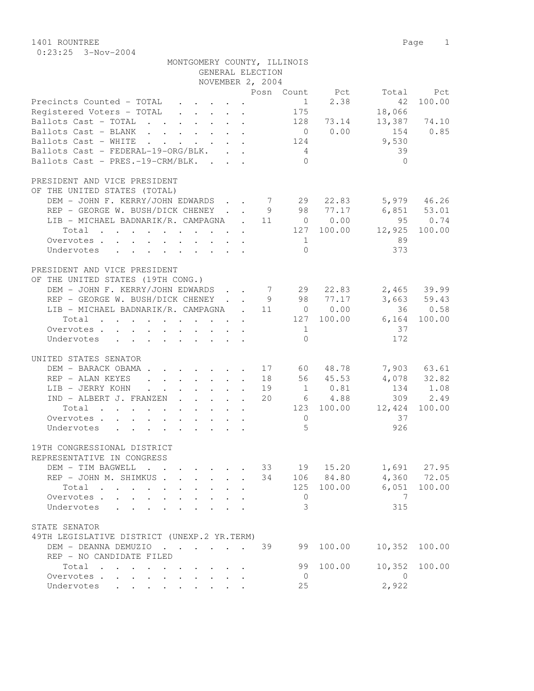1401 ROUNTREE Page 1 0:23:25 3-Nov-2004

| MONTGOMERY COUNTY, ILLINOIS                                                          |                                     |
|--------------------------------------------------------------------------------------|-------------------------------------|
| GENERAL ELECTION                                                                     |                                     |
| NOVEMBER 2, 2004                                                                     |                                     |
|                                                                                      | Posn Count Pct<br>Total Pct         |
| Precincts Counted - TOTAL                                                            | 1<br>2.38<br>100.00<br>42           |
| Registered Voters - TOTAL                                                            | 175<br>18,066                       |
| Ballots Cast - TOTAL 128 73.14                                                       | 13,387 74.10                        |
| Ballots Cast - BLANK 0 0.00                                                          | 154 0.85                            |
| Ballots Cast - WHITE 124                                                             | 9,530                               |
| Ballots Cast - FEDERAL-19-ORG/BLK.                                                   | 39<br>$4\overline{4}$<br>$\bigcirc$ |
| Ballots Cast - PRES.-19-CRM/BLK.                                                     | $\bigcirc$                          |
| PRESIDENT AND VICE PRESIDENT                                                         |                                     |
| OF THE UNITED STATES (TOTAL)                                                         |                                     |
| DEM - JOHN F. KERRY/JOHN EDWARDS 7 29 22.83                                          | 5,979 46.26                         |
| REP - GEORGE W. BUSH/DICK CHENEY 9 98 77.17 6,851 53.01                              |                                     |
| LIB - MICHAEL BADNARIK/R. CAMPAGNA . 11 0 0.00                                       | 95 0.74                             |
| Total 127 100.00                                                                     | 12,925 100.00                       |
| Overvotes.                                                                           | 89<br>$\mathbf{1}$                  |
| Undervotes                                                                           | 373<br>$\bigcap$                    |
|                                                                                      |                                     |
| PRESIDENT AND VICE PRESIDENT                                                         |                                     |
| OF THE UNITED STATES (19TH CONG.)                                                    |                                     |
| DEM - JOHN F. KERRY/JOHN EDWARDS 7 29 22.83                                          | 2,465 39.99                         |
| REP - GEORGE W. BUSH/DICK CHENEY 9 98 77.17                                          | 3,663 59.43                         |
| LIB - MICHAEL BADNARIK/R. CAMPAGNA . 11 0 0.00                                       | 36 0.58                             |
| Total 127 100.00 6,164 100.00                                                        |                                     |
| Overvotes.                                                                           | 37<br>$\mathbf{1}$                  |
| Undervotes                                                                           | 172<br>$\Omega$                     |
|                                                                                      |                                     |
| UNITED STATES SENATOR                                                                |                                     |
| DEM - BARACK OBAMA                                                                   | 17 60 48.78<br>7,903 63.61          |
| REP - ALAN KEYES                                                                     | 18 56 45.53<br>4,078 32.82          |
| LIB - JERRY KOHN                                                                     | 19 1 0.81<br>134 1.08               |
| IND - ALBERT J. FRANZEN<br>20                                                        | 6 4.88<br>309 2.49                  |
| Total                                                                                | 123 100.00 12,424<br>100.00         |
| Overvotes                                                                            | 37<br>$\overline{0}$                |
| Undervotes                                                                           | 5<br>926                            |
|                                                                                      |                                     |
| 19TH CONGRESSIONAL DISTRICT                                                          |                                     |
| REPRESENTATIVE IN CONGRESS                                                           | 33 19 15.20<br>1,691 27.95          |
| DEM - TIM BAGWELL<br>REP - JOHN M. SHIMKUS                                           | 34<br>106 84.80<br>4,360 72.05      |
| Total<br>$\mathbf{r}$ , $\mathbf{r}$ , $\mathbf{r}$ , $\mathbf{r}$ , $\mathbf{r}$    | 100.00<br>6,051<br>125 100.00       |
| $\mathbf{L}^{\text{max}}$<br>$\mathbf{r} = \mathbf{r} \cdot \mathbf{r}$<br>Overvotes | $\overline{7}$<br>$\mathbf 0$       |
| Undervotes                                                                           | 3<br>315                            |
| $\cdot$ $\cdot$ $\cdot$ $\cdot$                                                      |                                     |
| STATE SENATOR                                                                        |                                     |
| 49TH LEGISLATIVE DISTRICT (UNEXP.2 YR.TERM)                                          |                                     |
| DEM - DEANNA DEMUZIO<br>39                                                           | 99<br>100.00<br>10,352<br>100.00    |
| REP - NO CANDIDATE FILED                                                             |                                     |
| Total                                                                                | 100.00<br>10,352<br>100.00<br>99    |
| Overvotes<br>$\cdot$ $\cdot$ $\cdot$ $\cdot$ $\cdot$                                 | $\overline{0}$<br>$\overline{0}$    |
| Undervotes                                                                           | 25<br>2,922                         |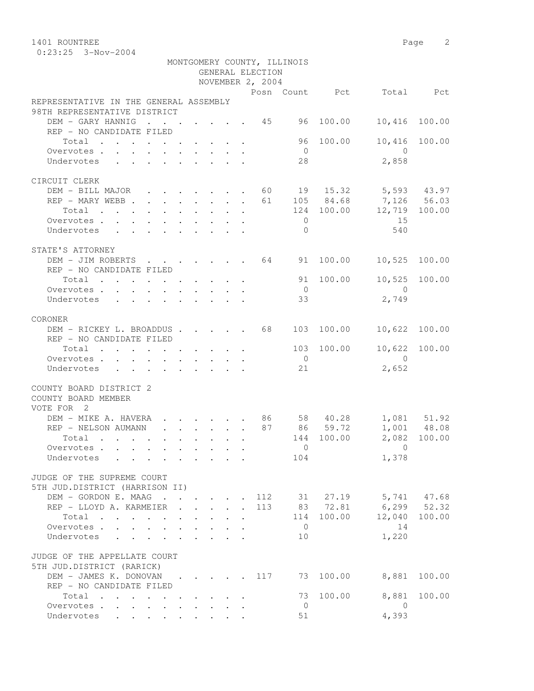| 1401 ROUNTREE                            |  |  |  |                  |                             |                      |                          | Page<br>$\overline{2}$ |
|------------------------------------------|--|--|--|------------------|-----------------------------|----------------------|--------------------------|------------------------|
| $0:23:25$ 3-Nov-2004                     |  |  |  |                  |                             |                      |                          |                        |
|                                          |  |  |  |                  | MONTGOMERY COUNTY, ILLINOIS |                      |                          |                        |
|                                          |  |  |  | GENERAL ELECTION |                             |                      |                          |                        |
|                                          |  |  |  | NOVEMBER 2, 2004 |                             |                      |                          |                        |
|                                          |  |  |  |                  |                             |                      | Posn Count Pct Total Pct |                        |
| REPRESENTATIVE IN THE GENERAL ASSEMBLY   |  |  |  |                  |                             |                      |                          |                        |
| 98TH REPRESENTATIVE DISTRICT             |  |  |  |                  |                             |                      |                          |                        |
| DEM - GARY HANNIG                        |  |  |  |                  |                             | $\cdot$ 45 96 100.00 | 10,416                   | 100.00                 |
| REP - NO CANDIDATE FILED                 |  |  |  |                  |                             |                      |                          |                        |
| Total                                    |  |  |  |                  |                             | 96 100.00            | 10,416 100.00            |                        |
| Overvotes.                               |  |  |  |                  | $\bigcirc$                  |                      | $\cap$                   |                        |
| Undervotes                               |  |  |  |                  | 28                          |                      | 2,858                    |                        |
|                                          |  |  |  |                  |                             |                      |                          |                        |
| CIRCUIT CLERK                            |  |  |  |                  |                             |                      |                          |                        |
| DEM - BILL MAJOR 60 19 15.32 5,593 43.97 |  |  |  |                  |                             |                      |                          |                        |
| REP - MARY WEBB 61                       |  |  |  |                  |                             |                      | 105 84.68 7,126 56.03    |                        |
| Total                                    |  |  |  |                  |                             |                      | 124 100.00 12,719 100.00 |                        |
| Overvotes.                               |  |  |  |                  | $\Omega$                    |                      | 15                       |                        |
| Undervotes                               |  |  |  |                  | $\bigcap$                   |                      | 540                      |                        |
|                                          |  |  |  |                  |                             |                      |                          |                        |
| STATE'S ATTORNEY                         |  |  |  |                  |                             |                      |                          |                        |
| DEM - JIM ROBERTS 64 91 100.00           |  |  |  |                  |                             |                      | 10,525                   | 100.00                 |
| REP - NO CANDIDATE FILED                 |  |  |  |                  |                             |                      |                          |                        |
| Total                                    |  |  |  |                  |                             | 91 100.00            | 10,525 100.00            |                        |
| Overvotes                                |  |  |  |                  | $\bigcirc$                  |                      | $\bigcap$                |                        |
| Undervotes                               |  |  |  |                  | 33                          |                      | 2,749                    |                        |
|                                          |  |  |  |                  |                             |                      |                          |                        |
| CORONER                                  |  |  |  |                  |                             |                      |                          |                        |
| DEM - RICKEY L. BROADDUS 68              |  |  |  |                  |                             | 103 100.00           | 10,622 100.00            |                        |
| REP - NO CANDIDATE FILED                 |  |  |  |                  |                             |                      |                          |                        |
| Total $\cdot$                            |  |  |  |                  |                             |                      | 103 100.00 10,622        | 100.00                 |
| Overvotes                                |  |  |  |                  | $\overline{0}$              |                      | $\bigcirc$               |                        |
| Undervotes                               |  |  |  |                  | 21                          |                      | 2,652                    |                        |
|                                          |  |  |  |                  |                             |                      |                          |                        |

|                     | COUNTY BOARD DISTRICT 2 |  |
|---------------------|-------------------------|--|
| COUNTY DOADD MEMBED |                         |  |

| COUNTY BOARD MEMBER                                                                                                      |  |  |       |            |                       |                      |              |
|--------------------------------------------------------------------------------------------------------------------------|--|--|-------|------------|-----------------------|----------------------|--------------|
| VOTE FOR<br>- 2                                                                                                          |  |  |       |            |                       |                      |              |
| DEM - MIKE A. HAVERA                                                                                                     |  |  | 86    |            | 58 40.28              |                      | 1,081 51.92  |
| REP - NELSON AUMANN<br>$\mathbf{r}$ , $\mathbf{r}$ , $\mathbf{r}$ , $\mathbf{r}$ , $\mathbf{r}$ , $\mathbf{r}$           |  |  | 87    |            | 86 59.72              |                      | 1,001 48.08  |
| Total<br>the contract of the contract of the contract of the contract of the contract of the contract of the contract of |  |  |       |            | 144 100.00            |                      | 2,082 100.00 |
| Overvotes.                                                                                                               |  |  |       | $\Omega$   |                       | $\cup$               |              |
| Undervotes                                                                                                               |  |  |       | 104        |                       | 1,378                |              |
| JUDGE OF THE SUPREME COURT                                                                                               |  |  |       |            |                       |                      |              |
| 5TH JUD.DISTRICT (HARRISON II)                                                                                           |  |  |       |            |                       |                      |              |
| DEM - GORDON E. MAAG                                                                                                     |  |  |       |            | $\cdots$ 112 31 27.19 |                      | 5,741 47.68  |
| REP - LLOYD A. KARMEIER 113                                                                                              |  |  |       |            |                       | 83 72.81 6,299 52.32 |              |
| Total<br>. The contribution of the contribution of the contribution of $\mathcal{A}$                                     |  |  |       |            | 114 100.00            | 12,040 100.00        |              |
| Overvotes                                                                                                                |  |  |       | $\bigcirc$ |                       | 14                   |              |
| Undervotes                                                                                                               |  |  |       | 10         |                       | 1,220                |              |
| JUDGE OF THE APPELLATE COURT                                                                                             |  |  |       |            |                       |                      |              |
| 5TH JUD.DISTRICT (RARICK)                                                                                                |  |  |       |            |                       |                      |              |
| DEM - JAMES K. DONOVAN                                                                                                   |  |  | . 117 |            | 73 100.00             | 8,881                | 100.00       |
| REP - NO CANDIDATE FILED                                                                                                 |  |  |       |            |                       |                      |              |
| Total                                                                                                                    |  |  |       |            | 73 100.00             | 8,881                | 100.00       |
| Overvotes                                                                                                                |  |  |       | $\Omega$   |                       |                      |              |

Undervotes . . . . . . . . . 51 4,393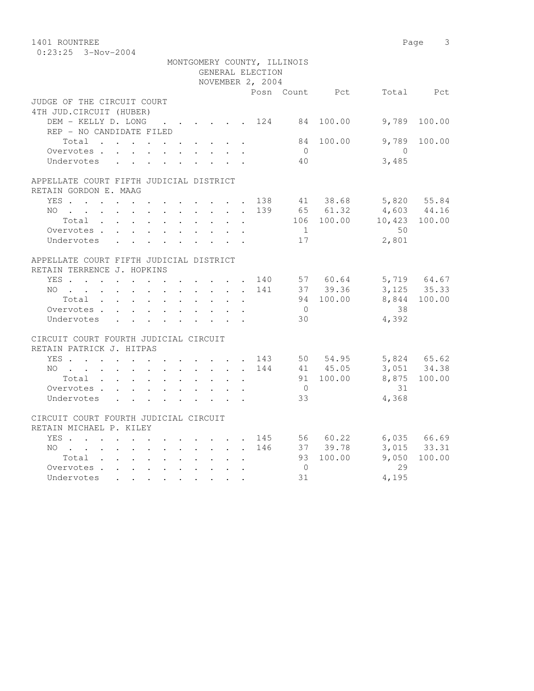| 1401 ROUNTREE                                                 |                                                                                         |  |  |  |                                 |                  |                             |                                  |                | Page<br>3       |
|---------------------------------------------------------------|-----------------------------------------------------------------------------------------|--|--|--|---------------------------------|------------------|-----------------------------|----------------------------------|----------------|-----------------|
| $0:23:25$ 3-Nov-2004                                          |                                                                                         |  |  |  |                                 |                  |                             |                                  |                |                 |
|                                                               |                                                                                         |  |  |  |                                 |                  | MONTGOMERY COUNTY, ILLINOIS |                                  |                |                 |
|                                                               |                                                                                         |  |  |  |                                 | GENERAL ELECTION |                             |                                  |                |                 |
|                                                               |                                                                                         |  |  |  |                                 | NOVEMBER 2, 2004 |                             |                                  |                |                 |
|                                                               |                                                                                         |  |  |  |                                 |                  |                             | Posn Count Pct                   |                | Total Pct       |
| JUDGE OF THE CIRCUIT COURT                                    |                                                                                         |  |  |  |                                 |                  |                             |                                  |                |                 |
| 4TH JUD. CIRCUIT (HUBER)                                      |                                                                                         |  |  |  |                                 |                  |                             |                                  |                |                 |
| DEM - KELLY D. LONG                                           |                                                                                         |  |  |  |                                 |                  |                             | . 124 84 100.00                  | 9,789          | 100.00          |
| REP - NO CANDIDATE FILED                                      |                                                                                         |  |  |  |                                 |                  |                             |                                  |                |                 |
| Total                                                         |                                                                                         |  |  |  | $\mathbf{L}^{\text{max}}$ , and |                  | 84                          | 100.00                           | 9,789          | 100.00          |
| Overvotes.                                                    |                                                                                         |  |  |  |                                 |                  | $\overline{0}$              |                                  | $\overline{0}$ |                 |
| Undervotes                                                    |                                                                                         |  |  |  |                                 |                  | 40                          |                                  | 3,485          |                 |
| APPELLATE COURT FIFTH JUDICIAL DISTRICT                       |                                                                                         |  |  |  |                                 |                  |                             |                                  |                |                 |
| RETAIN GORDON E. MAAG                                         |                                                                                         |  |  |  |                                 |                  |                             |                                  |                |                 |
| YES 138                                                       |                                                                                         |  |  |  |                                 |                  |                             | 41 38.68                         | 5,820 55.84    |                 |
| NO                                                            |                                                                                         |  |  |  |                                 | 139              |                             | 65 61.32                         |                | 4,603 44.16     |
| $Total \cdot \cdot \cdot \cdot \cdot \cdot \cdot \cdot \cdot$ |                                                                                         |  |  |  | $\sim$                          |                  |                             | 106 100.00                       |                | 10,423 100.00   |
| Overvotes.                                                    |                                                                                         |  |  |  |                                 |                  | 1                           |                                  | 50             |                 |
| Undervotes                                                    | $\mathbf{r}$ , $\mathbf{r}$ , $\mathbf{r}$ , $\mathbf{r}$                               |  |  |  |                                 |                  | 17                          |                                  | 2,801          |                 |
| APPELLATE COURT FIFTH JUDICIAL DISTRICT                       |                                                                                         |  |  |  |                                 |                  |                             |                                  |                |                 |
| RETAIN TERRENCE J. HOPKINS                                    |                                                                                         |  |  |  |                                 |                  |                             |                                  |                |                 |
| YES 140 57 60.64 5,719 64.67                                  |                                                                                         |  |  |  |                                 |                  |                             |                                  |                |                 |
| NO                                                            |                                                                                         |  |  |  |                                 | 141              |                             | 37 39.36                         | 3, 125 35.33   |                 |
| Total                                                         |                                                                                         |  |  |  |                                 |                  |                             | 94 100.00                        |                | 8,844 100.00    |
| Overvotes.                                                    |                                                                                         |  |  |  |                                 |                  | $\overline{0}$              |                                  | 38             |                 |
| Undervotes                                                    |                                                                                         |  |  |  |                                 |                  | 30                          |                                  | 4,392          |                 |
| CIRCUIT COURT FOURTH JUDICIAL CIRCUIT                         |                                                                                         |  |  |  |                                 |                  |                             |                                  |                |                 |
| RETAIN PATRICK J. HITPAS                                      |                                                                                         |  |  |  |                                 |                  |                             |                                  |                |                 |
| YES 143 50 54.95                                              |                                                                                         |  |  |  |                                 |                  |                             |                                  |                | 5,824 65.62     |
| NO                                                            |                                                                                         |  |  |  |                                 | 144              |                             | 41 45.05                         |                | 3,051 34.38     |
| Total                                                         |                                                                                         |  |  |  |                                 |                  |                             | 91 100.00                        |                | 8,875 100.00    |
| Overvotes.                                                    |                                                                                         |  |  |  |                                 |                  | $\overline{0}$              |                                  | 31             |                 |
| Undervotes                                                    |                                                                                         |  |  |  |                                 |                  | 33                          |                                  | 4,368          |                 |
| CIRCUIT COURT FOURTH JUDICIAL CIRCUIT                         |                                                                                         |  |  |  |                                 |                  |                             |                                  |                |                 |
| RETAIN MICHAEL P. KILEY                                       |                                                                                         |  |  |  |                                 |                  |                             |                                  |                |                 |
| YES                                                           |                                                                                         |  |  |  |                                 |                  |                             | $\cdot$ , , , , , , 145 56 60.22 |                | $6,035$ $66.69$ |
| NO 146                                                        |                                                                                         |  |  |  |                                 |                  |                             | 37 39.78                         |                | $3,015$ $33.31$ |
| Total                                                         |                                                                                         |  |  |  |                                 |                  |                             | 93 100.00                        | 9,050          | 100.00          |
| Overvotes                                                     |                                                                                         |  |  |  |                                 |                  | $\overline{0}$              |                                  | 29             |                 |
| Undervotes                                                    | $\mathbf{r}$ , $\mathbf{r}$ , $\mathbf{r}$ , $\mathbf{r}$ , $\mathbf{r}$ , $\mathbf{r}$ |  |  |  |                                 |                  | 31                          |                                  | 4,195          |                 |
|                                                               |                                                                                         |  |  |  |                                 |                  |                             |                                  |                |                 |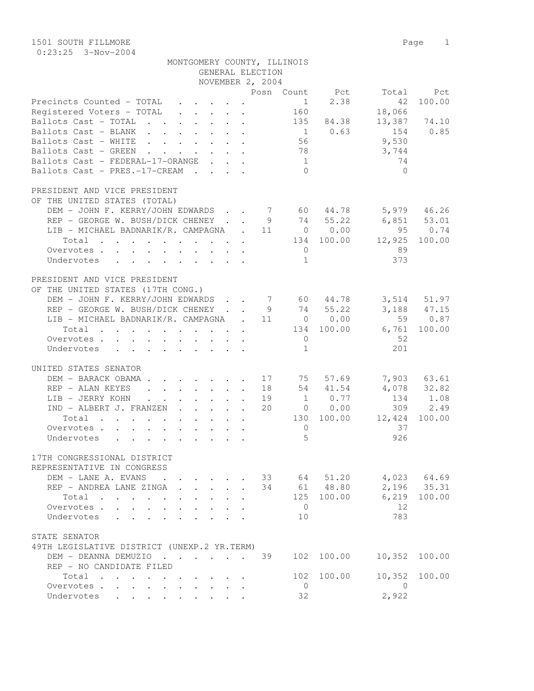| MONTGOMERY COUNTY, ILLINOIS |                  |  |
|-----------------------------|------------------|--|
|                             | GENERAL ELECTION |  |

|                                                                                                                                                                                                                                                                                                                                                                                                                                                                      | NOVEMBER 2, 2004 |                 |                 |              |
|----------------------------------------------------------------------------------------------------------------------------------------------------------------------------------------------------------------------------------------------------------------------------------------------------------------------------------------------------------------------------------------------------------------------------------------------------------------------|------------------|-----------------|-----------------|--------------|
|                                                                                                                                                                                                                                                                                                                                                                                                                                                                      |                  | Posn Count Pct  | Total           | Pct          |
| Precincts Counted - TOTAL                                                                                                                                                                                                                                                                                                                                                                                                                                            |                  | $1 \t 2.38$     | 42              | 100.00       |
| Registered Voters - TOTAL                                                                                                                                                                                                                                                                                                                                                                                                                                            |                  | 160             | 18,066          |              |
| Ballots Cast - TOTAL 135 84.38                                                                                                                                                                                                                                                                                                                                                                                                                                       |                  |                 |                 | 13,387 74.10 |
| Ballots Cast - BLANK                                                                                                                                                                                                                                                                                                                                                                                                                                                 |                  | $1 \t 0.63$     | 154             | 0.85         |
| Ballots Cast - WHITE                                                                                                                                                                                                                                                                                                                                                                                                                                                 |                  | 56              | 9,530           |              |
| Ballots Cast - GREEN                                                                                                                                                                                                                                                                                                                                                                                                                                                 |                  | 78              | 3,744           |              |
| Ballots Cast - FEDERAL-17-ORANGE                                                                                                                                                                                                                                                                                                                                                                                                                                     |                  | $\mathbf 1$     | 74              |              |
| Ballots Cast - PRES.-17-CREAM                                                                                                                                                                                                                                                                                                                                                                                                                                        |                  | $\bigcirc$      | $\bigcirc$      |              |
|                                                                                                                                                                                                                                                                                                                                                                                                                                                                      |                  |                 |                 |              |
| PRESIDENT AND VICE PRESIDENT                                                                                                                                                                                                                                                                                                                                                                                                                                         |                  |                 |                 |              |
| OF THE UNITED STATES (TOTAL)                                                                                                                                                                                                                                                                                                                                                                                                                                         |                  |                 |                 |              |
| DEM - JOHN F. KERRY/JOHN EDWARDS 7 60 44.78 5,979 46.26                                                                                                                                                                                                                                                                                                                                                                                                              |                  |                 |                 |              |
| REP - GEORGE W. BUSH/DICK CHENEY 9 74 55.22                                                                                                                                                                                                                                                                                                                                                                                                                          |                  |                 | $6,851$ $53.01$ |              |
| LIB - MICHAEL BADNARIK/R. CAMPAGNA . 11 0 0.00                                                                                                                                                                                                                                                                                                                                                                                                                       |                  |                 |                 | 95 0.74      |
| Total 134 100.00                                                                                                                                                                                                                                                                                                                                                                                                                                                     |                  |                 | 12,925 100.00   |              |
| Overvotes                                                                                                                                                                                                                                                                                                                                                                                                                                                            |                  | $\overline{0}$  | 89              |              |
| Undervotes                                                                                                                                                                                                                                                                                                                                                                                                                                                           |                  | $\mathbf{1}$    | 373             |              |
|                                                                                                                                                                                                                                                                                                                                                                                                                                                                      |                  |                 |                 |              |
| PRESIDENT AND VICE PRESIDENT                                                                                                                                                                                                                                                                                                                                                                                                                                         |                  |                 |                 |              |
| OF THE UNITED STATES (17TH CONG.)                                                                                                                                                                                                                                                                                                                                                                                                                                    |                  |                 |                 |              |
| DEM - JOHN F. KERRY/JOHN EDWARDS 7 60 44.78 3,514 51.97                                                                                                                                                                                                                                                                                                                                                                                                              |                  |                 |                 |              |
| REP - GEORGE W. BUSH/DICK CHENEY 9 74 55.22                                                                                                                                                                                                                                                                                                                                                                                                                          |                  |                 |                 | 3,188 47.15  |
| LIB - MICHAEL BADNARIK/R. CAMPAGNA . 11 0 0.00                                                                                                                                                                                                                                                                                                                                                                                                                       |                  |                 |                 | 59 0.87      |
| Total                                                                                                                                                                                                                                                                                                                                                                                                                                                                |                  | 134 100.00      | 6,761           | 100.00       |
| Overvotes                                                                                                                                                                                                                                                                                                                                                                                                                                                            |                  | $\overline{0}$  | 52              |              |
| Undervotes<br>$\mathbf{r}$ , $\mathbf{r}$ , $\mathbf{r}$ , $\mathbf{r}$ , $\mathbf{r}$ , $\mathbf{r}$ , $\mathbf{r}$                                                                                                                                                                                                                                                                                                                                                 |                  | $\mathbf{1}$    | 201             |              |
|                                                                                                                                                                                                                                                                                                                                                                                                                                                                      |                  |                 |                 |              |
| UNITED STATES SENATOR                                                                                                                                                                                                                                                                                                                                                                                                                                                |                  |                 |                 |              |
| DEM - BARACK OBAMA 17 75 57.69                                                                                                                                                                                                                                                                                                                                                                                                                                       |                  |                 |                 | 7,903 63.61  |
| REP - ALAN KEYES<br>. 18                                                                                                                                                                                                                                                                                                                                                                                                                                             |                  | 54 41.54        |                 | 4,078 32.82  |
| LIB - JERRY KOHN 19                                                                                                                                                                                                                                                                                                                                                                                                                                                  |                  | $1 \qquad 0.77$ |                 | 134 1.08     |
| IND - ALBERT J. FRANZEN 20                                                                                                                                                                                                                                                                                                                                                                                                                                           |                  | $0 \t 0.00$     | 309             | 2.49         |
| Total                                                                                                                                                                                                                                                                                                                                                                                                                                                                |                  | 130 100.00      | 12,424          | 100.00       |
| Overvotes                                                                                                                                                                                                                                                                                                                                                                                                                                                            |                  | $\overline{0}$  | 37              |              |
| Undervotes<br>. The contract of the contract of the contract of the contract of the contract of the contract of the contract of the contract of the contract of the contract of the contract of the contract of the contract of the contrac                                                                                                                                                                                                                          |                  | 5               | 926             |              |
|                                                                                                                                                                                                                                                                                                                                                                                                                                                                      |                  |                 |                 |              |
| 17TH CONGRESSIONAL DISTRICT                                                                                                                                                                                                                                                                                                                                                                                                                                          |                  |                 |                 |              |
| REPRESENTATIVE IN CONGRESS                                                                                                                                                                                                                                                                                                                                                                                                                                           |                  |                 |                 |              |
| DEM - LANE A. EVANS                                                                                                                                                                                                                                                                                                                                                                                                                                                  | 33               | 51.20<br>64     | 4,023           | 64.69        |
| REP - ANDREA LANE ZINGA<br>$\cdot$ $\cdot$ $\cdot$ $\cdot$ $\cdot$                                                                                                                                                                                                                                                                                                                                                                                                   | 34               | 48.80<br>61     | 2,196           | 35.31        |
| Total<br>$\mathcal{L}(\mathcal{L}(\mathcal{L}(\mathcal{L}(\mathcal{L}(\mathcal{L}(\mathcal{L}(\mathcal{L}(\mathcal{L}(\mathcal{L}(\mathcal{L}(\mathcal{L}(\mathcal{L}(\mathcal{L}(\mathcal{L}(\mathcal{L}(\mathcal{L}(\mathcal{L}(\mathcal{L}(\mathcal{L}(\mathcal{L}(\mathcal{L}(\mathcal{L}(\mathcal{L}(\mathcal{L}(\mathcal{L}(\mathcal{L}(\mathcal{L}(\mathcal{L}(\mathcal{L}(\mathcal{L}(\mathcal{L}(\mathcal{L}(\mathcal{L}(\mathcal{L}(\mathcal{L}(\mathcal{$ |                  | 125<br>100.00   | 6,219           | 100.00       |
| Overvotes .<br>$\sim$                                                                                                                                                                                                                                                                                                                                                                                                                                                |                  | $\overline{0}$  | 12              |              |
| Undervotes                                                                                                                                                                                                                                                                                                                                                                                                                                                           |                  | 10              | 783             |              |
|                                                                                                                                                                                                                                                                                                                                                                                                                                                                      |                  |                 |                 |              |
| STATE SENATOR                                                                                                                                                                                                                                                                                                                                                                                                                                                        |                  |                 |                 |              |
| 49TH LEGISLATIVE DISTRICT (UNEXP.2 YR.TERM)                                                                                                                                                                                                                                                                                                                                                                                                                          |                  |                 |                 |              |
| DEM - DEANNA DEMUZIO                                                                                                                                                                                                                                                                                                                                                                                                                                                 | 39               | 102<br>100.00   | 10,352          | 100.00       |
| REP - NO CANDIDATE FILED                                                                                                                                                                                                                                                                                                                                                                                                                                             |                  |                 |                 |              |
| Total                                                                                                                                                                                                                                                                                                                                                                                                                                                                |                  | 102<br>100.00   | 10,352          | 100.00       |
| Overvotes<br>$\begin{array}{cccccccccccccc} \bullet & \bullet & \bullet & \bullet & \bullet & \bullet & \bullet & \bullet & \bullet \end{array}$                                                                                                                                                                                                                                                                                                                     |                  | $\mathbf 0$     | 0               |              |
| Undervotes                                                                                                                                                                                                                                                                                                                                                                                                                                                           |                  | 32              | 2,922           |              |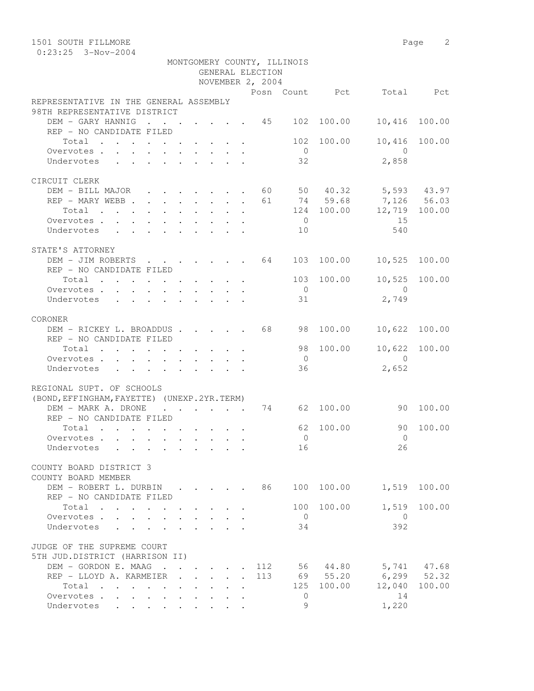| 1501 SOUTH FILLMORE                                                                                                      |                                                                                                                                                                |                                                                                           |                                            |                      |                  |                             |                |                                                | Page<br>2        |
|--------------------------------------------------------------------------------------------------------------------------|----------------------------------------------------------------------------------------------------------------------------------------------------------------|-------------------------------------------------------------------------------------------|--------------------------------------------|----------------------|------------------|-----------------------------|----------------|------------------------------------------------|------------------|
| $0:23:25$ 3-Nov-2004                                                                                                     |                                                                                                                                                                |                                                                                           |                                            |                      |                  |                             |                |                                                |                  |
|                                                                                                                          |                                                                                                                                                                |                                                                                           |                                            |                      | GENERAL ELECTION | MONTGOMERY COUNTY, ILLINOIS |                |                                                |                  |
|                                                                                                                          |                                                                                                                                                                |                                                                                           |                                            |                      | NOVEMBER 2, 2004 |                             |                |                                                |                  |
|                                                                                                                          |                                                                                                                                                                |                                                                                           |                                            |                      |                  |                             | Posn Count Pct |                                                | Total Pct        |
| REPRESENTATIVE IN THE GENERAL ASSEMBLY<br>98TH REPRESENTATIVE DISTRICT                                                   |                                                                                                                                                                |                                                                                           |                                            |                      |                  |                             |                |                                                |                  |
| DEM - GARY HANNIG 45 102 100.00                                                                                          |                                                                                                                                                                |                                                                                           |                                            |                      |                  |                             |                | 10,416                                         | 100.00           |
| REP - NO CANDIDATE FILED                                                                                                 |                                                                                                                                                                |                                                                                           |                                            |                      |                  |                             |                |                                                |                  |
| Total                                                                                                                    |                                                                                                                                                                |                                                                                           |                                            |                      |                  |                             | 102 100.00     |                                                | 10,416 100.00    |
| Overvotes.<br>$\mathbf{r} = \mathbf{r}$                                                                                  | $\sim$                                                                                                                                                         | $\mathbf{r} = \mathbf{r} \times \mathbf{r}$ , $\mathbf{r} = \mathbf{r} \times \mathbf{r}$ |                                            |                      |                  | $\bigcirc$                  |                | $\Omega$                                       |                  |
| Undervotes                                                                                                               |                                                                                                                                                                |                                                                                           |                                            |                      |                  | 32                          |                | 2,858                                          |                  |
|                                                                                                                          |                                                                                                                                                                |                                                                                           |                                            |                      |                  |                             |                |                                                |                  |
| CIRCUIT CLERK<br>DEM - BILL MAJOR                                                                                        |                                                                                                                                                                |                                                                                           |                                            |                      |                  |                             |                |                                                |                  |
| REP - MARY WEBB.                                                                                                         |                                                                                                                                                                |                                                                                           |                                            |                      |                  |                             | 61 74 59.68    | $\cdot$ 60 50 40.32 5,593 43.97<br>7,126 56.03 |                  |
| Total<br>the contract of the contract of the contract of the contract of the contract of the contract of the contract of | $\mathbf{r} = \left\{ \mathbf{r} \in \mathbb{R}^d \mid \mathbf{r} \in \mathbb{R}^d \mid \mathbf{r} \in \mathbb{R}^d \mid \mathbf{r} \in \mathbb{R}^d \right\}$ |                                                                                           |                                            |                      |                  |                             | 124 100.00     | 12,719 100.00                                  |                  |
| Overvotes                                                                                                                |                                                                                                                                                                |                                                                                           |                                            |                      |                  | $\overline{0}$              |                | 15                                             |                  |
| Undervotes<br>$\mathbf{r} = \mathbf{r}$                                                                                  |                                                                                                                                                                |                                                                                           |                                            |                      |                  | 10                          |                | 540                                            |                  |
|                                                                                                                          |                                                                                                                                                                |                                                                                           |                                            |                      |                  |                             |                |                                                |                  |
| STATE'S ATTORNEY                                                                                                         |                                                                                                                                                                |                                                                                           |                                            |                      |                  |                             |                |                                                |                  |
| DEM - JIM ROBERTS                                                                                                        | $\mathbf{r}$ , $\mathbf{r}$ , $\mathbf{r}$ , $\mathbf{r}$                                                                                                      |                                                                                           |                                            |                      |                  |                             | 64 103 100.00  | 10,525                                         | 100.00           |
| REP - NO CANDIDATE FILED                                                                                                 |                                                                                                                                                                |                                                                                           |                                            |                      |                  |                             |                |                                                |                  |
| Total                                                                                                                    |                                                                                                                                                                |                                                                                           |                                            |                      |                  | 103<br>$\overline{0}$       | 100.00         | 10,525<br>- 0                                  | 100.00           |
| Overvotes<br>Undervotes                                                                                                  |                                                                                                                                                                |                                                                                           |                                            |                      |                  | 31                          |                | 2,749                                          |                  |
|                                                                                                                          |                                                                                                                                                                |                                                                                           |                                            |                      |                  |                             |                |                                                |                  |
| CORONER                                                                                                                  |                                                                                                                                                                |                                                                                           |                                            |                      |                  |                             |                |                                                |                  |
| DEM - RICKEY L. BROADDUS 68                                                                                              |                                                                                                                                                                |                                                                                           |                                            |                      |                  | 98                          | 100.00         | 10,622                                         | 100.00           |
| REP - NO CANDIDATE FILED                                                                                                 |                                                                                                                                                                |                                                                                           |                                            |                      |                  |                             |                |                                                |                  |
| Total                                                                                                                    |                                                                                                                                                                |                                                                                           |                                            |                      |                  | 98                          | 100.00         |                                                | 10,622 100.00    |
| Overvotes                                                                                                                |                                                                                                                                                                |                                                                                           |                                            |                      |                  | $\overline{0}$              |                | $\Omega$                                       |                  |
| Undervotes                                                                                                               |                                                                                                                                                                |                                                                                           |                                            |                      |                  | 36                          |                | 2,652                                          |                  |
| REGIONAL SUPT. OF SCHOOLS                                                                                                |                                                                                                                                                                |                                                                                           |                                            |                      |                  |                             |                |                                                |                  |
| (BOND, EFFINGHAM, FAYETTE) (UNEXP. 2YR. TERM)                                                                            |                                                                                                                                                                |                                                                                           |                                            |                      |                  |                             |                |                                                |                  |
| DEM - MARK A. DRONE                                                                                                      |                                                                                                                                                                | $\sim$ $\sim$ $\sim$                                                                      |                                            | <b>Sales Advised</b> | 74               | 62                          | 100.00         | 90                                             | 100.00           |
| REP - NO CANDIDATE FILED                                                                                                 |                                                                                                                                                                |                                                                                           |                                            |                      |                  |                             |                |                                                |                  |
| Total                                                                                                                    |                                                                                                                                                                |                                                                                           |                                            |                      |                  | 62                          | 100.00         | 90                                             | 100.00           |
| Overvotes.                                                                                                               |                                                                                                                                                                |                                                                                           | $\mathbf{r} = \mathbf{r} \cdot \mathbf{r}$ | $\mathbf{r}$         |                  | $\bigcirc$                  |                | $\overline{0}$                                 |                  |
| Undervotes                                                                                                               |                                                                                                                                                                |                                                                                           |                                            |                      |                  | 16                          |                | 26                                             |                  |
| COUNTY BOARD DISTRICT 3                                                                                                  |                                                                                                                                                                |                                                                                           |                                            |                      |                  |                             |                |                                                |                  |
| COUNTY BOARD MEMBER                                                                                                      |                                                                                                                                                                |                                                                                           |                                            |                      |                  |                             |                |                                                |                  |
| DEM - ROBERT L. DURBIN                                                                                                   |                                                                                                                                                                |                                                                                           |                                            |                      | 86               |                             | 100 100.00     | 1,519                                          | 100.00           |
| REP - NO CANDIDATE FILED                                                                                                 |                                                                                                                                                                |                                                                                           |                                            |                      |                  |                             |                |                                                |                  |
| Total                                                                                                                    |                                                                                                                                                                |                                                                                           |                                            |                      |                  | 100                         | 100.00         | 1,519                                          | 100.00           |
| Overvotes.                                                                                                               |                                                                                                                                                                |                                                                                           |                                            |                      |                  | $\overline{0}$              |                | $\mathbf{0}$                                   |                  |
| Undervotes                                                                                                               |                                                                                                                                                                |                                                                                           |                                            |                      |                  | 34                          |                | 392                                            |                  |
|                                                                                                                          |                                                                                                                                                                |                                                                                           |                                            |                      |                  |                             |                |                                                |                  |
| JUDGE OF THE SUPREME COURT<br>5TH JUD.DISTRICT (HARRISON II)                                                             |                                                                                                                                                                |                                                                                           |                                            |                      |                  |                             |                |                                                |                  |
| DEM - GORDON E. MAAG 112                                                                                                 |                                                                                                                                                                |                                                                                           |                                            |                      |                  |                             | 56 44.80       |                                                | 5,741 47.68      |
| REP - LLOYD A. KARMEIER                                                                                                  |                                                                                                                                                                | $\mathbf{r}$ , $\mathbf{r}$ , $\mathbf{r}$                                                | $\mathbf{L} = \mathbf{L}$                  |                      | 113              |                             | 69 55.20       |                                                | $6, 299$ $52.32$ |
| Total                                                                                                                    |                                                                                                                                                                |                                                                                           | $\sim$                                     |                      |                  |                             | 125 100.00     |                                                | 12,040 100.00    |
| Overvotes.                                                                                                               |                                                                                                                                                                |                                                                                           | $\cdot$ $\cdot$ $\cdot$                    |                      |                  | $\mathbf{0}$                |                | 14                                             |                  |
| Undervotes                                                                                                               |                                                                                                                                                                |                                                                                           |                                            |                      |                  | 9                           |                | 1,220                                          |                  |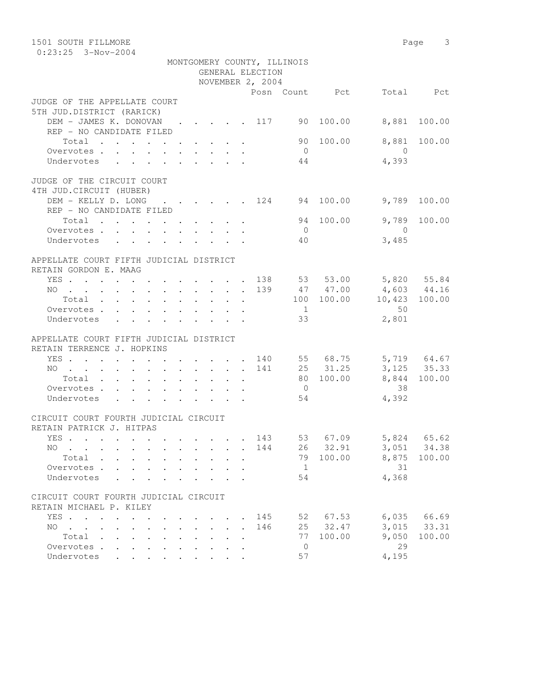| 1501 SOUTH FILLMORE                                                                                      |                                        |                      |                  |                |                |                                                                                                    | Page 3       |
|----------------------------------------------------------------------------------------------------------|----------------------------------------|----------------------|------------------|----------------|----------------|----------------------------------------------------------------------------------------------------|--------------|
| $0:23:25$ 3-Nov-2004                                                                                     |                                        |                      |                  |                |                |                                                                                                    |              |
| MONTGOMERY COUNTY, ILLINOIS                                                                              |                                        |                      |                  |                |                |                                                                                                    |              |
|                                                                                                          |                                        |                      | GENERAL ELECTION |                |                |                                                                                                    |              |
|                                                                                                          |                                        |                      | NOVEMBER 2, 2004 |                |                |                                                                                                    |              |
|                                                                                                          |                                        |                      |                  |                | Posn Count Pct |                                                                                                    | Total Pct    |
| JUDGE OF THE APPELLATE COURT                                                                             |                                        |                      |                  |                |                |                                                                                                    |              |
| 5TH JUD.DISTRICT (RARICK)                                                                                |                                        |                      |                  |                |                |                                                                                                    |              |
| DEM - JAMES K. DONOVAN 117 90 100.00                                                                     |                                        |                      |                  |                |                |                                                                                                    | 8,881 100.00 |
| REP - NO CANDIDATE FILED                                                                                 |                                        |                      |                  |                |                |                                                                                                    |              |
| Total                                                                                                    |                                        |                      |                  |                | 90 100.00      | 8,881                                                                                              | 100.00       |
| Overvotes.                                                                                               |                                        |                      |                  | $\overline{0}$ |                | $\overline{0}$                                                                                     |              |
| Undervotes                                                                                               |                                        |                      |                  | 44             |                | 4,393                                                                                              |              |
| JUDGE OF THE CIRCUIT COURT                                                                               |                                        |                      |                  |                |                |                                                                                                    |              |
| 4TH JUD. CIRCUIT (HUBER)                                                                                 |                                        |                      |                  |                |                |                                                                                                    |              |
| DEM - KELLY D. LONG<br>$\cdots$ $\cdots$ $\cdots$ $\frac{124}{94}$ $\frac{94}{100.00}$                   |                                        |                      |                  |                |                |                                                                                                    | 9,789 100.00 |
| REP - NO CANDIDATE FILED                                                                                 |                                        |                      |                  |                |                |                                                                                                    |              |
| Total                                                                                                    |                                        |                      |                  |                | 94 100.00      | 9,789                                                                                              | 100.00       |
| Overvotes.                                                                                               |                                        |                      |                  | $\overline{0}$ |                | $\overline{0}$                                                                                     |              |
| Undervotes                                                                                               |                                        |                      |                  | 40 —           |                | 3,485                                                                                              |              |
|                                                                                                          |                                        |                      |                  |                |                |                                                                                                    |              |
| APPELLATE COURT FIFTH JUDICIAL DISTRICT                                                                  |                                        |                      |                  |                |                |                                                                                                    |              |
| RETAIN GORDON E. MAAG                                                                                    |                                        |                      |                  |                |                |                                                                                                    |              |
| YES 138 53 53.00 5,820 55.84                                                                             |                                        |                      |                  |                |                |                                                                                                    |              |
| NO 139 47 47.00                                                                                          |                                        |                      |                  |                |                |                                                                                                    |              |
| Total                                                                                                    |                                        |                      |                  |                |                | $\begin{array}{cccc} 47 & 47.00 & & 4,603 & 44.16 \\ 100 & 100.00 & & 10,423 & 100.00 \end{array}$ |              |
| Overvotes                                                                                                |                                        |                      |                  | $\overline{1}$ |                | 50                                                                                                 |              |
| Undervotes                                                                                               |                                        |                      |                  | 33             |                | 2,801                                                                                              |              |
|                                                                                                          |                                        |                      |                  |                |                |                                                                                                    |              |
| APPELLATE COURT FIFTH JUDICIAL DISTRICT                                                                  |                                        |                      |                  |                |                |                                                                                                    |              |
| RETAIN TERRENCE J. HOPKINS                                                                               |                                        |                      |                  |                |                |                                                                                                    |              |
| YES 140 55 68.75 5,719 64.67                                                                             |                                        |                      |                  |                |                |                                                                                                    |              |
| NO 141 25 31.25 3,125 35.33                                                                              |                                        |                      |                  |                |                |                                                                                                    |              |
| Total                                                                                                    |                                        |                      |                  |                | 80 100.00      |                                                                                                    | 8,844 100.00 |
| Overvotes.                                                                                               |                                        |                      |                  | $\overline{0}$ |                | 38                                                                                                 |              |
| Undervotes                                                                                               |                                        |                      |                  | 54             |                | 4,392                                                                                              |              |
|                                                                                                          |                                        |                      |                  |                |                |                                                                                                    |              |
| CIRCUIT COURT FOURTH JUDICIAL CIRCUIT<br>RETAIN PATRICK J. HITPAS                                        |                                        |                      |                  |                |                |                                                                                                    |              |
|                                                                                                          |                                        |                      |                  |                |                |                                                                                                    | 65.62        |
| YES                                                                                                      |                                        |                      | 143              | 53             | 67.09          | 5,824                                                                                              |              |
| NO                                                                                                       |                                        | $\ddot{\phantom{a}}$ | 144              |                | 26 32.91       | 3,051                                                                                              | 34.38        |
| Total .<br>$\sim$<br>$\sim$<br>$\ddot{\phantom{0}}$                                                      |                                        |                      |                  | 79             | 100.00         | 8,875                                                                                              | 100.00       |
| Overvotes.                                                                                               |                                        |                      |                  | 1              |                | 31                                                                                                 |              |
| Undervotes                                                                                               |                                        |                      |                  | 54             |                | 4,368                                                                                              |              |
| CIRCUIT COURT FOURTH JUDICIAL CIRCUIT                                                                    |                                        |                      |                  |                |                |                                                                                                    |              |
| RETAIN MICHAEL P. KILEY                                                                                  |                                        |                      |                  |                |                |                                                                                                    |              |
| YES<br>$\sim$                                                                                            | $\sim$                                 |                      | 145              |                | 52 67.53       | 6,035                                                                                              | 66.69        |
| NO.<br>$\mathbf{r}$ , and $\mathbf{r}$ , and $\mathbf{r}$<br>$\ddot{\phantom{0}}$<br>$\bullet$<br>$\sim$ | $\mathbf{L}$ . The set of $\mathbf{L}$ | $\ddot{\phantom{0}}$ | 146              |                | 25 32.47       | 3,015                                                                                              | 33.31        |
| Total<br>$\ddot{\phantom{a}}$                                                                            |                                        |                      |                  | 77             | 100.00         | 9,050                                                                                              | 100.00       |
| Overvotes<br>$\sim$<br>$\bullet$<br>$\ddot{\phantom{a}}$                                                 |                                        |                      |                  | 0              |                | 29                                                                                                 |              |
| Undervotes                                                                                               |                                        |                      |                  | 57             |                | 4,195                                                                                              |              |
|                                                                                                          |                                        |                      |                  |                |                |                                                                                                    |              |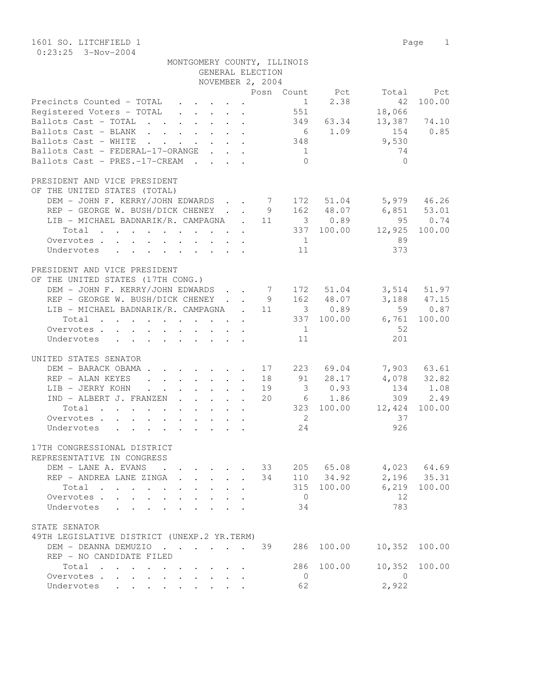1601 SO. LITCHFIELD 1 Page 1 0:23:25 3-Nov-2004

| MONTGOMERY COUNTY, ILLINOIS                                                                                          |                       |                                 |
|----------------------------------------------------------------------------------------------------------------------|-----------------------|---------------------------------|
|                                                                                                                      | GENERAL ELECTION      |                                 |
|                                                                                                                      | NOVEMBER 2, 2004      |                                 |
|                                                                                                                      |                       | Posn Count Pct Total<br>Pct     |
| Precincts Counted - TOTAL 1 2.38<br>Registered Voters - TOTAL 551                                                    |                       | 100.00<br>42                    |
| Ballots Cast - TOTAL 349 63.34                                                                                       |                       | 18,066<br>13,387 74.10          |
| Ballots Cast - BLANK                                                                                                 | 6 1.09                | 154 0.85                        |
| Ballots Cast - WHITE                                                                                                 | 348                   | 9,530                           |
| Ballots Cast - FEDERAL-17-ORANGE                                                                                     | 1                     | 74                              |
| Ballots Cast - PRES.-17-CREAM                                                                                        | $\bigcap$             | $\bigcirc$                      |
| PRESIDENT AND VICE PRESIDENT                                                                                         |                       |                                 |
| OF THE UNITED STATES (TOTAL)                                                                                         |                       |                                 |
| DEM - JOHN F. KERRY/JOHN EDWARDS 7 172 51.04 5,979 46.26                                                             |                       |                                 |
| REP - GEORGE W. BUSH/DICK CHENEY 9 162 48.07                                                                         |                       | $6,851$ $53.01$                 |
| LIB - MICHAEL BADNARIK/R. CAMPAGNA . 11 3 0.89                                                                       |                       | 95 0.74                         |
| Total 337 100.00 12,925 100.00                                                                                       |                       |                                 |
| Overvotes                                                                                                            | 1                     | 89                              |
| Undervotes<br>$\mathbf{r}$ , $\mathbf{r}$ , $\mathbf{r}$ , $\mathbf{r}$ , $\mathbf{r}$ , $\mathbf{r}$ , $\mathbf{r}$ | 11                    | 373                             |
| PRESIDENT AND VICE PRESIDENT                                                                                         |                       |                                 |
| OF THE UNITED STATES (17TH CONG.)                                                                                    |                       |                                 |
| DEM - JOHN F. KERRY/JOHN EDWARDS 7 172 51.04 3,514 51.97                                                             |                       |                                 |
| REP - GEORGE W. BUSH/DICK CHENEY 9 162 48.07                                                                         |                       | 3, 188 47. 15                   |
| LIB - MICHAEL BADNARIK/R. CAMPAGNA . 11 3 0.89                                                                       |                       | 59 0.87                         |
| Total                                                                                                                | 337 100.00            | 6,761<br>100.00                 |
| Overvotes                                                                                                            | $\overline{1}$        | 52                              |
| Undervotes                                                                                                           | 11                    | 201                             |
| UNITED STATES SENATOR                                                                                                |                       |                                 |
| DEM - BARACK OBAMA 17 223 69.04                                                                                      |                       | 7,903 63.61                     |
| REP - ALAN KEYES 18 91 28.17                                                                                         |                       | 4,078 32.82                     |
| LIB - JERRY KOHN 19                                                                                                  | 30.93                 | 134 1.08                        |
| IND - ALBERT J. FRANZEN 20                                                                                           | 6 1.86                | 309 2.49                        |
| Total                                                                                                                |                       | 323 100.00 12,424<br>100.00     |
| Overvotes.                                                                                                           | $\overline{2}$        | 37                              |
| Undervotes                                                                                                           | 24                    | 926                             |
| 17TH CONGRESSIONAL DISTRICT                                                                                          |                       |                                 |
| REPRESENTATIVE IN CONGRESS                                                                                           |                       |                                 |
| DEM - LANE A. EVANS<br>$\sim$ $\sim$                                                                                 | 33                    | 205 65.08<br>4,023 64.69        |
| REP - ANDREA LANE ZINGA                                                                                              | 110 34.92<br>34       | 2,196<br>35.31                  |
| Total<br>$\cdots$ $\cdots$                                                                                           | 315                   | 6,219<br>100.00<br>100.00<br>12 |
| Overvotes .<br>Undervotes                                                                                            | $\overline{0}$<br>34  | 783                             |
|                                                                                                                      |                       |                                 |
| STATE SENATOR                                                                                                        |                       |                                 |
| 49TH LEGISLATIVE DISTRICT (UNEXP.2 YR.TERM)                                                                          |                       |                                 |
| DEM - DEANNA DEMUZIO                                                                                                 | 39<br>286             | 100.00<br>10,352<br>100.00      |
| REP - NO CANDIDATE FILED                                                                                             |                       |                                 |
| Total<br>$\cdot$ $\cdot$ $\cdot$<br>Overvotes.                                                                       | 286<br>$\overline{0}$ | 100.00<br>10,352<br>100.00<br>0 |
| Undervotes<br>$\cdot$ $\cdot$ $\cdot$ $\cdot$                                                                        | 62                    | 2,922                           |
|                                                                                                                      |                       |                                 |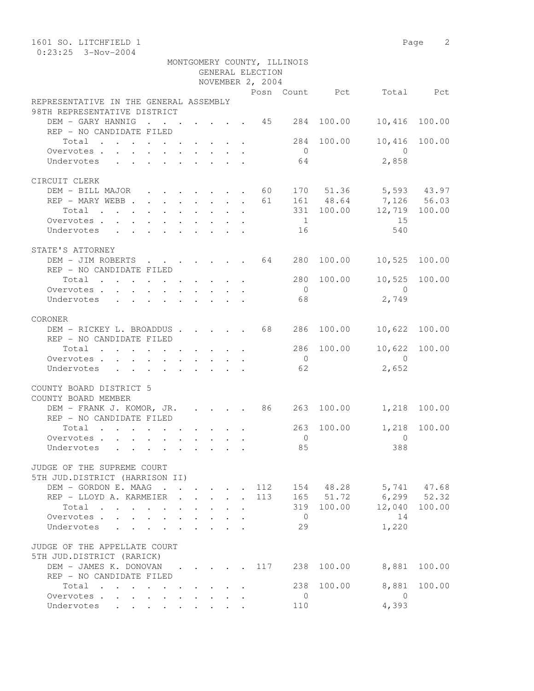| 1601 SO. LITCHFIELD 1                   |                                                           |  |  |                  |                             |            |                                                   | Page 2        |
|-----------------------------------------|-----------------------------------------------------------|--|--|------------------|-----------------------------|------------|---------------------------------------------------|---------------|
| $0:23:25$ 3-Nov-2004                    |                                                           |  |  |                  |                             |            |                                                   |               |
|                                         |                                                           |  |  |                  | MONTGOMERY COUNTY, ILLINOIS |            |                                                   |               |
|                                         |                                                           |  |  | GENERAL ELECTION |                             |            |                                                   |               |
|                                         |                                                           |  |  | NOVEMBER 2, 2004 |                             |            |                                                   |               |
|                                         |                                                           |  |  |                  |                             |            | Posn Count Pct Total Pct                          |               |
| REPRESENTATIVE IN THE GENERAL ASSEMBLY  |                                                           |  |  |                  |                             |            |                                                   |               |
| 98TH REPRESENTATIVE DISTRICT            |                                                           |  |  |                  |                             |            |                                                   |               |
| DEM - GARY HANNIG 45 284                |                                                           |  |  |                  |                             | 100.00     | 10,416                                            | 100.00        |
| REP - NO CANDIDATE FILED                |                                                           |  |  |                  |                             |            |                                                   |               |
| Total                                   |                                                           |  |  |                  | 284                         | 100.00     | 10,416                                            | 100.00        |
| Overvotes.                              |                                                           |  |  |                  | $\overline{0}$              |            | $\overline{0}$                                    |               |
| Undervotes                              |                                                           |  |  |                  | 64                          |            | 2,858                                             |               |
|                                         |                                                           |  |  |                  |                             |            |                                                   |               |
| CIRCUIT CLERK                           |                                                           |  |  |                  |                             |            |                                                   |               |
| DEM - BILL MAJOR 60                     |                                                           |  |  |                  |                             |            | 170 51.36 5,593 43.97                             |               |
| REP - MARY WEBB                         |                                                           |  |  | 61               |                             | 161 48.64  |                                                   |               |
| Total                                   |                                                           |  |  |                  |                             |            | 161 48.64 7,126 56.03<br>331 100.00 12,719 100.00 |               |
| Overvotes.                              |                                                           |  |  |                  | $\overline{1}$              |            | 15                                                |               |
| Undervotes                              |                                                           |  |  |                  | 16                          |            | 540                                               |               |
|                                         |                                                           |  |  |                  |                             |            |                                                   |               |
| STATE'S ATTORNEY                        |                                                           |  |  |                  |                             |            |                                                   |               |
| DEM - JIM ROBERTS 64                    |                                                           |  |  |                  | 280                         | 100.00     | 10,525                                            | 100.00        |
| REP - NO CANDIDATE FILED                |                                                           |  |  |                  |                             |            |                                                   |               |
| Total                                   |                                                           |  |  |                  |                             | 280 100.00 |                                                   | 10,525 100.00 |
| Overvotes.                              |                                                           |  |  |                  | $\overline{0}$              |            | $\bigcirc$                                        |               |
| Undervotes                              |                                                           |  |  |                  | 68                          |            | 2,749                                             |               |
|                                         |                                                           |  |  |                  |                             |            |                                                   |               |
| CORONER                                 |                                                           |  |  |                  |                             |            |                                                   |               |
| DEM - RICKEY L. BROADDUS 68 286         |                                                           |  |  |                  |                             |            | 100.00 10,622 100.00                              |               |
| REP - NO CANDIDATE FILED                |                                                           |  |  |                  |                             |            |                                                   |               |
| Total                                   |                                                           |  |  |                  | 286                         | 100.00     | 10,622                                            | 100.00        |
| Overvotes                               |                                                           |  |  |                  | $\overline{0}$              |            | $\overline{0}$                                    |               |
| Undervotes                              |                                                           |  |  |                  | 62                          |            | 2,652                                             |               |
|                                         |                                                           |  |  |                  |                             |            |                                                   |               |
| COUNTY BOARD DISTRICT 5                 |                                                           |  |  |                  |                             |            |                                                   |               |
| COUNTY BOARD MEMBER                     |                                                           |  |  |                  |                             |            |                                                   |               |
| DEM - FRANK J. KOMOR, JR. 86 263 100.00 |                                                           |  |  |                  |                             |            | 1,218 100.00                                      |               |
| REP - NO CANDIDATE FILED                |                                                           |  |  |                  |                             |            |                                                   |               |
| Total                                   |                                                           |  |  |                  | 263                         | 100.00     |                                                   | 1,218 100.00  |
| Overvotes                               |                                                           |  |  |                  | $\overline{0}$              |            | 0                                                 |               |
| Undervotes                              |                                                           |  |  |                  | 85                          |            | 388                                               |               |
|                                         |                                                           |  |  |                  |                             |            |                                                   |               |
| JUDGE OF THE SUPREME COURT              |                                                           |  |  |                  |                             |            |                                                   |               |
| 5TH JUD.DISTRICT (HARRISON II)          |                                                           |  |  |                  |                             |            |                                                   |               |
| DEM - GORDON E. MAAG                    |                                                           |  |  | 112              |                             |            | 154 48.28 5,741 47.68                             |               |
| REP - LLOYD A. KARMEIER                 |                                                           |  |  | 113              |                             |            | 165 51.72 6,299 52.32                             |               |
| Total $\cdots$                          |                                                           |  |  |                  | 319                         | 100.00     | 12,040                                            | 100.00        |
| Overvotes.                              |                                                           |  |  |                  | $\overline{0}$              |            | 14                                                |               |
| Undervotes                              |                                                           |  |  |                  | 29                          |            | 1,220                                             |               |
|                                         |                                                           |  |  |                  |                             |            |                                                   |               |
| JUDGE OF THE APPELLATE COURT            |                                                           |  |  |                  |                             |            |                                                   |               |
| 5TH JUD.DISTRICT (RARICK)               |                                                           |  |  |                  |                             |            |                                                   |               |
| DEM - JAMES K. DONOVAN                  | $\mathbf{r}$ , $\mathbf{r}$ , $\mathbf{r}$ , $\mathbf{r}$ |  |  | 117              | 238                         | 100.00     | 8,881                                             | 100.00        |
| REP - NO CANDIDATE FILED                |                                                           |  |  |                  |                             |            |                                                   |               |
| Total                                   |                                                           |  |  |                  | 238                         | 100.00     | 8,881                                             | 100.00        |
| Overvotes.                              |                                                           |  |  |                  | $\overline{0}$              |            | - 0                                               |               |
| Undervotes                              |                                                           |  |  |                  | 110                         |            | 4,393                                             |               |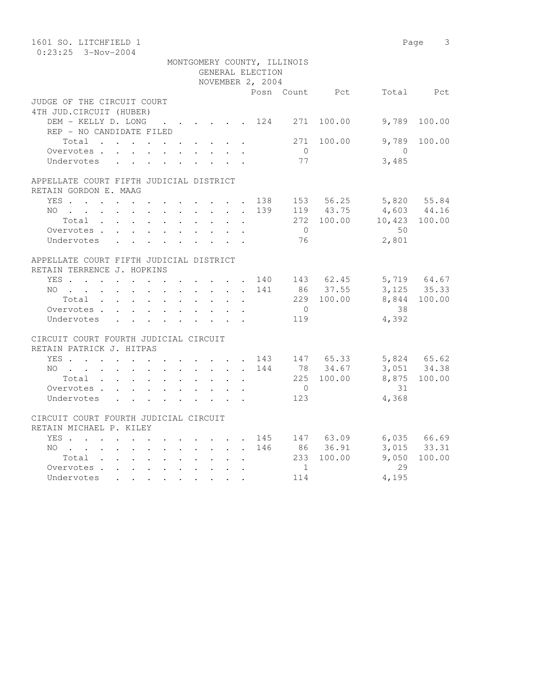| 1601 SO. LITCHFIELD 1                   |  |        |                             |                |            |                                                   | Page 3       |
|-----------------------------------------|--|--------|-----------------------------|----------------|------------|---------------------------------------------------|--------------|
| $0:23:25$ 3-Nov-2004                    |  |        |                             |                |            |                                                   |              |
|                                         |  |        | MONTGOMERY COUNTY, ILLINOIS |                |            |                                                   |              |
|                                         |  |        | GENERAL ELECTION            |                |            |                                                   |              |
|                                         |  |        | NOVEMBER 2, 2004            |                |            |                                                   |              |
|                                         |  |        |                             |                |            | Posn Count Pct Total Pct                          |              |
| JUDGE OF THE CIRCUIT COURT              |  |        |                             |                |            |                                                   |              |
| 4TH JUD. CIRCUIT (HUBER)                |  |        |                             |                |            |                                                   |              |
| DEM - KELLY D. LONG 124 271 100.00      |  |        |                             |                |            | 9,789                                             | 100.00       |
| REP - NO CANDIDATE FILED                |  |        |                             |                |            |                                                   |              |
| Total 271                               |  |        |                             |                | 100.00     | 9,789                                             | 100.00       |
| Overvotes                               |  |        |                             | $\bigcirc$     |            | $\overline{0}$<br>3,485                           |              |
| Undervotes                              |  |        |                             | 77             |            |                                                   |              |
| APPELLATE COURT FIFTH JUDICIAL DISTRICT |  |        |                             |                |            |                                                   |              |
| RETAIN GORDON E. MAAG                   |  |        |                             |                |            |                                                   |              |
| YES 138 153 56.25 5,820 55.84           |  |        |                             |                |            |                                                   |              |
| NO                                      |  |        | 139                         |                |            |                                                   |              |
| Total                                   |  | $\sim$ | $\sim$ $-$                  |                |            | 119 43.75 4,603 44.16<br>272 100.00 10,423 100.00 |              |
| Overvotes                               |  |        |                             | $\bigcirc$     |            | 50                                                |              |
| Undervotes                              |  |        |                             | 76             |            | 2,801                                             |              |
|                                         |  |        |                             |                |            |                                                   |              |
| APPELLATE COURT FIFTH JUDICIAL DISTRICT |  |        |                             |                |            |                                                   |              |
| RETAIN TERRENCE J. HOPKINS              |  |        |                             |                |            |                                                   |              |
| YES 140 143 62.45 5,719 64.67           |  |        |                             |                |            |                                                   |              |
| NO 141                                  |  |        |                             |                | 86 37.55   |                                                   | 3, 125 35.33 |
| Total                                   |  |        |                             |                | 229 100.00 |                                                   | 8,844 100.00 |
| Overvotes                               |  |        |                             | $\overline{0}$ |            | 38                                                |              |
| Undervotes                              |  |        |                             | 119            |            | 4,392                                             |              |
|                                         |  |        |                             |                |            |                                                   |              |
| CIRCUIT COURT FOURTH JUDICIAL CIRCUIT   |  |        |                             |                |            |                                                   |              |
| RETAIN PATRICK J. HITPAS                |  |        |                             |                |            |                                                   |              |
| YES 143 147 65.33                       |  |        |                             |                |            | 5,824 65.62<br>3,051 34.38                        |              |
| NO 144                                  |  |        |                             |                | 78 34.67   |                                                   |              |
| Total                                   |  |        |                             |                | 225 100.00 |                                                   | 8,875 100.00 |
| Overvotes                               |  |        |                             | $\overline{0}$ |            | 31                                                |              |
| Undervotes                              |  |        |                             | 123            |            | 4,368                                             |              |
|                                         |  |        |                             |                |            |                                                   |              |
| CIRCUIT COURT FOURTH JUDICIAL CIRCUIT   |  |        |                             |                |            |                                                   |              |
| RETAIN MICHAEL P. KILEY                 |  |        |                             |                |            |                                                   |              |
| YES 145 147 63.09 6,035 66.69           |  |        |                             |                |            |                                                   |              |
| NO 146 86 36.91                         |  |        |                             |                |            |                                                   | 3,015 33.31  |
| Total                                   |  |        |                             |                | 233 100.00 | 9,050                                             | 100.00       |
| Overvotes.                              |  |        |                             | 1              |            | 29                                                |              |
| Undervotes                              |  |        |                             | 114            |            | 4,195                                             |              |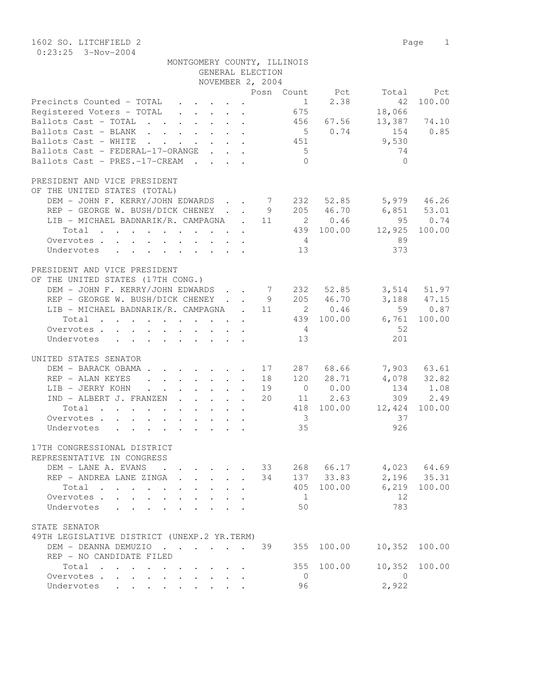1602 SO. LITCHFIELD 2 Page 1 0:23:25 3-Nov-2004

| MONTGOMERY COUNTY, ILLINOIS |                  |  |
|-----------------------------|------------------|--|
|                             | GENERAL ELECTION |  |

| Posn Count Pct<br>Total                                                                                                    | Pct  |
|----------------------------------------------------------------------------------------------------------------------------|------|
|                                                                                                                            |      |
| Precincts Counted - TOTAL<br>1<br>2.38<br>100.00<br>42                                                                     |      |
| Registered Voters - TOTAL<br>675<br>18,066                                                                                 |      |
| 13,387 74.10<br>Ballots Cast - TOTAL 456 67.56                                                                             |      |
| Ballots Cast - BLANK<br>5 0.74<br>154<br>0.85                                                                              |      |
| 9,530<br>Ballots Cast - WHITE<br>$\cdot$ 451                                                                               |      |
| Ballots Cast - FEDERAL-17-ORANGE<br>5 <sup>5</sup><br>74                                                                   |      |
| Ballots Cast - PRES.-17-CREAM<br>$\bigcirc$<br>$\bigcirc$                                                                  |      |
|                                                                                                                            |      |
| PRESIDENT AND VICE PRESIDENT                                                                                               |      |
| OF THE UNITED STATES (TOTAL)                                                                                               |      |
| DEM - JOHN F. KERRY/JOHN EDWARDS 7 232 52.85<br>5,979 46.26                                                                |      |
| $6,851$ $53.01$<br>REP - GEORGE W. BUSH/DICK CHENEY 9 205 46.70                                                            |      |
| 95 0.74<br>LIB - MICHAEL BADNARIK/R. CAMPAGNA . 11 2 0.46                                                                  |      |
| $\cdot$ 439 100.00<br>12,925<br>100.00<br>Total                                                                            |      |
| 89<br>Overvotes<br>$4\phantom{.00000000000000000000}$                                                                      |      |
| 373<br>13<br>Undervotes                                                                                                    |      |
|                                                                                                                            |      |
| PRESIDENT AND VICE PRESIDENT                                                                                               |      |
| OF THE UNITED STATES (17TH CONG.)                                                                                          |      |
| DEM - JOHN F. KERRY/JOHN EDWARDS 7 232 52.85<br>3,514 51.97                                                                |      |
| REP - GEORGE W. BUSH/DICK CHENEY 9 205 46.70<br>3,188 47.15                                                                |      |
| LIB - MICHAEL BADNARIK/R. CAMPAGNA . 11<br>2 0.46<br>59 0.87                                                               |      |
| 6,761<br>439 100.00<br>100.00<br>Total                                                                                     |      |
| -52<br>Overvotes.                                                                                                          |      |
| 201<br>13<br>Undervotes                                                                                                    |      |
|                                                                                                                            |      |
| UNITED STATES SENATOR                                                                                                      |      |
| 7,903 63.61<br>DEM - BARACK OBAMA 17<br>287 68.66                                                                          |      |
| 4,078 32.82<br>120 28.71<br>REP - ALAN KEYES 18                                                                            |      |
| $0 \t 0.00$<br>134 1.08<br>LIB - JERRY KOHN<br>19<br>$\mathbf{r}$ , and $\mathbf{r}$ , and $\mathbf{r}$ , and $\mathbf{r}$ |      |
| 11 2.63<br>309<br>IND - ALBERT J. FRANZEN<br>20                                                                            | 2.49 |
| 418 100.00<br>12,424<br>100.00<br>Total                                                                                    |      |
| $\overline{\mathbf{3}}$<br>37<br>Overvotes                                                                                 |      |
| 35<br>926<br>Undervotes                                                                                                    |      |
|                                                                                                                            |      |
| 17TH CONGRESSIONAL DISTRICT                                                                                                |      |
| REPRESENTATIVE IN CONGRESS                                                                                                 |      |
| 33<br>268 66.17 4,023 64.69<br>DEM - LANE A. EVANS                                                                         |      |
| 2,196 35.31<br>34 137 33.83<br>REP - ANDREA LANE ZINGA                                                                     |      |
| 405 100.00 6,219 100.00<br>Total                                                                                           |      |
| 12<br>Overvotes<br>$\overline{1}$                                                                                          |      |
| 783<br>50<br>Undervotes                                                                                                    |      |
|                                                                                                                            |      |
| STATE SENATOR                                                                                                              |      |
| 49TH LEGISLATIVE DISTRICT (UNEXP.2 YR.TERM)                                                                                |      |
| 355<br>100.00<br>10,352<br>100.00<br>DEM - DEANNA DEMUZIO 39                                                               |      |
| REP - NO CANDIDATE FILED                                                                                                   |      |
| 100.00<br>10,352<br>355<br>100.00<br>Total                                                                                 |      |
| Overvotes.<br>$\overline{0}$<br>$\overline{0}$                                                                             |      |
| 2,922<br>96<br>Undervotes                                                                                                  |      |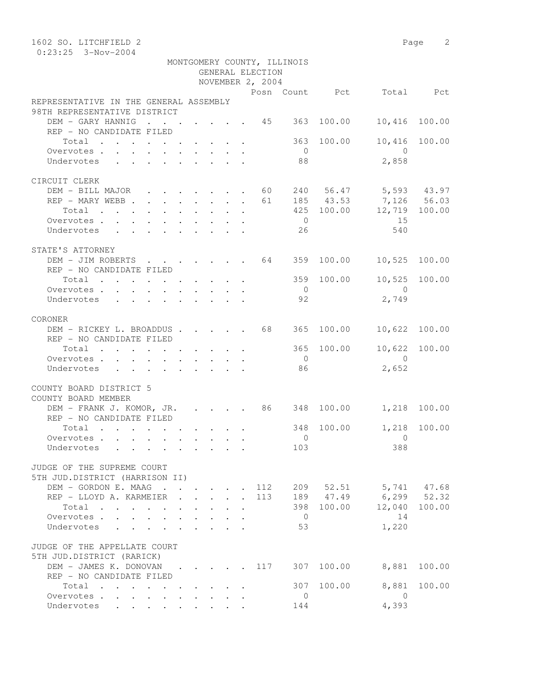| 1602 SO. LITCHFIELD 2                                         |  |                                                                          |  |                  |                             |            |                                                   | Page 2        |
|---------------------------------------------------------------|--|--------------------------------------------------------------------------|--|------------------|-----------------------------|------------|---------------------------------------------------|---------------|
| $0:23:25$ 3-Nov-2004                                          |  |                                                                          |  |                  |                             |            |                                                   |               |
|                                                               |  |                                                                          |  |                  | MONTGOMERY COUNTY, ILLINOIS |            |                                                   |               |
|                                                               |  |                                                                          |  | GENERAL ELECTION |                             |            |                                                   |               |
|                                                               |  |                                                                          |  | NOVEMBER 2, 2004 |                             |            |                                                   |               |
|                                                               |  |                                                                          |  |                  |                             |            | Posn Count Pct Total Pct                          |               |
| REPRESENTATIVE IN THE GENERAL ASSEMBLY                        |  |                                                                          |  |                  |                             |            |                                                   |               |
| 98TH REPRESENTATIVE DISTRICT                                  |  |                                                                          |  |                  |                             |            |                                                   |               |
| DEM - GARY HANNIG 45 363                                      |  |                                                                          |  |                  |                             | 100.00     | 10,416                                            | 100.00        |
| REP - NO CANDIDATE FILED                                      |  |                                                                          |  |                  |                             |            |                                                   |               |
| Total                                                         |  |                                                                          |  |                  | 363                         | 100.00     | 10,416                                            | 100.00        |
| Overvotes.                                                    |  |                                                                          |  |                  | $\overline{0}$              |            | $\overline{0}$                                    |               |
| Undervotes                                                    |  |                                                                          |  |                  | 88                          |            | 2,858                                             |               |
|                                                               |  |                                                                          |  |                  |                             |            |                                                   |               |
| CIRCUIT CLERK                                                 |  |                                                                          |  |                  |                             |            |                                                   |               |
|                                                               |  |                                                                          |  |                  |                             |            |                                                   |               |
| DEM - BILL MAJOR 60 240 56.47 5,593 43.97<br>REP - MARY WEBB  |  |                                                                          |  | 61               |                             | 185 43.53  |                                                   |               |
|                                                               |  |                                                                          |  |                  |                             |            | 185 43.53 7,126 56.03<br>425 100.00 12,719 100.00 |               |
| Total                                                         |  |                                                                          |  |                  | $\overline{0}$              |            |                                                   |               |
| Overvotes.                                                    |  |                                                                          |  |                  |                             |            | 15                                                |               |
| Undervotes                                                    |  |                                                                          |  |                  | 26                          |            | 540                                               |               |
|                                                               |  |                                                                          |  |                  |                             |            |                                                   |               |
| STATE'S ATTORNEY                                              |  |                                                                          |  |                  |                             |            |                                                   |               |
| DEM - JIM ROBERTS 64                                          |  |                                                                          |  |                  | 359                         | 100.00     | 10,525                                            | 100.00        |
| REP - NO CANDIDATE FILED                                      |  |                                                                          |  |                  |                             |            |                                                   |               |
| Total                                                         |  |                                                                          |  |                  |                             | 359 100.00 |                                                   | 10,525 100.00 |
| Overvotes.                                                    |  |                                                                          |  |                  | $\overline{0}$              |            | $\bigcirc$                                        |               |
| Undervotes                                                    |  |                                                                          |  |                  | 92                          |            | 2,749                                             |               |
|                                                               |  |                                                                          |  |                  |                             |            |                                                   |               |
| CORONER                                                       |  |                                                                          |  |                  |                             |            |                                                   |               |
| DEM - RICKEY L. BROADDUS 68 365                               |  |                                                                          |  |                  |                             |            | 100.00 10,622 100.00                              |               |
| REP - NO CANDIDATE FILED                                      |  |                                                                          |  |                  |                             |            |                                                   |               |
| Total $\cdot$                                                 |  |                                                                          |  |                  | 365                         | 100.00     | 10,622                                            | 100.00        |
| Overvotes                                                     |  |                                                                          |  |                  | $\overline{0}$              |            | $\overline{0}$                                    |               |
| Undervotes                                                    |  |                                                                          |  |                  | 86                          |            | 2,652                                             |               |
|                                                               |  |                                                                          |  |                  |                             |            |                                                   |               |
| COUNTY BOARD DISTRICT 5                                       |  |                                                                          |  |                  |                             |            |                                                   |               |
| COUNTY BOARD MEMBER                                           |  |                                                                          |  |                  |                             |            |                                                   |               |
| DEM - FRANK J. KOMOR, JR. 86 348 100.00                       |  |                                                                          |  |                  |                             |            | 1,218 100.00                                      |               |
| REP - NO CANDIDATE FILED                                      |  |                                                                          |  |                  |                             |            |                                                   |               |
| $Total \cdot \cdot \cdot \cdot \cdot \cdot \cdot \cdot \cdot$ |  |                                                                          |  |                  | 348                         | 100.00     |                                                   | 1,218 100.00  |
| Overvotes                                                     |  |                                                                          |  |                  | $\overline{0}$              |            | 0                                                 |               |
| Undervotes                                                    |  |                                                                          |  |                  | 103                         |            | 388                                               |               |
|                                                               |  |                                                                          |  |                  |                             |            |                                                   |               |
| JUDGE OF THE SUPREME COURT                                    |  |                                                                          |  |                  |                             |            |                                                   |               |
| 5TH JUD.DISTRICT (HARRISON II)                                |  |                                                                          |  |                  |                             |            |                                                   |               |
| DEM - GORDON E. MAAG                                          |  |                                                                          |  | 112              |                             |            | 209 52.51 5,741 47.68                             |               |
| REP - LLOYD A. KARMEIER                                       |  |                                                                          |  | 113              |                             |            | 189 47.49 6,299 52.32                             |               |
| Total                                                         |  |                                                                          |  |                  | 398                         | 100.00     | 12,040                                            | 100.00        |
| Overvotes.                                                    |  |                                                                          |  |                  | $\overline{0}$              |            | 14                                                |               |
| Undervotes                                                    |  |                                                                          |  |                  | 53                          |            | 1,220                                             |               |
|                                                               |  |                                                                          |  |                  |                             |            |                                                   |               |
|                                                               |  |                                                                          |  |                  |                             |            |                                                   |               |
| JUDGE OF THE APPELLATE COURT                                  |  |                                                                          |  |                  |                             |            |                                                   |               |
| 5TH JUD.DISTRICT (RARICK)                                     |  |                                                                          |  |                  |                             |            |                                                   |               |
| DEM - JAMES K. DONOVAN                                        |  | $\mathbf{r}$ , $\mathbf{r}$ , $\mathbf{r}$ , $\mathbf{r}$ , $\mathbf{r}$ |  | 117              | 307                         | 100.00     | 8,881                                             | 100.00        |
| REP - NO CANDIDATE FILED                                      |  |                                                                          |  |                  |                             |            |                                                   |               |
| Total                                                         |  |                                                                          |  |                  | 307                         | 100.00     | 8,881                                             | 100.00        |
| Overvotes.                                                    |  |                                                                          |  |                  | $\overline{0}$              |            | $\bigcirc$                                        |               |
| Undervotes                                                    |  |                                                                          |  |                  | 144                         |            | 4,393                                             |               |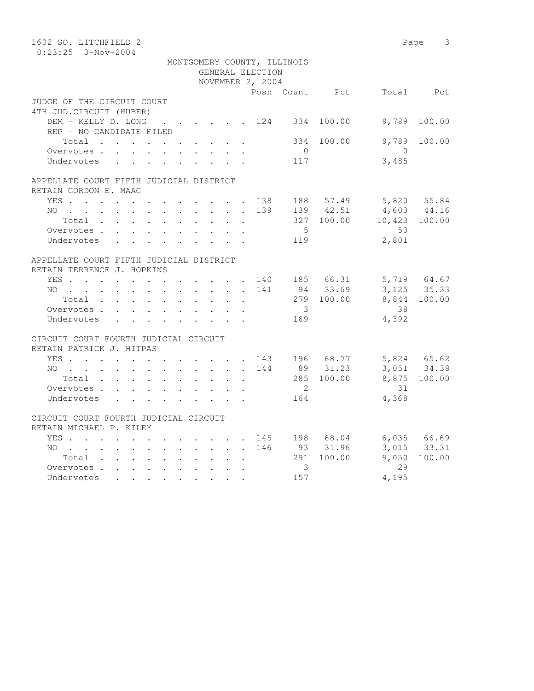| 1602 SO. LITCHFIELD 2                   |  |  |  |                  |                             |            |                                                   | Page 3                     |
|-----------------------------------------|--|--|--|------------------|-----------------------------|------------|---------------------------------------------------|----------------------------|
| $0:23:25$ 3-Nov-2004                    |  |  |  |                  |                             |            |                                                   |                            |
|                                         |  |  |  |                  | MONTGOMERY COUNTY, ILLINOIS |            |                                                   |                            |
|                                         |  |  |  | GENERAL ELECTION |                             |            |                                                   |                            |
|                                         |  |  |  | NOVEMBER 2, 2004 |                             |            |                                                   |                            |
|                                         |  |  |  |                  |                             |            | Posn Count Pct Total Pct                          |                            |
| JUDGE OF THE CIRCUIT COURT              |  |  |  |                  |                             |            |                                                   |                            |
| 4TH JUD. CIRCUIT (HUBER)                |  |  |  |                  |                             |            |                                                   |                            |
| DEM - KELLY D. LONG 124 334 100.00      |  |  |  |                  |                             |            | 9,789                                             | 100.00                     |
| REP - NO CANDIDATE FILED                |  |  |  |                  |                             |            |                                                   |                            |
| Total $\cdot$                           |  |  |  |                  | 334                         | 100.00     | 9,789                                             | 100.00                     |
| Overvotes                               |  |  |  |                  | $\overline{0}$              |            | $\overline{0}$                                    |                            |
| Undervotes                              |  |  |  |                  | 117                         |            | 3,485                                             |                            |
| APPELLATE COURT FIFTH JUDICIAL DISTRICT |  |  |  |                  |                             |            |                                                   |                            |
| RETAIN GORDON E. MAAG                   |  |  |  |                  |                             |            |                                                   |                            |
| YES 138 188 57.49 5,820 55.84           |  |  |  |                  |                             |            |                                                   |                            |
|                                         |  |  |  |                  |                             |            |                                                   |                            |
| NO                                      |  |  |  | 139              |                             |            | 139 42.51 4,603 44.16<br>327 100.00 10,423 100.00 |                            |
| Total                                   |  |  |  |                  | $5\overline{)}$             |            |                                                   |                            |
| Overvotes                               |  |  |  |                  |                             |            | 50                                                |                            |
| Undervotes                              |  |  |  |                  | 119                         |            | 2,801                                             |                            |
| APPELLATE COURT FIFTH JUDICIAL DISTRICT |  |  |  |                  |                             |            |                                                   |                            |
| RETAIN TERRENCE J. HOPKINS              |  |  |  |                  |                             |            |                                                   |                            |
| YES 140 185 66.31 5,719 64.67           |  |  |  |                  |                             |            |                                                   |                            |
| NO 141                                  |  |  |  |                  |                             |            | 94 33.69 3,125 35.33                              |                            |
| Total                                   |  |  |  |                  |                             | 279 100.00 |                                                   | 8,844 100.00               |
| Overvotes                               |  |  |  |                  | $\overline{\mathbf{3}}$     |            | 38                                                |                            |
| Undervotes                              |  |  |  |                  | 169                         |            | 4,392                                             |                            |
|                                         |  |  |  |                  |                             |            |                                                   |                            |
| CIRCUIT COURT FOURTH JUDICIAL CIRCUIT   |  |  |  |                  |                             |            |                                                   |                            |
| RETAIN PATRICK J. HITPAS                |  |  |  |                  |                             |            |                                                   |                            |
| YES 143 196 68.77                       |  |  |  |                  |                             |            |                                                   |                            |
| NO 144                                  |  |  |  |                  |                             | 89 31.23   |                                                   | 5,824 65.62<br>3,051 34.38 |
| Total                                   |  |  |  |                  |                             | 285 100.00 |                                                   | 8,875 100.00               |
| Overvotes                               |  |  |  |                  | $\overline{2}$              |            | 31                                                |                            |
| Undervotes                              |  |  |  |                  | 164                         |            | 4,368                                             |                            |
|                                         |  |  |  |                  |                             |            |                                                   |                            |
| CIRCUIT COURT FOURTH JUDICIAL CIRCUIT   |  |  |  |                  |                             |            |                                                   |                            |
| RETAIN MICHAEL P. KILEY                 |  |  |  |                  |                             |            |                                                   |                            |
| YES 145 198 68.04 6,035 66.69           |  |  |  |                  |                             |            |                                                   |                            |
| NO 146                                  |  |  |  |                  |                             | 93 31.96   |                                                   | 3,015 33.31                |
| Total                                   |  |  |  |                  |                             | 291 100.00 | 9,050                                             | 100.00                     |
| Overvotes.                              |  |  |  |                  | 3                           |            | 29                                                |                            |
| Undervotes                              |  |  |  |                  | 157                         |            | 4,195                                             |                            |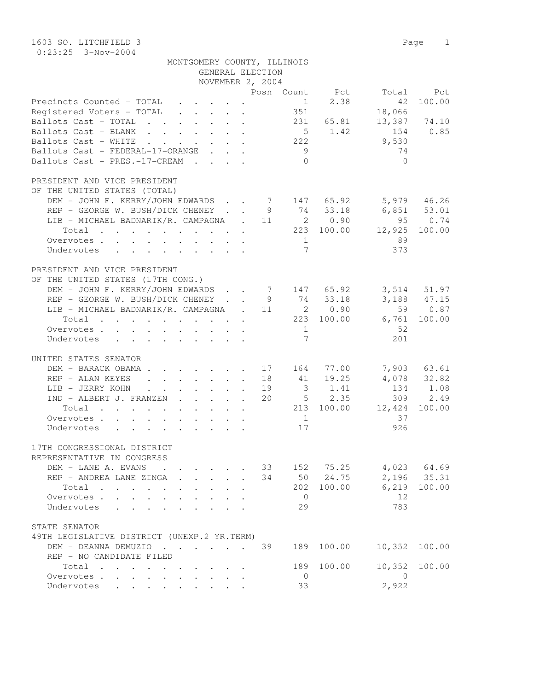1603 SO. LITCHFIELD 3 Page 1 0:23:25 3-Nov-2004

| MONTGOMERY COUNTY, ILLINOIS                                                                                                                           |                           |                                                      |                 |               |
|-------------------------------------------------------------------------------------------------------------------------------------------------------|---------------------------|------------------------------------------------------|-----------------|---------------|
| GENERAL ELECTION                                                                                                                                      |                           |                                                      |                 |               |
| NOVEMBER 2, 2004                                                                                                                                      |                           |                                                      |                 |               |
| Precincts Counted - TOTAL<br>$\cdot$ $\cdot$ $\cdot$ $\cdot$ $\cdot$<br>$\ddot{\phantom{0}}$                                                          | Posn Count Pct Total<br>1 | 2.38                                                 | 42              | Pct<br>100.00 |
| Registered Voters - TOTAL<br>$\mathbf{r} = \mathbf{r} \times \mathbf{r}$ , where $\mathbf{r} = \mathbf{r} \times \mathbf{r}$                          | 351                       |                                                      | 18,066          |               |
| Ballots Cast - TOTAL                                                                                                                                  |                           | 231 65.81                                            |                 | 13,387 74.10  |
| Ballots Cast - BLANK                                                                                                                                  |                           | $5 \t 1.42$                                          | 154             | 0.85          |
| Ballots Cast - WHITE<br>$\mathbf{r} = \mathbf{r} + \mathbf{r} + \mathbf{r} + \mathbf{r}$<br>$\mathbf{r}$ , $\mathbf{r}$ , $\mathbf{r}$ , $\mathbf{r}$ | 222                       |                                                      | 9,530           |               |
| Ballots Cast - FEDERAL-17-ORANGE                                                                                                                      | 9                         |                                                      | 74              |               |
| Ballots Cast - PRES.-17-CREAM                                                                                                                         | $\bigcirc$                |                                                      | $\bigcirc$      |               |
|                                                                                                                                                       |                           |                                                      |                 |               |
| PRESIDENT AND VICE PRESIDENT                                                                                                                          |                           |                                                      |                 |               |
| OF THE UNITED STATES (TOTAL)                                                                                                                          |                           |                                                      |                 |               |
| DEM - JOHN F. KERRY/JOHN EDWARDS 7 147 65.92                                                                                                          |                           |                                                      |                 | 5,979 46.26   |
| REP - GEORGE W. BUSH/DICK CHENEY.                                                                                                                     | 9                         | 74 33.18                                             | $6,851$ $53.01$ |               |
| LIB - MICHAEL BADNARIK/R. CAMPAGNA . 11                                                                                                               |                           | 2 0.90                                               | 95              | 0.74          |
| Total                                                                                                                                                 |                           | 223 100.00                                           | 12,925          | 100.00        |
| Overvotes.                                                                                                                                            | $\overline{1}$            |                                                      | 89              |               |
| Undervotes                                                                                                                                            | $\overline{7}$            |                                                      | 373             |               |
|                                                                                                                                                       |                           |                                                      |                 |               |
| PRESIDENT AND VICE PRESIDENT                                                                                                                          |                           |                                                      |                 |               |
| OF THE UNITED STATES (17TH CONG.)                                                                                                                     |                           |                                                      |                 |               |
| DEM - JOHN F. KERRY/JOHN EDWARDS                                                                                                                      | 7 147 65.92               |                                                      |                 | 3,514 51.97   |
| REP - GEORGE W. BUSH/DICK CHENEY.                                                                                                                     | 74<br>9                   | 33.18                                                |                 | 3,188 47.15   |
| LIB - MICHAEL BADNARIK/R. CAMPAGNA<br>$\mathbb{R}^{n \times n}$                                                                                       | 11                        | 2 0.90                                               |                 | 59 0.87       |
| Total                                                                                                                                                 |                           | 223 100.00                                           |                 | 6,761 100.00  |
| Overvotes.                                                                                                                                            | $\overline{1}$            |                                                      | 52              |               |
| Undervotes                                                                                                                                            | $7\phantom{.0}$           |                                                      | 201             |               |
| UNITED STATES SENATOR                                                                                                                                 |                           |                                                      |                 |               |
| DEM - BARACK OBAMA.<br>$\cdot$ 17 164 77.00                                                                                                           |                           |                                                      |                 | 7,903 63.61   |
| REP - ALAN KEYES<br>$\cdot$ $\cdot$ $\cdot$ $\cdot$ $\cdot$ $\cdot$ $\cdot$ 18 41<br>$\ddot{\phantom{a}}$                                             |                           | 19.25                                                |                 | 4,078 32.82   |
| LIB - JERRY KOHN<br>$\cdot$ $\cdot$ $\cdot$ $\cdot$ $\cdot$<br>$\ddot{\phantom{a}}$                                                                   | 19                        |                                                      |                 | 134 1.08      |
| IND - ALBERT J. FRANZEN                                                                                                                               | 20                        | $\begin{array}{cc} 3 & 1.41 \\ 5 & 2.35 \end{array}$ | 309             | 2.49          |
| Total                                                                                                                                                 |                           | 213 100.00                                           | 12,424          | 100.00        |
| Overvotes.                                                                                                                                            | $\overline{1}$            |                                                      | 37              |               |
| Undervotes                                                                                                                                            | 17                        |                                                      | 926             |               |
|                                                                                                                                                       |                           |                                                      |                 |               |
| 17TH CONGRESSIONAL DISTRICT                                                                                                                           |                           |                                                      |                 |               |
| REPRESENTATIVE IN CONGRESS                                                                                                                            |                           |                                                      |                 |               |
| DEM - LANE A. EVANS                                                                                                                                   | 33<br>152                 | 75.25                                                |                 | 4,023 64.69   |
| REP - ANDREA LANE ZINGA                                                                                                                               | 34                        | 50 24.75                                             | 2,196           | 35.31         |
| Total<br>$\mathcal{L}^{\mathcal{L}}$ , and $\mathcal{L}^{\mathcal{L}}$ , and $\mathcal{L}^{\mathcal{L}}$                                              | 202                       | 100.00                                               | 6,219           | 100.00        |
| Overvotes.<br>$\mathbf{r}$                                                                                                                            | $\bigcirc$                |                                                      | 12              |               |
| Undervotes<br>$\mathbf{L}$<br>$\sim$                                                                                                                  | 29                        |                                                      | 783             |               |
|                                                                                                                                                       |                           |                                                      |                 |               |
| STATE SENATOR                                                                                                                                         |                           |                                                      |                 |               |
| 49TH LEGISLATIVE DISTRICT (UNEXP.2 YR.TERM)                                                                                                           |                           |                                                      |                 |               |
| DEM - DEANNA DEMUZIO                                                                                                                                  | 39<br>189                 | 100.00                                               | 10,352          | 100.00        |
| REP - NO CANDIDATE FILED                                                                                                                              |                           |                                                      |                 |               |
| Total                                                                                                                                                 | 189                       | 100.00                                               | 10,352          | 100.00        |
| Overvotes                                                                                                                                             | $\circ$                   |                                                      | $\mathbf{0}$    |               |

Undervotes . . . . . . . . . 33 2,922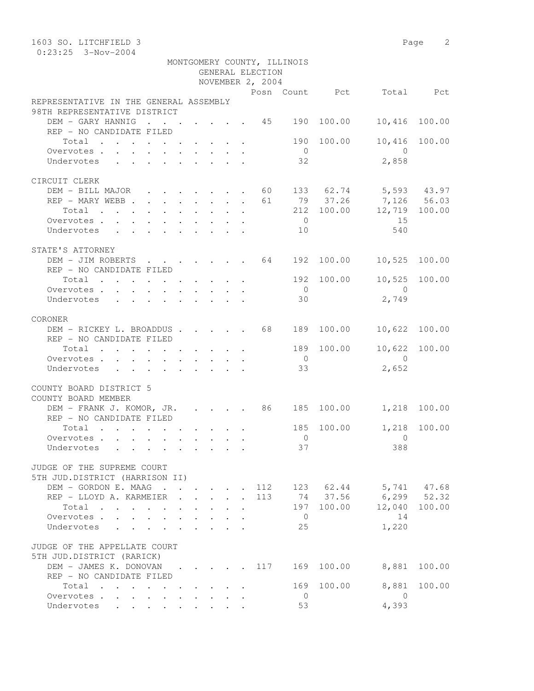| 1603 SO. LITCHFIELD 3                                                                          |                                                                                                        |  |  |                  |                             |            |                                                  | Page 2        |
|------------------------------------------------------------------------------------------------|--------------------------------------------------------------------------------------------------------|--|--|------------------|-----------------------------|------------|--------------------------------------------------|---------------|
| $0:23:25$ 3-Nov-2004                                                                           |                                                                                                        |  |  |                  |                             |            |                                                  |               |
|                                                                                                |                                                                                                        |  |  |                  | MONTGOMERY COUNTY, ILLINOIS |            |                                                  |               |
|                                                                                                |                                                                                                        |  |  | GENERAL ELECTION |                             |            |                                                  |               |
|                                                                                                |                                                                                                        |  |  | NOVEMBER 2, 2004 |                             |            |                                                  |               |
|                                                                                                |                                                                                                        |  |  |                  |                             |            | Posn Count Pct Total Pct                         |               |
| REPRESENTATIVE IN THE GENERAL ASSEMBLY                                                         |                                                                                                        |  |  |                  |                             |            |                                                  |               |
| 98TH REPRESENTATIVE DISTRICT                                                                   |                                                                                                        |  |  |                  |                             |            |                                                  |               |
| DEM - GARY HANNIG 45 190                                                                       |                                                                                                        |  |  |                  |                             | 100.00     | 10,416                                           | 100.00        |
| REP - NO CANDIDATE FILED                                                                       |                                                                                                        |  |  |                  |                             |            |                                                  |               |
| Total                                                                                          |                                                                                                        |  |  |                  | 190                         | 100.00     | 10,416                                           | 100.00        |
| Overvotes.                                                                                     |                                                                                                        |  |  |                  | $\overline{0}$              |            | $\overline{0}$                                   |               |
| Undervotes                                                                                     |                                                                                                        |  |  |                  | 32                          |            | 2,858                                            |               |
|                                                                                                |                                                                                                        |  |  |                  |                             |            |                                                  |               |
| CIRCUIT CLERK                                                                                  |                                                                                                        |  |  |                  |                             |            |                                                  |               |
| DEM - BILL MAJOR 60                                                                            |                                                                                                        |  |  |                  |                             |            | 133 62.74 5,593 43.97                            |               |
| REP - MARY WEBB                                                                                |                                                                                                        |  |  | 61               |                             |            | 79 37.26 7,126 56.03<br>212 100.00 12,719 100.00 |               |
| $\begin{tabular}{ccccccccccc} Total & . & . & . & . & . & . & . & . & . & . & . \end{tabular}$ |                                                                                                        |  |  |                  |                             |            |                                                  |               |
| Overvotes.                                                                                     |                                                                                                        |  |  |                  | $\overline{0}$              |            | 15                                               |               |
| Undervotes                                                                                     |                                                                                                        |  |  |                  | 10                          |            | 540                                              |               |
|                                                                                                |                                                                                                        |  |  |                  |                             |            |                                                  |               |
| STATE'S ATTORNEY                                                                               |                                                                                                        |  |  |                  |                             |            |                                                  |               |
| DEM - JIM ROBERTS 64                                                                           |                                                                                                        |  |  |                  | 192                         | 100.00     | 10,525                                           | 100.00        |
| REP - NO CANDIDATE FILED                                                                       |                                                                                                        |  |  |                  |                             |            |                                                  |               |
| Total                                                                                          |                                                                                                        |  |  |                  |                             | 192 100.00 |                                                  | 10,525 100.00 |
| Overvotes.                                                                                     |                                                                                                        |  |  |                  | $\overline{0}$              |            | $\overline{0}$                                   |               |
| Undervotes                                                                                     | $\mathbf{r}$ , $\mathbf{r}$ , $\mathbf{r}$ , $\mathbf{r}$ , $\mathbf{r}$ , $\mathbf{r}$ , $\mathbf{r}$ |  |  |                  | 30                          |            | 2,749                                            |               |
|                                                                                                |                                                                                                        |  |  |                  |                             |            |                                                  |               |
| CORONER                                                                                        |                                                                                                        |  |  |                  |                             |            |                                                  |               |
| DEM - RICKEY L. BROADDUS 68 189                                                                |                                                                                                        |  |  |                  |                             | 100.00     |                                                  | 10,622 100.00 |
| REP - NO CANDIDATE FILED                                                                       |                                                                                                        |  |  |                  |                             |            |                                                  |               |
| Total $\cdot$                                                                                  |                                                                                                        |  |  |                  | 189                         | 100.00     | 10,622                                           | 100.00        |
| Overvotes                                                                                      |                                                                                                        |  |  |                  | $\overline{0}$              |            | $\overline{0}$                                   |               |
| Undervotes                                                                                     |                                                                                                        |  |  |                  | 33                          |            | 2,652                                            |               |
|                                                                                                |                                                                                                        |  |  |                  |                             |            |                                                  |               |
| COUNTY BOARD DISTRICT 5                                                                        |                                                                                                        |  |  |                  |                             |            |                                                  |               |
| COUNTY BOARD MEMBER                                                                            |                                                                                                        |  |  |                  |                             |            |                                                  |               |
| DEM - FRANK J. KOMOR, JR. 86 185 100.00                                                        |                                                                                                        |  |  |                  |                             |            | 1,218 100.00                                     |               |
| REP - NO CANDIDATE FILED                                                                       |                                                                                                        |  |  |                  |                             |            |                                                  |               |
| $Total \cdot \cdot \cdot \cdot \cdot \cdot \cdot \cdot \cdot$                                  |                                                                                                        |  |  |                  | 185                         | 100.00     |                                                  | 1,218 100.00  |
| Overvotes                                                                                      |                                                                                                        |  |  |                  | $\overline{0}$              |            | 0                                                |               |
| Undervotes                                                                                     |                                                                                                        |  |  |                  | 37                          |            | 388                                              |               |
|                                                                                                |                                                                                                        |  |  |                  |                             |            |                                                  |               |
| JUDGE OF THE SUPREME COURT                                                                     |                                                                                                        |  |  |                  |                             |            |                                                  |               |
| 5TH JUD.DISTRICT (HARRISON II)                                                                 |                                                                                                        |  |  |                  |                             |            |                                                  |               |
| DEM - GORDON E. MAAG                                                                           |                                                                                                        |  |  | 112              |                             |            | 123 62.44 5,741 47.68                            |               |
| REP - LLOYD A. KARMEIER                                                                        |                                                                                                        |  |  | 113              |                             |            | 74 37.56 6,299 52.32                             |               |
| Total $\cdots$                                                                                 |                                                                                                        |  |  |                  | 197                         | 100.00     | 12,040                                           | 100.00        |
| Overvotes.                                                                                     |                                                                                                        |  |  |                  | $\overline{0}$              |            | 14                                               |               |
| Undervotes                                                                                     |                                                                                                        |  |  |                  | 25                          |            | 1,220                                            |               |
|                                                                                                |                                                                                                        |  |  |                  |                             |            |                                                  |               |
| JUDGE OF THE APPELLATE COURT                                                                   |                                                                                                        |  |  |                  |                             |            |                                                  |               |
| 5TH JUD.DISTRICT (RARICK)                                                                      |                                                                                                        |  |  |                  |                             |            |                                                  |               |
| DEM - JAMES K. DONOVAN                                                                         |                                                                                                        |  |  | 117              | 169                         | 100.00     | 8,881                                            | 100.00        |
| REP - NO CANDIDATE FILED                                                                       |                                                                                                        |  |  |                  |                             |            |                                                  |               |
| Total                                                                                          |                                                                                                        |  |  |                  | 169                         | 100.00     | 8,881                                            | 100.00        |
| Overvotes.                                                                                     |                                                                                                        |  |  |                  | - 0                         |            | $\overline{0}$                                   |               |
| Undervotes                                                                                     |                                                                                                        |  |  |                  | 53                          |            | 4,393                                            |               |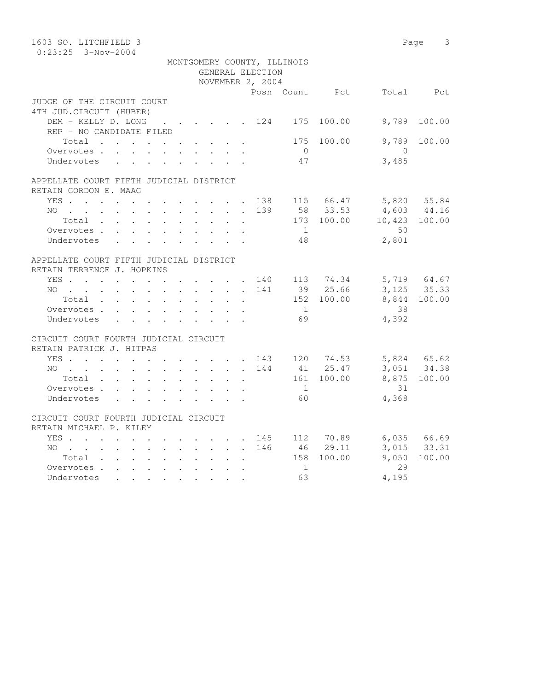| 1603 SO. LITCHFIELD 3                                                                          |  |  |        |                  |                             |            |                                                      | Page 3       |
|------------------------------------------------------------------------------------------------|--|--|--------|------------------|-----------------------------|------------|------------------------------------------------------|--------------|
| $0:23:25$ 3-Nov-2004                                                                           |  |  |        |                  |                             |            |                                                      |              |
|                                                                                                |  |  |        |                  | MONTGOMERY COUNTY, ILLINOIS |            |                                                      |              |
|                                                                                                |  |  |        | GENERAL ELECTION |                             |            |                                                      |              |
|                                                                                                |  |  |        | NOVEMBER 2, 2004 |                             |            |                                                      |              |
|                                                                                                |  |  |        |                  |                             |            | Posn Count Pct Total Pct                             |              |
| JUDGE OF THE CIRCUIT COURT                                                                     |  |  |        |                  |                             |            |                                                      |              |
| 4TH JUD. CIRCUIT (HUBER)                                                                       |  |  |        |                  |                             |            |                                                      |              |
| DEM - KELLY D. LONG 124                                                                        |  |  |        |                  | 175                         | 100.00     | 9,789                                                | 100.00       |
| REP - NO CANDIDATE FILED                                                                       |  |  |        |                  |                             |            |                                                      |              |
| Total $\cdot$                                                                                  |  |  |        |                  | 175                         | 100.00     | 9,789<br>$\overline{0}$                              | 100.00       |
| Overvotes                                                                                      |  |  |        |                  | $\overline{0}$<br>47        |            | 3,485                                                |              |
| Undervotes                                                                                     |  |  |        |                  |                             |            |                                                      |              |
| APPELLATE COURT FIFTH JUDICIAL DISTRICT                                                        |  |  |        |                  |                             |            |                                                      |              |
| RETAIN GORDON E. MAAG                                                                          |  |  |        |                  |                             |            |                                                      |              |
| YES 138 115 66.47 5,820 55.84                                                                  |  |  |        |                  |                             |            |                                                      |              |
| NO                                                                                             |  |  |        |                  |                             |            |                                                      |              |
| $Total \cdot \cdot \cdot \cdot \cdot \cdot \cdot \cdot$                                        |  |  | $\sim$ |                  |                             |            | 139 58 33.53 4,603 44.16<br>173 100.00 10,423 100.00 |              |
| Overvotes.                                                                                     |  |  |        |                  | $\sim$ 1                    |            | 50                                                   |              |
| Undervotes                                                                                     |  |  |        |                  | 48                          |            | 2,801                                                |              |
|                                                                                                |  |  |        |                  |                             |            |                                                      |              |
| APPELLATE COURT FIFTH JUDICIAL DISTRICT                                                        |  |  |        |                  |                             |            |                                                      |              |
| RETAIN TERRENCE J. HOPKINS                                                                     |  |  |        |                  |                             |            |                                                      |              |
| YES 140 113 74.34 5,719 64.67                                                                  |  |  |        |                  |                             |            |                                                      |              |
| NO                                                                                             |  |  |        | 141              |                             | 39 25.66   |                                                      | 3, 125 35.33 |
| Total                                                                                          |  |  |        |                  |                             | 152 100.00 |                                                      | 8,844 100.00 |
| Overvotes.                                                                                     |  |  |        |                  | 1                           |            | 38                                                   |              |
| Undervotes                                                                                     |  |  |        |                  | 69                          |            | 4,392                                                |              |
|                                                                                                |  |  |        |                  |                             |            |                                                      |              |
| CIRCUIT COURT FOURTH JUDICIAL CIRCUIT                                                          |  |  |        |                  |                             |            |                                                      |              |
| RETAIN PATRICK J. HITPAS                                                                       |  |  |        |                  |                             |            |                                                      |              |
|                                                                                                |  |  |        |                  |                             |            | 5,824 65.62<br>3,051 34.38                           |              |
| YES 143 120 74.53<br>NO 144 41 25.47                                                           |  |  |        |                  |                             |            |                                                      |              |
| Total $\cdots$                                                                                 |  |  |        |                  |                             | 161 100.00 |                                                      | 8,875 100.00 |
| Overvotes.                                                                                     |  |  |        |                  | $\overline{1}$              |            | 31                                                   |              |
| Undervotes                                                                                     |  |  |        |                  | 60                          |            | 4,368                                                |              |
|                                                                                                |  |  |        |                  |                             |            |                                                      |              |
| CIRCUIT COURT FOURTH JUDICIAL CIRCUIT                                                          |  |  |        |                  |                             |            |                                                      |              |
| RETAIN MICHAEL P. KILEY                                                                        |  |  |        |                  |                             |            |                                                      |              |
| YES 145 112 70.89 6,035 66.69                                                                  |  |  |        |                  |                             |            |                                                      |              |
| NO 146                                                                                         |  |  |        |                  |                             | 46 29.11   |                                                      | 3,015 33.31  |
|                                                                                                |  |  |        |                  |                             | 158 100.00 | 9,050                                                | 100.00       |
| Overvotes                                                                                      |  |  |        |                  | $\overline{1}$              |            | 29                                                   |              |
| Undervotes<br>. As a set of the set of the set of the set of $\mathcal{A}$ , and $\mathcal{A}$ |  |  |        |                  | 63                          |            | 4,195                                                |              |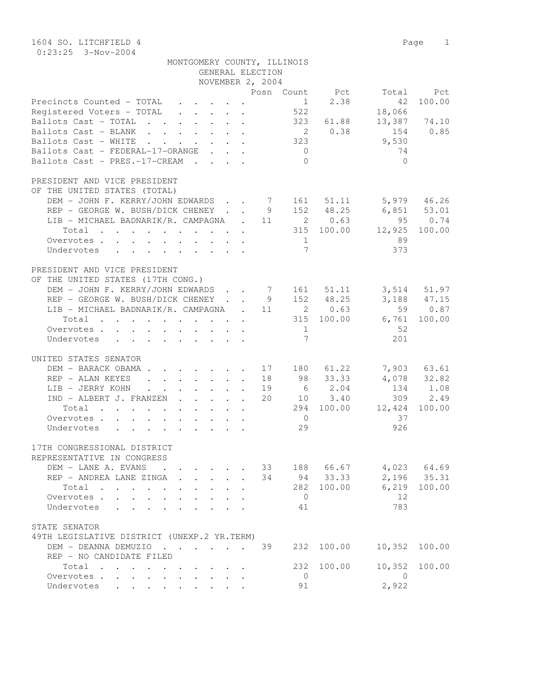| 1604 SO. LITCHFIELD 4                                                                                                                                                                                                                                                                |                      | Page 1        |
|--------------------------------------------------------------------------------------------------------------------------------------------------------------------------------------------------------------------------------------------------------------------------------------|----------------------|---------------|
| $0:23:25$ 3-Nov-2004<br>MONTGOMERY COUNTY, ILLINOIS                                                                                                                                                                                                                                  |                      |               |
| GENERAL ELECTION                                                                                                                                                                                                                                                                     |                      |               |
| NOVEMBER 2, 2004                                                                                                                                                                                                                                                                     |                      |               |
| Posn Count Pct                                                                                                                                                                                                                                                                       | Total                | Pct           |
| Precincts Counted - TOTAL<br>$1 \quad \cdots$<br>$\mathbf{r}$ , $\mathbf{r}$ , $\mathbf{r}$ , $\mathbf{r}$                                                                                                                                                                           | 2.38<br>42           | 100.00        |
| 522<br>Registered Voters - TOTAL                                                                                                                                                                                                                                                     | 18,066               |               |
| Ballots Cast - TOTAL<br>323                                                                                                                                                                                                                                                          | 13,387<br>61.88      | 74.10         |
| $\overline{\mathbf{c}}$<br>Ballots Cast - BLANK                                                                                                                                                                                                                                      | 0.38<br>154          | 0.85          |
| 323<br>Ballots Cast - WHITE<br>$\mathbf{r}$ , $\mathbf{r}$ , $\mathbf{r}$ , $\mathbf{r}$                                                                                                                                                                                             | 9,530                |               |
| Ballots Cast - FEDERAL-17-ORANGE<br>$\overline{0}$<br>$\mathbf{r} = \mathbf{r} + \mathbf{r}$                                                                                                                                                                                         | 74                   |               |
| Ballots Cast - PRES.-17-CREAM<br>$\Omega$                                                                                                                                                                                                                                            | $\Omega$             |               |
| PRESIDENT AND VICE PRESIDENT                                                                                                                                                                                                                                                         |                      |               |
| OF THE UNITED STATES (TOTAL)                                                                                                                                                                                                                                                         |                      |               |
| DEM - JOHN F. KERRY/JOHN EDWARDS.<br>7 161 51.11                                                                                                                                                                                                                                     |                      | 5,979 46.26   |
| REP - GEORGE W. BUSH/DICK CHENEY.<br>152 48.25<br>9                                                                                                                                                                                                                                  | 6,851                | 53.01         |
| 2 0.63<br>LIB - MICHAEL BADNARIK/R. CAMPAGNA<br>$\sim$ 11                                                                                                                                                                                                                            | 95                   | 0.74          |
| Total                                                                                                                                                                                                                                                                                | 315 100.00<br>12,925 | 100.00        |
| Overvotes.<br>1                                                                                                                                                                                                                                                                      | 89                   |               |
| 7<br>Undervotes<br>$\mathbf{r} = \mathbf{r} - \mathbf{r}$ , and $\mathbf{r} = \mathbf{r} - \mathbf{r}$ , and $\mathbf{r} = \mathbf{r} - \mathbf{r}$                                                                                                                                  | 373                  |               |
| PRESIDENT AND VICE PRESIDENT                                                                                                                                                                                                                                                         |                      |               |
| OF THE UNITED STATES (17TH CONG.)                                                                                                                                                                                                                                                    |                      |               |
| DEM - JOHN F. KERRY/JOHN EDWARDS<br>7 161 51.11                                                                                                                                                                                                                                      |                      | 3,514 51.97   |
| 152 48.25<br>REP - GEORGE W. BUSH/DICK CHENEY.<br>9                                                                                                                                                                                                                                  |                      | 3, 188 47. 15 |
| LIB - MICHAEL BADNARIK/R. CAMPAGNA<br>11<br>2 0.63                                                                                                                                                                                                                                   | 59                   | 0.87          |
| Total                                                                                                                                                                                                                                                                                | 6,761<br>315 100.00  | 100.00        |
| $\mathbf{1}$<br>Overvotes                                                                                                                                                                                                                                                            | - 52                 |               |
| $7\phantom{.0}$<br>Undervotes<br>$\mathbf{r}$ , and $\mathbf{r}$ , and $\mathbf{r}$ , and $\mathbf{r}$                                                                                                                                                                               | 201                  |               |
|                                                                                                                                                                                                                                                                                      |                      |               |
| UNITED STATES SENATOR<br>DEM - BARACK OBAMA.<br>$\cdot$ 17 180 61.22                                                                                                                                                                                                                 |                      | 7,903 63.61   |
| 98 33.33<br>REP - ALAN KEYES<br>$\cdot$ $\cdot$ $\cdot$ $\cdot$ $\cdot$ $\cdot$ 18<br>$\ddot{\phantom{0}}$                                                                                                                                                                           |                      | 4,078 32.82   |
| LIB - JERRY KOHN<br>19<br>$\cdot$ $\cdot$ $\cdot$ $\cdot$ $\cdot$<br>$\ddot{\phantom{0}}$<br>$\sim$ 100 $\sim$                                                                                                                                                                       | 6 2.04<br>134        | 1.08          |
| 20<br>IND - ALBERT J. FRANZEN                                                                                                                                                                                                                                                        | 10 3.40<br>309       | 2.49          |
| Total<br>294<br>$\mathbf{r}$ . The set of the set of the set of the set of the set of the set of the set of the set of the set of the set of the set of the set of the set of the set of the set of the set of the set of the set of the set of t<br>$\cdot$ $\cdot$ $\cdot$ $\cdot$ | 100.00<br>12,424     | 100.00        |
| $\Omega$<br>Overvotes.                                                                                                                                                                                                                                                               | 37                   |               |
| 29<br>Undervotes                                                                                                                                                                                                                                                                     | 926                  |               |
|                                                                                                                                                                                                                                                                                      |                      |               |
| 17TH CONGRESSIONAL DISTRICT<br>REPRESENTATIVE IN CONGRESS                                                                                                                                                                                                                            |                      |               |
| DEM - LANE A. EVANS<br>33 188 66.67<br>$\mathbf{r}$ , $\mathbf{r}$                                                                                                                                                                                                                   |                      | 4,023 64.69   |
| 34 94 33.33<br>REP - ANDREA LANE ZINGA                                                                                                                                                                                                                                               |                      | 2,196 35.31   |
| Total                                                                                                                                                                                                                                                                                | 282 100.00           | 6,219 100.00  |
| $\overline{0}$<br>Overvotes.<br>$\mathbf{L}$                                                                                                                                                                                                                                         | 12                   |               |
| 41<br>Undervotes                                                                                                                                                                                                                                                                     | 783                  |               |
|                                                                                                                                                                                                                                                                                      |                      |               |
| STATE SENATOR<br>49TH LEGISLATIVE DISTRICT (UNEXP.2 YR.TERM)                                                                                                                                                                                                                         |                      |               |
|                                                                                                                                                                                                                                                                                      |                      |               |

| 49TH LEGISLATIVE DISTRICT (UNEXP.2 YR.TERM) |  |  |  |  |  |    |                                                                                                    |               |  |
|---------------------------------------------|--|--|--|--|--|----|----------------------------------------------------------------------------------------------------|---------------|--|
|                                             |  |  |  |  |  |    |                                                                                                    | 10,352 100.00 |  |
| REP - NO CANDIDATE FILED                    |  |  |  |  |  |    |                                                                                                    |               |  |
| Total                                       |  |  |  |  |  |    | 232 100.00                                                                                         | 10,352 100.00 |  |
| Overvotes.                                  |  |  |  |  |  |    | $\begin{array}{ccc} \begin{array}{ccc} \end{array} & \begin{array}{ccc} \end{array} & \end{array}$ |               |  |
| Undervotes                                  |  |  |  |  |  | 91 |                                                                                                    | 2,922         |  |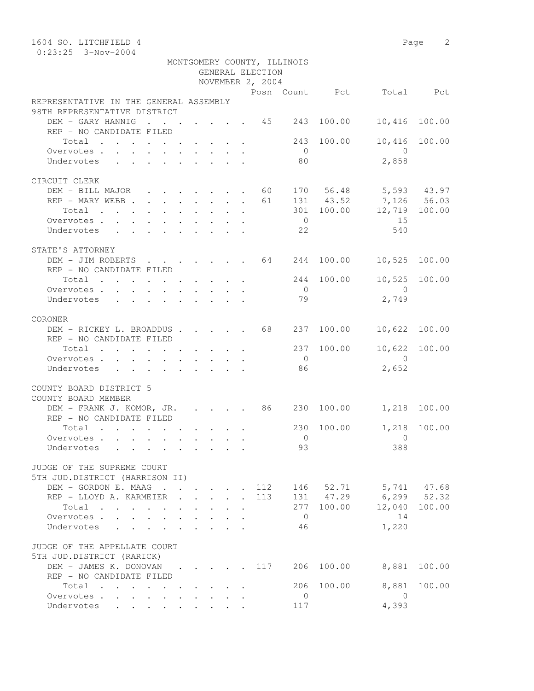| 1604 SO. LITCHFIELD 4                                                                                 |  |                                                                          |  |                  |                             |            |                                                   | Page 2        |
|-------------------------------------------------------------------------------------------------------|--|--------------------------------------------------------------------------|--|------------------|-----------------------------|------------|---------------------------------------------------|---------------|
| $0:23:25$ 3-Nov-2004                                                                                  |  |                                                                          |  |                  |                             |            |                                                   |               |
|                                                                                                       |  |                                                                          |  |                  | MONTGOMERY COUNTY, ILLINOIS |            |                                                   |               |
|                                                                                                       |  |                                                                          |  | GENERAL ELECTION |                             |            |                                                   |               |
|                                                                                                       |  |                                                                          |  | NOVEMBER 2, 2004 |                             |            |                                                   |               |
|                                                                                                       |  |                                                                          |  |                  |                             |            | Posn Count Pct Total Pct                          |               |
| REPRESENTATIVE IN THE GENERAL ASSEMBLY                                                                |  |                                                                          |  |                  |                             |            |                                                   |               |
| 98TH REPRESENTATIVE DISTRICT                                                                          |  |                                                                          |  |                  |                             |            |                                                   |               |
| DEM - GARY HANNIG 45 243                                                                              |  |                                                                          |  |                  |                             | 100.00     | 10,416                                            | 100.00        |
| REP - NO CANDIDATE FILED                                                                              |  |                                                                          |  |                  |                             |            |                                                   |               |
| Total                                                                                                 |  |                                                                          |  |                  | 243                         | 100.00     | 10,416                                            | 100.00        |
| Overvotes.                                                                                            |  |                                                                          |  |                  | $\overline{0}$              |            | $\overline{0}$                                    |               |
| Undervotes                                                                                            |  |                                                                          |  |                  | 80                          |            | 2,858                                             |               |
|                                                                                                       |  |                                                                          |  |                  |                             |            |                                                   |               |
| CIRCUIT CLERK                                                                                         |  |                                                                          |  |                  |                             |            |                                                   |               |
| DEM - BILL MAJOR 60                                                                                   |  |                                                                          |  |                  |                             |            | 170 56.48 5,593 43.97                             |               |
| REP - MARY WEBB                                                                                       |  |                                                                          |  | 61               |                             | 131 43.52  | 131 43.52 7,126 56.03<br>301 100.00 12,719 100.00 |               |
| Total                                                                                                 |  |                                                                          |  |                  |                             |            |                                                   |               |
| Overvotes.                                                                                            |  |                                                                          |  |                  | $\overline{0}$              |            | 15                                                |               |
| Undervotes                                                                                            |  |                                                                          |  |                  | 22                          |            | 540                                               |               |
|                                                                                                       |  |                                                                          |  |                  |                             |            |                                                   |               |
| STATE'S ATTORNEY                                                                                      |  |                                                                          |  |                  |                             |            |                                                   |               |
| DEM - JIM ROBERTS 64                                                                                  |  |                                                                          |  |                  | 244                         | 100.00     | 10,525                                            | 100.00        |
| REP - NO CANDIDATE FILED                                                                              |  |                                                                          |  |                  |                             |            |                                                   |               |
| Total                                                                                                 |  |                                                                          |  |                  |                             | 244 100.00 |                                                   | 10,525 100.00 |
| Overvotes.                                                                                            |  |                                                                          |  |                  | $\overline{0}$              |            | $\bigcirc$                                        |               |
| Undervotes<br>$\mathbf{r}$ , $\mathbf{r}$ , $\mathbf{r}$ , $\mathbf{r}$ , $\mathbf{r}$ , $\mathbf{r}$ |  |                                                                          |  |                  | 79                          |            | 2,749                                             |               |
|                                                                                                       |  |                                                                          |  |                  |                             |            |                                                   |               |
| CORONER                                                                                               |  |                                                                          |  |                  |                             |            |                                                   |               |
| DEM - RICKEY L. BROADDUS 68 237                                                                       |  |                                                                          |  |                  |                             |            | 100.00 10,622 100.00                              |               |
| REP - NO CANDIDATE FILED                                                                              |  |                                                                          |  |                  |                             |            |                                                   |               |
| Total $\cdot$                                                                                         |  |                                                                          |  |                  | 237                         | 100.00     | 10,622                                            | 100.00        |
| Overvotes                                                                                             |  |                                                                          |  |                  | $\overline{0}$              |            | $\overline{0}$                                    |               |
| Undervotes                                                                                            |  |                                                                          |  |                  | 86                          |            | 2,652                                             |               |
|                                                                                                       |  |                                                                          |  |                  |                             |            |                                                   |               |
| COUNTY BOARD DISTRICT 5                                                                               |  |                                                                          |  |                  |                             |            |                                                   |               |
| COUNTY BOARD MEMBER                                                                                   |  |                                                                          |  |                  |                             |            |                                                   |               |
| DEM - FRANK J. KOMOR, JR. 86 230 100.00                                                               |  |                                                                          |  |                  |                             |            | 1,218 100.00                                      |               |
| REP - NO CANDIDATE FILED                                                                              |  |                                                                          |  |                  |                             |            |                                                   |               |
| $Total \cdot \cdot \cdot \cdot \cdot \cdot \cdot \cdot \cdot$                                         |  |                                                                          |  |                  | 230                         | 100.00     |                                                   | 1,218 100.00  |
| Overvotes                                                                                             |  |                                                                          |  |                  | $\overline{0}$              |            | 0                                                 |               |
| Undervotes                                                                                            |  |                                                                          |  |                  | 93                          |            | 388                                               |               |
|                                                                                                       |  |                                                                          |  |                  |                             |            |                                                   |               |
| JUDGE OF THE SUPREME COURT                                                                            |  |                                                                          |  |                  |                             |            |                                                   |               |
| 5TH JUD.DISTRICT (HARRISON II)                                                                        |  |                                                                          |  |                  |                             |            |                                                   |               |
| DEM - GORDON E. MAAG                                                                                  |  |                                                                          |  | 112              |                             |            | 146 52.71 5,741 47.68                             |               |
| REP - LLOYD A. KARMEIER                                                                               |  |                                                                          |  | 113              |                             |            | 131 47.29 6,299 52.32                             |               |
| Total                                                                                                 |  |                                                                          |  |                  | 277                         | 100.00     | 12,040                                            | 100.00        |
| Overvotes.                                                                                            |  |                                                                          |  |                  | $\overline{0}$              |            | 14                                                |               |
| Undervotes                                                                                            |  |                                                                          |  |                  | 46                          |            | 1,220                                             |               |
|                                                                                                       |  |                                                                          |  |                  |                             |            |                                                   |               |
| JUDGE OF THE APPELLATE COURT                                                                          |  |                                                                          |  |                  |                             |            |                                                   |               |
| 5TH JUD.DISTRICT (RARICK)                                                                             |  |                                                                          |  |                  |                             |            |                                                   |               |
| DEM - JAMES K. DONOVAN                                                                                |  | $\mathbf{r}$ , $\mathbf{r}$ , $\mathbf{r}$ , $\mathbf{r}$ , $\mathbf{r}$ |  | 117              | 206                         | 100.00     | 8,881                                             | 100.00        |
| REP - NO CANDIDATE FILED                                                                              |  |                                                                          |  |                  |                             |            |                                                   |               |
| Total                                                                                                 |  |                                                                          |  |                  | 206                         | 100.00     | 8,881                                             | 100.00        |
| Overvotes.                                                                                            |  |                                                                          |  |                  | 0                           |            | $\overline{0}$                                    |               |
| Undervotes                                                                                            |  |                                                                          |  |                  | 117                         |            | 4,393                                             |               |
|                                                                                                       |  |                                                                          |  |                  |                             |            |                                                   |               |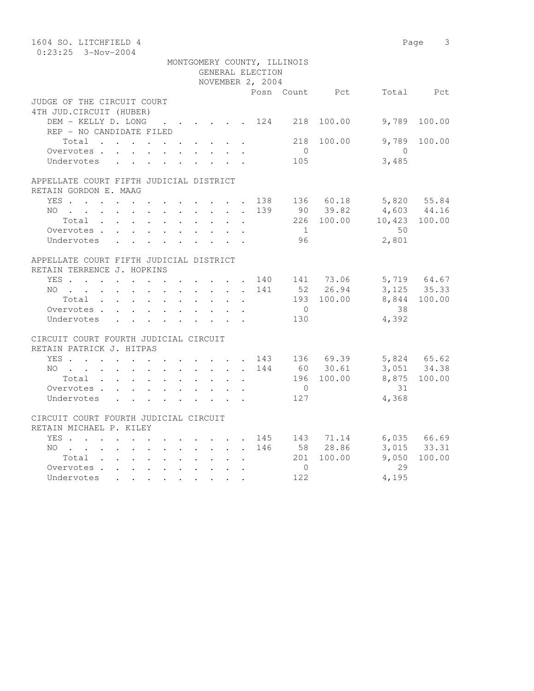| 1604 SO. LITCHFIELD 4                   |  |              |                             |                |              |                                                  | Page 3       |
|-----------------------------------------|--|--------------|-----------------------------|----------------|--------------|--------------------------------------------------|--------------|
| $0:23:25$ 3-Nov-2004                    |  |              |                             |                |              |                                                  |              |
|                                         |  |              | MONTGOMERY COUNTY, ILLINOIS |                |              |                                                  |              |
|                                         |  |              | GENERAL ELECTION            |                |              |                                                  |              |
|                                         |  |              | NOVEMBER 2, 2004            |                |              |                                                  |              |
|                                         |  |              |                             |                |              | Posn Count Pct Total Pct                         |              |
| JUDGE OF THE CIRCUIT COURT              |  |              |                             |                |              |                                                  |              |
| 4TH JUD. CIRCUIT (HUBER)                |  |              |                             |                |              |                                                  |              |
| DEM - KELLY D. LONG 124 218             |  |              |                             |                | 100.00       | 9,789                                            | 100.00       |
| REP - NO CANDIDATE FILED                |  |              |                             |                |              |                                                  |              |
| Total                                   |  |              |                             | 218            | 100.00       | 9,789                                            | 100.00       |
| Overvotes                               |  |              |                             | $\overline{0}$ |              | $\overline{0}$                                   |              |
| Undervotes                              |  |              |                             | 105            |              | 3,485                                            |              |
| APPELLATE COURT FIFTH JUDICIAL DISTRICT |  |              |                             |                |              |                                                  |              |
| RETAIN GORDON E. MAAG                   |  |              |                             |                |              |                                                  |              |
| YES 138 136 60.18 5,820 55.84           |  |              |                             |                |              |                                                  |              |
|                                         |  |              |                             |                | 139 90 39.82 |                                                  |              |
| NO<br>Total                             |  | $\mathbf{L}$ | $\sim$ $-$                  |                |              | 90 39.82 4,603 44.16<br>226 100.00 10,423 100.00 |              |
| Overvotes                               |  |              |                             | 1              |              | 50                                               |              |
| Undervotes                              |  |              |                             | 96             |              | 2,801                                            |              |
|                                         |  |              |                             |                |              |                                                  |              |
| APPELLATE COURT FIFTH JUDICIAL DISTRICT |  |              |                             |                |              |                                                  |              |
| RETAIN TERRENCE J. HOPKINS              |  |              |                             |                |              |                                                  |              |
| YES 140 141 73.06 5,719 64.67           |  |              |                             |                |              |                                                  |              |
| NO 141                                  |  |              |                             |                | 52 26.94     |                                                  | 3, 125 35.33 |
| Total                                   |  |              |                             |                | 193 100.00   |                                                  | 8,844 100.00 |
| Overvotes                               |  |              |                             | $\overline{0}$ |              | 38                                               |              |
| Undervotes                              |  |              |                             | 130            |              | 4,392                                            |              |
|                                         |  |              |                             |                |              |                                                  |              |
| CIRCUIT COURT FOURTH JUDICIAL CIRCUIT   |  |              |                             |                |              |                                                  |              |
| RETAIN PATRICK J. HITPAS                |  |              |                             |                |              |                                                  |              |
| YES 143 136 69.39                       |  |              |                             |                |              | 5,824 65.62<br>3,051 34.38                       |              |
| NO 144                                  |  |              |                             |                | 60 30.61     |                                                  |              |
| Total                                   |  |              |                             |                | 196 100.00   |                                                  | 8,875 100.00 |
| Overvotes                               |  |              |                             | $\overline{0}$ |              | 31                                               |              |
| Undervotes                              |  |              |                             | 127            |              | 4,368                                            |              |
|                                         |  |              |                             |                |              |                                                  |              |
| CIRCUIT COURT FOURTH JUDICIAL CIRCUIT   |  |              |                             |                |              |                                                  |              |
| RETAIN MICHAEL P. KILEY                 |  |              |                             |                |              |                                                  |              |
| YES 145 143 71.14 6,035 66.69           |  |              |                             |                |              |                                                  |              |
| NO                                      |  |              |                             |                | 146 58 28.86 |                                                  | 3,015 33.31  |
| Total                                   |  |              |                             |                | 201 100.00   | 9,050                                            | 100.00       |
| Overvotes.                              |  |              |                             | $\Omega$       |              | 29                                               |              |
| Undervotes                              |  |              |                             | 122            |              | 4,195                                            |              |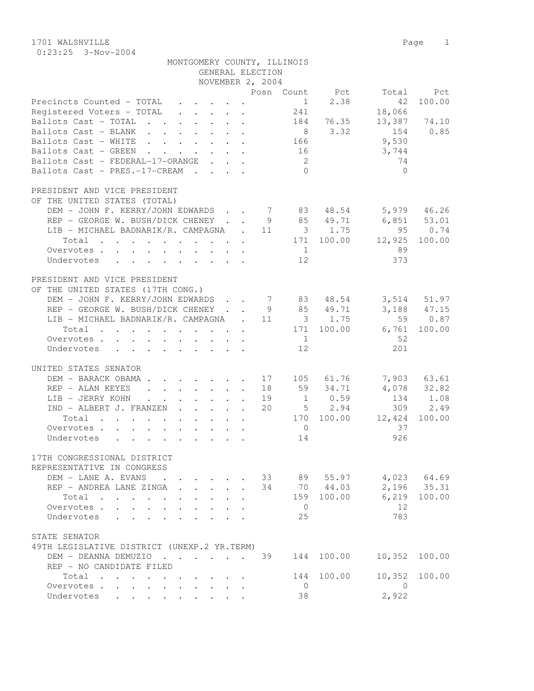1701 WALSHVILLE Page 1 0:23:25 3-Nov-2004

| MONTGOMERY COUNTY, ILLINOIS                                                                                          |                                              |
|----------------------------------------------------------------------------------------------------------------------|----------------------------------------------|
| GENERAL ELECTION                                                                                                     |                                              |
| NOVEMBER 2, 2004                                                                                                     |                                              |
|                                                                                                                      | Posn Count Pct<br>Total<br>Pct               |
| Precincts Counted - TOTAL                                                                                            | 2.38<br>100.00<br>$\frac{1}{2}$<br>42<br>241 |
| Registered Voters - TOTAL<br>$\mathbf{r}$ , $\mathbf{r}$ , $\mathbf{r}$ , $\mathbf{r}$<br>Ballots Cast - TOTAL       | 18,066<br>13,387 74.10<br>184                |
| Ballots Cast - BLANK                                                                                                 | 76.35<br>3.32<br>154<br>0.85<br>8            |
| Ballots Cast - WHITE                                                                                                 | 9,530<br>166                                 |
| Ballots Cast - GREEN<br>$\mathbf{r}$ , $\mathbf{r}$ , $\mathbf{r}$                                                   | 16<br>3,744                                  |
| Ballots Cast - FEDERAL-17-ORANGE                                                                                     | 74<br>2                                      |
| Ballots Cast - PRES.-17-CREAM                                                                                        | $\Omega$<br>$\Omega$                         |
|                                                                                                                      |                                              |
| PRESIDENT AND VICE PRESIDENT                                                                                         |                                              |
| OF THE UNITED STATES (TOTAL)                                                                                         |                                              |
| DEM - JOHN F. KERRY/JOHN EDWARDS 7 83 48.54                                                                          | 5,979 46.26                                  |
| REP - GEORGE W. BUSH/DICK CHENEY                                                                                     | 9 85 49.71<br>$6,851$ $53.01$                |
| LIB - MICHAEL BADNARIK/R. CAMPAGNA . 11 3 1.75                                                                       | 95<br>0.74                                   |
| Total<br>$\mathbf{r}$ , and $\mathbf{r}$ , and $\mathbf{r}$ , and $\mathbf{r}$ , and $\mathbf{r}$ , and $\mathbf{r}$ | 171 100.00<br>12,925<br>100.00               |
| Overvotes                                                                                                            | 89<br>1                                      |
| Undervotes<br>$\mathbf{r}$ , and $\mathbf{r}$ , and $\mathbf{r}$ , and $\mathbf{r}$ , and $\mathbf{r}$               | 12<br>373                                    |
|                                                                                                                      |                                              |
| PRESIDENT AND VICE PRESIDENT                                                                                         |                                              |
| OF THE UNITED STATES (17TH CONG.)                                                                                    |                                              |
| DEM - JOHN F. KERRY/JOHN EDWARDS 7 83                                                                                | 3,514 51.97<br>48.54                         |
| REP - GEORGE W. BUSH/DICK CHENEY 9 85 49.71                                                                          | 3,188 47.15                                  |
| LIB - MICHAEL BADNARIK/R. CAMPAGNA . 11 3 1.75                                                                       | 59<br>0.87                                   |
| Total<br>$\mathcal{A}$ . The second contribution of the second contribution $\mathcal{A}$                            | 171 100.00<br>6,761<br>100.00                |
| Overvotes                                                                                                            | -52<br>$\sim$ 1                              |
| Undervotes<br>$\mathbf{r}$ , and $\mathbf{r}$ , and $\mathbf{r}$ , and $\mathbf{r}$ , and $\mathbf{r}$               | 12<br>201                                    |
|                                                                                                                      |                                              |
| UNITED STATES SENATOR                                                                                                |                                              |
| DEM - BARACK OBAMA 17 105 61.76                                                                                      | 7,903 63.61                                  |
| REP - ALAN KEYES<br>$\mathbf{r}$ , $\mathbf{r}$ , $\mathbf{r}$ , $\mathbf{r}$ , $\mathbf{r}$ , $\mathbf{r}$          | 59 34.71<br>4,078 32.82<br>18                |
| LIB - JERRY KOHN.<br>$\mathbf{r}$ , and $\mathbf{r}$ , and $\mathbf{r}$                                              | $1 \t 0.59$<br>19<br>134<br>1.08             |
| IND - ALBERT J. FRANZEN<br>$\mathbf{r}$ , $\mathbf{r}$ , $\mathbf{r}$ , $\mathbf{r}$ , $\mathbf{r}$                  | $5 \t 2.94$<br>309<br>2.49<br>20             |
| Total<br>$\mathbf{r}$ , and $\mathbf{r}$ , and $\mathbf{r}$ , and $\mathbf{r}$ , and $\mathbf{r}$                    | 170 100.00<br>12,424<br>100.00<br>37         |
| Overvotes<br>Undervotes                                                                                              | $\overline{0}$<br>14<br>926                  |
|                                                                                                                      |                                              |
| 17TH CONGRESSIONAL DISTRICT                                                                                          |                                              |
| REPRESENTATIVE IN CONGRESS                                                                                           |                                              |
| DEM - LANE A. EVANS<br>$\sim$                                                                                        | 4,023 64.69<br>33<br>89 55.97                |
| REP - ANDREA LANE ZINGA                                                                                              | 2,196 35.31<br>34<br>70 44.03                |
| Total<br>$\cdots$ $\cdots$<br>$\sim$ $\sim$                                                                          | 6,219<br>159 100.00<br>100.00                |
| Overvotes .<br>$\ddot{\phantom{a}}$                                                                                  | 12<br>$\overline{0}$                         |
| Undervotes                                                                                                           | 783<br>25                                    |
|                                                                                                                      |                                              |
| STATE SENATOR                                                                                                        |                                              |
| 49TH LEGISLATIVE DISTRICT (UNEXP.2 YR.TERM)                                                                          |                                              |
| DEM - DEANNA DEMUZIO                                                                                                 | 39<br>144<br>100.00<br>10,352<br>100.00      |
| REP - NO CANDIDATE FILED                                                                                             |                                              |
| Total<br>$\sim$<br>$\cdot$ $\cdot$ $\cdot$ $\cdot$ $\cdot$                                                           | 10,352<br>100.00<br>100.00<br>144            |
| Overvotes<br>$\ddotsc$                                                                                               | $\circ$<br>0                                 |
| Undervotes .                                                                                                         | 2,922<br>38                                  |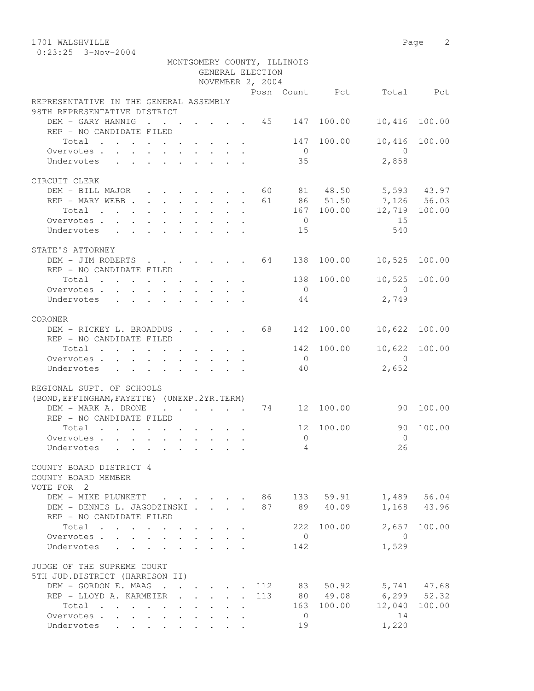1701 WALSHVILLE 2

|                                                                                        |                                                    |  |                                            | GENERAL ELECTION<br>NOVEMBER 2, 2004 | MONTGOMERY COUNTY, ILLINOIS |                |                          |               |
|----------------------------------------------------------------------------------------|----------------------------------------------------|--|--------------------------------------------|--------------------------------------|-----------------------------|----------------|--------------------------|---------------|
|                                                                                        |                                                    |  |                                            |                                      |                             |                | Posn Count Pct Total Pct |               |
| REPRESENTATIVE IN THE GENERAL ASSEMBLY<br>98TH REPRESENTATIVE DISTRICT                 |                                                    |  |                                            |                                      |                             |                |                          |               |
| DEM - GARY HANNIG 45 147 100.00                                                        |                                                    |  |                                            |                                      |                             |                | 10,416                   | 100.00        |
| REP - NO CANDIDATE FILED                                                               |                                                    |  |                                            |                                      |                             |                |                          |               |
| Total $\cdot$                                                                          |                                                    |  |                                            |                                      |                             | 147 100.00     | 10,416                   | 100.00        |
| Overvotes $\cdots$ $\cdots$ $\cdots$ $\cdots$                                          |                                                    |  |                                            |                                      | $\overline{0}$              |                | $\bigcirc$               |               |
| Undervotes                                                                             |                                                    |  |                                            |                                      | 35                          |                | 2,858                    |               |
|                                                                                        |                                                    |  |                                            |                                      |                             |                |                          |               |
| CIRCUIT CLERK                                                                          |                                                    |  |                                            |                                      |                             |                |                          |               |
| DEM - BILL MAJOR 60 81 48.50 5,593 43.97                                               |                                                    |  |                                            |                                      |                             |                |                          |               |
| REP - MARY WEBB 61 86 51.50 7,126 56.03                                                |                                                    |  |                                            |                                      |                             |                |                          |               |
| Total 167 100.00 12,719 100.00                                                         |                                                    |  |                                            |                                      |                             |                |                          |               |
| Overvotes.                                                                             |                                                    |  |                                            |                                      | $\overline{0}$              |                | 15                       |               |
| Undervotes 15                                                                          |                                                    |  |                                            |                                      |                             |                | 540                      |               |
| STATE'S ATTORNEY                                                                       |                                                    |  |                                            |                                      |                             |                |                          |               |
| DEM - JIM ROBERTS 64 138 100.00 10,525 100.00                                          |                                                    |  |                                            |                                      |                             |                |                          |               |
| REP - NO CANDIDATE FILED                                                               |                                                    |  |                                            |                                      |                             |                |                          |               |
| Total $\cdot$                                                                          |                                                    |  |                                            |                                      |                             | 138 100.00     | 10,525                   | 100.00        |
| Overvotes.                                                                             |                                                    |  |                                            |                                      | $\bigcirc$                  |                | $\overline{0}$           |               |
| Undervotes                                                                             |                                                    |  |                                            |                                      | 44                          |                | 2,749                    |               |
| CORONER                                                                                |                                                    |  |                                            |                                      |                             |                |                          |               |
| DEM - RICKEY L. BROADDUS 68                                                            |                                                    |  |                                            |                                      |                             | 142 100.00     | 10,622                   | 100.00        |
| REP - NO CANDIDATE FILED                                                               |                                                    |  |                                            |                                      |                             |                |                          |               |
| Total                                                                                  |                                                    |  |                                            |                                      |                             | 142 100.00     |                          | 10,622 100.00 |
| Overvotes.                                                                             |                                                    |  |                                            |                                      | $\overline{0}$              |                | $\bigcirc$               |               |
| Undervotes                                                                             |                                                    |  |                                            |                                      | 40                          |                | 2,652                    |               |
|                                                                                        |                                                    |  |                                            |                                      |                             |                |                          |               |
| REGIONAL SUPT. OF SCHOOLS                                                              |                                                    |  |                                            |                                      |                             |                |                          |               |
| (BOND, EFFINGHAM, FAYETTE) (UNEXP. 2YR. TERM)<br>DEM - MARK A. DRONE                   |                                                    |  |                                            |                                      |                             | . 74 12 100.00 | 90 100.00                |               |
| REP - NO CANDIDATE FILED                                                               |                                                    |  |                                            |                                      |                             |                |                          |               |
| Total                                                                                  |                                                    |  |                                            |                                      |                             | 12 100.00      | 90                       | 100.00        |
| Overvotes                                                                              |                                                    |  |                                            |                                      | $\circ$                     |                | $\overline{0}$           |               |
| Undervotes                                                                             |                                                    |  |                                            |                                      |                             | $\sim$ 4       |                          | 26            |
|                                                                                        |                                                    |  |                                            |                                      |                             |                |                          |               |
| COUNTY BOARD DISTRICT 4<br>COUNTY BOARD MEMBER                                         |                                                    |  |                                            |                                      |                             |                |                          |               |
| VOTE FOR 2                                                                             |                                                    |  |                                            |                                      |                             |                |                          |               |
| DEM - MIKE PLUNKETT 86 133 59.91 1,489 56.04                                           |                                                    |  |                                            |                                      |                             |                |                          |               |
| DEM - DENNIS L. JAGODZINSKI                                                            |                                                    |  |                                            | 87                                   |                             | 89 40.09       |                          | 1,168 43.96   |
| REP - NO CANDIDATE FILED                                                               |                                                    |  |                                            |                                      |                             |                |                          |               |
| Total                                                                                  |                                                    |  |                                            |                                      |                             | 222 100.00     |                          | 2,657 100.00  |
| Overvotes                                                                              | $\mathcal{L}^{\text{max}}$<br>$\ddot{\phantom{0}}$ |  | and the state of the state of the          |                                      | $\overline{0}$              |                | $\overline{0}$           |               |
| $\mathbf{r}$ , $\mathbf{r}$ , $\mathbf{r}$ , $\mathbf{r}$ , $\mathbf{r}$<br>Undervotes |                                                    |  |                                            |                                      | 142                         |                | 1,529                    |               |
| JUDGE OF THE SUPREME COURT<br>5TH JUD.DISTRICT (HARRISON II)                           |                                                    |  |                                            |                                      |                             |                |                          |               |
| DEM - GORDON E. MAAG 112                                                               |                                                    |  |                                            |                                      |                             | 83 50.92       | 5,741 47.68              |               |
| REP - LLOYD A. KARMEIER .                                                              |                                                    |  | $\mathbf{r}$ , $\mathbf{r}$ , $\mathbf{r}$ | 113                                  |                             | 80 49.08       | $6, 299$ $52.32$         |               |
| Total                                                                                  |                                                    |  |                                            |                                      |                             | 163 100.00     | 12,040                   | 100.00        |
| Overvotes                                                                              |                                                    |  |                                            |                                      | $\overline{0}$              |                | 14                       |               |
| Undervotes                                                                             |                                                    |  |                                            |                                      | 19                          |                | 1,220                    |               |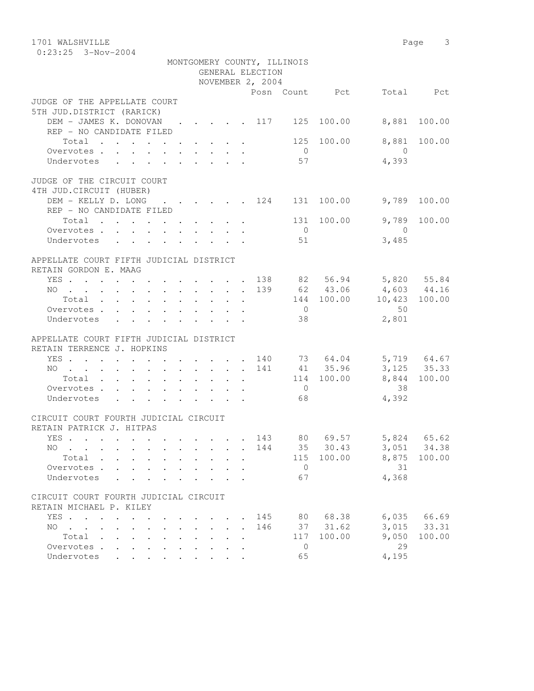| 1701 WALSHVILLE                                                                                                                                                                                                   |                         | Page<br>3     |
|-------------------------------------------------------------------------------------------------------------------------------------------------------------------------------------------------------------------|-------------------------|---------------|
| $0:23:25$ 3-Nov-2004                                                                                                                                                                                              |                         |               |
| MONTGOMERY COUNTY, ILLINOIS                                                                                                                                                                                       |                         |               |
| GENERAL ELECTION                                                                                                                                                                                                  |                         |               |
| NOVEMBER 2, 2004                                                                                                                                                                                                  |                         |               |
| Posn Count Pct                                                                                                                                                                                                    |                         | Total Pct     |
| JUDGE OF THE APPELLATE COURT                                                                                                                                                                                      |                         |               |
| 5TH JUD.DISTRICT (RARICK)                                                                                                                                                                                         |                         |               |
| DEM - JAMES K. DONOVAN 117 125 100.00 8,881 100.00                                                                                                                                                                |                         |               |
| REP - NO CANDIDATE FILED                                                                                                                                                                                          |                         |               |
| Total                                                                                                                                                                                                             | 125 100.00              | 8,881 100.00  |
| $\overline{0}$                                                                                                                                                                                                    | $\Omega$                |               |
| 57<br>Undervotes                                                                                                                                                                                                  | 4,393                   |               |
|                                                                                                                                                                                                                   |                         |               |
| JUDGE OF THE CIRCUIT COURT                                                                                                                                                                                        |                         |               |
| 4TH JUD. CIRCUIT (HUBER)                                                                                                                                                                                          |                         |               |
| DEM - KELLY D. LONG 124 131 100.00                                                                                                                                                                                |                         | 9,789 100.00  |
| REP - NO CANDIDATE FILED                                                                                                                                                                                          |                         |               |
| Total                                                                                                                                                                                                             | 131 100.00              | 9,789 100.00  |
| $\overline{0}$<br>Overvotes.                                                                                                                                                                                      | $\bigcirc$              |               |
| Undervotes<br>51<br>$\mathbf{r}$ , $\mathbf{r}$ , $\mathbf{r}$ , $\mathbf{r}$ , $\mathbf{r}$ , $\mathbf{r}$                                                                                                       | 3,485                   |               |
|                                                                                                                                                                                                                   |                         |               |
| APPELLATE COURT FIFTH JUDICIAL DISTRICT                                                                                                                                                                           |                         |               |
| RETAIN GORDON E. MAAG                                                                                                                                                                                             |                         |               |
| YES 138 82 56.94 5,820 55.84                                                                                                                                                                                      |                         |               |
| NO 139 62 43.06 4,603 44.16                                                                                                                                                                                       |                         |               |
| Total                                                                                                                                                                                                             | 144 100.00              | 10,423 100.00 |
| $\overline{0}$<br>Overvotes .                                                                                                                                                                                     | 50                      |               |
| Undervotes<br>38                                                                                                                                                                                                  | 2,801                   |               |
|                                                                                                                                                                                                                   |                         |               |
| APPELLATE COURT FIFTH JUDICIAL DISTRICT                                                                                                                                                                           |                         |               |
| RETAIN TERRENCE J. HOPKINS                                                                                                                                                                                        |                         |               |
| YES .<br>$\cdot$ 140 73 64.04                                                                                                                                                                                     |                         | 5,719 64.67   |
| NO 141 41 35.96                                                                                                                                                                                                   |                         | 3, 125 35.33  |
| Total<br>$\cdot$ $\cdot$ $\cdot$                                                                                                                                                                                  | 114 100.00 8,844 100.00 |               |
| $\overline{0}$<br>Overvotes                                                                                                                                                                                       | 38                      |               |
| Undervotes<br>68                                                                                                                                                                                                  | 4,392                   |               |
|                                                                                                                                                                                                                   |                         |               |
| CIRCUIT COURT FOURTH JUDICIAL CIRCUIT                                                                                                                                                                             |                         |               |
| RETAIN PATRICK J. HITPAS                                                                                                                                                                                          |                         |               |
| 80<br>YES .<br>143<br>$\mathbf{r}$ , $\mathbf{r}$ , $\mathbf{r}$ , $\mathbf{r}$<br>$\cdot$ $\cdot$                                                                                                                | 5,824<br>69.57          | 65.62         |
| 144<br>35<br>NO.<br>$\mathbf{r}$ , and $\mathbf{r}$ , and $\mathbf{r}$ , and $\mathbf{r}$<br>$\ddot{\phantom{0}}$<br>$\ddot{\phantom{0}}$<br>$\ddot{\phantom{0}}$<br>$\ddot{\phantom{0}}$<br>$\ddot{\phantom{0}}$ | 30.43<br>3,051          | 34.38         |
| Total<br>115                                                                                                                                                                                                      | 100.00<br>8,875         | 100.00        |
| $\sim$<br>$\ddot{\phantom{0}}$<br>$\bullet$<br>$\ddot{\phantom{0}}$<br>$\ddot{\phantom{a}}$                                                                                                                       |                         |               |
| Overvotes.<br>$\overline{0}$                                                                                                                                                                                      | 31                      |               |
| 67<br>Undervotes                                                                                                                                                                                                  | 4,368                   |               |
| CIRCUIT COURT FOURTH JUDICIAL CIRCUIT                                                                                                                                                                             |                         |               |
| RETAIN MICHAEL P. KILEY                                                                                                                                                                                           |                         |               |
|                                                                                                                                                                                                                   |                         |               |
| 80<br>YES .<br>145<br>$\mathbf{r}$ , and $\mathbf{r}$ , and $\mathbf{r}$ , and $\mathbf{r}$                                                                                                                       | 68.38<br>6,035          | 66.69         |
| NO.<br>146<br>37<br>$\mathbf{r}$ , and $\mathbf{r}$ , and $\mathbf{r}$ , and $\mathbf{r}$ , and $\mathbf{r}$<br>$\sim$                                                                                            | 3,015<br>31.62          | 33.31         |
| 117<br>Total<br>$\mathbf{r}$ , $\mathbf{r}$ , $\mathbf{r}$ , $\mathbf{r}$ , $\mathbf{r}$ , $\mathbf{r}$<br>$\ddot{\phantom{0}}$                                                                                   | 9,050<br>100.00         | 100.00        |
| Overvotes<br>$\mathbf{0}$<br>$\ddot{\phantom{0}}$<br>$\ddot{\phantom{0}}$                                                                                                                                         | 29                      |               |
| Undervotes<br>65                                                                                                                                                                                                  | 4,195                   |               |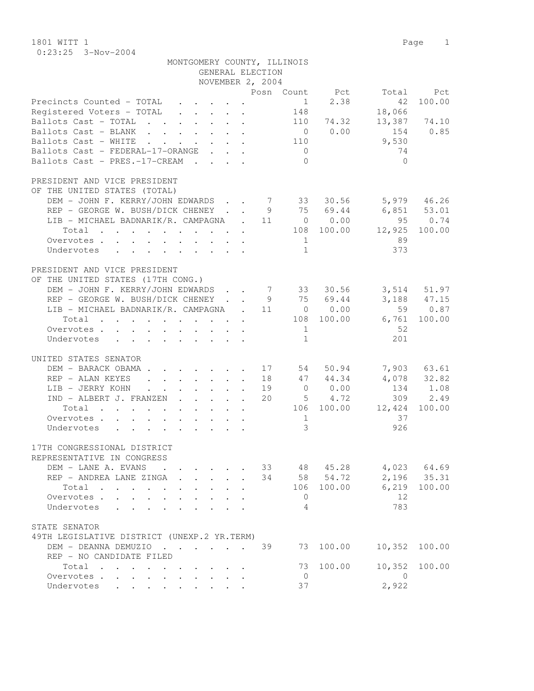1801 WITT 1 Page 1 0:23:25 3-Nov-2004

| MONTGOMERY COUNTY, ILLINOIS                                                                                    |                |                                |           |                            |
|----------------------------------------------------------------------------------------------------------------|----------------|--------------------------------|-----------|----------------------------|
| GENERAL ELECTION                                                                                               |                |                                |           |                            |
| NOVEMBER 2, 2004                                                                                               |                |                                |           |                            |
|                                                                                                                | Posn Count Pct |                                | Total     | Pct                        |
| Precincts Counted - TOTAL<br>$\mathbf{r}$ and $\mathbf{r}$ and $\mathbf{r}$ and $\mathbf{r}$                   |                | 2.38<br>$1 \quad \blacksquare$ | 42        | 100.00                     |
| Registered Voters - TOTAL                                                                                      | 148            |                                | 18,066    |                            |
|                                                                                                                |                | 110 74.32                      |           |                            |
| Ballots Cast - TOTAL                                                                                           |                |                                |           | 13,387 74.10               |
| Ballots Cast - BLANK                                                                                           |                | $0 \t 0.00$                    | 154       | 0.85                       |
| Ballots Cast - WHITE<br>$\mathbf{r}$ , $\mathbf{r}$ , $\mathbf{r}$                                             | 110            |                                | 9,530     |                            |
| Ballots Cast - FEDERAL-17-ORANGE                                                                               | $\overline{0}$ |                                | 74        |                            |
| Ballots Cast - PRES.-17-CREAM                                                                                  |                | $\bigcirc$                     | $\bigcap$ |                            |
| PRESIDENT AND VICE PRESIDENT                                                                                   |                |                                |           |                            |
|                                                                                                                |                |                                |           |                            |
| OF THE UNITED STATES (TOTAL)                                                                                   |                |                                |           |                            |
| DEM - JOHN F. KERRY/JOHN EDWARDS 7 33 30.56                                                                    |                |                                |           | 5,979 46.26                |
| REP - GEORGE W. BUSH/DICK CHENEY.                                                                              | 9              | 75 69.44                       |           | $6,851$ $53.01$            |
| LIB - MICHAEL BADNARIK/R. CAMPAGNA . 11                                                                        |                | $0 \t 0.00$                    | 95        | 0.74                       |
| Total                                                                                                          |                | 108 100.00                     | 12,925    | 100.00                     |
| Overvotes.                                                                                                     |                | $\mathbf{1}$                   | 89        |                            |
| Undervotes                                                                                                     |                | $\mathbf{1}$                   | 373       |                            |
|                                                                                                                |                |                                |           |                            |
| PRESIDENT AND VICE PRESIDENT                                                                                   |                |                                |           |                            |
| OF THE UNITED STATES (17TH CONG.)                                                                              |                |                                |           |                            |
| DEM - JOHN F. KERRY/JOHN EDWARDS                                                                               |                |                                |           | 3,514 51.97                |
| REP - GEORGE W. BUSH/DICK CHENEY.                                                                              |                | 7 33 30.56<br>75 69.44         |           |                            |
|                                                                                                                | 9              |                                |           | $3,188$ $47.15$<br>59 0.87 |
| LIB - MICHAEL BADNARIK/R. CAMPAGNA . 11                                                                        |                | $0 \t 0.00$                    |           |                            |
| Total                                                                                                          |                | 108 100.00                     | 6,761     | 100.00                     |
| Overvotes.                                                                                                     |                | 1                              | 52        |                            |
| Undervotes                                                                                                     |                | $\mathbf{1}$                   | 201       |                            |
| UNITED STATES SENATOR                                                                                          |                |                                |           |                            |
|                                                                                                                |                |                                |           |                            |
| DEM - BARACK OBAMA.<br>. 17                                                                                    |                | 50.94<br>54                    |           | 7,903 63.61                |
| REP - ALAN KEYES<br>$\cdot$ $\cdot$ $\cdot$ $\cdot$ $\cdot$ $\cdot$ 18<br>$\ddot{\phantom{a}}$                 |                | 47 44.34                       | 4,078     | 32.82                      |
| LIB - JERRY KOHN<br>$\cdot$ $\cdot$ $\cdot$ $\cdot$ $\cdot$<br>$\sim 100$ km s $^{-1}$<br>$\ddot{\phantom{0}}$ | 19             | 0.00<br>$\overline{0}$         | 134       | 1.08                       |
| IND - ALBERT J. FRANZEN                                                                                        | 20             | 5 4.72                         | 309       | 2.49                       |
| Total                                                                                                          |                | 106 100.00                     | 12,424    | 100.00                     |
| Overvotes.                                                                                                     |                | $\mathbf{1}$                   | 37        |                            |
| Undervotes                                                                                                     |                | 3                              | 926       |                            |
|                                                                                                                |                |                                |           |                            |
| 17TH CONGRESSIONAL DISTRICT                                                                                    |                |                                |           |                            |
| REPRESENTATIVE IN CONGRESS                                                                                     |                |                                |           |                            |
| DEM - LANE A. EVANS                                                                                            | 33             | 48 45.28                       |           | 4,023 64.69                |
| REP - ANDREA LANE ZINGA<br>$\ddot{\phantom{a}}$                                                                | 34             | 58 54.72                       | 2,196     | 35.31                      |
| Total<br>$\ddot{\phantom{0}}$                                                                                  |                | 106 100.00                     | 6,219     | 100.00                     |
| Overvotes .                                                                                                    |                | 0                              | 12        |                            |
| $\ddot{\phantom{0}}$<br>$\mathbf{L}$<br>$\ddot{\phantom{0}}$                                                   |                |                                |           |                            |
| Undervotes<br>$\mathbf{L}^{\text{max}}$<br>$\sim$                                                              |                | 4                              | 783       |                            |
| STATE SENATOR                                                                                                  |                |                                |           |                            |
| 49TH LEGISLATIVE DISTRICT (UNEXP.2 YR.TERM)                                                                    |                |                                |           |                            |
| DEM - DEANNA DEMUZIO                                                                                           | 39<br>73       | 100.00                         | 10,352    | 100.00                     |
|                                                                                                                |                |                                |           |                            |
| REP - NO CANDIDATE FILED                                                                                       |                |                                |           |                            |
| Total                                                                                                          | 73             | 100.00                         | 10,352    | 100.00                     |
| Overvotes .<br>$\sim$<br>$\ddot{\phantom{a}}$<br>$\ddot{\phantom{a}}$                                          |                | $\overline{0}$                 | $\Omega$  |                            |
| Undervotes<br>$\mathbf{L}$<br>$\mathbf{L}$<br>$\mathbf{L}$<br>$\mathbf{r}$                                     | 37             |                                | 2,922     |                            |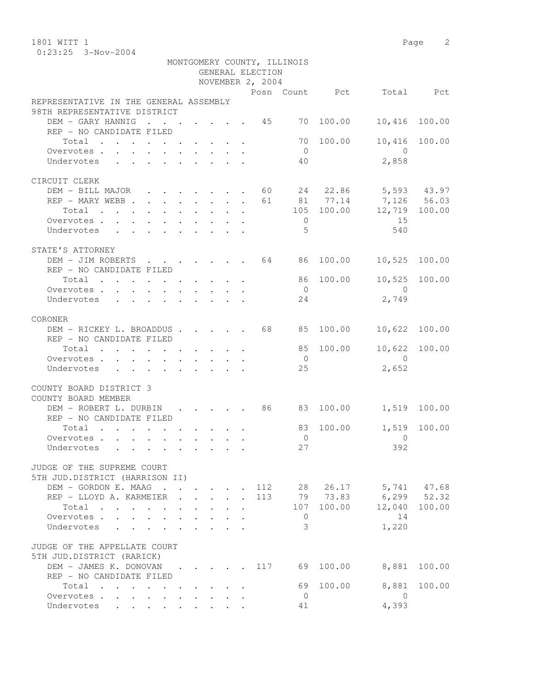1801 WITT 1 Page 2 0:23:25 3-Nov-2004

|                                                                                                                      |                                       |              |                                            |                        |                  | MONTGOMERY COUNTY, ILLINOIS |                |                                         |        |
|----------------------------------------------------------------------------------------------------------------------|---------------------------------------|--------------|--------------------------------------------|------------------------|------------------|-----------------------------|----------------|-----------------------------------------|--------|
|                                                                                                                      |                                       |              |                                            |                        | GENERAL ELECTION |                             |                |                                         |        |
|                                                                                                                      |                                       |              |                                            |                        | NOVEMBER 2, 2004 |                             | Posn Count Pct | Total                                   | Pct    |
| REPRESENTATIVE IN THE GENERAL ASSEMBLY                                                                               |                                       |              |                                            |                        |                  |                             |                |                                         |        |
| 98TH REPRESENTATIVE DISTRICT                                                                                         |                                       |              |                                            |                        |                  |                             |                |                                         |        |
| DEM - GARY HANNIG<br>$\cdot$ 45                                                                                      |                                       |              |                                            |                        |                  |                             | 70 100.00      | 10,416                                  | 100.00 |
| REP - NO CANDIDATE FILED                                                                                             |                                       |              |                                            |                        |                  |                             |                |                                         |        |
| Total                                                                                                                |                                       |              |                                            |                        |                  |                             | 70 100.00      | 10,416                                  | 100.00 |
| Overvotes.                                                                                                           |                                       |              |                                            |                        |                  | $\overline{0}$              |                | $\bigcap$                               |        |
| Undervotes                                                                                                           |                                       |              |                                            |                        |                  | 40                          |                | 2,858                                   |        |
|                                                                                                                      |                                       |              |                                            |                        |                  |                             |                |                                         |        |
| CIRCUIT CLERK                                                                                                        |                                       |              |                                            |                        |                  |                             | 24 22.86       |                                         |        |
| DEM - BILL MAJOR 60<br>REP - MARY WEBB                                                                               |                                       |              |                                            |                        | 61               |                             | 81 77.14       | 5,593 43.97<br>7,126 56.03              |        |
| Total                                                                                                                |                                       |              |                                            |                        |                  |                             | 105 100.00     | 12,719 100.00                           |        |
| Overvotes.                                                                                                           |                                       |              |                                            |                        |                  | $\overline{0}$              |                | 15                                      |        |
| Undervotes                                                                                                           |                                       |              |                                            |                        |                  | $\overline{5}$              |                | 540                                     |        |
|                                                                                                                      |                                       |              |                                            |                        |                  |                             |                |                                         |        |
| STATE'S ATTORNEY                                                                                                     |                                       |              |                                            |                        |                  |                             |                |                                         |        |
| DEM - JIM ROBERTS 64                                                                                                 |                                       |              |                                            |                        |                  | 86                          | 100.00         | 10,525                                  | 100.00 |
| REP - NO CANDIDATE FILED                                                                                             |                                       |              |                                            |                        |                  |                             |                |                                         |        |
| Total<br>. The contract of the contract of the contract of $\mathcal{O}(10^6)$                                       |                                       |              |                                            |                        |                  |                             | 86 100.00      | 10,525                                  | 100.00 |
| Overvotes.                                                                                                           |                                       |              |                                            |                        |                  | $\overline{0}$              |                | $\bigcirc$                              |        |
| Undervotes<br>$\mathbf{r}$ , $\mathbf{r}$ , $\mathbf{r}$ , $\mathbf{r}$ , $\mathbf{r}$ , $\mathbf{r}$ , $\mathbf{r}$ |                                       |              |                                            |                        |                  | 24                          |                | 2,749                                   |        |
| CORONER                                                                                                              |                                       |              |                                            |                        |                  |                             |                |                                         |        |
| DEM - RICKEY L. BROADDUS 68                                                                                          |                                       |              |                                            |                        |                  | 85                          | 100.00         | 10,622                                  | 100.00 |
| REP - NO CANDIDATE FILED                                                                                             |                                       |              |                                            |                        |                  |                             |                |                                         |        |
| Total                                                                                                                |                                       |              |                                            |                        |                  | 85                          | 100.00         | 10,622                                  | 100.00 |
| Overvotes                                                                                                            |                                       |              |                                            |                        |                  | $\overline{0}$              |                | $\bigcirc$                              |        |
| Undervotes                                                                                                           |                                       |              |                                            |                        |                  | 25                          |                | 2,652                                   |        |
|                                                                                                                      |                                       |              |                                            |                        |                  |                             |                |                                         |        |
| COUNTY BOARD DISTRICT 3<br>COUNTY BOARD MEMBER                                                                       |                                       |              |                                            |                        |                  |                             |                |                                         |        |
| DEM - ROBERT L. DURBIN                                                                                               |                                       |              |                                            |                        | . 86             |                             | 83 100.00      | 1,519                                   | 100.00 |
| REP - NO CANDIDATE FILED                                                                                             |                                       |              |                                            |                        |                  |                             |                |                                         |        |
| Total                                                                                                                |                                       |              |                                            |                        |                  | 83                          | 100.00         | 1,519                                   | 100.00 |
| Overvotes                                                                                                            |                                       |              |                                            |                        |                  | $\overline{0}$              |                | $\Omega$                                |        |
| Undervotes                                                                                                           |                                       |              |                                            |                        |                  | 27                          |                | 392                                     |        |
|                                                                                                                      |                                       |              |                                            |                        |                  |                             |                |                                         |        |
| JUDGE OF THE SUPREME COURT                                                                                           |                                       |              |                                            |                        |                  |                             |                |                                         |        |
| 5TH JUD.DISTRICT (HARRISON II)                                                                                       |                                       |              |                                            |                        |                  |                             |                |                                         |        |
| DEM - GORDON E. MAAG                                                                                                 |                                       |              | $\mathbf{L}$ and $\mathbf{L}$              | $\sim$                 |                  |                             | 79 73.83       | 112 28 26.17 5,741 47.68<br>6,299 52.32 |        |
| REP - LLOYD A. KARMEIER<br>$\sim$<br>Total                                                                           |                                       |              | $\mathbf{r} = \mathbf{r} \cdot \mathbf{r}$ |                        | 113              |                             | 107 100.00     | 12,040 100.00                           |        |
| $\mathbf{L}$<br>Overvotes                                                                                            | $\sim$ $\sim$<br>$\ddot{\phantom{a}}$ | $\mathbf{L}$ | $\mathbf{r}$                               | $\mathbf{r}$<br>$\sim$ |                  | $\overline{0}$              |                | 14                                      |        |
| Undervotes                                                                                                           |                                       |              |                                            |                        |                  | 3                           |                | 1,220                                   |        |
|                                                                                                                      |                                       |              |                                            |                        |                  |                             |                |                                         |        |
| JUDGE OF THE APPELLATE COURT                                                                                         |                                       |              |                                            |                        |                  |                             |                |                                         |        |
| 5TH JUD.DISTRICT (RARICK)                                                                                            |                                       |              |                                            |                        |                  |                             |                |                                         |        |
| DEM - JAMES K. DONOVAN<br>$\sim$ $\sim$                                                                              | $\ddot{\phantom{a}}$                  |              |                                            |                        | 117              |                             | 69 100.00      | 8,881                                   | 100.00 |
| REP - NO CANDIDATE FILED                                                                                             |                                       |              |                                            |                        |                  |                             |                |                                         |        |
| Total<br>$\sim$                                                                                                      |                                       |              |                                            |                        |                  | 69                          | 100.00         | 8,881                                   | 100.00 |
| Overvotes                                                                                                            |                                       |              | $\cdot$ $\cdot$ $\cdot$ $\cdot$            |                        |                  | $\overline{0}$              |                | $\Omega$                                |        |
| Undervotes                                                                                                           |                                       |              | $\mathbf{r} = \mathbf{r} + \mathbf{r}$     |                        |                  | 41                          |                | 4,393                                   |        |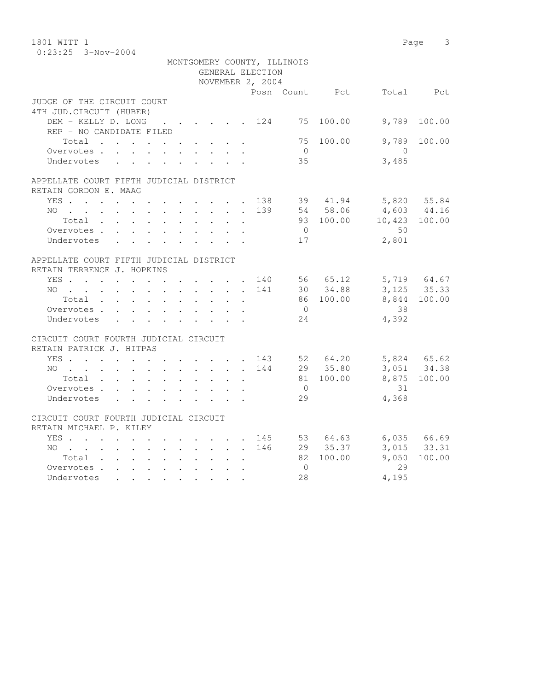| 1801 WITT 1                             |        |                                 |                             |           |                | 3<br>Page     |
|-----------------------------------------|--------|---------------------------------|-----------------------------|-----------|----------------|---------------|
| $0:23:25$ 3-Nov-2004                    |        |                                 |                             |           |                |               |
|                                         |        |                                 | MONTGOMERY COUNTY, ILLINOIS |           |                |               |
|                                         |        | GENERAL ELECTION                |                             |           |                |               |
|                                         |        | NOVEMBER 2, 2004                |                             |           |                |               |
|                                         |        |                                 | Posn Count Pct              |           |                | Total Pct     |
| JUDGE OF THE CIRCUIT COURT              |        |                                 |                             |           |                |               |
| 4TH JUD. CIRCUIT (HUBER)                |        |                                 |                             |           |                |               |
| DEM - KELLY D. LONG                     |        |                                 | . 124 75 100.00             |           | 9,789          | 100.00        |
| REP - NO CANDIDATE FILED                |        |                                 |                             |           |                |               |
| Total                                   |        |                                 |                             | 75 100.00 | 9,789          | 100.00        |
| Overvotes.                              |        |                                 | $\overline{0}$              |           | $\overline{0}$ |               |
| Undervotes                              |        |                                 | 35                          |           | 3,485          |               |
|                                         |        |                                 |                             |           |                |               |
| APPELLATE COURT FIFTH JUDICIAL DISTRICT |        |                                 |                             |           |                |               |
| RETAIN GORDON E. MAAG                   |        |                                 |                             |           |                |               |
| YES 138                                 |        |                                 |                             | 39 41.94  | 5,820 55.84    |               |
| NO 139                                  |        |                                 |                             | 54 58.06  | 4,603 44.16    |               |
| Total                                   |        |                                 |                             | 93 100.00 | 10,423 100.00  |               |
| Overvotes                               |        |                                 | $\bigcirc$                  |           | 50             |               |
| Undervotes                              |        |                                 | 17                          |           | 2,801          |               |
| APPELLATE COURT FIFTH JUDICIAL DISTRICT |        |                                 |                             |           |                |               |
| RETAIN TERRENCE J. HOPKINS              |        |                                 |                             |           |                |               |
| YES. 140                                |        |                                 |                             | 56 65.12  |                | 5,719 64.67   |
| $NO$                                    |        |                                 | 141                         | 30 34.88  |                | $3,125$ 35.33 |
| Total                                   |        |                                 |                             | 86 100.00 | 8,844          | 100.00        |
| Overvotes                               |        |                                 | $\overline{0}$              |           | 38             |               |
| Undervotes                              |        |                                 | 24                          |           | 4,392          |               |
|                                         |        |                                 |                             |           |                |               |
| CIRCUIT COURT FOURTH JUDICIAL CIRCUIT   |        |                                 |                             |           |                |               |
| RETAIN PATRICK J. HITPAS                |        |                                 |                             |           |                |               |
| YES 143                                 |        |                                 |                             | 52 64.20  |                | 5,824 65.62   |
| NO                                      |        |                                 | 144                         | 29 35.80  |                | 3,051 34.38   |
| Total                                   |        |                                 |                             | 81 100.00 |                | 8,875 100.00  |
| Overvotes                               |        |                                 | $\bigcirc$                  |           | 31             |               |
| Undervotes                              |        | $\mathbf{r}$                    | 29                          |           | 4,368          |               |
| CIRCUIT COURT FOURTH JUDICIAL CIRCUIT   |        |                                 |                             |           |                |               |
| RETAIN MICHAEL P. KILEY                 |        |                                 |                             |           |                |               |
| YES.                                    |        |                                 | 145                         | 53 64.63  |                | 6,035 66.69   |
| NO                                      |        |                                 | 146                         | 29 35.37  |                | 3,015 33.31   |
| Total $\cdots$                          |        | $\ddot{\phantom{0}}$<br>$\cdot$ |                             | 82 100.00 | 9,050          | 100.00        |
| Overvotes                               |        | $\ddot{\phantom{0}}$            | $\overline{0}$              |           | 29             |               |
| Undervotes                              | $\sim$ |                                 | 28                          |           | 4,195          |               |
|                                         |        |                                 |                             |           |                |               |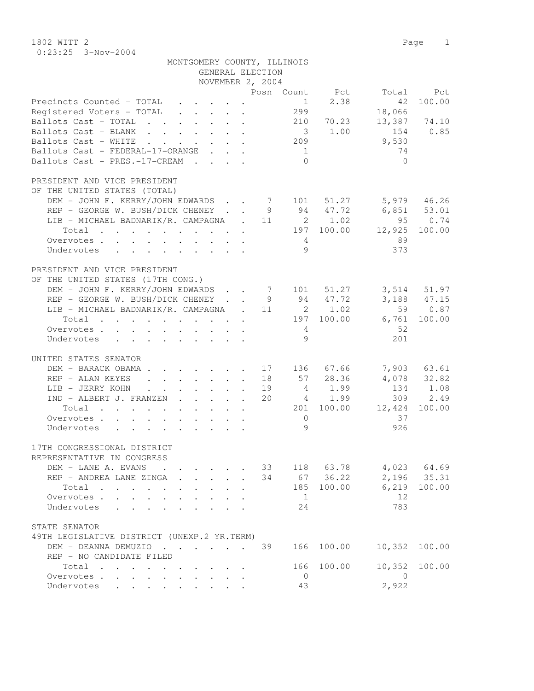1802 WITT 2 Page 1 0:23:25 3-Nov-2004

|                                                | MONTGOMERY COUNTY, ILLINOIS                        | GENERAL ELECTION                                |                |             |                   |               |
|------------------------------------------------|----------------------------------------------------|-------------------------------------------------|----------------|-------------|-------------------|---------------|
|                                                |                                                    | NOVEMBER 2, 2004                                |                |             |                   |               |
|                                                |                                                    |                                                 | Posn Count Pct |             |                   | Total Pct     |
| Precincts Counted - TOTAL                      |                                                    |                                                 | 1              | 2.38        | 42                | 100.00        |
| Registered Voters - TOTAL                      |                                                    |                                                 | 299            |             | 18,066            |               |
| Ballots Cast - TOTAL                           |                                                    |                                                 | 210            | 70.23       |                   | 13,387 74.10  |
| Ballots Cast - BLANK                           |                                                    |                                                 |                | 3 1.00      | 154 0.85          |               |
| Ballots Cast - WHITE 209                       |                                                    |                                                 |                |             | 9,530             |               |
| Ballots Cast - FEDERAL-17-ORANGE               |                                                    |                                                 | $\frac{1}{2}$  |             | 74                |               |
| Ballots Cast - PRES.-17-CREAM                  |                                                    |                                                 | $\bigcap$      |             | $\bigcap$         |               |
|                                                |                                                    |                                                 |                |             |                   |               |
| PRESIDENT AND VICE PRESIDENT                   |                                                    |                                                 |                |             |                   |               |
| OF THE UNITED STATES (TOTAL)                   |                                                    |                                                 |                |             |                   |               |
| DEM - JOHN F. KERRY/JOHN EDWARDS 7 101 51.27   |                                                    |                                                 |                |             |                   | 5,979 46.26   |
| REP - GEORGE W. BUSH/DICK CHENEY 9 94 47.72    |                                                    |                                                 |                |             | 6,851 53.01       |               |
| LIB - MICHAEL BADNARIK/R. CAMPAGNA . 11 2 1.02 |                                                    |                                                 |                |             |                   | 95 0.74       |
| Total 197 100.00 12,925 100.00                 |                                                    |                                                 |                |             |                   |               |
| Overvotes                                      |                                                    |                                                 |                |             | 89                |               |
| Undervotes                                     |                                                    |                                                 |                | 9           | 373               |               |
| PRESIDENT AND VICE PRESIDENT                   |                                                    |                                                 |                |             |                   |               |
| OF THE UNITED STATES (17TH CONG.)              |                                                    |                                                 |                |             |                   |               |
| DEM - JOHN F. KERRY/JOHN EDWARDS 7 101 51.27   |                                                    |                                                 |                |             |                   | 3,514 51.97   |
| REP - GEORGE W. BUSH/DICK CHENEY 9 94 47.72    |                                                    |                                                 |                |             |                   | 3,188 47.15   |
| LIB - MICHAEL BADNARIK/R. CAMPAGNA . 11 2 1.02 |                                                    |                                                 |                |             |                   | 59 0.87       |
| Total 197 100.00 6,761 100.00                  |                                                    |                                                 |                |             |                   |               |
|                                                |                                                    |                                                 |                |             |                   |               |
| Overvotes                                      |                                                    |                                                 | $\overline{4}$ |             | 52                |               |
| Undervotes                                     |                                                    |                                                 |                | 9           | 201               |               |
| UNITED STATES SENATOR                          |                                                    |                                                 |                |             |                   |               |
| DEM - BARACK OBAMA                             |                                                    |                                                 | 17 136 67.66   |             |                   | 7,903 63.61   |
| REP - ALAN KEYES                               |                                                    |                                                 | 18 57 28.36    |             |                   | 4,078 32.82   |
| LIB - JERRY KOHN                               |                                                    |                                                 |                | 19 4 1.99   |                   | 134 1.08      |
| IND - ALBERT J. FRANZEN                        |                                                    |                                                 | 20             | 4 1.99      |                   | 309 2.49      |
| Total                                          |                                                    |                                                 |                |             | 201 100.00 12,424 | 100.00        |
| Overvotes                                      |                                                    |                                                 | $\bigcirc$     |             | 37                |               |
| Undervotes                                     |                                                    |                                                 | 9              |             | 926               |               |
|                                                |                                                    |                                                 |                |             |                   |               |
| 17TH CONGRESSIONAL DISTRICT                    |                                                    |                                                 |                |             |                   |               |
| REPRESENTATIVE IN CONGRESS                     |                                                    |                                                 |                |             |                   |               |
| DEM - LANE A. EVANS                            | $\mathbf{r}$ , and $\mathbf{r}$ , and $\mathbf{r}$ |                                                 | 33             | 118 63.78   |                   | $4,023$ 64.69 |
| REP - ANDREA LANE ZINGA                        | $\mathbf{r}$                                       |                                                 |                | 34 67 36.22 |                   | 2,196 35.31   |
| Total                                          | $\mathbf{r}$ and $\mathbf{r}$                      | $\ddot{\phantom{0}}$                            | 185            | 100.00      | 6,219             | 100.00        |
| Overvotes.                                     |                                                    |                                                 | $\overline{1}$ |             | 12                |               |
| Undervotes                                     |                                                    |                                                 | 24             |             | 783               |               |
|                                                |                                                    |                                                 |                |             |                   |               |
| STATE SENATOR                                  |                                                    |                                                 |                |             |                   |               |
| 49TH LEGISLATIVE DISTRICT (UNEXP.2 YR.TERM)    |                                                    |                                                 |                |             |                   |               |
| DEM - DEANNA DEMUZIO                           |                                                    |                                                 | 39             | 166 100.00  | 10,352            | 100.00        |
| REP - NO CANDIDATE FILED                       |                                                    |                                                 |                |             |                   |               |
| Total                                          |                                                    |                                                 | 166            | 100.00      | 10,352            | 100.00        |
| Overvotes                                      |                                                    | $\cdot$ $\cdot$ $\cdot$ $\cdot$ $\cdot$ $\cdot$ | $\overline{0}$ |             | $\overline{0}$    |               |
| Undervotes                                     |                                                    |                                                 | 43             |             | 2,922             |               |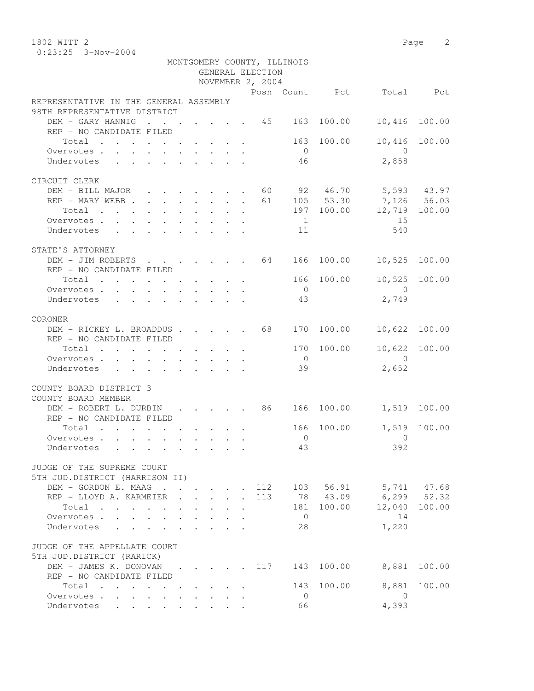1802 WITT 2 Page 2 0:23:25 3-Nov-2004

|                                                                                     |              |                           |                      | GENERAL ELECTION | MONTGOMERY COUNTY, ILLINOIS |            |                           |        |
|-------------------------------------------------------------------------------------|--------------|---------------------------|----------------------|------------------|-----------------------------|------------|---------------------------|--------|
|                                                                                     |              |                           |                      | NOVEMBER 2, 2004 |                             |            |                           |        |
|                                                                                     |              |                           |                      |                  |                             |            | Posn Count Pct Total Pct  |        |
| REPRESENTATIVE IN THE GENERAL ASSEMBLY<br>98TH REPRESENTATIVE DISTRICT              |              |                           |                      |                  |                             |            |                           |        |
| DEM - GARY HANNIG<br>$\cdot$ 45 163                                                 |              |                           |                      |                  |                             | 100.00     | 10,416                    | 100.00 |
| REP - NO CANDIDATE FILED                                                            |              |                           |                      |                  |                             |            |                           |        |
| Total                                                                               |              |                           |                      |                  |                             | 163 100.00 | 10,416                    | 100.00 |
| Overvotes.                                                                          |              |                           |                      |                  | $\overline{0}$              |            | $\overline{0}$            |        |
| Undervotes                                                                          |              |                           |                      |                  | 46                          |            | 2,858                     |        |
| CIRCUIT CLERK                                                                       |              |                           |                      |                  |                             |            |                           |        |
| DEM - BILL MAJOR 60 92 46.70 5,593 43.97                                            |              |                           |                      |                  |                             |            |                           |        |
| REP - MARY WEBB 61 105 53.30 7,126 56.03                                            |              |                           |                      |                  |                             |            |                           |        |
| Total                                                                               |              |                           |                      |                  |                             |            | 197 100.00 12,719 100.00  |        |
| Overvotes.                                                                          |              |                           |                      |                  | $\overline{1}$              |            | 15                        |        |
| Undervotes                                                                          |              |                           |                      |                  | 11                          |            | 540                       |        |
|                                                                                     |              |                           |                      |                  |                             |            |                           |        |
| STATE'S ATTORNEY                                                                    |              |                           |                      |                  |                             |            |                           |        |
| DEM - JIM ROBERTS 64 166 100.00                                                     |              |                           |                      |                  |                             |            | 10,525 100.00             |        |
| REP - NO CANDIDATE FILED                                                            |              |                           |                      |                  |                             |            |                           |        |
| Total $\cdot$                                                                       |              |                           |                      |                  |                             | 166 100.00 | 10,525                    | 100.00 |
| Overvotes.                                                                          |              |                           |                      |                  | $\overline{0}$              |            | $\overline{0}$            |        |
| Undervotes                                                                          |              |                           |                      |                  | 43                          |            | 2,749                     |        |
| CORONER                                                                             |              |                           |                      |                  |                             |            |                           |        |
| DEM - RICKEY L. BROADDUS 68                                                         |              |                           |                      |                  | 170                         | 100.00     | 10,622                    | 100.00 |
| REP - NO CANDIDATE FILED                                                            |              |                           |                      |                  |                             |            |                           |        |
| Total                                                                               |              |                           |                      |                  |                             | 170 100.00 | 10,622 100.00             |        |
| Overvotes                                                                           |              |                           |                      |                  | $\overline{0}$              |            | $\bigcirc$                |        |
| Undervotes<br>$\mathbf{r}$ , and $\mathbf{r}$ , and $\mathbf{r}$ , and $\mathbf{r}$ |              |                           |                      |                  | 39                          |            | 2,652                     |        |
|                                                                                     |              |                           |                      |                  |                             |            |                           |        |
| COUNTY BOARD DISTRICT 3                                                             |              |                           |                      |                  |                             |            |                           |        |
| COUNTY BOARD MEMBER                                                                 |              |                           |                      |                  |                             |            |                           |        |
| DEM - ROBERT L. DURBIN 86 166 100.00                                                |              |                           |                      |                  |                             |            | 1,519 100.00              |        |
| REP - NO CANDIDATE FILED                                                            |              |                           |                      |                  |                             |            |                           |        |
| Total                                                                               |              |                           |                      |                  |                             | 166 100.00 | 1,519                     | 100.00 |
| Overvotes.                                                                          |              |                           |                      |                  | $\overline{0}$              |            | $\overline{0}$            |        |
| Undervotes                                                                          |              |                           |                      |                  | 43                          |            | 392                       |        |
|                                                                                     |              |                           |                      |                  |                             |            |                           |        |
| JUDGE OF THE SUPREME COURT                                                          |              |                           |                      |                  |                             |            |                           |        |
| 5TH JUD.DISTRICT (HARRISON II)                                                      |              |                           |                      |                  |                             |            |                           |        |
| DEM - GORDON E. MAAG                                                                |              |                           |                      |                  |                             |            | 112 103 56.91 5,741 47.68 |        |
| REP - LLOYD A. KARMEIER .                                                           | $\mathbf{L}$ | $\mathbf{L} = \mathbf{L}$ | $\ddot{\phantom{a}}$ | 113              |                             | 78 43.09   | $6, 299$ $52.32$          |        |
| Total<br>$\mathbf{r}$ , and $\mathbf{r}$ , and $\mathbf{r}$ , and $\mathbf{r}$      |              |                           |                      |                  | 181                         | 100.00     | 12,040                    | 100.00 |
| Overvotes                                                                           |              |                           |                      |                  | $\overline{0}$              |            | 14                        |        |
| Undervotes                                                                          |              |                           |                      |                  | 28                          |            | 1,220                     |        |
| JUDGE OF THE APPELLATE COURT                                                        |              |                           |                      |                  |                             |            |                           |        |
| 5TH JUD.DISTRICT (RARICK)                                                           |              |                           |                      |                  |                             |            |                           |        |
| DEM - JAMES K. DONOVAN 117                                                          |              |                           |                      |                  | 143                         | 100.00     | 8,881                     | 100.00 |
| REP - NO CANDIDATE FILED                                                            |              |                           |                      |                  |                             |            |                           |        |
| Total                                                                               |              |                           |                      |                  |                             | 143 100.00 | 8,881                     | 100.00 |
| Overvotes<br>$\mathbf{L}^{\text{max}}$ , and $\mathbf{L}^{\text{max}}$              |              |                           |                      |                  | $\overline{0}$              |            | $\overline{0}$            |        |
| Undervotes                                                                          |              |                           |                      |                  | 66                          |            | 4,393                     |        |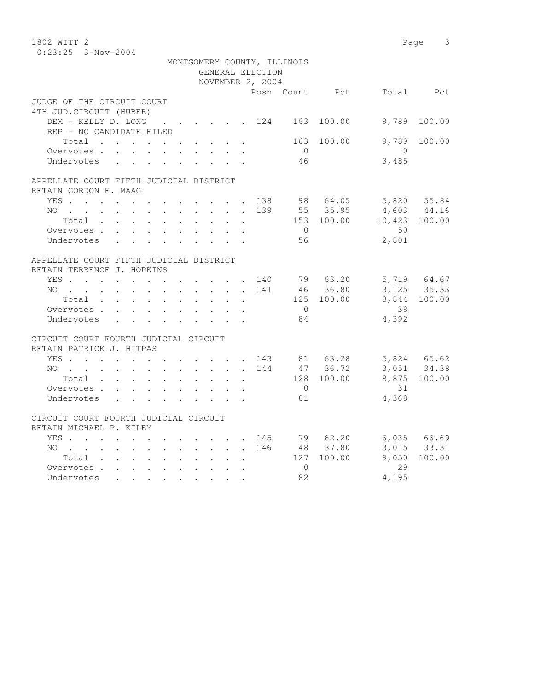| $0:23:25$ 3-Nov-2004<br>MONTGOMERY COUNTY, ILLINOIS<br>GENERAL ELECTION<br>NOVEMBER 2, 2004<br>Posn Count Pct<br>Total Pct<br>4TH JUD. CIRCUIT (HUBER)<br>DEM - KELLY D. LONG<br>9,789<br>. 124 163 100.00<br>100.00<br>REP - NO CANDIDATE FILED<br>9,789<br>Total $\cdot$<br>163<br>100.00<br>100.00<br>Overvotes<br>$\overline{0}$<br>$\bigcirc$<br>3,485<br>46<br>Undervotes<br>APPELLATE COURT FIFTH JUDICIAL DISTRICT<br>98 64.05 5,820 55.84<br>YES<br>138<br>4,603 44.16<br>139<br>55 35.95<br>NO<br>$153$ $100.00$ $10,423$ $100.00$<br>Total<br>$\mathbf{L}$<br>50<br>$\overline{0}$<br>Overvotes.<br>2,801<br>Undervotes<br>56<br>APPELLATE COURT FIFTH JUDICIAL DISTRICT<br>RETAIN TERRENCE J. HOPKINS<br>YES 140 79 63.20<br>5,719 64.67<br>3, 125 35.33<br>46 36.80<br>NO.<br>141<br>$\mathbf{r}$ . The contract of the contract of the contract of the contract of the contract of the contract of the contract of the contract of the contract of the contract of the contract of the contract of the contract of th<br>8,844 100.00<br>125 100.00<br>Total<br>$\overline{0}$<br>38<br>Overvotes<br>4,392<br>Undervotes<br>84<br>CIRCUIT COURT FOURTH JUDICIAL CIRCUIT<br>YES 143 81 63.28<br>NO 144 47 36.72<br>5,824 65.62<br>3,051 34.38<br>NO<br>128 100.00<br>8,875 100.00<br>31<br>Overvotes<br>$\overline{0}$<br>4,368<br>81<br>Undervotes<br>CIRCUIT COURT FOURTH JUDICIAL CIRCUIT<br>RETAIN MICHAEL P. KILEY<br>79 62.20<br>6,035 66.69<br>YES<br>145<br>48 37.80<br>3,015 33.31<br>NO 146<br>9,050<br>127 100.00<br>100.00<br>Total<br>Overvotes<br>29<br>$\Omega$ | 1802 WITT 2                |    |       | 3<br>Page |
|---------------------------------------------------------------------------------------------------------------------------------------------------------------------------------------------------------------------------------------------------------------------------------------------------------------------------------------------------------------------------------------------------------------------------------------------------------------------------------------------------------------------------------------------------------------------------------------------------------------------------------------------------------------------------------------------------------------------------------------------------------------------------------------------------------------------------------------------------------------------------------------------------------------------------------------------------------------------------------------------------------------------------------------------------------------------------------------------------------------------------------------------------------------------------------------------------------------------------------------------------------------------------------------------------------------------------------------------------------------------------------------------------------------------------------------------------------------------------------------------------------------------------------------------------------------------------------------------|----------------------------|----|-------|-----------|
|                                                                                                                                                                                                                                                                                                                                                                                                                                                                                                                                                                                                                                                                                                                                                                                                                                                                                                                                                                                                                                                                                                                                                                                                                                                                                                                                                                                                                                                                                                                                                                                             |                            |    |       |           |
|                                                                                                                                                                                                                                                                                                                                                                                                                                                                                                                                                                                                                                                                                                                                                                                                                                                                                                                                                                                                                                                                                                                                                                                                                                                                                                                                                                                                                                                                                                                                                                                             |                            |    |       |           |
|                                                                                                                                                                                                                                                                                                                                                                                                                                                                                                                                                                                                                                                                                                                                                                                                                                                                                                                                                                                                                                                                                                                                                                                                                                                                                                                                                                                                                                                                                                                                                                                             |                            |    |       |           |
|                                                                                                                                                                                                                                                                                                                                                                                                                                                                                                                                                                                                                                                                                                                                                                                                                                                                                                                                                                                                                                                                                                                                                                                                                                                                                                                                                                                                                                                                                                                                                                                             |                            |    |       |           |
|                                                                                                                                                                                                                                                                                                                                                                                                                                                                                                                                                                                                                                                                                                                                                                                                                                                                                                                                                                                                                                                                                                                                                                                                                                                                                                                                                                                                                                                                                                                                                                                             |                            |    |       |           |
|                                                                                                                                                                                                                                                                                                                                                                                                                                                                                                                                                                                                                                                                                                                                                                                                                                                                                                                                                                                                                                                                                                                                                                                                                                                                                                                                                                                                                                                                                                                                                                                             | JUDGE OF THE CIRCUIT COURT |    |       |           |
|                                                                                                                                                                                                                                                                                                                                                                                                                                                                                                                                                                                                                                                                                                                                                                                                                                                                                                                                                                                                                                                                                                                                                                                                                                                                                                                                                                                                                                                                                                                                                                                             |                            |    |       |           |
|                                                                                                                                                                                                                                                                                                                                                                                                                                                                                                                                                                                                                                                                                                                                                                                                                                                                                                                                                                                                                                                                                                                                                                                                                                                                                                                                                                                                                                                                                                                                                                                             |                            |    |       |           |
|                                                                                                                                                                                                                                                                                                                                                                                                                                                                                                                                                                                                                                                                                                                                                                                                                                                                                                                                                                                                                                                                                                                                                                                                                                                                                                                                                                                                                                                                                                                                                                                             |                            |    |       |           |
|                                                                                                                                                                                                                                                                                                                                                                                                                                                                                                                                                                                                                                                                                                                                                                                                                                                                                                                                                                                                                                                                                                                                                                                                                                                                                                                                                                                                                                                                                                                                                                                             |                            |    |       |           |
|                                                                                                                                                                                                                                                                                                                                                                                                                                                                                                                                                                                                                                                                                                                                                                                                                                                                                                                                                                                                                                                                                                                                                                                                                                                                                                                                                                                                                                                                                                                                                                                             |                            |    |       |           |
|                                                                                                                                                                                                                                                                                                                                                                                                                                                                                                                                                                                                                                                                                                                                                                                                                                                                                                                                                                                                                                                                                                                                                                                                                                                                                                                                                                                                                                                                                                                                                                                             |                            |    |       |           |
|                                                                                                                                                                                                                                                                                                                                                                                                                                                                                                                                                                                                                                                                                                                                                                                                                                                                                                                                                                                                                                                                                                                                                                                                                                                                                                                                                                                                                                                                                                                                                                                             |                            |    |       |           |
|                                                                                                                                                                                                                                                                                                                                                                                                                                                                                                                                                                                                                                                                                                                                                                                                                                                                                                                                                                                                                                                                                                                                                                                                                                                                                                                                                                                                                                                                                                                                                                                             |                            |    |       |           |
|                                                                                                                                                                                                                                                                                                                                                                                                                                                                                                                                                                                                                                                                                                                                                                                                                                                                                                                                                                                                                                                                                                                                                                                                                                                                                                                                                                                                                                                                                                                                                                                             | RETAIN GORDON E. MAAG      |    |       |           |
|                                                                                                                                                                                                                                                                                                                                                                                                                                                                                                                                                                                                                                                                                                                                                                                                                                                                                                                                                                                                                                                                                                                                                                                                                                                                                                                                                                                                                                                                                                                                                                                             |                            |    |       |           |
|                                                                                                                                                                                                                                                                                                                                                                                                                                                                                                                                                                                                                                                                                                                                                                                                                                                                                                                                                                                                                                                                                                                                                                                                                                                                                                                                                                                                                                                                                                                                                                                             |                            |    |       |           |
|                                                                                                                                                                                                                                                                                                                                                                                                                                                                                                                                                                                                                                                                                                                                                                                                                                                                                                                                                                                                                                                                                                                                                                                                                                                                                                                                                                                                                                                                                                                                                                                             |                            |    |       |           |
|                                                                                                                                                                                                                                                                                                                                                                                                                                                                                                                                                                                                                                                                                                                                                                                                                                                                                                                                                                                                                                                                                                                                                                                                                                                                                                                                                                                                                                                                                                                                                                                             |                            |    |       |           |
|                                                                                                                                                                                                                                                                                                                                                                                                                                                                                                                                                                                                                                                                                                                                                                                                                                                                                                                                                                                                                                                                                                                                                                                                                                                                                                                                                                                                                                                                                                                                                                                             |                            |    |       |           |
|                                                                                                                                                                                                                                                                                                                                                                                                                                                                                                                                                                                                                                                                                                                                                                                                                                                                                                                                                                                                                                                                                                                                                                                                                                                                                                                                                                                                                                                                                                                                                                                             |                            |    |       |           |
|                                                                                                                                                                                                                                                                                                                                                                                                                                                                                                                                                                                                                                                                                                                                                                                                                                                                                                                                                                                                                                                                                                                                                                                                                                                                                                                                                                                                                                                                                                                                                                                             |                            |    |       |           |
|                                                                                                                                                                                                                                                                                                                                                                                                                                                                                                                                                                                                                                                                                                                                                                                                                                                                                                                                                                                                                                                                                                                                                                                                                                                                                                                                                                                                                                                                                                                                                                                             |                            |    |       |           |
|                                                                                                                                                                                                                                                                                                                                                                                                                                                                                                                                                                                                                                                                                                                                                                                                                                                                                                                                                                                                                                                                                                                                                                                                                                                                                                                                                                                                                                                                                                                                                                                             |                            |    |       |           |
|                                                                                                                                                                                                                                                                                                                                                                                                                                                                                                                                                                                                                                                                                                                                                                                                                                                                                                                                                                                                                                                                                                                                                                                                                                                                                                                                                                                                                                                                                                                                                                                             |                            |    |       |           |
|                                                                                                                                                                                                                                                                                                                                                                                                                                                                                                                                                                                                                                                                                                                                                                                                                                                                                                                                                                                                                                                                                                                                                                                                                                                                                                                                                                                                                                                                                                                                                                                             |                            |    |       |           |
|                                                                                                                                                                                                                                                                                                                                                                                                                                                                                                                                                                                                                                                                                                                                                                                                                                                                                                                                                                                                                                                                                                                                                                                                                                                                                                                                                                                                                                                                                                                                                                                             |                            |    |       |           |
|                                                                                                                                                                                                                                                                                                                                                                                                                                                                                                                                                                                                                                                                                                                                                                                                                                                                                                                                                                                                                                                                                                                                                                                                                                                                                                                                                                                                                                                                                                                                                                                             |                            |    |       |           |
|                                                                                                                                                                                                                                                                                                                                                                                                                                                                                                                                                                                                                                                                                                                                                                                                                                                                                                                                                                                                                                                                                                                                                                                                                                                                                                                                                                                                                                                                                                                                                                                             |                            |    |       |           |
|                                                                                                                                                                                                                                                                                                                                                                                                                                                                                                                                                                                                                                                                                                                                                                                                                                                                                                                                                                                                                                                                                                                                                                                                                                                                                                                                                                                                                                                                                                                                                                                             |                            |    |       |           |
|                                                                                                                                                                                                                                                                                                                                                                                                                                                                                                                                                                                                                                                                                                                                                                                                                                                                                                                                                                                                                                                                                                                                                                                                                                                                                                                                                                                                                                                                                                                                                                                             | RETAIN PATRICK J. HITPAS   |    |       |           |
|                                                                                                                                                                                                                                                                                                                                                                                                                                                                                                                                                                                                                                                                                                                                                                                                                                                                                                                                                                                                                                                                                                                                                                                                                                                                                                                                                                                                                                                                                                                                                                                             |                            |    |       |           |
|                                                                                                                                                                                                                                                                                                                                                                                                                                                                                                                                                                                                                                                                                                                                                                                                                                                                                                                                                                                                                                                                                                                                                                                                                                                                                                                                                                                                                                                                                                                                                                                             |                            |    |       |           |
|                                                                                                                                                                                                                                                                                                                                                                                                                                                                                                                                                                                                                                                                                                                                                                                                                                                                                                                                                                                                                                                                                                                                                                                                                                                                                                                                                                                                                                                                                                                                                                                             |                            |    |       |           |
|                                                                                                                                                                                                                                                                                                                                                                                                                                                                                                                                                                                                                                                                                                                                                                                                                                                                                                                                                                                                                                                                                                                                                                                                                                                                                                                                                                                                                                                                                                                                                                                             |                            |    |       |           |
|                                                                                                                                                                                                                                                                                                                                                                                                                                                                                                                                                                                                                                                                                                                                                                                                                                                                                                                                                                                                                                                                                                                                                                                                                                                                                                                                                                                                                                                                                                                                                                                             |                            |    |       |           |
|                                                                                                                                                                                                                                                                                                                                                                                                                                                                                                                                                                                                                                                                                                                                                                                                                                                                                                                                                                                                                                                                                                                                                                                                                                                                                                                                                                                                                                                                                                                                                                                             |                            |    |       |           |
|                                                                                                                                                                                                                                                                                                                                                                                                                                                                                                                                                                                                                                                                                                                                                                                                                                                                                                                                                                                                                                                                                                                                                                                                                                                                                                                                                                                                                                                                                                                                                                                             |                            |    |       |           |
|                                                                                                                                                                                                                                                                                                                                                                                                                                                                                                                                                                                                                                                                                                                                                                                                                                                                                                                                                                                                                                                                                                                                                                                                                                                                                                                                                                                                                                                                                                                                                                                             |                            |    |       |           |
|                                                                                                                                                                                                                                                                                                                                                                                                                                                                                                                                                                                                                                                                                                                                                                                                                                                                                                                                                                                                                                                                                                                                                                                                                                                                                                                                                                                                                                                                                                                                                                                             |                            |    |       |           |
|                                                                                                                                                                                                                                                                                                                                                                                                                                                                                                                                                                                                                                                                                                                                                                                                                                                                                                                                                                                                                                                                                                                                                                                                                                                                                                                                                                                                                                                                                                                                                                                             |                            |    |       |           |
|                                                                                                                                                                                                                                                                                                                                                                                                                                                                                                                                                                                                                                                                                                                                                                                                                                                                                                                                                                                                                                                                                                                                                                                                                                                                                                                                                                                                                                                                                                                                                                                             |                            |    |       |           |
|                                                                                                                                                                                                                                                                                                                                                                                                                                                                                                                                                                                                                                                                                                                                                                                                                                                                                                                                                                                                                                                                                                                                                                                                                                                                                                                                                                                                                                                                                                                                                                                             |                            |    |       |           |
|                                                                                                                                                                                                                                                                                                                                                                                                                                                                                                                                                                                                                                                                                                                                                                                                                                                                                                                                                                                                                                                                                                                                                                                                                                                                                                                                                                                                                                                                                                                                                                                             | Undervotes                 | 82 | 4,195 |           |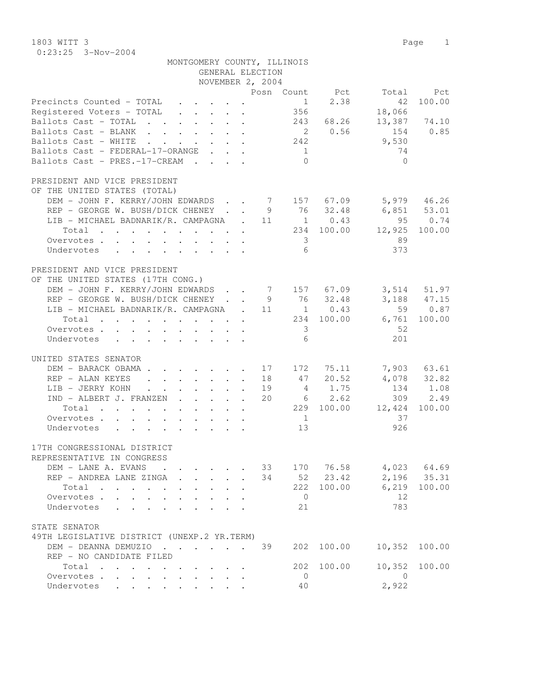1803 WITT 3 Page 1 0:23:25 3-Nov-2004

|                                                                                                                                                                                                                  | MONTGOMERY COUNTY, ILLINOIS                                                                                                                                                                                                     | GENERAL ELECTION<br>NOVEMBER 2, 2004 |                                                |                                                               |                                                                             |                                                            |
|------------------------------------------------------------------------------------------------------------------------------------------------------------------------------------------------------------------|---------------------------------------------------------------------------------------------------------------------------------------------------------------------------------------------------------------------------------|--------------------------------------|------------------------------------------------|---------------------------------------------------------------|-----------------------------------------------------------------------------|------------------------------------------------------------|
|                                                                                                                                                                                                                  |                                                                                                                                                                                                                                 |                                      |                                                |                                                               |                                                                             |                                                            |
| Precincts Counted - TOTAL<br>Registered Voters - TOTAL<br>Ballots Cast - TOTAL<br>Ballots Cast - BLANK<br>Ballots Cast - WHITE<br>Ballots Cast - FEDERAL-17-ORANGE<br>Ballots Cast - PRES.-17-CREAM              |                                                                                                                                                                                                                                 |                                      | 1<br>356<br>242<br>$\overline{1}$<br>$\bigcap$ | 2.38<br>243 68.26<br>2 0.56                                   | Posn Count Pct Total Pct<br>42<br>18,066<br>154<br>9,530<br>74<br>$\bigcap$ | 100.00<br>13,387 74.10<br>0.85                             |
| PRESIDENT AND VICE PRESIDENT                                                                                                                                                                                     |                                                                                                                                                                                                                                 |                                      |                                                |                                                               |                                                                             |                                                            |
| OF THE UNITED STATES (TOTAL)<br>DEM - JOHN F. KERRY/JOHN EDWARDS 7 157 67.09<br>REP - GEORGE W. BUSH/DICK CHENEY<br>LIB - MICHAEL BADNARIK/R. CAMPAGNA . 11<br>Total<br>Overvotes.<br>Undervotes                 |                                                                                                                                                                                                                                 |                                      | $\overline{\mathbf{3}}$<br>6                   | 9 76 32.48<br>$1 \t 0.43$<br>234 100.00                       | 6,851 53.01<br>12,925<br>89<br>373                                          | 5,979 46.26<br>$95 \t 0.74$<br>100.00                      |
| PRESIDENT AND VICE PRESIDENT                                                                                                                                                                                     |                                                                                                                                                                                                                                 |                                      |                                                |                                                               |                                                                             |                                                            |
| OF THE UNITED STATES (17TH CONG.)<br>DEM - JOHN F. KERRY/JOHN EDWARDS 7 157 67.09<br>REP - GEORGE W. BUSH/DICK CHENEY 9 76 32.48<br>LIB - MICHAEL BADNARIK/R. CAMPAGNA . 11<br>Total<br>Overvotes.<br>Undervotes |                                                                                                                                                                                                                                 |                                      | $\overline{\mathbf{3}}$<br>6                   | $1 \t 0.43$<br>234 100.00                                     | 6,761<br>52<br>201                                                          | 3,514 51.97<br>3,188 47.15<br>59 0.87<br>100.00            |
|                                                                                                                                                                                                                  |                                                                                                                                                                                                                                 |                                      |                                                |                                                               |                                                                             |                                                            |
| UNITED STATES SENATOR<br>DEM - BARACK OBAMA.<br>REP - ALAN KEYES<br>LIB - JERRY KOHN<br>IND - ALBERT J. FRANZEN<br>Total<br>Overvotes.<br>Undervotes                                                             | $\mathbf{r}$ , $\mathbf{r}$ , $\mathbf{r}$ , $\mathbf{r}$ , $\mathbf{r}$<br>$\mathbf{r} = \mathbf{r} \times \mathbf{r}$ , where $\mathbf{r} = \mathbf{r} \times \mathbf{r}$ , where $\mathbf{r} = \mathbf{r} \times \mathbf{r}$ | 18<br>19<br>20                       | 47<br>$\overline{1}$<br>13                     | 17    172    75.11<br>20.52<br>4 1.75<br>6 2.62<br>229 100.00 | 12,424 100.00<br>37<br>926                                                  | 7,903 63.61<br>$4,078$ $32.82$<br>$134$ $1.08$<br>309 2.49 |
| 17TH CONGRESSIONAL DISTRICT                                                                                                                                                                                      |                                                                                                                                                                                                                                 |                                      |                                                |                                                               |                                                                             |                                                            |
| REPRESENTATIVE IN CONGRESS<br>DEM - LANE A. EVANS<br>REP - ANDREA LANE ZINGA<br>Total<br>Overvotes<br>Undervotes<br>$\mathbf{r}$ , $\mathbf{r}$ , $\mathbf{r}$ , $\mathbf{r}$ , $\mathbf{r}$ , $\mathbf{r}$      | <b>Contract Contract Contract</b><br>$\mathbf{r}$ , $\mathbf{r}$ , $\mathbf{r}$ , $\mathbf{r}$<br>$\mathbf{L}$<br>$\mathbf{L}$<br>$\mathbf{A}$<br>$\mathbf{r}$<br>$\ddot{\phantom{a}}$                                          | 33<br>34                             | 222<br>$\overline{0}$<br>21                    | 170 76.58<br>52 23.42<br>100.00                               | 6,219<br>12<br>783                                                          | $4,023$ 64.69<br>$2,196$ 35.31<br>100.00                   |
| STATE SENATOR                                                                                                                                                                                                    |                                                                                                                                                                                                                                 |                                      |                                                |                                                               |                                                                             |                                                            |
| 49TH LEGISLATIVE DISTRICT (UNEXP.2 YR.TERM)<br>DEM - DEANNA DEMUZIO<br>REP - NO CANDIDATE FILED                                                                                                                  |                                                                                                                                                                                                                                 | 39                                   |                                                | 202 100.00                                                    | 10,352                                                                      | 100.00                                                     |
| Total                                                                                                                                                                                                            |                                                                                                                                                                                                                                 |                                      | 202                                            | 100.00                                                        | 10,352                                                                      | 100.00                                                     |
| Overvotes<br>$\mathbf{L}$<br>Undervotes<br>$\mathbf{r}$ , $\mathbf{r}$ , $\mathbf{r}$                                                                                                                            | $\ddot{\phantom{a}}$<br>$\mathbf{L}$                                                                                                                                                                                            |                                      | $\overline{0}$<br>40                           |                                                               | $\bigcirc$<br>2,922                                                         |                                                            |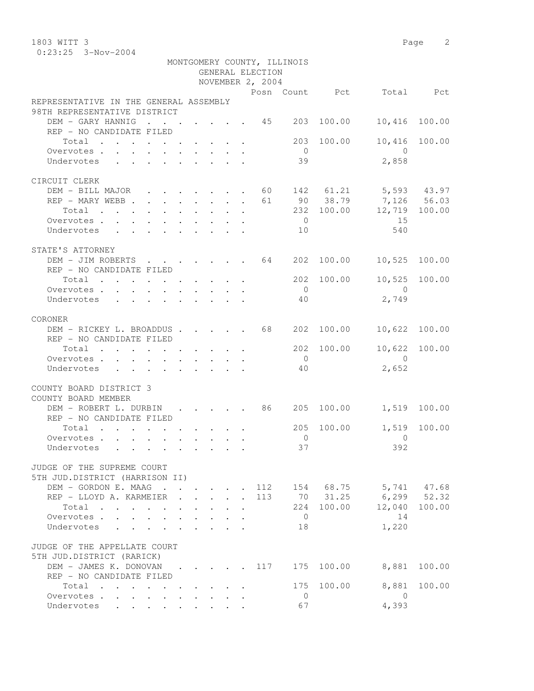1803 WITT 3 Page 2 0:23:25 3-Nov-2004

|                                                                                             |              |                                         |                           |                      | GENERAL ELECTION | MONTGOMERY COUNTY, ILLINOIS |            |                           |        |
|---------------------------------------------------------------------------------------------|--------------|-----------------------------------------|---------------------------|----------------------|------------------|-----------------------------|------------|---------------------------|--------|
|                                                                                             |              |                                         |                           |                      | NOVEMBER 2, 2004 |                             |            |                           |        |
|                                                                                             |              |                                         |                           |                      |                  |                             |            | Posn Count Pct Total Pct  |        |
| REPRESENTATIVE IN THE GENERAL ASSEMBLY<br>98TH REPRESENTATIVE DISTRICT                      |              |                                         |                           |                      |                  |                             |            |                           |        |
| DEM - GARY HANNIG<br>$\cdot$ 45 203                                                         |              |                                         |                           |                      |                  |                             | 100.00     | 10,416                    | 100.00 |
| REP - NO CANDIDATE FILED                                                                    |              |                                         |                           |                      |                  |                             |            |                           |        |
| Total<br>. The contract of the contract of the contract of the contract of $\mathcal{O}(1)$ |              |                                         |                           |                      |                  | 203                         | 100.00     | 10,416                    | 100.00 |
| Overvotes                                                                                   |              |                                         |                           |                      |                  | $\overline{0}$              |            | $\overline{0}$            |        |
| Undervotes                                                                                  |              |                                         |                           |                      |                  | 39                          |            | 2,858                     |        |
| CIRCUIT CLERK                                                                               |              |                                         |                           |                      |                  |                             |            |                           |        |
| DEM - BILL MAJOR 60 142 61.21 5,593 43.97                                                   |              |                                         |                           |                      |                  |                             |            |                           |        |
| REP - MARY WEBB                                                                             |              |                                         |                           |                      | 61               |                             |            | 90 38.79 7,126 56.03      |        |
| Total                                                                                       |              |                                         |                           |                      |                  |                             | 232 100.00 | 12,719 100.00             |        |
| Overvotes.                                                                                  |              |                                         |                           |                      |                  | $\overline{0}$              |            | 15                        |        |
| Undervotes                                                                                  |              |                                         |                           |                      |                  | 10                          |            | 540                       |        |
|                                                                                             |              |                                         |                           |                      |                  |                             |            |                           |        |
| STATE'S ATTORNEY                                                                            |              |                                         |                           |                      |                  |                             |            |                           |        |
| DEM - JIM ROBERTS                                                                           |              |                                         |                           |                      |                  |                             |            | 10,525 100.00             |        |
| REP - NO CANDIDATE FILED                                                                    |              |                                         |                           |                      |                  |                             |            |                           |        |
| Total                                                                                       |              |                                         |                           |                      |                  |                             | 202 100.00 | 10,525                    | 100.00 |
| Overvotes.                                                                                  |              |                                         |                           |                      |                  | $\overline{0}$              |            | $\overline{0}$            |        |
| Undervotes                                                                                  |              |                                         |                           |                      |                  | 40                          |            | 2,749                     |        |
| CORONER                                                                                     |              |                                         |                           |                      |                  |                             |            |                           |        |
| DEM - RICKEY L. BROADDUS 68                                                                 |              |                                         |                           |                      |                  | 202                         | 100.00     | 10,622                    | 100.00 |
| REP - NO CANDIDATE FILED                                                                    |              |                                         |                           |                      |                  |                             |            |                           |        |
| Total                                                                                       |              |                                         |                           |                      |                  |                             | 202 100.00 | 10,622 100.00             |        |
| Overvotes                                                                                   |              |                                         |                           |                      |                  | $\overline{0}$              |            | $\bigcirc$                |        |
| Undervotes<br>$\cdot$ , , , , , , , , , ,                                                   |              |                                         |                           |                      |                  | 40                          |            | 2,652                     |        |
|                                                                                             |              |                                         |                           |                      |                  |                             |            |                           |        |
| COUNTY BOARD DISTRICT 3                                                                     |              |                                         |                           |                      |                  |                             |            |                           |        |
| COUNTY BOARD MEMBER                                                                         |              |                                         |                           |                      |                  |                             |            |                           |        |
| DEM - ROBERT L. DURBIN 86 205 100.00                                                        |              |                                         |                           |                      |                  |                             |            | 1,519 100.00              |        |
| REP - NO CANDIDATE FILED                                                                    |              |                                         |                           |                      |                  |                             |            |                           |        |
| Total                                                                                       |              |                                         |                           |                      |                  | 205                         | 100.00     | 1,519                     | 100.00 |
| Overvotes.                                                                                  |              |                                         |                           |                      |                  | $\overline{0}$              |            | $\overline{0}$            |        |
| Undervotes                                                                                  |              |                                         |                           |                      |                  |                             | 37         | 392                       |        |
|                                                                                             |              |                                         |                           |                      |                  |                             |            |                           |        |
| JUDGE OF THE SUPREME COURT                                                                  |              |                                         |                           |                      |                  |                             |            |                           |        |
| 5TH JUD.DISTRICT (HARRISON II)                                                              |              |                                         |                           |                      |                  |                             |            |                           |        |
| DEM - GORDON E. MAAG<br>REP - LLOYD A. KARMEIER .                                           |              |                                         |                           |                      | 113              |                             | 70 31.25   | 112 154 68.75 5,741 47.68 |        |
|                                                                                             | $\mathbf{L}$ |                                         | $\mathbf{L} = \mathbf{L}$ | $\ddot{\phantom{a}}$ |                  |                             |            | $6, 299$ $52.32$          |        |
| Total<br>$\mathbf{r}$ , and $\mathbf{r}$ , and $\mathbf{r}$ , and $\mathbf{r}$              |              |                                         |                           |                      |                  | $\overline{0}$              | 224 100.00 | 12,040                    | 100.00 |
| Overvotes<br>Undervotes                                                                     |              |                                         |                           |                      |                  | 18                          |            | 14<br>1,220               |        |
| $\ddot{\phantom{a}}$                                                                        |              |                                         |                           |                      |                  |                             |            |                           |        |
| JUDGE OF THE APPELLATE COURT                                                                |              |                                         |                           |                      |                  |                             |            |                           |        |
| 5TH JUD.DISTRICT (RARICK)                                                                   |              |                                         |                           |                      |                  |                             |            |                           |        |
| DEM - JAMES K. DONOVAN 117                                                                  |              |                                         |                           |                      |                  | 175                         | 100.00     | 8,881                     | 100.00 |
| REP - NO CANDIDATE FILED                                                                    |              |                                         |                           |                      |                  |                             |            |                           |        |
| Total                                                                                       |              |                                         |                           |                      |                  |                             | 175 100.00 | 8,881                     | 100.00 |
| Overvotes<br>$\mathbf{L}^{\text{max}}$ , and $\mathbf{L}^{\text{max}}$                      |              | $\cdot$ $\cdot$ $\cdot$ $\cdot$ $\cdot$ |                           |                      |                  | $\overline{0}$              |            | $\overline{0}$            |        |
| Undervotes                                                                                  |              |                                         |                           |                      |                  | 67                          |            | 4,393                     |        |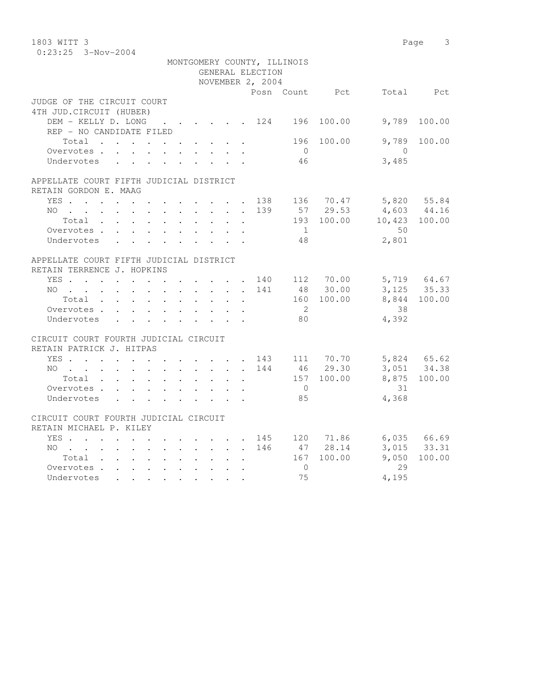| 1803 WITT 3                                                                                                        |                                                     |  |              |                  |                             |                |                       | 3<br>Page                  |
|--------------------------------------------------------------------------------------------------------------------|-----------------------------------------------------|--|--------------|------------------|-----------------------------|----------------|-----------------------|----------------------------|
| $0:23:25$ 3-Nov-2004                                                                                               |                                                     |  |              |                  |                             |                |                       |                            |
|                                                                                                                    |                                                     |  |              |                  | MONTGOMERY COUNTY, ILLINOIS |                |                       |                            |
|                                                                                                                    |                                                     |  |              | GENERAL ELECTION |                             |                |                       |                            |
|                                                                                                                    |                                                     |  |              | NOVEMBER 2, 2004 |                             |                |                       |                            |
|                                                                                                                    |                                                     |  |              |                  |                             | Posn Count Pct |                       | Total Pct                  |
| JUDGE OF THE CIRCUIT COURT                                                                                         |                                                     |  |              |                  |                             |                |                       |                            |
| 4TH JUD. CIRCUIT (HUBER)                                                                                           |                                                     |  |              |                  |                             |                |                       |                            |
| DEM - KELLY D. LONG                                                                                                | $\cdot$ $\cdot$ $\cdot$ $\cdot$ $\cdot$ $\cdot$ 124 |  |              |                  | 196                         | 100.00         | 9,789                 | 100.00                     |
| REP - NO CANDIDATE FILED                                                                                           |                                                     |  |              |                  |                             |                |                       |                            |
| $\begin{tabular}{ccccccccccc} Total & . & . & . & . & . & . & . & . & . & . & . \end{tabular}$                     |                                                     |  |              |                  | 196                         | 100.00         | 9,789                 | 100.00                     |
| Overvotes                                                                                                          |                                                     |  |              |                  | $\overline{0}$              |                | $\bigcirc$            |                            |
| Undervotes                                                                                                         |                                                     |  |              |                  | 46                          |                | 3,485                 |                            |
|                                                                                                                    |                                                     |  |              |                  |                             |                |                       |                            |
| APPELLATE COURT FIFTH JUDICIAL DISTRICT                                                                            |                                                     |  |              |                  |                             |                |                       |                            |
| RETAIN GORDON E. MAAG                                                                                              |                                                     |  |              |                  |                             |                |                       |                            |
| YES                                                                                                                |                                                     |  |              | 138              |                             |                | 136 70.47 5,820 55.84 |                            |
|                                                                                                                    |                                                     |  |              | 139              |                             | 57 29.53       | 4,603 44.16           |                            |
| NO<br>$Total$ , , , , , , , , ,                                                                                    |                                                     |  |              |                  |                             | 193 100.00     | 10,423 100.00         |                            |
|                                                                                                                    |                                                     |  | $\mathbf{L}$ |                  | $\overline{1}$              |                | 50                    |                            |
| Overvotes.                                                                                                         |                                                     |  |              |                  |                             |                | 2,801                 |                            |
| Undervotes                                                                                                         |                                                     |  |              |                  | 48                          |                |                       |                            |
|                                                                                                                    |                                                     |  |              |                  |                             |                |                       |                            |
| APPELLATE COURT FIFTH JUDICIAL DISTRICT                                                                            |                                                     |  |              |                  |                             |                |                       |                            |
| RETAIN TERRENCE J. HOPKINS                                                                                         |                                                     |  |              |                  |                             |                |                       |                            |
| YES                                                                                                                |                                                     |  |              |                  |                             | 140 112 70.00  |                       | 5,719 64.67                |
| NO.<br>$\mathbf{r}$ , and $\mathbf{r}$ , and $\mathbf{r}$ , and $\mathbf{r}$ , and $\mathbf{r}$ , and $\mathbf{r}$ |                                                     |  |              | 141              |                             | 48 30.00       |                       | 3, 125 35.33               |
| Total                                                                                                              |                                                     |  |              |                  |                             | 160 100.00     |                       | 8,844 100.00               |
| Overvotes                                                                                                          |                                                     |  |              |                  | $\overline{2}$              |                | 38                    |                            |
| Undervotes                                                                                                         |                                                     |  |              |                  | 80                          |                | 4,392                 |                            |
|                                                                                                                    |                                                     |  |              |                  |                             |                |                       |                            |
| CIRCUIT COURT FOURTH JUDICIAL CIRCUIT                                                                              |                                                     |  |              |                  |                             |                |                       |                            |
| RETAIN PATRICK J. HITPAS                                                                                           |                                                     |  |              |                  |                             |                |                       |                            |
| YES 143 111 70.70                                                                                                  |                                                     |  |              |                  |                             |                |                       | 5,824 65.62<br>3,051 34.38 |
| NO                                                                                                                 |                                                     |  |              | 144              |                             | 46 29.30       |                       |                            |
| Total                                                                                                              |                                                     |  |              |                  |                             | 157 100.00     |                       | 8,875 100.00               |
| Overvotes                                                                                                          |                                                     |  |              |                  | $\overline{0}$              |                | 31                    |                            |
| Undervotes                                                                                                         |                                                     |  |              |                  | 85                          |                | 4,368                 |                            |
|                                                                                                                    |                                                     |  |              |                  |                             |                |                       |                            |
| CIRCUIT COURT FOURTH JUDICIAL CIRCUIT                                                                              |                                                     |  |              |                  |                             |                |                       |                            |
| RETAIN MICHAEL P. KILEY                                                                                            |                                                     |  |              |                  |                             |                |                       |                            |
| YES                                                                                                                |                                                     |  |              |                  |                             | 145 120 71.86  |                       | $6,035$ $66.69$            |
| NO                                                                                                                 |                                                     |  |              | 146              |                             | 47 28.14       |                       | 3,015 33.31                |
| Total                                                                                                              |                                                     |  |              |                  |                             | 167 100.00     | 9,050                 | 100.00                     |
| Overvotes                                                                                                          |                                                     |  |              |                  | $\Omega$                    |                | 29                    |                            |
| Undervotes                                                                                                         |                                                     |  |              |                  | 75                          |                | 4,195                 |                            |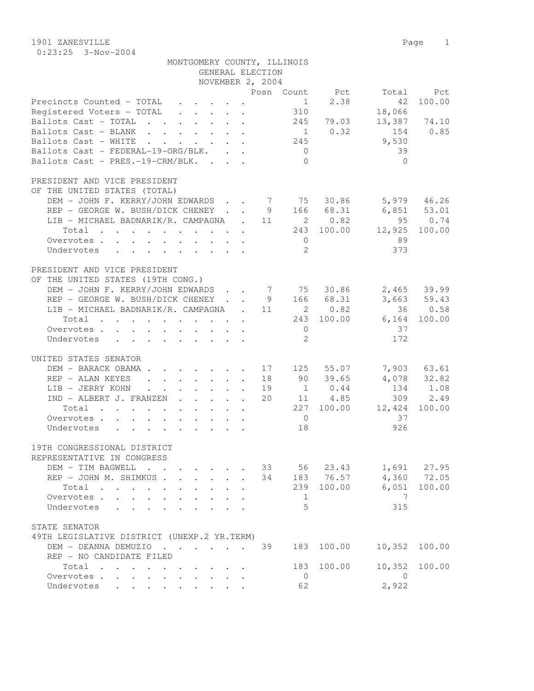1901 ZANESVILLE Page 1 0:23:25 3-Nov-2004

| MONTGOMERY COUNTY, ILLINOIS<br>GENERAL ELECTION                                                                                                  |                   |                         |              |
|--------------------------------------------------------------------------------------------------------------------------------------------------|-------------------|-------------------------|--------------|
| NOVEMBER 2, 2004                                                                                                                                 |                   |                         |              |
|                                                                                                                                                  | Posn Count Pct    |                         | Total Pct    |
| Precincts Counted - TOTAL                                                                                                                        | $\overline{1}$    | 2.38<br>42              | 100.00       |
| Registered Voters - TOTAL                                                                                                                        | 310               | 18,066                  |              |
| Ballots Cast - TOTAL                                                                                                                             |                   | 245 79.03               | 13,387 74.10 |
| Ballots Cast - BLANK                                                                                                                             |                   | $1 \t 0.32$<br>154 0.85 |              |
| Ballots Cast - WHITE                                                                                                                             | 245               | 9,530                   |              |
| Ballots Cast - FEDERAL-19-ORG/BLK.                                                                                                               | $\overline{0}$    | 39                      |              |
| Ballots Cast - PRES.-19-CRM/BLK.                                                                                                                 | $\bigcirc$        | $\bigcirc$              |              |
|                                                                                                                                                  |                   |                         |              |
| PRESIDENT AND VICE PRESIDENT                                                                                                                     |                   |                         |              |
| OF THE UNITED STATES (TOTAL)                                                                                                                     |                   |                         |              |
| DEM - JOHN F. KERRY/JOHN EDWARDS 7 75 30.86 5,979 46.26                                                                                          |                   |                         |              |
| REP - GEORGE W. BUSH/DICK CHENEY 9 166 68.31                                                                                                     |                   | 6,851 53.01             |              |
| LIB - MICHAEL BADNARIK/R. CAMPAGNA . 11 2 0.82                                                                                                   |                   |                         | 95 0.74      |
| Total 243 100.00                                                                                                                                 |                   | 12,925                  | 100.00       |
| Overvotes                                                                                                                                        | $\overline{0}$    | 89                      |              |
| Undervotes                                                                                                                                       | 2                 | 373                     |              |
| PRESIDENT AND VICE PRESIDENT                                                                                                                     |                   |                         |              |
| OF THE UNITED STATES (19TH CONG.)                                                                                                                |                   |                         |              |
| DEM - JOHN F. KERRY/JOHN EDWARDS 7 75 30.86                                                                                                      |                   |                         | 2,465 39.99  |
| REP - GEORGE W. BUSH/DICK CHENEY 9 166 68.31                                                                                                     |                   |                         | 3,663 59.43  |
| LIB - MICHAEL BADNARIK/R. CAMPAGNA . 11 2 0.82                                                                                                   |                   |                         | 36 0.58      |
| Total 243 100.00                                                                                                                                 |                   |                         | 6,164 100.00 |
| Overvotes.                                                                                                                                       | $\overline{0}$    | 37                      |              |
| Undervotes                                                                                                                                       | 2                 | 172                     |              |
| UNITED STATES SENATOR                                                                                                                            |                   |                         |              |
| DEM - BARACK OBAMA                                                                                                                               | 17 125 55.07      |                         | 7,903 63.61  |
| REP - ALAN KEYES                                                                                                                                 | 18 90 39.65       |                         | 4,078 32.82  |
| LIB - JERRY KOHN                                                                                                                                 | $1 \t 0.44$<br>19 |                         | 134 1.08     |
| IND - ALBERT J. FRANZEN                                                                                                                          | 11 4.85<br>20     |                         | 309 2.49     |
| Total<br>$\mathcal{A}$ . The second contribution of the second contribution $\mathcal{A}$                                                        | 227 100.00        | 12,424                  | 100.00       |
| Overvotes                                                                                                                                        | $\overline{0}$    | 37                      |              |
| Undervotes                                                                                                                                       | 18                | 926                     |              |
|                                                                                                                                                  |                   |                         |              |
| 19TH CONGRESSIONAL DISTRICT                                                                                                                      |                   |                         |              |
| REPRESENTATIVE IN CONGRESS                                                                                                                       |                   |                         |              |
| DEM - TIM BAGWELL                                                                                                                                | 33 56 23.43       |                         | 1,691 27.95  |
| REP - JOHN M. SHIMKUS                                                                                                                            | 34                | 183 76.57               | 4,360 72.05  |
| Total<br>$\mathcal{A}=\mathcal{A}=\mathcal{A}=\mathcal{A}=\mathcal{A}=\mathcal{A}$ .<br>$\mathbf{L}$ and $\mathbf{L}$<br>$\cdot$ $\cdot$ $\cdot$ | 239               | 100.00<br>6,051         | 100.00       |
| Overvotes                                                                                                                                        | 1<br>5            | 7                       |              |
| Undervotes                                                                                                                                       |                   | 315                     |              |
| STATE SENATOR                                                                                                                                    |                   |                         |              |
| 49TH LEGISLATIVE DISTRICT (UNEXP.2 YR.TERM)                                                                                                      |                   |                         |              |
| DEM - DEANNA DEMUZIO                                                                                                                             | 39<br>183         | 100.00<br>10,352        | 100.00       |
| REP - NO CANDIDATE FILED                                                                                                                         |                   |                         |              |
| Total                                                                                                                                            | 183               | 10,352<br>100.00        | 100.00       |
| Overvotes<br>$\ddot{\phantom{a}}$<br>$\mathbf{L}$                                                                                                | $\overline{0}$    | $\overline{0}$          |              |
| Undervotes                                                                                                                                       | 62                | 2,922                   |              |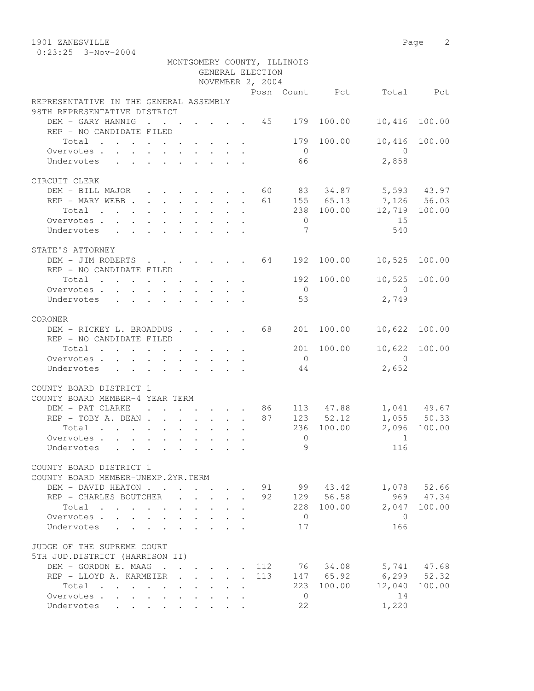1901 ZANESVILLE Page 2

|                                                                            |  |  |  | GENERAL ELECTION<br>NOVEMBER 2, 2004 | MONTGOMERY COUNTY, ILLINOIS |                |                                                              |               |
|----------------------------------------------------------------------------|--|--|--|--------------------------------------|-----------------------------|----------------|--------------------------------------------------------------|---------------|
|                                                                            |  |  |  |                                      |                             |                | Posn Count Pct Total Pct                                     |               |
| REPRESENTATIVE IN THE GENERAL ASSEMBLY                                     |  |  |  |                                      |                             |                |                                                              |               |
| 98TH REPRESENTATIVE DISTRICT                                               |  |  |  |                                      |                             |                |                                                              |               |
| DEM - GARY HANNIG 45 179 100.00 10,416 100.00                              |  |  |  |                                      |                             |                |                                                              |               |
| REP - NO CANDIDATE FILED                                                   |  |  |  |                                      |                             |                |                                                              |               |
| Total 179 100.00                                                           |  |  |  |                                      |                             |                | 10,416                                                       | 100.00        |
| Overvotes                                                                  |  |  |  |                                      | $\overline{0}$              |                | $\overline{0}$                                               |               |
| Undervotes                                                                 |  |  |  |                                      | 66                          |                | 2,858                                                        |               |
|                                                                            |  |  |  |                                      |                             |                |                                                              |               |
| CIRCUIT CLERK                                                              |  |  |  |                                      |                             |                |                                                              |               |
| DEM - BILL MAJOR 60 83 34.87 5,593 43.97                                   |  |  |  |                                      |                             |                |                                                              |               |
|                                                                            |  |  |  |                                      |                             |                |                                                              |               |
| REP - MARY WEBB 61 155 65.13 7,126 56.03<br>Total 238 100.00 12,719 100.00 |  |  |  |                                      |                             |                |                                                              |               |
| Overvotes                                                                  |  |  |  |                                      | $\overline{0}$              |                | 15                                                           |               |
| Undervotes                                                                 |  |  |  |                                      | $\overline{7}$              |                | 540                                                          |               |
|                                                                            |  |  |  |                                      |                             |                |                                                              |               |
| STATE'S ATTORNEY                                                           |  |  |  |                                      |                             |                |                                                              |               |
| DEM - JIM ROBERTS 64 192 100.00 10,525 100.00                              |  |  |  |                                      |                             |                |                                                              |               |
| REP - NO CANDIDATE FILED                                                   |  |  |  |                                      |                             |                |                                                              |               |
| Total $\cdot$                                                              |  |  |  |                                      |                             |                | 192 100.00 10,525 100.00                                     |               |
| Overvotes                                                                  |  |  |  |                                      | $\overline{0}$              |                | $\overline{0}$                                               |               |
| Undervotes                                                                 |  |  |  |                                      | 53                          |                | 2,749                                                        |               |
|                                                                            |  |  |  |                                      |                             |                |                                                              |               |
| CORONER                                                                    |  |  |  |                                      |                             |                |                                                              |               |
| DEM - RICKEY L. BROADDUS 68                                                |  |  |  |                                      |                             | 201 100.00     | 10,622 100.00                                                |               |
| REP - NO CANDIDATE FILED                                                   |  |  |  |                                      |                             |                |                                                              |               |
| Total 201 100.00 10,622 100.00                                             |  |  |  |                                      |                             |                |                                                              |               |
| Overvotes.                                                                 |  |  |  |                                      | $\overline{0}$              |                | $\bigcirc$                                                   |               |
| Undervotes                                                                 |  |  |  |                                      | 44                          |                | 2,652                                                        |               |
|                                                                            |  |  |  |                                      |                             |                |                                                              |               |
| COUNTY BOARD DISTRICT 1                                                    |  |  |  |                                      |                             |                |                                                              |               |
| COUNTY BOARD MEMBER-4 YEAR TERM                                            |  |  |  |                                      |                             |                |                                                              |               |
| DEM - PAT CLARKE                                                           |  |  |  |                                      |                             |                | $\cdots$ $\cdots$ $\cdots$ $\cdots$ 86 113 47.88 1,041 49.67 |               |
| REP - TOBY A. DEAN 87 123 52.12 1,055 50.33                                |  |  |  |                                      |                             |                |                                                              |               |
| Total $\cdot$                                                              |  |  |  |                                      |                             |                | 236 100.00 2,096 100.00                                      |               |
| Overvotes                                                                  |  |  |  |                                      | $\bigcirc$                  |                | $\sim$ 1                                                     |               |
| Undervotes                                                                 |  |  |  |                                      |                             | $\overline{9}$ | 116                                                          |               |
|                                                                            |  |  |  |                                      |                             |                |                                                              |               |
| COUNTY BOARD DISTRICT 1                                                    |  |  |  |                                      |                             |                |                                                              |               |
| COUNTY BOARD MEMBER-UNEXP.2YR.TERM                                         |  |  |  |                                      |                             |                |                                                              |               |
| DEM - DAVID HEATON 91 99 43.42                                             |  |  |  |                                      |                             |                |                                                              | 1,078 52.66   |
| REP - CHARLES BOUTCHER 92 129 56.58                                        |  |  |  |                                      |                             |                |                                                              | 969 47.34     |
| Total                                                                      |  |  |  |                                      |                             | 228 100.00     | 2,047                                                        | 100.00        |
| Overvotes                                                                  |  |  |  |                                      | $\overline{0}$              |                | $\bigcirc$                                                   |               |
| Undervotes                                                                 |  |  |  |                                      | 17                          |                | 166                                                          |               |
|                                                                            |  |  |  |                                      |                             |                |                                                              |               |
| JUDGE OF THE SUPREME COURT                                                 |  |  |  |                                      |                             |                |                                                              |               |
| 5TH JUD.DISTRICT (HARRISON II)                                             |  |  |  |                                      |                             |                |                                                              |               |
| DEM - GORDON E. MAAG 112 76 34.08 5,741 47.68                              |  |  |  |                                      |                             |                |                                                              |               |
| REP - LLOYD A. KARMEIER 113                                                |  |  |  |                                      |                             |                | 147 65.92 6,299 52.32                                        |               |
| Total                                                                      |  |  |  |                                      |                             | 223 100.00     |                                                              | 12,040 100.00 |
| Overvotes.                                                                 |  |  |  |                                      | $\overline{0}$              |                | 14                                                           |               |
| Undervotes                                                                 |  |  |  |                                      | 22                          |                | 1,220                                                        |               |